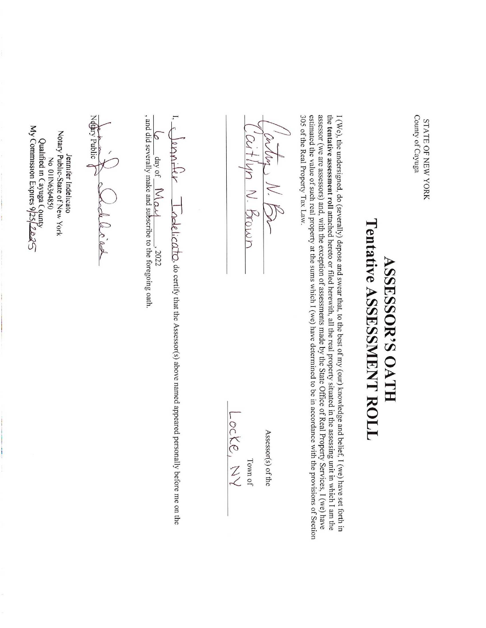STATE  $\Gamma_{\! \! \rm T}$ NEW YORK County of Cayuga

## ASSESSOR'S OATH Tentative ASSESSMENT ROLL

I (We), the undersigned, do (severally) depose and swear that, ಕ the best of my (our) knowledge and belief, I (we) have set forth in the tentative assessment  $\bar{\mathsf{e}}$ attached hereto or filed herewith,  $\equiv$ the real property situated in the assessing unit in which I am the assessor (we are assessors) and, with the exception of assessments made by the State Office of Real Property Services, I (we) have estimated the value of such real property  $\vec{a}$ the sums which I (we) have determined to  $\mathbf{g}$ in accordance with the provisions of Section 305 of the Real Property Tax Law.

(er My MV. Be Ceatlun NM. Brown

Assessor(s) of the Assessor(s) of the

Town of

Locke, Z

, do certify that the Assessor(s) above named appeared personally before me on the , 2022

, and did severally make and subscribe  $\overline{\circ}$  . the foregoing oath.

Jennifer Indelicato Notary Public-State of New York  $\lesssim$ 01IN6364850 Qualified  $\Xi^-$ Cayuga C  $\text{Quantical m}$  Cayuga County<br>My Commission Expires 9/25/2023

Néthry

Public

 $\mathcal{I}$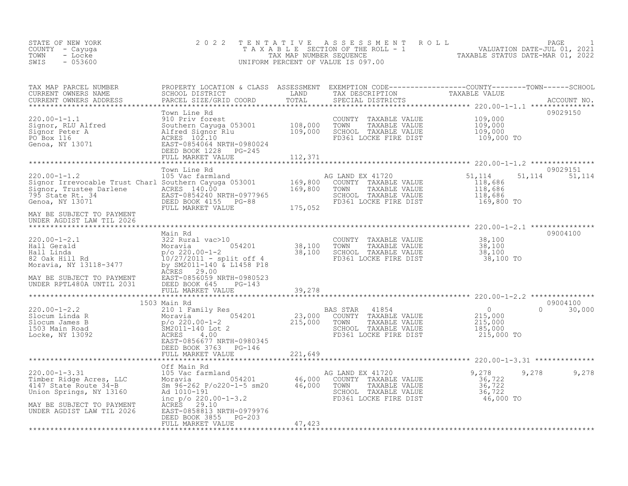| STATE OF NEW YORK<br>COUNTY - Cayuga<br>TOWN<br>- Locke<br>$-053600$<br>SWIS                                                            | 2 0 2 2                                                                                                                                                         | TENTATIVE                 | A S S E S S M E N T<br>$T^T A$ X A B L E SECTION OF THE ROLL - 1<br>TAX MAP NUMBER SEQUENCE<br>UNIFORM PERCENT OF VALUE IS 097.00 | PAGE<br>ROLL<br>VALUATION DATE-JUL 01, 2021<br>TAXABLE STATUS DATE-MAR 01, 2022 |        |
|-----------------------------------------------------------------------------------------------------------------------------------------|-----------------------------------------------------------------------------------------------------------------------------------------------------------------|---------------------------|-----------------------------------------------------------------------------------------------------------------------------------|---------------------------------------------------------------------------------|--------|
| TAX MAP PARCEL NUMBER<br>CURRENT OWNERS NAME<br>CURRENT OWNERS ADDRESS                                                                  | PARCEL SIZE/GRID COORD                                                                                                                                          | TOTAL                     | SPECIAL DISTRICTS                                                                                                                 | ACCOUNT NO.                                                                     |        |
| $220.00 - 1 - 1.1$<br>Signor, RLU Alfred<br>Signor Peter A<br>PO Box 116<br>Genoa, NY 13071                                             | Town Line Rd<br>910 Priv forest<br>Southern Cayuga 053001 108,000<br>Alfred Signor Rlu<br>ACRES 102.10<br>EAST-0854064 NRTH-0980024<br>DEED BOOK 1228<br>PG-245 | 109,000                   | COUNTY<br>TAXABLE VALUE<br>TOWN<br>TAXABLE VALUE<br>SCHOOL TAXABLE VALUE<br>FD361 LOCKE FIRE DIST                                 | 09029150<br>109,000<br>109,000<br>109,000<br>109,000 TO                         |        |
|                                                                                                                                         | FULL MARKET VALUE                                                                                                                                               | 112,371                   |                                                                                                                                   |                                                                                 |        |
| $220.00-1-1.2$ 105 Vac farmland<br>Signor Irrevocable Trust Charl Southern Cayuga 053001 169,800<br>795 State Rt. 34<br>Genoa, NY 13071 | Town Line Rd<br>EAST-0854240 NRTH-0977965<br>DEED BOOK 4155 PG-88<br>FULL MARKET VALUE                                                                          | 175,052                   | AG LAND EX 41720<br>COUNTY TAXABLE VALUE<br>TAXABLE VALUE<br>TOWN<br>SCHOOL TAXABLE VALUE<br>FD361 LOCKE FIRE DIST                | 09029151<br>51,114<br>51,114<br>118,686<br>118,686<br>118,686<br>169,800 TO     | 51,114 |
| MAY BE SUBJECT TO PAYMENT<br>UNDER AGDIST LAW TIL 2026                                                                                  |                                                                                                                                                                 |                           |                                                                                                                                   |                                                                                 |        |
| $220.00 - 1 - 2.1$<br>Hall Gerald<br>Hall Linda<br>82 Oak Hill Rd<br>Moravia, NY 13118-3477                                             | Main Rd<br>322 Rural vac>10<br>054201<br>Moravia<br>$p$ /o 220.00-1-2<br>$10/27/2011$ - split off 4<br>by SM2011-140 & L1458 P18<br>ACRES<br>29.00              | 38,100<br>38,100          | COUNTY<br>TAXABLE VALUE<br>TOWN<br>TAXABLE VALUE<br>SCHOOL TAXABLE VALUE<br>FD361 LOCKE FIRE DIST                                 | 09004100<br>38,100<br>38,100<br>38,100<br>38,100 TO                             |        |
| MAY BE SUBJECT TO PAYMENT<br>UNDER RPTL480A UNTIL 2031                                                                                  | EAST-0856059 NRTH-0980523<br>DEED BOOK 645<br>PG-143<br>FULL MARKET VALUE                                                                                       | 39,278                    |                                                                                                                                   |                                                                                 |        |
|                                                                                                                                         | 1503 Main Rd                                                                                                                                                    | * * * * * * * * * * *     |                                                                                                                                   | 09004100                                                                        |        |
| 220.00-1-2.2<br>Slocum Linda R<br>Slocum James B<br>1503 Main Road<br>Locke, NY 13092                                                   | 210 1 Family Res<br>054201<br>Moravia<br>$p/\circ 220.00 - 1 - 2$<br>SM2011-140 Lot 2<br>ACRES<br>4.00<br>EAST-0856677 NRTH-0980345<br>DEED BOOK 3763 PG-146    | 23,000<br>215,000         | 41854<br>BAS STAR<br>COUNTY TAXABLE VALUE<br>TAXABLE VALUE<br>TOWN<br>SCHOOL TAXABLE VALUE<br>FD361 LOCKE FIRE DIST               | $\overline{0}$<br>$\Omega$<br>215,000<br>215,000<br>185,000<br>215,000 TO       | 30,000 |
|                                                                                                                                         | FULL MARKET VALUE                                                                                                                                               | 221,649<br>************** |                                                                                                                                   |                                                                                 |        |
| $220.00 - 1 - 3.31$<br>Timber Ridge Acres, LLC<br>4147 State Route 34-B<br>Union Springs, NY 13160                                      | Off Main Rd<br>105 Vac farmland<br>Moravia 054201 46,000<br>Sm 96-262 P/o220-1-5 sm20 46,000<br>Ad 1010-191<br>inc $p/o 220.00-1-3.2$                           |                           | AG LAND EX 41720<br>COUNTY TAXABLE VALUE<br>TOWN<br>TAXABLE VALUE<br>SCHOOL TAXABLE VALUE<br>FD361 LOCKE FIRE DIST                | 9,278<br>9,278<br>36,722<br>36,722<br>36,722<br>46,000 TO                       | 9,278  |
| MAY BE SUBJECT TO PAYMENT<br>UNDER AGDIST LAW TIL 2026                                                                                  | ACRES<br>29.10<br>EAST-0858813 NRTH-0979976<br>DEED BOOK 3855<br>PG-203<br>FULL MARKET VALUE                                                                    | 47,423                    |                                                                                                                                   |                                                                                 |        |
| ***********************                                                                                                                 | *******************                                                                                                                                             |                           |                                                                                                                                   |                                                                                 |        |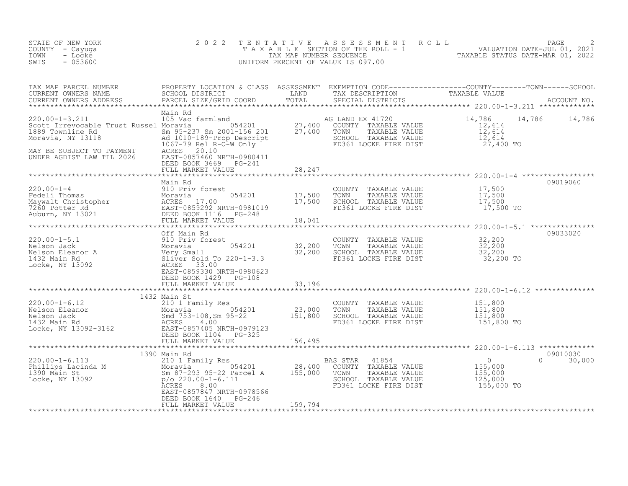| STATE OF NEW YORK<br>COUNTY - Cayuga<br>TOWN<br>- Locke<br>$-053600$<br>SWIS                                                                                                                                                                                | 2 0 2 2                                                                             | TENTATIVE | T E N T A T I V E A S S E S S M E N T R O L L<br>T A X A B L E SECTION OF THE ROLL - 1 VALUATION DATE-JUL 01, 2021<br>TAX MAP NUMBER SEQUENCE TAXABLE STATUS DATE-MAR 01, 2022<br>JNIFORM PERCENT OF VALUE IS 097.00<br>UNIFORM PERCENT OF VALUE IS 097.00 |                                                                                 |                           |
|-------------------------------------------------------------------------------------------------------------------------------------------------------------------------------------------------------------------------------------------------------------|-------------------------------------------------------------------------------------|-----------|------------------------------------------------------------------------------------------------------------------------------------------------------------------------------------------------------------------------------------------------------------|---------------------------------------------------------------------------------|---------------------------|
| TAX MAP PARCEL NUMBER PROPERTY LOCATION & CLASS ASSESSMENT EXEMPTION CODE----------------COUNTY--------TOWN------SCHOOL SCHOOL DISTRICT LAND TAX DESCRIPTION TRAXABLE VALUE<br>CURRENT OWNERS ADDRESS PARCEL SIZE/GRID COORD TOTA                           |                                                                                     |           |                                                                                                                                                                                                                                                            |                                                                                 |                           |
|                                                                                                                                                                                                                                                             | Main Rd<br>DEED BOOK 3669 PG-241                                                    |           |                                                                                                                                                                                                                                                            |                                                                                 | 14,786 14,786             |
|                                                                                                                                                                                                                                                             | FULL MARKET VALUE                                                                   | 28,247    |                                                                                                                                                                                                                                                            |                                                                                 |                           |
| 220.00-1-4<br>Fedeli Thomas<br>Merivid Moravia 17,500<br>Maywalt Christopher ACRES 17.00<br>7260 Potter Rd EAST-0859292 NRTH-0981019<br>Auburn, NY 13021 DEED BOOK 116 PG-248<br>FULL MARKET VALUE 18,041<br>*******************************                | Main Rd                                                                             |           | COUNTY TAXABLE VALUE $17,500$<br>TOWN TAXABLE VALUE $17,500$<br>SCHOOL TAXABLE VALUE $17,500$<br>FD361 LOCKE FIRE DIST $17,500$                                                                                                                            |                                                                                 | 09019060                  |
|                                                                                                                                                                                                                                                             |                                                                                     |           |                                                                                                                                                                                                                                                            | ******************** 220.00-1-5.1 ****************                              |                           |
|                                                                                                                                                                                                                                                             |                                                                                     |           | COUNTY TAXABLE VALUE $32,200$<br>TOWN TAXABLE VALUE $32,200$<br>SCHOOL TAXABLE VALUE $32,200$<br>FD361 LOCKE FIRE DIST $32,200$                                                                                                                            |                                                                                 | 09033020                  |
|                                                                                                                                                                                                                                                             |                                                                                     |           |                                                                                                                                                                                                                                                            |                                                                                 |                           |
| 220.00-1-6.12<br>Nelson Eleanor 1432 Main St<br>Moravia 210 1 Family Res<br>Moravia 31,000<br>Moravia 23,000<br>1432 Main Rd<br>1432 Main Rd<br>162 Main St<br>23,000<br>Small 753-108,Sm 95-22<br>23,000<br>ACRES<br>4.00<br>EAST-0857405 NRTH-0979123<br> | 1432 Main St<br>FULL MARKET VALUE                                                   | 156,495   | COUNTY TAXABLE VALUE 151,800<br>TOWN TAXABLE VALUE 151,800<br>SCHOOL TAXABLE VALUE 151,800<br>FD361 LOCKE FIRE DIST 151,800 TO                                                                                                                             |                                                                                 |                           |
|                                                                                                                                                                                                                                                             |                                                                                     |           |                                                                                                                                                                                                                                                            |                                                                                 |                           |
| 1390 Main Rd<br>220.00-1-6.113<br>Phillips Lacinda M<br>1390 Main St<br>1390 Main Rd<br>28,400<br>155,000<br>155,000<br>28,400<br>28,400<br>28,400<br>28,400<br>29,000-1-6.111<br>25,000<br>29,000-1-6.111<br>25,000<br>29,000-1-6.111                      | 1390 Main Rd<br>8.00<br>ACRES<br>EAST-0857847 NRTH-0978566<br>DEED BOOK 1640 PG-246 |           | 41854<br>BAS STAR<br>COUNTY TAXABLE VALUE<br>TOWN<br>TAXABLE VALUE<br>SCHOOL TAXABLE VALUE<br>FD361 LOCKE FIRE DIST                                                                                                                                        | $\begin{array}{c} 0 \\ 155,000 \\ 155,000 \end{array}$<br>125,000<br>155,000 TO | 09010030<br>$0 \t 30,000$ |
|                                                                                                                                                                                                                                                             | FULL MARKET VALUE                                                                   | 159,794   |                                                                                                                                                                                                                                                            |                                                                                 |                           |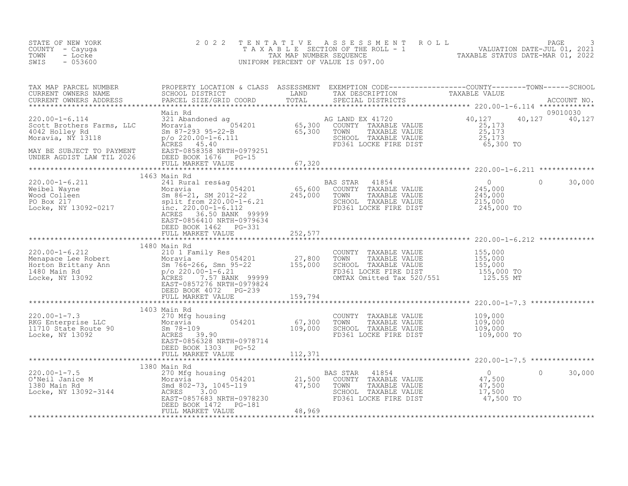| STATE OF NEW YORK<br>COUNTY - Cayuga<br>TOWN<br>- Locke<br>$-053600$<br>SWIS                                                                                                                                                                                                                                                                                                                                                                                             | 2 0 2 2                                                             |         | TENTATIVE ASSESSMENT ROLL PACE 3<br>TAXABLE SECTION OF THE ROLL - 1 VALUATION DATE-JUL 01, 2021<br>TAX MAP NUMBER SEQUENCE TAXABLE STATUS DATE-MAR 01, 2022<br>UNIFORM PERCENT OF VALUE IS 097.00 |                   |
|--------------------------------------------------------------------------------------------------------------------------------------------------------------------------------------------------------------------------------------------------------------------------------------------------------------------------------------------------------------------------------------------------------------------------------------------------------------------------|---------------------------------------------------------------------|---------|---------------------------------------------------------------------------------------------------------------------------------------------------------------------------------------------------|-------------------|
| TAX MAP PARCEL NUMBER<br>CURRENT OWNERS NAME SCHOOL DISTRICT LAND TAX DESCRIPTION<br>CURRENT OWNERS NAME SCHOOL DISTRICT LAND TAX DESCRIPTION TAXABLE VALUE<br>CURRENT OWNERS ADDRESS PARCEL SIZE/GRID COORD TOTAL SPECIAL DISTRICTS                                                                                                                                                                                                                                     |                                                                     |         |                                                                                                                                                                                                   |                   |
|                                                                                                                                                                                                                                                                                                                                                                                                                                                                          |                                                                     |         |                                                                                                                                                                                                   |                   |
|                                                                                                                                                                                                                                                                                                                                                                                                                                                                          |                                                                     |         |                                                                                                                                                                                                   |                   |
| 1463 Main Rd<br>241 Rural res&ag<br>Weibel Wayne Moravia (1854 David Moravia (1856)<br>245,000 COUNTY TAXABLE VALUE 245,000<br>245,000 TOWN TAXABLE VALUE 245,000<br>245,000 TOWN TAXABLE VALUE 245,000<br>245,000 TOWN TAXABLE VALUE 245,                                                                                                                                                                                                                               | 1463 Main Rd<br>ACRES 36.50 BANK 99999<br>EAST-0856410 NRTH-0979634 |         |                                                                                                                                                                                                   | $0 \t 30,000$     |
|                                                                                                                                                                                                                                                                                                                                                                                                                                                                          | DEED BOOK 1462 PG-331<br>FULL MARKET VALUE                          | 252,577 |                                                                                                                                                                                                   |                   |
| $\begin{tabular}{lllllllllllllllllllll} \multicolumn{3}{c}{1480\text{ Main Rd} & \multicolumn{3}{c}{1480\text{ Main Rd} & \multicolumn{3}{c}{1480\text{ Main Rd} & \multicolumn{3}{c}{1480\text{ Main Rd} & \multicolumn{3}{c}{1480\text{ Main Rd} & \multicolumn{3}{c}{1480\text{ Main Rd} & \multicolumn{3}{c}{1480\text{ Main Rd} & \multicolumn{3}{c}{1480\text{ Main Rd} & \multicolumn{3}{c}{1480\text{ Main Rd} & \multicolumn{3}{c}{1480\text{ Main Rd} & \mult$ | 1480 Main Rd                                                        |         |                                                                                                                                                                                                   |                   |
|                                                                                                                                                                                                                                                                                                                                                                                                                                                                          |                                                                     |         |                                                                                                                                                                                                   |                   |
|                                                                                                                                                                                                                                                                                                                                                                                                                                                                          | EAST-0856328 NRTH-0978714<br>DEED BOOK 1303 PG-52                   |         |                                                                                                                                                                                                   |                   |
|                                                                                                                                                                                                                                                                                                                                                                                                                                                                          |                                                                     |         |                                                                                                                                                                                                   |                   |
|                                                                                                                                                                                                                                                                                                                                                                                                                                                                          | 1380 Main Rd                                                        |         |                                                                                                                                                                                                   |                   |
|                                                                                                                                                                                                                                                                                                                                                                                                                                                                          | DEED BOOK 1472 PG-181                                               |         |                                                                                                                                                                                                   | $\circ$<br>30,000 |
|                                                                                                                                                                                                                                                                                                                                                                                                                                                                          | FULL MARKET VALUE                                                   | 48,969  |                                                                                                                                                                                                   |                   |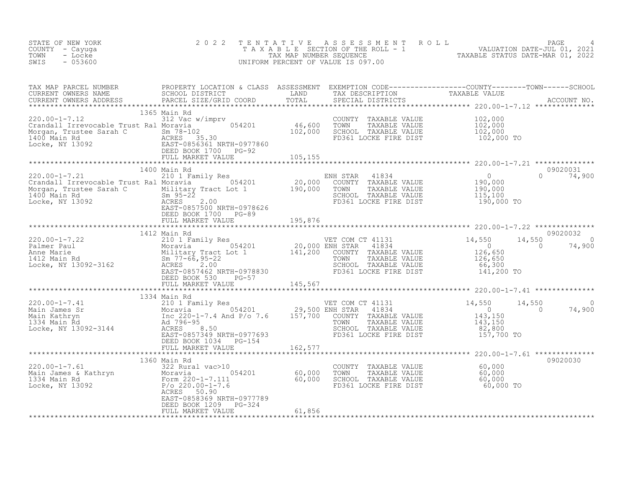| STATE OF NEW YORK<br>COUNTY - Cayuga                                                                                                                                                                                                                                                                                                                                                              |  |                                                                                                                                                                                                        |          |
|---------------------------------------------------------------------------------------------------------------------------------------------------------------------------------------------------------------------------------------------------------------------------------------------------------------------------------------------------------------------------------------------------|--|--------------------------------------------------------------------------------------------------------------------------------------------------------------------------------------------------------|----------|
| - Locke<br>TOWN<br>SWIS<br>$-053600$                                                                                                                                                                                                                                                                                                                                                              |  | 2022 TENTATIVE ASSESSMENT ROLL PAGE 4<br>TAXABLE SECTION OF THE ROLL - 1 VALUATION DATE-JUL 01, 2021<br>TAX MAP NUMBER SEQUENCE TAXABLE STATUS DATE-MAR 01, 2022<br>UNIFORM PERCENT OF VALUE IS 097.00 |          |
|                                                                                                                                                                                                                                                                                                                                                                                                   |  |                                                                                                                                                                                                        |          |
|                                                                                                                                                                                                                                                                                                                                                                                                   |  |                                                                                                                                                                                                        |          |
|                                                                                                                                                                                                                                                                                                                                                                                                   |  |                                                                                                                                                                                                        |          |
|                                                                                                                                                                                                                                                                                                                                                                                                   |  |                                                                                                                                                                                                        |          |
|                                                                                                                                                                                                                                                                                                                                                                                                   |  |                                                                                                                                                                                                        |          |
|                                                                                                                                                                                                                                                                                                                                                                                                   |  |                                                                                                                                                                                                        |          |
|                                                                                                                                                                                                                                                                                                                                                                                                   |  |                                                                                                                                                                                                        |          |
|                                                                                                                                                                                                                                                                                                                                                                                                   |  |                                                                                                                                                                                                        |          |
|                                                                                                                                                                                                                                                                                                                                                                                                   |  |                                                                                                                                                                                                        |          |
|                                                                                                                                                                                                                                                                                                                                                                                                   |  |                                                                                                                                                                                                        |          |
|                                                                                                                                                                                                                                                                                                                                                                                                   |  |                                                                                                                                                                                                        |          |
| $\begin{tabular}{lcccccc} \texttt{****}{\texttt{****}} & \texttt{****}{\texttt{****}} & \texttt{1360} & \texttt{1360} & \texttt{1360} & \texttt{1360} & \texttt{1360} & \texttt{1360} & \texttt{1360} & \texttt{1360} & \texttt{1360} & \texttt{1360} & \texttt{1360} & \texttt{1360} & \texttt{1360} & \texttt{1360} & \texttt{1360} & \texttt{1360} & \texttt{1360} & \texttt{1360} & \texttt{$ |  |                                                                                                                                                                                                        | 09020030 |
|                                                                                                                                                                                                                                                                                                                                                                                                   |  |                                                                                                                                                                                                        |          |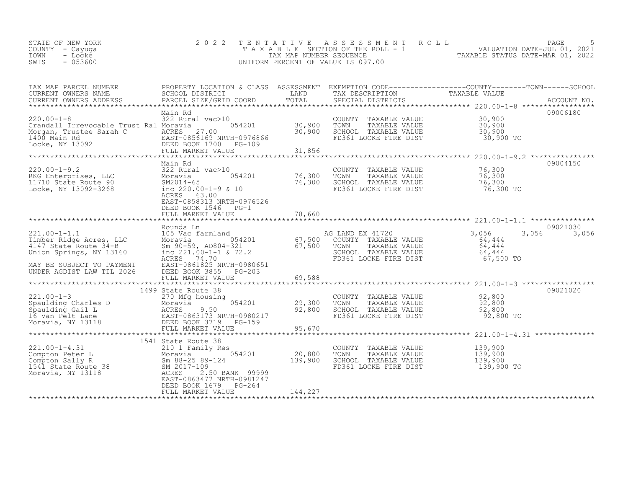| STATE OF NEW YORK<br>COUNTY – Cayuqa | 2022 TENTATIVE ASSESSMENT ROLL<br>T A X A B L E SECTION OF THE ROLL - 1 |                                  | PAGE<br>VALUATION DATE-JUL 01, 2021 |  |
|--------------------------------------|-------------------------------------------------------------------------|----------------------------------|-------------------------------------|--|
| TOWN<br>- Locke<br>$-053600$<br>SWIS | TAX MAP NUMBER SEOUENCE<br>UNIFORM PERCENT OF VALUE IS 097.00           | TAXABLE STATUS DATE-MAR 01, 2022 |                                     |  |

| TAX MAP PARCEL NUMBER<br>CURRENT OWNERS NAME                                                                                   | SCHOOL DISTRICT                                                                                                                                | LAND              | TAX DESCRIPTION                                                                                                    | PROPERTY LOCATION & CLASS ASSESSMENT EXEMPTION CODE----------------COUNTY-------TOWN-----SCHOOL<br>TAXABLE VALUE |             |
|--------------------------------------------------------------------------------------------------------------------------------|------------------------------------------------------------------------------------------------------------------------------------------------|-------------------|--------------------------------------------------------------------------------------------------------------------|------------------------------------------------------------------------------------------------------------------|-------------|
| CURRENT OWNERS ADDRESS                                                                                                         | PARCEL SIZE/GRID COORD                                                                                                                         | TOTAL             | SPECIAL DISTRICTS                                                                                                  |                                                                                                                  | ACCOUNT NO. |
|                                                                                                                                |                                                                                                                                                |                   |                                                                                                                    |                                                                                                                  |             |
| $220.00 - 1 - 8$<br>Crandall Irrevocable Trust Ral Moravia<br>Morgan, Trustee Sarah C<br>1400 Main Rd                          | Main Rd<br>322 Rural vac>10<br>054201<br>ACRES 27.00<br>EAST-0856169 NRTH-0976866                                                              | 30,900<br>30,900  | COUNTY TAXABLE VALUE<br>TOWN<br>TAXABLE VALUE<br>SCHOOL TAXABLE VALUE<br>FD361 LOCKE FIRE DIST                     | 30,900<br>30,900<br>30,900<br>30,900 TO                                                                          | 09006180    |
| Locke, NY 13092                                                                                                                | DEED BOOK 1700 PG-109                                                                                                                          |                   |                                                                                                                    |                                                                                                                  |             |
|                                                                                                                                | FULL MARKET VALUE                                                                                                                              | 31,856            |                                                                                                                    |                                                                                                                  |             |
|                                                                                                                                | Main Rd                                                                                                                                        |                   |                                                                                                                    |                                                                                                                  | 09004150    |
| $220.00 - 1 - 9.2$<br>RKG Enterprises, LLC<br>11710 State Route 90<br>Locke, NY 13092-3268                                     | 322 Rural vac>10<br>054201<br>Moravia<br>SM2014-65<br>inc $220.00-1-9$ & 10<br>ACRES 63.00<br>EAST-0858313 NRTH-0976526<br>DEED BOOK 1546 PG-1 | 76,300<br>76,300  | COUNTY TAXABLE VALUE<br>TOWN<br>TAXABLE VALUE<br>SCHOOL TAXABLE VALUE<br>FD361 LOCKE FIRE DIST                     | 76,300<br>76,300<br>76,300<br>76,300 TO                                                                          |             |
|                                                                                                                                | FULL MARKET VALUE                                                                                                                              | 78,660            |                                                                                                                    |                                                                                                                  |             |
|                                                                                                                                |                                                                                                                                                |                   |                                                                                                                    |                                                                                                                  |             |
|                                                                                                                                | Rounds Ln                                                                                                                                      |                   |                                                                                                                    |                                                                                                                  | 09021030    |
| $221.00 - 1 - 1.1$<br>Timber Ridge Acres, LLC<br>4147 State Route 34-B<br>Union Springs, NY 13160<br>MAY BE SUBJECT TO PAYMENT | 105 Vac farmland<br>054201<br>Moravia<br>Sm 90-59, AD804-321<br>inc $221.00-1-1$ & $72.2$<br>ACRES 74.70<br>EAST-0861825 NRTH-0980651          | 67,500<br>67,500  | AG LAND EX 41720<br>COUNTY TAXABLE VALUE<br>TOWN<br>TAXABLE VALUE<br>SCHOOL TAXABLE VALUE<br>FD361 LOCKE FIRE DIST | 3,056<br>3,056<br>64,444<br>64,444<br>64,444<br>67,500 TO                                                        | 3,056       |
| UNDER AGDIST LAW TIL 2026                                                                                                      | DEED BOOK 3855<br>$PG-203$                                                                                                                     |                   |                                                                                                                    |                                                                                                                  |             |
|                                                                                                                                | FULL MARKET VALUE                                                                                                                              | 69,588            |                                                                                                                    |                                                                                                                  |             |
|                                                                                                                                |                                                                                                                                                |                   |                                                                                                                    |                                                                                                                  |             |
| $221.00 - 1 - 3$<br>Moravia, NY 13118                                                                                          | 1499 State Route 38<br>270 Mfg housing<br>DEED BOOK 3719 PG-159<br>FULL MARKET VALUE                                                           | 29,300<br>92,800  | COUNTY TAXABLE VALUE<br>TOWN<br>TAXABLE VALUE<br>SCHOOL TAXABLE VALUE<br>FD361 LOCKE FIRE DIST                     | 92,800<br>92,800<br>92,800<br>92,800 TO                                                                          | 09021020    |
|                                                                                                                                |                                                                                                                                                | 95,670            |                                                                                                                    |                                                                                                                  |             |
|                                                                                                                                |                                                                                                                                                |                   |                                                                                                                    |                                                                                                                  |             |
| Compton Sally R<br>210 1 Family Re<br>Moravia<br>1541 State Route 38<br>Moravia, NY 13118<br>2017-109<br>2017-109              | 210 1 Family Res<br>054201<br>2.50 BANK 99999<br>EAST-0863477 NRTH-0981247<br>DEED BOOK 1679 PG-264                                            | 20,800<br>139,900 | COUNTY TAXABLE VALUE<br>TOWN<br>TAXABLE VALUE<br>SCHOOL TAXABLE VALUE<br>FD361 LOCKE FIRE DIST                     | 139,900<br>139,900<br>139,900<br>139,900 TO                                                                      |             |
|                                                                                                                                | FULL MARKET VALUE                                                                                                                              | 144,227           |                                                                                                                    |                                                                                                                  |             |
|                                                                                                                                |                                                                                                                                                |                   |                                                                                                                    |                                                                                                                  |             |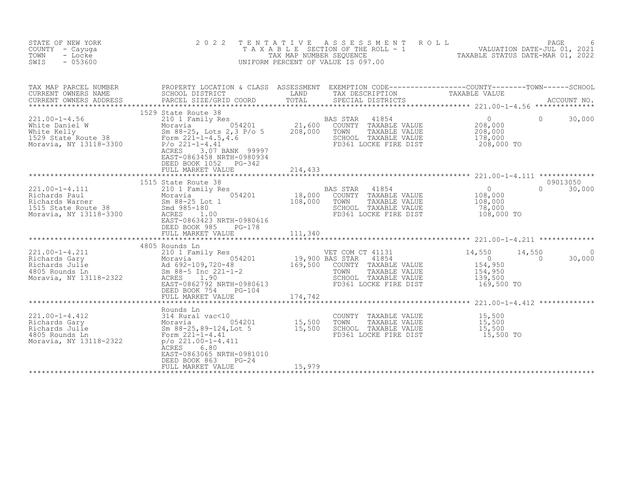| STATE OF NEW YORK<br>COUNTY - Cayuga<br>TOWN<br>- Locke<br>SWIS<br>$-053600$                                                                                                                                                                                                            | 2 0 2 2                                                                                                                 |         | TENTATIVE ASSESSMENT ROLL PACE PAGE 6<br>TAXABLE SECTION OF THE ROLL - 1 VALUATION DATE-JUL 01, 2021<br>TAXABLE STATUS DATE-MAR 01, 2022<br>UNIFORM PERCENT OF VALUE IS 097.00 |                                                                          |                          |                           |
|-----------------------------------------------------------------------------------------------------------------------------------------------------------------------------------------------------------------------------------------------------------------------------------------|-------------------------------------------------------------------------------------------------------------------------|---------|--------------------------------------------------------------------------------------------------------------------------------------------------------------------------------|--------------------------------------------------------------------------|--------------------------|---------------------------|
|                                                                                                                                                                                                                                                                                         |                                                                                                                         |         |                                                                                                                                                                                |                                                                          |                          |                           |
| 1993 1994 1994 1994 1994 1994 100-1-4.56<br>White Daniel W Moravia 054201 208,000<br>White Kelly Sm 88-25, Lots 2,3 P/o 5 208,000 TOWN TAXABLE VALUE<br>Moravia, NY 13118-3300 P/o 221-1-4.41<br>Moravia, NY 13118-3300 R/o 221-1-4.41                                                  | 1529 State Route 38<br>ACRES 3.07 BANK 99997<br>EAST-0863458 NRTH-0980934<br>DEED BOOK 1052 PG-342<br>FULL MARKET VALUE | 214,433 |                                                                                                                                                                                |                                                                          | $\Omega$                 | 30,000                    |
|                                                                                                                                                                                                                                                                                         |                                                                                                                         |         |                                                                                                                                                                                |                                                                          |                          |                           |
| $\begin{tabular}{lllllllllll} 221.00-1-4.111 & 211.3\,\, & \, 210 & 210 & 18,000 & \, 201.00-1-4.111 & 211.0\,\, & \, 210 & 18,000 & \, 210.00\,\, & \, 210.00\,\, & \, 210.00\,\, & \, 210.00\,\, & \, 210.00\,\, & \, 210.00\,\, & \, 210.00\,\, & \, 210.00\,\, & \, 210.00\,\, & \$ | 1515 State Route 38<br>DEED BOOK 985<br>PG-178                                                                          |         |                                                                                                                                                                                | $\begin{smallmatrix}&&&0\108,000\108,000\end{smallmatrix}$<br>108,000 TO |                          | 09013050<br>$0 \t 30,000$ |
|                                                                                                                                                                                                                                                                                         |                                                                                                                         |         |                                                                                                                                                                                |                                                                          |                          |                           |
| 14,550 14 1603<br>Richards Gary 210 1 Family Res<br>Richards Gary Moravia 054201 169,500 BAS STAR 41854 0<br>Richards Julie Moravia 2322 500 RAS STAR 41854 0<br>4805 Rounds Ln Sm 88-5 Inc 221-1-2 169,500 COUNTY TAXABLE VALUE 154,9                                                  | 4805 Rounds Ln<br>DEED BOOK 754<br>$PG-104$                                                                             |         |                                                                                                                                                                                |                                                                          | 14,550<br>$\overline{0}$ | 30,000                    |
|                                                                                                                                                                                                                                                                                         |                                                                                                                         |         |                                                                                                                                                                                |                                                                          |                          |                           |
| 221.00-1-4.412<br>Richards Gary 314 Rural vac<10<br>Richards Gary 314 Rural vac<10<br>Richards Julie 3m 88-25,89-124,Lot 5<br>Form 221-1-4.41<br>Moravia, NY 13118-2322 P/O 221.00-1-4.411<br>Moravia, NY 13118-2322 P/O 221.00-1-4.411<br>P                                            | Rounds Ln<br>ACRES 6.80<br>EAST-0863065 NRTH-0981010<br>DEED BOOK 863<br>$PG-24$                                        |         |                                                                                                                                                                                |                                                                          |                          |                           |
|                                                                                                                                                                                                                                                                                         | FULL MARKET VALUE                                                                                                       | 15,979  |                                                                                                                                                                                |                                                                          |                          |                           |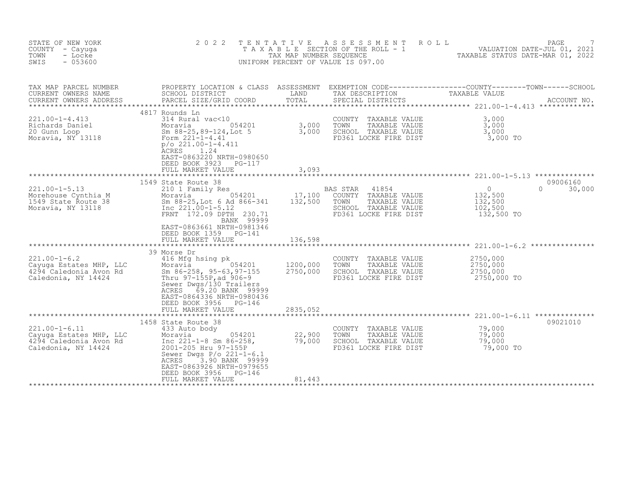| STATE OF NEW YORK<br>COUNTY - Cayuga<br>TOWN<br>- Locke<br>SWIS<br>$-053600$                    | 2 0 2 2                                                                                                                                                                                                                                       | TENTATIVE<br>TAX MAP NUMBER SEQUENCE              | A S S E S S M E N T<br>UNIFORM PERCENT OF VALUE IS 097.00                                                           | ROLL<br>PAGE<br>T A X A B L E SECTION OF THE ROLL - 1 VALUATION DATE-JUL 01, 2021<br>TAX MAP NUMBER SEOUENCE TAX ABLE STATUS DATE-MAR 01, 2022<br>TAXABLE STATUS DATE-MAR 01, 2022 |
|-------------------------------------------------------------------------------------------------|-----------------------------------------------------------------------------------------------------------------------------------------------------------------------------------------------------------------------------------------------|---------------------------------------------------|---------------------------------------------------------------------------------------------------------------------|------------------------------------------------------------------------------------------------------------------------------------------------------------------------------------|
| TAX MAP PARCEL NUMBER<br>CURRENT OWNERS NAME<br>CURRENT OWNERS ADDRESS                          | SCHOOL DISTRICT<br>PARCEL SIZE/GRID COORD                                                                                                                                                                                                     | LAND<br>TOTAL                                     | TAX DESCRIPTION<br>SPECIAL DISTRICTS                                                                                | PROPERTY LOCATION & CLASS ASSESSMENT EXEMPTION CODE----------------COUNTY-------TOWN-----SCHOOL<br>TAXABLE VALUE<br>ACCOUNT NO.                                                    |
| $221.00 - 1 - 4.413$<br>Richards Daniel<br>20 Gunn Loop<br>Moravia, NY 13118                    | 4817 Rounds Ln<br>314 Rural vac<10<br>Form 221-1-4.41<br>$p/o$ 221.00-1-4.411<br><b>ACRES</b><br>1.24<br>EAST-0863220 NRTH-0980650<br>DEED BOOK 3923 PG-117<br>FULL MARKET VALUE                                                              | 3,093                                             | COUNTY TAXABLE VALUE<br>TOWN<br>TAXABLE VALUE<br>SCHOOL TAXABLE VALUE<br>FD361 LOCKE FIRE DIST                      | 3,000<br>3,000<br>3,000<br>3,000 TO                                                                                                                                                |
|                                                                                                 |                                                                                                                                                                                                                                               | *************                                     |                                                                                                                     |                                                                                                                                                                                    |
| $221.00 - 1 - 5.13$<br>Morehouse Cynthia M<br>1549 State Route 38<br>Moravia, NY 13118          | 1549 State Route 38<br>210 1 Family Res<br>054201<br>Moravia<br>Sm 88-25, Lot 6 Ad 866-341<br>Inc 221.00-1-5.12<br>FRNT 172.09 DPTH 230.71<br>BANK 99999<br>EAST-0863661 NRTH-0981346<br>DEED BOOK 1359 PG-141<br>FULL MARKET VALUE           | 17,100<br>132,500<br>136,598                      | BAS STAR<br>41854<br>COUNTY TAXABLE VALUE<br>TOWN<br>TAXABLE VALUE<br>SCHOOL TAXABLE VALUE<br>FD361 LOCKE FIRE DIST | 09006160<br>$\circ$<br>$\Omega$<br>30,000<br>132,500<br>132,500<br>102,500<br>132,500 TO                                                                                           |
| $221.00 - 1 - 6.2$<br>Cayuga Estates MHP, LLC<br>4294 Caledonia Avon Rd<br>Caledonia, NY 14424  | 39 Morse Dr<br>416 Mfg hsing pk<br>054201<br>Moravia<br>Sm 86-258, 95-63, 97-155<br>Thru 97-155P, ad 906-9<br>Sewer Dwgs/130 Trailers<br>69.20 BANK 99999<br>ACRES<br>EAST-0864336 NRTH-0980436<br>DEED BOOK 3956 PG-146<br>FULL MARKET VALUE | 1200,000<br>2750,000<br>2835,052<br>************* | COUNTY TAXABLE VALUE<br>TOWN<br>TAXABLE VALUE<br>SCHOOL TAXABLE VALUE<br>FD361 LOCKE FIRE DIST                      | 2750,000<br>2750,000<br>2750,000<br>2750,000 TO                                                                                                                                    |
|                                                                                                 | 1458 State Route 38                                                                                                                                                                                                                           |                                                   |                                                                                                                     | 09021010                                                                                                                                                                           |
| $221.00 - 1 - 6.11$<br>Cayuga Estates MHP, LLC<br>4294 Caledonia Avon Rd<br>Caledonia, NY 14424 | 433 Auto body<br>054201<br>Moravia<br>Inc $221 - 1 - 8$ Sm $86 - 258$ ,<br>2001-205 Hru 97-155P<br>Sewer Dwgs $P/O$ 221-1-6.1<br>3.90 BANK 99999<br>ACRES<br>EAST-0863926 NRTH-0979655<br>DEED BOOK 3956<br>PG-146<br>FULL MARKET VALUE       | 22,900<br>79,000<br>81,443                        | COUNTY<br>TAXABLE VALUE<br>TOWN<br>TAXABLE VALUE<br>SCHOOL TAXABLE VALUE<br>FD361 LOCKE FIRE DIST                   | 79,000<br>79,000<br>79,000<br>79,000 TO                                                                                                                                            |
|                                                                                                 |                                                                                                                                                                                                                                               |                                                   |                                                                                                                     |                                                                                                                                                                                    |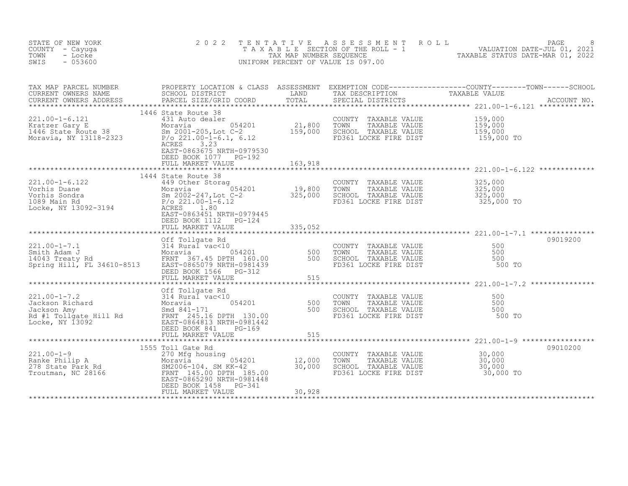| STATE OF NEW YORK<br>COUNTY - Cayuga<br>- Locke<br>TOWN<br>$-053600$<br>SWIS                                                                                                                                                                                                                                                                                                                                                                                                            | 2 0 2 2                                                                   |         |                                                                                                                                | TENTATIVE ASSESSMENT ROLL PAGE PAGE 8<br>TAXABLE SECTION OF THE ROLL - 1 VALUATION DATE-JUL 01, 2021<br>TAX MAP NUMBER SEQUENCE TAXABLE STATUS DATE-MAR 01, 2022<br>UNIFORM PERCENT OF VALUE IS 097.00                            |
|-----------------------------------------------------------------------------------------------------------------------------------------------------------------------------------------------------------------------------------------------------------------------------------------------------------------------------------------------------------------------------------------------------------------------------------------------------------------------------------------|---------------------------------------------------------------------------|---------|--------------------------------------------------------------------------------------------------------------------------------|-----------------------------------------------------------------------------------------------------------------------------------------------------------------------------------------------------------------------------------|
|                                                                                                                                                                                                                                                                                                                                                                                                                                                                                         |                                                                           |         |                                                                                                                                | TAX MAP PARCEL NUMBER BROPERTY LOCATION & CLASS ASSESSMENT EXEMPTION CODE-----------------COUNTY--------TOWN-----SCHOOL CURRENT OWNERS NAME SCHOOL DISTRICT LAND TAX DESCRIPTION TAXABLE VALUE<br>CURRENT OWNERS ADDRESS PARCEL S |
| 221.00-1-6.121 1440 state Koute 38<br>Kratzer Gary E 1440 State Route 38<br>Moravia, NY 13118-2323 P/o 221.00-1-6.1, 6.12 FD361 LO<br>Moravia, NY 13118-2323 P/o 221.00-1-6.1, 6.12 FD361 LO                                                                                                                                                                                                                                                                                            | 1446 State Route 38<br>EAST-0863675 NRTH-0979530<br>DEED BOOK 1077 PG-192 |         | COUNTY TAXABLE VALUE 159,000<br>TOWN TAXABLE VALUE 159,000<br>SCHOOL TAXABLE VALUE 159,000<br>FD361 LOCKE FIRE DIST 159,000 TO |                                                                                                                                                                                                                                   |
|                                                                                                                                                                                                                                                                                                                                                                                                                                                                                         | FULL MARKET VALUE                                                         | 163,918 |                                                                                                                                |                                                                                                                                                                                                                                   |
|                                                                                                                                                                                                                                                                                                                                                                                                                                                                                         | 1444 State Route 38                                                       |         |                                                                                                                                |                                                                                                                                                                                                                                   |
|                                                                                                                                                                                                                                                                                                                                                                                                                                                                                         | FULL MARKET VALUE 335,052                                                 |         |                                                                                                                                |                                                                                                                                                                                                                                   |
| $\begin{tabular}{lcccccc} \texttt{****}{\texttt{****}} & \texttt{****}{\texttt{****}} & \texttt{****}{\texttt{****}} & \texttt{****}{\texttt{****}} & \texttt{****}{\texttt{****}} & \texttt{****}{\texttt{****}} & \texttt{****}{\texttt{****}} & \texttt{****}{\texttt{****}} & \texttt{0} & \texttt{1} & \texttt{0} & \texttt{0} & \texttt{0} & \texttt{0} & \texttt{0} & \texttt{0} & \texttt{0} & \texttt{0} & \texttt{0} & \texttt{0} & \texttt{0} & \texttt{0} & \texttt{0} & \$ |                                                                           |         |                                                                                                                                | 09019200                                                                                                                                                                                                                          |
|                                                                                                                                                                                                                                                                                                                                                                                                                                                                                         |                                                                           |         |                                                                                                                                |                                                                                                                                                                                                                                   |
|                                                                                                                                                                                                                                                                                                                                                                                                                                                                                         |                                                                           |         |                                                                                                                                |                                                                                                                                                                                                                                   |
|                                                                                                                                                                                                                                                                                                                                                                                                                                                                                         |                                                                           |         |                                                                                                                                | 09010200                                                                                                                                                                                                                          |
| 221.00-1-9<br>Ranke Philip A 270 Moravia 12,000<br>278 State Park Rd M2006-104. SM KK-42 30,000<br>Troutman, NC 28166 FRNT 145.00 DPTH 185.00<br>EAST-0865290 NRTH-0981448<br>DEED BOOK 1458 PG-341                                                                                                                                                                                                                                                                                     | 1555 Toll Gate Rd                                                         |         |                                                                                                                                |                                                                                                                                                                                                                                   |
|                                                                                                                                                                                                                                                                                                                                                                                                                                                                                         | FULL MARKET VALUE                                                         | 30,928  |                                                                                                                                |                                                                                                                                                                                                                                   |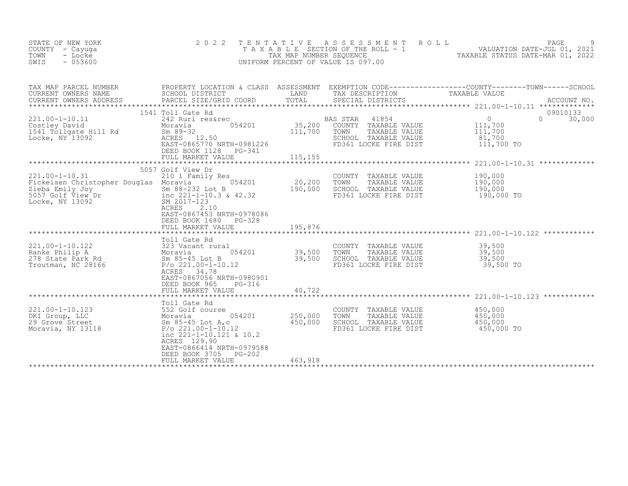| STATE OF NEW YORK<br>COUNTY - Cayuga<br>TOWN<br>- Locke<br>$-053600$<br>SWIS                                                                                                      | 2 0 2 2                                                                                                                                                                        | TENTATIVE<br>TAX MAP NUMBER SEQUENCE | ASSESSMENT ROLL<br>T A X A B L E SECTION OF THE ROLL - 1<br>UNIFORM PERCENT OF VALUE IS 097.00                      | PAGE<br>VALUATION DATE-JUL 01, 2021<br>TAXABLE STATUS DATE-MAR 01, 2022                                                         |
|-----------------------------------------------------------------------------------------------------------------------------------------------------------------------------------|--------------------------------------------------------------------------------------------------------------------------------------------------------------------------------|--------------------------------------|---------------------------------------------------------------------------------------------------------------------|---------------------------------------------------------------------------------------------------------------------------------|
| TAX MAP PARCEL NUMBER<br>CURRENT OWNERS NAME<br>CURRENT OWNERS ADDRESS                                                                                                            | SCHOOL DISTRICT<br>PARCEL SIZE/GRID COORD                                                                                                                                      | LAND<br>TOTAL                        | TAX DESCRIPTION<br>SPECIAL DISTRICTS                                                                                | PROPERTY LOCATION & CLASS ASSESSMENT EXEMPTION CODE----------------COUNTY-------TOWN-----SCHOOL<br>TAXABLE VALUE<br>ACCOUNT NO. |
| $221.00 - 1 - 10.11$<br>Costley David<br>1541 Tollgate Hill Rd<br>Locke, NY 13092                                                                                                 | 1541 Toll Gate Rd<br>242 Rurl res&rec<br>054201<br>Moravia<br>$Sm$ 89-32<br>ACRES 12.50<br>EAST-0865770 NRTH-0981226<br>DEED BOOK 1128 PG-341                                  | 35,200<br>111,700                    | BAS STAR<br>41854<br>COUNTY TAXABLE VALUE<br>TOWN<br>TAXABLE VALUE<br>SCHOOL TAXABLE VALUE<br>FD361 LOCKE FIRE DIST | 09010133<br>$\Omega$<br>$\Omega$<br>30,000<br>111,700<br>111,700<br>81,700<br>111,700 TO                                        |
|                                                                                                                                                                                   |                                                                                                                                                                                |                                      |                                                                                                                     | *********************** 221.00-1-10.31 *************                                                                            |
| $221.00 - 1 - 10.31$<br>Fickeisen Christopher Dungen.<br>Zieba Emily Joy<br>5057 Golf View Dr. 1999<br>1999<br>2017-123 & 42.32<br>5057 Golf View Dr. 1999<br>2017-123<br>507 010 | 5057 Golf View Dr<br>210 1 Family Res<br>054201<br>ACRES<br>2.10<br>EAST-0867453 NRTH-0978086<br>DEED BOOK 1680<br>PG-328<br>FULL MARKET VALUE                                 | 20,200<br>190,000<br>195,876         | COUNTY TAXABLE VALUE<br>TOWN<br>TAXABLE VALUE<br>SCHOOL TAXABLE VALUE<br>FD361 LOCKE FIRE DIST                      | 190,000<br>190,000<br>190,000<br>190,000 TO                                                                                     |
|                                                                                                                                                                                   |                                                                                                                                                                                |                                      |                                                                                                                     |                                                                                                                                 |
| $221.00 - 1 - 10.122$<br>roll Ga<br>323 Vac.<br>Moravia<br>Sm 85<br>Ranke Philip A<br>278 State Park Rd<br>Troutman, NC 28166                                                     | Toll Gate Rd<br>323 Vacant rural<br>054201<br>Sm 85-45 Lot B<br>$P/O$ 221.00-1-10.12<br>ACRES 34.78<br>EAST-0867056 NRTH-0980901                                               | 39,500<br>39,500                     | COUNTY TAXABLE VALUE<br>TOWN<br>TAXABLE VALUE<br>SCHOOL TAXABLE VALUE<br>FD361 LOCKE FIRE DIST                      | 39,500<br>39,500<br>39,500<br>39,500 TO                                                                                         |
|                                                                                                                                                                                   | DEED BOOK 965<br>PG-316<br>FULL MARKET VALUE                                                                                                                                   | 40,722                               |                                                                                                                     | *************************** 221.00-1-10.123 ************                                                                        |
| 221.00-1-10.123<br>DKI Group, LLC<br>29 Grove Street<br>Moravia, NY 13118                                                                                                         | Toll Gate Rd<br>552 Golf course<br>Moravia<br>054201<br>Sm 85-45 Lot A,c<br>$P/O$ 221.00-1-10.12<br>inc $221 - 1 - 10.121$ & 10.2<br>ACRES 129.90<br>EAST-0866414 NRTH-0979588 | 250,000<br>450,000                   | COUNTY<br>TAXABLE VALUE<br>TOWN<br>TAXABLE VALUE<br>SCHOOL TAXABLE VALUE<br>FD361 LOCKE FIRE DIST                   | 450,000<br>450,000<br>450,000<br>450,000 TO                                                                                     |
|                                                                                                                                                                                   | $PG-202$<br>DEED BOOK 3705<br>FULL MARKET VALUE                                                                                                                                | 463,918                              |                                                                                                                     |                                                                                                                                 |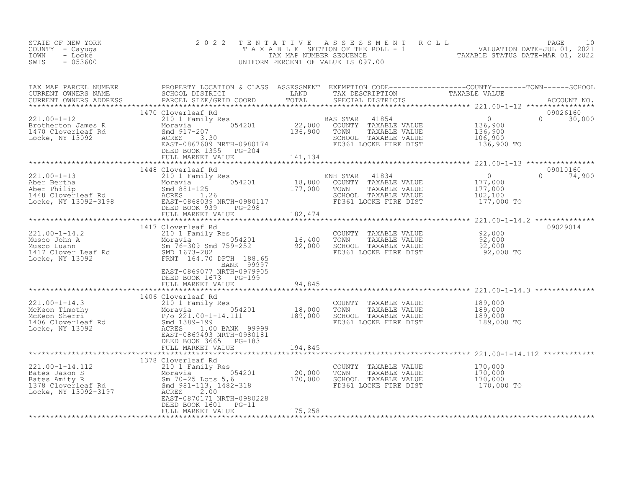| STATE OF NEW YORK<br>COUNTY - Cayuga<br>TOWN<br>- Locke<br>SWIS<br>$-053600$ | 2022                                                                                                                                                                                                                                                                                                                                                                                                                                                                                                                     |         |                                                                                                                                        | TENTATIVE ASSESSMENT ROLL PAGE 10<br>TAXABLE SECTION OF THE ROLL - 1 VALUATION DATE-JUL 01, 2021<br>TAX MAP NUMBER SEQUENCE TAXABLE STATUS DATE-MAR 01, 2022<br>UNIFORM PERCENT OF VALUE IS 097.00                                                                                                                                                                      |
|------------------------------------------------------------------------------|--------------------------------------------------------------------------------------------------------------------------------------------------------------------------------------------------------------------------------------------------------------------------------------------------------------------------------------------------------------------------------------------------------------------------------------------------------------------------------------------------------------------------|---------|----------------------------------------------------------------------------------------------------------------------------------------|-------------------------------------------------------------------------------------------------------------------------------------------------------------------------------------------------------------------------------------------------------------------------------------------------------------------------------------------------------------------------|
|                                                                              |                                                                                                                                                                                                                                                                                                                                                                                                                                                                                                                          |         |                                                                                                                                        |                                                                                                                                                                                                                                                                                                                                                                         |
|                                                                              | 1470 Cloverleaf Rd<br>FULL MARKET VALUE 141, 134                                                                                                                                                                                                                                                                                                                                                                                                                                                                         |         |                                                                                                                                        | 09026160<br>$0 \t 30,000$                                                                                                                                                                                                                                                                                                                                               |
|                                                                              |                                                                                                                                                                                                                                                                                                                                                                                                                                                                                                                          |         |                                                                                                                                        |                                                                                                                                                                                                                                                                                                                                                                         |
|                                                                              | 1448 Cloverleaf Rd                                                                                                                                                                                                                                                                                                                                                                                                                                                                                                       |         |                                                                                                                                        | 09010160<br>$\begin{array}{cccccccc} 221.00-1-13 & 1448 \, \, & 210 \, \, \mathrm{1\,cm} & 1448 \, \, & 210 \, \, \mathrm{1\,cm} & 210 \, \, \mathrm{1\,cm} & 210 \, \, \mathrm{1\,cm} & 210 \, \, \mathrm{1\,cm} & 210 \, \, \mathrm{1\,cm} & 210 \, \, \mathrm{1\,cm} & 210 \, \, \mathrm{1\,cm} & 210 \, \, \mathrm{1\,cm} & 210 \, \, \mathrm{1\,cm} & 210 \, \, \$ |
|                                                                              |                                                                                                                                                                                                                                                                                                                                                                                                                                                                                                                          |         |                                                                                                                                        |                                                                                                                                                                                                                                                                                                                                                                         |
|                                                                              | 1417 Cloverleaf Rd<br>$\begin{array}{cccccccc} 221.00-1-14.2 & & & & & 141 & \text{Lloverleat RA} & & & & & & \text{COUNTY TAXABLE VALUE} & & & & & 92,000 \\ \text{Musco John A} & & & & & & & & 054201 & & & 16,400 & \text{TOWN} & \text{TAXABLE VALUE} & & & & 92,000 \\ \text{Musco Luann} & & & & & & & 054201 & & & 16,400 & \text{TOWN} & \text{TAXABLE VALUE} & & & 92,000 \\ \text{Musco Luann} & & & & & & 054201 &$<br>BANK 99997<br>EAST-0869077 NRTH-0979905<br>DEED BOOK 1673 PG-199<br>FULL MARKET VALUE | 94,845  |                                                                                                                                        | 09029014                                                                                                                                                                                                                                                                                                                                                                |
|                                                                              |                                                                                                                                                                                                                                                                                                                                                                                                                                                                                                                          |         |                                                                                                                                        |                                                                                                                                                                                                                                                                                                                                                                         |
|                                                                              | DEED BOOK 3665 PG-183<br>FULL MARKET VALUE                                                                                                                                                                                                                                                                                                                                                                                                                                                                               | 194,845 | COUNTY TAXABLE VALUE 189,000<br>TOWN TAXABLE VALUE 189,000<br>SCHOOL TAXABLE VALUE 189,000<br>FD361 LOCKE FIRE DIST 189,000 TO         |                                                                                                                                                                                                                                                                                                                                                                         |
|                                                                              |                                                                                                                                                                                                                                                                                                                                                                                                                                                                                                                          |         |                                                                                                                                        |                                                                                                                                                                                                                                                                                                                                                                         |
|                                                                              | DEED BOOK 1601 PG-11<br>FULL MARKET VALUE                                                                                                                                                                                                                                                                                                                                                                                                                                                                                | 175,258 | COUNTY TAXABLE VALUE $170,000$<br>TOWN TAXABLE VALUE $170,000$<br>SCHOOL TAXABLE VALUE $170,000$<br>FD361 LOCKE FIRE DIST $170,000$ TO |                                                                                                                                                                                                                                                                                                                                                                         |
|                                                                              |                                                                                                                                                                                                                                                                                                                                                                                                                                                                                                                          |         |                                                                                                                                        |                                                                                                                                                                                                                                                                                                                                                                         |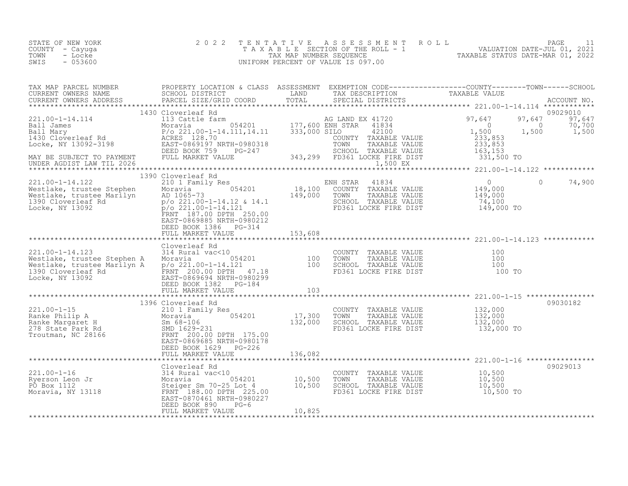| STATE OF NEW YORK | 2022 TENTATIVE ASSESSMENT ROLL     |                                  | PAGE                        |  |
|-------------------|------------------------------------|----------------------------------|-----------------------------|--|
| COUNTY – Cayuga   | TAXABLE SECTION OF THE ROLL - 1    |                                  | VALUATION DATE-JUL 01, 2021 |  |
| TOWN<br>- Locke   | TAX MAP NUMBER SEOUENCE            | TAXABLE STATUS DATE-MAR 01, 2022 |                             |  |
| - 053600<br>SWIS  | UNIFORM PERCENT OF VALUE IS 097.00 |                                  |                             |  |

| TAX MAP PARCEL NUMBER                                                                                                                                                                                                                                 | PROPERTY LOCATION & CLASS ASSESSMENT EXEMPTION CODE----------------COUNTY-------TOWN-----SCHOOL |         |                                                          |                                                                           |          |               |
|-------------------------------------------------------------------------------------------------------------------------------------------------------------------------------------------------------------------------------------------------------|-------------------------------------------------------------------------------------------------|---------|----------------------------------------------------------|---------------------------------------------------------------------------|----------|---------------|
|                                                                                                                                                                                                                                                       |                                                                                                 |         |                                                          |                                                                           |          |               |
| CURRENT OWNERS ADDRESS                                                                                                                                                                                                                                |                                                                                                 |         |                                                          |                                                                           |          |               |
|                                                                                                                                                                                                                                                       |                                                                                                 |         |                                                          |                                                                           |          |               |
|                                                                                                                                                                                                                                                       | 1430 Cloverleaf Rd                                                                              |         |                                                          |                                                                           |          | 09029010      |
|                                                                                                                                                                                                                                                       |                                                                                                 |         |                                                          |                                                                           |          | 97,647 97,647 |
|                                                                                                                                                                                                                                                       |                                                                                                 |         |                                                          | $\begin{array}{cccc} 0 & 0 & 70,700 \\ 1,500 & 1,500 & 1,500 \end{array}$ |          |               |
|                                                                                                                                                                                                                                                       |                                                                                                 |         |                                                          |                                                                           |          |               |
|                                                                                                                                                                                                                                                       |                                                                                                 |         |                                                          |                                                                           |          |               |
|                                                                                                                                                                                                                                                       |                                                                                                 |         |                                                          |                                                                           |          |               |
|                                                                                                                                                                                                                                                       |                                                                                                 |         |                                                          |                                                                           |          |               |
|                                                                                                                                                                                                                                                       |                                                                                                 |         |                                                          |                                                                           |          |               |
|                                                                                                                                                                                                                                                       |                                                                                                 |         |                                                          |                                                                           |          |               |
|                                                                                                                                                                                                                                                       | 1390 Cloverleaf Rd                                                                              |         |                                                          |                                                                           |          |               |
| 221.00-1-14.122<br>Westlake, trustee Stephen<br>Moravia 054201 18,100 COUNTY TAXABLE VALUE 149,000<br>Mestlake, trustee Marilyn AD 1065-73<br>1390 Cloverleaf Rd p/o 221.00-1-14.12 & 14.1<br>Locke, NY 13092<br>Pro 221.00-1-14.12 & 14.1            |                                                                                                 |         |                                                          |                                                                           | $\Omega$ | 74,900        |
|                                                                                                                                                                                                                                                       |                                                                                                 |         |                                                          |                                                                           |          |               |
|                                                                                                                                                                                                                                                       |                                                                                                 |         |                                                          |                                                                           |          |               |
|                                                                                                                                                                                                                                                       |                                                                                                 |         |                                                          |                                                                           |          |               |
|                                                                                                                                                                                                                                                       |                                                                                                 |         |                                                          |                                                                           |          |               |
|                                                                                                                                                                                                                                                       | FRNT 187.00 DPTH 250.00                                                                         |         |                                                          |                                                                           |          |               |
|                                                                                                                                                                                                                                                       | EAST-0869885 NRTH-0980212                                                                       |         |                                                          |                                                                           |          |               |
|                                                                                                                                                                                                                                                       | DEED BOOK 1386 PG-314                                                                           |         |                                                          |                                                                           |          |               |
|                                                                                                                                                                                                                                                       |                                                                                                 |         |                                                          |                                                                           |          |               |
|                                                                                                                                                                                                                                                       |                                                                                                 |         |                                                          |                                                                           |          |               |
|                                                                                                                                                                                                                                                       |                                                                                                 |         |                                                          |                                                                           |          |               |
|                                                                                                                                                                                                                                                       |                                                                                                 |         |                                                          |                                                                           |          |               |
|                                                                                                                                                                                                                                                       |                                                                                                 |         |                                                          |                                                                           |          |               |
|                                                                                                                                                                                                                                                       |                                                                                                 |         |                                                          |                                                                           |          |               |
|                                                                                                                                                                                                                                                       |                                                                                                 |         |                                                          |                                                                           |          |               |
|                                                                                                                                                                                                                                                       |                                                                                                 |         |                                                          |                                                                           |          |               |
|                                                                                                                                                                                                                                                       | FULL MARKET VALUE                                                                               | 103     |                                                          |                                                                           |          |               |
|                                                                                                                                                                                                                                                       |                                                                                                 |         |                                                          |                                                                           |          |               |
|                                                                                                                                                                                                                                                       | 1396 Cloverleaf Rd                                                                              |         |                                                          |                                                                           |          | 09030182      |
|                                                                                                                                                                                                                                                       |                                                                                                 |         | COUNTY TAXABLE VALUE                                     | 132,000                                                                   |          |               |
|                                                                                                                                                                                                                                                       |                                                                                                 |         | TOWN                                                     | TAXABLE VALUE 132,000<br>TAXABLE VALUE 132,000                            |          |               |
|                                                                                                                                                                                                                                                       |                                                                                                 |         | SCHOOL TAXABLE VALUE                                     | 132,000                                                                   |          |               |
| 221.00-1-15<br>Ranke Philip A<br>Ranke Margaret H<br>278 State Park Rd<br>278 State Park Rd<br>278 State Park Rd<br>278 State Park Rd<br>278 State Park Rd<br>279 State Park Rd<br>279 State Park Rd<br>279 State Park Rd<br>279 State Park Rd<br>279 |                                                                                                 |         | FD361 LOCKE FIRE DIST 132,000 TO                         |                                                                           |          |               |
|                                                                                                                                                                                                                                                       |                                                                                                 |         |                                                          |                                                                           |          |               |
|                                                                                                                                                                                                                                                       |                                                                                                 |         |                                                          |                                                                           |          |               |
|                                                                                                                                                                                                                                                       |                                                                                                 |         |                                                          |                                                                           |          |               |
|                                                                                                                                                                                                                                                       | FULL MARKET VALUE                                                                               | 136,082 |                                                          |                                                                           |          |               |
|                                                                                                                                                                                                                                                       |                                                                                                 |         |                                                          |                                                                           |          |               |
|                                                                                                                                                                                                                                                       | Cloverleaf Rd                                                                                   |         |                                                          |                                                                           |          | 09029013      |
|                                                                                                                                                                                                                                                       |                                                                                                 |         | COUNTY TAXABLE VALUE 10,500<br>TOWN TAXABLE VALUE 10,500 |                                                                           |          |               |
|                                                                                                                                                                                                                                                       |                                                                                                 |         |                                                          |                                                                           |          |               |
|                                                                                                                                                                                                                                                       |                                                                                                 |         | SCHOOL TAXABLE VALUE<br>FD361 LOCKE FIRE DIST 10,500 TO  | 10,500                                                                    |          |               |
| 221.00-1-16<br>Ryerson Leon Jr 3118<br>The Moravia Correct Moravia Control 10,500<br>PO Box 1112<br>Moravia, NY 13118<br>Moravia, NY 13118<br>CORPERST-0870461 NRTH-0980227                                                                           |                                                                                                 |         |                                                          |                                                                           |          |               |
|                                                                                                                                                                                                                                                       | DEED BOOK 890<br>$PG-6$                                                                         |         |                                                          |                                                                           |          |               |
|                                                                                                                                                                                                                                                       | FULL MARKET VALUE                                                                               | 10,825  |                                                          |                                                                           |          |               |
|                                                                                                                                                                                                                                                       |                                                                                                 |         |                                                          |                                                                           |          |               |
|                                                                                                                                                                                                                                                       |                                                                                                 |         |                                                          |                                                                           |          |               |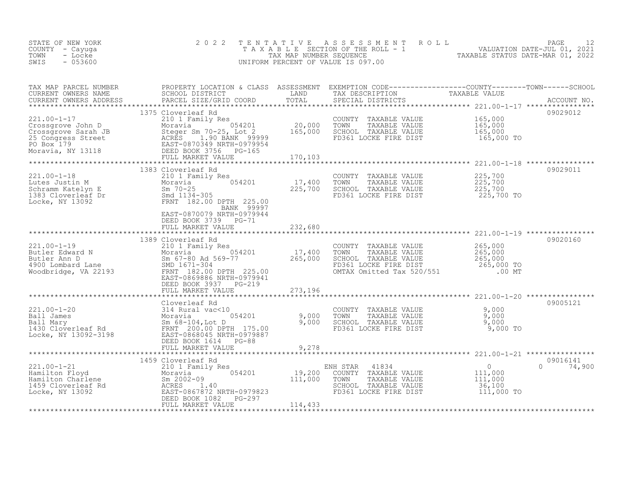| STATE OF NEW YORK<br>COUNTY - Cayuga<br>TOWN<br>- Locke<br>SWIS<br>$-053600$                                                                                                                                                                                                                                                                                                                          | 2 0 2 2                                   |         | TENTATIVE ASSESSMENT ROLL PAGE 12<br>TAXABLE SECTION OF THE ROLL - 1 VALUATION DATE-JUL 01, 2021<br>TAX MAP NUMBER SEQUENCE TAXABLE STATUS DATE-MAR 01, 2022<br>UNIFORM PERCENT OF VALUE IS 097.00 |               |
|-------------------------------------------------------------------------------------------------------------------------------------------------------------------------------------------------------------------------------------------------------------------------------------------------------------------------------------------------------------------------------------------------------|-------------------------------------------|---------|----------------------------------------------------------------------------------------------------------------------------------------------------------------------------------------------------|---------------|
|                                                                                                                                                                                                                                                                                                                                                                                                       |                                           |         |                                                                                                                                                                                                    |               |
|                                                                                                                                                                                                                                                                                                                                                                                                       |                                           |         |                                                                                                                                                                                                    |               |
|                                                                                                                                                                                                                                                                                                                                                                                                       | 1383 Cloverleaf Rd                        |         |                                                                                                                                                                                                    | 09029011      |
|                                                                                                                                                                                                                                                                                                                                                                                                       |                                           |         |                                                                                                                                                                                                    |               |
|                                                                                                                                                                                                                                                                                                                                                                                                       | DEED BOOK 3739 PG-71<br>FULL MARKET VALUE | 232,680 |                                                                                                                                                                                                    |               |
|                                                                                                                                                                                                                                                                                                                                                                                                       | 1389 Cloverleaf Rd                        |         |                                                                                                                                                                                                    | 09020160      |
| 1389 Cloverleaf Rd<br>201.00-1-19<br>Butler Edward N<br>Butler Ann D<br>4900 Lombard Lane<br>4900 Lombard Lane<br>67-80 Ad 569-77<br>265,000 BCHOOL TAXABLE VALUE<br>265,000 TO SCHOOL TAXABLE VALUE<br>265,000 TO 265,000 ENSILOCKE FIRE DIST<br>                                                                                                                                                    |                                           |         |                                                                                                                                                                                                    |               |
|                                                                                                                                                                                                                                                                                                                                                                                                       | FULL MARKET VALUE 273,196                 |         |                                                                                                                                                                                                    |               |
| $\begin{tabular}{lllllllllllll} \multicolumn{3}{c c c c c c} \multicolumn{3}{c c c c} \multicolumn{3}{c c c c} \multicolumn{3}{c c c} \multicolumn{3}{c c c} \multicolumn{3}{c c c} \multicolumn{3}{c c c} \multicolumn{3}{c c c} \multicolumn{3}{c c c} \multicolumn{3}{c c c} \multicolumn{3}{c c c} \multicolumn{3}{c c c} \multicolumn{3}{c c c} \multicolumn{3}{c c c} \multicolumn{3}{c c c} \$ |                                           |         |                                                                                                                                                                                                    | 09005121      |
|                                                                                                                                                                                                                                                                                                                                                                                                       |                                           |         |                                                                                                                                                                                                    |               |
| $\begin{tabular}{lllllllllllllllllllllll} \multicolumn{3}{c }{\begin{tabular}{c} \multicolumn{3}{c}{0.0cm} \multicolumn{3}{c}{\begin{tabular}{c} \multicolumn{3}{c}{\begin{tabular}{c} $1459$ Cloverleaf Rd$ & $1459$ Cloverleaf Rd$ & $1459$ & $100$ & $1459$ & Cloverleaf Rd$ & $1459$ & $100$ & $1459$ & $100$ & $1459$ & $100$ & $1459$ & $100$ & $1459$ & $100$ & $1459$ & $100$ & $1459$ &$     |                                           |         |                                                                                                                                                                                                    | $0 \t 74,900$ |
|                                                                                                                                                                                                                                                                                                                                                                                                       |                                           |         |                                                                                                                                                                                                    |               |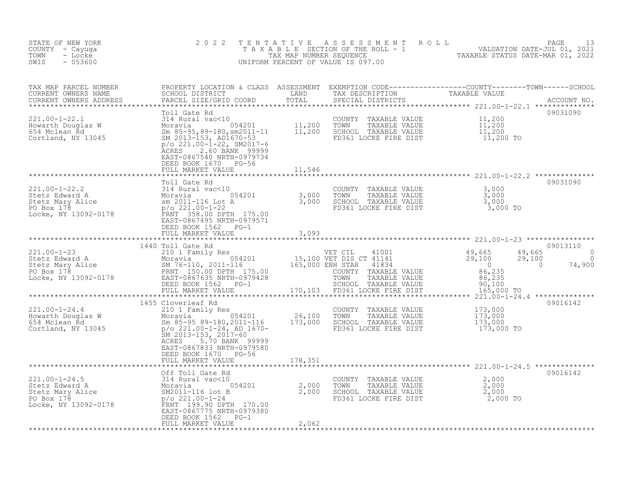| 09031090<br>Toll Gate Rd<br>$p$ /o 221.00-1-22, SM2017-6<br>2.60 BANK 99999<br>ACRES<br>EAST-0867540 NRTH-0979734<br>DEED BOOK 1670 PG-56<br>FULL MARKET VALUE<br>11,546<br>**********<br>******************<br>Toll Gate Rd<br>09031090                                                                                                                                                                                                                                                                                                                | STATE OF NEW YORK<br>COUNTY - Cayuga<br>TOWN<br>- Locke<br>$-053600$<br>SWIS | 2 0 2 2 |  | TENTATIVE ASSESSMENT ROLL PACE 13<br>TAXABLE SECTION OF THE ROLL - 1 VALUATION DATE-JUL 01, 2021<br>TAX MAP NUMBER SEQUENCE TAXABLE STATUS DATE-MAR 01, 2022<br>UNIFORM PERCENT OF VALUE IS 097.00 |  |
|---------------------------------------------------------------------------------------------------------------------------------------------------------------------------------------------------------------------------------------------------------------------------------------------------------------------------------------------------------------------------------------------------------------------------------------------------------------------------------------------------------------------------------------------------------|------------------------------------------------------------------------------|---------|--|----------------------------------------------------------------------------------------------------------------------------------------------------------------------------------------------------|--|
|                                                                                                                                                                                                                                                                                                                                                                                                                                                                                                                                                         |                                                                              |         |  |                                                                                                                                                                                                    |  |
|                                                                                                                                                                                                                                                                                                                                                                                                                                                                                                                                                         |                                                                              |         |  |                                                                                                                                                                                                    |  |
|                                                                                                                                                                                                                                                                                                                                                                                                                                                                                                                                                         |                                                                              |         |  |                                                                                                                                                                                                    |  |
| 221.00-1-22.2<br>221.00-1-22.2<br>Stetz Edward A<br>Stetz Mary Alice Moravia 2011-116 Lot A<br>PO Box 178<br>Locke, NY 13092-0178<br>$\begin{array}{r} 13092-0178 \\ \text{for } 2011-0.22 \\ \text{or } 221.00-1-22 \\ \text{or } 258.00 \text{ DPTH} \\ 175.00 \\ \text{EAST}-0867495 \text{ NRTH$<br>COUNTY TAXABLE VALUE $\begin{array}{ccc} 3,000\ \text{TOWN} & \text{TAXABLE VALUE} & 3,000\ \text{SCHOL} & \text{TAXABLE VALUE} & 3,000\ \text{FD361 LOCRE FIRE DIST} & 3,000\ \end{array}$<br>EAST-0867495 NRTH-0979571<br>DEED BOOK 1562 PG-1 |                                                                              |         |  |                                                                                                                                                                                                    |  |
| FULL MARKET VALUE<br>3,093<br>************                                                                                                                                                                                                                                                                                                                                                                                                                                                                                                              |                                                                              |         |  |                                                                                                                                                                                                    |  |
| 09013110<br>1440 Toll Gate Rd                                                                                                                                                                                                                                                                                                                                                                                                                                                                                                                           |                                                                              |         |  |                                                                                                                                                                                                    |  |
| $\begin{array}{cccc} & & & & & 1440\, \text{Toll Gate Rd} & & & & & & & 1440\, \text{Toll Gate Rd} & & & & & & & & 1440\, \text{2101 } \text{Fami1y Res} & & & & & & & & & 15,100\, \text{WET CIL} & 41001 & & & & & & 49,665 & 49,665 & 49,665 & 49,665 & 49,665 & 49,665 & 49,665 & 49,665 & 49,665 & 49,665 & 49,665 & 49,665 & 49,$<br>$\begin{array}{cc} 49,665 & 0 \\ 29,100 & 0 \\ 0 & 74,900 \end{array}$                                                                                                                                       |                                                                              |         |  |                                                                                                                                                                                                    |  |
| *********************************<br>09016142<br>1455 Cloverleaf Rd                                                                                                                                                                                                                                                                                                                                                                                                                                                                                     |                                                                              |         |  |                                                                                                                                                                                                    |  |
| COUNTY TAXABLE VALUE 173,000<br>TOWN TAXABLE VALUE 173,000<br>SCHOOL TAXABLE VALUE 173,000<br>FD361 LOCKE FIRE DIST 173,000 TO<br>SM 2013-153, 2017-60<br>ACRES 5.70 BANK 99999<br>EAST-0867833 NRTH-0979580<br>DEED BOOK 1670 PG-56<br>FULL MARKET VALUE<br>178,351                                                                                                                                                                                                                                                                                    |                                                                              |         |  |                                                                                                                                                                                                    |  |
|                                                                                                                                                                                                                                                                                                                                                                                                                                                                                                                                                         |                                                                              |         |  |                                                                                                                                                                                                    |  |
| 221.00-1-24.5<br>221.00-1-24.5<br>221.00-1-24.5<br>2.000<br>2.000<br>2.000<br>2.000<br>2.000<br>2.000<br>2.000<br>2.000<br>2.000<br>2.000<br>2.000<br>2.000<br>2.000<br>2.000<br>2.000<br>2.000<br>2.000<br>2.000<br>2.000<br>2.000<br>2.000<br>2.000<br>2.000<br>2.000<br>2.000<br>2.<br>09016142<br>$2,000$<br>$2,000$<br>$2,000$<br>$2,000$ TO<br>COUNTY TAXABLE VALUE<br>TOWN<br>TAXABLE VALUE<br>SCHOOL TAXABLE VALUE<br>FD361 LOCKE FIRE DIST<br>EAST-0867775 NRTH-0979380<br>DEED BOOK 1562 PG-1                                                 |                                                                              |         |  |                                                                                                                                                                                                    |  |
| FULL MARKET VALUE<br>2,062                                                                                                                                                                                                                                                                                                                                                                                                                                                                                                                              |                                                                              |         |  |                                                                                                                                                                                                    |  |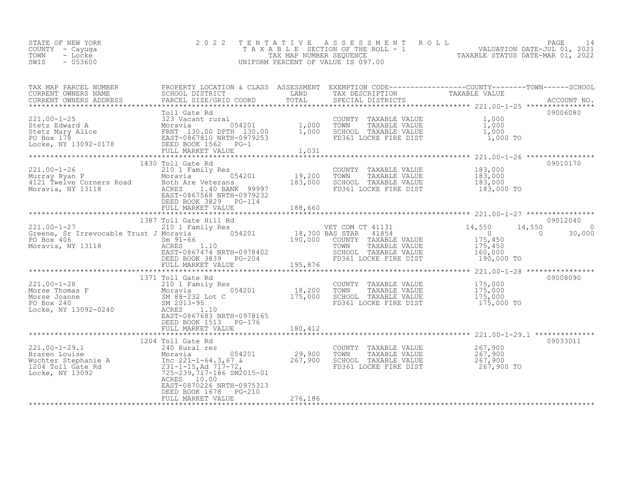| STATE OF NEW YORK<br>COUNTY – Cayuqa | 2022 TENTATIVE ASSESSMENT ROLL<br>T A X A B L E SECTION OF THE ROLL - 1 |                                  | PAGE<br>VALUATION DATE-JUL 01, 2021 |  |
|--------------------------------------|-------------------------------------------------------------------------|----------------------------------|-------------------------------------|--|
| TOWN<br>- Locke                      | TAX MAP NUMBER SEOUENCE                                                 | TAXABLE STATUS DATE-MAR 01, 2022 |                                     |  |
| $-053600$<br>SWIS                    | UNIFORM PERCENT OF VALUE IS 097.00                                      |                                  |                                     |  |

| TAX MAP PARCEL NUMBER<br>TAX MAP PARCER NUMBER<br>CURRENT OWNERS NAME SCHOOL DISTRICT COORD TOTAL TRANSFERS TRANSFERS ADDRESS FACCOUNT NO.<br>CURRENT OWNERS ADDRESS PARCEL SIZE/GRID COORD TOTAL SPECIAL DISTRICTS ACCOUNT NO.<br>***************************** | PROPERTY LOCATION & CLASS ASSESSMENT EXEMPTION CODE-----------------COUNTY-------TOWN------SCHOOL |       |                                                                                                                                        |          |
|------------------------------------------------------------------------------------------------------------------------------------------------------------------------------------------------------------------------------------------------------------------|---------------------------------------------------------------------------------------------------|-------|----------------------------------------------------------------------------------------------------------------------------------------|----------|
|                                                                                                                                                                                                                                                                  |                                                                                                   |       |                                                                                                                                        |          |
|                                                                                                                                                                                                                                                                  |                                                                                                   |       |                                                                                                                                        |          |
| 221.00-1-25<br>221.00-1-25<br>221.00-1-25<br>221.00-1-25<br>323 Vacant rural<br>221.00-1-25<br>23 Vacant rural<br>221.00-1-25<br>23 Vacant rural<br>221.00-1-25<br>23 Vacant rural<br>221.00-1-25<br>23 Vacant rural<br>221.00-1-25<br>221.00-1-25<br>221.00     |                                                                                                   |       |                                                                                                                                        | 09006080 |
|                                                                                                                                                                                                                                                                  |                                                                                                   |       |                                                                                                                                        |          |
|                                                                                                                                                                                                                                                                  |                                                                                                   |       |                                                                                                                                        |          |
|                                                                                                                                                                                                                                                                  | FULL MARKET VALUE                                                                                 | 1,031 |                                                                                                                                        |          |
|                                                                                                                                                                                                                                                                  |                                                                                                   |       |                                                                                                                                        |          |
|                                                                                                                                                                                                                                                                  | 1430 Toll Gate Rd                                                                                 |       |                                                                                                                                        | 09010170 |
|                                                                                                                                                                                                                                                                  |                                                                                                   |       | COUNTY TAXABLE VALUE $183,000$<br>TOWN TAXABLE VALUE $183,000$<br>SCHOOL TAXABLE VALUE $183,000$<br>FD361 LOCKE FIRE DIST $183,000$ TO |          |
|                                                                                                                                                                                                                                                                  |                                                                                                   |       |                                                                                                                                        |          |
|                                                                                                                                                                                                                                                                  |                                                                                                   |       |                                                                                                                                        |          |
| 1430 Toll Gate Rd<br>211.00-1-26<br>Murray Ryan P<br>4121 Twelve Corners Road<br>Moravia, NY 13118<br>Moravia, NY 13118<br>2000 Moravia, NY 13118<br>2000 Moravia, NY 13118<br>2000 Moravia, NY 13118<br>2000 Moravia, NY 13118<br>2000 Moravia, N               |                                                                                                   |       |                                                                                                                                        |          |
|                                                                                                                                                                                                                                                                  |                                                                                                   |       |                                                                                                                                        |          |
|                                                                                                                                                                                                                                                                  |                                                                                                   |       |                                                                                                                                        |          |
|                                                                                                                                                                                                                                                                  |                                                                                                   |       |                                                                                                                                        |          |
|                                                                                                                                                                                                                                                                  |                                                                                                   |       |                                                                                                                                        |          |
|                                                                                                                                                                                                                                                                  |                                                                                                   |       |                                                                                                                                        |          |
|                                                                                                                                                                                                                                                                  |                                                                                                   |       |                                                                                                                                        |          |
|                                                                                                                                                                                                                                                                  |                                                                                                   |       |                                                                                                                                        |          |
|                                                                                                                                                                                                                                                                  |                                                                                                   |       |                                                                                                                                        |          |
|                                                                                                                                                                                                                                                                  |                                                                                                   |       |                                                                                                                                        |          |
|                                                                                                                                                                                                                                                                  |                                                                                                   |       |                                                                                                                                        |          |
|                                                                                                                                                                                                                                                                  |                                                                                                   |       |                                                                                                                                        | 09008090 |
|                                                                                                                                                                                                                                                                  | 1371 Toll Gate Rd                                                                                 |       |                                                                                                                                        |          |
|                                                                                                                                                                                                                                                                  |                                                                                                   |       |                                                                                                                                        |          |
|                                                                                                                                                                                                                                                                  |                                                                                                   |       |                                                                                                                                        |          |
|                                                                                                                                                                                                                                                                  |                                                                                                   |       |                                                                                                                                        |          |
|                                                                                                                                                                                                                                                                  |                                                                                                   |       |                                                                                                                                        |          |
|                                                                                                                                                                                                                                                                  | EAST-0867683 NRTH-0978165                                                                         |       |                                                                                                                                        |          |
|                                                                                                                                                                                                                                                                  |                                                                                                   |       |                                                                                                                                        |          |
|                                                                                                                                                                                                                                                                  |                                                                                                   |       |                                                                                                                                        |          |
|                                                                                                                                                                                                                                                                  |                                                                                                   |       |                                                                                                                                        | 09033011 |
|                                                                                                                                                                                                                                                                  |                                                                                                   |       |                                                                                                                                        |          |
|                                                                                                                                                                                                                                                                  |                                                                                                   |       |                                                                                                                                        |          |
|                                                                                                                                                                                                                                                                  |                                                                                                   |       |                                                                                                                                        |          |
|                                                                                                                                                                                                                                                                  |                                                                                                   |       |                                                                                                                                        |          |
|                                                                                                                                                                                                                                                                  |                                                                                                   |       |                                                                                                                                        |          |
|                                                                                                                                                                                                                                                                  |                                                                                                   |       |                                                                                                                                        |          |
|                                                                                                                                                                                                                                                                  | EAST-0870226 NRTH-0975313                                                                         |       |                                                                                                                                        |          |
|                                                                                                                                                                                                                                                                  | DEED BOOK 1678 PG-210                                                                             |       |                                                                                                                                        |          |
|                                                                                                                                                                                                                                                                  |                                                                                                   |       |                                                                                                                                        |          |
|                                                                                                                                                                                                                                                                  |                                                                                                   |       |                                                                                                                                        |          |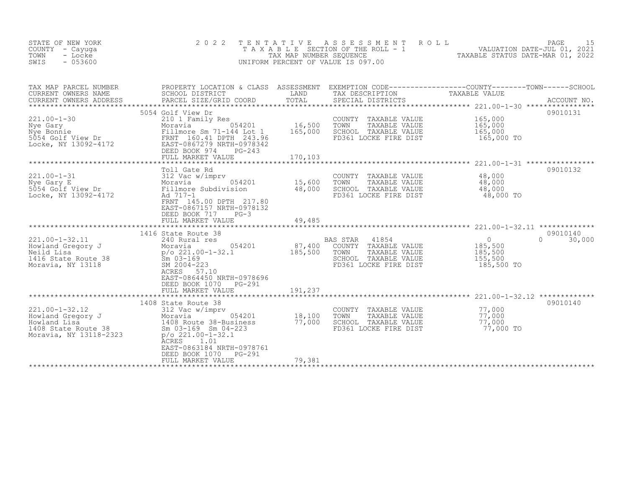| STATE OF NEW YORK<br>COUNTY - Cayuga<br>TOWN<br>- Locke<br>$-053600$<br>SWIS                               | 2 0 2 2<br>TAXABLE                                                                                                                                                                               | TENTATIVE<br>TAX MAP NUMBER SEQUENCE | A S S E S S M E N T<br>ROLL<br>SECTION OF THE ROLL - 1<br>UNIFORM PERCENT OF VALUE IS 097.00                                            | را<br>2021, VALUATION DATE-JUL 01, 2021<br>2021 TAXABLE STATUS DATE-MAR 01 | PAGE<br>15         |
|------------------------------------------------------------------------------------------------------------|--------------------------------------------------------------------------------------------------------------------------------------------------------------------------------------------------|--------------------------------------|-----------------------------------------------------------------------------------------------------------------------------------------|----------------------------------------------------------------------------|--------------------|
| TAX MAP PARCEL NUMBER<br>CURRENT OWNERS NAME<br>CURRENT OWNERS ADDRESS                                     | SCHOOL DISTRICT<br>PARCEL SIZE/GRID COORD                                                                                                                                                        | LAND<br>TOTAL                        | PROPERTY LOCATION & CLASS ASSESSMENT EXEMPTION CODE----------------COUNTY-------TOWN-----SCHOOL<br>TAX DESCRIPTION<br>SPECIAL DISTRICTS | TAXABLE VALUE                                                              | ACCOUNT NO.        |
| $221.00 - 1 - 30$<br>Nye Gary<br>Nye Bonnie<br>5054 Golf View Dr<br>Locke, NY 13092-4172                   | 5054 Golf View Dr<br>210 1 Family Res<br>054201<br>Moravia<br>Fillmore Sm 71-144 Lot 1<br>FRNT 160.41 DPTH 243.96<br>EAST-0867279 NRTH-0978342<br>DEED BOOK 974<br>$PG-243$<br>FULL MARKET VALUE | 16,500<br>165,000<br>170,103         | COUNTY TAXABLE VALUE<br>TOWN<br>TAXABLE VALUE<br>SCHOOL TAXABLE VALUE<br>FD361 LOCKE FIRE DIST                                          | 165,000<br>165,000<br>165,000<br>165,000 TO                                | 09010131           |
|                                                                                                            |                                                                                                                                                                                                  | ***************                      |                                                                                                                                         | *********************** 221.00-1-31 ****************                       |                    |
| $221.00 - 1 - 31$<br>Nye Gary E<br>5054 Golf View Dr<br>Locke, NY 13092-4172                               | Toll Gate Rd<br>312 vac<br>Moravia<br>Fillmore Subdivision<br>Annu 217.8<br>054201<br>FRNT 145.00 DPTH 217.80<br>EAST-0867157 NRTH-0978132<br>DEED BOOK 717<br>$PG-3$                            | 15,600<br>48,000                     | COUNTY TAXABLE VALUE<br>TOWN<br>TAXABLE VALUE<br>SCHOOL TAXABLE VALUE<br>FD361 LOCKE FIRE DIST                                          | 48,000<br>48,000<br>48,000<br>48,000 TO                                    | 09010132           |
|                                                                                                            |                                                                                                                                                                                                  |                                      |                                                                                                                                         |                                                                            |                    |
|                                                                                                            |                                                                                                                                                                                                  |                                      |                                                                                                                                         |                                                                            |                    |
| $221.00 - 1 - 32.11$<br>Howland Gregory J<br>Neild Lisa<br>1416 State Route 38<br>Moravia, NY 13118        | 1416 State Route 38<br>240 Rural res<br>054201<br>Moravia<br>p/o 221.00-1-32.1<br>$Sm$ 03-169<br>SM 2004-223<br>ACRES<br>57.10<br>EAST-0864450 NRTH-0978696                                      | 87,400<br>185,500                    | <b>BAS STAR</b><br>41854<br>COUNTY TAXABLE VALUE<br>TOWN<br>TAXABLE VALUE<br>SCHOOL TAXABLE VALUE<br>FD361 LOCKE FIRE DIST              | $\overline{0}$<br>$\Omega$<br>185,500<br>185,500<br>155,500<br>185,500 TO  | 09010140<br>30,000 |
|                                                                                                            | DEED BOOK 1070<br>PG-291                                                                                                                                                                         |                                      |                                                                                                                                         |                                                                            |                    |
|                                                                                                            | FULL MARKET VALUE<br>*************************                                                                                                                                                   | 191,237                              |                                                                                                                                         | **************************** 221.00-1-32.12 *************                  |                    |
| $221.00 - 1 - 32.12$<br>Howland Gregory J<br>Howland Lisa<br>1408 State Route 38<br>Moravia, NY 13118-2323 | 1408 State Route 38<br>312 Vac w/imprv<br>054201<br>Moravia<br>1408 Route 38-Business<br>Sm 03-169 Sm 04-223<br>$p$ /o 221.00-1-32.1<br><b>ACRES</b><br>1.01<br>EAST-0863184 NRTH-0978761        | 18,100<br>77,000                     | COUNTY<br>TAXABLE VALUE<br>TOWN<br>TAXABLE VALUE<br>SCHOOL TAXABLE VALUE<br>FD361 LOCKE FIRE DIST                                       | 77,000<br>77,000<br>77,000<br>77,000 TO                                    | 09010140           |
|                                                                                                            | DEED BOOK 1070<br><b>PG-291</b><br>FULL MARKET VALUE                                                                                                                                             | 79,381                               |                                                                                                                                         |                                                                            |                    |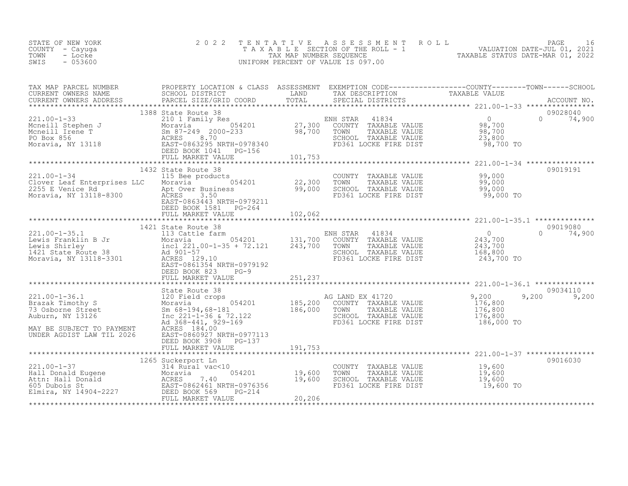| TAX MAP PARCEL NUMBER<br>TAX MAP FAKULE NUMBER TRIPPER TRIPPER TRIPPER TRIPPER TRIPPER TRIPPER TRIPPER TRIPPER TRIPPER TRIPPER TRIPPER TRIPPER TRIPPER TRIPPER TRIPPER TRIPPER TRIPPER TRIPPER TRIPPER TRIPPER TRIPPER TRIPPER TRIPPER TRIPPER TRIPPER                                                                                                                                                                                                                                                                                                                                                                    | PROPERTY LOCATION & CLASS ASSESSMENT EXEMPTION CODE----------------COUNTY-------TOWN-----SCHOOL |                                                                  |           |                                |
|---------------------------------------------------------------------------------------------------------------------------------------------------------------------------------------------------------------------------------------------------------------------------------------------------------------------------------------------------------------------------------------------------------------------------------------------------------------------------------------------------------------------------------------------------------------------------------------------------------------------------|-------------------------------------------------------------------------------------------------|------------------------------------------------------------------|-----------|--------------------------------|
|                                                                                                                                                                                                                                                                                                                                                                                                                                                                                                                                                                                                                           |                                                                                                 |                                                                  |           |                                |
|                                                                                                                                                                                                                                                                                                                                                                                                                                                                                                                                                                                                                           | 1388 State Route 38                                                                             |                                                                  | 98,700 TO | 09028040<br>$0 \t 74,900$      |
|                                                                                                                                                                                                                                                                                                                                                                                                                                                                                                                                                                                                                           |                                                                                                 |                                                                  |           |                                |
|                                                                                                                                                                                                                                                                                                                                                                                                                                                                                                                                                                                                                           | 1432 State Route 38<br>EAST-0863443 NRTH-0979211<br>DEED BOOK 1581 PG-264                       |                                                                  |           | 09019191                       |
|                                                                                                                                                                                                                                                                                                                                                                                                                                                                                                                                                                                                                           |                                                                                                 |                                                                  |           |                                |
|                                                                                                                                                                                                                                                                                                                                                                                                                                                                                                                                                                                                                           |                                                                                                 |                                                                  |           |                                |
| $[1421 \text{ State Route 38} \newline \text{Lewis Franklin B Jr} \newline \text{Lewis Shirley} \newline \text{Meous Smith S.} \newline \text{Lewis Shirley} \newline \text{Meous Shirley} \newline \text{Levis Shirley} \newline \text{Meous Shirley} \newline \text{Meous Shirley} \newline \text{Meous Shirley} \newline \text{Meous Shirley} \newline \text{Meous Shirley} \newline \text{Meous Shirley} \newline \text{Meous Shirley} \newline \text{Meous Shirley} \newline \text{Meous Shirley} \newline \text{Meous Shirley} \newline \text{Meous Shirley} \newline \text{Meous Shirley} \newline \text{Meous Sh$ | DEED BOOK 823<br>$PG-9$                                                                         | SCHOOL TAXABLE VALUE 168,800<br>FD361 LOCKE FIRE DIST 243,700 TO |           | 09019080<br>$\Omega$<br>74,900 |
|                                                                                                                                                                                                                                                                                                                                                                                                                                                                                                                                                                                                                           |                                                                                                 |                                                                  |           | 09034110                       |
| MAY BE SUBJECT TO PAYMENT ACRES 184.00<br>UNDER AGDIST LAW TIL 2026 EAST-0860927 I                                                                                                                                                                                                                                                                                                                                                                                                                                                                                                                                        |                                                                                                 | FD361 LOCKE FIRE DIST 186,000 TO                                 |           | 9,200<br>9,200                 |
| UNDER AGDIST LAW TIL 2026                                                                                                                                                                                                                                                                                                                                                                                                                                                                                                                                                                                                 | EAST-0860927 NRTH-0977113<br>DEED BOOK 3908 PG-137                                              |                                                                  |           |                                |
|                                                                                                                                                                                                                                                                                                                                                                                                                                                                                                                                                                                                                           |                                                                                                 |                                                                  |           |                                |
|                                                                                                                                                                                                                                                                                                                                                                                                                                                                                                                                                                                                                           | 1265 Suckerport Ln                                                                              |                                                                  |           | 09016030                       |
|                                                                                                                                                                                                                                                                                                                                                                                                                                                                                                                                                                                                                           |                                                                                                 |                                                                  |           |                                |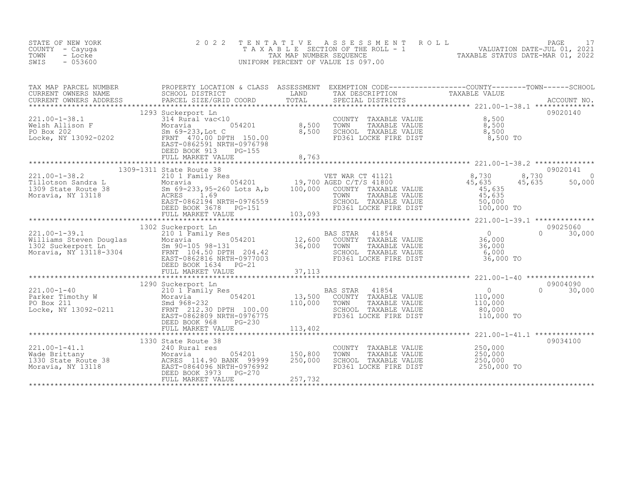| STATE OF NEW YORK<br>COUNTY - Cayuga<br>- Locke<br>TOWN<br>$-053600$<br>SWIS                                                                                                                                                                                                             | 2 0 2 2                                                         | TENTATIVE | TENTATIVE ASSESSMENT ROLL PAGE 17<br>TAXABLE SECTION OF THE ROLL - 1 VALUATION DATE-JUL 01, 2021<br>TAX MAP NUMBER SEQUENCE TAXABLE STATUS DATE-MAR 01, 2022<br>JNIFORM PERCENT OF VALUE IS 097.00<br>UNIFORM PERCENT OF VALUE IS 097.00 |                                             |                           |
|------------------------------------------------------------------------------------------------------------------------------------------------------------------------------------------------------------------------------------------------------------------------------------------|-----------------------------------------------------------------|-----------|------------------------------------------------------------------------------------------------------------------------------------------------------------------------------------------------------------------------------------------|---------------------------------------------|---------------------------|
|                                                                                                                                                                                                                                                                                          |                                                                 |           |                                                                                                                                                                                                                                          |                                             |                           |
|                                                                                                                                                                                                                                                                                          | 1293 Suckerport Ln<br>DEED BOOK 913 PG-155<br>FULL MARKET VALUE | 8,763     |                                                                                                                                                                                                                                          |                                             | 09020140                  |
|                                                                                                                                                                                                                                                                                          |                                                                 |           |                                                                                                                                                                                                                                          |                                             |                           |
|                                                                                                                                                                                                                                                                                          |                                                                 |           |                                                                                                                                                                                                                                          |                                             |                           |
|                                                                                                                                                                                                                                                                                          | 1302 Suckerport Ln                                              |           |                                                                                                                                                                                                                                          |                                             | 09025060                  |
|                                                                                                                                                                                                                                                                                          | DEED BOOK 1634 PG-21                                            |           |                                                                                                                                                                                                                                          |                                             | $0 \t 30,000$             |
|                                                                                                                                                                                                                                                                                          | FULL MARKET VALUE                                               | 37,113    |                                                                                                                                                                                                                                          |                                             |                           |
| $\begin{tabular}{lcccc} \tt 221.00-1-40 & 1290 Suckerport Ln & 210.1 Family Res & 0 & 0.00000 & 0.00000 & 0.00000 & 0.00000 & 0.0000 & 0.0000 & 0.0000 & 0.0000 & 0.0000 & 0.0000 & 0.0000 & 0.0000 & 0.0000 & 0.0000 & 0.0000 & 0.0000 & 0.0000 & 0.0000 & 0.0000 & 0.0000 & 0.0000 & $ |                                                                 |           |                                                                                                                                                                                                                                          |                                             | 09004090<br>$0 \t 30,000$ |
|                                                                                                                                                                                                                                                                                          | FULL MARKET VALUE 113,402                                       |           |                                                                                                                                                                                                                                          |                                             |                           |
| 221.00-1-41.1<br>Wade Brittany Moravia Moravia 054201 150,800<br>1330 State Route 38 ACRES 114.90 BANK 99999 250,000<br>Moravia, NY 13118 BAST-0864096 NRTH-0976992<br>EAST-0864096 NRTH-0976992<br>EELD BOK 3973                                                                        | 1330 State Route 38<br>FULL MARKET VALUE                        | 257,732   | COUNTY TAXABLE VALUE<br>TOWN<br>TAXABLE VALUE<br>SCHOOL TAXABLE VALUE<br>FD361 LOCKE FIRE DIST                                                                                                                                           | 250,000<br>250,000<br>250,000<br>250,000 TO | 09034100                  |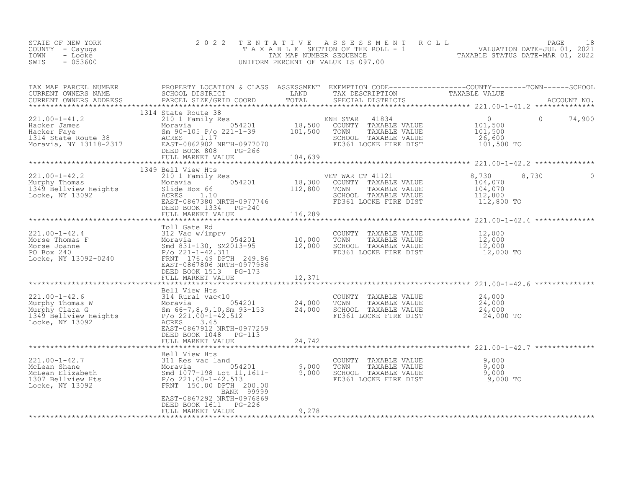| STATE OF NEW YORK | 2022 TENTATIVE ASSESSMENT ROLL        |                                  | PAGE                        |  |
|-------------------|---------------------------------------|----------------------------------|-----------------------------|--|
| COUNTY – Cayuga   | T A X A B L E SECTION OF THE ROLL - 1 |                                  | VALUATION DATE-JUL 01, 2021 |  |
| TOWN<br>- Locke   | TAX MAP NUMBER SEOUENCE               | TAXABLE STATUS DATE-MAR 01, 2022 |                             |  |
| $-053600$<br>SWIS | UNIFORM PERCENT OF VALUE IS 097.00    |                                  |                             |  |
|                   |                                       |                                  |                             |  |

| TAX MAP PARCEL NUMBER                                                                                                                                                                                                                                                                                                                                                                                                           | PROPERTY LOCATION & CLASS ASSESSMENT EXEMPTION CODE-----------------COUNTY-------TOWN------SCHOOL |       |  |  |
|---------------------------------------------------------------------------------------------------------------------------------------------------------------------------------------------------------------------------------------------------------------------------------------------------------------------------------------------------------------------------------------------------------------------------------|---------------------------------------------------------------------------------------------------|-------|--|--|
| TAX MAP PARCEL NUMBER AND PROPERTION A CHASS ASSEMBLY DESCRIPTION TAXABLE VALUE<br>CURRENT OWNERS NAME SCHOOL DISTRICT TOTAL TRAND TRANSFORM THE TRANSFORM TO TAKABLE VALUE<br>CURRENT OWNERS ADDRESS PARCEL SIZE/GRID COORD TOTAL S                                                                                                                                                                                            |                                                                                                   |       |  |  |
|                                                                                                                                                                                                                                                                                                                                                                                                                                 |                                                                                                   |       |  |  |
|                                                                                                                                                                                                                                                                                                                                                                                                                                 |                                                                                                   |       |  |  |
|                                                                                                                                                                                                                                                                                                                                                                                                                                 |                                                                                                   |       |  |  |
|                                                                                                                                                                                                                                                                                                                                                                                                                                 |                                                                                                   |       |  |  |
|                                                                                                                                                                                                                                                                                                                                                                                                                                 |                                                                                                   |       |  |  |
|                                                                                                                                                                                                                                                                                                                                                                                                                                 |                                                                                                   |       |  |  |
|                                                                                                                                                                                                                                                                                                                                                                                                                                 |                                                                                                   |       |  |  |
|                                                                                                                                                                                                                                                                                                                                                                                                                                 |                                                                                                   |       |  |  |
|                                                                                                                                                                                                                                                                                                                                                                                                                                 |                                                                                                   |       |  |  |
|                                                                                                                                                                                                                                                                                                                                                                                                                                 |                                                                                                   |       |  |  |
|                                                                                                                                                                                                                                                                                                                                                                                                                                 | 1349 Bell View Hts                                                                                |       |  |  |
|                                                                                                                                                                                                                                                                                                                                                                                                                                 |                                                                                                   |       |  |  |
|                                                                                                                                                                                                                                                                                                                                                                                                                                 |                                                                                                   |       |  |  |
|                                                                                                                                                                                                                                                                                                                                                                                                                                 |                                                                                                   |       |  |  |
|                                                                                                                                                                                                                                                                                                                                                                                                                                 |                                                                                                   |       |  |  |
|                                                                                                                                                                                                                                                                                                                                                                                                                                 |                                                                                                   |       |  |  |
|                                                                                                                                                                                                                                                                                                                                                                                                                                 |                                                                                                   |       |  |  |
|                                                                                                                                                                                                                                                                                                                                                                                                                                 |                                                                                                   |       |  |  |
|                                                                                                                                                                                                                                                                                                                                                                                                                                 |                                                                                                   |       |  |  |
|                                                                                                                                                                                                                                                                                                                                                                                                                                 |                                                                                                   |       |  |  |
|                                                                                                                                                                                                                                                                                                                                                                                                                                 |                                                                                                   |       |  |  |
|                                                                                                                                                                                                                                                                                                                                                                                                                                 |                                                                                                   |       |  |  |
|                                                                                                                                                                                                                                                                                                                                                                                                                                 |                                                                                                   |       |  |  |
|                                                                                                                                                                                                                                                                                                                                                                                                                                 |                                                                                                   |       |  |  |
|                                                                                                                                                                                                                                                                                                                                                                                                                                 |                                                                                                   |       |  |  |
|                                                                                                                                                                                                                                                                                                                                                                                                                                 |                                                                                                   |       |  |  |
|                                                                                                                                                                                                                                                                                                                                                                                                                                 |                                                                                                   |       |  |  |
| $\begin{tabular}{lllllllllllllllllllll} \textbf{M} & \textbf{M} & \textbf{M} & \textbf{M} & \textbf{M} & \textbf{M} & \textbf{M} & \textbf{M} & \textbf{M} & \textbf{M} & \textbf{M} & \textbf{M} & \textbf{M} & \textbf{M} & \textbf{M} & \textbf{M} & \textbf{M} & \textbf{M} & \textbf{M} & \textbf{M} & \textbf{M} & \textbf{M} & \textbf{M} & \textbf{M} & \textbf{M} & \textbf{M} & \textbf{M} & \textbf{M} & \textbf{M}$ |                                                                                                   |       |  |  |
| 221.00-1-42.6<br>221.00-1-42.6<br>24,000<br>Murphy Thomas W<br>Murphy Clara G<br>Murphy Clara G<br>24,000<br>Murphy Clara G<br>Murphy Clara G<br>24,000<br>Murphy Clara G<br>24,000<br>24,000<br>24,000<br>24,000<br>24,000<br>24,000<br>24,000<br>24,000<br>24,000<br>                                                                                                                                                         |                                                                                                   |       |  |  |
|                                                                                                                                                                                                                                                                                                                                                                                                                                 |                                                                                                   |       |  |  |
|                                                                                                                                                                                                                                                                                                                                                                                                                                 |                                                                                                   |       |  |  |
|                                                                                                                                                                                                                                                                                                                                                                                                                                 |                                                                                                   |       |  |  |
|                                                                                                                                                                                                                                                                                                                                                                                                                                 |                                                                                                   |       |  |  |
|                                                                                                                                                                                                                                                                                                                                                                                                                                 |                                                                                                   |       |  |  |
|                                                                                                                                                                                                                                                                                                                                                                                                                                 |                                                                                                   |       |  |  |
|                                                                                                                                                                                                                                                                                                                                                                                                                                 |                                                                                                   |       |  |  |
|                                                                                                                                                                                                                                                                                                                                                                                                                                 |                                                                                                   |       |  |  |
| 221.00-1-42.7<br>McLean Shane Moravia (1077-198 Lot 11,611-<br>McLean Elizabeth Smd 1077-198 Lot 11,1611-<br>McClean Elizabeth Smd 1077-198 Lot 11,1611-<br>McClean Elizabeth Smd 1077-198 Lot 11,1611-<br>McCHOOL TAXABLE VALUE 9,000<br>                                                                                                                                                                                      | Bell View Hts                                                                                     |       |  |  |
|                                                                                                                                                                                                                                                                                                                                                                                                                                 |                                                                                                   |       |  |  |
|                                                                                                                                                                                                                                                                                                                                                                                                                                 |                                                                                                   |       |  |  |
|                                                                                                                                                                                                                                                                                                                                                                                                                                 |                                                                                                   |       |  |  |
|                                                                                                                                                                                                                                                                                                                                                                                                                                 |                                                                                                   |       |  |  |
|                                                                                                                                                                                                                                                                                                                                                                                                                                 | bank 99999                                                                                        |       |  |  |
|                                                                                                                                                                                                                                                                                                                                                                                                                                 | EAST-0867292 NRTH-0976869                                                                         |       |  |  |
|                                                                                                                                                                                                                                                                                                                                                                                                                                 | DEED BOOK 1611    PG-226                                                                          |       |  |  |
|                                                                                                                                                                                                                                                                                                                                                                                                                                 | FULL MARKET VALUE                                                                                 | 9,278 |  |  |
|                                                                                                                                                                                                                                                                                                                                                                                                                                 |                                                                                                   |       |  |  |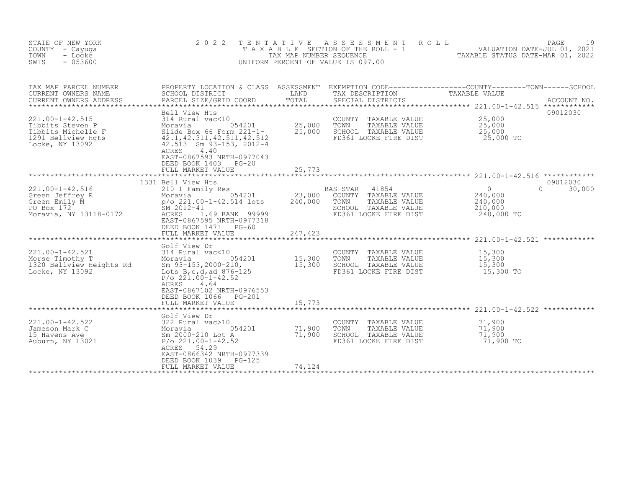| STATE OF NEW YORK<br>COUNTY - Cayuga<br>- Locke<br>TOWN<br>SWIS<br>$-053600$                                    | 2 0 2 2<br>TAXABLE                                                                                                                                                                                                                                                                                                         | TENTATIVE<br>TAX MAP NUMBER SEQUENCE | A S S E S S M E N T<br>UNIFORM PERCENT OF VALUE IS 097.00                                                           | ROLL<br>PAGE<br>19                                                                                                                                       |
|-----------------------------------------------------------------------------------------------------------------|----------------------------------------------------------------------------------------------------------------------------------------------------------------------------------------------------------------------------------------------------------------------------------------------------------------------------|--------------------------------------|---------------------------------------------------------------------------------------------------------------------|----------------------------------------------------------------------------------------------------------------------------------------------------------|
| TAX MAP PARCEL NUMBER<br>CURRENT OWNERS NAME<br>CURRENT OWNERS ADDRESS                                          | PROPERTY LOCATION & CLASS ASSESSMENT<br>SCHOOL DISTRICT<br>PARCEL SIZE/GRID COORD                                                                                                                                                                                                                                          | LAND<br>TOTAL<br>**********          | TAX DESCRIPTION<br>SPECIAL DISTRICTS                                                                                | EXEMPTION CODE-----------------COUNTY-------TOWN------SCHOOL<br>TAXABLE VALUE<br>ACCOUNT NO.<br>*************************** 221.00-1-42.515 ************ |
| 221.00-1-42.515<br>Tibbits Steven P<br>Tibbits Michelle F<br>1291 Bellview Hqts<br>Locke, NY 13092              | Bell View Hts<br>314 Rural vac<10<br>314 Rural vac<10<br>Moravia 054201<br>Slide Box 66 Form 221-1-<br>42.11,42.311,42.511,42.512<br>7.513 Sm 03-153 2012-4<br>054201<br>Slide Box 66 Form $221-1-$<br>42.513 Sm 93-153, 2012-4<br>ACRES<br>4.40<br>EAST-0867593 NRTH-0977043<br>DEED BOOK 1403 PG-20<br>FULL MARKET VALUE | 25,000<br>25,000<br>25,773           | COUNTY TAXABLE VALUE<br>TOWN<br>TAXABLE VALUE<br>SCHOOL TAXABLE VALUE<br>FD361 LOCKE FIRE DIST                      | 09012030<br>25,000<br>25,000<br>25,000<br>25,000 TO                                                                                                      |
|                                                                                                                 | 1331 Bell View Hts                                                                                                                                                                                                                                                                                                         | ********************                 |                                                                                                                     | 09012030                                                                                                                                                 |
| 221.00-1-42.516<br>Green Jeffrey R<br>Green Emily M<br>PO Box 172<br>Moravia, NY 13118-0172                     | 210 1 Family Res<br>054201<br>SM 2012-41<br>ACRES<br>1.69 BANK 99999<br>EAST-0867595 NRTH-0977318<br>DEED BOOK 1471 PG-60                                                                                                                                                                                                  | 23,000<br>240,000                    | 41854<br>BAS STAR<br>COUNTY TAXABLE VALUE<br>TOWN<br>TAXABLE VALUE<br>SCHOOL TAXABLE VALUE<br>FD361 LOCKE FIRE DIST | $\circ$<br>$\Omega$<br>30,000<br>240,000<br>240,000<br>210,000<br>240,000 TO                                                                             |
|                                                                                                                 | FULL MARKET VALUE                                                                                                                                                                                                                                                                                                          | 247,423                              |                                                                                                                     |                                                                                                                                                          |
| 221.00-1-42.521<br>Morse Timothy T<br>1320 Bellview Heights Rd<br>Locke, NY 13092                               | Golf View Dr<br>314 Rural vac<10<br>Moravia 054201<br>Sm $93-153, 2000-210,$<br>Lots B, c, d, ad 876-125<br>$P/O$ 221.00-1-42.52<br>4.64<br>ACRES<br>EAST-0867102 NRTH-0976553                                                                                                                                             | 15,300<br>15,300                     | COUNTY TAXABLE VALUE<br>TOWN<br>TAXABLE VALUE<br>SCHOOL TAXABLE VALUE<br>FD361 LOCKE FIRE DIST                      | 15,300<br>15,300<br>15,300<br>15,300 TO                                                                                                                  |
|                                                                                                                 | DEED BOOK 1066<br>PG-201<br>FULL MARKET VALUE                                                                                                                                                                                                                                                                              | 15,773<br>**************             |                                                                                                                     |                                                                                                                                                          |
| $221.00 - 1 - 42.522$<br>322 Rura<br>Moravia<br>Sm 2000-<br>Jameson Mark C<br>15 Havens Ave<br>Auburn, NY 13021 | Golf View Dr<br>322 Rural vac>10<br>054201<br>Sm 2000-210 Lot A<br>$P/O$ 221.00-1-42.52<br>ACRES 54.29<br>EAST-0866342 NRTH-0977339<br>DEED BOOK 1039<br>PG-125<br>FULL MARKET VALUE                                                                                                                                       | 71,900<br>71,900<br>74,124           | COUNTY TAXABLE VALUE<br>TOWN<br>TAXABLE VALUE<br>SCHOOL TAXABLE VALUE<br>FD361 LOCKE FIRE DIST                      | 71,900<br>71,900<br>71,900<br>71,900 TO                                                                                                                  |
|                                                                                                                 |                                                                                                                                                                                                                                                                                                                            |                                      |                                                                                                                     |                                                                                                                                                          |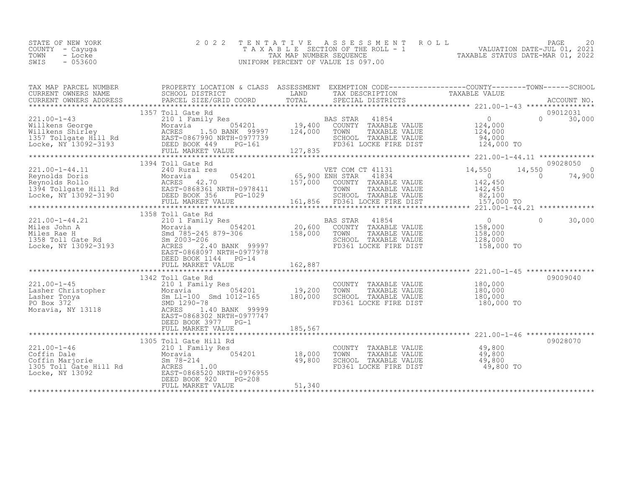|      | STATE OF NEW YORK | 2022 TENTATIVE ASSESSMENT ROLL     | 20<br>PAGE                       |
|------|-------------------|------------------------------------|----------------------------------|
|      | COUNTY – Cayuga   | TAXABLE SECTION OF THE ROLL - 1    | VALUATION DATE-JUL 01, 2021      |
| TOWN | - Locke           | TAX MAP NUMBER SEOUENCE            | TAXABLE STATUS DATE-MAR 01, 2022 |
| SWIS |                   | UNIFORM PERCENT OF VALUE IS 097.00 |                                  |
|      | $-053600$         |                                    |                                  |

| TAX MAP PARCEL NUMBER                                                                                                                                                                                                                                                                                                                                                                                                                                  | PROPERTY LOCATION & CLASS ASSESSMENT EXEMPTION CODE----------------COUNTY-------TOWN-----SCHOOL |         |                                                                                                                                |           |               |          |
|--------------------------------------------------------------------------------------------------------------------------------------------------------------------------------------------------------------------------------------------------------------------------------------------------------------------------------------------------------------------------------------------------------------------------------------------------------|-------------------------------------------------------------------------------------------------|---------|--------------------------------------------------------------------------------------------------------------------------------|-----------|---------------|----------|
|                                                                                                                                                                                                                                                                                                                                                                                                                                                        |                                                                                                 |         |                                                                                                                                |           |               |          |
|                                                                                                                                                                                                                                                                                                                                                                                                                                                        | 1357 Toll Gate Rd                                                                               |         |                                                                                                                                |           | 09012031      |          |
|                                                                                                                                                                                                                                                                                                                                                                                                                                                        |                                                                                                 |         |                                                                                                                                |           |               |          |
|                                                                                                                                                                                                                                                                                                                                                                                                                                                        |                                                                                                 |         |                                                                                                                                |           |               |          |
| $\begin{tabular}{lllllllllllll} 221.00-1-44.11 & 1394 Toll Gate Rd & VET COM CT 41131 & 09028050 \\ \hline \text{Reynolds Doris} & \text{Mcrivald} & \text{ACRES} & 42.70 & 054201 & 65,900 ENH STAR & 41834 \\ \text{Reynolds Rollo} & \text{ACRES} & 42.70 & 157,000 COUNTY TAXABLE VALUE & 142,450 \\ \text{Locke, NY 13092-3190} & \text{EEL SIT}-0868361 NRTH-0978411 & $                                                                         | 1394 Toll Gate Rd                                                                               |         |                                                                                                                                |           |               | 09028050 |
|                                                                                                                                                                                                                                                                                                                                                                                                                                                        | 1358 Toll Gate Rd                                                                               |         |                                                                                                                                |           |               |          |
| $\begin{array}{cccccccc} 221.00-1-44.21 & 1358 \; \text{Toll Gate Rd} & & & & & & & & & 1358 \; \text{Toll Gate Rd} & & & & & & & & & 0 \\ \text{Miles Jole} & & & & & & & & & & & 0 \\ \text{Miles Nale H} & & & & & & & & & 0 \\ \text{Miles Nale H} & & & & & & & & 0 \\ \text{Miles Nale H} & & & & & & & 0 \\ \text{Miles Nale M} & & & & & & 0 \\ \text{Miles Nale M} & & & & & & 0 \\ \text{Miles Nale M} & & & & & & 0 \\ \text{Miles Nale M}$ | DEED BOOK 1144 PG-14                                                                            |         | FD361 LOCKE FIRE DIST 158,000 TO                                                                                               |           | $0 \t 30,000$ |          |
|                                                                                                                                                                                                                                                                                                                                                                                                                                                        | FULL MARKET VALUE                                                                               | 162,887 |                                                                                                                                |           |               |          |
| 221.00-1-45<br>Lasher Christopher Moravia 210 1 Family Res COUNT<br>Lasher Tonya Sm L1-100 Smd 1012-165 180,000 SCHOO<br>PO Box 372 SMD 1290-78<br>Moravia, NY 13118 ACRES 1.40 BANK 99999<br>EAST-0868302 NRTH-0977747                                                                                                                                                                                                                                | 1342 Toll Gate Rd<br>EAST-0868302 NRTH-0977747<br>DEED BOOK 3977 PG-1                           |         | COUNTY TAXABLE VALUE 180,000<br>TOWN TAXABLE VALUE 180,000<br>SCHOOL TAXABLE VALUE 180,000<br>FD361 LOCKE FIRE DIST 180,000 TO |           |               | 09009040 |
|                                                                                                                                                                                                                                                                                                                                                                                                                                                        |                                                                                                 |         |                                                                                                                                |           |               |          |
|                                                                                                                                                                                                                                                                                                                                                                                                                                                        | 1305 Toll Gate Hill Rd                                                                          |         | COUNTY TAXABLE VALUE 49,800<br>TOWN TAXABLE VALUE 49,800<br>SCHOOL TAXABLE VALUE 49,800<br>FD361 LOCKE FIRE DIST               | 49,800 TO |               | 09028070 |
|                                                                                                                                                                                                                                                                                                                                                                                                                                                        |                                                                                                 |         |                                                                                                                                |           |               |          |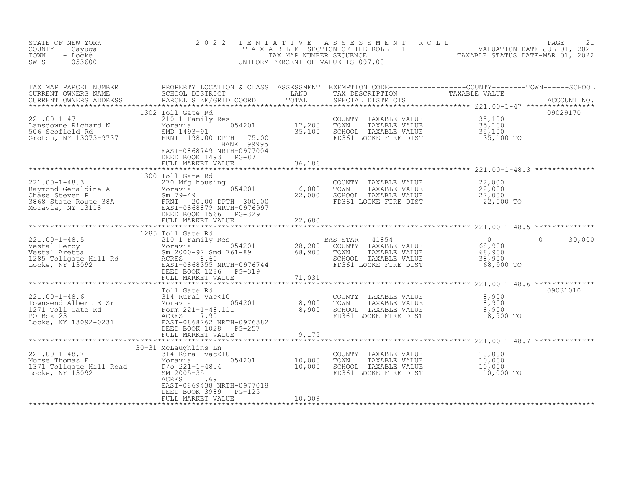| STATE OF NEW YORK<br>COUNTY - Cayuga<br>- Locke<br>TOWN<br>$-053600$<br>SWIS                                                                                                                                                                                                                                                                                                                                            | 2 0 2 2                                                                                  | TENTATIVE     | UNIFORM PERCENT OF VALUE IS 097.00                                                                                                                                                                | TENTATIVE ASSESSMENT ROLL MALUATION DATE-JUL 01, 2021<br>TAXABLE SECTION OF THE ROLL - 1 VALUATION DATE-JUL 01, 2021<br>TAX MAP NUMBER SEQUENCE TAXABLE STATUS DATE-MAR 01, 2022<br>JNIFORM PERCENT OF VALUE IS 097.00         |
|-------------------------------------------------------------------------------------------------------------------------------------------------------------------------------------------------------------------------------------------------------------------------------------------------------------------------------------------------------------------------------------------------------------------------|------------------------------------------------------------------------------------------|---------------|---------------------------------------------------------------------------------------------------------------------------------------------------------------------------------------------------|--------------------------------------------------------------------------------------------------------------------------------------------------------------------------------------------------------------------------------|
|                                                                                                                                                                                                                                                                                                                                                                                                                         |                                                                                          |               |                                                                                                                                                                                                   |                                                                                                                                                                                                                                |
|                                                                                                                                                                                                                                                                                                                                                                                                                         | BANK 99995<br>EAST-0868749 NRTH-0977004<br>DEED BOOK 1493 PG-87                          |               |                                                                                                                                                                                                   | 09029170 1302 7011 64th 212 100-1-47 221.00-1-47 201.00-1-47 201.00-1-47 201.00-1-47 201.00-1-47 201.00-1-47 221.00-1-47 201.00-1-47 201.00-1-47 201.00-1-47 201.00-1-47 201.00-1-47 201.00-1-47 201.00-1-47 201.00-1-47 201.0 |
|                                                                                                                                                                                                                                                                                                                                                                                                                         | FULL MARKET VALUE                                                                        | 36,186        |                                                                                                                                                                                                   |                                                                                                                                                                                                                                |
| $\begin{array}{cccccccc} 221.00-1-48.3 & & & & 1300\; \text{Toll Gate Rd} & & & & & & & \cr & & & & & 270 \; \text{Mg housing} & & & & & \cr \text{Raymond Geraldine A} & & & & & & 054201 & & & 6,000\; \text{TOWN} & \text{TXABLE VALUE} & & & 22,000\; \cr \text{Chase Steven P} & & & & & & & 054201 & & 6,000\; \text{TOWN} & \text{TXABLE VALUE} & & & 22,000\; \cr \text{Chase Steven P} & & & & & & & 22,000\;$ | 1300 Toll Gate Rd                                                                        |               |                                                                                                                                                                                                   |                                                                                                                                                                                                                                |
|                                                                                                                                                                                                                                                                                                                                                                                                                         |                                                                                          |               |                                                                                                                                                                                                   |                                                                                                                                                                                                                                |
|                                                                                                                                                                                                                                                                                                                                                                                                                         |                                                                                          |               |                                                                                                                                                                                                   |                                                                                                                                                                                                                                |
|                                                                                                                                                                                                                                                                                                                                                                                                                         |                                                                                          |               |                                                                                                                                                                                                   | $0 \t 30,000$<br>68,900 TO                                                                                                                                                                                                     |
|                                                                                                                                                                                                                                                                                                                                                                                                                         |                                                                                          |               |                                                                                                                                                                                                   |                                                                                                                                                                                                                                |
| Toll Gate Rd<br>221.00-1-48.6<br>Townsend Albert E Sr<br>1271 Toll Gate Rd<br>PO Box 231<br>Locke, NY 13092-0231<br>COLLER PO BOOK 1028<br>PO Box 231<br>Locke, NY 13092-0231<br>COLLER PO BOX 231<br>EAST-0868262 NRTH-0976382<br>DEED BOOK 1028<br>P                                                                                                                                                                  | FULL MARKET VALUE                                                                        | 9,175         | COUNTY TAXABLE VALUE $\begin{array}{cccc} 8,900 \ \text{TOWN} & \text{TAXABLE VALUE} & 8,900 \ \text{SCHOOL} & \text{TAXABLE VALUE} & 8,900 \ \text{FD361 LOCKE FIRE DIST} & 8,900 \ \end{array}$ | 09031010                                                                                                                                                                                                                       |
|                                                                                                                                                                                                                                                                                                                                                                                                                         |                                                                                          | ************* |                                                                                                                                                                                                   |                                                                                                                                                                                                                                |
| 221.00-1-48.7<br>Morse Thomas F 314 Rural vac<10<br>1371 Tollgate Hill Road<br>Morse Thomas F 654201<br>Morse Thomas F 654201<br>2005-35<br>2005-35<br>2005-35<br>ACRES 1.69                                                                                                                                                                                                                                            | 30-31 McLaughlins Ln<br>ACRES 1.69<br>EAST-0869438 NRTH-0977018<br>DEED BOOK 3989 PG-125 |               | COUNTY TAXABLE VALUE $10,000$<br>TOWN TAXABLE VALUE $10,000$<br>SCHOOL TAXABLE VALUE $10,000$<br>FD361 LOCKE FIRE DIST $10,000$ TO                                                                |                                                                                                                                                                                                                                |
|                                                                                                                                                                                                                                                                                                                                                                                                                         | FULL MARKET VALUE                                                                        | 10,309        |                                                                                                                                                                                                   |                                                                                                                                                                                                                                |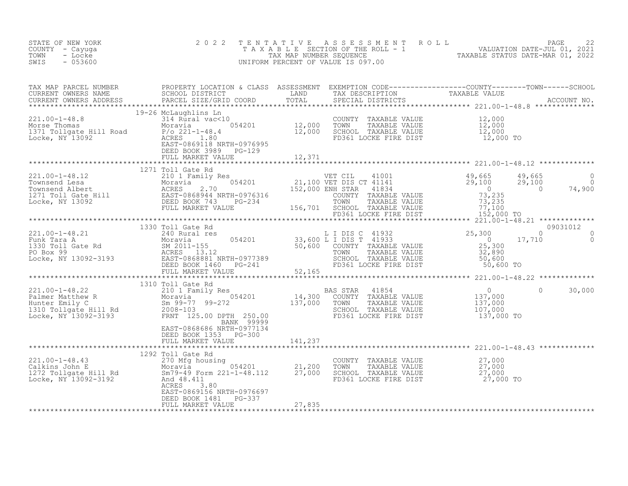| STATE OF NEW YORK<br>COUNTY - Cayuga<br>- Locke<br>TOWN<br>$-053600$<br>SWIS                                                                                                                                                                       | 2 0 2 2                                                                 | TENTATIVE | UNIFORM PERCENT OF VALUE IS 097.00                                                                                                 | TENTATIVE ASSESSMENT ROLL TAXABLE PAGE 22<br>TAXABLE SECTION OF THE ROLL - 1 VALUATION DATE-JUL 01, 2021<br>TAX MAP NUMBER SEQUENCE TAXABLE STATUS DATE-MAR 01, 2022<br>JNIFORM PERCENT OF VALUE IS 097.00 |                                                                                     |
|----------------------------------------------------------------------------------------------------------------------------------------------------------------------------------------------------------------------------------------------------|-------------------------------------------------------------------------|-----------|------------------------------------------------------------------------------------------------------------------------------------|------------------------------------------------------------------------------------------------------------------------------------------------------------------------------------------------------------|-------------------------------------------------------------------------------------|
| TAX MAP PARCEL NUMBER PROPERTY LOCATION & CLASS ASSESSMENT EXEMPTION CODE----------------COUNTY--------TOWN------SCHOOL CURRENT OWNERS NAME SCHOOL DISTRICT LAND TAX DESCRIPTION TAXABLE VALUE<br>CURRENT OWNERS ADDRESS PARCEL S                  |                                                                         |           |                                                                                                                                    |                                                                                                                                                                                                            |                                                                                     |
|                                                                                                                                                                                                                                                    | DEED BOOK 3989 PG-129<br>FULL MARKET VALUE                              | 12,371    |                                                                                                                                    |                                                                                                                                                                                                            |                                                                                     |
|                                                                                                                                                                                                                                                    |                                                                         |           |                                                                                                                                    |                                                                                                                                                                                                            |                                                                                     |
|                                                                                                                                                                                                                                                    | 1271 Toll Gate Rd                                                       |           |                                                                                                                                    |                                                                                                                                                                                                            | $\begin{smallmatrix} & & 0\ & & 0\ & 0\ & 74\textcolor{red}{,}900\end{smallmatrix}$ |
|                                                                                                                                                                                                                                                    |                                                                         |           |                                                                                                                                    |                                                                                                                                                                                                            |                                                                                     |
|                                                                                                                                                                                                                                                    |                                                                         |           |                                                                                                                                    | 09031012                                                                                                                                                                                                   |                                                                                     |
|                                                                                                                                                                                                                                                    |                                                                         |           |                                                                                                                                    |                                                                                                                                                                                                            | $\begin{matrix}0&0\\0&0\end{matrix}$                                                |
|                                                                                                                                                                                                                                                    |                                                                         |           |                                                                                                                                    |                                                                                                                                                                                                            |                                                                                     |
| 1310 Toll Gate Rd<br>221.00-1-48.22<br>Palmer Matthew R Moravia 550.00<br>Eunter Emily C Sm 99-77 99-272<br>2008-103<br>Example 2008-103<br>Example 2008-103<br>Example 250.00<br>EXABLE VALUE 2008-103<br>EXABLE VALUE 2008-103<br>EXABLE VALUE 2 | BANK 99999                                                              |           |                                                                                                                                    | $\circ$                                                                                                                                                                                                    | 30,000                                                                              |
|                                                                                                                                                                                                                                                    | EAST-0868686 NRTH-0977134<br>DEED BOOK 1353 PG-300<br>FULL MARKET VALUE | 141,237   |                                                                                                                                    |                                                                                                                                                                                                            |                                                                                     |
| 1292 Toll Gate Rd<br>221.00-1-48.43<br>270 Mfg housing<br>Calkins John E<br>1272 Tollgate Hill Rd<br>ICAC Sm79-49 Form 221-1-48.112<br>Locke, NY 13092-3192<br>ACRES<br>3.80                                                                       | ACRES<br>3.80<br>EAST-0869156 NRTH-0976697                              |           | COUNTY TAXABLE VALUE $27,000$<br>TOWN TAXABLE VALUE $27,000$<br>SCHOOL TAXABLE VALUE $27,000$<br>FD361 LOCKE FIRE DIST $27,000$ TO |                                                                                                                                                                                                            |                                                                                     |
|                                                                                                                                                                                                                                                    | DEED BOOK 1481 PG-337<br>FULL MARKET VALUE                              | 27,835    |                                                                                                                                    |                                                                                                                                                                                                            |                                                                                     |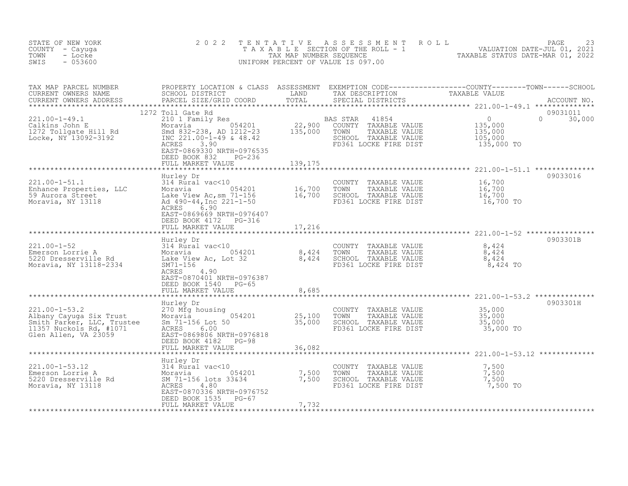| STATE OF NEW YORK<br>COUNTY - Cayuga<br>TOWN<br>- Locke<br>$-053600$<br>SWIS                                                                                      | 2 0 2 2                                                                                                                                                                                                                                                            | TENTATIVE | ASSESSMENT ROLL<br>UNIFORM PERCENT OF VALUE IS 097.00                                                   | PAGE<br>23<br>TAXABLE SECTION OF THE ROLL - 1 (1995) VALUATION DATE-JUL 01, 2021<br>TAX MAP NUMBER SEQUENCE TAXABLE STATUS DATE-MAR 01, 2022                                                                                     |
|-------------------------------------------------------------------------------------------------------------------------------------------------------------------|--------------------------------------------------------------------------------------------------------------------------------------------------------------------------------------------------------------------------------------------------------------------|-----------|---------------------------------------------------------------------------------------------------------|----------------------------------------------------------------------------------------------------------------------------------------------------------------------------------------------------------------------------------|
| TAX MAP PARCEL NUMBER<br>CURRENT OWNERS NAME<br>CURRENT OWNERS ADDRESS                                                                                            |                                                                                                                                                                                                                                                                    |           |                                                                                                         | PROPERTY LOCATION & CLASS ASSESSMENT EXEMPTION CODE----------------COUNTY-------TOWN------SCHOOL<br>SCHOOL DISTRICT                 LAND       TAX DESCRIPTION             TAXABLE VALUE<br>PARCEL SIZE/GRID COORD         TOTAL |
| 221.00-1-49.1<br>Calkins John E<br>1272 Tollgate Hill Rd<br>Locke, NY 13092-3192                                                                                  | 1272 Toll Gate Rd<br>Examply Res<br>Moravia 054201 22,900 COUNTY<br>Smd 832-238, AD 1212-23 135,000 TOWN<br>INC 221.00-1-49 & 48.42 135,000 TOWN<br>ACRES 3.90<br>EAST-0869330 NPTH 3355<br>EAST-0869330 NRTH-0976535<br>DEED BOOK 832 PG-236<br>FULL MARKET VALUE | 139,175   | 41854<br>TAXABLE VALUE<br>TAXABLE VALUE<br>SCHOOL TAXABLE VALUE<br>FD361 LOCKE FIRE DIST                | 09031011<br>$\overline{0}$<br>$\Omega$<br>30,000<br>135,000<br>135,000<br>105,000<br>135,000 TO                                                                                                                                  |
|                                                                                                                                                                   | Hurley Dr                                                                                                                                                                                                                                                          |           |                                                                                                         | 09033016                                                                                                                                                                                                                         |
| 221.00-1-51.1<br>Enhance Properties, LLC<br>59 Aurora Street<br>Moravia, NY 13118<br>Moravia, NY 13118<br>Ad 490-44, Inc 221-1-50<br>ACRES 690<br>ACRES 690       | ACRES 6.90<br>EAST-0869669 NRTH-0976407<br>DEED BOOK 4172 PG-316                                                                                                                                                                                                   |           | COUNTY TAXABLE VALUE<br>TAXABLE VALUE<br>TOWN<br>SCHOOL TAXABLE VALUE<br>FD361 LOCKE FIRE DIST          | 16,700<br>16,700<br>16,700<br>16,700 TO                                                                                                                                                                                          |
|                                                                                                                                                                   | FULL MARKET VALUE                                                                                                                                                                                                                                                  | 17,216    |                                                                                                         |                                                                                                                                                                                                                                  |
| 221.00-1-52<br>Emerson Lorrie A 314 Rural vac<10<br>5220 Dresserville Rd 1.1 Lake View Ac, Lot 32<br>Moravia, NY 13118-2334<br>Moravia, NY 13118-2334<br>SM71-156 | Hurley Dr<br>ACRES 4.90<br>EAST-0870401 NRTH-0976387<br>DEED BOOK 1540 PG-65                                                                                                                                                                                       |           | COUNTY TAXABLE VALUE<br>TOWN<br>TAXABLE VALUE<br>SCHOOL TAXABLE VALUE<br>FD361 LOCKE FIRE DIST 8,424 TO | 0903301B<br>8,424<br>8,424<br>8,424                                                                                                                                                                                              |
|                                                                                                                                                                   | FULL MARKET VALUE                                                                                                                                                                                                                                                  | 8,685     |                                                                                                         |                                                                                                                                                                                                                                  |
| $221.00 - 1 - 53.2$<br>Albany Cayuga Six Trust<br>Smith Parker, LLC, Trustee<br>$11357$ Nuckols Rd, $#1071$<br>Glen Allen, VA 23059                               | Hurley Dr<br>270 Mfg housing<br>Moravia 054201 25,100<br>Sm 71-156 Lot 50 35,000<br>NCES 6.00<br>ACRES<br>6.00<br>EAST-0869806 NRTH-0976818<br>DEED BOOK 4182 PG-98<br>FULL MARKET VALUE                                                                           | 36,082    | COUNTY TAXABLE VALUE<br>TAXABLE VALUE<br>TOWN<br>SCHOOL TAXABLE VALUE<br>FD361 LOCKE FIRE DIST          | 0903301H<br>35,000<br>$\frac{35,000}{35,000}$<br>35,000 TO                                                                                                                                                                       |
|                                                                                                                                                                   |                                                                                                                                                                                                                                                                    |           |                                                                                                         |                                                                                                                                                                                                                                  |
| Emerson Lorrie A<br>5220 Dross: A<br>Emerson Lorrie<br>5220 Dresserville Rd<br>NV 13118                                                                           | EAST-0870336 NRTH-0976752<br>DEED BOOK 1535 PG-67<br>FULL MARKET VALUE                                                                                                                                                                                             | 7,732     | COUNTY TAXABLE VALUE<br>TOWN<br>TAXABLE VALUE<br>SCHOOL TAXABLE VALUE<br>FD361 LOCKE FIRE DIST          | 7,500<br>7,500<br>7,500<br>7,500 TO                                                                                                                                                                                              |
|                                                                                                                                                                   |                                                                                                                                                                                                                                                                    |           |                                                                                                         |                                                                                                                                                                                                                                  |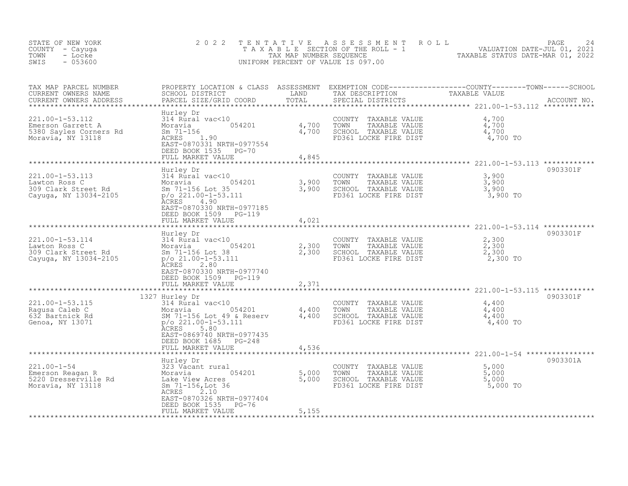| STATE OF NEW YORK<br>COUNTY - Cayuga<br>TOWN<br>- Locke<br>$-053600$<br>SWIS           | 2 0 2 2                                                                                                                                                                                                              | TENTATIVE<br>TAX MAP NUMBER SEQUENCE    | A S S E S S M E N T<br>ROLL<br>TAXABLE SECTION OF THE ROLL - 1<br>UNIFORM PERCENT OF VALUE IS 097.00 | PAGE<br>VALUATION DATE-JUL 01, 2021<br>TAXABLE STATUS DATE-MAR 01, 2022                            | 24          |
|----------------------------------------------------------------------------------------|----------------------------------------------------------------------------------------------------------------------------------------------------------------------------------------------------------------------|-----------------------------------------|------------------------------------------------------------------------------------------------------|----------------------------------------------------------------------------------------------------|-------------|
| TAX MAP PARCEL NUMBER<br>CURRENT OWNERS NAME<br>CURRENT OWNERS ADDRESS                 | PROPERTY LOCATION & CLASS ASSESSMENT<br>SCHOOL DISTRICT<br>PARCEL SIZE/GRID COORD                                                                                                                                    | LAND<br>TOTAL<br>***********            | TAX DESCRIPTION<br>SPECIAL DISTRICTS                                                                 | TAXABLE VALUE<br>*************************** 221.00-1-53.112 ************                          | ACCOUNT NO. |
| 221.00-1-53.112<br>Emerson Garrett A<br>5380 Sayles Corners Rd<br>Moravia, NY 13118    | Hurley Dr<br>314 Rural vac<10<br>054201<br>Moravia<br>$Sm$ 71-156<br>ACRES<br>1.90<br>EAST-0870331 NRTH-0977554<br>DEED BOOK 1535 PG-70<br>FULL MARKET VALUE                                                         | 4,700<br>4,700<br>4,845                 | COUNTY<br>TAXABLE VALUE<br>TOWN<br>TAXABLE VALUE<br>SCHOOL TAXABLE VALUE<br>FD361 LOCKE FIRE DIST    | 4,700<br>4,700<br>4,700<br>4,700 TO                                                                |             |
| 221.00-1-53.113<br>Lawton Ross C<br>309 Clark Street Rd<br>Cayuga, NY 13034-2105       | ******************<br>Hurley Dr<br>314 Rural vac<10<br>054201<br>Moravia<br>Sm 71-156 Lot 35<br>$p$ /o 221.00-1-53.111<br>ACRES 4.90<br>EAST-0870330 NRTH-0977185<br>DEED BOOK 1509<br>PG-119<br>FULL MARKET VALUE   | ************<br>3,900<br>3,900<br>4,021 | COUNTY TAXABLE VALUE<br>TAXABLE VALUE<br>TOWN<br>SCHOOL TAXABLE VALUE<br>FD361 LOCKE FIRE DIST       | 3,900<br>3,900<br>3,900<br>3,900 TO                                                                | 0903301F    |
| $221.00 - 1 - 53.114$<br>Lawton Ross C<br>309 Clark Street Rd<br>Cayuga, NY 13034-2105 | Hurley Dr<br>314 Rural vac<10<br>054201<br>Moravia<br>Sm 71-156 Lot 38<br>$p$ /o 21.00-1-53.111<br>2.80<br>ACRES<br>EAST-0870330 NRTH-0977740<br>DEED BOOK 1509<br>PG-119<br>FULL MARKET VALUE                       | 2,300<br>2,300<br>2,371                 | COUNTY<br>TAXABLE VALUE<br>TOWN<br>TAXABLE VALUE<br>SCHOOL TAXABLE VALUE<br>FD361 LOCKE FIRE DIST    | ********************* 221.00-1-53.114 ************<br>2,300<br>2,300<br>2,300<br>2,300 TO          | 0903301F    |
| 221.00-1-53.115<br>Ragusa Caleb C<br>632 Bartnick Rd<br>Genoa, NY 13071                | 1327 Hurley Dr<br>314 Rural vac<10<br>054201<br>Moravia<br>SM 71-156 Lot 49 & Reserv<br>$p$ /o 221.00-1-53.111<br>5.80<br>ACRES<br>EAST-0869740 NRTH-0977435<br>DEED BOOK 1685<br>$PG-248$<br>FULL MARKET VALUE      | *******<br>4,400<br>4,400<br>4,536      | COUNTY<br>TAXABLE VALUE<br>TOWN<br>TAXABLE VALUE<br>SCHOOL TAXABLE VALUE<br>FD361 LOCKE FIRE DIST    | ************** 221.00-1-53.115 ************<br>4,400<br>4,400<br>4,400<br>4,400 TO                 | 0903301F    |
| $221.00 - 1 - 54$<br>Emerson Reagan R<br>5220 Dresserville Rd<br>Moravia, NY 13118     | **********************<br>Hurley Dr<br>323 Vacant rural<br>054201<br>Moravia<br>Lake View Acres<br>Sm 71-156, Lot 36<br>ACRES<br>2.10<br>EAST-0870326 NRTH-0977404<br>DEED BOOK 1535<br>$PG-76$<br>FULL MARKET VALUE | 5,000<br>5,000<br>5,155                 | COUNTY<br>TAXABLE VALUE<br>TOWN<br>TAXABLE VALUE<br>SCHOOL TAXABLE VALUE<br>FD361 LOCKE FIRE DIST    | ****************************** 221.00-1-54 ****************<br>5,000<br>5,000<br>5,000<br>5,000 TO | 0903301A    |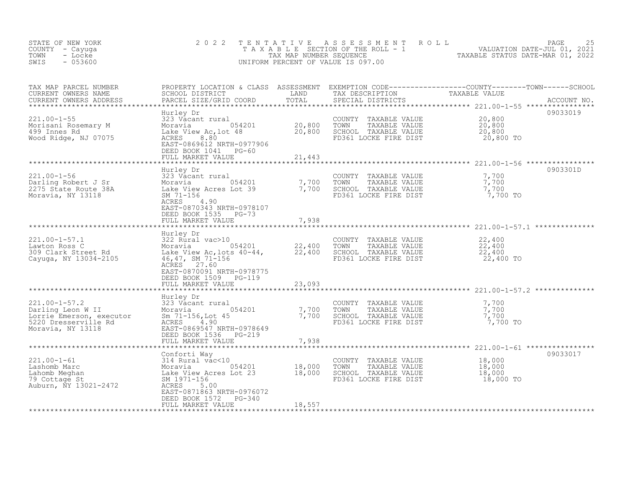| STATE OF NEW YORK<br>COUNTY - Cayuga<br>- Locke<br>TOWN<br>$-053600$<br>SWIS                                                           | 2 0 2 2                                                                                                                                                                                    | TENTATIVE                  | ASSESSMENT ROLL<br>UNIFORM PERCENT OF VALUE IS 097.00                                          | TAXABLE SECTION OF THE ROLL - 1<br>TAXABLE SECTION OF THE ROLL - 1<br>TAXABLE STATUS DATE-MAR 01, 2022                                                                                                                              | 25<br>PAGE  |
|----------------------------------------------------------------------------------------------------------------------------------------|--------------------------------------------------------------------------------------------------------------------------------------------------------------------------------------------|----------------------------|------------------------------------------------------------------------------------------------|-------------------------------------------------------------------------------------------------------------------------------------------------------------------------------------------------------------------------------------|-------------|
| TAX MAP PARCEL NUMBER<br>CURRENT OWNERS NAME<br>CURRENT OWNERS ADDRESS                                                                 | PARCEL SIZE/GRID COORD                                                                                                                                                                     | TOTAL                      | SPECIAL DISTRICTS                                                                              | PROPERTY LOCATION & CLASS ASSESSMENT EXEMPTION CODE----------------COUNTY--------TOWN------SCHOOL<br>SCHOOL DISTRICT         LAND     TAX DESCRIPTION       TAXABLE VALUE<br>PARCEL SIZE/GRID COORD     TOTAL     SPECIAL DISTRICTS | ACCOUNT NO. |
| $221.00 - 1 - 55$<br>Morisani Rosemary M<br>499 Innes Rd<br>Wood Ridge, NJ 07075                                                       | Hurley Dr<br>323 Vacant rural<br>Lake View Ac, lot 48<br>ACRES 8.80<br>EAST-0869612 NRTH-0977906<br>DEED BOOK 1041 PG-60<br>FULL MARKET VALUE                                              | 20,800<br>20,800<br>21,443 | COUNTY TAXABLE VALUE<br>TAXABLE VALUE<br>TOWN<br>SCHOOL TAXABLE VALUE<br>FD361 LOCKE FIRE DIST | 20,800<br>20,800<br>20,800<br>20,800 TO                                                                                                                                                                                             | 09033019    |
|                                                                                                                                        | Hurley Dr                                                                                                                                                                                  |                            |                                                                                                |                                                                                                                                                                                                                                     | 0903301D    |
| $221.00 - 1 - 56$<br>Darling Robert J Sr<br>2275 State Route 38A<br>Moravia, NY 13118                                                  | 323 Vacant rural<br>Moravia 054201<br>Lake View Acres Lot 39<br>SM 71-156<br>ACRES<br>4.90<br>EAST-0870343 NRTH-0978107<br>DEED BOOK 1535 PG-73                                            | 7,700<br>7,700             | COUNTY TAXABLE VALUE<br>TOWN<br>TAXABLE VALUE<br>SCHOOL TAXABLE VALUE<br>FD361 LOCKE FIRE DIST | 7,700<br>7,700<br>7,700<br>7,700 TO                                                                                                                                                                                                 |             |
|                                                                                                                                        | FULL MARKET VALUE                                                                                                                                                                          | 7,938                      |                                                                                                |                                                                                                                                                                                                                                     |             |
|                                                                                                                                        | Hurley Dr                                                                                                                                                                                  |                            |                                                                                                |                                                                                                                                                                                                                                     |             |
| $221.00 - 1 - 57.1$<br>Lawton Ross C<br>309 Clark Street Rd<br>Cayuga, NY 13034-2105                                                   | 322 Rural vac>10<br>322 Rural vac>10<br>Moravia 054201 22,400<br>Lake View Ac,lots 40-44, 22,400<br>46, 47, SM 71-156<br>ACRES 27.60<br>EAST-0870091 NRTH-0978775<br>DEED BOOK 1509 PG-119 |                            | COUNTY TAXABLE VALUE<br>TOWN<br>TAXABLE VALUE<br>SCHOOL TAXABLE VALUE<br>FD361 LOCKE FIRE DIST | 22,400<br>22,400<br>22,400<br>22,400 TO                                                                                                                                                                                             |             |
|                                                                                                                                        | FULL MARKET VALUE                                                                                                                                                                          | 23,093                     |                                                                                                |                                                                                                                                                                                                                                     |             |
| $221.00 - 1 - 57.2$<br>Darling Leon W II<br>Lorrie Emerson, executor<br>5220 Dresserville Rd<br>Moravia. NY 13110<br>Moravia, NY 13118 | Hurley Dr<br>323 Vacant rural<br>Moravia 054201<br>$\frac{5m}{2}$ 71-156, Lot 45<br>4.90<br>ACRES<br>EAST-0869547 NRTH-0978649<br>DEED BOOK 1536 PG-219<br>FULL MARKET VALUE               | 7,700<br>7,700<br>7,938    | COUNTY TAXABLE VALUE<br>TAXABLE VALUE<br>TOWN<br>SCHOOL TAXABLE VALUE<br>FD361 LOCKE FIRE DIST | 7,700<br>7,700<br>7,700<br>7,700 TO                                                                                                                                                                                                 |             |
|                                                                                                                                        |                                                                                                                                                                                            |                            |                                                                                                | ********************* 221.00-1-61 ****************                                                                                                                                                                                  |             |
| 221.00-1-61<br>Lashomb Marc<br>Lahomb Meghan<br>79 Cottage St<br>Auburn, NY 13021-2472                                                 | Conforti Way<br>314 Rural vac<10<br>ACRES<br>5.00<br>EAST-0871863 NRTH-0976072<br>DEED BOOK 1572 PG-340<br>FULL MARKET VALUE                                                               | 18,557                     | COUNTY TAXABLE VALUE<br>TOWN<br>TAXABLE VALUE<br>SCHOOL TAXABLE VALUE<br>FD361 LOCKE FIRE DIST | 18,000<br>18,000<br>18,000<br>18,000 TO                                                                                                                                                                                             | 09033017    |
|                                                                                                                                        |                                                                                                                                                                                            |                            |                                                                                                |                                                                                                                                                                                                                                     |             |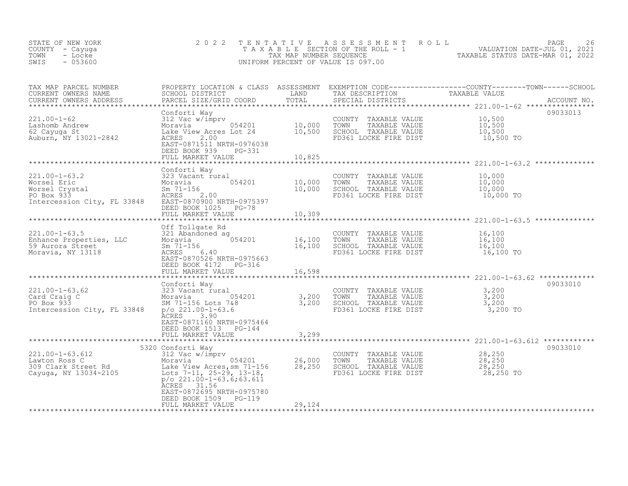| STATE OF NEW YORK<br>COUNTY - Cayuga<br>TOWN<br>- Locke<br>SWIS<br>$-053600$                                                                                                                                                                        | 2 0 2 2                                                                                          | TENTATIVE | UNIFORM PERCENT OF VALUE IS 097.00                                                                                                                     | TENTATIVE ASSESSMENT ROLL MALUATION DATE-JUL 01, 2021<br>TAXABLE SECTION OF THE ROLL - 1 VALUATION DATE-JUL 01, 2021<br>TAXABLE STATUS DATE-MAR 01, 2022<br>INIFORM PERCENT OF VALUE IS 097 00 |
|-----------------------------------------------------------------------------------------------------------------------------------------------------------------------------------------------------------------------------------------------------|--------------------------------------------------------------------------------------------------|-----------|--------------------------------------------------------------------------------------------------------------------------------------------------------|------------------------------------------------------------------------------------------------------------------------------------------------------------------------------------------------|
| TAX MAP PARCEL NUMBER<br>CURRENT OWNERS NAME<br>CURRENT OWNERS ADDRESS                                                                                                                                                                              |                                                                                                  | TOTAL     |                                                                                                                                                        |                                                                                                                                                                                                |
|                                                                                                                                                                                                                                                     | EAST-0871511 NRTH-0976038<br>DEED BOOK 030<br>DEED BOOK 939<br>PG-331<br>FULL MARKET VALUE       | 10,825    | COUNTY TAXABLE VALUE $10,500$<br>TOWN TAXABLE VALUE $10,500$<br>SCHOOL TAXABLE VALUE $10,500$<br>CHOOL TAXABLE VALUE $10,500$<br>FD361 LOCKE FIRE DIST | 09033013<br>10,500 TO                                                                                                                                                                          |
|                                                                                                                                                                                                                                                     |                                                                                                  |           |                                                                                                                                                        |                                                                                                                                                                                                |
| 221.00-1-63.2<br>Worsel Eric Moravia Moravia (10,000 TOWNT TAXABLE VALUE<br>Worsel Crystal Sm 71-156 (10,000 SCHOOL TAXABLE VALUE<br>PO Box 933 ACRES 2.00 FD361 LOCKE FIRE DIST<br>Intercession City, FL 33848 EAST-0870900 NRTH-0975              | Conforti Way                                                                                     |           | COUNTY TAXABLE VALUE $10,000$<br>TOWN TAXABLE VALUE $10,000$<br>SCHOOL TAXABLE VALUE $10,000$<br>FD361 LOCKE FIRE DIST 10,000 TO                       |                                                                                                                                                                                                |
|                                                                                                                                                                                                                                                     | DEED BOOK 1025 PG-78<br>FULL MARKET VALUE                                                        | 10,309    |                                                                                                                                                        |                                                                                                                                                                                                |
|                                                                                                                                                                                                                                                     |                                                                                                  |           |                                                                                                                                                        |                                                                                                                                                                                                |
| CALLOU-1-63.5<br>Enhance Properties, LLC<br>59 Aurora Street<br>Moravia, NY 13118<br>Moravia, NY 13118<br>Moravia, NY 13118<br>Moravia, NY 13118<br>Moravia, NY 13118<br>Moravia, NY 13118<br>Moravia, NY 13118<br>Moravia, NY 13118<br>Moravia, NY | DEED BOOK 4172 PG-316                                                                            |           | COUNTY TAXABLE VALUE<br>TAXABLE VALUE<br>TOWN<br>SCHOOL TAXABLE VALUE<br>FD361 LOCKE FIRE DIST                                                         | 16,100<br>16,100<br>16,100<br>16,100 TO                                                                                                                                                        |
|                                                                                                                                                                                                                                                     | FULL MARKET VALUE                                                                                | 16,598    |                                                                                                                                                        |                                                                                                                                                                                                |
|                                                                                                                                                                                                                                                     |                                                                                                  |           |                                                                                                                                                        |                                                                                                                                                                                                |
| $221.00 - 1 - 63.62$<br>Card Craig C<br>PO Box 933<br>Intercession City, FL 33848                                                                                                                                                                   | Conforti Way<br><b>ACRES</b><br>3.90<br>EAST-0871160 NRTH-0975464<br>DEED BOOK 1513 PG-144       |           | COUNTY TAXABLE VALUE 3,200<br>TOWN TAXABLE VALUE 3,200<br>SCHOOL TAXABLE VALUE 3,200                                                                   | 09033010<br>3,200 TO                                                                                                                                                                           |
|                                                                                                                                                                                                                                                     | FULL MARKET VALUE                                                                                | 3,299     |                                                                                                                                                        |                                                                                                                                                                                                |
|                                                                                                                                                                                                                                                     | 5320 Conforti Way                                                                                |           |                                                                                                                                                        | 09033010                                                                                                                                                                                       |
| $221.00 - 1 - 63.612$<br>221.00-1-63.612 312 Vac w/imprv<br>Lawton Ross C Moravia 054201 26,000<br>309 Clark Street Rd Lake View Acres, sm 71-156 28,250<br>Cayuga, NY 13034-2105 Lots 7-11, 25-29, 13-18,                                          | $p$ /o 221.00-1-63.6;63.611<br>ACRES 31.56<br>EAST-0872695 NRTH-0975780<br>DEED BOOK 1509 PG-119 |           | COUNTY TAXABLE VALUE<br>TOWN<br>TAXABLE VALUE<br>SCHOOL TAXABLE VALUE<br>FD361 LOCKE FIRE DIST                                                         | 28,250<br>28,250<br>28,250<br>28,250 TO                                                                                                                                                        |
|                                                                                                                                                                                                                                                     | FULL MARKET VALUE                                                                                | 29,124    |                                                                                                                                                        |                                                                                                                                                                                                |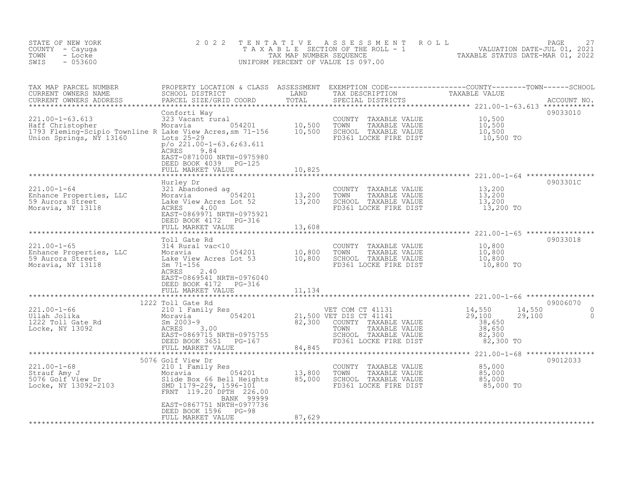| STATE OF NEW YORK<br>COUNTY - Cayuga<br>TOWN<br>- Locke<br>SWIS<br>$-053600$                                                                                                                                                                 | 2 0 2 2                                                                                                                                                                                                                                                       | TENTATIVE | FENTATIVE ASSESSMENT ROLL<br>TAXABLE SECTION OF THE ROLL - 1 VALUATION DATE-JUL 01, 2021<br>TAX MAP NUMBER SEQUENCE TAXABLE STATUS DATE-MAR 01, 2022<br>JNIFORM PERCENT OF VALUE IS 097.00<br>UNIFORM PERCENT OF VALUE IS 097.00 |           |                                                                 |
|----------------------------------------------------------------------------------------------------------------------------------------------------------------------------------------------------------------------------------------------|---------------------------------------------------------------------------------------------------------------------------------------------------------------------------------------------------------------------------------------------------------------|-----------|----------------------------------------------------------------------------------------------------------------------------------------------------------------------------------------------------------------------------------|-----------|-----------------------------------------------------------------|
|                                                                                                                                                                                                                                              |                                                                                                                                                                                                                                                               |           |                                                                                                                                                                                                                                  |           |                                                                 |
| 221.00-1-63.613<br>Haff Christopher Moravia 10,500<br>Moravia 10,500<br>10,500 TOWN TAXABLE VALUE 10,500<br>10,500 TOWN TAXABLE VALUE 10,500<br>10,500 TOWN TAXABLE VALUE 10,500<br>10,500 TOWN TAXABLE VALUE 10,500<br>Union Springs, NY 13 | Conforti Way<br><b>ACRES</b><br>9.84<br>EAST-0871000 NRTH-0975980<br>DEED BOOK 4039 PG-125<br>FULL MARKET VALUE                                                                                                                                               |           |                                                                                                                                                                                                                                  |           | 09033010                                                        |
|                                                                                                                                                                                                                                              |                                                                                                                                                                                                                                                               | 10,825    |                                                                                                                                                                                                                                  |           |                                                                 |
|                                                                                                                                                                                                                                              |                                                                                                                                                                                                                                                               |           | COUNTY TAXABLE VALUE $13,200$<br>TOWN TAXABLE VALUE $13,200$<br>SCHOOL TAXABLE VALUE $13,200$<br>FD361 LOCKE FIRE DIST $13,200$                                                                                                  |           | 0903301C                                                        |
|                                                                                                                                                                                                                                              |                                                                                                                                                                                                                                                               | 13,608    |                                                                                                                                                                                                                                  |           |                                                                 |
|                                                                                                                                                                                                                                              | Toll Gate Rd<br>EAST-0869541 NRTH-0976040<br>DEED BOOK 4172 PG-316                                                                                                                                                                                            |           |                                                                                                                                                                                                                                  |           | 09033018                                                        |
|                                                                                                                                                                                                                                              | FULL MARKET VALUE                                                                                                                                                                                                                                             | 11,134    |                                                                                                                                                                                                                                  |           |                                                                 |
| 221.00-1-66<br>Ullah Jolika<br>1222 Toll Gate Rd<br>Locke, NY 13092                                                                                                                                                                          | 1222 Toll Gate Rd<br>21,500 COM CT 41131 14,550<br>Moravia 14,550<br>Moravia 16,500 VET DIS CT 41141 129,100<br>Sm 2003-9 82,300 COUNTY TAXABLE VALUE 38,650<br>ACRES 3.00 TOWN TAXABLE VALUE 38,650<br>EAST-0869715 NRTH-0975755 SCHOOL TAXABLE VALUE 38,650 |           |                                                                                                                                                                                                                                  | 82,300 TO | 09006070<br>14,550<br>29,100<br>$\Omega$<br>29,100<br>$\bigcap$ |
|                                                                                                                                                                                                                                              | 5076 Golf View Dr                                                                                                                                                                                                                                             |           |                                                                                                                                                                                                                                  |           | 09012033                                                        |
| 221.00-1-68<br>Strauf Amy J<br>5076 Golf View Dr<br>Locke, NY 13092-2103<br>2001 Cocke, NY 13092-2103<br>2003<br>2003<br>2003<br>2003<br>201179-229, 1596-101<br>226.00<br>226.00                                                            | BANK 99999<br>EAST-0867751 NRTH-0977736                                                                                                                                                                                                                       |           | COUNTY TAXABLE VALUE $85,000$<br>TOWN TAXABLE VALUE $85,000$<br>SCHOOL TAXABLE VALUE $85,000$<br>FD361 LOCKE FIRE DIST $85,000$ TO                                                                                               |           |                                                                 |
|                                                                                                                                                                                                                                              | DEED BOOK 1596 PG-98<br>FULL MARKET VALUE                                                                                                                                                                                                                     | 87,629    |                                                                                                                                                                                                                                  |           |                                                                 |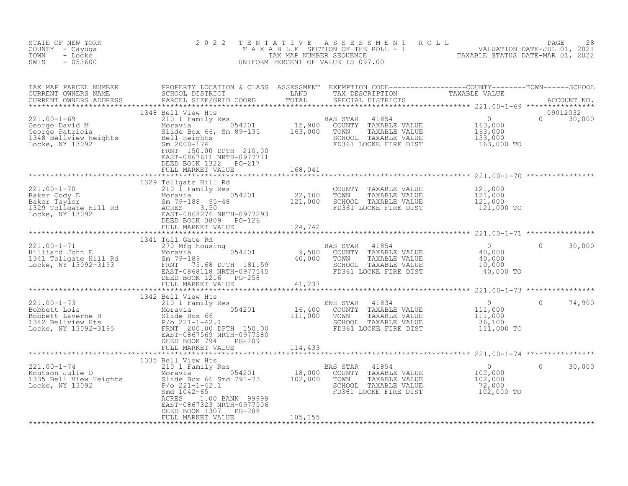| STATE OF NEW YORK<br>COUNTY - Cayuga<br>TOWN<br>- Locke<br>$-053600$<br>SWIS                                                                                                                                                         | 2 0 2 2                                            | TENTATIVE ASSESSMENT ROLL PACE 28<br>TAXABLE SECTION OF THE ROLL - 1 VALUATION DATE-JUL 01, 2021<br>TAX MAP NUMBER SEQUENCE TAXABLE STATUS DATE-MAR 01, 2022<br>UNIFORM PERCENT OF VALUE IS 097.00 |                           |
|--------------------------------------------------------------------------------------------------------------------------------------------------------------------------------------------------------------------------------------|----------------------------------------------------|----------------------------------------------------------------------------------------------------------------------------------------------------------------------------------------------------|---------------------------|
| TAX MAP PARCEL NUMBER PROPERTY LOCATION & CLASS ASSESSMENT EXEMPTION CODE-----------------COUNTY--------TOWN------SCHOOL SCHOOL DISTRICT LAND TAX DESCRIPTION TO TAXABLE VALUE<br>CURRENT OWNERS ADDRESS PARCEL SIZE/GRID COORD T    |                                                    |                                                                                                                                                                                                    | 09012032<br>$0 \t 30,000$ |
| 1348 Bell With the Higher Care (21.00-1-69<br>221.00-1-69 1348 Bell View His School (1988 STAR 41854 0<br>George Pavid Moravia (54201 15,900 COUNTY TAXABLE VALUE<br>SECRE PALTICIA SIMIC SELL Heights SELL Heights SERINT 15090 FOR |                                                    |                                                                                                                                                                                                    |                           |
|                                                                                                                                                                                                                                      |                                                    |                                                                                                                                                                                                    |                           |
|                                                                                                                                                                                                                                      |                                                    |                                                                                                                                                                                                    |                           |
|                                                                                                                                                                                                                                      |                                                    |                                                                                                                                                                                                    |                           |
|                                                                                                                                                                                                                                      |                                                    |                                                                                                                                                                                                    |                           |
|                                                                                                                                                                                                                                      |                                                    |                                                                                                                                                                                                    |                           |
|                                                                                                                                                                                                                                      |                                                    |                                                                                                                                                                                                    |                           |
|                                                                                                                                                                                                                                      |                                                    |                                                                                                                                                                                                    |                           |
|                                                                                                                                                                                                                                      |                                                    |                                                                                                                                                                                                    |                           |
|                                                                                                                                                                                                                                      | DEED BOOK 1307 PG-288<br>FULL MARKET VALUE 105,155 |                                                                                                                                                                                                    |                           |
|                                                                                                                                                                                                                                      |                                                    |                                                                                                                                                                                                    |                           |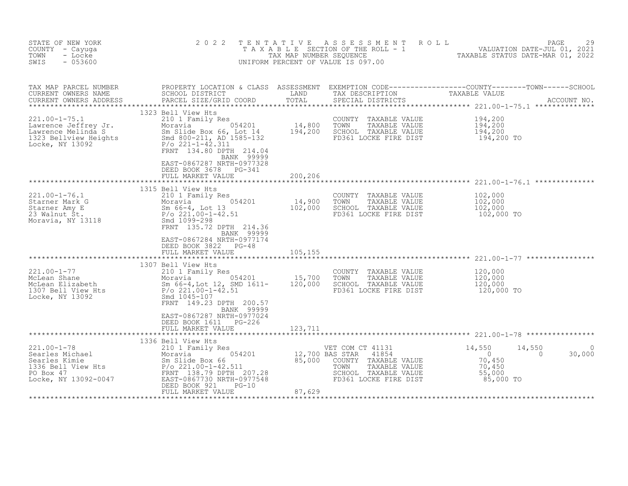| STATE OF NEW YORK<br>COUNTY - Cayuga<br>TOWN<br>- Locke<br>$-053600$<br>SWIS                                                                                                                                                                                                                                                                                     | 2 0 2 2<br>TENTATIVE                                                                                                                     |         | A S S E S S M E N T A O L L<br>UNIFORM PERCENT OF VALUE IS 097.00                                                   | PAGE<br>29<br>TAXABLE SECTION OF THE ROLL - 1<br>TAX MAP NUMBER SEQUENCE TARE ROLL - 1 TAXABLE STATUS DATE-JUL 01, 2021                                                                                                              |
|------------------------------------------------------------------------------------------------------------------------------------------------------------------------------------------------------------------------------------------------------------------------------------------------------------------------------------------------------------------|------------------------------------------------------------------------------------------------------------------------------------------|---------|---------------------------------------------------------------------------------------------------------------------|--------------------------------------------------------------------------------------------------------------------------------------------------------------------------------------------------------------------------------------|
| TAX MAP PARCEL NUMBER<br>CURRENT OWNERS NAME<br>CURRENT OWNERS ADDRESS                                                                                                                                                                                                                                                                                           | PARCEL SIZE/GRID COORD                                                                                                                   |         |                                                                                                                     | PROPERTY LOCATION & CLASS ASSESSMENT EXEMPTION CODE----------------COUNTY--------TOWN------SCHOOL<br>SCHOOL DISTRICT               LAND       TAX DESCRIPTION         TAXABLE VALUE<br>PARCEL SIZE/GRID COORD       TOTAL     SPECIA |
| 221.00-1-75.1<br>Lawrence Jeffrey Jr. 210 1 Family Res<br>Lawrence Melinda S<br>1323 Bellview Heights<br>Locke, NY 13092<br>Locke, NY 13092<br>221-1-42.311<br>FRNT 134.80 DPTH 214 04                                                                                                                                                                           | 1323 Bell View Hts<br>BANK 99999<br>EAST-0867287 NRTH-0977328                                                                            |         | COUNTY TAXABLE VALUE<br>TOWN<br>TAXABLE VALUE<br>SCHOOL TAXABLE VALUE<br>FD361 LOCKE FIRE DIST                      | 194,200<br>$194,200$<br>$194,200$<br>194,200 TO                                                                                                                                                                                      |
|                                                                                                                                                                                                                                                                                                                                                                  | DEED BOOK 3678 PG-341<br>FULL MARKET VALUE                                                                                               | 200,206 |                                                                                                                     |                                                                                                                                                                                                                                      |
| 221.00-1-76.1<br>Starner Mark G<br>Starner Amy E<br>23 Walnut St. P/o 221.00-1-42.51<br>Moravia, NY 13118<br>Moravia, NY 13118<br>P/o 221.00-1-42.51<br>EPNT 135.73.000 SCHOO PORTED PORTERS<br>FRNT 135.73.000 PORTED PORTED PORTED PORTED PO                                                                                                                   | BANK 99999<br>EAST-0867284 NRTH-0977174<br>DEED BOOK 3822 PG-48                                                                          |         | COUNTY TAXABLE VALUE<br>TAXABLE VALUE<br>SCHOOL TAXABLE VALUE<br>FD361 LOCKE FIRE DIST                              | 102,000<br>102,000<br>102,000<br>102,000 TO                                                                                                                                                                                          |
|                                                                                                                                                                                                                                                                                                                                                                  | FULL MARKET VALUE                                                                                                                        | 105,155 |                                                                                                                     |                                                                                                                                                                                                                                      |
| 221.00-1-77<br>McLean Shane<br>McLean Elizabeth Moravia 054201 15,700<br>McLean Elizabeth Sm 66-4,Lot 12, SMD 1611- 120,000<br>1307 Bell View Hts P/o 221.00-1-42.51<br>Locke, NY 13092 Smd 1045-107                                                                                                                                                             | 1307 Bell View Hts<br>210 1 Family Res<br>FRNT 149.23 DPTH 200.57<br>BANK 99999<br>EAST-0867287 NRTH-0977024<br>DEED BOOK 1611    PG-226 |         | COUNTY TAXABLE VALUE<br>TOWN<br>TAXABLE VALUE<br>SCHOOL TAXABLE VALUE<br>FD361 LOCKE FIRE DIST                      | 120,000<br>$\frac{120}{120}$ , 000<br>120, 000<br>120,000 TO                                                                                                                                                                         |
|                                                                                                                                                                                                                                                                                                                                                                  | FULL MARKET VALUE                                                                                                                        | 123,711 |                                                                                                                     |                                                                                                                                                                                                                                      |
| $\begin{tabular}{l c c c c c c} \multicolumn{1}{c}{221.00-1-78}& \multicolumn{1}{c}{1500\;{ {\small 150\;hspace{-0.1cm} {\small 150\;s\;011\;}}\; {\small 1500\;{\small 160\;s\;011\;s\;081}}& \multicolumn{1}{c}{12,700\;{\small 12,700\;{\small 18A\;s\;57AR}}& \hspace{150pt}\text{VET COM C}\\ \text{Searles Kinie} & \multicolumn{1}{c}{21.00-1-42.511}& \$ | 1336 Bell View Hts<br>FULL MARKET VALUE                                                                                                  | 87,629  | VET COM CT 41131<br>41854<br>COUNTY TAXABLE VALUE<br>TAXABLE VALUE<br>SCHOOL TAXABLE VALUE<br>FD361 LOCKE FIRE DIST | 14,550<br>14,550<br>0<br>$\Omega$<br>30,000<br>70,450<br>70,450<br>55,000<br>85,000 TO                                                                                                                                               |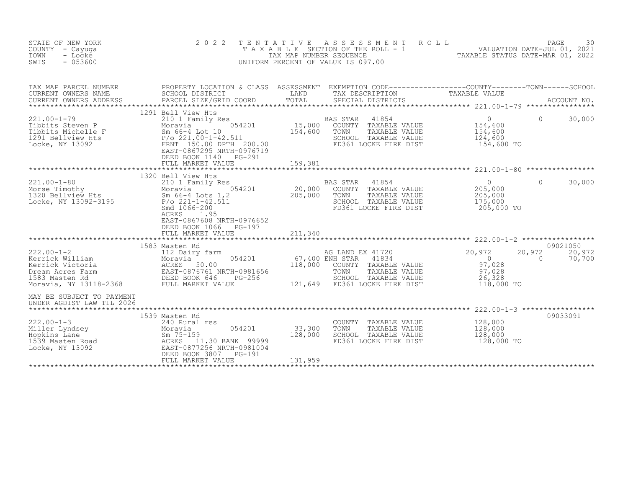| STATE OF NEW YORK<br>COUNTY<br>- Cayuqa<br>TOWN<br>- Locke<br>SWIS<br>$-053600$                                         | 2 0 2 2<br>TAXABLE                                                                                                                                                                                                | T E N T A T I V E<br>TAX MAP NUMBER SEQUENCE<br>UNIFORM PERCENT OF VALUE IS 097.00 | A S S E S S M E N T<br>SECTION OF THE ROLL - 1        |                                                                                                 | ROLL<br>TAXABLE STATUS DATE-MAR 01, 2022                             | VALUATION DATE-JUL 01, 2021 | PAGE<br>30       |
|-------------------------------------------------------------------------------------------------------------------------|-------------------------------------------------------------------------------------------------------------------------------------------------------------------------------------------------------------------|------------------------------------------------------------------------------------|-------------------------------------------------------|-------------------------------------------------------------------------------------------------|----------------------------------------------------------------------|-----------------------------|------------------|
| TAX MAP PARCEL NUMBER<br>CURRENT OWNERS NAME<br>CURRENT OWNERS ADDRESS<br>************************                      | PROPERTY LOCATION & CLASS ASSESSMENT EXEMPTION CODE----------------COUNTY-------TOWN-----SCHOOL<br>SCHOOL DISTRICT<br>PARCEL SIZE/GRID COORD                                                                      | LAND<br>TOTAL                                                                      | TAX DESCRIPTION                                       | SPECIAL DISTRICTS                                                                               | TAXABLE VALUE                                                        |                             | ACCOUNT NO.      |
| $221.00 - 1 - 79$<br>Tibbits Steven P<br>Tibbits Michelle F<br>1291 Bellview Hts<br>Locke, NY 13092                     | 1291 Bell View Hts<br>210 1 Family Res<br>054201<br>Moravia<br>Sm 66-4 Lot 10<br>$P/O$ 221.00-1-42.511<br>FRNT 150.00 DPTH 200.00<br>EAST-0867295 NRTH-0976719<br>DEED BOOK 1140<br>$PG-291$<br>FULL MARKET VALUE | 15,000<br>154,600<br>159,381                                                       | <b>BAS STAR</b><br>TOWN                               | 41854<br>COUNTY TAXABLE VALUE<br>TAXABLE VALUE<br>SCHOOL TAXABLE VALUE<br>FD361 LOCKE FIRE DIST | $\Omega$<br>154,600<br>154,600<br>124,600<br>154,600 TO              | $\bigcap$                   | 30,000           |
|                                                                                                                         |                                                                                                                                                                                                                   |                                                                                    |                                                       |                                                                                                 |                                                                      |                             |                  |
| $221.00 - 1 - 80$<br>Morse Timothy<br>1320 Bellview Hts<br>Locke, NY 13092-3195                                         | 1320 Bell View Hts<br>210 1 Family Res<br>054201<br>Moravia<br>Sm 66-4 Lots 1,2<br>$P/O$ 221-1-42.511<br>Smd 1066-200<br>ACRES<br>1.95<br>EAST-0867608 NRTH-0976652<br>DEED BOOK 1066<br>$PG-197$                 | 20,000<br>205,000                                                                  | <b>BAS STAR</b><br>COUNTY<br>TOWN                     | 41854<br>TAXABLE VALUE<br>TAXABLE VALUE<br>SCHOOL TAXABLE VALUE<br>FD361 LOCKE FIRE DIST        | $\circ$<br>205,000<br>205,000<br>175,000<br>205,000 TO               | $\Omega$                    | 30,000           |
|                                                                                                                         | FULL MARKET VALUE<br>***************                                                                                                                                                                              | 211,340<br>************                                                            |                                                       |                                                                                                 | ******************************* 222.00-1-2 *****************         |                             |                  |
|                                                                                                                         | 1583 Masten Rd                                                                                                                                                                                                    |                                                                                    |                                                       |                                                                                                 |                                                                      |                             | 09021050         |
| $222.00 - 1 - 2$<br>Kerrick William<br>Kerrick Victoria<br>Dream Acres Farm<br>1583 Masten Rd<br>Moravia, NY 13118-2368 | 112 Dairy farm<br>054201<br>Moravia<br>ACRES<br>50.00<br>EAST-0876761 NRTH-0981656<br>DEED BOOK 646<br>$PG-256$<br>FULL MARKET VALUE                                                                              | 118,000<br>121,649                                                                 | AG LAND EX 41720<br>67,400 ENH STAR<br>COUNTY<br>TOWN | 41834<br>TAXABLE VALUE<br>TAXABLE VALUE<br>SCHOOL TAXABLE VALUE<br>FD361 LOCKE FIRE DIST        | 20,972<br>$\overline{0}$<br>97,028<br>97,028<br>26,328<br>118,000 TO | 20,972<br>$\Omega$          | 20,972<br>70,700 |
| MAY BE SUBJECT TO PAYMENT<br>UNDER AGDIST LAW TIL 2026                                                                  |                                                                                                                                                                                                                   |                                                                                    |                                                       |                                                                                                 |                                                                      |                             |                  |
|                                                                                                                         | 1539 Masten Rd                                                                                                                                                                                                    |                                                                                    |                                                       |                                                                                                 |                                                                      |                             | 09033091         |
| $222.00 - 1 - 3$<br>Miller Lyndsey<br>Hopkins Lane<br>1539 Masten Road<br>Locke, NY 13092                               | 240 Rural res<br>054201<br>Moravia<br>$Sm$ 75-159<br>ACRES<br>11.30 BANK 99999<br>EAST-0877256 NRTH-0981004<br>DEED BOOK 3807<br>PG-191                                                                           | 33,300<br>128,000                                                                  | COUNTY<br>TOWN<br>SCHOOL                              | TAXABLE VALUE<br>TAXABLE VALUE<br>TAXABLE VALUE<br>FD361 LOCKE FIRE DIST                        | 128,000<br>128,000<br>128,000<br>128,000 TO                          |                             |                  |
|                                                                                                                         | FULL MARKET VALUE                                                                                                                                                                                                 | 131,959                                                                            |                                                       |                                                                                                 |                                                                      |                             |                  |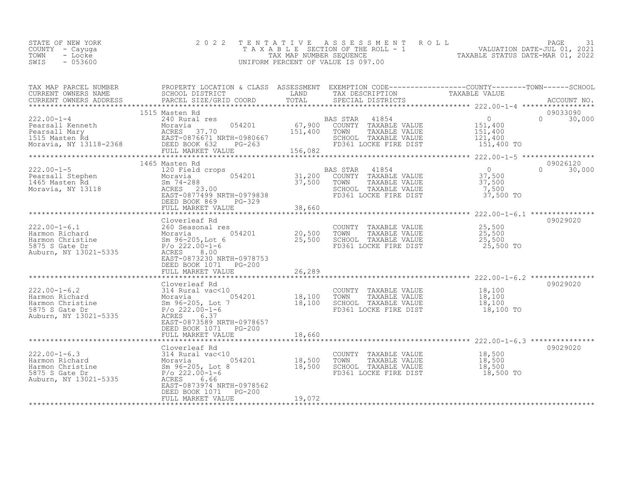| STATE OF NEW YORK | 2022 TENTATIVE ASSESSMENT ROLL        |                                  | PAGE                        |  |
|-------------------|---------------------------------------|----------------------------------|-----------------------------|--|
| COUNTY - Cayuga   | T A X A B L E SECTION OF THE ROLL - 1 |                                  | VALUATION DATE-JUL 01, 2021 |  |
| TOWN<br>- Locke   | TAX MAP NUMBER SEQUENCE               | TAXABLE STATUS DATE-MAR 01, 2022 |                             |  |
| SWIS<br>$-053600$ | UNIFORM PERCENT OF VALUE IS 097.00    |                                  |                             |  |
|                   |                                       |                                  |                             |  |

| TAX MAP PARCEL NUMBER<br>CURRENT OWNERS NAME                                                                                                                                             | PROPERTY LOCATION & CLASS ASSESSMENT EXEMPTION CODE----------------COUNTY-------TOWN-----SCHOOL<br>SCHOOL DISTRICT LAND |                        | TAX DESCRIPTION                                                                                                                                                                   | TAXABLE VALUE                                      |                           |
|------------------------------------------------------------------------------------------------------------------------------------------------------------------------------------------|-------------------------------------------------------------------------------------------------------------------------|------------------------|-----------------------------------------------------------------------------------------------------------------------------------------------------------------------------------|----------------------------------------------------|---------------------------|
|                                                                                                                                                                                          |                                                                                                                         |                        |                                                                                                                                                                                   |                                                    |                           |
| 222.00-1-4<br>Pearsall Kenneth<br>Pearsall Mary<br>1515 Masten Rd<br>Moravia, NY 13118-2368<br>Pearsal Moravia, NY 13118-2368<br>PEAST-0876671<br>FULL MARKET VALUE<br>FULL MARKET VALUE | 1515 Masten Rd<br>FULL MARKET VALUE 15 200                                                                              | $\frac{151,400}{2}$    | BAS STAR 41854 0<br>054201 67,900 COUNTY TAXABLE VALUE 151,400<br>151.400 - 151.400 - 153.400 - 153.400<br>TOWN<br>TAXABLE VALUE<br>SCHOOL TAXABLE VALUE<br>FD361 LOCKE FIRE DIST | $\overline{0}$<br>151,400<br>121,400<br>151,400 TO | 09033090<br>$0 \t 30,000$ |
|                                                                                                                                                                                          | 1465 Masten Rd                                                                                                          |                        |                                                                                                                                                                                   |                                                    | 09026120                  |
|                                                                                                                                                                                          |                                                                                                                         |                        |                                                                                                                                                                                   |                                                    |                           |
|                                                                                                                                                                                          |                                                                                                                         |                        |                                                                                                                                                                                   |                                                    |                           |
|                                                                                                                                                                                          | EAST-0873230 NRTH-0978753<br>DEED BOOK 1071    PG-200                                                                   |                        |                                                                                                                                                                                   |                                                    | 09029020                  |
|                                                                                                                                                                                          |                                                                                                                         |                        |                                                                                                                                                                                   |                                                    |                           |
|                                                                                                                                                                                          | Cloverleaf Rd<br>EAST-0873589 NRTH-0978657<br>DEED BOOK 1071    PG-200                                                  |                        |                                                                                                                                                                                   | 18,100 TO                                          | 09029020                  |
|                                                                                                                                                                                          | FULL MARKET VALUE                                                                                                       | 18,660<br>************ |                                                                                                                                                                                   |                                                    |                           |
|                                                                                                                                                                                          | Cloverleaf Rd<br>EAST-0873974 NRTH-0978562<br>DEED BOOK 1071 PG-200<br>FULL MARKET VALUE                                | 19,072                 |                                                                                                                                                                                   | 18,500 TO                                          | 09029020                  |
|                                                                                                                                                                                          |                                                                                                                         |                        |                                                                                                                                                                                   |                                                    |                           |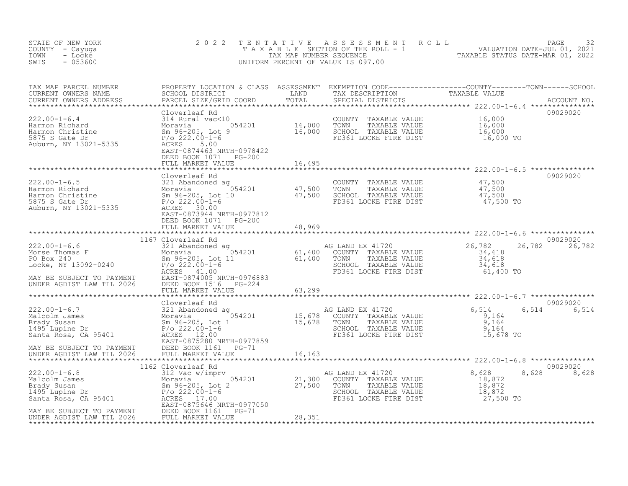| STATE OF NEW YORK<br>COUNTY - Cayuga<br>TOWN<br>- Locke<br>$-053600$<br>SWIS                                                                                                                                                                                                                                                                                                                                                 | 2 0 2 2                                |        |  | TENTATIVE ASSESSMENT ROLL PAGE 32<br>TAXABLE SECTION OF THE ROLL - 1 VALUATION DATE-JUL 01, 2021<br>TAX MAP NUMBER SEQUENCE TAXABLE STATUS DATE-MAR 01, 2022<br>UNIFORM PERCENT OF VALUE IS 097.00 |                           |  |  |
|------------------------------------------------------------------------------------------------------------------------------------------------------------------------------------------------------------------------------------------------------------------------------------------------------------------------------------------------------------------------------------------------------------------------------|----------------------------------------|--------|--|----------------------------------------------------------------------------------------------------------------------------------------------------------------------------------------------------|---------------------------|--|--|
|                                                                                                                                                                                                                                                                                                                                                                                                                              |                                        |        |  |                                                                                                                                                                                                    |                           |  |  |
| $\begin{tabular}{l c c c c c} \multicolumn{1}{c c c c} \multicolumn{1}{c c c} \multicolumn{1}{c c c} \multicolumn{1}{c c} \multicolumn{1}{c c} \multicolumn{1}{c c} \multicolumn{1}{c c} \multicolumn{1}{c c} \multicolumn{1}{c c} \multicolumn{1}{c c} \multicolumn{1}{c c} \multicolumn{1}{c c} \multicolumn{1}{c c} \multicolumn{1}{c c} \multicolumn{1}{c c} \multicolumn{1}{c c} \multicolumn{1}{c c} \multicolumn{1}{$ | DEED BOOK 1071    PG-200               |        |  |                                                                                                                                                                                                    | 09029020                  |  |  |
|                                                                                                                                                                                                                                                                                                                                                                                                                              | FULL MARKET VALUE                      | 16,495 |  |                                                                                                                                                                                                    |                           |  |  |
|                                                                                                                                                                                                                                                                                                                                                                                                                              | Cloverleaf Rd<br>DEED BOOK 1071 PG-200 |        |  |                                                                                                                                                                                                    | 09029020                  |  |  |
|                                                                                                                                                                                                                                                                                                                                                                                                                              | FULL MARKET VALUE                      | 48,969 |  |                                                                                                                                                                                                    |                           |  |  |
| $\begin{tabular}{lllllllllllll} \multicolumn{3}{c}{222.00-1-6.6} & 110 / \text{Cloverleaf Rd} & \text{AG LAND EX 41720} & 222.00-1\\ \text{Morse Thomas F} & 321 \text{ Abandoned ag} & 054201 & 61,400 & \text{COMNY TAXABLE VALUE} & 34,618\\ \text{PO Box 240} & 8m 96-205, \text{ Lot 11} & 61,400 & \text{TOWN TAXABLE VALUE} & 34,618\\ \text{Locke, NY 13092-0240} & 8m 96-205$                                       |                                        |        |  | 61,400 TO                                                                                                                                                                                          | 09029020<br>26,782 26,782 |  |  |
|                                                                                                                                                                                                                                                                                                                                                                                                                              |                                        |        |  |                                                                                                                                                                                                    |                           |  |  |
|                                                                                                                                                                                                                                                                                                                                                                                                                              |                                        |        |  |                                                                                                                                                                                                    | 09029020<br>6,514 6,514   |  |  |
|                                                                                                                                                                                                                                                                                                                                                                                                                              |                                        |        |  |                                                                                                                                                                                                    |                           |  |  |
|                                                                                                                                                                                                                                                                                                                                                                                                                              |                                        |        |  |                                                                                                                                                                                                    | 09029020<br>8,628 8,628   |  |  |
| MAY BE SUBJECT TO PAYMENT<br>MAY BE SUBJECT TO PAYMENT<br>UNDER AGDIST LAW TIL 2026<br>UNDER AGDIST LAW TIL 2026<br>FULL MARKET VALUE                                                                                                                                                                                                                                                                                        |                                        | 28,351 |  |                                                                                                                                                                                                    |                           |  |  |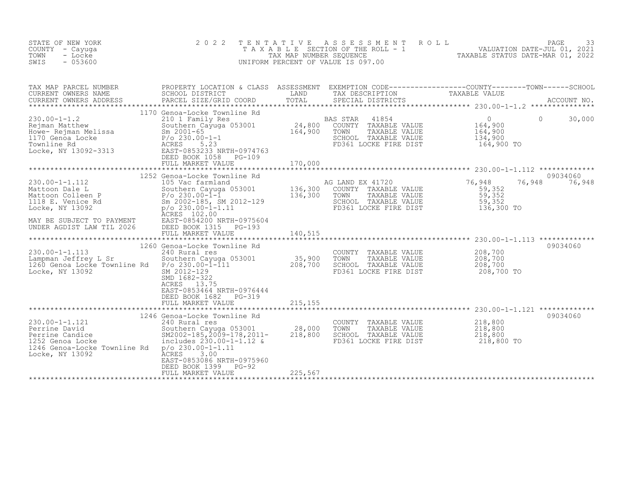| STATE OF NEW YORK<br>COUNTY - Cayuga<br>TOWN<br>- Locke<br>SWIS<br>$-053600$                                                                                                                                                                                           | 2 0 2 2                                                                                                                                                                                                                    | T E N T A T I V E<br>TAX MAP NUMBER SEQUENCE | ASSESSMENT ROLL<br>T A X A B L E SECTION OF THE ROLL - 1<br>UNIFORM PERCENT OF VALUE IS 097.00                                                                       | PAGE<br>33<br>TAXABLE STATUS DATE-JUL 01, 2021<br>TAXABLE STATUS DATE-MAR 01, 2022                                                                                                                                                   |
|------------------------------------------------------------------------------------------------------------------------------------------------------------------------------------------------------------------------------------------------------------------------|----------------------------------------------------------------------------------------------------------------------------------------------------------------------------------------------------------------------------|----------------------------------------------|----------------------------------------------------------------------------------------------------------------------------------------------------------------------|--------------------------------------------------------------------------------------------------------------------------------------------------------------------------------------------------------------------------------------|
| TAX MAP PARCEL NUMBER<br>CURRENT OWNERS NAME                                                                                                                                                                                                                           |                                                                                                                                                                                                                            |                                              |                                                                                                                                                                      | PROPERTY LOCATION & CLASS ASSESSMENT EXEMPTION CODE-----------------COUNTY--------TOWN------SCHOOL<br>SCHOOL DISTRICT               LAND       TAX DESCRIPTION         TAXABLE VALUE<br>PARCEL SIZE/GRID COORD       TOTAL     SPECI |
| CURRENT OWNERS ADDRESS                                                                                                                                                                                                                                                 |                                                                                                                                                                                                                            |                                              |                                                                                                                                                                      |                                                                                                                                                                                                                                      |
|                                                                                                                                                                                                                                                                        | 1170 Genoa-Locke Townline Rd                                                                                                                                                                                               |                                              |                                                                                                                                                                      |                                                                                                                                                                                                                                      |
| 230.00-1-1.2<br>Rejman Matthew<br>Howe- Rejman Melissa<br>1170 Genoa Locke<br>1170 Genoa Locke<br>2001-65<br>2001-65<br>230.00-1-1<br>Townline Rd<br>2002-3313<br>225.23<br>225.23<br>225.23<br>225.23<br>225.23<br>225.23<br>225.23<br>225.23<br>225.23<br>225.23<br> | 210 1 Family Res<br>Southern Cayuga 053001<br>EAST-0853233 NRTH-0974763<br>DEED BOOK 1058<br>PG-109                                                                                                                        |                                              | BAS STAR<br>41854<br>24,800 COUNTY TAXABLE VALUE<br>164,900 TOWN TAXABLE VALUE<br>SCHOOL TAXABLE VALUE<br>FD361 LOCKE FIRE DIST                                      | $\overline{0}$<br>$\Omega$<br>30,000<br>164,900<br>164,900<br>134,900<br>164,900 TO                                                                                                                                                  |
|                                                                                                                                                                                                                                                                        | FULL MARKET VALUE                                                                                                                                                                                                          | 170,000                                      |                                                                                                                                                                      |                                                                                                                                                                                                                                      |
|                                                                                                                                                                                                                                                                        | 1252 Genoa-Locke Townline Rd                                                                                                                                                                                               |                                              |                                                                                                                                                                      | 09034060                                                                                                                                                                                                                             |
| $230.00 - 1 - 1.112$<br>Mattoon Dale L<br>Mattoon Colleen P<br>1118 E. Venice Rd<br>Locke, NY 13092<br>MAY BE SUBJECT TO PAYMENT<br>UNDER AGDIST LAW TIL 2026                                                                                                          | 105 Vac farmland<br>105 Vac farmland<br>Southern Cayuga 053001<br>P/o 230.00-1-1<br>Sm 2002-185, SM 2012-129<br>P/O 230.00-1-1.11<br>ACRES 102.00<br>ACRES 102.00<br>EAST-0854200 NRTH-0975604<br>DEED BOOK 1315<br>PG-193 |                                              | AG LAND EX 41720<br>AG LAND BA TITLE VALUE<br>136,300 COUNTY TAXABLE VALUE<br>136,300 TOWN TAXABLE VALUE<br>SCHOOL TAXABLE VALUE<br>FD361 LOCKE FIRE DIST 136,300 TO | 76,948<br>76,948<br>76,948<br>59,352<br>59,352<br>59,352                                                                                                                                                                             |
|                                                                                                                                                                                                                                                                        | FULL MARKET VALUE                                                                                                                                                                                                          | 140,515                                      |                                                                                                                                                                      |                                                                                                                                                                                                                                      |
|                                                                                                                                                                                                                                                                        | 1260 Genoa-Locke Townline Rd                                                                                                                                                                                               |                                              |                                                                                                                                                                      | 09034060                                                                                                                                                                                                                             |
| 230.00-1-1.113<br>Lampman Jeffrey L Sr<br>1260 Genoa Locke Townline Rd P/o 230.00-1-111<br>Locke, NY 13092                                                                                                                                                             | 240 Rural res<br>Southern Cayuga 053001<br>SM 2012-129<br>SMD 1682-322<br>ACRES 13.75<br>EAST-0853464 NRTH-0976444<br>DEED BOOK 1682 PG-319<br>FULL MARKET VALUE                                                           | 35,900<br>208,700<br>215,155                 | COUNTY TAXABLE VALUE<br>TOWN<br>TAXABLE VALUE<br>SCHOOL TAXABLE VALUE<br>FD361 LOCKE FIRE DIST                                                                       | 208,700<br>208,700<br>208,700<br>208,700 TO                                                                                                                                                                                          |
|                                                                                                                                                                                                                                                                        |                                                                                                                                                                                                                            |                                              |                                                                                                                                                                      |                                                                                                                                                                                                                                      |
| $230.00 - 1 - 1.121$<br>----ne pavid<br>Perrine Candice<br>1252 Genoa Locke<br>1246 Genoa-Locke Ferrin<br>1246 Genoa-Locke Townline Rd p/o 230.00-1-1.11<br>Locke, NY 13092                                                                                            | 1246 Genoa-Locke Townline Rd<br>240 Rural res<br>Southern Cayuga 053001 28,000<br>SM2002-185,2009-178,2011- 218,800<br>includes 230.00-1-1.12 &<br>ĀCRES<br>3.00<br>EAST-0853086 NRTH-0975960<br>PG-92<br>DEED BOOK 1399   |                                              | COUNTY TAXABLE VALUE<br>TOWN<br>TAXABLE VALUE<br>SCHOOL TAXABLE VALUE<br>FD361 LOCKE FIRE DIST                                                                       | 09034060<br>218,800<br>218,800<br>218,800<br>218,800 TO                                                                                                                                                                              |
|                                                                                                                                                                                                                                                                        | FULL MARKET VALUE                                                                                                                                                                                                          | 225,567                                      |                                                                                                                                                                      |                                                                                                                                                                                                                                      |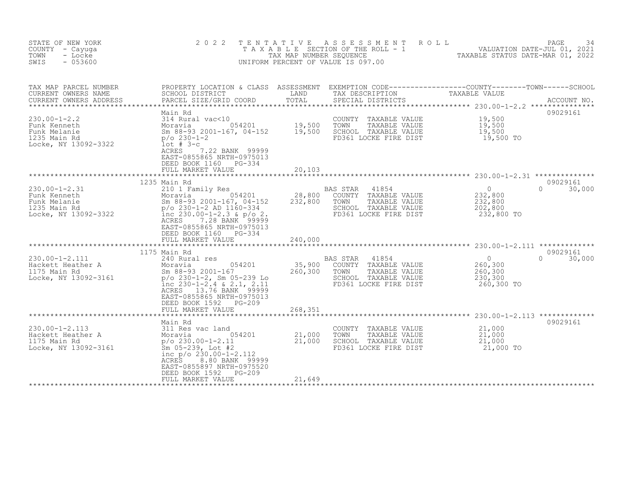| STATE OF NEW YORK<br>COUNTY - Cayuga<br>TOWN<br>- Locke<br>SWIS<br>$-053600$                                                             | 2 0 2 2<br>TAXABLE                                                                                                                                                                                                                                                                                                    | T E N T A T I V E<br>TAX MAP NUMBER SEQUENCE | A S S E S S M E N T<br>UNIFORM PERCENT OF VALUE IS 097.00                                                                                                                  | ROLL<br>PAGE<br>34<br>SECTION OF THE ROLL - 1 VALUATION DATE-JUL 01, 2021<br>NUMBER SEQUENCE CONTROLL TAXABLE STATUS DATE-MAR 01. 2022<br>TAXABLE STATUS DATE-MAR 01, 2022 |
|------------------------------------------------------------------------------------------------------------------------------------------|-----------------------------------------------------------------------------------------------------------------------------------------------------------------------------------------------------------------------------------------------------------------------------------------------------------------------|----------------------------------------------|----------------------------------------------------------------------------------------------------------------------------------------------------------------------------|----------------------------------------------------------------------------------------------------------------------------------------------------------------------------|
| TAX MAP PARCEL NUMBER<br>CURRENT OWNERS NAME<br>CURRENT OWNERS ADDRESS                                                                   | SCHOOL DISTRICT<br>PARCEL SIZE/GRID COORD<br>Main Rd                                                                                                                                                                                                                                                                  | LAND<br>TOTAL                                | TAX DESCRIPTION<br>SPECIAL DISTRICTS                                                                                                                                       | PROPERTY LOCATION & CLASS ASSESSMENT EXEMPTION CODE----------------COUNTY-------TOWN-----SCHOOL<br>TAXABLE VALUE<br>ACCOUNT NO.<br>09029161                                |
| $230.00 - 1 - 2.2$<br>Funk Kenneth<br>Funk Melanie<br>1235 Main Rd<br>Locke, NY 13092-3322                                               | 314 Rural vac<10<br>Moravia 054201<br>Sm 88-93 2001-167, 04-152<br>$p/O 230-1-2$<br>$1$ ot # 3-c<br>7.22 BANK 99999<br>ACRES<br>EAST-0855865 NRTH-0975013<br>DEED BOOK 1160 PG-334<br>FULL MARKET VALUE                                                                                                               | 19,500<br>19,500<br>20,103                   | COUNTY<br>TAXABLE VALUE<br>TOWN<br>TAXABLE VALUE<br>SCHOOL TAXABLE VALUE<br>FD361 LOCKE FIRE DIST                                                                          | 19,500<br>19,500<br>19,500<br>19,500 TO                                                                                                                                    |
|                                                                                                                                          |                                                                                                                                                                                                                                                                                                                       | ***********                                  |                                                                                                                                                                            | *********************** 230.00-1-2.31 **************                                                                                                                       |
| $230.00 - 1 - 2.31$<br>Funk Kenneth<br>Funk Melanie<br>1235 Main Rd<br>Locke, NY 13092-3322<br>$230.00 - 1 - 2.111$<br>Hackett Heather A | 1235 Main Rd<br>210 1 Family Res<br>054201<br>Moravia<br>Sm 88-93 2001-167, 04-152<br>$p/o$ 230-1-2 AD 1160-334<br>inc $230.00-1-2.3$ & $p/o$ 2.<br>ACRES<br>EAST-0855865 NRTH-0975013<br>DEED BOOK 1160<br>PG-334<br>FULL MARKET VALUE<br>********************<br>1175 Main Rd<br>240 Rural res<br>054201<br>Moravia | 28,800<br>232,800<br>240,000<br>35,900       | <b>BAS STAR</b><br>41854<br>COUNTY TAXABLE VALUE<br>TOWN<br>TAXABLE VALUE<br>SCHOOL TAXABLE VALUE<br>FD361 LOCKE FIRE DIST<br>BAS STAR<br>41854<br>TAXABLE VALUE<br>COUNTY | 09029161<br>$\circ$<br>$\Omega$<br>30,000<br>232,800<br>232,800<br>202,800<br>232,800 TO<br>09029161<br>$\overline{0}$<br>$\Omega$<br>30,000<br>260,300                    |
| 1175 Main Rd<br>Locke, NY 13092-3161                                                                                                     | Sm 88-93 2001-167<br>$p$ /o 230-1-2, Sm 05-239 Lo<br>inc $230-1-2.4 \times 2.1$ , $2.11$<br>13.76 BANK 99999<br>ACRES<br>EAST-0855865 NRTH-0975013<br>DEED BOOK 1592<br>$PG-209$<br>FULL MARKET VALUE                                                                                                                 | 260,300<br>268,351                           | TOWN<br>TAXABLE VALUE<br>SCHOOL TAXABLE VALUE<br>FD361 LOCKE FIRE DIST                                                                                                     | 260,300<br>230,300<br>260,300 TO                                                                                                                                           |
|                                                                                                                                          | Main Rd                                                                                                                                                                                                                                                                                                               |                                              |                                                                                                                                                                            | 09029161                                                                                                                                                                   |
| $230.00 - 1 - 2.113$<br>Hackett Heather A<br>1175 Main Rd<br>Locke, NY 13092-3161                                                        | 311 Res vac land<br>054201<br>Moravia<br>p/o 230.00-1-2.11<br>Sm 05-239, Lot #2<br>inc $p$ / $o$ 230.00-1-2.112<br>8.80 BANK 99999<br>ACRES<br>EAST-0855897 NRTH-0975520<br>DEED BOOK 1592<br>$PG-209$<br>FULL MARKET VALUE                                                                                           | 21,000<br>21,000<br>21,649                   | COUNTY<br>TAXABLE VALUE<br>TOWN<br>TAXABLE VALUE<br>SCHOOL TAXABLE VALUE<br>FD361 LOCKE FIRE DIST                                                                          | 21,000<br>21,000<br>21,000<br>21,000 TO                                                                                                                                    |
|                                                                                                                                          |                                                                                                                                                                                                                                                                                                                       |                                              |                                                                                                                                                                            |                                                                                                                                                                            |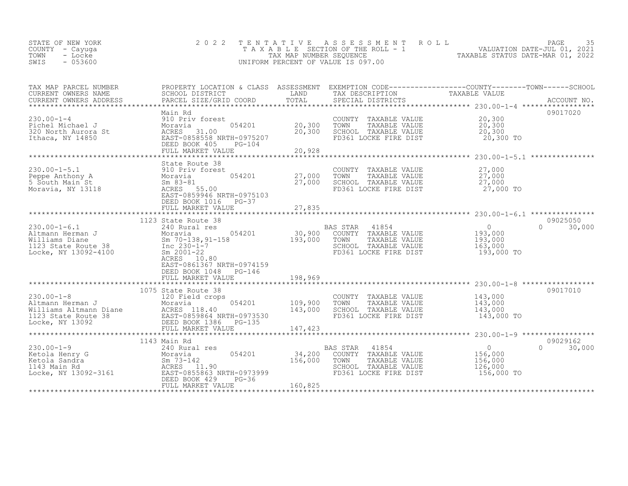| STATE OF NEW YORK<br>COUNTY – Cayuga<br>TOWN<br>- Locke | 2022 TENTATIVE ASSESSMENT ROLL<br>TAXABLE SECTION OF THE ROLL - 1<br>TAX MAP NUMBER SEOUENCE | TAXABLE STATUS DATE-MAR 01, 2022 | PAGE<br>VALUATION DATE-JUL 01, 2021 |  |
|---------------------------------------------------------|----------------------------------------------------------------------------------------------|----------------------------------|-------------------------------------|--|
| $-053600$<br>SWIS                                       | UNIFORM PERCENT OF VALUE IS 097.00                                                           |                                  |                                     |  |

| TAX MAP PARCEL NUMBER<br>CURRENT OWNERS NAME                                                                                                                                                                                                                        | PROPERTY LOCATION & CLASS ASSESSMENT EXEMPTION CODE----------------COUNTY-------TOWN-----SCHOOL<br>SCHOOL DISTRICT | LAND               | TAX DESCRIPTION                                                                                                                      | TAXABLE VALUE                                                                                |                              |
|---------------------------------------------------------------------------------------------------------------------------------------------------------------------------------------------------------------------------------------------------------------------|--------------------------------------------------------------------------------------------------------------------|--------------------|--------------------------------------------------------------------------------------------------------------------------------------|----------------------------------------------------------------------------------------------|------------------------------|
| CURRENT OWNERS ADDRESS                                                                                                                                                                                                                                              |                                                                                                                    |                    |                                                                                                                                      |                                                                                              |                              |
|                                                                                                                                                                                                                                                                     | Main Rd                                                                                                            |                    |                                                                                                                                      |                                                                                              | 09017020                     |
| 230.00-1-4<br>Pichel Michael J<br>320 North Aurora St<br>320 North Aurora St<br>320 North Aurora St<br>320 North Aurora St<br>320 North ACRES<br>20 North ACRES<br>21.00<br>20 North ACRES<br>21.00<br>20 North ACRES<br>21.00<br>20 North ACRES<br>21.00<br>       | 054201                                                                                                             | 20,300<br>20,300   | COUNTY TAXABLE VALUE 20,300<br>TOWN<br>TAXABLE VALUE<br>FD361 LOCKE FIRE DIST                                                        | 20,300<br>20,300 TO                                                                          |                              |
|                                                                                                                                                                                                                                                                     | FULL MARKET VALUE                                                                                                  | 20,928             |                                                                                                                                      |                                                                                              |                              |
|                                                                                                                                                                                                                                                                     | State Route 38                                                                                                     |                    |                                                                                                                                      |                                                                                              |                              |
| 230.00-1-5.1<br>Peppe Anthony A 310 Priv forest<br>5 South Main St Sm 83-81<br>Moravia, NY 13118<br>Moravia, NY 13118<br>EAST-0859946 NRT                                                                                                                           | 054201 27,000<br>EAST-0859946 NRTH-0975103<br>DEED BOOK 1016 PG-37                                                 | 27,000             | COUNTY TAXABLE VALUE $27,000$<br>TOWN TAXABLE VALUE $27,000$<br>SCHOOL TAXABLE VALUE $27,000$<br>FD361 LOCKE FIRE DIST $27,000$ TO   |                                                                                              |                              |
|                                                                                                                                                                                                                                                                     | FULL MARKET VALUE                                                                                                  | 27,835             |                                                                                                                                      |                                                                                              |                              |
|                                                                                                                                                                                                                                                                     | 1123 State Route 38<br>ACRES 10.80<br>EAST-0861367 NRTH-0974159<br>DEED BOOK 1048 PG-146                           | ***************    | FD361 LOCKE FIRE DIST                                                                                                                | $\begin{smallmatrix} & & 0 \\ 193,000 \end{smallmatrix}$<br>193,000<br>163,000<br>193,000 TO | 09025050<br>$\cap$<br>30,000 |
|                                                                                                                                                                                                                                                                     | 1075 State Route 38                                                                                                |                    |                                                                                                                                      |                                                                                              | 09017010                     |
| 230.00-1-8<br>Altmann Herman J<br>Moravia 120 Field crops<br>Moravia 054201 109,900<br>Williams Altmann Diane ACRES 118.40 1123 State Route 38<br>Locke, NY 13092 DEED BOOK 1366 NRTH-0973530<br>Locke, NY 13092 DEED BOOK 13092                                    | 054201 109,900                                                                                                     |                    | COUNTY TAXABLE VALUE 143,000<br>TOWN TAXABLE VALUE 143.000<br>TOWN<br>TAXABLE VALUE<br>SCHOOL TAXABLE VALUE<br>FD361 LOCKE FIRE DIST | 143,000<br>143,000<br>143,000 TO                                                             |                              |
|                                                                                                                                                                                                                                                                     |                                                                                                                    |                    |                                                                                                                                      |                                                                                              |                              |
| 230.00-1-9<br>Etola Henry G<br>Etola Sandra<br>1143 Main Rd<br>1143 Main Rd<br>1143 Main Rd<br>1143 Main Rd<br>2054201<br>2054201<br>20513699<br>20513699<br>20513699<br>20513699<br>20513699<br>20513699<br>20513699<br>20513699<br>20513699<br>20513699<br>205136 | 1143 Main Rd<br>$054201$ $34,200$<br>DEED BOOK 429<br>$PG-36$<br>FULL MARKET VALUE                                 | 156,000<br>160,825 | 41854<br><b>BAS STAR</b><br>COUNTY TAXABLE VALUE<br>TOWN<br>TAXABLE VALUE<br>SCHOOL TAXABLE VALUE<br>FD361 LOCKE FIRE DIST           | $\frac{1}{1-\epsilon}$<br>156,000<br>156,000<br>126,000<br>156,000 TO                        | 09029162<br>$\cap$<br>30,000 |
|                                                                                                                                                                                                                                                                     |                                                                                                                    |                    |                                                                                                                                      |                                                                                              |                              |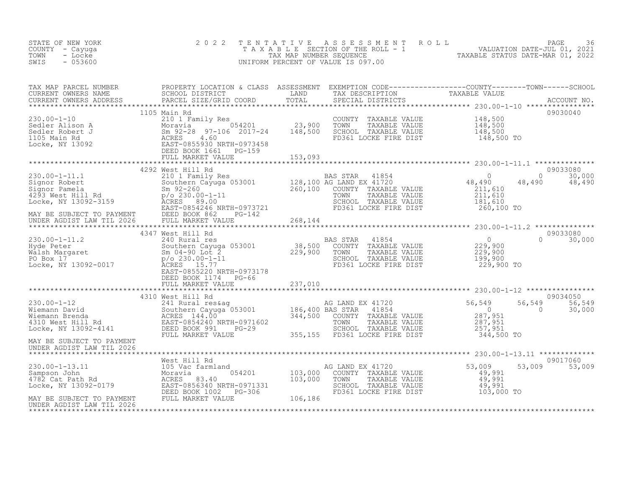| STATE OF NEW YORK<br>COUNTY - Cayuga<br>- Locke<br>TOWN<br>$-053600$<br>SWIS                                                                                                                                                                                                                                                                   | 2 0 2 2           | TENTATIVE | TENTATIVE ASSESSMENT ROLL<br>TAXABLE SECTION OF THE ROLL - 1 VALUATION DATE-JUL 01, 2021<br>TAX MAP NUMBER SEQUENCE TAXABLE STATUS DATE-MAR 01, 2022<br>JNIFORM PERCENT OF VALUE IS 097.00<br>UNIFORM PERCENT OF VALUE IS 097.00 |                            |                                      |                  |
|------------------------------------------------------------------------------------------------------------------------------------------------------------------------------------------------------------------------------------------------------------------------------------------------------------------------------------------------|-------------------|-----------|----------------------------------------------------------------------------------------------------------------------------------------------------------------------------------------------------------------------------------|----------------------------|--------------------------------------|------------------|
| TAX MAP PARCEL NUMBER<br>CURRENT OWNERS NAME SCHOOL DISTRICT LOCATION & CLASS ASSESSMENT EXEMPTION CODE----------------COUNTY--------TOWN------SCHOOL<br>CURRENT OWNERS NAME PARCEL SIZE/GRID COORD TOTAL SPECIAL DISTRICTS<br>TAXAB                                                                                                           |                   |           |                                                                                                                                                                                                                                  |                            |                                      |                  |
| 1105 Main Rd                                                                                                                                                                                                                                                                                                                                   |                   |           |                                                                                                                                                                                                                                  |                            | 09030040                             |                  |
|                                                                                                                                                                                                                                                                                                                                                | 4292 West Hill Rd |           |                                                                                                                                                                                                                                  |                            | 09033080                             |                  |
| $\begin{tabular}{lllllllllll} 230.00-1-11.1 & 4292 West Hill Rd & BAS STAR & 41854 & 09033080 \\ \hline \text{Signor Robert} & 210 1 Fermily Res & 0.00000 & 30,0000 \\ \text{Signor Pamela} & 5m 92-260 & 200.000000 & 128,100 AG LAND EX 41720 & 48,490 & 48,490 & 30,000 \\ \text{Signor Pamela} & 5m 92-260 & 201.610 & 0.000000000000000$ |                   |           |                                                                                                                                                                                                                                  |                            |                                      |                  |
|                                                                                                                                                                                                                                                                                                                                                |                   |           |                                                                                                                                                                                                                                  |                            |                                      |                  |
| 330.00-1-11.2<br>230.00-1-11.2<br>230.00-1-11.2<br>240 Rural res<br>229,900<br>229,900<br>229,900<br>229,900<br>229,900<br>229,900<br>229,900<br>229,900<br>229,900<br>229,900<br>229,900<br>229,900<br>229,900<br>229,900<br>229,900<br>229,900<br>229,900<br>229,900<br>                                                                     |                   |           |                                                                                                                                                                                                                                  |                            | 09033080<br>$\Omega$                 | 30,000           |
|                                                                                                                                                                                                                                                                                                                                                |                   |           |                                                                                                                                                                                                                                  |                            |                                      |                  |
|                                                                                                                                                                                                                                                                                                                                                |                   |           |                                                                                                                                                                                                                                  |                            | 09034050<br>56,549<br>$\overline{0}$ | 56,549<br>30,000 |
| MAY BE SUBJECT TO PAYMENT<br>UNDER AGDIST LAW TIL 2026                                                                                                                                                                                                                                                                                         |                   |           |                                                                                                                                                                                                                                  |                            |                                      |                  |
|                                                                                                                                                                                                                                                                                                                                                |                   |           | TOWN TAXABLE VALUE 49,991<br>SCHOOL TAXABLE VALUE 49,991<br>FD361 LOCKE FIRE DIST 103,000 TO                                                                                                                                     | 53,009<br>49,991<br>49,991 | 09017060<br>53,009 53,009            |                  |
|                                                                                                                                                                                                                                                                                                                                                |                   |           |                                                                                                                                                                                                                                  |                            |                                      |                  |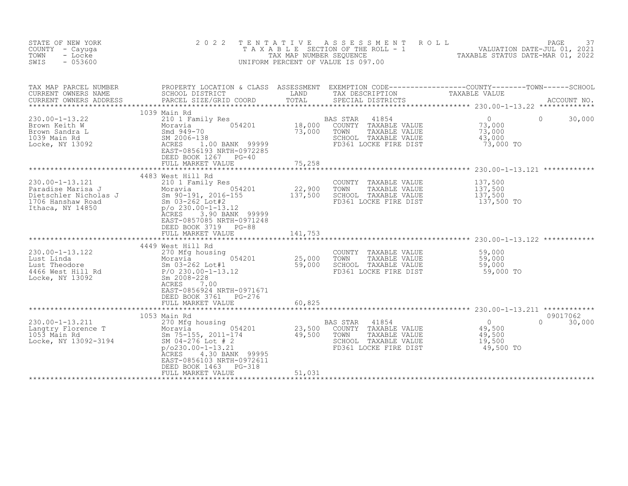| STATE OF NEW YORK<br>COUNTY - Cayuga<br>TOWN<br>- Locke<br>SWIS<br>$-053600$                                                                                                       | 2 0 2 2                                                                                                                                                                                                                                                        |                              | ROLL<br>TENTATIVE ASSESSMENT<br>UNIFORM PERCENT OF VALUE IS 097.00                                                     | PAGE<br>T A X A B L E SECTION OF THE ROLL - 1 WALUATION DATE-JUL 01, 2021<br>TAX MAP NUMBER SEQUENCE TAXABLE STATUS DATE-MAR 01, 2022 | 37     |
|------------------------------------------------------------------------------------------------------------------------------------------------------------------------------------|----------------------------------------------------------------------------------------------------------------------------------------------------------------------------------------------------------------------------------------------------------------|------------------------------|------------------------------------------------------------------------------------------------------------------------|---------------------------------------------------------------------------------------------------------------------------------------|--------|
| TAX MAP PARCEL NUMBER<br>CURRENT OWNERS NAME<br>CURRENT OWNERS ADDRESS                                                                                                             | SCHOOL DISTRICT<br>PARCEL SIZE/GRID COORD                                                                                                                                                                                                                      | LAND<br>TOTAL                | TAX DESCRIPTION<br>SPECIAL DISTRICTS                                                                                   | PROPERTY LOCATION & CLASS ASSESSMENT EXEMPTION CODE----------------COUNTY-------TOWN------SCHOOL<br>TAXABLE VALUE<br>ACCOUNT NO.      |        |
| $230.00 - 1 - 13.22$<br>Brown Keith W<br>Brown Sandra L<br>1039 Main Rd<br>Locke, NY 13092                                                                                         | 1039 Main Rd<br>210 1 Family Res<br>Moravia<br>Smd 949-70<br>SM 2006-13 <sup>5</sup><br>ACRES 1<br>FAST-0856<br>054201<br>SM 2006-138<br>ACRES 1.00 BANK 99999<br>EAST-0856193 NRTH-0972285<br>DEED BOOK 1267<br>$PG-40$<br>FULL MARKET VALUE                  | 18,000<br>73,000<br>75,258   | 41854<br>BAS STAR<br>TAXABLE VALUE<br>COUNTY<br>TAXABLE VALUE<br>TOWN<br>SCHOOL TAXABLE VALUE<br>FD361 LOCKE FIRE DIST | $\overline{0}$<br>$\Omega$<br>73,000<br>73,000<br>43,000<br>73,000 TO                                                                 | 30,000 |
| $230.00 - 1 - 13.121$<br>Paradise Marisa J<br>Paradise Marisa J<br>Dietschler Nicholas J<br>1706 Hanshaw Road<br>1706 Hanshaw Road<br>1706 Hanshaw Road<br>1850 100-230.00-1-13.12 | 4483 West Hill Rd<br>210 1 Family Res<br>054201<br>Moravia<br>ACRES<br>3.90 BANK 99999<br>EAST-0857085 NRTH-0971248<br>DEED BOOK 3719<br>PG-88<br>FULL MARKET VALUE                                                                                            | 22,900<br>137,500<br>141,753 | COUNTY TAXABLE VALUE<br>TOWN<br>TAXABLE VALUE<br>SCHOOL TAXABLE VALUE<br>FD361 LOCKE FIRE DIST                         | 137,500<br>137,500<br>137,500<br>137,500 TO                                                                                           |        |
| 230.00-1-13.122<br>Lust Linda<br>Lust Theodore<br>Lust Theodore<br>4466 West Hill Rd<br>Locke, NY 13092<br>Locke, NY 13092                                                         | 4449 West Hill Rd<br>270 Mfg housing<br>270 Mfg housing<br>Moravia 054<br>Sm 03-262 Lot#1<br>P/O 230.00-1-13.12<br>054201<br>Sm 2008-228<br>ACRES<br>7.00<br>EAST-0856924 NRTH-0971671<br>DEED BOOK 3761<br>$PG-276$<br>FULL MARKET VALUE                      | 25,000<br>59,000<br>60,825   | COUNTY TAXABLE VALUE<br>TOWN<br>TAXABLE VALUE<br>SCHOOL TAXABLE VALUE<br>FD361 LOCKE FIRE DIST                         | 59,000<br>59,000<br>59,000<br>59,000 TO                                                                                               |        |
| 230.00-1-13.211<br>Langtry Florence T<br>1053 Main Rd<br>Locke, NY 13092-3194                                                                                                      | 1053 Main Rd<br>270 Mfg housing<br>Moravia 0542<br>Sm 75-155, 2011-174<br>SM 04-276 Lot #2<br>054201<br>SM 04-276 Lot # 2<br>$p/0230.00 - 1 - 13.21$<br>4.30 BANK 99995<br>ACRES<br>EAST-0856103 NRTH-0972611<br>DEED BOOK 1463<br>PG-318<br>FULL MARKET VALUE | 23,500<br>49,500<br>51,031   | BAS STAR<br>41854<br>COUNTY<br>TAXABLE VALUE<br>TOWN<br>TAXABLE VALUE<br>SCHOOL TAXABLE VALUE<br>FD361 LOCKE FIRE DIST | 09017062<br>$\overline{0}$<br>$\Omega$<br>49,500<br>49,500<br>19,500<br>49,500 TO                                                     | 30,000 |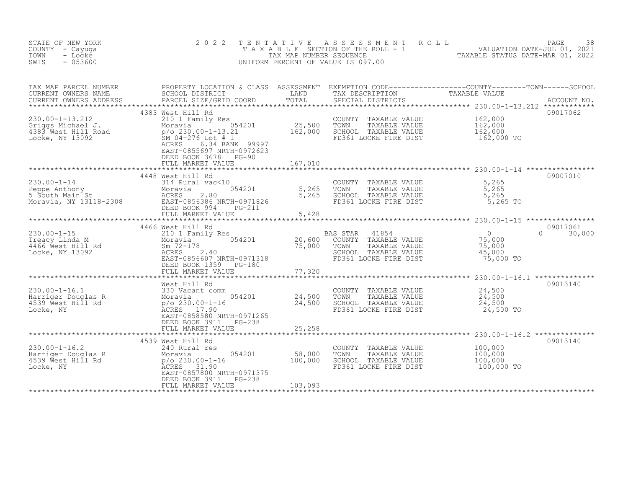| STATE OF NEW YORK<br>COUNTY - Cayuga<br>TOWN<br>- Locke<br>$-053600$<br>SWIS                                          | 2 0 2 2                                                                                                                                                                                                            | TENTATIVE                    | A S S E S S M E N T<br>UNIFORM PERCENT OF VALUE IS 097.00                                                           | PAGE<br>ROLL<br>38                                                                                                                                                                                                                                                                                                                         |
|-----------------------------------------------------------------------------------------------------------------------|--------------------------------------------------------------------------------------------------------------------------------------------------------------------------------------------------------------------|------------------------------|---------------------------------------------------------------------------------------------------------------------|--------------------------------------------------------------------------------------------------------------------------------------------------------------------------------------------------------------------------------------------------------------------------------------------------------------------------------------------|
| TAX MAP PARCEL NUMBER<br>CURRENT OWNERS NAME<br>CURRENT OWNERS ADDRESS                                                | PROPERTY LOCATION & CLASS ASSESSMENT<br>SCHOOL DISTRICT<br>PARCEL SIZE/GRID COORD                                                                                                                                  | <b>LAND</b><br>TOTAL         | SPECIAL DISTRICTS                                                                                                   | ${\small \begin{array}{ll} \texttt{EXEMPTION} & \texttt{CODE} \texttt{---} \texttt{---} \texttt{---} \texttt{---} \texttt{---} \texttt{--COUNTY} \texttt{---} \texttt{---} \texttt{TOWN} \texttt{---} \texttt{---} \texttt{SCHOOL} \\ \texttt{TAX} & \texttt{DESCRIPTION} & \texttt{TAXABLE} & \texttt{VALUE} \end{array}}$<br>ACCOUNT NO. |
| $230.00 - 1 - 13.212$<br>Griggs Michael J.<br>4383 West Hill Road<br>Locke, NY 13092<br>Locke, NY 13092               | 4383 West Hill Rd<br>210 1 Family Res<br>054201<br>Moravia<br>p/o 230.00-1-13.21<br>SM $04-276$ Lot # 1<br>6.34 BANK 99997<br>ACRES<br>EAST-0855697 NRTH-0972623<br>DEED BOOK 3678<br>$PG-90$<br>FULL MARKET VALUE | 25,500<br>162,000<br>167,010 | COUNTY TAXABLE VALUE<br>TOWN<br>TAXABLE VALUE<br>SCHOOL TAXABLE VALUE<br>FD361 LOCKE FIRE DIST                      | 09017062<br>162,000<br>162,000<br>162,000<br>162,000 TO                                                                                                                                                                                                                                                                                    |
| $230.00 - 1 - 14$<br>Peppe Anthony<br>5 South Main St<br>Moravia, NY 13118-2308<br>Moravia, NY 13118-2308<br>EAST-085 | 4448 West Hill Rd<br>314 Rural vac<10<br>054201<br>2.80<br>EAST-0856386 NRTH-0971826<br>DEED BOOK 994<br>PG-211<br>FULL MARKET VALUE                                                                               | 5,265<br>5,265<br>5,428      | COUNTY TAXABLE VALUE<br>TOWN<br>TAXABLE VALUE<br>SCHOOL TAXABLE VALUE<br>FD361 LOCKE FIRE DIST                      | 09007010<br>5,265<br>5,265<br>5,265<br>5,265 TO                                                                                                                                                                                                                                                                                            |
| $230.00 - 1 - 15$<br>Treacy Linda M<br>4466 West Hill Rd<br>Locke, NY 13092                                           | 4466 West Hill Rd<br>210 1 Family Res<br>054201<br>Moravia<br>Sm 72-178<br>ACRES 2.40<br>EAST-0856607 NRTH-0971318<br>DEED BOOK 1359 PG-180<br>FULL MARKET VALUE                                                   | 20,600<br>75,000<br>77,320   | 41854<br>BAS STAR<br>COUNTY TAXABLE VALUE<br>TOWN<br>TAXABLE VALUE<br>SCHOOL TAXABLE VALUE<br>FD361 LOCKE FIRE DIST | 09017061<br>$\overline{0}$<br>$\Omega$<br>30,000<br>$75,000$<br>$75,000$<br>75,000<br>45,000<br>75,000 TO                                                                                                                                                                                                                                  |
| $230.00 - 1 - 16.1$<br>Harriger Douglas R<br>4539 Ŵest Hill Rd<br>Locke, NY                                           | West Hill Rd<br>330 Vacant comm<br>Moravia<br>P/o 230.00-1-16<br>054201<br>ACRES 17.90<br>EAST-0858580 NRTH-0971265<br>DEED BOOK 3911 PG-238<br>FULL MARKET VALUE                                                  | 24,500<br>24,500<br>25,258   | COUNTY TAXABLE VALUE<br>TOWN<br>TAXABLE VALUE<br>SCHOOL TAXABLE VALUE<br>FD361 LOCKE FIRE DIST                      | 09013140<br>24,500<br>24,500<br>24,500<br>24,500 TO                                                                                                                                                                                                                                                                                        |
| $230.00 - 1 - 16.2$<br>Harriger Douglas R<br>"The Mest Hill Rd<br>4539 West Hill Rd<br>Locke, NY                      | 4539 West Hill Rd<br>240 Rural res<br>054201<br>Moravia<br>$p$ /o 230.00-1-16<br>ACRES 31.90<br>EAST-0857800 NRTH-0971375<br>DEED BOOK 3911<br>$PG-238$<br>FULL MARKET VALUE                                       | 58,000<br>100,000<br>103,093 | COUNTY TAXABLE VALUE<br>TOWN<br>TAXABLE VALUE<br>SCHOOL TAXABLE VALUE<br>FD361 LOCKE FIRE DIST                      | 09013140<br>100,000<br>100,000<br>100,000<br>100,000 TO                                                                                                                                                                                                                                                                                    |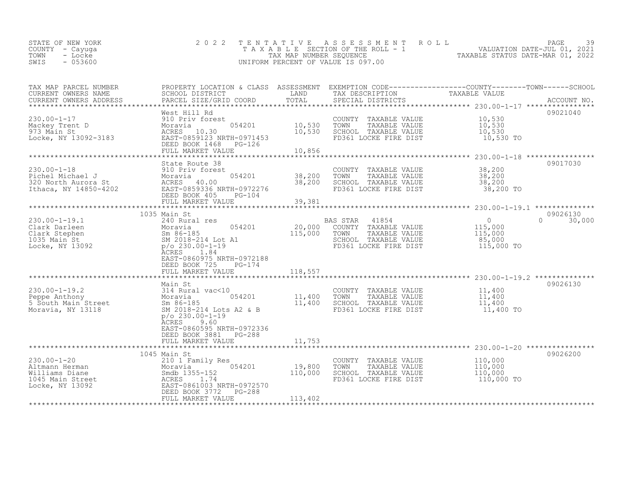| STATE OF NEW YORK | 2022 TENTATIVE ASSESSMENT ROLL        |                                  | PAGE                        | 39 |
|-------------------|---------------------------------------|----------------------------------|-----------------------------|----|
| COUNTY – Cayuqa   | T A X A B L E SECTION OF THE ROLL - 1 |                                  | VALUATION DATE-JUL 01, 2021 |    |
| TOWN<br>- Locke   | TAX MAP NUMBER SEQUENCE               | TAXABLE STATUS DATE-MAR 01, 2022 |                             |    |
| $-053600$<br>SWIS | UNIFORM PERCENT OF VALUE IS 097.00    |                                  |                             |    |

| TAX MAP PARCEL NUMBER<br>CURRENT OWNERS NAME<br>CURRENT OWNERS ADDRESS                                                                                                                    | SCHOOL DISTRICT<br>PARCEL SIZE/GRID COORD                                                                                                                                                       | LAND<br>TOTAL                     | TAX DESCRIPTION<br>SPECIAL DISTRICTS                                                                                            | PROPERTY LOCATION & CLASS ASSESSMENT EXEMPTION CODE----------------COUNTY-------TOWN-----SCHOOL<br>TAXABLE VALUE |
|-------------------------------------------------------------------------------------------------------------------------------------------------------------------------------------------|-------------------------------------------------------------------------------------------------------------------------------------------------------------------------------------------------|-----------------------------------|---------------------------------------------------------------------------------------------------------------------------------|------------------------------------------------------------------------------------------------------------------|
| ********************************                                                                                                                                                          |                                                                                                                                                                                                 |                                   |                                                                                                                                 |                                                                                                                  |
| $230.00 - 1 - 17$<br>Mackey Trent D<br>973 Main St<br>Locke, NY 13092-3183                                                                                                                | West Hill Rd<br>WEST MILLING<br>910 Priv forest<br>Moravia 054201<br>ACRES 10.30<br>92-3183 EAST-0859123 NRTH-0971453<br>054201<br>DEED BOOK 1468<br>PG-126<br>FULL MARKET VALUE                | $10,530$ TOWN<br>10,530<br>10,856 | COUNTY TAXABLE VALUE<br>TAXABLE VALUE<br>SCHOOL TAXABLE VALUE<br>FD361 LOCKE FIRE DIST                                          | 09021040<br>10,530<br>10,530<br>10,530<br>10,530 TO                                                              |
|                                                                                                                                                                                           |                                                                                                                                                                                                 |                                   |                                                                                                                                 |                                                                                                                  |
| 230.00-1-18<br>Pichel Michael J<br>320 North Aurora St<br>1320 North Aurora St<br>12.000 EAST-0859336 NRTH-0972276<br>22.000 EAST-0859336 NRTH-0972276                                    | State Route 38<br>054201 38,200<br>DEED BOOK 405<br>$PG-104$                                                                                                                                    | 38,200                            | COUNTY TAXABLE VALUE<br>TOWN<br>TAXABLE VALUE<br>SCHOOL TAXABLE VALUE<br>FD361 LOCKE FIRE DIST                                  | 09017030<br>38,200<br>38,200<br>38,200<br>38,200 TO                                                              |
|                                                                                                                                                                                           | 1035 Main St                                                                                                                                                                                    |                                   |                                                                                                                                 | 09026130                                                                                                         |
| $230.00 - 1 - 19.1$<br>Clark Darleen<br>Clark Stephen<br>1035 Main St<br>Locke, NY 13092                                                                                                  | 240 Rural res<br>n<br>m 5m 86-185<br>m 5m 86-185<br>SM 2018-214 Lot A1<br>p/o 230.00-1-19<br>p/o 230.00-1-19<br>054201<br>ACRES<br>1.84<br>EAST-0860975 NRTH-0972188<br>DEED BOOK 725<br>PG-174 |                                   | BAS STAR<br>41854<br>20,000 COUNTY TAXABLE VALUE<br>115,000 TOWN TAXABLE VALUE<br>SCHOOL TAXABLE VALUE<br>FD361 LOCKE FIRE DIST | $\overline{0}$<br>$0 \t 30,000$<br>115,000<br>115,000<br>85,000<br>115,000 TO                                    |
|                                                                                                                                                                                           | FULL MARKET VALUE                                                                                                                                                                               | 118,557                           |                                                                                                                                 |                                                                                                                  |
| 230.00-1-19.2<br>Peppe Anthony<br>5 South Main Street<br>Moravia, NY 13118<br>Moravia, NY 13118<br>Moravia, NY 13118<br>SM 2018-214 Lots A2                                               | Main St<br>$5$<br>5 $054201$<br>5 $11,400$<br>SM 2018-214 Lots A2 & B<br>$p$ /o 230.00-1-19<br><b>ACRES</b><br>9.60<br>EAST-0860595 NRTH-0972336<br>DEED BOOK 3881 PG-288                       |                                   | COUNTY TAXABLE VALUE 11,400<br>TOWN<br>TAXABLE VALUE<br>SCHOOL TAXABLE VALUE<br>FD361 LOCKE FIRE DIST                           | 09026130<br>11,400<br>11,400<br>11,400 TO                                                                        |
|                                                                                                                                                                                           | FULL MARKET VALUE                                                                                                                                                                               | 11,753                            |                                                                                                                                 |                                                                                                                  |
| $230.00 - 1 - 20$<br>EXECUTE THE TABLE 174<br>The Moravia<br>Smdb 1355-152<br>t<br>CRES 1.74<br>EAST-0861003 N<br>Altmann Herman<br>Williams Diane<br>1045 Main Street<br>Locke, NY 13092 | 1045 Main St<br>210 1 Family Res<br>054201<br>EAST-0861003 NRTH-0972570<br>DEED BOOK 3772<br>PG-288                                                                                             | 19,800<br>110,000                 | COUNTY TAXABLE VALUE<br>TOWN<br>TAXABLE VALUE<br>SCHOOL TAXABLE VALUE<br>FD361 LOCKE FIRE DIST                                  | 09026200<br>110,000<br>110,000<br>110,000<br>110,000 TO                                                          |
|                                                                                                                                                                                           | FULL MARKET VALUE                                                                                                                                                                               | 113,402                           |                                                                                                                                 |                                                                                                                  |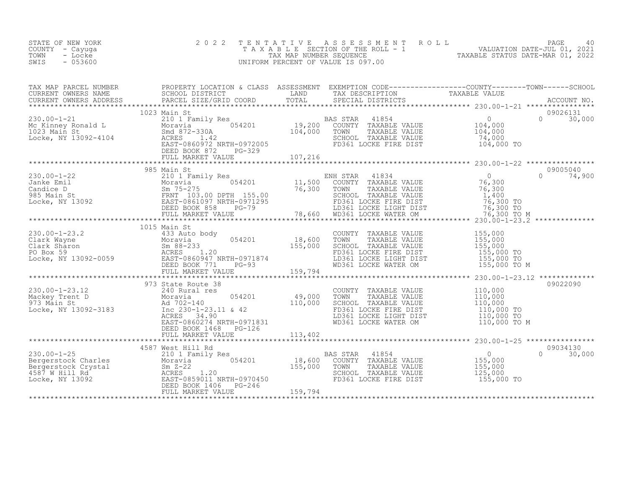| STATE OF NEW YORK<br>COUNTY - Cayuga<br>TOWN<br>- Locke<br>$-053600$<br>SWIS | 2 0 2 2      |                                                                                                                                                                                                          | TENTATIVE ASSESSMENT ROLL PACE 40<br>TAXABLE SECTION OF THE ROLL - 1 VALUATION DATE-JUL 01, 2021<br>TAX MAP NUMBER SEQUENCE TAXABLE STATUS DATE-MAR 01, 2022<br>UNIFORM PERCENT OF VALUE IS 097.00 |              |
|------------------------------------------------------------------------------|--------------|----------------------------------------------------------------------------------------------------------------------------------------------------------------------------------------------------------|----------------------------------------------------------------------------------------------------------------------------------------------------------------------------------------------------|--------------|
|                                                                              |              |                                                                                                                                                                                                          |                                                                                                                                                                                                    |              |
|                                                                              |              |                                                                                                                                                                                                          |                                                                                                                                                                                                    |              |
|                                                                              |              |                                                                                                                                                                                                          |                                                                                                                                                                                                    |              |
|                                                                              |              |                                                                                                                                                                                                          |                                                                                                                                                                                                    |              |
|                                                                              |              |                                                                                                                                                                                                          |                                                                                                                                                                                                    |              |
|                                                                              |              |                                                                                                                                                                                                          |                                                                                                                                                                                                    |              |
|                                                                              | 1015 Main St |                                                                                                                                                                                                          |                                                                                                                                                                                                    |              |
|                                                                              |              | COUNTY TAXABLE VALUE 155,000<br>TOWN TAXABLE VALUE 155,000<br>SCHOOL TAXABLE VALUE 155,000<br>FD361 LOCKE FIRE DIST 155,000 TO<br>LD361 LOCKE LIGHT DIST 155,000 TO<br>WD361 LOCKE WATER OM 155,000 TO M |                                                                                                                                                                                                    |              |
|                                                                              |              |                                                                                                                                                                                                          |                                                                                                                                                                                                    |              |
|                                                                              |              |                                                                                                                                                                                                          |                                                                                                                                                                                                    |              |
|                                                                              |              |                                                                                                                                                                                                          |                                                                                                                                                                                                    |              |
|                                                                              |              | AS STAR 41854<br>COUNTY TAXABLE VALUE 155,000<br>TOWN TAXABLE VALUE 155,000<br>SCHOOL TAXABLE VALUE 155,000<br>FD361 LOCKE FIBE DIET 125,000<br>BAS STAR<br>FD361 LOCKE FIRE DIST 155,000 TO             |                                                                                                                                                                                                    | $0 \t30,000$ |
|                                                                              |              |                                                                                                                                                                                                          |                                                                                                                                                                                                    |              |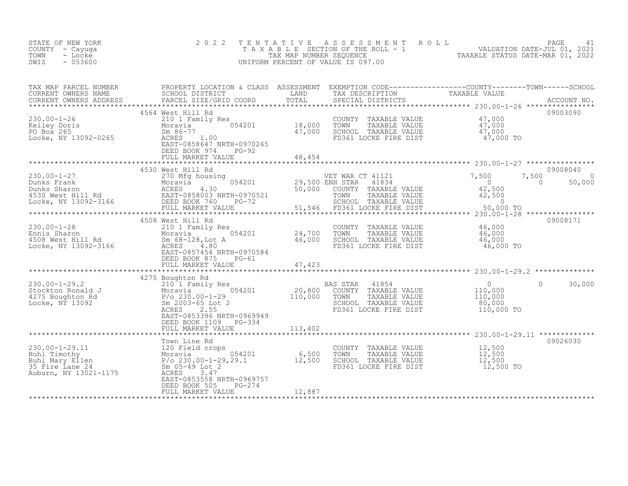| STATE OF NEW YORK<br>COUNTY - Cayuga<br>- Locke<br>TOWN<br>$-053600$<br>SWIS                                                                                                                                                                                                   | 2 0 2 2                                                                                                                                                                                                             | TENTATIVE | UNIFORM PERCENT OF VALUE IS 097.00                                                                                                                                | PAGE 41<br>TAXABLE SECTION OF THE ROLL - 1<br>TAX MAP NUMBER SEQUENCE<br>NIFORM PERCENT OF VALUE IS 097.00<br>TAXABLE STATUS DATE-MAR 01, 2022                                                                                    |  |
|--------------------------------------------------------------------------------------------------------------------------------------------------------------------------------------------------------------------------------------------------------------------------------|---------------------------------------------------------------------------------------------------------------------------------------------------------------------------------------------------------------------|-----------|-------------------------------------------------------------------------------------------------------------------------------------------------------------------|-----------------------------------------------------------------------------------------------------------------------------------------------------------------------------------------------------------------------------------|--|
| TAX MAP PARCEL NUMBER<br>CURRENT OWNERS NAME<br>CURRENT OWNERS ADDRESS                                                                                                                                                                                                         |                                                                                                                                                                                                                     |           |                                                                                                                                                                   | TAX MAP PARCEL NUMBER PROPERTY LOCATION & CLASS ASSESSMENT EXEMPTION CODE-----------------COUNTY--------TOWN------SCHOOL SCHOOL DISTRICT LAND TAX DESCRIPTION TAXABLE VALUE<br>CURRENT OWNERS ADDRESS PARCEL SIZE/GRID COORD TOTA |  |
| 230.00-1-26<br>Kelley Doris<br>PO Box 265<br>Locke, NY 13092-0265                                                                                                                                                                                                              | 4564 West Hill Rd<br>West Hill Kd<br>210 1 Family Res<br>Moravia 054201 18,000<br>Sm 86-77 47,000<br>ACRES<br>RAST-0858647 NRTH-0970265<br>EAST-0858647 NRTH-0970265<br>DEED BOOK 974<br>PG-92<br>FULL MARKET VALUE | 48,454    |                                                                                                                                                                   | 09003090                                                                                                                                                                                                                          |  |
|                                                                                                                                                                                                                                                                                | 4530 West Hill Rd                                                                                                                                                                                                   |           |                                                                                                                                                                   | 09008040<br>$7,500$<br>0 50,00<br>50,000                                                                                                                                                                                          |  |
| 230.00-1-28<br>230.00-1-28<br>Ennis Sharon<br>4508 West Hill Rd<br>Locke, NY 13092-3166                                                                                                                                                                                        | 4508 West Hill Rd<br>West Hill Rd<br>210 1 Family Res<br>Moravia 054201 24,700<br>Sm 68-128,Lot A 46,000<br>2005 4.80<br>EAST-0857454 NRTH-0970584<br>DEED BOOK 875<br>PG-61                                        |           | COUNTY TAXABLE VALUE $46,000$<br>TOWN TAXABLE VALUE $46,000$<br>SCHOOL TAXABLE VALUE $46,000$<br>$46,000$<br>FD361 LOCKE FIRE DIST                                | 09008171<br>46,000 TO                                                                                                                                                                                                             |  |
| 230.00-1-29.2<br>210.00-1-29.2<br>210.1 Family Res<br>20,800<br>20,800<br>20,800<br>20,800<br>20,800<br>20,800<br>20,800<br>20,800<br>20,800<br>20,800<br>20,800<br>20,800<br>20,800<br>20,800<br>20,800<br>20,800<br>20,000-1-29<br>20,000<br>20,000<br>20,000<br>20,000<br>2 | 4275 Boughton Rd<br>2.55<br>EAST-0853396 NRTH-0969949<br>DEED BOOK 1109 PG-334<br>FULL MARKET VALUE                                                                                                                 | 113,402   | BAS STAR 41854<br>COUNTY TAXABLE VALUE<br>TAXABLE VALUE<br>TOWN<br>SCHOOL TAXABLE VALUE<br>FD361 LOCKE FIRE DIST                                                  | $\begin{array}{c} 0 \\ 110,000 \\ 110,000 \\ 80,000 \end{array}$<br>$\Omega$<br>30,000<br>110,000 TO                                                                                                                              |  |
| 230.00-1-29.11<br>Buhl Timothy<br>Buhl Mary Ellen<br>Buhl Mary Ellen<br>35 Fire Lane 24<br>Auburn, NY 13021-1175<br>Po 230.00-1-29,29.1<br>AcRES<br>AcRES<br>Buhl Mary 24<br>AcRES<br>Buhl Mary 29.1<br>AcRES<br>Buhl Mary 29.1<br>AcRES<br>Buhl Mary 13021-                   | EAST-0853558 NRTH-0969757<br>DEED BOOK 505<br>PG-274<br>FULL MARKET VALUE                                                                                                                                           | 12,887    | COUNTY TAXABLE VALUE $12,500$<br>TOWN TAXABLE VALUE $12,500$<br>SCHOOL TAXABLE VALUE $12,500$<br>FD361 LOCKE FIRE DIST $12,500$<br>TD361 LOCKE FIRE DIST $12,500$ | 09026030                                                                                                                                                                                                                          |  |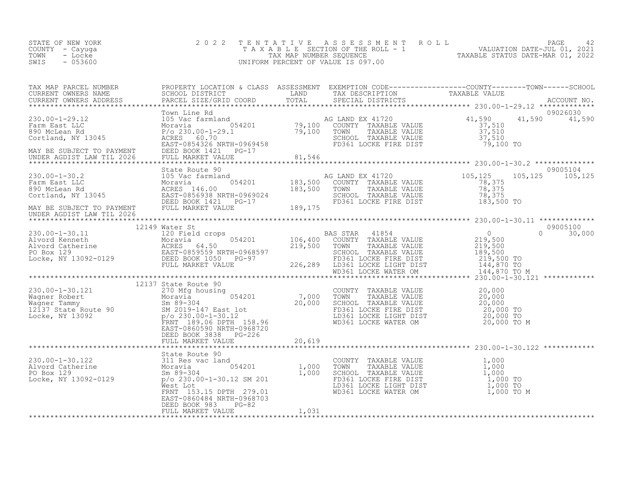| STATE OF NEW YORK<br>COUNTY - Cayuga<br>TOWN<br>- Locke<br>$-053600$<br>SWIS | 2022 TENTATIVE ASSESSMENT ROLL<br>T A X A B L E SECTION OF THE ROLL - 1<br>TAX MAP NUMBER SEOUENCE<br>UNIFORM PERCENT OF VALUE IS 097.00 | PAGE<br>VALUATION DATE-JUL 01, 2021<br>TAXABLE STATUS DATE-MAR 01, 2022 |  |
|------------------------------------------------------------------------------|------------------------------------------------------------------------------------------------------------------------------------------|-------------------------------------------------------------------------|--|
|                                                                              |                                                                                                                                          |                                                                         |  |

| $\begin{tabular}{lllllllllllllllllllllll} \textsc{trX} \textsc{Map} \textsc{PACEL NUNBER} & \textsc{PROBERT OCONPRODEF} \textsc{DCTIOM} & \textsc{CLASS} & \textsc{ASES SNSIN} & \textsc{EXMPTION} & \textsc{CODRTI} & \textsc{CODRTI} & \textsc{TAXABLE VALUE} \\ \textsc{CURRENT ONNERS NADES} & \textsc{SACL DISTRICT} & \textsc{LANDR} & \textsc{TAXADE} & \textsc{RACEL SIZE/GRID COORD} & \textsc{TAXADE} & \textsc{RACEL SIZE/GRID COORD} & \textsc$ |  |  |  |
|-------------------------------------------------------------------------------------------------------------------------------------------------------------------------------------------------------------------------------------------------------------------------------------------------------------------------------------------------------------------------------------------------------------------------------------------------------------|--|--|--|
|                                                                                                                                                                                                                                                                                                                                                                                                                                                             |  |  |  |
|                                                                                                                                                                                                                                                                                                                                                                                                                                                             |  |  |  |
|                                                                                                                                                                                                                                                                                                                                                                                                                                                             |  |  |  |
|                                                                                                                                                                                                                                                                                                                                                                                                                                                             |  |  |  |
|                                                                                                                                                                                                                                                                                                                                                                                                                                                             |  |  |  |
| $\begin{tabular}{l c c c c c} \multicolumn{1}{c}{\textbf{0.001--0.0121}} \multicolumn{1}{c}{\textbf{0.001--0.0121}} \multicolumn{1}{c}{\textbf{0.001--0.0122}} \multicolumn{1}{c}{\textbf{0.001--0.0123}} \multicolumn{1}{c}{\textbf{0.001--0.0123}} \multicolumn{1}{c}{\textbf{0.001--0.0123}} \multicolumn{1}{c}{\textbf{0.001--0.0123}} \multicolumn{1}{c}{\textbf{0.001--0$                                                                             |  |  |  |
|                                                                                                                                                                                                                                                                                                                                                                                                                                                             |  |  |  |
|                                                                                                                                                                                                                                                                                                                                                                                                                                                             |  |  |  |
|                                                                                                                                                                                                                                                                                                                                                                                                                                                             |  |  |  |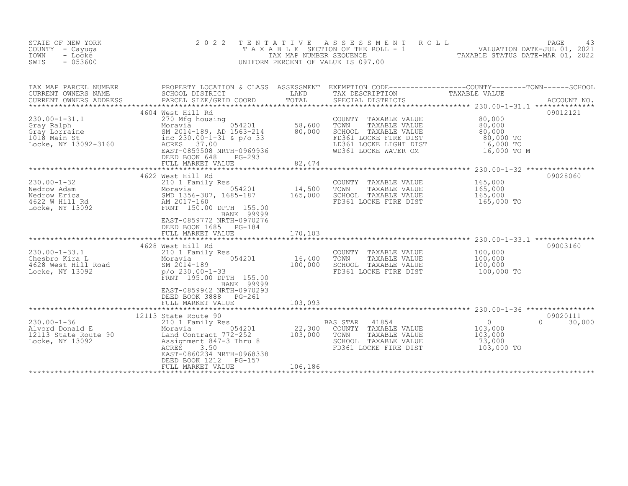| STATE OF NEW YORK<br>COUNTY - Cayuga<br>TOWN<br>- Locke<br>$-053600$<br>SWIS                                                                                                                                                          | 2 0 2 2                                                                                                                                                                                                                                                 | TENTATIVE<br>TAX MAP NUMBER SEQUENCE | ASSESSMENT ROLL<br>TAXABLE SECTION OF THE ROLL - 1<br>UNIFORM PERCENT OF VALUE IS 097.00                                                         | PAGE<br>43<br>$-1$ $-1$ $-1$ $-1$ $VALUATION DATE-JUL 01, 2021$<br>TAXABLE STATUS DATE-MAR 01, 2022            |
|---------------------------------------------------------------------------------------------------------------------------------------------------------------------------------------------------------------------------------------|---------------------------------------------------------------------------------------------------------------------------------------------------------------------------------------------------------------------------------------------------------|--------------------------------------|--------------------------------------------------------------------------------------------------------------------------------------------------|----------------------------------------------------------------------------------------------------------------|
| TAX MAP PARCEL NUMBER<br>CURRENT OWNERS NAME<br>CURRENT OWNERS ADDRESS                                                                                                                                                                | SCHOOL DISTRICT<br>PARCEL SIZE/GRID COORD                                                                                                                                                                                                               | LAND<br>TOTAL                        | TAX DESCRIPTION TAXABLE VALUE<br>SPECIAL DISTRICTS TAXABLE VALUE<br>SPECIAL DISTRICTS                                                            | PROPERTY LOCATION & CLASS ASSESSMENT EXEMPTION CODE----------------COUNTY-------TOWN-----SCHOOL<br>ACCOUNT NO. |
| 230.00-1-31.1<br>Gray Ralph Moravia 054201<br>Gray Lorraine SM 2014-189, AD 1563-214<br>1018 Main St inc 230.00-1-31 & p/o 33<br>Locke, NY 13092-3160<br>Moravia SM 2014-189, AD 1563-214<br>ACRES 37.00<br>PAST-0859508 NRTH-0969936 | 4604 West Hill Rd<br>Moravia 654201<br>EAST-0859508 NRTH-0969936<br>DEED BOOK 648<br>$PG-293$<br>FULL MARKET VALUE                                                                                                                                      | 58,600<br>80,000<br>82,474           | COUNTY TAXABLE VALUE<br>TOWN<br>TAXABLE VALUE<br>SCHOOL TAXABLE VALUE<br>FD361 LOCKE FIRE DIST<br>LD361 LOCKE LIGHT DIST<br>WD361 LOCKE WATER OM | 09012121<br>80,000<br>80,000<br>80,000<br>80,000 TO<br>16,000 TO<br>16,000 TO M                                |
| $230.00 - 1 - 32$<br>230.00-1-32<br>Nedrow Adam (10.1 Family Res 10.4201)<br>Nedrow Erica (10.54201)<br>Nedrow Erica (10.56-307, 1685-187<br>4622 W Hill Rd (10.1356-307, 1685-187<br>Locke, NY 13092 (15.00 FRNT 150.00 DPTH 155.00  | 4622 West Hill Rd<br>210 1 Family Res<br>BANK 99999<br>EAST-0859772 NRTH-0970276<br>DEED BOOK 1685 PG-184<br>FULL MARKET VALUE                                                                                                                          | 14,500<br>165,000<br>170,103         | COUNTY TAXABLE VALUE<br>TOWN<br>TAXABLE VALUE<br>SCHOOL TAXABLE VALUE<br>FD361 LOCKE FIRE DIST                                                   | 09028060<br>165,000<br>165,000<br>165,000<br>165,000 TO                                                        |
| $230.00 - 1 - 33.1$<br>Chesbro Kira L<br>4628 West Hill Road<br>Locke, NY 13092                                                                                                                                                       | 4628 West Hill Rd<br>210 1 Family Res<br>210 1 Fa<br>Moravia<br>SM 2014-<br>p/o 230.<br>054201<br>SM 2014-189<br>$p$ /o 230.00-1-33<br>FRNT 195.00 DPTH 155.00<br>BANK 99999<br>EAST-0859942 NRTH-0970293<br>DEED BOOK 3888 PG-261<br>FULL MARKET VALUE | 16,400<br>100,000<br>103,093         | COUNTY<br>TAXABLE VALUE<br>TOWN<br>TAXABLE VALUE<br>SCHOOL TAXABLE VALUE<br>FD361 LOCKE FIRE DIST                                                | 09003160<br>100,000<br>100,000<br>100,000<br>100,000 TO                                                        |
| $230.00 - 1 - 36$<br>Alvord Donald E<br>12113 State Route 90<br>Locke, NY 13092                                                                                                                                                       | 12113 State Route 90<br>210 1 ram,<br>Moravia 054201<br>Land Contract 772-252<br>Assignment 847-3 Thru 8<br>ACRES 3.50<br>1000333<br>EAST-0860234 NRTH-0968338<br>DEED BOOK 1212<br>PG-157<br>FULL MARKET VALUE                                         | 22,300<br>103,000<br>106,186         | BAS STAR 41854<br>COUNTY TAXABLE VALUE<br>TOWN<br>TAXABLE VALUE<br>SCHOOL TAXABLE VALUE<br>FD361 LOCKE FIRE DIST                                 | 09020111<br>$\Omega$<br>$\overline{0}$<br>30,000<br>103,000<br>103,000<br>73,000<br>103,000 TO                 |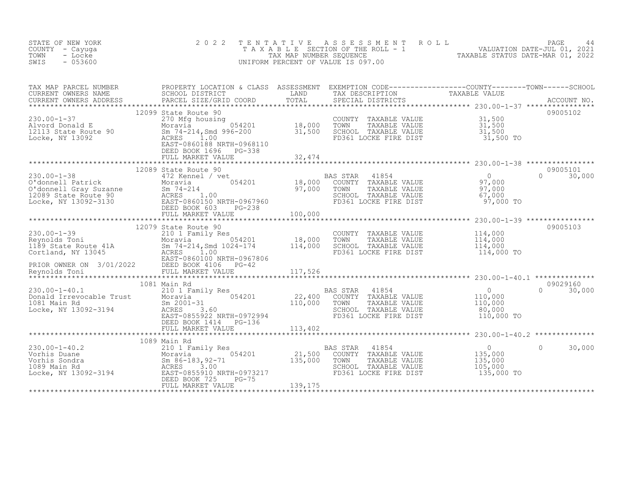| STATE OF NEW YORK<br>COUNTY - Cayuga<br>TOWN<br>- Locke<br>SWIS<br>$-053600$                                                                                                                                                                            | 2 0 2 2              | TENTATIVE ASSESSMENT ROLL PAGE 44<br>TAXABLE SECTION OF THE ROLL - 1 VALUATION DATE-JUL 01, 2021<br>TAX MAP NUMBER SEQUENCE TAXABLE STATUS DATE-MAR 01, 2022<br>UNIFORM PERCENT OF VALUE IS 097.00 |                                                                    |                    |
|---------------------------------------------------------------------------------------------------------------------------------------------------------------------------------------------------------------------------------------------------------|----------------------|----------------------------------------------------------------------------------------------------------------------------------------------------------------------------------------------------|--------------------------------------------------------------------|--------------------|
| TAX MAP PARCEL NUMBER PROPERTY LOCATION & CLASS ASSESSMENT EXEMPTION CODE-----------------COUNTY--------TOWN------SCHOOL CURRENT OWNERS NAME SCHOOL DISTRICT LAND TAX DESCRIPTION TAXABLE VALUE<br>CURRENT OWNERS ADDRESS PARCEL                        |                      |                                                                                                                                                                                                    |                                                                    |                    |
| 230.00-1-37<br>Alvord Donald E<br>270 Moravia 2010<br>270 Moravia 996-201 18,000<br>2113 State Route 90<br>Locke, NY 13092 200<br>28ST-0860188 NRTH-0968110<br>21,500<br>21,500<br>22 ACRES<br>22,174<br>22 DEED BOOK 1696<br>22 DEED BOOK 1696<br>22 D | 12099 State Route 90 | COUNTY TAXABLE VALUE $31,500$<br>TOWN TAXABLE VALUE $31,500$<br>SCHOOL TAXABLE VALUE $31,500$<br>FD361 LOCKE FIRE DIST $31,500$ TO                                                                 |                                                                    | 09005102           |
|                                                                                                                                                                                                                                                         |                      |                                                                                                                                                                                                    |                                                                    |                    |
|                                                                                                                                                                                                                                                         |                      |                                                                                                                                                                                                    |                                                                    |                    |
|                                                                                                                                                                                                                                                         |                      |                                                                                                                                                                                                    |                                                                    |                    |
|                                                                                                                                                                                                                                                         |                      |                                                                                                                                                                                                    |                                                                    |                    |
|                                                                                                                                                                                                                                                         |                      |                                                                                                                                                                                                    |                                                                    |                    |
|                                                                                                                                                                                                                                                         |                      |                                                                                                                                                                                                    |                                                                    |                    |
|                                                                                                                                                                                                                                                         |                      |                                                                                                                                                                                                    |                                                                    |                    |
|                                                                                                                                                                                                                                                         |                      | AS STAR 41854<br>COUNTY TAXABLE VALUE 110,000<br>TOWN TAXABLE VALUE 110,000<br>SCHOOL TAXABLE VALUE 80,000<br>110,000                                                                              |                                                                    |                    |
|                                                                                                                                                                                                                                                         |                      |                                                                                                                                                                                                    |                                                                    |                    |
| 1089 Main Rd<br>230.00-1-40.2<br>Vorhis Duane Moravia (1089 Main Rd<br>Vorhis Sondra Moravia (183, 92-71 135,000<br>1089 Main Rd<br>Locke, NY 13092-3194<br>Locke, NY 13092-3194<br>CEED BOOK 725 PG-75<br>FULL MARKET VALUE                            |                      | BAS STAR 41854<br>COUNTY TAXABLE VALUE<br>TOWN TAXABLE VALUE<br>SCHOOL TAXABLE VALUE<br>FD361 LOCKE FIRE DIST                                                                                      | $\overline{0}$<br>0<br>135,000<br>135,000<br>105,000<br>135,000 TO | $\Omega$<br>30,000 |
|                                                                                                                                                                                                                                                         |                      |                                                                                                                                                                                                    |                                                                    |                    |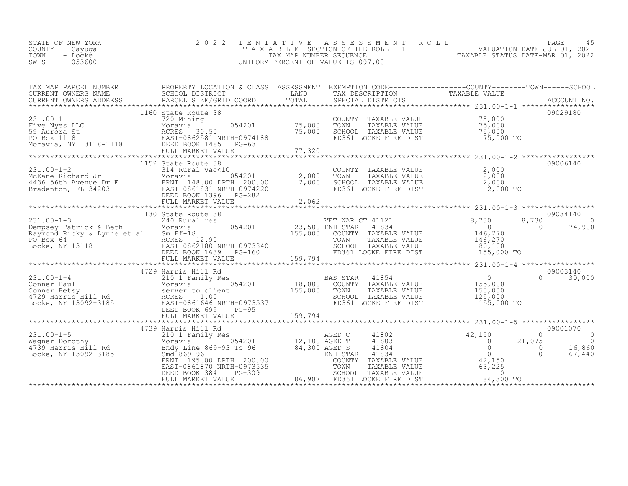| STATE OF NEW YORK | 2022 TENTATIVE ASSESSMENT ROLL     | PAGE                             |  |
|-------------------|------------------------------------|----------------------------------|--|
| COUNTY - Cayuga   | TAXABLE SECTION OF THE ROLL - 1    | VALUATION DATE-JUL 01, 2021      |  |
| TOWN<br>- Locke   | TAX MAP NUMBER SEOUENCE            | TAXABLE STATUS DATE-MAR 01, 2022 |  |
| $-053600$<br>SWIS | UNIFORM PERCENT OF VALUE IS 097.00 |                                  |  |

| TAX MAP PARCEL NUMBER |                                                                                                                                                                                                                                                            |                                                                                                                                                                                                                                                                  | PROPERTY LOCATION & CLASS ASSESSMENT EXEMPTION CODE-----------------COUNTY-------TOWN-----SCHOOL                                                                                                                                                                                                                                                                                                                        |
|-----------------------|------------------------------------------------------------------------------------------------------------------------------------------------------------------------------------------------------------------------------------------------------------|------------------------------------------------------------------------------------------------------------------------------------------------------------------------------------------------------------------------------------------------------------------|-------------------------------------------------------------------------------------------------------------------------------------------------------------------------------------------------------------------------------------------------------------------------------------------------------------------------------------------------------------------------------------------------------------------------|
|                       | 1160 State Route 38<br>231.00-1-1<br>Five Nyes LLC<br>59 Aurora St<br>PO Box 1118<br>Moravia, NY 13118-1118<br>Moravia, NY 13118-1118<br>PO Box 1118<br>PO Box 1118<br>PO Box 1118<br>PO Box 1118<br>PO Box 1118<br>PO Box 1118<br>PO Box 1118<br>PO Box 1 | COUNTY TAXABLE VALUE $75,000$<br>TOWN TAXABLE VALUE 75,000<br>SCHOOL TAXABLE VALUE 75,000<br>FD361 LOCKE FIRE DIST 75,000 TO                                                                                                                                     | 09029180                                                                                                                                                                                                                                                                                                                                                                                                                |
|                       |                                                                                                                                                                                                                                                            |                                                                                                                                                                                                                                                                  |                                                                                                                                                                                                                                                                                                                                                                                                                         |
|                       | 1130 State Route 38                                                                                                                                                                                                                                        |                                                                                                                                                                                                                                                                  | 09034140                                                                                                                                                                                                                                                                                                                                                                                                                |
|                       |                                                                                                                                                                                                                                                            | 331.00-1-4<br>231.00-1-4<br>Conner Baul<br>Conner Betsy Moravia 054201<br>231.00-1-4<br>231.00-1-4<br>231.00-1-4<br>231.00-1-4<br>231.00-1-4<br>231.00-1-4<br>231.00-1-4<br>231.00-1-4<br>231.00-1-4<br>231.00-1-4<br>231.00-1-4<br>231.00-1-4<br>231.00-1-4<br> | 09003140<br>$0 \t 30,000$                                                                                                                                                                                                                                                                                                                                                                                               |
|                       |                                                                                                                                                                                                                                                            |                                                                                                                                                                                                                                                                  | $\begin{array}{cccccccc} \text{231.00-1-5} & \text{4739 Harris Hill Rd} & \text{AGED C} & \text{41802} & \text{42,150} & \text{09001070} & \text{09001070} \\ \text{Wagner Dorothy} & \text{Morria Hill Rd} & \text{Morria Hill Rd} & \text{231.00-1-5} & \text{09001070} & \text{09001070} \\ \text{Wagner Dorothy} & \text{Morria Hill Rd} & \text{Bndy Line } 869-93 \text{ To } 96 & 84,300 \text{ AGED S} & \text$ |
|                       |                                                                                                                                                                                                                                                            |                                                                                                                                                                                                                                                                  |                                                                                                                                                                                                                                                                                                                                                                                                                         |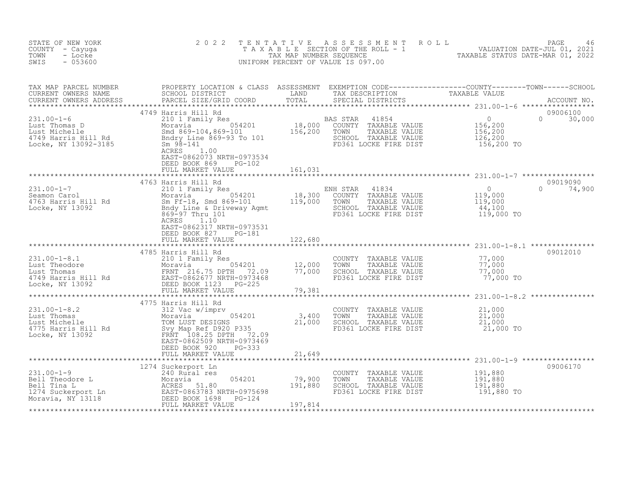| STATE OF NEW YORK<br>COUNTY - Cayuga<br>TOWN<br>- Locke<br>SWIS<br>$-053600$                                                                                                                                                                   | 2 0 2 2                                                                                                           | TENTATIVE                              | UNIFORM PERCENT OF VALUE IS 097.00                                                                                                              | FENTATIVE ASSESSMENT ROLL ROUM VALUATION DATE-JUL 01, 2021<br>TAXABLE SECTION OF THE ROLL - 1 VALUATION DATE-JUL 01, 2021<br>TAXABLE STATUS DATE-MAR 01, 2022<br>JNIFORM PERCENT OF VALUE IS 097.00                                                                                                                                                                                                                                                                                                                          |
|------------------------------------------------------------------------------------------------------------------------------------------------------------------------------------------------------------------------------------------------|-------------------------------------------------------------------------------------------------------------------|----------------------------------------|-------------------------------------------------------------------------------------------------------------------------------------------------|------------------------------------------------------------------------------------------------------------------------------------------------------------------------------------------------------------------------------------------------------------------------------------------------------------------------------------------------------------------------------------------------------------------------------------------------------------------------------------------------------------------------------|
|                                                                                                                                                                                                                                                |                                                                                                                   |                                        |                                                                                                                                                 | $\begin{tabular}{lllllllllll} \texttt{TAX} \texttt{MAP} \texttt{PARCH} \texttt{NUMBER} & \texttt{PROPERTIES} \texttt{BROPERTY} \texttt{LOCALS} \texttt{CUASS} \texttt{ASSESSMENT} & \texttt{EXEMENT} \texttt{EXEMENT} \texttt{COMD} \texttt{CODE----------COUNTY-----COWNT-----TOWN-----SCHOOL} \\ \texttt{CURRENT} \texttt{OWNERS} \texttt{NAME} & \texttt{CHACEL} \texttt{SIZE/GRID COORD} & \texttt{TOTAL} & \texttt{SPECTAL} \texttt{DISTRICTS} & \texttt{ACCOUNT NO.} \\ & & & & & &$<br>09006100<br>$\Omega$<br>30,000 |
|                                                                                                                                                                                                                                                | EAST-0862073 NRTH-0973534<br>DEED BOOK 869<br>PG-102<br>FULL MARKET VALUE                                         | 161,031                                |                                                                                                                                                 |                                                                                                                                                                                                                                                                                                                                                                                                                                                                                                                              |
| 31.00-1-7<br>Seamon Carol 210 1 Family Res<br>Moravia 2010 1 Family Res<br>Moravia 2010 18,300 COUNTY TAXABLE VALUE<br>Moravia 2010 18,300 COUNTY TAXABLE VALUE<br>Moravia 2010 19,000<br>SEROOL TAXABLE VALUE<br>Locke, NY 13092<br>Moravia 2 | 4763 Harris Hill Rd<br>ACRES<br>1.10<br>EAST-0862317 NRTH-0973531<br>DEED BOOK 827<br>PG-181<br>FULL MARKET VALUE | 122,680                                | SCHOOL TAXABLE VALUE $\overline{44}$ , 100<br>FD361 LOCKE FIRE DIST 119,000 TO                                                                  | 09019090<br>$\Omega$<br>74,900                                                                                                                                                                                                                                                                                                                                                                                                                                                                                               |
| 4785 Harris Hill Rd<br>231.00-1-8.1 210 1 Family Res<br>Lust Theodore Moravia 054201 12,000<br>Lust Thomas FRNT 216.75 DPTH 72.09 77,000<br>4749 Harris Hill Rd<br>Locke, NY 13092 DEED BOOK 1123 PG-225                                       | 4785 Harris Hill Rd<br>FULL MARKET VALUE                                                                          | 79,381                                 |                                                                                                                                                 | 09012010                                                                                                                                                                                                                                                                                                                                                                                                                                                                                                                     |
|                                                                                                                                                                                                                                                | 4775 Harris Hill Rd                                                                                               |                                        | COUNTY TAXABLE VALUE $21,000$<br>TOWN TAXABLE VALUE $21,000$<br>SCHOOL TAXABLE VALUE $21,000$<br>FD361 LOCKE FIRE DIST<br>FD361 LOCKE FIRE DIST | 21,000 TO                                                                                                                                                                                                                                                                                                                                                                                                                                                                                                                    |
| $231.00 - 1 - 9$<br>231.00-1-9<br>Bell Theodore L<br>Bell Tina L<br>1274 Suckerport Ln<br>Moravia MCRES 51.80<br>Moravia, NY 13118<br>Moravia, NY 13118<br>PEED BOOK 1698 PG-124<br>PULL MARKET VALUE                                          | 1274 Suckerport Ln                                                                                                | $054201$ $79,900$ $191,880$<br>197,814 | COUNTY TAXABLE VALUE<br>TOWN<br>TAXABLE VALUE<br>SCHOOL TAXABLE VALUE<br>FD361 LOCKE FIRE DIST                                                  | 09006170<br>191,880<br>191,880<br>191,880<br>191,880<br>191,880 TO                                                                                                                                                                                                                                                                                                                                                                                                                                                           |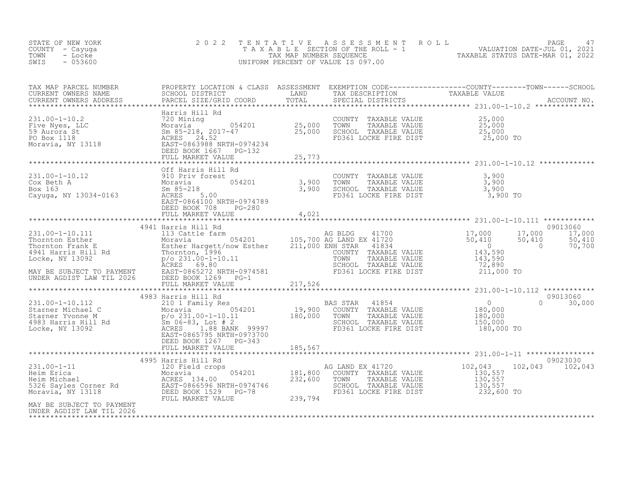| STATE OF NEW YORK<br>COUNTY - Cayuga<br>- Locke<br>TOWN<br>SWIS<br>$-053600$                                                                                                                                                                                                                                | 2 0 2 2                                                                                                                     | TENTATIVE | T E N T A T I V E A S S E S S M E N T R O L L<br>T A X A B L E SECTION OF THE ROLL - 1 VALUATION DATE-JUL 01, 2021<br>TAX MAP NUMBER SEQUENCE TAXABLE STATUS DATE-MAR 01, 2022<br>JNIFORM PERCENT OF VALUE IS 097.00<br>UNIFORM PERCENT OF VALUE IS 097.00 |                                                                                 |                                        |
|-------------------------------------------------------------------------------------------------------------------------------------------------------------------------------------------------------------------------------------------------------------------------------------------------------------|-----------------------------------------------------------------------------------------------------------------------------|-----------|------------------------------------------------------------------------------------------------------------------------------------------------------------------------------------------------------------------------------------------------------------|---------------------------------------------------------------------------------|----------------------------------------|
|                                                                                                                                                                                                                                                                                                             |                                                                                                                             |           |                                                                                                                                                                                                                                                            |                                                                                 |                                        |
| 231.00-1-10.2<br>Five Nyes, LLC<br>Five Nyes, LLC<br>Five Nyes, LLC<br>25,000<br>59 Aurora St<br>25,000<br>PO Box 1118<br>Moravia, NY 13118<br>25,000<br>25,000<br>25,000<br>25,000<br>25,000<br>25,000<br>25,000<br>25,000<br>25,000<br>25,000<br>25,000<br>25,000<br>2                                    | Harris Hill Rd                                                                                                              |           | COUNTY TAXABLE VALUE<br>TOWN TAXABLE VALUE<br>SCHOOL TAXABLE VALUE<br>FD361 LOCKE FIRE DIST                                                                                                                                                                | 25,000<br>25,000<br>25,000<br>25,000 TO                                         |                                        |
|                                                                                                                                                                                                                                                                                                             |                                                                                                                             |           |                                                                                                                                                                                                                                                            |                                                                                 |                                        |
| 011 Harris Hill<br>Cox Beth A<br>Box 163<br>Cayuga, NY 13034-0163<br>Cayuga, NY 13034-0163<br>Carrier Content Content Content Content Content Content Content Content Content Content<br>Content Content Content Content Content Content C                                                                  | 11 Rd<br>3t<br>054201 3,900<br>3,900<br>3,900<br>Off Harris Hill Rd<br>EAST-0864100 NRTH-0974789<br>DEED BOOK 708<br>PG-280 |           | COUNTY TAXABLE VALUE 3,900<br>TOWN TAXABLE VALUE 3,900<br>SCHOOL TAXABLE VALUE 3,900<br>FD361 LOCKE FIRE DIST 3,900 TO                                                                                                                                     |                                                                                 |                                        |
|                                                                                                                                                                                                                                                                                                             | FULL MARKET VALUE                                                                                                           | 4,021     |                                                                                                                                                                                                                                                            |                                                                                 |                                        |
|                                                                                                                                                                                                                                                                                                             | 4941 Harris Hill Rd                                                                                                         |           |                                                                                                                                                                                                                                                            |                                                                                 | 09013060<br>17,000<br>17,000<br>50,410 |
| $\begin{tabular}{lllllllllllll} 231.00-1-10.111 & 4941 Harris Hill Rd & & & & & & & & & 17,000 \\ \text{Thormton Esther & & & & & & & & 131:2d1 & 201 & 221:201 & 231:201 & 241:201 & 250,410 & 261:201 & 271:201 & 281:201 & 271:201 & 281:201 & 281:201 & 281:201 & 281:201 & 281:201 & 281:201 & 281:20$ |                                                                                                                             |           | WE SIGN: THE VALUE (143,590<br>COUNTY TAXABLE VALUE 143,590<br>SCHOOL TAXABLE VALUE 143,590<br>SCHOOL TAXABLE VALUE 72,890<br>FD361 LOCKE FIRE DIST 211,000 TO                                                                                             |                                                                                 | 50,410<br>70.700<br>$\sim$ 0           |
|                                                                                                                                                                                                                                                                                                             |                                                                                                                             |           |                                                                                                                                                                                                                                                            |                                                                                 |                                        |
|                                                                                                                                                                                                                                                                                                             |                                                                                                                             |           |                                                                                                                                                                                                                                                            |                                                                                 | 09013060                               |
|                                                                                                                                                                                                                                                                                                             | DEED BOOK 1267 PG-343                                                                                                       |           | 41854                                                                                                                                                                                                                                                      | $\begin{array}{c} 0 \\ 180,000 \\ 180,000 \\ 150,000 \end{array}$<br>180,000 TO | $\Omega$<br>30,000                     |
|                                                                                                                                                                                                                                                                                                             | FULL MARKET VALUE                                                                                                           | 185,567   |                                                                                                                                                                                                                                                            |                                                                                 |                                        |
|                                                                                                                                                                                                                                                                                                             | 4995 Harris Hill Rd                                                                                                         |           |                                                                                                                                                                                                                                                            |                                                                                 | 09023030                               |
| 1995 Harris Hill Rd<br>Heim Erica 120 Field crops<br>Moravia 181,800<br>Moravia 232,600<br>5326 Sayles Corner Rd<br>Moravia, NY 13118<br>Noravia, NY 13118<br>Heim Michael EAST-0866596 NRTH-0974746<br>EED BOOK 1529 PG-78<br>FULL MARKET VALUE                                                            |                                                                                                                             |           | AG LAND EX 41720<br>3 COUNTY TAXABLE VALUE<br>TOWN TAXABLE VALUE 130, 557<br>TAXABLE VALUE 130, 557<br>TAXABLE VALUE 130, 557<br>130, 557<br>232, 600<br>FD361 LOCKE FIRE DIST 232,600 TO                                                                  |                                                                                 | 102,043<br>102,043                     |
| MAY BE SUBJECT TO PAYMENT<br>UNDER AGDIST LAW TIL 2026                                                                                                                                                                                                                                                      |                                                                                                                             |           |                                                                                                                                                                                                                                                            |                                                                                 |                                        |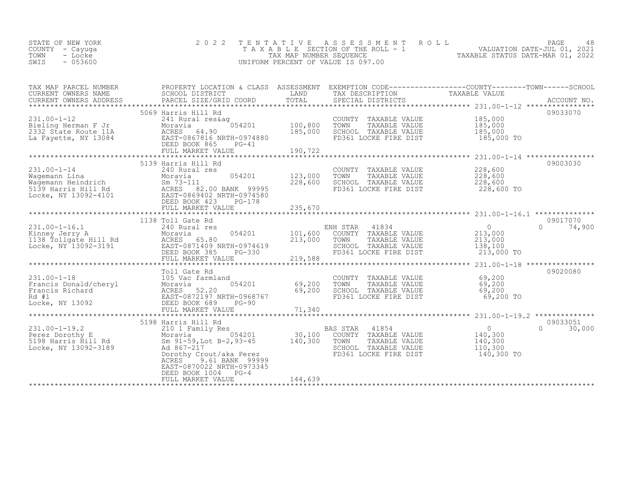| STATE OF NEW YORK | 2022 TENTATIVE ASSESSMENT ROLL        | PAGE                             |
|-------------------|---------------------------------------|----------------------------------|
| COUNTY - Cayuga   | T A X A B L E SECTION OF THE ROLL - 1 | VALUATION DATE-JUL 01, 2021      |
| TOWN<br>- Locke   | TAX MAP NUMBER SEQUENCE               | TAXABLE STATUS DATE-MAR 01, 2022 |
| SWIS<br>$-053600$ | UNIFORM PERCENT OF VALUE IS 097.00    |                                  |
|                   |                                       |                                  |

| TAX MAP PARCEL NUMBER                                                                                                                                                                                                                                                                                                                                                                                                | PROPERTY LOCATION & CLASS ASSESSMENT EXEMPTION CODE----------------COUNTY-------TOWN-----SCHOOL |                           |                                                                      | TAXABLE VALUE         |                  |
|----------------------------------------------------------------------------------------------------------------------------------------------------------------------------------------------------------------------------------------------------------------------------------------------------------------------------------------------------------------------------------------------------------------------|-------------------------------------------------------------------------------------------------|---------------------------|----------------------------------------------------------------------|-----------------------|------------------|
|                                                                                                                                                                                                                                                                                                                                                                                                                      |                                                                                                 |                           |                                                                      |                       |                  |
|                                                                                                                                                                                                                                                                                                                                                                                                                      | 5069 Harris Hill Rd                                                                             |                           |                                                                      |                       | 09033070         |
| 231.00-1-12<br>Bieling Herman F Jr 2332 State Route 11A<br>La Fayette, NY 13084<br>CRES 64.90<br>La Fayette, NY 13084<br>CRES 64.90<br>EAST-0867816 NRTH-0974880<br>DEED BOOK 865<br>PG-41                                                                                                                                                                                                                           |                                                                                                 | 100, 800                  | COUNTY TAXABLE VALUE 185,000<br>TOWN<br>TAXABLE VALUE                | 185,000               |                  |
|                                                                                                                                                                                                                                                                                                                                                                                                                      |                                                                                                 | 185,000                   | SCHOOL TAXABLE VALUE                                                 | 185,000<br>185,000    |                  |
|                                                                                                                                                                                                                                                                                                                                                                                                                      |                                                                                                 |                           | FD361 LOCKE FIRE DIST 185,000 TO                                     |                       |                  |
|                                                                                                                                                                                                                                                                                                                                                                                                                      | FULL MARKET VALUE                                                                               | 190,722                   |                                                                      |                       |                  |
|                                                                                                                                                                                                                                                                                                                                                                                                                      | 5139 Harris Hill Rd                                                                             |                           |                                                                      |                       | 09003030         |
| $231.00 - 1 - 14$                                                                                                                                                                                                                                                                                                                                                                                                    | 240 Rural res                                                                                   |                           | COUNTY TAXABLE VALUE $228,600$<br>TOWN TAXABLE VALUE $228,600$       |                       |                  |
|                                                                                                                                                                                                                                                                                                                                                                                                                      |                                                                                                 | 054201 123,000<br>228,600 |                                                                      |                       |                  |
| 231.00-1-14<br>Wagemann Lina Moravia 1054201<br>Magemann Heindrich 1953-111<br>5139 Harris Hill Rd 2000 ANK 99995<br>Locke, NY 13092-4101 2007-069402 NRTH-0974580<br>NEED ROOK 423 PG-178                                                                                                                                                                                                                           |                                                                                                 |                           | SCHOOL TAXABLE VALUE<br>FD361 LOCKE FIRE DIST                        | 228,000<br>228,600 TO |                  |
|                                                                                                                                                                                                                                                                                                                                                                                                                      | DEED BOOK 423<br>PG-178                                                                         |                           |                                                                      |                       |                  |
|                                                                                                                                                                                                                                                                                                                                                                                                                      |                                                                                                 |                           |                                                                      |                       |                  |
|                                                                                                                                                                                                                                                                                                                                                                                                                      | 1138 Toll Gate Rd                                                                               |                           |                                                                      |                       | 09017070         |
| $231.00 - 1 - 16.1$<br>$\begin{array}{cccccccc} 231.00-1-16.1 & 240 \text{ Rural res} & \text{ENH STAR} & 41834 & 0 & 0 & 74,900 \\ \text{Kinney Jerry A} & \text{Moravia} & 054201 & 101,600 & \text{COUNTY TAXABLE VALUE} & 213,000 & 213,000 \\ 1138 Tollgate Hill Rd & \text{ACRES} & 65.80 & 213,000 & \text{TONNY TAXABLE VALUE} & 213,000 \\ \text{Locke, NY 13092-3191} & \text{EAESE DE30} & \text{BOK 385$ | 240 Rural res                                                                                   |                           | NH STAR 41834 (0)<br>COUNTY TAXABLE VALUE (213,000<br>ENH STAR 41834 |                       | $0 \t 74,900$    |
|                                                                                                                                                                                                                                                                                                                                                                                                                      |                                                                                                 |                           |                                                                      |                       |                  |
|                                                                                                                                                                                                                                                                                                                                                                                                                      |                                                                                                 |                           |                                                                      |                       |                  |
|                                                                                                                                                                                                                                                                                                                                                                                                                      |                                                                                                 |                           |                                                                      |                       |                  |
|                                                                                                                                                                                                                                                                                                                                                                                                                      | Toll Gate Rd                                                                                    |                           |                                                                      |                       | 09020080         |
| 231.00-1-18<br>Francis Donald/cheryl<br>Francis Richard<br>Racker Moravia 054201<br>Racker Million (1968767<br>Racker Million (1968767<br>DEED BOOK 689<br>PG-90                                                                                                                                                                                                                                                     |                                                                                                 |                           | COUNTY TAXABLE VALUE                                                 | 69,200                |                  |
|                                                                                                                                                                                                                                                                                                                                                                                                                      |                                                                                                 | 054201 69,200<br>69,200   | TOWN       TAXABLE  VALUE<br>SCHOOL    TAXABLE  VALUE                | $69,200$<br>$69,200$  |                  |
|                                                                                                                                                                                                                                                                                                                                                                                                                      |                                                                                                 |                           | FD361 LOCKE FIRE DIST                                                | 69,200 TO             |                  |
|                                                                                                                                                                                                                                                                                                                                                                                                                      |                                                                                                 |                           |                                                                      |                       |                  |
|                                                                                                                                                                                                                                                                                                                                                                                                                      | 5198 Harris Hill Rd                                                                             |                           |                                                                      |                       | 09033051         |
| $231.00 - 1 - 19.2$                                                                                                                                                                                                                                                                                                                                                                                                  |                                                                                                 |                           |                                                                      |                       | $\cap$<br>30,000 |
| Perez Dorothy E<br>5198 Harris Hill Rd                                                                                                                                                                                                                                                                                                                                                                               |                                                                                                 |                           |                                                                      |                       |                  |
| Locke, NY 13092-3189                                                                                                                                                                                                                                                                                                                                                                                                 |                                                                                                 |                           | SCHOOL TAXABLE VALUE                                                 | 110,300               |                  |
|                                                                                                                                                                                                                                                                                                                                                                                                                      | Dorothy Crout/aka Perez<br>ACRES 9.61 BANK 99999                                                |                           | FD361 LOCKE FIRE DIST                                                | 140,300 TO            |                  |
|                                                                                                                                                                                                                                                                                                                                                                                                                      | EAST-0870022 NRTH-0973345                                                                       |                           |                                                                      |                       |                  |
|                                                                                                                                                                                                                                                                                                                                                                                                                      | DEED BOOK 1004 PG-4<br>FULL MARKET VALUE                                                        | 144,639                   |                                                                      |                       |                  |
|                                                                                                                                                                                                                                                                                                                                                                                                                      |                                                                                                 |                           |                                                                      |                       |                  |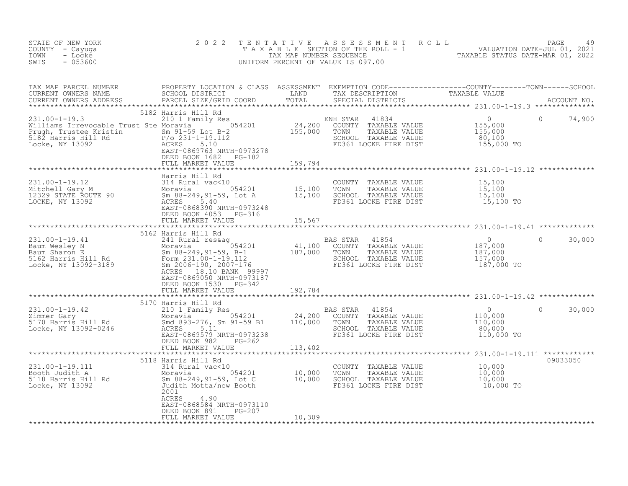| STATE OF NEW YORK<br>COUNTY - Cayuga<br>TOWN<br>- Locke<br>$-053600$<br>SWIS                                                                                                                                                               | 2022                                                                                    | TENTATIVE | FENTATIVE ASSESSMENT ROLL<br>TAXABLE SECTION OF THE ROLL - 1 VALUATION DATE-JUL 01, 2021<br>TAX MAP NUMBER SEQUENCE TAXABLE STATUS DATE-MAR 01, 2022<br>JNIFORM PERCENT OF VALUE IS 097.00<br>UNIFORM PERCENT OF VALUE IS 097.00 |           |          |               |
|--------------------------------------------------------------------------------------------------------------------------------------------------------------------------------------------------------------------------------------------|-----------------------------------------------------------------------------------------|-----------|----------------------------------------------------------------------------------------------------------------------------------------------------------------------------------------------------------------------------------|-----------|----------|---------------|
| TAX MAP PARCEL NUMBER PROPERTY LOCATION & CLASS ASSESSMENT EXEMPTION CODE-----------------COUNTY---------TOWN------SCHOOL SCHOOL DISTRICT LAND TAX DESCRIPTION TAXABLE VALUE<br>CURRENT OWNERS ADDRESS PARCEL SIZE/GRID COORD TOT          |                                                                                         |           |                                                                                                                                                                                                                                  |           |          |               |
| 231.00-1-19.3<br>Williams Irrevocable Trust Ste Moravia 210 1 Family Res<br>Williams Irrevocable Trust Ste Moravia 2011<br>Prugh, Trustee Kristin Sm 91-59 Lot B-2<br>5182 Harris Hill Rd P/o 231-1-19.112<br>Locke, NY 13092<br>EAST-0869 | 5182 Harris Hill Rd<br>DEED BOOK 1682    PG-182<br>FULL MARKET VALUE                    | 159,794   |                                                                                                                                                                                                                                  |           | $\Omega$ | 74,900        |
|                                                                                                                                                                                                                                            | Harris Hill Rd                                                                          |           |                                                                                                                                                                                                                                  |           |          |               |
| 131.00-1-19.12<br>Mitchell Gary M 314 Rural vac<10<br>Mitchell Gary M 314 Rural vac<10<br>12329 STATE ROUTE 90 Sm 88-249,91-59, Lot A 15,100 TOWN TAXABLE VALUE 15,100<br>LOCKE, NY 13092 MCRES 5.400 REED BOOK 4053 PG-316<br>THE DIST    |                                                                                         |           |                                                                                                                                                                                                                                  |           |          |               |
|                                                                                                                                                                                                                                            |                                                                                         |           |                                                                                                                                                                                                                                  |           |          |               |
|                                                                                                                                                                                                                                            |                                                                                         |           |                                                                                                                                                                                                                                  |           |          |               |
| 31.00-1-19.41<br>231.00-1-19.41<br>241 Rural res&ag<br>Baum Wesley N Moravia (184201 41,100 COUNTY TAXABLE VALUE 187,000<br>262 Harris Hill Rd Sm 88-249,91-59, B-1 41,100 COUNTY TAXABLE VALUE 187,000<br>262 Harris Hill Rd School Tax   | EAST-0869050 NRTH-0973187<br>DEED BOOK 1530 PG-342<br>FULL MARKET VALUE                 | 192,784   |                                                                                                                                                                                                                                  |           |          | $0 \t 30,000$ |
|                                                                                                                                                                                                                                            |                                                                                         |           |                                                                                                                                                                                                                                  |           |          |               |
| 31.00-1-19.42<br>21.00-1-19.42<br>21.00-1-19.42<br>21.00-1-19.42<br>21.000 20000 20000 24,200 200000 20000 20000 20000 20000 20000 20000 20000 20000 20000 20000 20000 20000 20000<br>24,200 24,200 20000 20000 20000 20000 20000 20000    | 5170 Harris Hill Rd<br>DEED BOOK 982 PG-262                                             |           |                                                                                                                                                                                                                                  |           | $\Omega$ | 30,000        |
|                                                                                                                                                                                                                                            | FULL MARKET VALUE 113,402                                                               |           |                                                                                                                                                                                                                                  |           |          |               |
| 231.00-1-19.111<br>Booth Judith A Moravia 054201<br>5118 Harris Hill Rd Sm 88-249,91-59, Lot C 10,000<br>Locke, NY 13092 Judith Motta/now Booth<br>2001<br>2001                                                                            | 5118 Harris Hill Rd                                                                     |           | COUNTY TAXABLE VALUE $10,000$<br>TOWN TAXABLE VALUE $10,000$<br>SCHOOL TAXABLE VALUE $10,000$<br>FR361 LOXE TERRALLE 10,000                                                                                                      |           |          | 09033050      |
|                                                                                                                                                                                                                                            | ACRES<br>4.90<br>EAST-0868584 NRTH-0973110<br>DEED BOOK 891 PG-207<br>FULL MARKET VALUE | 10,309    | FD361 LOCKE FIRE DIST                                                                                                                                                                                                            | 10,000 TO |          |               |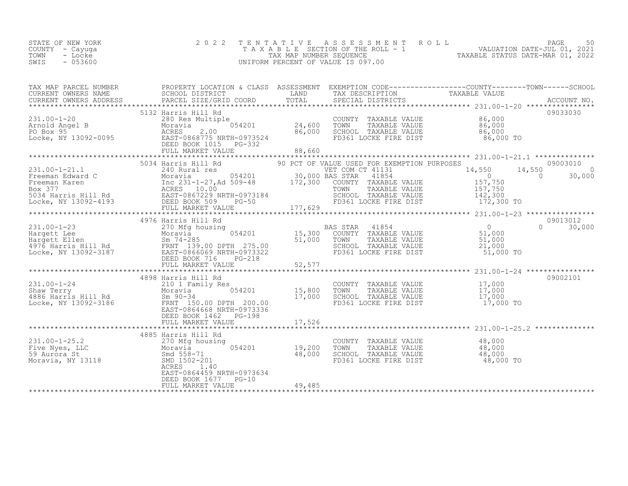| STATE OF NEW YORK | 2022 TENTATIVE ASSESSMENT ROLL        | 50<br>PAGE                       |
|-------------------|---------------------------------------|----------------------------------|
| COUNTY – Cayuga   | T A X A B L E SECTION OF THE ROLL - 1 | VALUATION DATE-JUL 01, 2021      |
| TOWN<br>- Locke   | TAX MAP NUMBER SEOUENCE               | TAXABLE STATUS DATE-MAR 01, 2022 |
| SWIS<br>$-053600$ | UNIFORM PERCENT OF VALUE IS 097.00    |                                  |
|                   |                                       |                                  |

| TAX MAP PARCEL NUMBER |                                                   |                                                                                                                                                                                                                                                | PROPERTY LOCATION & CLASS ASSESSMENT EXEMPTION CODE-----------------COUNTY-------TOWN------SCHOOL<br>TAX MAP PARCER NUMBER<br>CURRENT OWNERS NAME SCHOOL DISTRICT COORD TOTAL TRANSFERS TRANSFERS ADDRESS FACCOUNT NO.<br>CURRENT OWNERS ADDRESS PARCEL SIZE/GRID COORD TOTAL SPECIAL DISTRICTS ACCOUNT NO.<br>*****************************                                                                                                                                                             |
|-----------------------|---------------------------------------------------|------------------------------------------------------------------------------------------------------------------------------------------------------------------------------------------------------------------------------------------------|----------------------------------------------------------------------------------------------------------------------------------------------------------------------------------------------------------------------------------------------------------------------------------------------------------------------------------------------------------------------------------------------------------------------------------------------------------------------------------------------------------|
|                       |                                                   |                                                                                                                                                                                                                                                |                                                                                                                                                                                                                                                                                                                                                                                                                                                                                                          |
|                       |                                                   |                                                                                                                                                                                                                                                |                                                                                                                                                                                                                                                                                                                                                                                                                                                                                                          |
|                       |                                                   |                                                                                                                                                                                                                                                | $\begin{tabular}{lcccccc} \texttt{\textbf{1}} & \texttt{\textbf{2}} & \texttt{\textbf{3}} & \texttt{\textbf{4}} & \texttt{\textbf{5}} & \texttt{\textbf{5}} & \texttt{\textbf{6}} & \texttt{\textbf{6}} & \texttt{\textbf{6}} & \texttt{\textbf{6}} & \texttt{\textbf{6}} & \texttt{\textbf{6}} & \texttt{\textbf{6}} & \texttt{\textbf{6}} & \texttt{\textbf{6}} & \texttt{\textbf{6}} & \texttt{\textbf{6}} & \texttt{\textbf{6}} & \texttt{\textbf{6}} & \texttt{\textbf{6}} & \texttt{\textbf{6}} &$ |
|                       |                                                   |                                                                                                                                                                                                                                                |                                                                                                                                                                                                                                                                                                                                                                                                                                                                                                          |
|                       |                                                   |                                                                                                                                                                                                                                                |                                                                                                                                                                                                                                                                                                                                                                                                                                                                                                          |
|                       |                                                   |                                                                                                                                                                                                                                                |                                                                                                                                                                                                                                                                                                                                                                                                                                                                                                          |
|                       |                                                   |                                                                                                                                                                                                                                                | 09013012<br>$0 \t30,000$                                                                                                                                                                                                                                                                                                                                                                                                                                                                                 |
|                       | DEED BOOK 1462 PG-198                             | 4898 Harris Hill Rd<br>2011 Family Res<br>2010 1 Family Res<br>2010 1 Family Res<br>2010 1 Family Res<br>2010 15,800 TOWN TAXABLE VALUE<br>2010 15,800 TOWN TAXABLE VALUE<br>2010 17,000 SCHOOL TAXABLE VALUE<br>2010 17,000 SCHOOL TAXABLE VA | 09002101                                                                                                                                                                                                                                                                                                                                                                                                                                                                                                 |
|                       | EAST-0864459 NRTH-0973634<br>DEED BOOK 1677 PG-10 |                                                                                                                                                                                                                                                |                                                                                                                                                                                                                                                                                                                                                                                                                                                                                                          |
|                       |                                                   |                                                                                                                                                                                                                                                |                                                                                                                                                                                                                                                                                                                                                                                                                                                                                                          |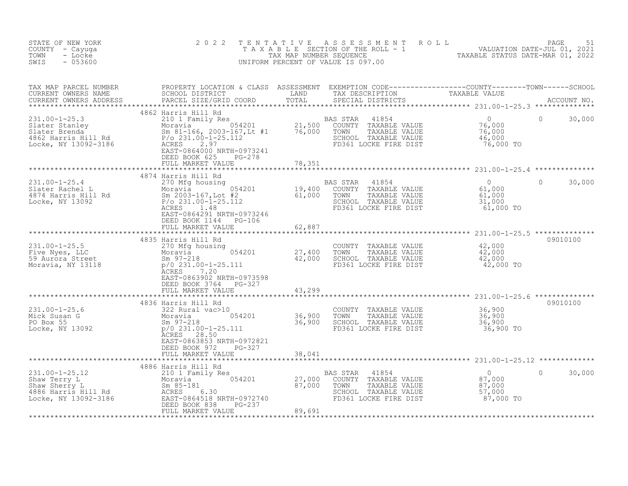| TAX MAP PARCEL NUMBER PROPERTY LOCATION & CLASS ASSESSMENT EXEMPTION CODE----------------COUNTY--------TOWN------SCHOOL CURRENT OWNERS NAME SCHOOL SCHOOL DISTRICT LAND TAX DESCRIPTION TAXABLE VALUE<br>CURRENT OWNERS ADDRESS P<br>4862 Harris Hill Rd<br>1991.00-1-25.3<br>Slater Stanley and the Moravia Moravia and David Moravia and David Moravia and David 21,500 COUNTY TAXABLE VALUE<br>Slater Brenda Sm 81-166,2003-167,Lt #1 76,000 TOWN TAXABLE VALUE 76,000<br>Sm 81-166,2003-167,<br>$\Omega$<br>76,000 TO<br>EAST-0864000 NRTH-0973241<br>DEED BOOK 625 PG-278<br>FULL MARKET VALUE 78,351<br>4874 Harris Hill Rd<br>231.00-1-25.4<br>270 Mfg housing<br>270 Mfg housing<br>270 Mfg housing<br>270 Mfg housing<br>270 Mfg housing<br>270 Mfg housing<br>274 Harris Hill Rd<br>274 Harris Hill Rd<br>276 231.00-1-25.112<br>28.231.00-1-25.112<br>28.<br>$\Omega$<br>4S STAR 41854 0<br>COUNTY TAXABLE VALUE 61,000<br>TOWN TAXABLE VALUE 61,000<br>SCHOOL TAXABLE VALUE 31,000<br>FD361 LOCKE FIRE DIST 61,000 TO<br>EAST-0864291 NRTH-0973246<br>DEED BOOK 1144 PG-106<br>62,887<br>FULL MARKET VALUE<br>09010100<br>4835 Harris Hill Rd<br>COUNTY TAXABLE VALUE<br>42,000<br>231.00-1-25.5<br>Five Nyes, LLC<br>59 Aurora Street<br>Moravia, NY 13118<br>$\frac{97-218}{270 \text{ Mfg} \text{ housing}}$<br>59 Aurora Street<br>$\frac{59-218}{270 \text{ Mfg} \text{ housing}}$<br>$\frac{97-218}{270 \text{ Mfg} \text{ housing}}$<br>27,400<br>42,000<br>COUNTY TAXABLE VALUE<br>TOWN TAXABLE VALUE 42,000<br>SCHOOL TAXABLE VALUE 42,000<br>FD361 LOCKE FIRE DIST 42,000 TO<br>ACRES 7.20<br>EAST-0863902 NRTH-0973598<br>DEED BOOK 3764 PG-327<br>FULL MARKET VALUE<br>43,299<br>09010100<br>4836 Harris Hill Rd<br>231.00-1-25.6<br>Mick Susan G<br>PO Box 55<br>Locke, NY 13092<br>231.00-1-25.11<br>26,900<br>231.00-1-25.11<br>26,900<br>231.00-1-25.11<br>26,900<br>28.50<br>28.50<br>28.50<br>28.50<br>28.50<br>28.50<br>28.50<br>28.50<br>28.50<br>28.50<br>28.50<br>28.50<br>28.50<br>28<br>COUNTY TAXABLE VALUE 36,900<br>TOWN TAXABLE VALUE 36,900<br>SCHOOL TAXABLE VALUE 36,900<br>SCHOOL TAXABLE VALUE<br>$36,900$ TO<br>FD361 LOCKE FIRE DIST<br>EAST-0863853 NRTH-0972821<br>DEED BOOK 972<br>PG-327<br>FULL MARKET VALUE<br>38,041<br>4886 Harris Hill Rd<br>231.00-1-25.12<br>Shaw Terry L<br>Shaw Sherry L<br>4886 Harris Hill Rd<br>4886 Harris Hill Rd<br>4886 Harris Hill Rd<br>4886 Harris Hill Rd<br>4886 Harris Hill Rd<br>4886 Harris Hill Rd<br>4886 Harris Hill Rd<br>4886 Harris Hill Rd<br>4886 Harr<br>41854<br>$\overline{0}$<br>COUNTY TAXABLE VALUE<br>TAXABLE VALUE<br>SCHOOL TAXABLE VALUE<br>FD361 LOCKE FIRE DIST | STATE OF NEW YORK<br>COUNTY - Cayuga<br>TOWN<br>- Locke<br>$-053600$<br>SWIS | 2 0 2 2                 | TENTATIVE ASSESSMENT ROLL<br>UNIFORM PERCENT OF VALUE IS 097.00 |                                                                           |        |
|--------------------------------------------------------------------------------------------------------------------------------------------------------------------------------------------------------------------------------------------------------------------------------------------------------------------------------------------------------------------------------------------------------------------------------------------------------------------------------------------------------------------------------------------------------------------------------------------------------------------------------------------------------------------------------------------------------------------------------------------------------------------------------------------------------------------------------------------------------------------------------------------------------------------------------------------------------------------------------------------------------------------------------------------------------------------------------------------------------------------------------------------------------------------------------------------------------------------------------------------------------------------------------------------------------------------------------------------------------------------------------------------------------------------------------------------------------------------------------------------------------------------------------------------------------------------------------------------------------------------------------------------------------------------------------------------------------------------------------------------------------------------------------------------------------------------------------------------------------------------------------------------------------------------------------------------------------------------------------------------------------------------------------------------------------------------------------------------------------------------------------------------------------------------------------------------------------------------------------------------------------------------------------------------------------------------------------------------------------------------------------------------------------------------------------------------------------------------------------------------------------------------------------------------------------------------------------------------------------------------------------------------------------------------------------|------------------------------------------------------------------------------|-------------------------|-----------------------------------------------------------------|---------------------------------------------------------------------------|--------|
|                                                                                                                                                                                                                                                                                                                                                                                                                                                                                                                                                                                                                                                                                                                                                                                                                                                                                                                                                                                                                                                                                                                                                                                                                                                                                                                                                                                                                                                                                                                                                                                                                                                                                                                                                                                                                                                                                                                                                                                                                                                                                                                                                                                                                                                                                                                                                                                                                                                                                                                                                                                                                                                                                |                                                                              |                         |                                                                 |                                                                           |        |
|                                                                                                                                                                                                                                                                                                                                                                                                                                                                                                                                                                                                                                                                                                                                                                                                                                                                                                                                                                                                                                                                                                                                                                                                                                                                                                                                                                                                                                                                                                                                                                                                                                                                                                                                                                                                                                                                                                                                                                                                                                                                                                                                                                                                                                                                                                                                                                                                                                                                                                                                                                                                                                                                                |                                                                              |                         |                                                                 |                                                                           | 30,000 |
|                                                                                                                                                                                                                                                                                                                                                                                                                                                                                                                                                                                                                                                                                                                                                                                                                                                                                                                                                                                                                                                                                                                                                                                                                                                                                                                                                                                                                                                                                                                                                                                                                                                                                                                                                                                                                                                                                                                                                                                                                                                                                                                                                                                                                                                                                                                                                                                                                                                                                                                                                                                                                                                                                |                                                                              |                         |                                                                 |                                                                           |        |
|                                                                                                                                                                                                                                                                                                                                                                                                                                                                                                                                                                                                                                                                                                                                                                                                                                                                                                                                                                                                                                                                                                                                                                                                                                                                                                                                                                                                                                                                                                                                                                                                                                                                                                                                                                                                                                                                                                                                                                                                                                                                                                                                                                                                                                                                                                                                                                                                                                                                                                                                                                                                                                                                                |                                                                              |                         |                                                                 |                                                                           | 30,000 |
|                                                                                                                                                                                                                                                                                                                                                                                                                                                                                                                                                                                                                                                                                                                                                                                                                                                                                                                                                                                                                                                                                                                                                                                                                                                                                                                                                                                                                                                                                                                                                                                                                                                                                                                                                                                                                                                                                                                                                                                                                                                                                                                                                                                                                                                                                                                                                                                                                                                                                                                                                                                                                                                                                |                                                                              |                         |                                                                 |                                                                           |        |
|                                                                                                                                                                                                                                                                                                                                                                                                                                                                                                                                                                                                                                                                                                                                                                                                                                                                                                                                                                                                                                                                                                                                                                                                                                                                                                                                                                                                                                                                                                                                                                                                                                                                                                                                                                                                                                                                                                                                                                                                                                                                                                                                                                                                                                                                                                                                                                                                                                                                                                                                                                                                                                                                                |                                                                              |                         |                                                                 |                                                                           |        |
|                                                                                                                                                                                                                                                                                                                                                                                                                                                                                                                                                                                                                                                                                                                                                                                                                                                                                                                                                                                                                                                                                                                                                                                                                                                                                                                                                                                                                                                                                                                                                                                                                                                                                                                                                                                                                                                                                                                                                                                                                                                                                                                                                                                                                                                                                                                                                                                                                                                                                                                                                                                                                                                                                |                                                                              |                         |                                                                 |                                                                           |        |
|                                                                                                                                                                                                                                                                                                                                                                                                                                                                                                                                                                                                                                                                                                                                                                                                                                                                                                                                                                                                                                                                                                                                                                                                                                                                                                                                                                                                                                                                                                                                                                                                                                                                                                                                                                                                                                                                                                                                                                                                                                                                                                                                                                                                                                                                                                                                                                                                                                                                                                                                                                                                                                                                                |                                                                              |                         |                                                                 |                                                                           |        |
|                                                                                                                                                                                                                                                                                                                                                                                                                                                                                                                                                                                                                                                                                                                                                                                                                                                                                                                                                                                                                                                                                                                                                                                                                                                                                                                                                                                                                                                                                                                                                                                                                                                                                                                                                                                                                                                                                                                                                                                                                                                                                                                                                                                                                                                                                                                                                                                                                                                                                                                                                                                                                                                                                |                                                                              |                         |                                                                 |                                                                           |        |
|                                                                                                                                                                                                                                                                                                                                                                                                                                                                                                                                                                                                                                                                                                                                                                                                                                                                                                                                                                                                                                                                                                                                                                                                                                                                                                                                                                                                                                                                                                                                                                                                                                                                                                                                                                                                                                                                                                                                                                                                                                                                                                                                                                                                                                                                                                                                                                                                                                                                                                                                                                                                                                                                                |                                                                              |                         |                                                                 |                                                                           |        |
| FULL MARKET VALUE<br>89,691                                                                                                                                                                                                                                                                                                                                                                                                                                                                                                                                                                                                                                                                                                                                                                                                                                                                                                                                                                                                                                                                                                                                                                                                                                                                                                                                                                                                                                                                                                                                                                                                                                                                                                                                                                                                                                                                                                                                                                                                                                                                                                                                                                                                                                                                                                                                                                                                                                                                                                                                                                                                                                                    |                                                                              | DEED BOOK 838<br>PG-237 |                                                                 | $\begin{array}{c} 0 \ 87,000 \ 87,000 \ 57,000 \ 87,000 \ 70 \end{array}$ | 30,000 |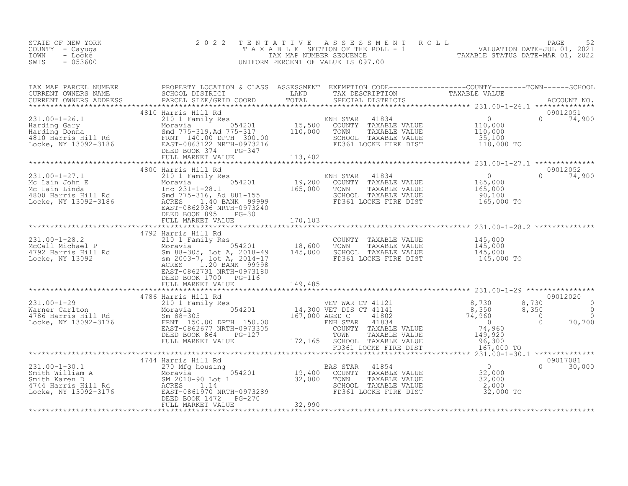| STATE OF NEW YORK<br>COUNTY - Cayuga<br>- Locke<br>TOWN<br>- 053600<br>SWIS |                                                                                                     |                    | 2022 TENTATIVE ASSESSMENT ROLL<br>T A X A B L E SECTION OF THE ROLL - 1<br>TAX MAP NUMBER SEOUENCE<br>UNIFORM PERCENT OF VALUE IS 097.00 | 52<br>PAGE<br>VALUATION DATE-JUL 01, 2021<br>TAXABLE STATUS DATE-MAR 01, 2022                            |
|-----------------------------------------------------------------------------|-----------------------------------------------------------------------------------------------------|--------------------|------------------------------------------------------------------------------------------------------------------------------------------|----------------------------------------------------------------------------------------------------------|
| TAX MAP PARCEL NUMBER<br>CURRENT OWNERS NAME<br>CURRENT OWNERS ADDRESS      | PROPERTY LOCATION & CLASS<br>SCHOOL DISTRICT<br>PARCEL SIZE/GRID COORD TOTAL<br>4810 Harris Hill Rd | ASSESSMENT<br>LAND | TAX DESCRIPTION<br>SPECIAL DISTRICTS                                                                                                     | EXEMPTION CODE-----------------COUNTY-------TOWN------SCHOOL<br>TAXABLE VALUE<br>ACCOUNT NO.<br>09012051 |

| $231.00 - 1 - 26.1$<br>Locke, NY 13092-3186                                                            | 210 1 Family Res<br>Early Moravia<br>Harding Gary<br>Harding Donna<br>4810 Harris Hill Rd FRNT 140.00 DPTH 300.00<br>EAST-0863122 NRTH-0973216<br>DEED BOOK 374<br>PG-347<br>FULL MARKET VALUE                                | ENH STAR<br>41834<br>15,500<br>COUNTY TAXABLE VALUE<br>110,000<br>TOWN<br>TAXABLE VALUE<br>SCHOOL TAXABLE VALUE<br>FD361 LOCKE FIRE DIST<br>113,402                                                | $\overline{0}$<br>$\Omega$<br>74,900<br>110,000<br>110,000<br>35,100<br>110,000 TO                                                                                                         |
|--------------------------------------------------------------------------------------------------------|-------------------------------------------------------------------------------------------------------------------------------------------------------------------------------------------------------------------------------|----------------------------------------------------------------------------------------------------------------------------------------------------------------------------------------------------|--------------------------------------------------------------------------------------------------------------------------------------------------------------------------------------------|
| $231.00 - 1 - 27.1$<br>Mc Lain John E<br>Mc Lain Linda<br>4800 Harris Hill Rd<br>Locke, NY 13092-3186  | 4800 Harris Hill Rd<br>210 1 Family Res<br>054201<br>Moravia<br>Inc 231-1-28.1<br>Smd 775-316, Ad 881-155<br>ACRES 1.40 BANK 99999<br>EAST-0862936 NRTH-0973240<br>DEED BOOK 895<br>$PG-30$<br>FULL MARKET VALUE              | ENH STAR<br>41834<br>19,200<br>COUNTY TAXABLE VALUE<br>165,000<br>TOWN<br>TAXABLE VALUE<br>SCHOOL TAXABLE VALUE<br>FD361 LOCKE FIRE DIST<br>170,103                                                | 09012052<br>$\overline{0}$<br>74,900<br>$\Omega$<br>165,000<br>165,000<br>90,100<br>165,000 TO                                                                                             |
| $231.00 - 1 - 28.2$<br>McCall Michael P<br>4792 Harris Hill Rd<br>Locke, NY 13092                      | 4792 Harris Hill Rd<br>210 1 Family Res<br>054201<br>Moravia<br>Sm 88-305, Lot A, 2018-49<br>sm 2003-7, lot A, 2014-17<br>1.20 BANK 99998<br>ACRES<br>EAST-0862731 NRTH-0973180<br>DEED BOOK 1700 PG-116<br>FULL MARKET VALUE | COUNTY TAXABLE VALUE<br>18,600<br>TOWN<br>TAXABLE VALUE<br>145,000<br>SCHOOL TAXABLE VALUE<br>FD361 LOCKE FIRE DIST<br>149,485                                                                     | 145,000<br>145,000<br>145,000<br>145,000 TO                                                                                                                                                |
| $231.00 - 1 - 29$<br>Warner Carlton<br>4786 Harris Hill Rd<br>Locke, NY 13092-3176                     | 4786 Harris Hill Rd<br>210 1 Family Res<br>054201<br>Moravia<br>$Sm$ 88-305<br>FRNT 150.00 DPTH 150.00<br>EAST-0862677 NRTH-0973305<br>DEED BOOK 864<br>PG-127<br>FULL MARKET VALUE                                           | VET WAR CT 41121<br>14,300 VET DIS CT 41141<br>41802<br>167,000 AGED C<br>ENH STAR 41834<br>COUNTY TAXABLE VALUE<br>TOWN<br>TAXABLE VALUE<br>172,165 SCHOOL TAXABLE VALUE<br>FD361 LOCKE FIRE DIST | 09012020<br>8,730<br>8,730<br>$\Omega$<br>8,350<br>8,350<br>$\Omega$<br>74,960<br>$\circ$<br>$\Omega$<br>$\Omega$<br>70,700<br>$\overline{0}$<br>74,960<br>149,920<br>96,300<br>167,000 TO |
| $231.00 - 1 - 30.1$<br>Smith William A<br>Smith Karen D<br>4744 Harris Hill Rd<br>Locke, NY 13092-3176 | 4744 Harris Hill Rd<br>270 Mfg housing<br>Moravia (Moravia )<br>SM 2010-90 Lot 1<br>Rd ACRES 1.14<br>054201<br>ACRES 1.14<br>EAST-0861970 NRTH-0973289<br>DEED BOOK 1472<br>PG-270<br>FULL MARKET VALUE                       | 41854<br>BAS STAR<br>19,400<br>COUNTY TAXABLE VALUE<br>32,000<br>TOWN<br>TAXABLE VALUE<br>SCHOOL TAXABLE VALUE<br>FD361 LOCKE FIRE DIST<br>32,990                                                  | 09017081<br>$\Omega$<br>$\Omega$<br>30,000<br>32,000<br>32,000<br>2,000<br>32,000 TO                                                                                                       |
|                                                                                                        |                                                                                                                                                                                                                               |                                                                                                                                                                                                    |                                                                                                                                                                                            |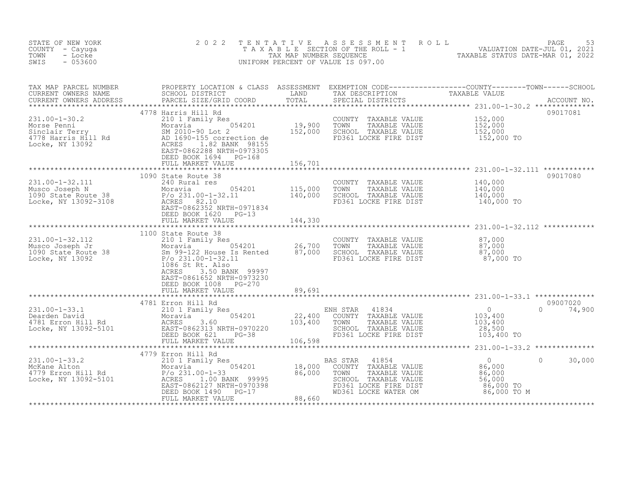| STATE OF NEW YORK<br>COUNTY - Cayuga<br>TOWN<br>- Locke<br>$-053600$<br>SWIS                                                                                                                                                                                                                               | 2 0 2 2                                                                        | TENTATIVE | UNIFORM PERCENT OF VALUE IS 097.00                                                                                                             | TAXABLE SECTION OF THE ROLL - 1<br>TAX A B L E SECTION OF THE ROLL - 1<br>TAX MAP NUMBER SEQUENCE TAXABLE STATUS DATE-MAR 01, 2022<br>INIFORM PERCENT OF VALUE IS 097.00                                       |                           |
|------------------------------------------------------------------------------------------------------------------------------------------------------------------------------------------------------------------------------------------------------------------------------------------------------------|--------------------------------------------------------------------------------|-----------|------------------------------------------------------------------------------------------------------------------------------------------------|----------------------------------------------------------------------------------------------------------------------------------------------------------------------------------------------------------------|---------------------------|
| TAX MAP PARCEL NUMBER PROPERTY LOCATION & CLASS ASSESSMENT EXEMPTION CODE----------------COUNTY--------TOWN------SCHOOL CURRENT OWNERS NAME SCHOOL DISTRICT LAND TAX DESCRIPTION TAXABLE VALUE CURRENT OWNERS ADDRESS PARCEL S                                                                             |                                                                                |           |                                                                                                                                                |                                                                                                                                                                                                                |                           |
| 231.00-1-30.2<br>Morse Penni 210 1 Family Res<br>Morse Penni 210 1 Family Res<br>Morse Penni 2010-90 Lot 2<br>4778 Harris Hill Rd<br>Locke, NY 13092<br>Locke, NY 13092<br>2010-90 Lot 2<br>AD 1690-155 correction de<br>ACRES<br>20288 NRTH-09073                                                         | 4778 Harris Hill Rd<br>DEED BOOK 1694 PG-168<br>FULL MARKET VALUE              | 156,701   | COUNTY TAXABLE VALUE $152,000$<br>TOWN TAXABLE VALUE $152,000$<br>SCHOOL TAXABLE VALUE $152,000$<br>FD361 LOCKE FIRE DIST $152,000$ TO         |                                                                                                                                                                                                                | 09017081                  |
|                                                                                                                                                                                                                                                                                                            | 1090 State Route 38                                                            |           |                                                                                                                                                |                                                                                                                                                                                                                | 09017080                  |
| 231.00-1-32.111<br>Musco Joseph N<br>1090 State Route 38<br>Locke, NY 13092-3108<br>231.00-1-32.11<br>Moravia<br>231.00-1-32.11<br>231.00-1-32.11<br>231.00-1-32.11<br>231.00-1-32.11<br>231.00-1-32.11<br>231.00-1-32.11<br>231.00-1-32.11<br>231.00-1-                                                   |                                                                                |           | COUNTY TAXABLE VALUE $140,000$<br>TOWN TAXABLE VALUE $140,000$<br>SCHOOL TAXABLE VALUE $140,000$<br>FD361 LOCKE FIRE DIST $140,000$ TO         |                                                                                                                                                                                                                |                           |
|                                                                                                                                                                                                                                                                                                            | DEED BOOK 1620 PG-13                                                           |           |                                                                                                                                                |                                                                                                                                                                                                                |                           |
| $\begin{array}{cccccccc} 231.00-1-32.112 & 1100 \text{ State Route } 38 & 0.00-1-32.112 & 210 1 Family Res & 87,000 & 190 \text{ State Route } 38 & 87,000 & 87,000 & 87,000 & 87,000 & 87,000 & 87,000 & 87,000 & 87,000 & 87,000 & 87,000 & 87,000 & 87,000 & 87,000 & 87,000 & 87,000 & 87,000 & 87,00$ | ACRES<br>3.50 BANK 99997<br>EAST-0861652 NRTH-0973230<br>DEED BOOK 1008 PG-270 |           |                                                                                                                                                |                                                                                                                                                                                                                |                           |
|                                                                                                                                                                                                                                                                                                            | FULL MARKET VALUE                                                              | 89,691    |                                                                                                                                                |                                                                                                                                                                                                                |                           |
|                                                                                                                                                                                                                                                                                                            | 4781 Erron Hill Rd                                                             |           | ENH STAR 41834<br>0 COUNTY TAXABLE VALUE 103,400<br>103,400 TOWN TAXABLE VALUE 103,400<br>SCHOOL TAXABLE VALUE 28,500<br>FD361 LOCKE FIRE DIST | 103,400 TO                                                                                                                                                                                                     | 09007020<br>$0 \t 74,900$ |
|                                                                                                                                                                                                                                                                                                            |                                                                                |           |                                                                                                                                                |                                                                                                                                                                                                                |                           |
|                                                                                                                                                                                                                                                                                                            |                                                                                |           | BAS STAR<br>COUNTY<br>TOWN<br>SCHOOL TAXABLE VALUE                                                                                             | $\circ$<br>******<br>41854<br>TAXABLE VALUE 86,000<br>TAXABLE VALUE 86,000<br>56,000<br>56,000<br>66,000<br>FOR THANGE VALUE TO SO, 000<br>FD361 LOCKE FIRE DIST 86,000 TO<br>WD361 LOCKE WATER OM 86,000 TO M | 30,000                    |
|                                                                                                                                                                                                                                                                                                            |                                                                                |           |                                                                                                                                                |                                                                                                                                                                                                                |                           |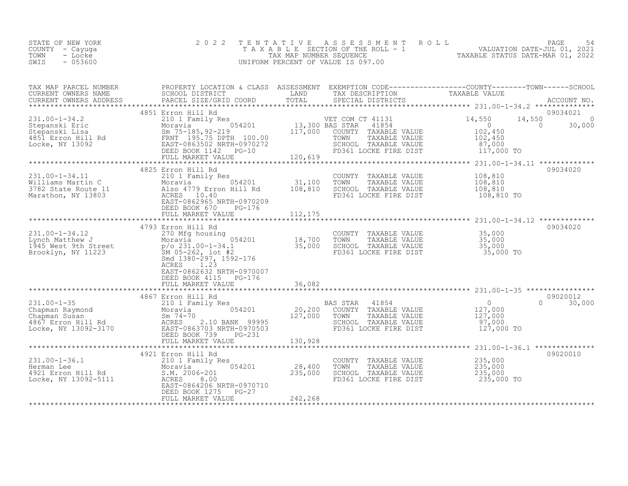| TOWN<br>TAXABLE STATUS DATE-MAR 01, 2022<br>TAX MAP NUMBER SEOUENCE<br>- Locke<br>$-053600$<br>SWIS<br>UNIFORM PERCENT OF VALUE IS 097.00 | STATE OF NEW YORK<br>COUNTY – Cayuga |  | 2022 TENTATIVE ASSESSMENT ROLL<br>TAXABLE SECTION OF THE ROLL - 1 |  | PAGE<br>VALUATION DATE-JUL 01, 2021 | 54 |
|-------------------------------------------------------------------------------------------------------------------------------------------|--------------------------------------|--|-------------------------------------------------------------------|--|-------------------------------------|----|
|-------------------------------------------------------------------------------------------------------------------------------------------|--------------------------------------|--|-------------------------------------------------------------------|--|-------------------------------------|----|

| TAX MAP PARCEL NUMBER<br>CURRENT OWNERS NAME                                                                                                                                             | PROPERTY LOCATION & CLASS ASSESSMENT EXEMPTION CODE----------------COUNTY-------TOWN-----SCHOOL<br>SCHOOL DISTRICT<br><b>EXAMPLE SERVICE SERVICE SERVICE SERVICE SERVICE SERVICE SERVICE SERVICE SERVICE SERVICE SERVICE SERVICE SERVICE</b> |                  | TAX DESCRIPTION                                                                                            | TAXABLE VALUE                               |                                               |
|------------------------------------------------------------------------------------------------------------------------------------------------------------------------------------------|----------------------------------------------------------------------------------------------------------------------------------------------------------------------------------------------------------------------------------------------|------------------|------------------------------------------------------------------------------------------------------------|---------------------------------------------|-----------------------------------------------|
| CURRENT OWNERS ADDRESS                                                                                                                                                                   | PARCEL SIZE/GRID COORD                                                                                                                                                                                                                       | TOTAL            | SPECIAL DISTRICTS                                                                                          |                                             | ACCOUNT NO.                                   |
|                                                                                                                                                                                          | 4851 Erron Hill Rd                                                                                                                                                                                                                           |                  |                                                                                                            |                                             | 09034021                                      |
| $231.00 - 1 - 34.2$                                                                                                                                                                      | 210 1 Family Res                                                                                                                                                                                                                             |                  | VET COM CT 41131<br>41854                                                                                  | 14,550                                      | 14,550<br>$\circ$<br>30,000<br>$\overline{0}$ |
|                                                                                                                                                                                          |                                                                                                                                                                                                                                              |                  | COUNTY TAXABLE VALUE                                                                                       | $\begin{array}{c} 0 \\ 102,450 \end{array}$ |                                               |
|                                                                                                                                                                                          |                                                                                                                                                                                                                                              |                  | TOWN TAXABLE VALUE 102,450<br>SCHOOL TAXABLE VALUE 102,450<br>FD361 LOCKE FIRE DIST 117,000 TO             |                                             |                                               |
|                                                                                                                                                                                          |                                                                                                                                                                                                                                              |                  |                                                                                                            |                                             |                                               |
|                                                                                                                                                                                          | DEED BOOK 1142 PG-10                                                                                                                                                                                                                         | $G-10$ $120,619$ |                                                                                                            |                                             |                                               |
|                                                                                                                                                                                          | FULL MARKET VALUE                                                                                                                                                                                                                            |                  |                                                                                                            |                                             |                                               |
|                                                                                                                                                                                          | 4825 Erron Hill Rd                                                                                                                                                                                                                           |                  |                                                                                                            |                                             | 09034020                                      |
| 231.00-1-34.11<br>Williams Martin C Moravia 054201 31,100<br>3782 State Route 11 Also 4779 Erron Hill Rd 108,810<br>Marathon, NY 13803 ACRES 10.40<br>FAST-0862965 NPTH.0070000          |                                                                                                                                                                                                                                              |                  | COUNTY TAXABLE VALUE                                                                                       | 108,810                                     |                                               |
|                                                                                                                                                                                          |                                                                                                                                                                                                                                              |                  | TOWN<br>TAXABLE VALUE                                                                                      | 108,810                                     |                                               |
|                                                                                                                                                                                          |                                                                                                                                                                                                                                              |                  | SCHOOL TAXABLE VALUE                                                                                       | 108,810                                     |                                               |
|                                                                                                                                                                                          |                                                                                                                                                                                                                                              |                  | FD361 LOCKE FIRE DIST                                                                                      | $108,810$ TO $108,810$                      |                                               |
|                                                                                                                                                                                          |                                                                                                                                                                                                                                              |                  |                                                                                                            |                                             |                                               |
|                                                                                                                                                                                          | DEED BOOK 670<br>PG-176                                                                                                                                                                                                                      |                  |                                                                                                            |                                             |                                               |
|                                                                                                                                                                                          |                                                                                                                                                                                                                                              |                  |                                                                                                            |                                             |                                               |
|                                                                                                                                                                                          |                                                                                                                                                                                                                                              |                  |                                                                                                            |                                             |                                               |
|                                                                                                                                                                                          | 4793 Erron Hill Rd                                                                                                                                                                                                                           |                  |                                                                                                            |                                             | 09034020                                      |
|                                                                                                                                                                                          |                                                                                                                                                                                                                                              |                  | COUNTY TAXABLE VALUE 35,000<br>TOWN TAXABLE VALUE 35,000                                                   |                                             |                                               |
|                                                                                                                                                                                          |                                                                                                                                                                                                                                              |                  | TOWN TAXABLE VALUE 35,000<br>SCHOOL TAXABLE VALUE 35,000                                                   |                                             |                                               |
|                                                                                                                                                                                          |                                                                                                                                                                                                                                              |                  | FD361 LOCKE FIRE DIST                                                                                      | 35,000 TO                                   |                                               |
| 231.00-1-34.12<br>Lynch Matthew J<br>18,700<br>1945 West 9th Street<br>Brooklyn, NY 11223<br>270 Moravia 1.00-1-34.1<br>270 Moravia 1.00-1-34.1<br>28 SM 05-262, lot #2<br>297, 1592-176 | Smd 1380-297, 1592-176                                                                                                                                                                                                                       |                  |                                                                                                            |                                             |                                               |
|                                                                                                                                                                                          | 1.23<br>ACRES                                                                                                                                                                                                                                |                  |                                                                                                            |                                             |                                               |
|                                                                                                                                                                                          | EAST-0862632 NRTH-0970007                                                                                                                                                                                                                    |                  |                                                                                                            |                                             |                                               |
|                                                                                                                                                                                          | DEED BOOK 4115 PG-176                                                                                                                                                                                                                        |                  |                                                                                                            |                                             |                                               |
|                                                                                                                                                                                          | FULL MARKET VALUE                                                                                                                                                                                                                            | 36,082           |                                                                                                            |                                             |                                               |
|                                                                                                                                                                                          |                                                                                                                                                                                                                                              |                  |                                                                                                            |                                             |                                               |
|                                                                                                                                                                                          | 4867 Erron Hill Rd                                                                                                                                                                                                                           |                  | BAS STAR 41854<br>COUNTY TAXABLE VALUE 127,000<br>TOWN TAXABLE VALUE 127,000<br>TOWN TAXABLE VALUE 127,000 |                                             | 09020012                                      |
|                                                                                                                                                                                          |                                                                                                                                                                                                                                              |                  |                                                                                                            |                                             | $0 \t 30,000$                                 |
|                                                                                                                                                                                          |                                                                                                                                                                                                                                              |                  |                                                                                                            |                                             |                                               |
|                                                                                                                                                                                          |                                                                                                                                                                                                                                              |                  |                                                                                                            | 97,000                                      |                                               |
|                                                                                                                                                                                          |                                                                                                                                                                                                                                              |                  |                                                                                                            | 127,000 TO                                  |                                               |
|                                                                                                                                                                                          | DEED BOOK 739 PG-231                                                                                                                                                                                                                         |                  |                                                                                                            |                                             |                                               |
|                                                                                                                                                                                          |                                                                                                                                                                                                                                              |                  |                                                                                                            |                                             |                                               |
|                                                                                                                                                                                          |                                                                                                                                                                                                                                              |                  |                                                                                                            |                                             |                                               |
|                                                                                                                                                                                          | 4921 Erron Hill Rd                                                                                                                                                                                                                           |                  |                                                                                                            |                                             | 09020010                                      |
| 231.00-1-36.1<br>Herman Lee Moravia (1921 Erron Hill Rd 1921 Erron Hill Rd 5.M. 2006-201<br>Locke, NY 13092-5111 ACRES 8.00                                                              |                                                                                                                                                                                                                                              |                  | COUNTY TAXABLE VALUE 235,000                                                                               |                                             |                                               |
|                                                                                                                                                                                          | 054201                                                                                                                                                                                                                                       | 28,400           | TOWN<br>TAXABLE VALUE                                                                                      | 235,000<br>235,000                          |                                               |
|                                                                                                                                                                                          |                                                                                                                                                                                                                                              | 235,000          | SCHOOL TAXABLE VALUE                                                                                       |                                             |                                               |
|                                                                                                                                                                                          |                                                                                                                                                                                                                                              |                  | FD361 LOCKE FIRE DIST                                                                                      | 235,000 TO                                  |                                               |
|                                                                                                                                                                                          | EAST-0864206 NRTH-0970710                                                                                                                                                                                                                    |                  |                                                                                                            |                                             |                                               |
|                                                                                                                                                                                          | DEED BOOK 1275 PG-27<br>FULL MARKET VALUE                                                                                                                                                                                                    | 242,268          |                                                                                                            |                                             |                                               |
|                                                                                                                                                                                          |                                                                                                                                                                                                                                              |                  |                                                                                                            |                                             |                                               |
|                                                                                                                                                                                          |                                                                                                                                                                                                                                              |                  |                                                                                                            |                                             |                                               |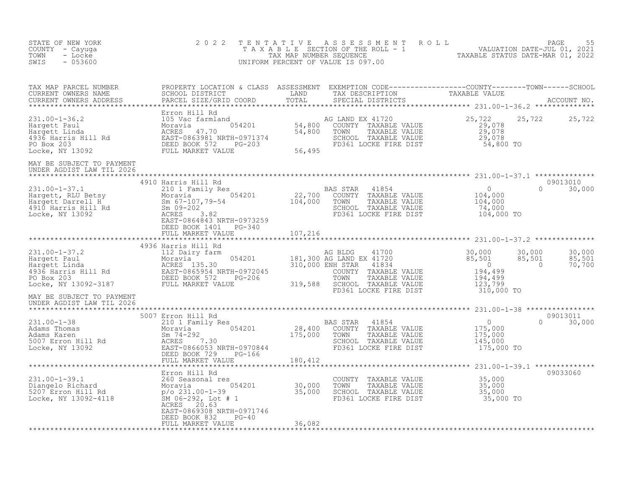| STATE OF NEW YORK<br>COUNTY - Cayuga<br>- Locke<br>TOWN<br>$-053600$<br>SWIS                                                                                                                                                                                                                                                                                                                                                                                                                                                           | 2 0 2 2                                                              |                                 |                                                                                                                                    | TENTATIVE ASSESSMENT ROLL PAGE 55<br>TAXABLE SECTION OF THE ROLL - 1 VALUATION DATE-JUL 01, 2021<br>TAX MAP NUMBER SEQUENCE TAXABLE STATUS DATE-MAR 01, 2022<br>UNIFORM PERCENT OF VALUE IS 097.00 |        |
|----------------------------------------------------------------------------------------------------------------------------------------------------------------------------------------------------------------------------------------------------------------------------------------------------------------------------------------------------------------------------------------------------------------------------------------------------------------------------------------------------------------------------------------|----------------------------------------------------------------------|---------------------------------|------------------------------------------------------------------------------------------------------------------------------------|----------------------------------------------------------------------------------------------------------------------------------------------------------------------------------------------------|--------|
|                                                                                                                                                                                                                                                                                                                                                                                                                                                                                                                                        |                                                                      |                                 |                                                                                                                                    |                                                                                                                                                                                                    |        |
| 231.00-1-36.2<br>Hargett Paul 105 Vac farmland<br>Hargett Linda Moravia 47.70<br>4936 Harris Hill Rd EAST-0863981 NRTH-0971374<br>PO Box 203<br>Locke, NY 13092<br>Harget Linda EAST-0863981 NRTH-0971374<br>PO Box 203<br>Locke, NY 13092<br>EE                                                                                                                                                                                                                                                                                       |                                                                      |                                 |                                                                                                                                    | 25,722 25,722                                                                                                                                                                                      |        |
| MAY BE SUBJECT TO PAYMENT<br>UNDER AGDIST LAW TIL 2026                                                                                                                                                                                                                                                                                                                                                                                                                                                                                 |                                                                      |                                 |                                                                                                                                    |                                                                                                                                                                                                    |        |
| 31.00-1-37.1<br>4910 Harris Hill Rd<br>Hargett, RLU Betsy<br>Hargett Darris Hill Rd<br>Moravia 054201<br>4910 Harris Hill Rd<br>4910 Harris Hill Rd<br>4910 Harris Hill Rd<br>4910 Harris Hill Rd<br>4910 Harris Hill Rd<br>4910 Harris Hill Rd<br>4                                                                                                                                                                                                                                                                                   | DEED BOOK 1401 PG-340                                                |                                 |                                                                                                                                    | 09013010<br>$0 \t 30,000$                                                                                                                                                                          |        |
|                                                                                                                                                                                                                                                                                                                                                                                                                                                                                                                                        | FULL MARKET VALUE                                                    | 107,216<br>$******************$ |                                                                                                                                    |                                                                                                                                                                                                    |        |
| $\begin{tabular}{lcccccc} \texttt{****}{\texttt{****}{\texttt{****}{\texttt{****}{\texttt{****}{\texttt{****}{\texttt{****}{\texttt{****}{\texttt{****}{\texttt{****}{\texttt{****}{\texttt{****}{\texttt{****}{\texttt{****}{\texttt{****}{\texttt{****}{\texttt{****}{\texttt{****}{\texttt{****}{\texttt{****}{\texttt{****}{\texttt{****}{\texttt{****}{\texttt{****}{\texttt{****}{\texttt{****}{\texttt{****}{\texttt{****}{\texttt{****}{\texttt{****}{\texttt{****}{\texttt{****}{\texttt{****}{\texttt{****}{\texttt{****}{\$ |                                                                      |                                 |                                                                                                                                    | 30,000 30,000<br>85,501 85,501<br>0 70,700                                                                                                                                                         | 70,700 |
| MAY BE SUBJECT TO PAYMENT<br>UNDER AGDIST LAW TIL 2026                                                                                                                                                                                                                                                                                                                                                                                                                                                                                 |                                                                      |                                 |                                                                                                                                    |                                                                                                                                                                                                    |        |
| $\begin{tabular}{lllllllllllll} \multicolumn{3}{c}{\begin{tabular}{l} \textbf{180.412} \end{tabular} } \multicolumn{2}{c}{\begin{tabular}{l} \textbf{231.00--1-38} \end{tabular} } \multicolumn{2}{c}{\begin{tabular}{l} \textbf{231.00--1-38} \end{tabular} } \multicolumn{2}{c}{\begin{tabular}{l} \textbf{231.00--1-38} \end{tabular} } \multicolumn{2}{c}{\begin{tabular}{l} \textbf{231.00--1-38} \end{tabular} } \multicolumn{2}{c}{\$                                                                                           |                                                                      |                                 |                                                                                                                                    | 09013011<br>$\begin{array}{c} 0 \\ 175,000 \\ 175,000 \\ 145,000 \\ 145,000 \\ \end{array}$<br>$0 \t 30,000$<br>175,000 TO                                                                         |        |
|                                                                                                                                                                                                                                                                                                                                                                                                                                                                                                                                        | Erron Hill Rd                                                        |                                 |                                                                                                                                    | 09033060                                                                                                                                                                                           |        |
| 231.00-1-39.1<br>260 Seasonal res<br>Diangelo Richard 260 Seasonal res<br>5207 Erron Hill Rd<br>Locke, NY 13092-4118<br>200 Seasonal 292, Lot # 1<br>25,000<br>200 Seasonal 292, Lot # 1<br>200 Seasonal 292, Lot # 1                                                                                                                                                                                                                                                                                                                  | ACRES 20.63<br>EAST-0869308 NRTH-0971746<br>DEED BOOK 832<br>$PG-40$ |                                 | COUNTY TAXABLE VALUE $35,000$<br>TOWN TAXABLE VALUE $35,000$<br>SCHOOL TAXABLE VALUE $35,000$<br>FD361 LOCKE FIRE DIST $35,000$ TO |                                                                                                                                                                                                    |        |
|                                                                                                                                                                                                                                                                                                                                                                                                                                                                                                                                        | FULL MARKET VALUE                                                    | 36,082                          |                                                                                                                                    |                                                                                                                                                                                                    |        |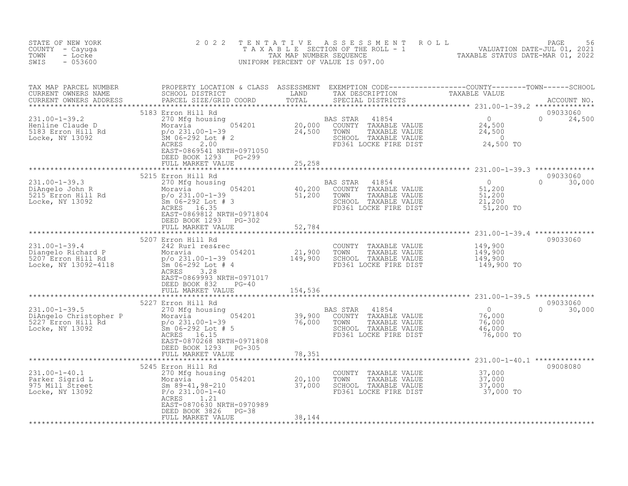| STATE OF NEW YORK<br>COUNTY - Cayuga<br>- Locke<br>TOWN<br>SWIS<br>$-053600$                                                                                                                                                                                                                                                    | 2 0 2 2                                                                                                                                                                                                               | TENTATIVE | UNIFORM PERCENT OF VALUE IS 097.00                                                                                                              | FENTATIVE ASSESSMENT ROLL PACE 56<br>TAXABLE SECTION OF THE ROLL - 1 VALUATION DATE-JUL 01, 2021<br>TAXABLE STATUS DATE-MAR 01, 2022<br>JNIFORM PERCENT OF VALUE IS 097.00                                                           |  |
|---------------------------------------------------------------------------------------------------------------------------------------------------------------------------------------------------------------------------------------------------------------------------------------------------------------------------------|-----------------------------------------------------------------------------------------------------------------------------------------------------------------------------------------------------------------------|-----------|-------------------------------------------------------------------------------------------------------------------------------------------------|--------------------------------------------------------------------------------------------------------------------------------------------------------------------------------------------------------------------------------------|--|
| TAX MAP PARCEL NUMBER<br>CURRENT OWNERS NAME<br>CURRENT OWNERS ADDRESS                                                                                                                                                                                                                                                          |                                                                                                                                                                                                                       |           |                                                                                                                                                 | PROPERTY LOCATION & CLASS ASSESSMENT EXEMPTION CODE---------------COUNTY-------TOWN------SCHOOL<br>SCHOOL DISTRICT                   LAND         TAX DESCRIPTION                 TAXABLE VALUE<br>PARCEL SIZE/GRID COORD       TOTA |  |
|                                                                                                                                                                                                                                                                                                                                 | 5183 Erron Hill Rd<br>EAST-0869541 NRTH-0971050<br>DEED BOOK 1293<br>PG-299                                                                                                                                           |           | AS STAR 41854 0<br>COUNTY TAXABLE VALUE 24,500<br>SCHOOL TAXABLE VALUE 24,500<br>SCHOOL TAXABLE VALUE 24,500<br>FD361 LOCKE FIRE DIST 24,500 TO | 09033060<br>$0 \t 24,500$                                                                                                                                                                                                            |  |
|                                                                                                                                                                                                                                                                                                                                 | FULL MARKET VALUE                                                                                                                                                                                                     | 25,258    |                                                                                                                                                 |                                                                                                                                                                                                                                      |  |
|                                                                                                                                                                                                                                                                                                                                 | 5215 Erron Hill Rd<br>EAST-0869812 NRTH-0971804                                                                                                                                                                       |           | AS STAR 41854 0<br>COUNTY TAXABLE VALUE 51,200<br>TOWN TAXABLE VALUE 51,200<br>SCHOOL TAXABLE VALUE 21,200                                      | 09033060<br>$\overline{0}$<br>$0 \t 30,000$<br>51,200 TO                                                                                                                                                                             |  |
|                                                                                                                                                                                                                                                                                                                                 | DEED BOOK 1293 PG-302<br>FULL MARKET VALUE                                                                                                                                                                            | 52,784    |                                                                                                                                                 |                                                                                                                                                                                                                                      |  |
|                                                                                                                                                                                                                                                                                                                                 |                                                                                                                                                                                                                       |           |                                                                                                                                                 |                                                                                                                                                                                                                                      |  |
| 231.00-1-39.4<br>Diangelo Richard P<br>5207 Erron Hill Rd<br>Locke, NY 13092-4118<br>$\begin{array}{ccc}\n & 2207 & 242 & \text{Rurl} & \text{r}}{\text{Rurl} & \text{r}} & 054201 \\  & 242 & \text{Rurl} & \text{r}} & 054201 \\  & 054201 & 21,900 \\  & 06-292 & \text{Lot} & 4 \\  & 054201 & 21,900 \\  & 06-292 & \text$ | 5207 Erron Hill Rd<br>3.28<br>ACRES<br>EAST-0869993 NRTH-0971017<br>DEED BOOK 832 PG-40                                                                                                                               |           | COUNTY TAXABLE VALUE<br>TOWN<br>TAXABLE VALUE<br>SCHOOL TAXABLE VALUE<br>FD361 LOCKE FIRE DIST                                                  | 09033060<br>149,900<br>149,900<br>149,900<br>149,900 TO                                                                                                                                                                              |  |
|                                                                                                                                                                                                                                                                                                                                 | FULL MARKET VALUE                                                                                                                                                                                                     | 154,536   |                                                                                                                                                 |                                                                                                                                                                                                                                      |  |
| 31.00-1-39.5<br>DiAngelo Christopher P<br>5227 Erron Hill Rd<br>527 Erron Hill Rd<br>527 Erron Hill Rd<br>527 Erron Hill Rd<br>527 Erron Hill Rd<br>527 Erron Hill Rd<br>527 Erron Hill Rd<br>527 Erron Hill Rd<br>527 Erron Hill Rd<br>527 Erron Hi                                                                            | 5227 Erron Hill Rd<br>EAST-0870268 NRTH-0971808<br>DEED BOOK 1293 PG-305<br>FULL MARKET VALUE                                                                                                                         | 78,351    | SCHOOL TAXABLE VALUE 46,000<br>FD361 LOCKE FIRE DIST 76,000 TO                                                                                  | 09033060<br>$\Omega$<br>30,000                                                                                                                                                                                                       |  |
|                                                                                                                                                                                                                                                                                                                                 |                                                                                                                                                                                                                       |           |                                                                                                                                                 |                                                                                                                                                                                                                                      |  |
| 231.00-1-40.1<br>Parker Sigrid L<br>975 Mill Street<br>Locke, NY 13092                                                                                                                                                                                                                                                          | 5245 Erron Hill Rd<br>5245 Erron Hill Rd<br>270 Mfg housing<br>Moravia 054201 20,100<br>Sm 89-41,98-210 37,000<br>P/O 231.00-1-40<br>ACEES 1 21<br>ACRES<br>1.21<br>EAST-0870630 NRTH-0970989<br>DEED BOOK 3826 PG-38 |           | COUNTY TAXABLE VALUE<br>TOWN<br>TAXABLE VALUE<br>SCHOOL TAXABLE VALUE<br>FD361 LOCKE FIRE DIST                                                  | 09008080<br>37,000<br>37,000<br>37,000<br>37,000 TO                                                                                                                                                                                  |  |
|                                                                                                                                                                                                                                                                                                                                 | FULL MARKET VALUE                                                                                                                                                                                                     | 38,144    |                                                                                                                                                 |                                                                                                                                                                                                                                      |  |
|                                                                                                                                                                                                                                                                                                                                 |                                                                                                                                                                                                                       |           |                                                                                                                                                 |                                                                                                                                                                                                                                      |  |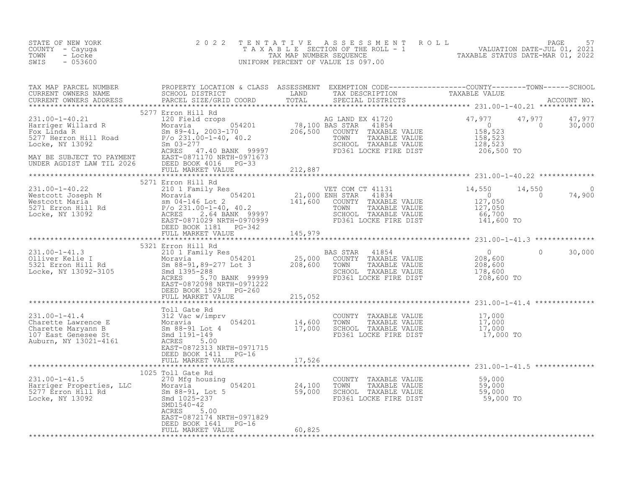| STATE OF NEW YORK<br>COUNTY - Cayuga<br>TOWN<br>- Locke<br>SWIS<br>$-053600$                                                                                                                                                                                                                                                                                                                                               | 2022                                                                                        |        | TENTATIVE ASSESSMENT ROLL PACE 57<br>TAXABLE SECTION OF THE ROLL - 1 VALUATION DATE-JUL 01, 2021<br>TAX MAP NUMBER SEQUENCE TAXABLE STATUS DATE-MAR 01, 2022<br>UNIFORM PERCENT OF VALUE IS 097.00 |        |
|----------------------------------------------------------------------------------------------------------------------------------------------------------------------------------------------------------------------------------------------------------------------------------------------------------------------------------------------------------------------------------------------------------------------------|---------------------------------------------------------------------------------------------|--------|----------------------------------------------------------------------------------------------------------------------------------------------------------------------------------------------------|--------|
|                                                                                                                                                                                                                                                                                                                                                                                                                            |                                                                                             |        |                                                                                                                                                                                                    |        |
| $\begin{tabular}{lllllllllllll} \multicolumn{3}{c}{231.00-1-40.21} & 5277 \text{ Erron Hill Rd} & \text{AC R} & 5277 \text{ Erron Hill Rd} & \text{AC R} & 78,100 \text{ BAS STAR } 41720 & 47,977 & 47,977 & 47,977 \\ \text{Harriger Willard R} & 120 \text{ Field crops} & 054201 & 78,100 \text{ BAS STAR } 41854 & 0 & 30,000 \\ \text{Fox Linda R} & 0 & 30,000 & 30,000 & 30,0$                                     | 5277 Erron Hill Rd                                                                          |        |                                                                                                                                                                                                    |        |
|                                                                                                                                                                                                                                                                                                                                                                                                                            |                                                                                             |        |                                                                                                                                                                                                    |        |
| $\begin{tabular}{lllllllllll} 231.00-1-40.22 & 5271 \; \text{Error Hill Rd} & \text{WET COM CT 41131} & 14,550 & 14 \; \text{Nestcott Joseph M} & \text{Moravia} & 054201 & 21,000 \; \text{ENH STAR} & 41834 & 0 \; \text{Mestcott Maria} & 0 & 04-146 \; \text{Lot 2} & 141,600 & \text{COUNTY TAXABLE VALUE} & 127,050 \; \text{LOCKe, NY 13092} & \text{ACRES-TOR Hill Rd} & \text{EAGTE$                              | 5271 Erron Hill Rd                                                                          |        | $14,550$ 0<br>0 74,900                                                                                                                                                                             |        |
|                                                                                                                                                                                                                                                                                                                                                                                                                            |                                                                                             |        |                                                                                                                                                                                                    |        |
|                                                                                                                                                                                                                                                                                                                                                                                                                            | 5321 Erron Hill Rd                                                                          |        |                                                                                                                                                                                                    |        |
|                                                                                                                                                                                                                                                                                                                                                                                                                            | DEED BOOK 1529 PG-260<br>FULL MARKET VALUE 215,052                                          |        | $\Omega$                                                                                                                                                                                           | 30,000 |
|                                                                                                                                                                                                                                                                                                                                                                                                                            |                                                                                             |        |                                                                                                                                                                                                    |        |
|                                                                                                                                                                                                                                                                                                                                                                                                                            | DEED BOOK 1411 PG-16                                                                        |        |                                                                                                                                                                                                    |        |
|                                                                                                                                                                                                                                                                                                                                                                                                                            | FULL MARKET VALUE 17,526                                                                    |        |                                                                                                                                                                                                    |        |
| $\begin{array}{lllllllllllllll} \text{231.00--1-41.5} & & & & & 1025 \text{ Tol1 Gate Rd} & & & & & & \text{COUNTY} & \text{TAXABLE VALUE} & & & & 59,000 \\ \text{Harriger Properties, LLC} & & & & & & 054201 & & & 24,100 & \text{TOWN} & \text{TAXABLE VALUE} & & & 59,000 \\ \text{5277 Error Hill Rd} & & & & & & 59,000 & & & \text{SMA BLE VALUE} & & & 59,000 \\ \text{Locke, NY 13092} & & & & & & \text{SMD154$ | 1025 Toll Gate Rd<br>EAST-0872174 NRTH-0971829<br>DEED BOOK 1641 PG-16<br>FULL MARKET VALUE | 60,825 |                                                                                                                                                                                                    |        |
|                                                                                                                                                                                                                                                                                                                                                                                                                            |                                                                                             |        |                                                                                                                                                                                                    |        |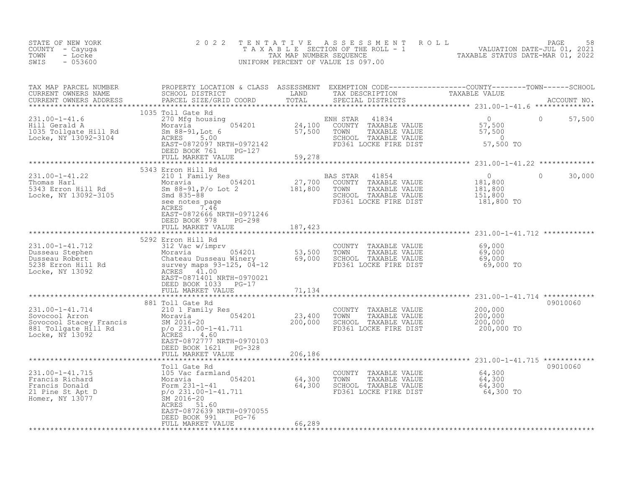| STATE OF NEW YORK<br>COUNTY - Cayuga<br>TOWN<br>- Locke<br>SWIS<br>$-053600$                                                               | 2 0 2 2                                                                                                                                                                                                                                              | TENTATIVE                  | A S S E S S M E N T R O L L<br>UNIFORM PERCENT OF VALUE IS 097.00                                                   | TAXABLE SECTION OF THE ROLL - 1 THE TRANSLE STATUS DATE-JUL 01, 2021                                                                                                                                                               | PAGE<br>58  |
|--------------------------------------------------------------------------------------------------------------------------------------------|------------------------------------------------------------------------------------------------------------------------------------------------------------------------------------------------------------------------------------------------------|----------------------------|---------------------------------------------------------------------------------------------------------------------|------------------------------------------------------------------------------------------------------------------------------------------------------------------------------------------------------------------------------------|-------------|
| TAX MAP PARCEL NUMBER<br>CURRENT OWNERS NAME<br>CURRENT OWNERS ADDRESS                                                                     | PARCEL SIZE/GRID COORD                                                                                                                                                                                                                               | TOTAL                      | SPECIAL DISTRICTS                                                                                                   | PROPERTY LOCATION & CLASS ASSESSMENT EXEMPTION CODE----------------COUNTY-------TOWN------SCHOOL<br>SCHOOL DISTRICT               LAND         TAX DESCRIPTION               TAXABLE VALUE<br>PARCEL SIZE/GRID COORD         TOTAL | ACCOUNT NO. |
| $231.00 - 1 - 41.6$<br>Hill Gerald A<br>1035 Tollgate Hill Rd<br>Locke, NY 13092-3104                                                      | 1035 Toll Gate Rd<br>270 Mfg housing<br>054201<br>Moravia<br>Sm 88-91, Lot 6<br>ACRES 5.00<br>EAST-0872097 NRTH-0972142<br>DEED BOOK 761<br>PG-127<br>FULL MARKET VALUE                                                                              | 24,100<br>57,500<br>59,278 | ENH STAR<br>41834<br>COUNTY TAXABLE VALUE<br>TAXABLE VALUE<br>TOWN<br>SCHOOL TAXABLE VALUE<br>FD361 LOCKE FIRE DIST | $\Omega$<br>0<br>57,500<br>57,500<br>$\overline{0}$<br>57,500 TO                                                                                                                                                                   | 57,500      |
|                                                                                                                                            |                                                                                                                                                                                                                                                      |                            |                                                                                                                     |                                                                                                                                                                                                                                    |             |
| $231.00 - 1 - 41.22$<br>Thomas Harl<br>5343 Erron Hill Rd<br>Locke, NY 13092-3105                                                          | 5343 Erron Hill Rd<br>210 1 Family Res<br>Moravia (1991)<br>Sm 88-91, P/o Lot 2 (1991)<br>Smd 835-88 (1992)<br>Smd 835-88<br>Smd 835-88<br>see notes page<br>ACRES<br>7.46<br>EAST-0872666 NRTH-0971246<br>DEED BOOK 978 PG-298<br>FULL MARKET VALUE |                            | BAS STAR<br>41854<br>COUNTY TAXABLE VALUE<br>TAXABLE VALUE<br>TOWN<br>SCHOOL TAXABLE VALUE<br>FD361 LOCKE FIRE DIST | $\circ$<br>$\Omega$<br>181,800<br>181,800<br>151,800<br>181,800 TO                                                                                                                                                                 | 30,000      |
|                                                                                                                                            |                                                                                                                                                                                                                                                      | 187,423                    |                                                                                                                     |                                                                                                                                                                                                                                    |             |
|                                                                                                                                            | 5292 Erron Hill Rd                                                                                                                                                                                                                                   |                            |                                                                                                                     |                                                                                                                                                                                                                                    |             |
| 231.00-1-41.712<br>Dusseau Stephen<br>Dusseau Robert<br>5238 Erron Hill Rd<br>Locke, NY 13092                                              | 312 Vac w/imprv<br>Moravia 054201<br>Chateau Dusseau Winery<br>Survey maps 93-125, 04-12<br>ACRES 41.00<br>EAST-0871401 NRTH-0970021<br>DEED BOOK 1033 PG-17                                                                                         | 53,500<br>69,000           | COUNTY TAXABLE VALUE<br>TOWN<br>TAXABLE VALUE<br>SCHOOL TAXABLE VALUE<br>FD361 LOCKE FIRE DIST                      | 69,000<br>69,000<br>69,000<br>$69,000$ TO                                                                                                                                                                                          |             |
|                                                                                                                                            | FULL MARKET VALUE                                                                                                                                                                                                                                    | 71,134                     |                                                                                                                     |                                                                                                                                                                                                                                    |             |
| 231.00-1-41.714<br>Sovocool Arron<br>Sovocool Arron<br>Sovocool Stacey Francis<br>881 Tollgate Hill Rd<br>Ni 1968: 1970<br>Locke, NY 13092 | 881 Toll Gate Rd<br>210 1 Family Res<br>Moravia <sup>1</sup> 054201<br>SM 2016-20<br>SM 2016-20<br>$p$ /o 231.00-1-41.711<br>ACRES 4.60<br>EAST-0872777 NRTH-0970103                                                                                 | 23,400<br>200,000          | COUNTY TAXABLE VALUE<br>TOWN<br>TAXABLE VALUE<br>SCHOOL TAXABLE VALUE<br>FD361 LOCKE FIRE DIST                      | 200,000<br>200,000<br>200,000<br>200,000 TO                                                                                                                                                                                        | 09010060    |
|                                                                                                                                            | DEED BOOK 1621 PG-328                                                                                                                                                                                                                                |                            |                                                                                                                     |                                                                                                                                                                                                                                    |             |
|                                                                                                                                            | FULL MARKET VALUE                                                                                                                                                                                                                                    | 206,186                    |                                                                                                                     |                                                                                                                                                                                                                                    |             |
| $231.00 - 1 - 41.715$<br>Francis Richard<br>Francis Donald<br>21 Pine St Apt D<br>Homer, NY 13077                                          | Toll Gate Rd<br>105 Vac farmland<br>Moravia 054201 64,300<br>Form 231-1-41 64,300<br>p/o_231.00-1-41.711 64,300<br>SM 2016-20<br>ACRES 51.60<br>EAST-0872639 NRTH-0970055                                                                            |                            | COUNTY TAXABLE VALUE<br>TOWN<br>TAXABLE VALUE<br>SCHOOL TAXABLE VALUE<br>FD361 LOCKE FIRE DIST                      | 64,300<br>64,300<br>64,300<br>64,300 TO                                                                                                                                                                                            | 09010060    |
|                                                                                                                                            | DEED BOOK 991<br>PG-76<br>FULL MARKET VALUE                                                                                                                                                                                                          | 66,289                     |                                                                                                                     |                                                                                                                                                                                                                                    |             |
|                                                                                                                                            |                                                                                                                                                                                                                                                      |                            |                                                                                                                     |                                                                                                                                                                                                                                    |             |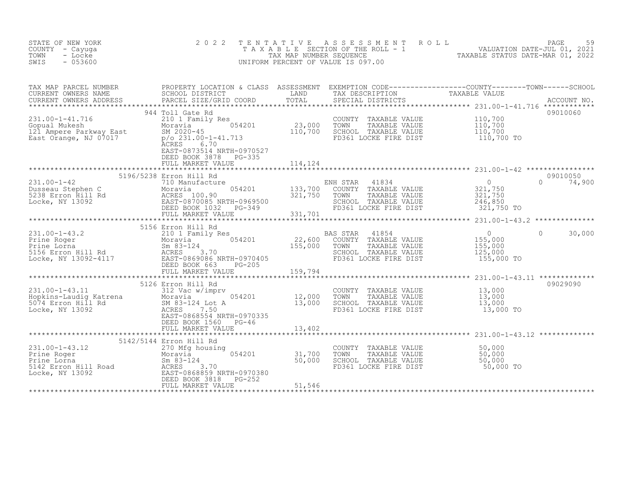| STATE OF NEW YORK<br>COUNTY - Cayuga<br>- Locke<br>TOWN<br>$-053600$<br>SWIS                                                                                                                                                                                         | 2 0 2 2                                                                                                                                                                                       | TENTATIVE                           | ASSESSMENT ROLL<br>UNIFORM PERCENT OF VALUE IS 097.00                                                               | T A X A B L E SECTION OF THE ROLL - 1 WALUATION DATE-JUL 01, 2021<br>TAX MAP NUMBER SEQUENCE TANGER SECTION OF THE SECTION OF THE SECTION OF THE SECTION OF TAXABLE STATUS DATE-MAR 01, 2022 | PAGE<br>59         |
|----------------------------------------------------------------------------------------------------------------------------------------------------------------------------------------------------------------------------------------------------------------------|-----------------------------------------------------------------------------------------------------------------------------------------------------------------------------------------------|-------------------------------------|---------------------------------------------------------------------------------------------------------------------|----------------------------------------------------------------------------------------------------------------------------------------------------------------------------------------------|--------------------|
| TAX MAP PARCEL NUMBER<br>CURRENT OWNERS NAME<br>CURRENT OWNERS ADDRESS                                                                                                                                                                                               |                                                                                                                                                                                               |                                     |                                                                                                                     |                                                                                                                                                                                              |                    |
| 231.00-1-41.716<br>231.00-1-41.716 210 1 Famil<br>Gopual Mukesh Moravia<br>121 Ampere Parkway East SM 2020-45<br>East Orange, NJ 07017 p/or 231.00                                                                                                                   | 944 Toll Gate Rd<br>210 1 Family Res<br>054201<br>$p$ /o 231.00-1-41.713<br>ĀCRES<br>6.70<br>EAST-0873514 NRTH-0970527<br>DEED BOOK 3878 PG-335<br>FULL MARKET VALUE                          | $\frac{23,000}{110,700}$<br>114,124 | COUNTY TAXABLE VALUE<br>TOWN<br>TAXABLE VALUE<br>SCHOOL TAXABLE VALUE<br>FD361 LOCKE FIRE DIST                      | 110,700<br>110,700<br>110,700<br>110,700 TO                                                                                                                                                  | 09010060           |
|                                                                                                                                                                                                                                                                      |                                                                                                                                                                                               |                                     |                                                                                                                     |                                                                                                                                                                                              |                    |
|                                                                                                                                                                                                                                                                      | 5196/5238 Erron Hill Rd                                                                                                                                                                       |                                     | TOWN TAXABLE VALUE<br>SCHOOL TAXABLE VALUE                                                                          | 0<br>321,750<br>321,750<br>246,850<br>321,750 TO<br>$\Omega$                                                                                                                                 | 09010050<br>74,900 |
|                                                                                                                                                                                                                                                                      |                                                                                                                                                                                               |                                     |                                                                                                                     |                                                                                                                                                                                              |                    |
| 31.00-1-43.2<br>Prine Roger 22,600<br>Prine Lorna 5156 Erron Hill Rd<br>5156 Erron Hill Rd<br>Locke, NY 13092-4117<br>22,600<br>22,600<br>54201<br>22,600<br>22,600<br>22,600<br>22,600<br>22,600<br>22,600<br>22,600<br>22,600<br>22,600<br>22,600<br>255,000<br>25 | 5156 Erron Hill Rd                                                                                                                                                                            |                                     | 41854<br>BAS STAR<br>COUNTY TAXABLE VALUE<br>TAXABLE VALUE<br>TOWN<br>SCHOOL TAXABLE VALUE<br>FD361 LOCKE FIRE DIST | $\overline{0}$<br>$\Omega$<br>$155,000$<br>$155,000$<br>155,000<br>125,000<br>155,000 TO                                                                                                     | 30,000             |
|                                                                                                                                                                                                                                                                      |                                                                                                                                                                                               |                                     |                                                                                                                     |                                                                                                                                                                                              |                    |
| 231.00-1-43.11<br>Hopkins-Laudig Katrena<br><sup>-274</sup> Erron Hill Rd                                                                                                                                                                                            | 5126 Erron Hill Rd<br>312 Vac w/imprv<br>Moravia <sup>1</sup> 054201<br>SM 83-124 Lot A<br>ACRES 7 50<br>ACRES 7.50<br>EAST-0868554 NRTH-0970335<br>DEED BOOK 1560 PG-46<br>FULL MARKET VALUE | 12,000<br>13,000<br>13,402          | COUNTY TAXABLE VALUE<br>TOWN TAXABLE VALUE $13,000$<br>SCHOOL TAXABLE VALUE $13,000$<br>FD361 LOCKE FIRE DIST       | 13,000<br>13,000 TO                                                                                                                                                                          | 09029090           |
|                                                                                                                                                                                                                                                                      |                                                                                                                                                                                               |                                     |                                                                                                                     |                                                                                                                                                                                              |                    |
| 231.00-1-43.12<br>Prine Roger<br>Prine Lorna<br>5142 Erron Hill Road<br>1992<br>Locke, NY 13092<br>200 Mgg housing<br>270 Mgg housing<br>Moravia<br>270 Mgg housing<br>270 Mgg housing<br>270 Mgg housing<br>270 Mgg housing<br>270 Mgg housing<br>270 Mgg           | 5142/5144 Erron Hill Rd<br>FULL MARKET VALUE                                                                                                                                                  | $31,700$<br>50.000<br>51,546        | COUNTY TAXABLE VALUE<br>TOWN TAXABLE VALUE 50,000<br>SCHOOL TAXABLE VALUE 50,000<br>FD361 LOCKE FIRE DIST           | 50,000<br>50,000 TO                                                                                                                                                                          |                    |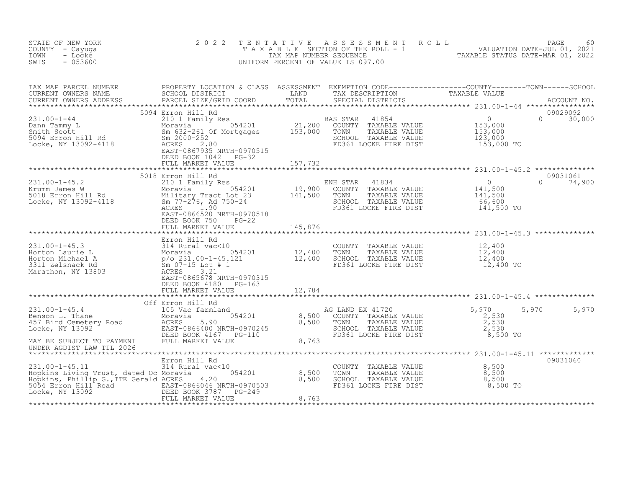| STATE OF NEW YORK<br>COUNTY - Cayuga<br>- Locke<br>TOWN<br>$-053600$<br>SWIS                                                                                                                                                                                                                                                             | 2 0 2 2                                                                       |                                                                                                                             | TENTATIVE ASSESSMENT ROLL PAGE 60<br>TAXABLE SECTION OF THE ROLL - 1 VALUATION DATE-JUL 01, 2021<br>TAX MAP NUMBER SEQUENCE TAXABLE STATUS DATE-MAR 01, 2022<br>UNIFORM PERCENT OF VALUE IS 097.00 |               |
|------------------------------------------------------------------------------------------------------------------------------------------------------------------------------------------------------------------------------------------------------------------------------------------------------------------------------------------|-------------------------------------------------------------------------------|-----------------------------------------------------------------------------------------------------------------------------|----------------------------------------------------------------------------------------------------------------------------------------------------------------------------------------------------|---------------|
|                                                                                                                                                                                                                                                                                                                                          |                                                                               |                                                                                                                             |                                                                                                                                                                                                    |               |
|                                                                                                                                                                                                                                                                                                                                          |                                                                               |                                                                                                                             |                                                                                                                                                                                                    |               |
|                                                                                                                                                                                                                                                                                                                                          | EAST-0866520 NRTH-0970518<br>DEED BOOK 750 PG-22<br>FULL MARKET VALUE 145,876 |                                                                                                                             |                                                                                                                                                                                                    | $0 \t 74,900$ |
|                                                                                                                                                                                                                                                                                                                                          |                                                                               |                                                                                                                             |                                                                                                                                                                                                    |               |
| $\begin{tabular}{lllllllllllllllllllll} \hline & & & & & & & & \\ 231.00-1-45.4 & & & & & & & \\ 231.00-1-45.4 & & & & & & & \\ 231.00-1-45.4 & & & & & & \\ 231.00-1-45.4 & & & & & & \\ 231.00-1-45.4 & & & & & & \\ 231.00-1-45.4 & & & & & & \\ 231.00-1-45.4 & & & & & & \\ 231.00-1-45.4 & & & & & & \\ 231.00-1-45.4 & & & & & &$ |                                                                               |                                                                                                                             |                                                                                                                                                                                                    | 5,970 5,970   |
| Erron Hill Rd<br>231.00-1-45.11 314 Rural vac<10 COUNTY<br>Hopkins Living Trust, dated Oc Moravia 054201 8,500 TOWN<br>Hopkins, Phillip G., TTE Gerald ACRES 4.20 8,500 SCHOOL<br>5054 Erron Hill Road EAST-0866046 NRTH-0970503 FD361                                                                                                   |                                                                               | COUNTY TAXABLE VALUE $8,500$<br>TOWN TAXABLE VALUE $8,500$<br>SCHOOL TAXABLE VALUE $8,500$<br>FD361 LOCKE FIRE DIST $8,500$ |                                                                                                                                                                                                    | 09031060      |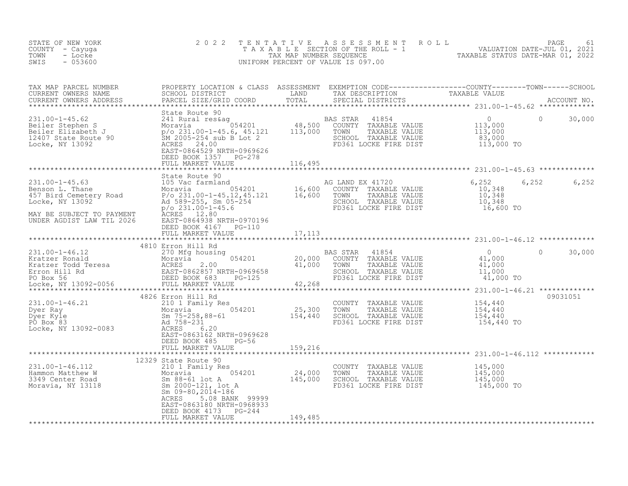| STATE OF NEW YORK<br>COUNTY - Cayuga<br>- Locke<br>TOWN<br>SWIS<br>$-053600$                                                                                                                                                                                                                                                                                                                                                                                                           | 2 0 2 2                                                                                                                                               | TENTATIVE                    | UNIFORM PERCENT OF VALUE IS 097.00                                                                                                              | $\begin{tabular}{lllllllllllllllllll} $\bot$ & $\bot$ & $\bot$ & PAGE & 61 \\ $\top$ A $X$ A $B$ L $E$ & SECTION OF THE ROLL & $-1$ & \tt{VALUATION DATE-JUL 01, 2021} \\ $\top$ A $X$ A $B$ L $E$ & SECTION OF THE ROLL & $-1$ & \tt{VALUATION DATE-JUL 01, 2022} \\ $\top$ & The ROL & The ROL & \tt{TXABLE STATUS DATE-MAR 01, 2022} \\ $\top$ & The ROL & The ROL & \tt{TXABLE STATUS DATE-MAR 01, 2022} \\ $\top$ & The ROL & The ROL & \tt{VALU$ |        |
|----------------------------------------------------------------------------------------------------------------------------------------------------------------------------------------------------------------------------------------------------------------------------------------------------------------------------------------------------------------------------------------------------------------------------------------------------------------------------------------|-------------------------------------------------------------------------------------------------------------------------------------------------------|------------------------------|-------------------------------------------------------------------------------------------------------------------------------------------------|--------------------------------------------------------------------------------------------------------------------------------------------------------------------------------------------------------------------------------------------------------------------------------------------------------------------------------------------------------------------------------------------------------------------------------------------------------|--------|
| TAX MAP PARCEL NUMBER<br>CURRENT OWNERS NAME<br>CURRENT OWNERS ADDRESS                                                                                                                                                                                                                                                                                                                                                                                                                 |                                                                                                                                                       |                              |                                                                                                                                                 |                                                                                                                                                                                                                                                                                                                                                                                                                                                        |        |
| 231.00-1-45.62<br>BAS STAR 41854<br>Beiler Stephen S<br>Beiler Elizabeth J<br>12407 State Route 90<br>Locke, NY 13092<br>BAS STAR 41854<br>Moravia<br>241 Runaria 054201<br>241.00-1-45.6, 45.121<br>26962626<br>241.000 TOWN TAXABLE VALUE<br>2696262                                                                                                                                                                                                                                 | State Route 90<br>EAST-0864529 NRTH-0969626<br>DEED BOOK 1357 PG-278<br>FULL MARKET VALUE                                                             | 116,495                      | AS STAR 41854<br>COUNTY TAXABLE VALUE 113,000<br>TOWN TAXABLE VALUE 113,000<br>SCHOOL TAXABLE VALUE 113,000<br>FD361 LOCKE FIRE DIST 113,000 TO | $\overline{0}$<br>$\Omega$                                                                                                                                                                                                                                                                                                                                                                                                                             | 30,000 |
| $\begin{array}{llllllll} \text{231.00--1--45.63} & \text{State Route 90} & \text{AG LAND EX 41720} \\ \text{Benson L. Thane} & \text{Moravia} & 054201 & 16,600 & \text{COUNTY TAXABLE VALUE} \\ \text{457 Bird Cemetery Road} & \text{P/o 231.00--1--45.12,45.121} & 16,600 & \text{TOWN} & \text{TAXABLE VALUE} \\ \text{Locke, NY 13092} & \text{Ad 589--255, Sm 05--254} & \text{SCHOOL TAXABLE VALUE} \\ & \text{P/o 2$<br>MAY BE SUBJECT TO PAYMENT<br>UNDER AGDIST LAW TIL 2026 | --- 509-235, Sm 05<br>p/o 231.00-1-45.6<br>ACRES 12.80<br>EAST-0864920 ---<br>EAST-0864938 NRTH-0970196<br>DEED BOOK 4167 PG-110<br>FULL MARKET VALUE | 17,113                       | SCHOOL TAXABLE VALUE<br>FD361 LOCKE FIRE DIST                                                                                                   | $6, 252$<br>$10, 348$<br>6,252<br>10,348<br>$\begin{array}{c} 10,348 \\ 16,600 \end{array}$ TO                                                                                                                                                                                                                                                                                                                                                         | 6,252  |
|                                                                                                                                                                                                                                                                                                                                                                                                                                                                                        | 4810 Erron Hill Rd                                                                                                                                    |                              |                                                                                                                                                 |                                                                                                                                                                                                                                                                                                                                                                                                                                                        |        |
| 231.00-1-46.12<br>Exactor Ronald Moravia 054201 20,000<br>Exactor Todd Teresa ACRES 2.00 41,000<br>Erron Hill Rd EAST-0862857 NRTH-0969658<br>PO Box 56 DEED BOOK 683 PG-125<br>Locke, NY 13092-0056 PEULL MARKET VALUE 42,268<br>Locket,                                                                                                                                                                                                                                              |                                                                                                                                                       |                              | BAS STAR<br>41854<br>COUNTY TAXABLE VALUE<br>TOWN TAXABLE VALUE<br>SCHOOL TAXABLE VALUE<br>FD361 LOCKE FIRE DIST                                | $\Omega$<br>$\Omega$<br>$41,000$<br>$41,000$<br>$11,000$<br>41,000 TO                                                                                                                                                                                                                                                                                                                                                                                  | 30,000 |
| 231.00-1-46.21<br>Dyer Ray<br>Dyer Ry<br>Dyer Kyle<br>PO Box 83<br>Locke, NY 13092-0083<br>Ad 758-231<br>RAST-0863162 NRTH-0969628<br>RAST-0863162 NRTH-0969628                                                                                                                                                                                                                                                                                                                        | 4826 Erron Hill Rd<br>EAST-0863162 NRTH-0969628<br>DEED BOOK 485 PG-56<br>FULL MARKET VALUE                                                           | 159,216                      | COUNTY TAXABLE VALUE<br>TOWN<br>TAXABLE VALUE<br>SCHOOL TAXABLE VALUE<br>FD361 LOCKE FIRE DIST                                                  | 09031051<br>154,440<br>154,440<br>154,440<br>154,440 TO                                                                                                                                                                                                                                                                                                                                                                                                |        |
|                                                                                                                                                                                                                                                                                                                                                                                                                                                                                        | 12329 State Route 90                                                                                                                                  |                              |                                                                                                                                                 |                                                                                                                                                                                                                                                                                                                                                                                                                                                        |        |
| 231.00-1-46.112<br>Hammon Matthew W 3349 Center Road<br>Moravia, NY 13118<br>Moravia, NY 13118<br>Moravia, NY 13118<br>Moravia, NY 13118<br>Moravia, NY 13118<br>Moravia, NY 13118<br>Moravia, NY 13118<br>Moravia, NY 13118<br>Moravia, NY 13118<br>                                                                                                                                                                                                                                  | ACRES<br>5.08 BANK 99999<br>EAST-0863180 NRTH-0968933<br>DEED BOOK 4173 PG-244<br>FULL MARKET VALUE                                                   | 24,000<br>145,000<br>149,485 | COUNTY TAXABLE VALUE<br>TOWN<br>TAXABLE VALUE<br>SCHOOL TAXABLE VALUE<br>FD361 LOCKE FIRE DIST                                                  | 145,000<br>145,000<br>145,000<br>145,000 TO                                                                                                                                                                                                                                                                                                                                                                                                            |        |
|                                                                                                                                                                                                                                                                                                                                                                                                                                                                                        |                                                                                                                                                       |                              |                                                                                                                                                 |                                                                                                                                                                                                                                                                                                                                                                                                                                                        |        |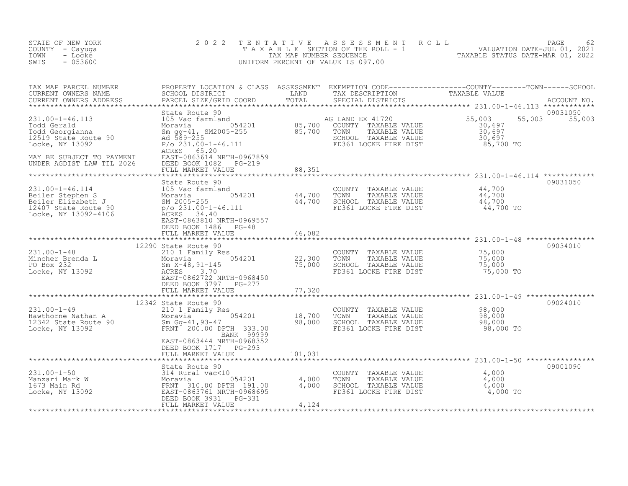| STATE OF NEW YORK<br>COUNTY - Cayuga<br>TOWN<br>- Locke<br>$-053600$<br>SWIS                                                                           | 2 0 2 2                                                                                                                                                                                              | TENTATIVE                    | A S S E S S M E N T<br>UNIFORM PERCENT OF VALUE IS 097.00                                                          | ROLL<br>T A X A B L E SECTION OF THE ROLL - 1 VALUATION DATE-JUL 01, 2021<br>TAX MAP NUMBER SEQUENCE TAXABLE STATUS DATE-MAR 01, 2022 | 62<br>PAGE         |
|--------------------------------------------------------------------------------------------------------------------------------------------------------|------------------------------------------------------------------------------------------------------------------------------------------------------------------------------------------------------|------------------------------|--------------------------------------------------------------------------------------------------------------------|---------------------------------------------------------------------------------------------------------------------------------------|--------------------|
| TAX MAP PARCEL NUMBER<br>CURRENT OWNERS NAME<br>CURRENT OWNERS ADDRESS<br>************************                                                     | PROPERTY LOCATION & CLASS ASSESSMENT<br>SCHOOL DISTRICT<br>PARCEL SIZE/GRID COORD                                                                                                                    | LAND<br>TOTAL                | TAX DESCRIPTION<br>SPECIAL DISTRICTS                                                                               | TAXABLE VALUE                                                                                                                         | ACCOUNT NO.        |
| 231.00-1-46.113<br>Todd Gerald<br>Todd Georgianna<br>12519 State Route 90<br>Locke, NY 13092<br>MAY BE SUBJECT TO PAYMENT<br>UNDER AGDIST LAW TIL 2026 | State Route 90<br>105 Vac farmland<br>$-054201$<br>Moravia<br>Sm gg-41, SM2005-255<br>Ad 589-255<br>$P/O$ 231.00-1-46.111<br>65.20<br>ACRES<br>EAST-0863614 NRTH-0967859<br>DEED BOOK 1082<br>PG-219 | 85,700<br>85,700             | AG LAND EX 41720<br>COUNTY TAXABLE VALUE<br>TOWN<br>TAXABLE VALUE<br>SCHOOL TAXABLE VALUE<br>FD361 LOCKE FIRE DIST | 55,003<br>55,003<br>30,697<br>30,697<br>30,697<br>85,700 TO                                                                           | 09031050<br>55,003 |
|                                                                                                                                                        | FULL MARKET VALUE                                                                                                                                                                                    | 88,351<br>***********        |                                                                                                                    |                                                                                                                                       |                    |
| 231.00-1-46.114<br>Beiler Stephen S<br>Beiler Elizabeth J<br>12407 State Route 90<br>Locke, NY 13092-4106                                              | State Route 90<br>105 Vac farmland<br>054201<br>Moravia<br>SM 2005-255<br>$p$ /o 231.00-1-46.111<br>ACRES<br>34.40<br>EAST-0863810 NRTH-0969557<br>DEED BOOK 1486<br>$PG-48$                         | 44,700<br>44,700             | COUNTY<br>TAXABLE VALUE<br>TOWN<br>TAXABLE VALUE<br>SCHOOL TAXABLE VALUE<br>FD361 LOCKE FIRE DIST                  | 44,700<br>44,700<br>44,700<br>44,700 TO                                                                                               | 09031050           |
|                                                                                                                                                        | FULL MARKET VALUE                                                                                                                                                                                    | 46,082                       |                                                                                                                    |                                                                                                                                       |                    |
| $231.00 - 1 - 48$<br>Mincher Brenda L<br>الد المستدل<br>المستدل<br>PO Box 232<br>Locke, NY 13092                                                       | ********************************<br>12290 State Route 90<br>210 1 Family Res<br>054201<br>Moravia<br>Sm $X-48, 91-145$<br>3.70<br>ACRES<br>EAST-0862722 NRTH-0968450<br>DEED BOOK 3797 PG-277        | 22,300<br>75,000             | COUNTY TAXABLE VALUE<br>TOWN<br>TAXABLE VALUE<br>SCHOOL TAXABLE VALUE<br>FD361 LOCKE FIRE DIST                     | 75,000<br>75,000<br>75,000<br>75,000 TO                                                                                               | 09034010           |
|                                                                                                                                                        | FULL MARKET VALUE                                                                                                                                                                                    | 77,320                       |                                                                                                                    |                                                                                                                                       |                    |
| $231.00 - 1 - 49$<br>Hawthorne Nathan A<br>12342 State Route 90<br>Locke, NY 13092                                                                     | 12342 State Route 90<br>210 1 Family Res<br>054201<br>Moravia<br>Sm Gg-41,93-47<br>FRNT 200.00 DPTH 333.00<br>BANK 99999                                                                             | ********<br>18,700<br>98,000 | COUNTY<br>TAXABLE VALUE<br>TAXABLE VALUE<br>TOWN<br>SCHOOL TAXABLE VALUE<br>FD361 LOCKE FIRE DIST                  | ************************ 231.00-1-49 *****************<br>98,000<br>98,000<br>98,000<br>98,000 TO                                     | 09024010           |
|                                                                                                                                                        | EAST-0863444 NRTH-0968352<br>DEED BOOK 1717 PG-293<br>FULL MARKET VALUE                                                                                                                              | 101,031                      |                                                                                                                    |                                                                                                                                       |                    |
|                                                                                                                                                        |                                                                                                                                                                                                      |                              |                                                                                                                    |                                                                                                                                       |                    |
| $231.00 - 1 - 50$<br>Manzari Mark W<br>1673 Main Rd<br>Locke, NY 13092                                                                                 | State Route 90<br>314 Rural vac<10<br>054201<br>Moravia<br>FRNT 310.00 DPTH 191.00<br>EAST-0863761 NRTH-0968695<br>DEED BOOK 3931<br>PG-331<br>FULL MARKET VALUE                                     | 4,000<br>4,000<br>4,124      | COUNTY TAXABLE VALUE<br>TOWN<br>TAXABLE VALUE<br>SCHOOL TAXABLE VALUE<br>FD361 LOCKE FIRE DIST                     | 4,000<br>4,000<br>4,000<br>4,000 TO                                                                                                   | 09001090           |
|                                                                                                                                                        |                                                                                                                                                                                                      |                              |                                                                                                                    |                                                                                                                                       |                    |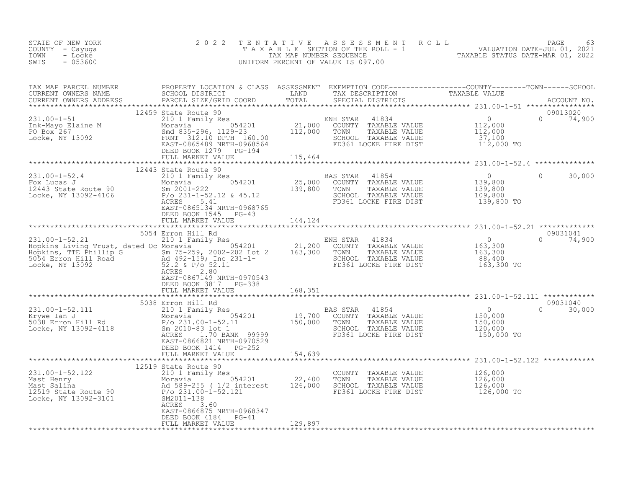| STATE OF NEW YORK<br>COUNTY - Cayuga<br>- Locke<br>TOWN<br>$-053600$<br>SWIS                                                                                                                                                                   | 2 0 2 2                                                                                 |         | TENTATIVE ASSESSMENT ROLL PAGE 63<br>TAXABLE SECTION OF THE ROLL - 1 VALUATION DATE-JUL 01, 2021<br>TAX MAP NUMBER SEQUENCE TAXABLE STATUS DATE-MAR 01, 2022<br>UNIFORM PERCENT OF VALUE IS 097.00                                |  |
|------------------------------------------------------------------------------------------------------------------------------------------------------------------------------------------------------------------------------------------------|-----------------------------------------------------------------------------------------|---------|-----------------------------------------------------------------------------------------------------------------------------------------------------------------------------------------------------------------------------------|--|
|                                                                                                                                                                                                                                                |                                                                                         |         | TAX MAP PARCEL NUMBER PROPERTY LOCATION & CLASS ASSESSMENT EXEMPTION CODE-----------------COUNTY--------TOWN-----SCHOOL CURRENT OWNERS NAME SCHOOL DISTRICT LAND TAX DESCRIPTION TAXABLE VALUE<br>CURRENT OWNERS ADDRESS PARCEL S |  |
|                                                                                                                                                                                                                                                |                                                                                         |         |                                                                                                                                                                                                                                   |  |
|                                                                                                                                                                                                                                                | 12443 State Route 90                                                                    |         |                                                                                                                                                                                                                                   |  |
| 12443 State 90<br>Fox Lucas J<br>210 1 Family Res<br>Moravia 054201 25,000 COUNTY TAXABLE VALUE 139,800<br>25,000 COUNTY TAXABLE VALUE 139,800<br>TAXABLE VALUE 139,800<br>25,000 COUNTY TAXABLE VALUE 139,800<br>TAXABLE VALUE 139,800<br>211 | EAST-0865134 NRTH-0968765                                                               |         | $\circ$<br>30,000                                                                                                                                                                                                                 |  |
|                                                                                                                                                                                                                                                | DEED BOOK 1545 PG-43<br>FULL MARKET VALUE 144,124                                       |         |                                                                                                                                                                                                                                   |  |
|                                                                                                                                                                                                                                                |                                                                                         |         |                                                                                                                                                                                                                                   |  |
| 331.00-1-52.21<br>Hopkins Living Trust, dated Oc Moravia 210 1 Family Res<br>Hopkins, TTE Phillip G Moravia 2002-202 Lot 2<br>Hopkins, TTE Phillip G Moravia 21,200 COUNTY TAXABLE VALUE<br>5054 Erron Hill Road<br>52.2 & P/o 52.11<br>Lo     | EAST-0867149 NRTH-0970543                                                               |         | 09031041<br>$0 \t 74,900$                                                                                                                                                                                                         |  |
|                                                                                                                                                                                                                                                | DEED BOOK 3817 PG-338<br>FULL MARKET VALUE 168,351                                      |         |                                                                                                                                                                                                                                   |  |
|                                                                                                                                                                                                                                                |                                                                                         |         |                                                                                                                                                                                                                                   |  |
| 31.00-1-52.111 5038 Erron Hill Kd<br>2100-1-52.111 210 1 Family Res BAS STAR 41854 0<br>2100-1-52.11 150,000 19,700 COUNTY TAXABLE VALUE 150,000<br>5038 Erron Hill Rd P/o 231.00-1-52.11 150,000 TOWN TAXABLE VALUE 150,000<br>2000 5         | 5038 Erron Hill Rd<br>EAST-0866821 NRTH-0970529<br>DEED BOOK 1414 PG-252                |         | 09031040<br>$0 \t 30,000$                                                                                                                                                                                                         |  |
|                                                                                                                                                                                                                                                | FULL MARKET VALUE 154,639                                                               |         |                                                                                                                                                                                                                                   |  |
| 12319 State Route 90<br>Mast Henry Moravia 054201<br>Mast Salina Moravia 054201<br>Mast Salina Ad 589-255 (1/2 interest 126,000 SCHOOL TAXABLE VALUE 126,000<br>Moravia 125,000 F/0 22,400 TOWN TAXABLE VALUE 126,000<br>Moravia 126,000       | 12519 State Route 90<br>ACRES 3.60<br>EAST-0866875 NRTH-0968347<br>DEED BOOK 4184 PG-41 |         |                                                                                                                                                                                                                                   |  |
|                                                                                                                                                                                                                                                | FULL MARKET VALUE                                                                       | 129,897 |                                                                                                                                                                                                                                   |  |
|                                                                                                                                                                                                                                                |                                                                                         |         |                                                                                                                                                                                                                                   |  |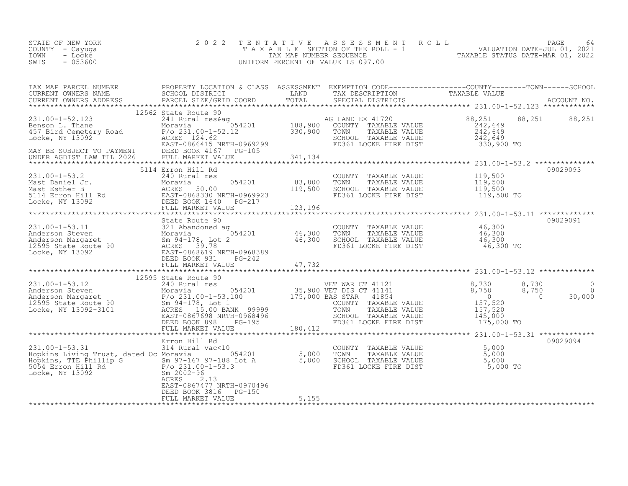| VALUATION DATE-JUL 01, 2021<br>TAXABLE SECTION OF THE ROLL - 1<br>COUNTY - Cayuga<br>TAXABLE STATUS DATE-MAR 01, 2022<br>TOWN<br>TAX MAP NUMBER SEOUENCE<br>- Locke<br>SWIS<br>$-053600$<br>UNIFORM PERCENT OF VALUE IS 097.00 | STATE OF NEW YORK |  | 2022 TENTATIVE ASSESSMENT ROLL |  | PAGE | 64 |
|--------------------------------------------------------------------------------------------------------------------------------------------------------------------------------------------------------------------------------|-------------------|--|--------------------------------|--|------|----|
|--------------------------------------------------------------------------------------------------------------------------------------------------------------------------------------------------------------------------------|-------------------|--|--------------------------------|--|------|----|

| 12562 State Route 90 |  |          |
|----------------------|--|----------|
|                      |  |          |
|                      |  |          |
|                      |  |          |
|                      |  |          |
|                      |  |          |
| 12595 State Route 90 |  |          |
|                      |  |          |
|                      |  | 09029094 |
|                      |  |          |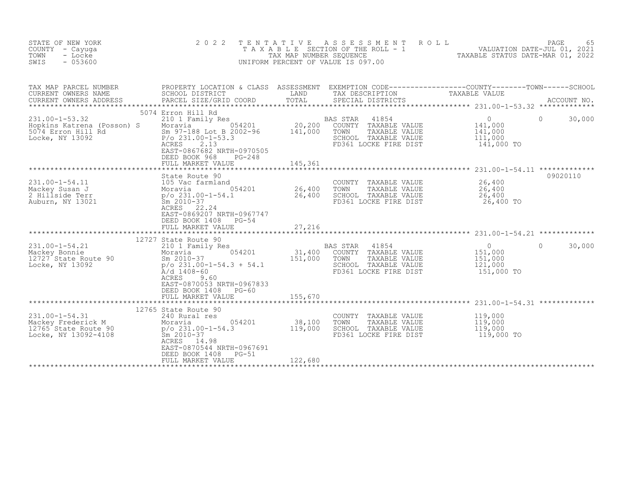| STATE OF NEW YORK<br>COUNTY<br>- Cayuqa<br>TOWN<br>- Locke<br>SWIS<br>$-053600$                                   | 2 0 2 2<br>TAXABLE                                                                                                                                                                                     | TENTATIVE<br>TAX MAP NUMBER SEQUENCE | ASSESSMENT<br>SECTION OF THE ROLL - 1<br>UNIFORM PERCENT OF VALUE IS 097.00                                                             | PAGE 65<br>VALUATION DATE-JUL 01, 2021<br>TAXABLE STATUS DATE MARIC 2021 |                    |
|-------------------------------------------------------------------------------------------------------------------|--------------------------------------------------------------------------------------------------------------------------------------------------------------------------------------------------------|--------------------------------------|-----------------------------------------------------------------------------------------------------------------------------------------|--------------------------------------------------------------------------|--------------------|
| TAX MAP PARCEL NUMBER<br>CURRENT OWNERS NAME<br>CURRENT OWNERS ADDRESS                                            | SCHOOL DISTRICT<br>PARCEL SIZE/GRID COORD                                                                                                                                                              | LAND<br>TOTAL<br>**********          | PROPERTY LOCATION & CLASS ASSESSMENT EXEMPTION CODE----------------COUNTY-------TOWN-----SCHOOL<br>TAX DESCRIPTION<br>SPECIAL DISTRICTS | TAXABLE VALUE                                                            | ACCOUNT NO.        |
| $231.00 - 1 - 53.32$<br>Hopkins Katrena (Posson) S<br>5074 Erron Hill Rd<br>Locke, NY 13092                       | 5074 Erron Hill Rd<br>210 1 Family Res<br>054201<br>Moravia<br>Sm 97-188 Lot B 2002-96<br>$P/O$ 231.00-1-53.3<br>2.13<br>ACRES<br>EAST-0867682 NRTH-0970505<br>DEED BOOK 968<br>$PG-248$               | 20,200<br>141,000                    | BAS STAR<br>41854<br>COUNTY TAXABLE VALUE<br>TOWN<br>TAXABLE VALUE<br>SCHOOL TAXABLE VALUE<br>FD361 LOCKE FIRE DIST                     | $\overline{0}$<br>141,000<br>141,000<br>111,000<br>141,000 TO            | 30,000<br>$\Omega$ |
| *********************************                                                                                 | FULL MARKET VALUE                                                                                                                                                                                      | 145,361                              |                                                                                                                                         |                                                                          |                    |
| 231.00-1-54.11<br>State<br>105 Vac<br>Moravia<br>p/o ??"<br>Mackey Susan J<br>2 Hillside Terr<br>Auburn, NY 13021 | State Route 90<br>105 Vac farmland<br>054201<br>$p$ /o 231.00-1-54.1<br>Sm 2010-37<br>ACRES 22.24<br>EAST-0869207 NRTH-0967747<br>DEED BOOK 1408<br>$PG-54$                                            | 26,400<br>26,400                     | COUNTY TAXABLE VALUE<br>TOWN<br>TAXABLE VALUE<br>SCHOOL TAXABLE VALUE<br>FD361 LOCKE FIRE DIST                                          | 26,400<br>26,400<br>26,400<br>26,400 TO                                  | 09020110           |
|                                                                                                                   | FULL MARKET VALUE                                                                                                                                                                                      | 27,216                               |                                                                                                                                         |                                                                          |                    |
| 231.00-1-54.21<br>Mackey Bonnie<br>12727 State Route 90<br>Locke, NY 13092                                        | 12727 State Route 90<br>210 1 Family Res<br>054201<br>Moravia<br>Sm 2010-37<br>$p$ /o 231.00-1-54.3 + 54.1<br>$A/d$ 1408-60<br>ACRES<br>9.60<br>EAST-0870053 NRTH-0967833<br>DEED BOOK 1408<br>$PG-60$ | 31,400<br>151,000                    | BAS STAR<br>41854<br>COUNTY TAXABLE VALUE<br>TOWN<br>TAXABLE VALUE<br>SCHOOL TAXABLE VALUE<br>FD361 LOCKE FIRE DIST                     | $\overline{0}$<br>151,000<br>151,000<br>121,000<br>151,000 TO            | $\Omega$<br>30,000 |
|                                                                                                                   | FULL MARKET VALUE                                                                                                                                                                                      | 155,670                              |                                                                                                                                         |                                                                          |                    |
| 231.00-1-54.31<br>Mackey Frederick M<br>10005 Chata Boute 90<br>Locke, NY 13092-4108                              | 12765 State Route 90<br>240 Rural res<br>054201<br>Moravia<br>$p$ /o 231.00-1-54.3<br>$Sm$ 2010-37<br>ACRES 14.98<br>EAST-0870544 NRTH-0967691<br>DEED BOOK 1408<br>$PG-51$                            | 38,100<br>119,000                    | COUNTY TAXABLE VALUE<br>TOWN<br>TAXABLE VALUE<br>SCHOOL TAXABLE VALUE<br>FD361 LOCKE FIRE DIST                                          | 119,000<br>119,000<br>119,000<br>119,000 TO                              |                    |
|                                                                                                                   | FULL MARKET VALUE                                                                                                                                                                                      | 122,680                              |                                                                                                                                         |                                                                          |                    |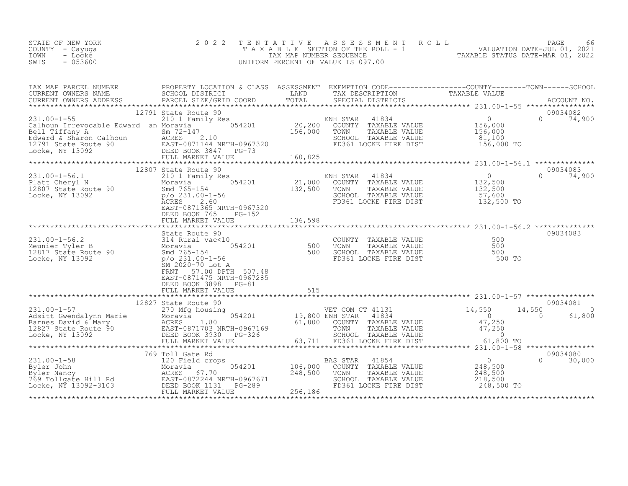| STATE OF NEW YORK | 2022 TENTATIVE ASSESSMENT ROLL     | 66<br>PAGE                       |
|-------------------|------------------------------------|----------------------------------|
| COUNTY – Cayuga   | TAXABLE SECTION OF THE ROLL - 1    | VALUATION DATE-JUL 01, 2021      |
| TOWN<br>- Locke   | TAX MAP NUMBER SEOUENCE            | TAXABLE STATUS DATE-MAR 01, 2022 |
| $-053600$<br>SWIS | UNIFORM PERCENT OF VALUE IS 097.00 |                                  |
|                   |                                    |                                  |

| TAX MAP PARCEL NUMBER<br>CURRENT OWNERS NAME SCHOOL DISTRICT<br>CURRENT OWNERS ADDRESS PARCEL SIZE/GRID COORD |                                                                                |                                                                                                                                                                                                                                                                                                                                                                                                                          | PROPERTY LOCATION & CLASS ASSESSMENT EXEMPTION CODE----------------COUNTY-------TOWN-----SCHOOL<br>TAX MAP PARCES NAME<br>CURRENT OWNERS NAME SCHOOL DISTRICT COORD TOTAL TRIN THE CONFERNT OWNERS ADDRESS SECTION CURRENT OWNERS ADDRESS<br>CURRENT OWNERS ADDRESS PARCEL SIZE/GRID COORD TOTAL SPECIAL DISTRICTS ACCOUNT NO.<br>******** |
|---------------------------------------------------------------------------------------------------------------|--------------------------------------------------------------------------------|--------------------------------------------------------------------------------------------------------------------------------------------------------------------------------------------------------------------------------------------------------------------------------------------------------------------------------------------------------------------------------------------------------------------------|--------------------------------------------------------------------------------------------------------------------------------------------------------------------------------------------------------------------------------------------------------------------------------------------------------------------------------------------|
|                                                                                                               |                                                                                |                                                                                                                                                                                                                                                                                                                                                                                                                          |                                                                                                                                                                                                                                                                                                                                            |
|                                                                                                               |                                                                                |                                                                                                                                                                                                                                                                                                                                                                                                                          |                                                                                                                                                                                                                                                                                                                                            |
|                                                                                                               | 12791 State Route 90                                                           |                                                                                                                                                                                                                                                                                                                                                                                                                          | 09034082                                                                                                                                                                                                                                                                                                                                   |
|                                                                                                               |                                                                                |                                                                                                                                                                                                                                                                                                                                                                                                                          |                                                                                                                                                                                                                                                                                                                                            |
|                                                                                                               | 12807 State Route 90<br>DEED BOOK 765<br>PG-152                                | $\begin{array}{cccccccc} 231.00-1-56.1 & 210 & 1200 \end{array} \quad \quad \begin{array}{cccccccc} 1200 & 1200 & 1200 \end{array} \quad \quad \begin{array}{cccccccc} 1200 & 1200 & 1200 \end{array} \quad \quad \begin{array}{cccccccc} 1200 & 1200 & 1200 & 1200 \end{array} \quad \quad \begin{array}{cccccccc} 210 & 1 & 1200 & 1200 & 1200 & 1200 \end{array} \quad \quad \begin{array}{cccccccc} 1200 & 1200 & 1$ | 09034083<br>$0 \t 74,900$                                                                                                                                                                                                                                                                                                                  |
|                                                                                                               |                                                                                |                                                                                                                                                                                                                                                                                                                                                                                                                          |                                                                                                                                                                                                                                                                                                                                            |
|                                                                                                               | 57.00 DPTH 507.48<br>FRNT<br>EAST-0871475 NRTH-0967285<br>DEED BOOK 3898 PG-81 | 31.00-1-56.2<br>Meunier Tyler B 314 Rural vac<10<br>Meunier Tyler B Moravia 12817 State Route 90<br>12817 State Route 90 500 500 501.00-1-56<br>12817 State Route 90 500 501.00-1-56<br>1286, NY 13092 500 500 501.00-1-56<br>500 501.00-1                                                                                                                                                                               | 09034083                                                                                                                                                                                                                                                                                                                                   |
|                                                                                                               | FULL MARKET VALUE 515                                                          |                                                                                                                                                                                                                                                                                                                                                                                                                          |                                                                                                                                                                                                                                                                                                                                            |
|                                                                                                               |                                                                                |                                                                                                                                                                                                                                                                                                                                                                                                                          |                                                                                                                                                                                                                                                                                                                                            |
|                                                                                                               |                                                                                |                                                                                                                                                                                                                                                                                                                                                                                                                          |                                                                                                                                                                                                                                                                                                                                            |
|                                                                                                               |                                                                                |                                                                                                                                                                                                                                                                                                                                                                                                                          |                                                                                                                                                                                                                                                                                                                                            |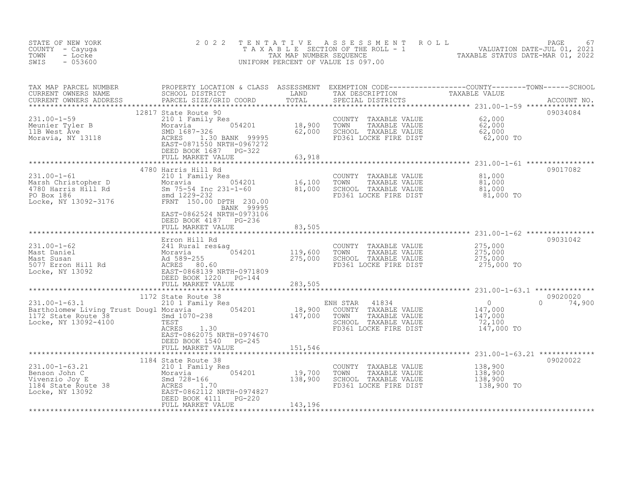| STATE OF NEW YORK<br>COUNTY - Cayuga<br>TOWN<br>- Locke<br>$-053600$<br>SWIS                                                                                                                                                                              | 2 0 2 2                                                                 |         |                                                                                                                                | TENTATIVE ASSESSMENT ROLL PAGE 67<br>TAXABLE SECTION OF THE ROLL - 1 VALUATION DATE-JUL 01, 2021<br>TAX MAP NUMBER SEQUENCE TAXABLE STATUS DATE-MAR 01, 2022<br>UNIFORM PERCENT OF VALUE IS 097.00 |                           |
|-----------------------------------------------------------------------------------------------------------------------------------------------------------------------------------------------------------------------------------------------------------|-------------------------------------------------------------------------|---------|--------------------------------------------------------------------------------------------------------------------------------|----------------------------------------------------------------------------------------------------------------------------------------------------------------------------------------------------|---------------------------|
| TAX MAP PARCEL NUMBER PROPERTY LOCATION & CLASS ASSESSMENT EXEMPTION CODE----------------COUNTY--------TOWN------SCHOOL CURRENT OWNERS NAME SCHOOL DISTRICT LAND TAX DESCRIPTION TAXABLE VALUE<br>CURRENT OWNERS ADDRESS PARCEL S                         |                                                                         |         |                                                                                                                                |                                                                                                                                                                                                    |                           |
|                                                                                                                                                                                                                                                           | DEED BOOK 1687 PG-322<br>FULL MARKET VALUE                              | 63,918  |                                                                                                                                |                                                                                                                                                                                                    | 09034084                  |
|                                                                                                                                                                                                                                                           | 4780 Harris Hill Rd                                                     |         |                                                                                                                                |                                                                                                                                                                                                    | 09017082                  |
| 231.00-1-61<br>Marsh Christopher D<br>21.000 Moravia 054201 16,100 TOWN TAXABLE VALUE<br>21780 Harris Hill Rd Sm 75-54 Inc 231-1-60 81,000 SCHOOL TAXABLE VALUE<br>231.000 SCHOOL TAXABLE VALUE<br>231.000 SCHOOL TAXABLE VALUE<br>231.000                | BANK 99995                                                              |         |                                                                                                                                |                                                                                                                                                                                                    |                           |
|                                                                                                                                                                                                                                                           | EAST-0862524 NRTH-0973106<br>DEED BOOK 4187 PG-236<br>FULL MARKET VALUE | 83,505  |                                                                                                                                |                                                                                                                                                                                                    |                           |
|                                                                                                                                                                                                                                                           |                                                                         |         |                                                                                                                                |                                                                                                                                                                                                    | 09031042                  |
| Erron Hill Rd<br>231.00-1-62 241 Rural res&ag<br>Mast Daniel Moravia 054201 119,600 TOWNTY TAXABLE VALUE 275,000<br>Mast Susan Ad 589-255 275,000 SCHOOL TAXABLE VALUE 275,000<br>5077 Erron Hill Rd ACRES 80.60 FD361 LOCKE FIRE DIST                    |                                                                         |         |                                                                                                                                |                                                                                                                                                                                                    |                           |
|                                                                                                                                                                                                                                                           |                                                                         |         |                                                                                                                                |                                                                                                                                                                                                    |                           |
| 1172 State Route 38<br>1172 State Route 38<br>1172 State Route 38<br>1172 State Route 38<br>1172 State Route 38<br>1172 State Route 38<br>1172 State Route 38<br>1172 State Route 38<br>1172 State Route 38<br>1172 State Route 38<br>1172 State R        | EAST-0862075 NRTH-0974670<br>DEED BOOK 1540 PG-245                      |         |                                                                                                                                |                                                                                                                                                                                                    | 09020020<br>$0 \t 74,900$ |
|                                                                                                                                                                                                                                                           | FULL MARKET VALUE                                                       | 151,546 |                                                                                                                                |                                                                                                                                                                                                    |                           |
| 231.00-1-63.21<br>Benson John C<br>Vivenzio Joy E<br>184 State Route 38<br>184 State Route 38<br>184 State Route 38<br>184 State Route 38<br>184 State Route 38<br>184 State Route 38<br>186 ACRES<br>1.70<br>138,900<br>138,900<br>138,900<br>FD361 LOCK | 1184 State Route 38<br>FULL MARKET VALUE                                | 143,196 | COUNTY TAXABLE VALUE 138,900<br>TOWN TAXABLE VALUE 138,900<br>SCHOOL TAXABLE VALUE 138,900<br>FD361 LOCKE FIRE DIST 138,900 TO |                                                                                                                                                                                                    | 09020022                  |
|                                                                                                                                                                                                                                                           |                                                                         |         |                                                                                                                                |                                                                                                                                                                                                    |                           |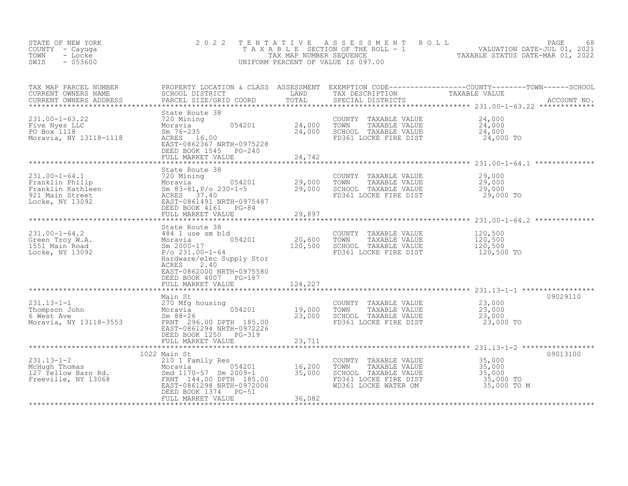| STATE OF NEW YORK<br>COUNTY - Cayuga<br>TOWN<br>- Locke<br>SWIS<br>$-053600$                                                                                                                                                                           | 2 0 2 2                                                                                                                              |         |                                                                                                                                    | TENTATIVE ASSESSMENT ROLL PAGE 68<br>TAXABLE SECTION OF THE ROLL - 1 VALUATION DATE-JUL 01, 2021<br>TAX MAP NUMBER SEQUENCE TAXABLE STATUS DATE-MAR 01, 2022<br>UNIFORM PERCENT OF VALUE IS 097.00                                |
|--------------------------------------------------------------------------------------------------------------------------------------------------------------------------------------------------------------------------------------------------------|--------------------------------------------------------------------------------------------------------------------------------------|---------|------------------------------------------------------------------------------------------------------------------------------------|-----------------------------------------------------------------------------------------------------------------------------------------------------------------------------------------------------------------------------------|
|                                                                                                                                                                                                                                                        |                                                                                                                                      |         |                                                                                                                                    | TAX MAP PARCEL NUMBER BROPERTY LOCATION & CLASS ASSESSMENT EXEMPTION CODE----------------COUNTY--------TOWN------SCHOOL CURRENT OWNERS NAME SCHOOL DISTRICT LAND TAX DESCRIPTION TAXABLE VALUE<br>CURRENT OWNERS ADDRESS PARCEL S |
| 231.00-1-63.22<br>231.00-1-63.22<br>24,000 TOWN TAXABLE VALUE<br>Moravia 054201<br>24,000 TOWN TAXABLE VALUE<br>Moravia, NY 13118-1118<br>24,000 SCHOOL TAXABLE VALUE<br>Moravia, NY 13118-1118<br>24,000 SCHOOL TAXABLE VALUE<br>24,000 SCHOOL        | EAST-0862367 NRTH-0975228<br>DEED BOOK 1545 PG-240<br>FULL MARKET VALUE                                                              | 24,742  | TAXABLE VALUE<br>FD361 LOCKE FIRE DIST 24,000 TO                                                                                   | $24,000$<br>$24,000$<br>$24,000$                                                                                                                                                                                                  |
|                                                                                                                                                                                                                                                        |                                                                                                                                      |         | COUNTY TAXABLE VALUE $29,000$<br>TOWN TAXABLE VALUE $29,000$<br>SCHOOL TAXABLE VALUE $29,000$<br>FD361 LOCKE FIRE DIST $29,000$ TO |                                                                                                                                                                                                                                   |
| 231.00-1-64.2<br>Green Troy W.A. Moravia and Moravia and COUNTY TAXABLE VALUE<br>Sm 2000-17<br>Locke, NY 13092 120,500 SCHOOL TAXABLE VALUE<br>Moravia 120,500 SCHOOL TAXABLE VALUE<br>P/o 21.00-1-64<br>P/o 21.00-1-64<br>P/o 21.00-1-64<br>P         | State Route 38<br>Hardware/elec Supply Stor<br>ACRES 2.40<br>EAST-0862000 NRTH-0975580<br>DEED BOOK 4007 PG-187<br>FULL MARKET VALUE | 124,227 | COUNTY TAXABLE VALUE                                                                                                               | 120,500<br>120,500<br>120,500<br>120,500 TO                                                                                                                                                                                       |
| Main St<br>231.13-1-1<br>Thompson John 270 Mfg housing<br>6 West Ave Sm 88-26<br>Moravia, NY 13118-3553<br>TRNT 296.00 DPTH 185.00<br>FRNT 296.00 DPTH 185.00<br>FRNT 296.00 NPTH-0872226                                                              | Main St<br>EAST-0861294 NRTH-0972226<br>DEED BOOK 1250 PG-319                                                                        |         | COUNTY TAXABLE VALUE 23,000<br>TOWN<br>TAXABLE VALUE<br>SCHOOL TAXABLE VALUE<br>FD361 LOCKE FIRE DIST                              | 09029110<br>23,000<br>23,000<br>23,000 TO                                                                                                                                                                                         |
|                                                                                                                                                                                                                                                        |                                                                                                                                      |         |                                                                                                                                    |                                                                                                                                                                                                                                   |
| 231.13-1-2<br>McHugh Thomas<br>127 Yellow Barn Rd.<br>Family Res<br>McHugh Thomas<br>16,200<br>16,200<br>Smd 1170-57 Sm 2009-1<br>55,000<br>Freeville, NY 13068<br>EAST-0861298 NRTH-0972006<br>EAST-0861298 NRTH-0972006<br>EAST-0861298 NRTH-0972006 | 1022 Main St<br>DEED BOOK 1374 PG-51<br>FULL MARKET VALUE                                                                            | 36,082  | COUNTY TAXABLE VALUE<br>TOWN<br>SCHOOL TAXABLE VALUE<br>FD361 LOCKE FIRE DIST                                                      | 09013100<br>TAXABLE VALUE<br>TAXABLE VALUE 35,000<br>TAXABLE VALUE 35,000<br>35,000 TO<br>WD361 LOCKE WATER OM 35,000 TO M                                                                                                        |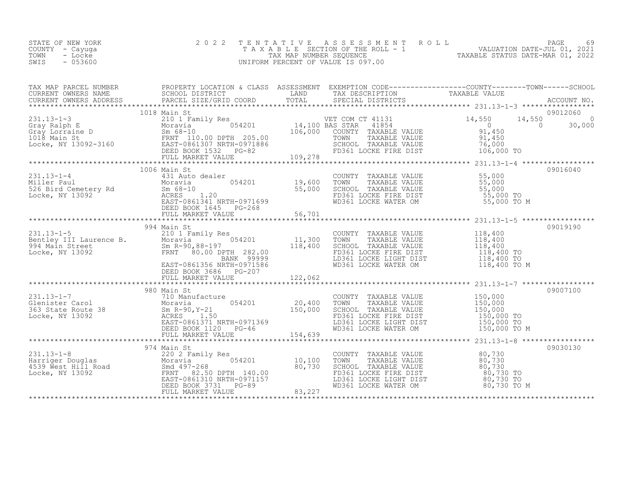| STATE OF NEW YORK<br>COUNTY - Cayuga<br>TOWN<br>- Locke<br>SWIS<br>$-053600$                                                                                                                                                                                                                                                                                                      | 2 0 2 2      |                                                                                                                                                                                                       | TENTATIVE ASSESSMENT ROLL PACE 69<br>TAXABLE SECTION OF THE ROLL - 1 VALUATION DATE-JUL 01, 2021<br>TAX MAP NUMBER SEQUENCE TAXABLE STATUS DATE-MAR 01, 2022<br>UNIFORM PERCENT OF VALUE IS 097.00 |          |
|-----------------------------------------------------------------------------------------------------------------------------------------------------------------------------------------------------------------------------------------------------------------------------------------------------------------------------------------------------------------------------------|--------------|-------------------------------------------------------------------------------------------------------------------------------------------------------------------------------------------------------|----------------------------------------------------------------------------------------------------------------------------------------------------------------------------------------------------|----------|
|                                                                                                                                                                                                                                                                                                                                                                                   |              |                                                                                                                                                                                                       |                                                                                                                                                                                                    |          |
|                                                                                                                                                                                                                                                                                                                                                                                   |              |                                                                                                                                                                                                       |                                                                                                                                                                                                    |          |
| $\begin{array}{cccccccc} 231.13-1-4 & 1006 \text{ Main St} & 19,600 \text{ Main St} & 55,000 & 09016040 \\ \text{Miller Paul} & 431 \text{Aut} & 431 \text{ Aut} & 66210 & 55,000 & 09016040 \\ \text{Miller Paul} & 55,000 & 808-10 & 55,000 \text{ INXABLE VALUE} & 55,000 \\ \text{S26 Bird Cemetery Rd} & 56-10 & 55,000 \text{ ERS} & 1.20 & 55,000 \text{ INXABLE VALUE} &$ | 1006 Main St |                                                                                                                                                                                                       |                                                                                                                                                                                                    | 09016040 |
| 331.13-1-5<br>231.13-1-5<br>231.13-1-5<br>231.13-1-5<br>231.13-1-5<br>231.13-1-5<br>231.13-1-5<br>231.13-1-5<br>231.13-1-5<br>231.13-1-5<br>231.13-1-5<br>231.13-1-5<br>231.13-1-5<br>231.13-1-5<br>231.13-1-5<br>231.13-1-5<br>231.13-1-5<br>231.13-1-5<br>231.13                                                                                                                |              |                                                                                                                                                                                                       |                                                                                                                                                                                                    | 09019190 |
| 131.13-1-7<br>231.13-1-7<br>231.13-1-7<br>231.13-1-7<br>20007100<br>20007100<br>20007100<br>20007100<br>20007100<br>20007100<br>20007100<br>20007100<br>20007100<br>20007100<br>20007100<br>20007100<br>20007100<br>20007100<br>20007100<br>20007100<br>20007100<br>2000                                                                                                          |              |                                                                                                                                                                                                       |                                                                                                                                                                                                    |          |
|                                                                                                                                                                                                                                                                                                                                                                                   | 974 Main St  | COUNTY TAXABLE VALUE<br>TOWN TAXABLE VALUE 80,730<br>SCHOOL TAXABLE VALUE 80,730<br>FD361 LOCKE FIRE DIST 80,730<br>LD361 LOCKE LIGHT DIST 80,730 TO<br>WD361 LOCKE WATER OM 80,730 TO M<br>80,730 TO |                                                                                                                                                                                                    | 09030130 |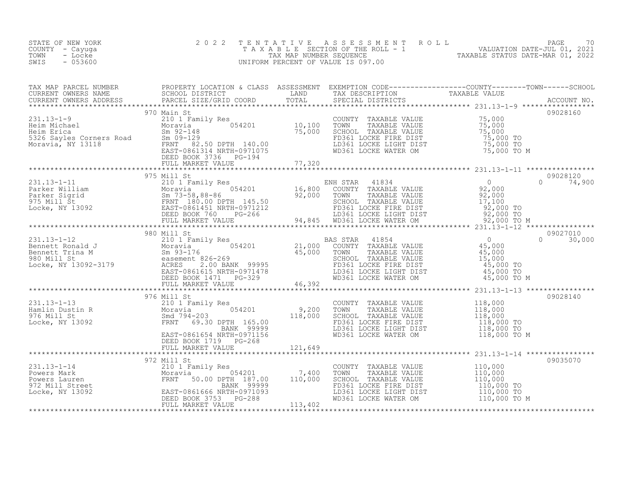| STATE OF NEW YORK<br>COUNTY - Cayuga<br>- Locke<br>TOWN<br>$-053600$<br>SWIS | 2 0 2 2 |  | TENTATIVE ASSESSMENT ROLL PAGE 70<br>TAXABLE SECTION OF THE ROLL - 1 VALUATION DATE-JUL 01, 2021<br>TAX MAP NUMBER SEQUENCE TAXABLE STATUS DATE-MAR 01, 2022<br>UNIFORM PERCENT OF VALUE IS 097.00 |
|------------------------------------------------------------------------------|---------|--|----------------------------------------------------------------------------------------------------------------------------------------------------------------------------------------------------|
|                                                                              |         |  |                                                                                                                                                                                                    |
|                                                                              |         |  |                                                                                                                                                                                                    |
|                                                                              |         |  |                                                                                                                                                                                                    |
|                                                                              |         |  |                                                                                                                                                                                                    |
|                                                                              |         |  |                                                                                                                                                                                                    |
|                                                                              |         |  |                                                                                                                                                                                                    |
|                                                                              |         |  |                                                                                                                                                                                                    |
|                                                                              |         |  |                                                                                                                                                                                                    |
|                                                                              |         |  |                                                                                                                                                                                                    |
|                                                                              |         |  | 09035070                                                                                                                                                                                           |
|                                                                              |         |  |                                                                                                                                                                                                    |
|                                                                              |         |  |                                                                                                                                                                                                    |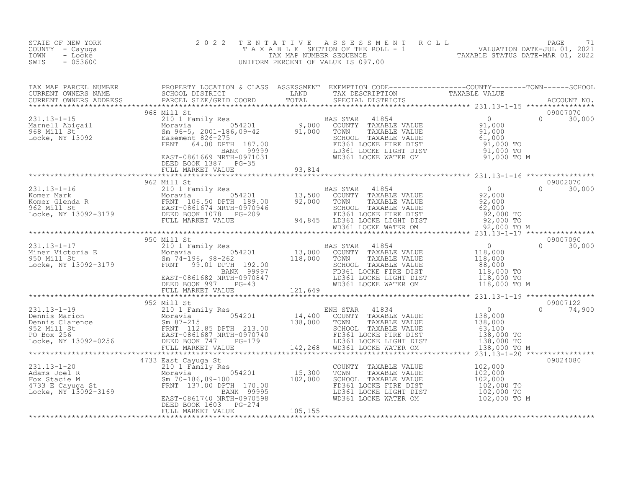| STATE OF NEW YORK<br>COUNTY - Cayuga<br>- Locke<br>TOWN<br>$-053600$<br>SWIS | 2 0 2 2 |  | TENTATIVE ASSESSMENT ROLL PALUATION DATE-JUL 01, 2021<br>TAXABLE SECTION OF THE ROLL - 1 VALUATION DATE-JUL 01, 2021<br>UNIFORM PERCENT OF VALUE IS 097.00<br>UNIFORM PERCENT OF VALUE IS 097.00                                                                                                                                                                                                                                                         |
|------------------------------------------------------------------------------|---------|--|----------------------------------------------------------------------------------------------------------------------------------------------------------------------------------------------------------------------------------------------------------------------------------------------------------------------------------------------------------------------------------------------------------------------------------------------------------|
|                                                                              |         |  |                                                                                                                                                                                                                                                                                                                                                                                                                                                          |
|                                                                              |         |  | $\begin{tabular}{lllllllllllllllllllll} \textsc{rank} & \textsc{PROEENT} & \textsc{PROPENT} & \textsc{OCATION} & \textsc{CIASS} & \textsc{SSESSMEMPITION} & \textsc{CDEFICN} & \textsc{CORB-------------C-COMPT------C-CONNT-----SCH0OL} \\ \textsc{CURERENT} & \textsc{ONWERS} & \textsc{NDES} & \textsc{PARCL} & \textsc{SREGI} & \textsc{TSICARID} & \textsc{CORD} & \textsc{TDSTIC} & \textsc{TSESIRIPTON} & \textsc{TSESIRIPINT} & \textsc{TSSCAL}$ |
|                                                                              |         |  |                                                                                                                                                                                                                                                                                                                                                                                                                                                          |
|                                                                              |         |  |                                                                                                                                                                                                                                                                                                                                                                                                                                                          |
|                                                                              |         |  |                                                                                                                                                                                                                                                                                                                                                                                                                                                          |
|                                                                              |         |  |                                                                                                                                                                                                                                                                                                                                                                                                                                                          |
|                                                                              |         |  |                                                                                                                                                                                                                                                                                                                                                                                                                                                          |
|                                                                              |         |  |                                                                                                                                                                                                                                                                                                                                                                                                                                                          |
|                                                                              |         |  |                                                                                                                                                                                                                                                                                                                                                                                                                                                          |
|                                                                              |         |  |                                                                                                                                                                                                                                                                                                                                                                                                                                                          |
|                                                                              |         |  |                                                                                                                                                                                                                                                                                                                                                                                                                                                          |
|                                                                              |         |  |                                                                                                                                                                                                                                                                                                                                                                                                                                                          |
|                                                                              |         |  |                                                                                                                                                                                                                                                                                                                                                                                                                                                          |
|                                                                              |         |  |                                                                                                                                                                                                                                                                                                                                                                                                                                                          |
|                                                                              |         |  |                                                                                                                                                                                                                                                                                                                                                                                                                                                          |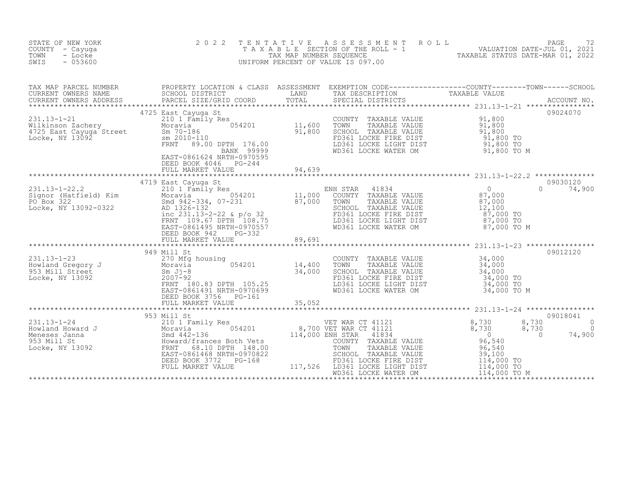| STATE OF NEW YORK<br>COUNTY - Cayuga<br>- Locke<br>TOWN<br>SWIS<br>$-053600$                                                                                                                                                                                                                                                                                                                                    | 2 0 2 2<br>TENTATIVE                                                                                                                                                                                                          |        | UNIFORM PERCENT OF VALUE IS 097.00                                                                                                                                                          | T E N T A T I V E A S S E S S M E N T R O L L<br>T A X A B L E SECTION OF THE ROLL - 1<br>TAX MAP NUMBER SEQUENCE TAXABLE STATUS DATE-MAR 01, 2022<br>JNIFORM PERCENT OF VALUE IS 097.00                                          |
|-----------------------------------------------------------------------------------------------------------------------------------------------------------------------------------------------------------------------------------------------------------------------------------------------------------------------------------------------------------------------------------------------------------------|-------------------------------------------------------------------------------------------------------------------------------------------------------------------------------------------------------------------------------|--------|---------------------------------------------------------------------------------------------------------------------------------------------------------------------------------------------|-----------------------------------------------------------------------------------------------------------------------------------------------------------------------------------------------------------------------------------|
|                                                                                                                                                                                                                                                                                                                                                                                                                 |                                                                                                                                                                                                                               |        |                                                                                                                                                                                             | TAX MAP PARCEL NUMBER PROPERTY LOCATION & CLASS ASSESSMENT EXEMPTION CODE----------------COUNTY--------TOWN------SCHOOL SCHOOL DISTRICT LAND TAX DESCRIPTION TAXABLE VALUE<br>CURRENT OWNERS ADDRESS PARCEL SIZE/GRID COORD TOTAL |
| 231.13-1-21<br>Wilkinson Zachery<br>4725 East Cayuga Street<br>11,600 TOWN<br>4725 East Cayuga Street<br>11,800 TOWN<br>5CHOO Sm 2010-110<br>ERNT 89.00 DPTH 176.00<br>FRNT 89.00 DPTH 176.00<br>ERNT 89.00 DPTH 176.00<br>ERNT 89.00 DPTH 176.00                                                                                                                                                               | 4725 East Cayuga St<br>EAST-0861624 NRTH-0970595                                                                                                                                                                              |        | COUNTY TAXABLE VALUE<br>TOWN TAXABLE VALUE 91,800<br>SCHOOL TAXABLE VALUE 91,800<br>FD361 LOCKE FIRE DIST 91,800 TO<br>LD361 LOCKE LIGHT DIST 91,800 TO<br>WD361 LOCKE WATER OM 91,800 TO M | 09024070                                                                                                                                                                                                                          |
|                                                                                                                                                                                                                                                                                                                                                                                                                 | DEED BOOK 4046 PG-244<br>FULL MARKET VALUE                                                                                                                                                                                    | 94,639 |                                                                                                                                                                                             | 09030120                                                                                                                                                                                                                          |
|                                                                                                                                                                                                                                                                                                                                                                                                                 | DEED BOOK 942 PG-332<br>FULL MARKET VALUE                                                                                                                                                                                     | 89,691 |                                                                                                                                                                                             | $0 \t 74,900$                                                                                                                                                                                                                     |
|                                                                                                                                                                                                                                                                                                                                                                                                                 |                                                                                                                                                                                                                               |        |                                                                                                                                                                                             |                                                                                                                                                                                                                                   |
| 231.13-1-23<br>Howland Gregory J<br>953 Mill Street<br>Locke, NY 13092<br>$\begin{array}{r}270 \text{ Mfg} \text{ housing} \\ \text{Moravia} \\ 953 \text{ Mill Street} \\ \text{Locke} \\ \text{INTS} \\ \text{INST} \\ 180.83 \text{ DPTH} \\ 105.25 \\ \text{TRNT} \\ 180.83 \text{ DPTH} \\ 105.25 \\ \end{array}$                                                                                          | 949 Mill St<br>Mill St<br>270 Mg housing<br>Moravia 054201 14,400<br>Sm Jj-8 34,000<br>2007-92<br>FRNT 180.83 DPTH 105.25<br>EAST-0861491 NRTH-0970699<br>DEED BOOK 3756 PG-161<br>DEED BOOK 3756 PG-161<br>FULL MARKET VALUE | 35,052 | COUNTY TAXABLE VALUE<br>TOWN TAXABLE VALUE 34,000<br>SCHOOL TAXABLE VALUE 34,000<br>FD361 LOCKE FIRE DIST 34,000 TO<br>LD361 LOCKE LIGHT DIST 34,000 TO<br>WD361 LOCKE WATER OM 34,000 TO M | 09012120                                                                                                                                                                                                                          |
|                                                                                                                                                                                                                                                                                                                                                                                                                 | 953 Mill St                                                                                                                                                                                                                   |        |                                                                                                                                                                                             | 09018041                                                                                                                                                                                                                          |
| $\begin{tabular}{@{}c@{\hspace{1cm}}c@{\hspace{1cm}}c@{\hspace{1cm}}c@{\hspace{1cm}}c@{\hspace{1cm}}c@{\hspace{1cm}}c@{\hspace{1cm}}c@{\hspace{1cm}}c@{\hspace{1cm}}c@{\hspace{1cm}}c@{\hspace{1cm}}c@{\hspace{1cm}}c@{\hspace{1cm}}c@{\hspace{1cm}}c@{\hspace{1cm}}c@{\hspace{1cm}}c@{\hspace{1cm}}c@{\hspace{1cm}}c@{\hspace{1cm}}c@{\hspace{1cm}}c@{\hspace{1cm}}c@{\hspace{1cm}}c@{\hspace{1cm}}c@{\hspace$ |                                                                                                                                                                                                                               |        |                                                                                                                                                                                             | 8,730<br>$\circ$<br>8,730<br>$\Omega$<br>74,900<br>$\overline{0}$                                                                                                                                                                 |
|                                                                                                                                                                                                                                                                                                                                                                                                                 |                                                                                                                                                                                                                               |        |                                                                                                                                                                                             |                                                                                                                                                                                                                                   |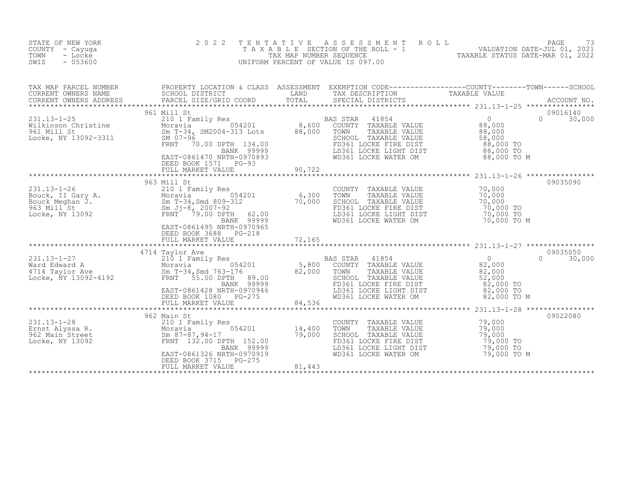| STATE OF NEW YORK<br>COUNTY - Cayuga<br>TOWN<br>- Locke<br>SWIS<br>$-053600$                                                                                                                                                                 | 2 0 2 2<br>T E N T A T I V E                                                                                                                                                                                                                          |                  | UNIFORM PERCENT OF VALUE IS 097.00                                                                                                                           | TENTATIVE ASSESSMENT ROLL UNIVALUATION DATE-JUL 01, 2021<br>TAXABLE SECTION OF THE ROLL - 1 VALUATION DATE-JUL 01, 2021<br>TAXABLE STATUS DATE-MAR 01, 2022<br>JNIFORM PERCENT OF VALUE IS 097.00 |
|----------------------------------------------------------------------------------------------------------------------------------------------------------------------------------------------------------------------------------------------|-------------------------------------------------------------------------------------------------------------------------------------------------------------------------------------------------------------------------------------------------------|------------------|--------------------------------------------------------------------------------------------------------------------------------------------------------------|---------------------------------------------------------------------------------------------------------------------------------------------------------------------------------------------------|
| CURRENT OWNERS NAME<br>CURRENT OWNERS ADDRESS                                                                                                                                                                                                | SCHOOL DISTRICT<br>PARCEL SIZE/GRID COORD                                                                                                                                                                                                             |                  | COORD TAIND TAX DESCRIPTION TAXABLE VALUE COORD TOTAL SPECIAL DISTRICTS                                                                                      | TAX MAP PARCEL NUMBER PROPERTY LOCATION & CLASS ASSESSMENT EXEMPTION CODE----------------COUNTY-------TOWN-----SCHOOL<br>ACCOUNT NO.                                                              |
| 231.13-1-25<br>Wilkinson Christine 210 1 Family Res<br>Moravia 054201 8,600 COUNTY TAXABLE VALUE 88,000<br>961 Mill St 58,000 SM 07-96<br>Locke, NY 13092-3311 SM 07-96<br>FRNT 70.00 DPTH 134.00<br>FRNT 70.00 DPTH 134.00<br>MORE ENSEL DO | 961 Mill St<br>EAST-0861470 NRTH-0970893<br>DEED BOOK 1571 PG-93<br>FULL MARKET VALUE                                                                                                                                                                 | 90,722           | WD361 LOCKE WATER OM 88,000 TO M                                                                                                                             | 09016140<br>$\Omega$<br>30,000                                                                                                                                                                    |
| 331.13-1-26<br>Bouck, II Gary A.<br>Bouck Meghan J.<br>Bouck Meghan J.<br>963 Mill St 54201 6,300<br>Sm T-34, Smd 809-312 70,000<br>963 Mill St 5m T-8, 2007-92<br>10,000<br>ERNT 79.00 DPTH 62.00<br>BANK 99999                             | 963 Mill St<br>EAST-0861495 NRTH-0970965<br>DEED BOOK 3688 PG-218<br>FULL MARKET VALUE                                                                                                                                                                | 72,165           | COUNTY TAXABLE VALUE<br>TOWN<br>TAXABLE VALUE<br>SCHOOL TAXABLE VALUE<br>FD361 LOCKE FIRE DIST<br>LD361 LOCKE LIGHT DIST<br>WD361 LOCKE WATER OM 70,000 TO M | 09035090<br>70,000<br>70,000<br>70,000 TO<br>70,000 TO                                                                                                                                            |
|                                                                                                                                                                                                                                              |                                                                                                                                                                                                                                                       |                  |                                                                                                                                                              |                                                                                                                                                                                                   |
| $231.13 - 1 - 28$<br>Ernst Alyssa R.<br>962 Main Street<br>Locke, NY 13092                                                                                                                                                                   | 962 Main St<br>210 1 Family Res<br>210 1 Family Re<br>Moravia<br>Sm 87-87,94-17<br>FRNT 132.00 DP<br>054201 14,400<br>79,000<br>FRNT 132.00 DPTH 152.00<br>BANK 99999<br>EAST-0861326 NRTH-0970919<br>$PG-275$<br>DEED BOOK 3715<br>FULL MARKET VALUE | 79,000<br>81,443 | COUNTY TAXABLE VALUE<br>TOWN<br>TAXABLE VALUE<br>SCHOOL TAXABLE VALUE<br>FD361 LOCKE FIRE DIST<br>LD361 LOCKE LIGHT DIST<br>WD361 LOCKE WATER OM             | 09022080<br>79,000<br>79,000<br>79,000<br>79,000 TO<br>79,000 TO<br>79,000 TO M                                                                                                                   |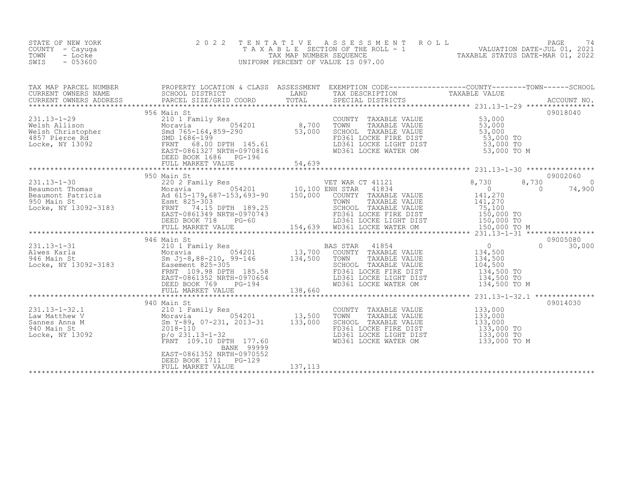| STATE OF NEW YORK<br>COUNTY - Cayuga<br>TOWN<br>- Locke<br>SWIS<br>$-053600$                                                                                                                                                                                     | 2 0 2 2                                                                 | TENTATIVE | TAXABLE SECTION OF THE ROLL - 1<br>TAXABLE SECTION OF THE ROLL - 1<br>TAX MAP NUMBER SEQUENCE TAXABLE STATUS DATE-MAR 01, 2022<br>INIFORM PERCENT OF VALUE IS 097.00<br>UNIFORM PERCENT OF VALUE IS 097.00                               |                                     |                             |         |
|------------------------------------------------------------------------------------------------------------------------------------------------------------------------------------------------------------------------------------------------------------------|-------------------------------------------------------------------------|-----------|------------------------------------------------------------------------------------------------------------------------------------------------------------------------------------------------------------------------------------------|-------------------------------------|-----------------------------|---------|
| TAX MAP PARCEL NUMBER PROPERTY LOCATION & CLASS ASSESSMENT EXEMPTION CODE----------------COUNTY--------TOWN-----SCHOOL CURRENT OWNERS NAME SCHOOL DISTRICT LAND TAX DESCRIPTION TAXABLE VALUE<br>CURRENT OWNERS ADDRESS PARCEL SI                                |                                                                         |           |                                                                                                                                                                                                                                          |                                     |                             |         |
| 231.13-1-29<br>Welsh Allison 210 1 Family Res<br>Welsh Christopher Moravia 054201 8,700<br>Welsh Christopher 53,000<br>4857 Pierce Rd SMD 1686-199<br>Locke, NY 13092<br>EAST-0861327 NRTH-0970816<br>EAST-0861327 NRTH-0970816<br>EAST-086132                   | 956 Main St<br>DEED BOOK 1686    PG-196<br>FULL MARKET VALUE            | 54,639    | COUNTY TAXABLE VALUE<br>TOWN TAXABLE VALUE 53,000<br>SCHOOL TAXABLE VALUE 53,000<br>FD361 LOCKE FIRE DIST 53,000 TO<br>LD361 LOCKE LIGHT DIST 53,000 TO<br>WD361 LOCKE WATER OM 53,000 TO M                                              |                                     | 09018040                    |         |
|                                                                                                                                                                                                                                                                  | 950 Main St                                                             |           |                                                                                                                                                                                                                                          |                                     | 09002060                    |         |
| 231.13-1-30<br>Beaumont Thomas<br>Beaumont Patricia<br>Beaumont Patricia<br>220 2 Family Res<br>Moravia<br>220 2 Family Res<br>054201<br>231.13-1-30<br>220 2 Family Res<br>054201<br>25201<br>264201<br>264201<br>2650 150,000<br>200NTY TAXABLE<br>25-303<br>2 |                                                                         |           |                                                                                                                                                                                                                                          | 8,730                               | 8,730<br>$\sim$ 0<br>74,900 | $\circ$ |
|                                                                                                                                                                                                                                                                  | 946 Main St                                                             |           |                                                                                                                                                                                                                                          |                                     | 09005080                    |         |
| 231.13-1-31<br>Alwes Karla 210 1 Family Res BA<br>Moravia 054201 13,700<br>946 Main St<br>Locke, NY 13092-3183 Easement 825-305<br>ERST-0861352 NRTH-0970654<br>ERST-0861352 NRTH-0970654<br>DEED BOOK 769 PG-194<br>************************                    |                                                                         |           | AS STAR 41854 0<br>COUNTY TAXABLE VALUE 134,500<br>TOWN TAXABLE VALUE 134,500<br>SCHOOL TAXABLE VALUE 104,500<br>FD361 LOCKE FIRE DIST 134,500 TO<br>BAS STAR<br>FD361 LOCKE FIRE DIST<br>LD361 LOCKE LIGHT DIST<br>WD361 LOCKE WATER OM | 134,500 TO<br>134,500 TO M          | $\cap$<br>30,000            |         |
|                                                                                                                                                                                                                                                                  |                                                                         |           |                                                                                                                                                                                                                                          |                                     |                             |         |
| 231.13-1-32.1<br>Law Matthew V<br>Sannes Anna M<br>940 Main St<br>2018-110<br>Locke, NY 13092<br>2018-110<br>Po 231.13-1-32<br>FRNT 109.10 DPTH 177.60                                                                                                           | 940 Main St<br>BANK 99999                                               |           | COUNTY TAXABLE VALUE<br>TAXABLE VALUE<br>TAXABLE VALUE 133,000<br>TAXABLE VALUE 133,000<br>TOWN<br>SCHOOL TAXABLE VALUE<br>FD361 LOCKE FIRE DIST<br>LD361 LOCKE LIGHT DIST<br>WD361 LOCKE WATER OM 133,000 TO M                          | 133,000<br>133,000 TO<br>133,000 TO | 09014030                    |         |
|                                                                                                                                                                                                                                                                  | EAST-0861352 NRTH-0970552<br>DEED BOOK 1711 PG-129<br>FULL MARKET VALUE | 137, 113  |                                                                                                                                                                                                                                          |                                     |                             |         |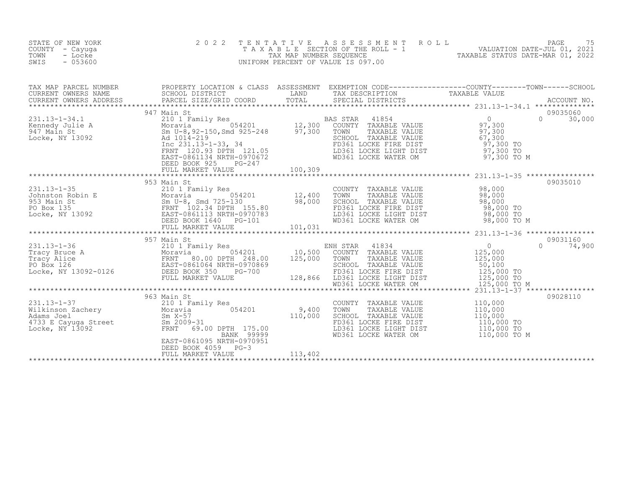| STATE OF NEW YORK<br>COUNTY - Cayuga<br>TOWN<br>- Locke<br>SWIS<br>$-053600$                                                                                                                                                 | 2 0 2 2                                                 |         |                                                                                                                                                                                                                                       | TENTATIVE ASSESSMENT ROLL PAGE 75<br>TAXABLE SECTION OF THE ROLL - 1 VALUATION DATE-JUL 01, 2021<br>TAX MAP NUMBER SEQUENCE TAXABLE STATUS DATE-MAR 01, 2022<br>UNIFORM PERCENT OF VALUE IS 097.00                                                                                                                                                                                            |
|------------------------------------------------------------------------------------------------------------------------------------------------------------------------------------------------------------------------------|---------------------------------------------------------|---------|---------------------------------------------------------------------------------------------------------------------------------------------------------------------------------------------------------------------------------------|-----------------------------------------------------------------------------------------------------------------------------------------------------------------------------------------------------------------------------------------------------------------------------------------------------------------------------------------------------------------------------------------------|
|                                                                                                                                                                                                                              |                                                         |         |                                                                                                                                                                                                                                       |                                                                                                                                                                                                                                                                                                                                                                                               |
|                                                                                                                                                                                                                              |                                                         |         |                                                                                                                                                                                                                                       | 09035060<br>$0 \t 30,000$                                                                                                                                                                                                                                                                                                                                                                     |
|                                                                                                                                                                                                                              |                                                         |         |                                                                                                                                                                                                                                       |                                                                                                                                                                                                                                                                                                                                                                                               |
|                                                                                                                                                                                                                              |                                                         |         |                                                                                                                                                                                                                                       | $\begin{tabular}{@{}c c c c c} \multicolumn{1}{c}{\textbf{231.13--1--35}} \multicolumn{1}{c}{\textbf{231.13--1--35}} \multicolumn{1}{c}{\textbf{231.13--1--35}} \multicolumn{1}{c}{\textbf{231.13--1--35}} \multicolumn{1}{c}{\textbf{231.13--1--35}} \multicolumn{1}{c}{\textbf{231.13--1--35}} \multicolumn{1}{c}{\textbf{231.13--1--35}} \multicolumn{1}{c}{\textbf{231.13--1--35}} \mult$ |
| 31.13-1-37<br>Wilkinson Zachery<br>Moravia 054201<br>Adams Joel Sm 2009-31<br>Locke, NY 13092<br>EAST-0861095 NRTH-0970951<br>Moravia 054201<br>110,000<br>FRNT 69.00 DPTH 175.00<br>BANK 99999<br>EAST-0861095 NRTH-0970951 | 963 Main St<br>DEED BOOK 4059 PG-3<br>FULL MARKET VALUE | 113,402 | COUNTY TAXABLE VALUE<br>TOWN TAXABLE VALUE 110,000<br>SCHOOL TAXABLE VALUE 110,000<br>FD361 LOCKE FIRE DIST 110,000 TO<br>TRISSE TOWE LIGHT DIST 110,000 TO<br>LD361 LOCKE LIGHT DIST 110,000 TO<br>WD361 LOCKE WATER OM 110,000 TO M | 09028110                                                                                                                                                                                                                                                                                                                                                                                      |
|                                                                                                                                                                                                                              |                                                         |         |                                                                                                                                                                                                                                       |                                                                                                                                                                                                                                                                                                                                                                                               |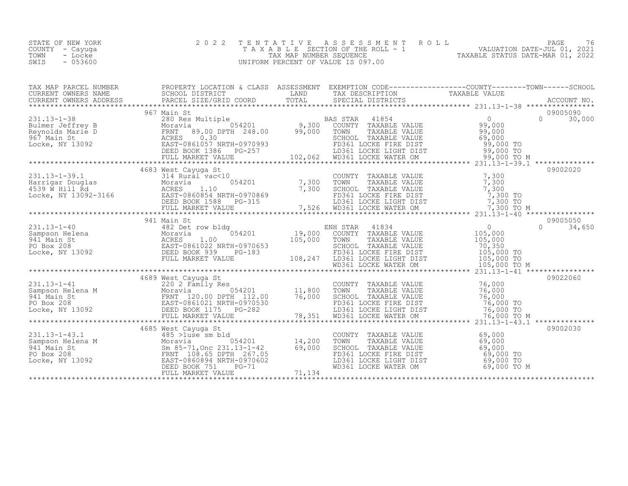| STATE OF NEW YORK | 2022 TENTATIVE ASSESSMENT ROLL        | PAGE                             |
|-------------------|---------------------------------------|----------------------------------|
| COUNTY – Cayuga   | T A X A B L E SECTION OF THE ROLL - 1 | VALUATION DATE-JUL 01, 2021      |
| TOWN<br>- Locke   | TAX MAP NUMBER SEQUENCE               | TAXABLE STATUS DATE-MAR 01, 2022 |
| $-053600$<br>SWIS | UNIFORM PERCENT OF VALUE IS 097.00    |                                  |

| TAX MAP PARCEL NUMBER |  | PROPERTY LOCATION & CLASS ASSESSMENT EXEMPTION CODE-----------------COUNTY-------TOWN-----SCHOOL                                                                                                     |          |
|-----------------------|--|------------------------------------------------------------------------------------------------------------------------------------------------------------------------------------------------------|----------|
|                       |  | CURRENT OWNERS NAME SCHOOL DISTRICT SURFACE LAND TAX DESCRIPTION TAXABLE VALUE<br>CURRENT OWNERS ADDRESS PARCEL SIZE/GRID COORD TOTAL SPECIAL DISTRICTS ACCOUNT NO.<br>***************************** |          |
|                       |  |                                                                                                                                                                                                      |          |
|                       |  |                                                                                                                                                                                                      |          |
|                       |  |                                                                                                                                                                                                      |          |
|                       |  |                                                                                                                                                                                                      |          |
|                       |  |                                                                                                                                                                                                      |          |
|                       |  |                                                                                                                                                                                                      |          |
|                       |  |                                                                                                                                                                                                      |          |
|                       |  |                                                                                                                                                                                                      |          |
|                       |  |                                                                                                                                                                                                      |          |
|                       |  | COUNTY TAXABLE VALUE<br>TOWN TAXABLE VALUE 69,000<br>SCHOOL TAXABLE VALUE 69,000<br>FD361 LOCKE FIRE DIST 69,000 TO<br>LD361 LOCKE LIGHT DIST 69,000 TO<br>WD361 LOCKE WATER OM 69,000 TO M          | 09002030 |
|                       |  |                                                                                                                                                                                                      |          |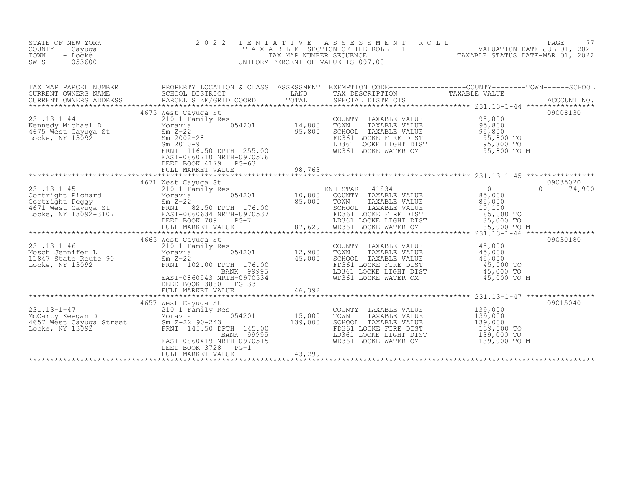| STATE OF NEW YORK<br>COUNTY - Cayuga<br>TOWN<br>- Locke<br>SWIS<br>$-053600$                                                                                                                                                                                                     | 2 0 2 2                                                                                                                                                                                                                             |         |                                                                                                                                                                                                                                                                                                                                                                                      | TENTATIVE ASSESSMENT ROLL PAGE 77<br>TAXABLE SECTION OF THE ROLL - 1 VALUATION DATE-JUL 01, 2021<br>TAX MAP NUMBER SEQUENCE TAXABLE STATUS DATE-MAR 01, 2022<br>UNIFORM PERCENT OF VALUE IS 097.00                                |
|----------------------------------------------------------------------------------------------------------------------------------------------------------------------------------------------------------------------------------------------------------------------------------|-------------------------------------------------------------------------------------------------------------------------------------------------------------------------------------------------------------------------------------|---------|--------------------------------------------------------------------------------------------------------------------------------------------------------------------------------------------------------------------------------------------------------------------------------------------------------------------------------------------------------------------------------------|-----------------------------------------------------------------------------------------------------------------------------------------------------------------------------------------------------------------------------------|
|                                                                                                                                                                                                                                                                                  |                                                                                                                                                                                                                                     |         |                                                                                                                                                                                                                                                                                                                                                                                      | TAX MAP PARCEL NUMBER PROPERTY LOCATION & CLASS ASSESSMENT EXEMPTION CODE-------------------COUNTY---------TOWN------SCHOOL SCHOOL DISTRICT LAND TAX DESCRIPTION CORN TAXABLE VALUE<br>CURRENT OWNERS ADDRESS PARCEL SIZE/GRID CO |
|                                                                                                                                                                                                                                                                                  | EAST-0860710 NRTH-0970576<br>DEED BOOK 4179 PG-63<br>FULL MARKET VALUE                                                                                                                                                              | 98,763  | COUNTY TAXABLE VALUE<br>TOWN TAXABLE VALUE 95,800<br>SCHOOL TAXABLE VALUE 95,800<br>FD361 LOCKE FIRE DIST 95,800 TO<br>LD361 LOCKE LIGHT DIST 95,800 TO<br>WD361 LOCKE WATER OM 95,800 TO M                                                                                                                                                                                          | 09008130                                                                                                                                                                                                                          |
|                                                                                                                                                                                                                                                                                  |                                                                                                                                                                                                                                     |         |                                                                                                                                                                                                                                                                                                                                                                                      |                                                                                                                                                                                                                                   |
| 231.13-1-46<br>Mosch Jennifer L<br>11847 State Route 90<br>Locke, NY 13092<br>21<br>21<br>2100 Sm Z-22<br>22<br>22<br>22<br>22<br>22<br>22<br>22<br>22<br>231.13-1-46<br>210 1 Family Res<br>254201<br>25,000<br>25,000<br>25,000<br>25,000<br>25,000<br>25,000<br>25,000<br>25, | 4665 West Cayuga St<br>EAST-0860543 NRTH-0970534<br>DEED BOOK 3880 PG-33<br>FULL MARKET VALUE                                                                                                                                       | 46,392  | COUNTY TAXABLE VALUE $\begin{array}{cccc} 45,000 \ \text{TOWN} & \text{TAXABLE VALUE} & 45,000 \ \text{SCHOOL} & \text{TAXABLE VALUE} & 45,000 \ \text{FD361 LOCKE FIRST} & 45,000 \ \text{LD361 LOCKE LIGHT DIST} & 45,000 \ \text{WD361 LOCKE MATER OM} & 45,000 \ \text{WD361 LOCKE WATER OM} & 45,000 \ \text{TO} & 45,000 \ \text{TO} & 45,000 \ \text{TO} & 45,000 \ \text{TO$ | 09030180                                                                                                                                                                                                                          |
| 231.13-1-47<br>McCarty Keegan D<br>4657 West Cayuga Street<br>Locke, NY 13092<br>13092<br>145.50 DP                                                                                                                                                                              | 4657 West Cayuga St<br>West Cayuga St<br>210 1 Family Res<br>Moravia 054201 15,000<br>Sm Z-22 90-243 139,000<br>FRNT 145.50 DPTH 145.00<br>BANK 99995<br>EAST-0860419 NRTH-0970515<br>DEED BOOK 3728<br>$PG-1$<br>FULL MARKET VALUE | 143,299 | COUNTY TAXABLE VALUE 139,000<br>TOWN TAXABLE VALUE 139,000<br>SCHOOL TAXABLE VALUE 139,000<br>FD361 LOCKE FIRE DIST 139,000 TO<br>LD361 LOCKE LIGHT DIST 139,000 TO<br>WD361 LOCKE WATER OM 139,000 TO M                                                                                                                                                                             | 09015040                                                                                                                                                                                                                          |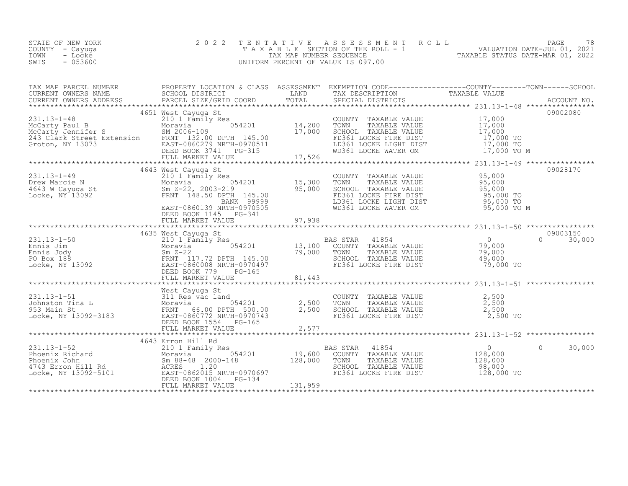| STATE OF NEW YORK<br>COUNTY<br>- Cayuga<br>- Locke<br>TOWN<br>- 053600<br>SWIS |                                                                                                                                                                                                                                                                                                                                                                                                        |                    | 2022 TENTATIVE ASSESSMENT ROLL<br>T A X A B L E SECTION OF THE ROLL - 1<br>TAX MAP NUMBER SEQUENCE<br>UNIFORM PERCENT OF VALUE IS 097.00 |                                                                                | 78<br>PAGE<br>VALUATION DATE-JUL 01, 2021<br>TAXABLE STATUS DATE-MAR 01, 2022 |
|--------------------------------------------------------------------------------|--------------------------------------------------------------------------------------------------------------------------------------------------------------------------------------------------------------------------------------------------------------------------------------------------------------------------------------------------------------------------------------------------------|--------------------|------------------------------------------------------------------------------------------------------------------------------------------|--------------------------------------------------------------------------------|-------------------------------------------------------------------------------|
| TAX MAP PARCEL NUMBER<br>CURRENT OWNERS NAME                                   | PROPERTY LOCATION & CLASS<br>SCHOOL DISTRICT                                                                                                                                                                                                                                                                                                                                                           | ASSESSMENT<br>LAND | TAX DESCRIPTION                                                                                                                          | EXEMPTION CODE-----------------COUNTY--------TOWN------SCHOOL<br>TAXABLE VALUE |                                                                               |
| $221 12 - 1 - 10$                                                              | 4651 West Cayuga St<br>$210 + 7$ $\overline{1}$ $\overline{1}$ $\overline{1}$ $\overline{1}$ $\overline{1}$ $\overline{1}$ $\overline{1}$ $\overline{1}$ $\overline{1}$ $\overline{1}$ $\overline{1}$ $\overline{1}$ $\overline{1}$ $\overline{1}$ $\overline{1}$ $\overline{1}$ $\overline{1}$ $\overline{1}$ $\overline{1}$ $\overline{1}$ $\overline{1}$ $\overline{1}$ $\overline{1}$ $\overline{$ |                    | $C\cap T\cup T\cup T$ and $T\cup T$ and $T$ is a set of $T$                                                                              | 17 000                                                                         | 09002080                                                                      |

| $231.13 - 1 - 48$                                                                                                                                                                                                                                                                                                                                                                                                                | 210 1 Family Res                                                                               |        | COUNTY TAXABLE VALUE                                                                                                                                                                                | 17,000                                                 |           |          |
|----------------------------------------------------------------------------------------------------------------------------------------------------------------------------------------------------------------------------------------------------------------------------------------------------------------------------------------------------------------------------------------------------------------------------------|------------------------------------------------------------------------------------------------|--------|-----------------------------------------------------------------------------------------------------------------------------------------------------------------------------------------------------|--------------------------------------------------------|-----------|----------|
| XCATTY Paul B<br>Moravia Moravia 9054201 14,200 TOWN TAXABLE VALUE 17,000<br>MCCarty Jennifer S<br>Moravia 9006-109 17,000 SCHOOL TAXABLE VALUE 17,000 TO<br>243 Clark Street Extension FRNT 132.00 DPTH 145.00 17,000 TO<br>Croton, NY                                                                                                                                                                                          |                                                                                                |        |                                                                                                                                                                                                     |                                                        |           |          |
|                                                                                                                                                                                                                                                                                                                                                                                                                                  |                                                                                                |        |                                                                                                                                                                                                     |                                                        |           |          |
|                                                                                                                                                                                                                                                                                                                                                                                                                                  |                                                                                                |        |                                                                                                                                                                                                     |                                                        |           |          |
|                                                                                                                                                                                                                                                                                                                                                                                                                                  |                                                                                                |        |                                                                                                                                                                                                     |                                                        |           |          |
|                                                                                                                                                                                                                                                                                                                                                                                                                                  |                                                                                                |        |                                                                                                                                                                                                     |                                                        |           |          |
|                                                                                                                                                                                                                                                                                                                                                                                                                                  |                                                                                                |        |                                                                                                                                                                                                     |                                                        |           |          |
|                                                                                                                                                                                                                                                                                                                                                                                                                                  |                                                                                                |        |                                                                                                                                                                                                     |                                                        |           |          |
|                                                                                                                                                                                                                                                                                                                                                                                                                                  | 4643 West Cayuga St                                                                            |        |                                                                                                                                                                                                     |                                                        |           | 09028170 |
|                                                                                                                                                                                                                                                                                                                                                                                                                                  | Res<br>054201 15,300                                                                           |        |                                                                                                                                                                                                     |                                                        |           |          |
|                                                                                                                                                                                                                                                                                                                                                                                                                                  |                                                                                                |        |                                                                                                                                                                                                     |                                                        |           |          |
|                                                                                                                                                                                                                                                                                                                                                                                                                                  |                                                                                                | 95,000 |                                                                                                                                                                                                     |                                                        |           |          |
|                                                                                                                                                                                                                                                                                                                                                                                                                                  |                                                                                                |        | COUNTY TAXABLE VALUE $95,000$<br>TOWN TAXABLE VALUE $95,000$<br>SCHOOL TAXABLE VALUE $95,000$<br>FD361 LOCKE FIRE DIST $95,000$<br>LD361 LOCKE LIGHT DIST $95,000$<br>WD361 LOCKE WATER OM $95,000$ | $95,000$ TO                                            |           |          |
|                                                                                                                                                                                                                                                                                                                                                                                                                                  | EAST-0860139 NRTH-0970505                                                                      |        |                                                                                                                                                                                                     | 95,000 TO<br>95,000 TO M                               |           |          |
|                                                                                                                                                                                                                                                                                                                                                                                                                                  |                                                                                                |        |                                                                                                                                                                                                     |                                                        |           |          |
|                                                                                                                                                                                                                                                                                                                                                                                                                                  | DEED BOOK 1145 PG-341<br>FULL MARKET VALUE                                                     | 97,938 |                                                                                                                                                                                                     |                                                        |           |          |
|                                                                                                                                                                                                                                                                                                                                                                                                                                  |                                                                                                |        |                                                                                                                                                                                                     |                                                        |           |          |
|                                                                                                                                                                                                                                                                                                                                                                                                                                  | 4635 West Cayuga St                                                                            |        |                                                                                                                                                                                                     |                                                        |           | 09003150 |
|                                                                                                                                                                                                                                                                                                                                                                                                                                  |                                                                                                |        |                                                                                                                                                                                                     |                                                        | $\Omega$  | 30,000   |
|                                                                                                                                                                                                                                                                                                                                                                                                                                  |                                                                                                |        |                                                                                                                                                                                                     | $\begin{smallmatrix}&&0\\&&79\\ 000&\end{smallmatrix}$ |           |          |
|                                                                                                                                                                                                                                                                                                                                                                                                                                  |                                                                                                |        | TOWN                                                                                                                                                                                                | 79,000                                                 |           |          |
|                                                                                                                                                                                                                                                                                                                                                                                                                                  |                                                                                                | 79,000 | TOWN TAXABLE VALUE<br>SCHOOL TAXABLE VALUE                                                                                                                                                          | 49,000                                                 |           |          |
|                                                                                                                                                                                                                                                                                                                                                                                                                                  |                                                                                                |        | FD361 LOCKE FIRE DIST                                                                                                                                                                               | 79,000 TO                                              |           |          |
|                                                                                                                                                                                                                                                                                                                                                                                                                                  |                                                                                                |        |                                                                                                                                                                                                     |                                                        |           |          |
| 231.13-1-50<br>Ennis Jim Moravia 054201<br>Ennis Jody Sm Z-22<br>PO Box 188<br>Locke, NY 13092<br>COLLECTRATION CONTRACT PORTH 145.00<br>EED BOOK 779 PG-165<br>PULL MARKET VALUE                                                                                                                                                                                                                                                |                                                                                                |        |                                                                                                                                                                                                     |                                                        |           |          |
|                                                                                                                                                                                                                                                                                                                                                                                                                                  |                                                                                                |        |                                                                                                                                                                                                     |                                                        |           |          |
|                                                                                                                                                                                                                                                                                                                                                                                                                                  | West Cayuqa St                                                                                 |        |                                                                                                                                                                                                     |                                                        |           |          |
|                                                                                                                                                                                                                                                                                                                                                                                                                                  |                                                                                                |        |                                                                                                                                                                                                     | 2,500                                                  |           |          |
|                                                                                                                                                                                                                                                                                                                                                                                                                                  |                                                                                                |        |                                                                                                                                                                                                     | 2,500                                                  |           |          |
|                                                                                                                                                                                                                                                                                                                                                                                                                                  |                                                                                                |        |                                                                                                                                                                                                     | 2,500                                                  |           |          |
| 231.13-1-51<br>Johnston Tina L<br>311 Res vac land<br>353 Main St<br>1953 Main St<br>1966.00 DPTH 500.00<br>Locke, NY 13092-3183<br>EAST-0860772 NRTH-0970743                                                                                                                                                                                                                                                                    |                                                                                                |        | COUNTY TAXABLE VALUE<br>TOWN - TAXABLE VALUE<br>SCHOOL - TAXABLE VALUE<br>FD361 LOCKE FIRE DIST                                                                                                     | 2,500 TO                                               |           |          |
|                                                                                                                                                                                                                                                                                                                                                                                                                                  | d<br>054201 2,500 TOWN<br>TH 500.00 2,500 SCHOOL<br>TH-0970743 PC-165<br>DEED BOOK 1554 PG-165 |        |                                                                                                                                                                                                     |                                                        |           |          |
|                                                                                                                                                                                                                                                                                                                                                                                                                                  |                                                                                                |        |                                                                                                                                                                                                     |                                                        |           |          |
|                                                                                                                                                                                                                                                                                                                                                                                                                                  |                                                                                                |        |                                                                                                                                                                                                     |                                                        |           |          |
|                                                                                                                                                                                                                                                                                                                                                                                                                                  | 4643 Erron Hill Rd                                                                             |        |                                                                                                                                                                                                     |                                                        |           |          |
|                                                                                                                                                                                                                                                                                                                                                                                                                                  |                                                                                                |        |                                                                                                                                                                                                     | $\overline{0}$                                         | $\bigcap$ | 30,000   |
|                                                                                                                                                                                                                                                                                                                                                                                                                                  |                                                                                                |        |                                                                                                                                                                                                     | 128,000                                                |           |          |
|                                                                                                                                                                                                                                                                                                                                                                                                                                  |                                                                                                |        |                                                                                                                                                                                                     | 128,000                                                |           |          |
|                                                                                                                                                                                                                                                                                                                                                                                                                                  |                                                                                                |        |                                                                                                                                                                                                     | 98,000                                                 |           |          |
|                                                                                                                                                                                                                                                                                                                                                                                                                                  |                                                                                                |        |                                                                                                                                                                                                     | 128,000 TO                                             |           |          |
|                                                                                                                                                                                                                                                                                                                                                                                                                                  |                                                                                                |        |                                                                                                                                                                                                     |                                                        |           |          |
| $\begin{tabular}{lllllllllllllllllllll} \hline & & & & & & & 4043&\text{EITODI HILL KQ} & & & & & & \text{BAS STAR} & 41854 \\ \hline \text{Phoenix Richard} & & & & & & & 210&1 &\text{Family Res} & & & & \text{BAS STAR} & 41854 \\ \text{Phoenix John} & & & & & & & 054201 & & & 19,600 & \text{COUNTY TAXABLE VALUE} & & \\ \text{Fhoenix John} & & & & & & & 0548 & 2000-148 & & & 128,000 & \text{TOWN} & \text{TAXABLE$ |                                                                                                |        |                                                                                                                                                                                                     |                                                        |           |          |
|                                                                                                                                                                                                                                                                                                                                                                                                                                  |                                                                                                |        |                                                                                                                                                                                                     |                                                        |           |          |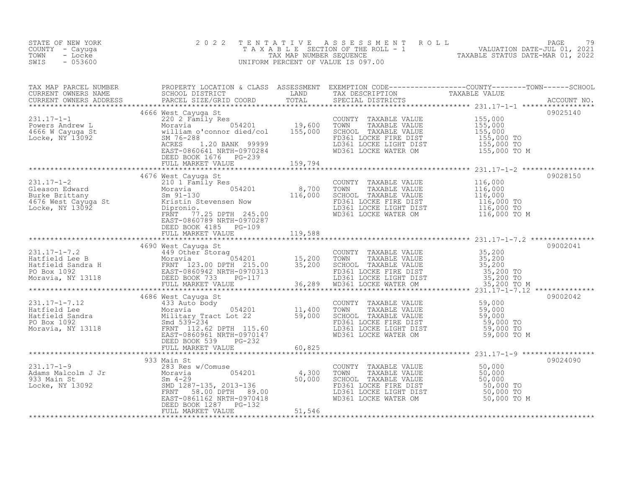| STATE OF NEW YORK<br>COUNTY - Cayuga<br>- Locke<br>TOWN<br>$-053600$<br>SWIS                                                                                                                                                                                                                                                                                                                                                                                     | 2 0 2 2                       | TENTATIVE ASSESSMENT ROLL PACE 79<br>TAXABLE SECTION OF THE ROLL - 1 VALUATION DATE-JUL 01, 2021<br>TAX MAP NUMBER SEQUENCE TAXABLE STATUS DATE-MAR 01, 2022<br>UNIFORM PERCENT OF VALUE IS 097.00 |          |
|------------------------------------------------------------------------------------------------------------------------------------------------------------------------------------------------------------------------------------------------------------------------------------------------------------------------------------------------------------------------------------------------------------------------------------------------------------------|-------------------------------|----------------------------------------------------------------------------------------------------------------------------------------------------------------------------------------------------|----------|
|                                                                                                                                                                                                                                                                                                                                                                                                                                                                  |                               |                                                                                                                                                                                                    |          |
| $\begin{tabular}{l c c c c c} \hline \texttt{TAX} \texttt{MAP} \texttt{PRACT} & \texttt{PRODEFRIT OCATION} \texttt{6 CLASS} & \texttt{SASSERMENT} & \texttt{EXEMPITION} \texttt{CODB------------C-CONTY------CONTY------TOMPX----GCHOOL} \texttt{CURERENT \texttt{OWBERS} \texttt{RADRES} & \texttt{FACEL SISTACT} \texttt{CORID} & \texttt{TARADLE} & \texttt{TRAXABLE VALUE} & \texttt{TAXABLE VALUE} & \texttt{TAXABLE VALUE} & \texttt{231.17--1} & \texttt$ |                               |                                                                                                                                                                                                    |          |
|                                                                                                                                                                                                                                                                                                                                                                                                                                                                  | FULL MARKET VALUE 105 119,588 |                                                                                                                                                                                                    | 09028150 |
|                                                                                                                                                                                                                                                                                                                                                                                                                                                                  |                               |                                                                                                                                                                                                    |          |
| $\begin{tabular}{lcccc} \texttt{11,17--1-7,12} & 4686 \text{ West Cayuga St} & \texttt{COUNT} & \texttt{EXAMPLE} & \texttt{231.17--1-7,12} & 4686 \text{ West Cayuga St} & \texttt{COUNTY} & \texttt{TAXABLE VALUE} & 59,000 & 09002042 \\ \texttt{Hattield Sea} & \texttt{Moxavia} & \texttt{Mixay Tract Lot 22} & 11,400 \text{ TAXABLE VALUE} & 59,000 \\ \texttt{Hattield Sandra} & \texttt{Mixay Tract Lot 22} & 59,000 \text$                              |                               |                                                                                                                                                                                                    |          |
|                                                                                                                                                                                                                                                                                                                                                                                                                                                                  |                               |                                                                                                                                                                                                    |          |
|                                                                                                                                                                                                                                                                                                                                                                                                                                                                  |                               |                                                                                                                                                                                                    |          |
|                                                                                                                                                                                                                                                                                                                                                                                                                                                                  |                               |                                                                                                                                                                                                    |          |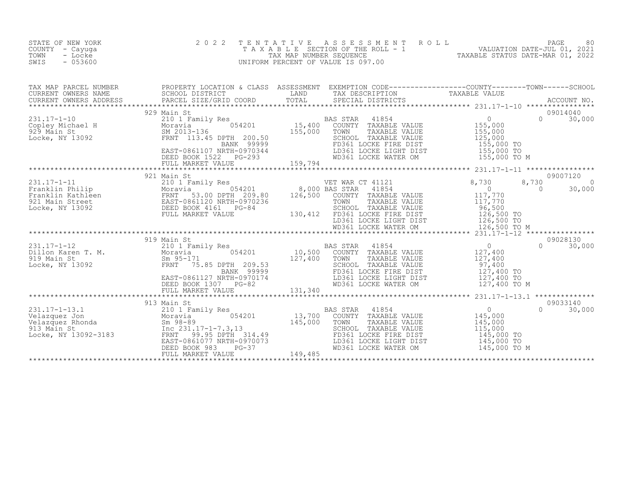| STATE OF NEW YORK<br>COUNTY - Cayuga<br>- Locke<br>TOWN<br>SWIS<br>$-053600$                                                                                                                                                                                                                                                                                                                                 | 2 0 2 2<br>TENTATIVE | UNIFORM PERCENT OF VALUE IS 097.00                                                                                                                                                                                                                   | T E N T A T I V E A S S E S S M E N T R O L L<br>T A X A B L E SECTION OF THE ROLL - 1<br>TAX MAP NUMBER SEQUENCE<br>UNIFORM PERCENT OF VALUE IS 097.00 |  |
|--------------------------------------------------------------------------------------------------------------------------------------------------------------------------------------------------------------------------------------------------------------------------------------------------------------------------------------------------------------------------------------------------------------|----------------------|------------------------------------------------------------------------------------------------------------------------------------------------------------------------------------------------------------------------------------------------------|---------------------------------------------------------------------------------------------------------------------------------------------------------|--|
|                                                                                                                                                                                                                                                                                                                                                                                                              |                      |                                                                                                                                                                                                                                                      |                                                                                                                                                         |  |
|                                                                                                                                                                                                                                                                                                                                                                                                              |                      |                                                                                                                                                                                                                                                      |                                                                                                                                                         |  |
| $\begin{tabular}{lcccc} \texttt{231.17--1-11} & & & 921 Main St & & & & \texttt{WET WAR CT 41121} & & & 8,730 & 8,73 \\ \texttt{231.17--1-11} & & & 2101 Family Res & & & \texttt{Woraiv} & & 8,700 BAS STAR 41854 & & & 0 \\ \texttt{Franklin Fahlleen} & & & & & & & \texttt{Moraiv} & 53.00 DPTH 209.80 & & 126,500 COUNTY TAXABLE VALUE & & & 117,770 \\ \texttt{Pranklin Kathleen} & & & & & & & \text$ |                      |                                                                                                                                                                                                                                                      | 09007120<br>8,730<br>$\sim$ 0<br>$\Omega$<br>30,000                                                                                                     |  |
|                                                                                                                                                                                                                                                                                                                                                                                                              |                      |                                                                                                                                                                                                                                                      |                                                                                                                                                         |  |
| 231.17-1-13.1 913 Main St<br>Velazquez Jon 210 I Family Res BA<br>Velazquez Rhonda Sm 98-89 145,000<br>913 Main St<br>Locke, NY 13092-3183 FRNT 99.95 DPHH 314.49<br>Locke, NY 13092-3183 FRNT 99.96.1077 NRTH-0970073<br>DEED BOOK 983 P                                                                                                                                                                    | 913 Main St          | AS STAR 41854 0<br>COUNTY TAXABLE VALUE 145,000<br>TOWN TAXABLE VALUE 145,000<br>SCHOOL TAXABLE VALUE 115,000<br>FD361 LOCKE FIRE DIST 145,000<br>BAS STAR<br>FD361 LOCKE FIRE DIST<br>LD361 LOCKE LIGHT DIST<br>WD361 LOCKE WATER OM $145,000$ TO M | 09033140<br>$\Omega$<br>30,000<br>145,000 TO<br>145,000 TO                                                                                              |  |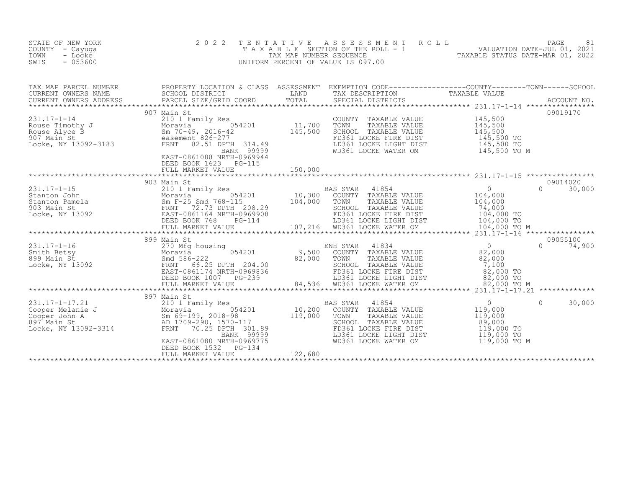| STATE OF NEW YORK<br>COUNTY - Cayuga<br>TOWN<br>- Locke<br>SWIS<br>$-053600$                                                                                                                                                                                                                                                  | 2 0 2 2<br>T E N T A T I V E | TENTATIVE ASSESSMENT ROLL PAGE 81<br>TAXABLE SECTION OF THE ROLL - 1 VALUATION DATE-JUL 01, 2021<br>TAX MAP NUMBER SEQUENCE TAXABLE STATUS DATE-MAR 01, 2022<br>JNIFORM PERCENT OF VALUE IS 097.00<br>UNIFORM PERCENT OF VALUE IS 097.00 |                    |
|-------------------------------------------------------------------------------------------------------------------------------------------------------------------------------------------------------------------------------------------------------------------------------------------------------------------------------|------------------------------|------------------------------------------------------------------------------------------------------------------------------------------------------------------------------------------------------------------------------------------|--------------------|
| TAX MAP PARCEL NUMBER PROPERTY LOCATION & CLASS ASSESSMENT EXEMPTION CODE-------------------COUNTY---------TOWN------SCHOOL SCHOOL DISTRICT LAND TAX DESCRIPTION CORN TAXABLE VALUE<br>CURRENT OWNERS ADDRESS PARCEL SIZE/GRID CO                                                                                             |                              |                                                                                                                                                                                                                                          |                    |
| 31.17-1-14<br>231.17-1-14<br>231.17-1-14<br>231.17-1-14<br>231.17-1-14<br>231.17-1-14<br>231.17-1-14<br>231.17-1-14<br>231.17-1-14<br>231.17-1-14<br>231.17-1-14<br>231.17-1-14<br>231.17-1-14<br>231.17-1-14<br>231.17-1-14<br>231.10CKR FIRE DIST<br>231.10C                                                                | DEED BOOK 1623 PG-115        |                                                                                                                                                                                                                                          | 09019170           |
| $\begin{tabular}{lcccccc} \texttt{311.17--1-15} & 903\text{ Main St} & 0 & 0 & 30,000 \\ 231.17--1-15 & 203\text{ Main St} & 0 & 0 & 30,000 \\ 231.17--1-15 & 203\text{ Main St} & 0 & 0 & 30,000 \\ 231.17--1-15 & 203\text{ Main St} & 0 & 0 & 30,000 \\ 231.17--1-15 & 0 & 0 & 0 & 30,000 \\ 231.17--1-15 & 0 & 0 & 0 & 3$ |                              |                                                                                                                                                                                                                                          |                    |
|                                                                                                                                                                                                                                                                                                                               |                              |                                                                                                                                                                                                                                          |                    |
| $\begin{tabular}{lcccccc} \texttt{113,17--1-17.21} & 897 \text{ Main St} & 897 \text{ Main St} & 107.20 & 107.20 & 107.20 & 107.20 & 107.20 & 107.20 & 107.20 & 107.20 & 107.20 & 107.20 & 107.20 & 107.20 & 107.20 & 107.20 & 107.20 & 107.20 & 107.20 & 107.20 & 107.20 & 107.20 & 107.20 &$                                |                              |                                                                                                                                                                                                                                          | 30,000<br>$\Omega$ |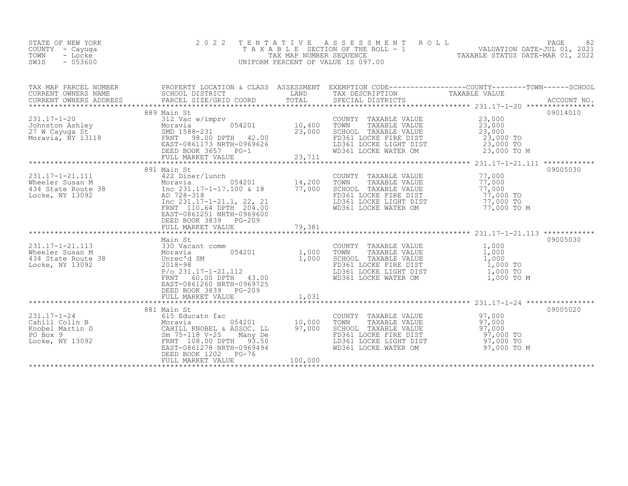| STATE OF NEW YORK<br>COUNTY - Cayuga<br>- Locke<br>TOWN<br>SWIS<br>$-053600$                                                                                                                                                                  | 2 0 2 2                                            |         |                                                                                                                                                                                             | TENTATIVE ASSESSMENT ROLL PACE 82<br>TAXABLE SECTION OF THE ROLL - 1 VALUATION DATE-JUL 01, 2021<br>TAX MAP NUMBER SEQUENCE TAXABLE STATUS DATE-MAR 01, 2022<br>UNIFORM PERCENT OF VALUE IS 097.00 |          |
|-----------------------------------------------------------------------------------------------------------------------------------------------------------------------------------------------------------------------------------------------|----------------------------------------------------|---------|---------------------------------------------------------------------------------------------------------------------------------------------------------------------------------------------|----------------------------------------------------------------------------------------------------------------------------------------------------------------------------------------------------|----------|
|                                                                                                                                                                                                                                               |                                                    |         |                                                                                                                                                                                             |                                                                                                                                                                                                    |          |
|                                                                                                                                                                                                                                               |                                                    |         |                                                                                                                                                                                             |                                                                                                                                                                                                    |          |
| 331.17-1-21.111<br>Wheeler Susan M Moravia (1992)<br>434 State Route 38 (1994)<br>14,200 TOWN Moravia (1992)<br>14,200 TOWN Moravia (1992)<br>14,200 TOWN Moravia (1992)<br>14,200 TOWN Moravia (1992)<br>14,200 TOWN Moravia (1992)<br>204.0 | EAST-0861251 NRTH-0969600<br>DEED BOOK 3839 PG-209 |         | COUNTY TAXABLE VALUE<br>TOWN TAXABLE VALUE 77,000<br>SCHOOL TAXABLE VALUE 77,000<br>FD361 LOCKE FIRE DIST 77,000 TO<br>LD361 LOCKE LIGHT DIST 77,000 TO<br>WD361 LOCKE WATER OM 77,000 TO M |                                                                                                                                                                                                    | 09005030 |
|                                                                                                                                                                                                                                               |                                                    |         |                                                                                                                                                                                             |                                                                                                                                                                                                    |          |
|                                                                                                                                                                                                                                               | DEED BOOK 3839 PG-209                              |         |                                                                                                                                                                                             |                                                                                                                                                                                                    | 09005030 |
|                                                                                                                                                                                                                                               | FULL MARKET VALUE                                  | 1,031   |                                                                                                                                                                                             |                                                                                                                                                                                                    |          |
|                                                                                                                                                                                                                                               | DEED BOOK 1202 PG-76<br>FULL MARKET VALUE          | 100,000 | SCHOOL TAXABLE VALUE<br>FD361 LOCKE FIRE DIST 97,000 TO<br>LD361 LOCKE LIGHT DIST 97,000 TO<br>TILL TOOL MATER OM 97,000 TO                                                                 | 97,000 TO M                                                                                                                                                                                        | 09005020 |
|                                                                                                                                                                                                                                               |                                                    |         |                                                                                                                                                                                             |                                                                                                                                                                                                    |          |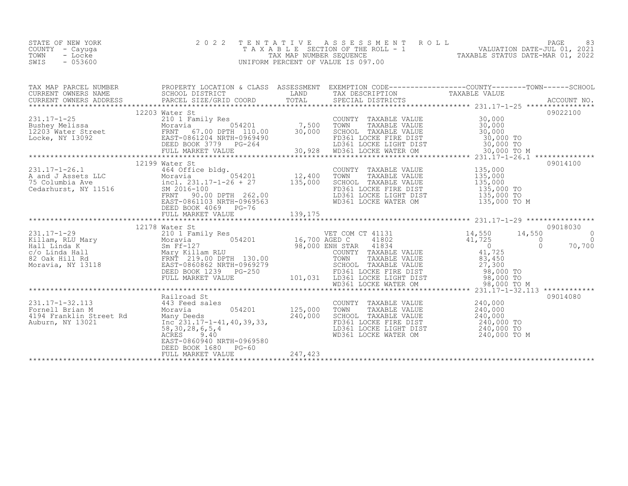| STATE OF NEW YORK | 2022 TENTATIVE ASSESSMENT ROLL        |                                  | PAGE                        |  |
|-------------------|---------------------------------------|----------------------------------|-----------------------------|--|
| COUNTY – Cayuga   | T A X A B L E SECTION OF THE ROLL - 1 |                                  | VALUATION DATE-JUL 01, 2021 |  |
| TOWN<br>- Locke   | TAX MAP NUMBER SEOUENCE               | TAXABLE STATUS DATE-MAR 01, 2022 |                             |  |
| $-053600$<br>SWIS | UNIFORM PERCENT OF VALUE IS 097.00    |                                  |                             |  |
|                   |                                       |                                  |                             |  |

| TAX MAP PARCEL NUMBER                                                                                                                                                                                                                                                                                                                                                      | PROPERTY LOCATION & CLASS ASSESSMENT EXEMPTION CODE----------------COUNTY-------TOWN------SCHOOL |  |          |
|----------------------------------------------------------------------------------------------------------------------------------------------------------------------------------------------------------------------------------------------------------------------------------------------------------------------------------------------------------------------------|--------------------------------------------------------------------------------------------------|--|----------|
| $\begin{tabular}{l cccc} \textbf{12203} & \textbf{12203} & \textbf{12203} & \textbf{12203} & \textbf{12203} & \textbf{12203} & \textbf{12203} & \textbf{12203} & \textbf{12203} & \textbf{12203} & \textbf{12203} & \textbf{12203} & \textbf{12203} & \textbf{12203} & \textbf{12203} & \textbf{12203} & \textbf{12203} & \textbf{12203} & \textbf{12203} & \$             |                                                                                                  |  |          |
|                                                                                                                                                                                                                                                                                                                                                                            | 12199 Water St                                                                                   |  | 09014100 |
|                                                                                                                                                                                                                                                                                                                                                                            | 12178 Water St                                                                                   |  | 09018030 |
| $\begin{array}{cccccccc} 231.17-1-29 & 12178 \text{ Water St} & 09018030 \\ \text{Killam, RLU Mary} & 2101 \text{ Famiily Res} & 054201 & 16,700 \text{ AGED C} & 41802 & 41,725 & 14,550 & 14,550 & 0 \\ \text{Hall, RLU Mary} & 0550 & 0 & 0 & 0 & 0 \\ \text{Hall Linda KLU} & 0 & 0 & 0 & 0 & 0 \\ \text{SCO a K Hill RGL} & 0 & 0 & 0 & 70,700 \\ \text{SCO a K Hill$ |                                                                                                  |  |          |
|                                                                                                                                                                                                                                                                                                                                                                            |                                                                                                  |  | 09014080 |
|                                                                                                                                                                                                                                                                                                                                                                            |                                                                                                  |  |          |
|                                                                                                                                                                                                                                                                                                                                                                            |                                                                                                  |  |          |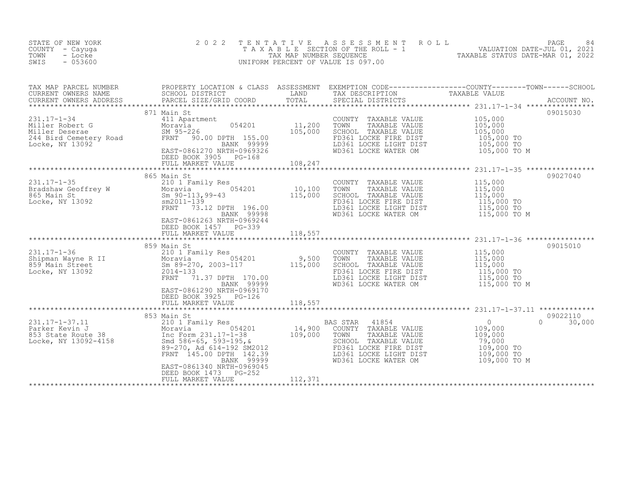| STATE OF NEW YORK<br>COUNTY - Cayuga<br>TOWN<br>- Locke<br>SWIS<br>$-053600$                                                                                                                                                                                         | 2 0 2 2<br>TENTATIVE                                                                   |                    | UNIFORM PERCENT OF VALUE IS 097.00                                                                                                                                                                                                           | TENTATIVE ASSESSMENT ROLL UNIVALUATION DATE-JUL 01, 2021<br>TAXABLE SECTION OF THE ROLL - 1<br>TAXABLE STATUS DATE-MAR 01, 2022<br>JNIFORM PERCENT OF VALUE IS 097.00 |
|----------------------------------------------------------------------------------------------------------------------------------------------------------------------------------------------------------------------------------------------------------------------|----------------------------------------------------------------------------------------|--------------------|----------------------------------------------------------------------------------------------------------------------------------------------------------------------------------------------------------------------------------------------|-----------------------------------------------------------------------------------------------------------------------------------------------------------------------|
|                                                                                                                                                                                                                                                                      |                                                                                        |                    |                                                                                                                                                                                                                                              |                                                                                                                                                                       |
| 231.17-1-34<br>Miller Robert G<br>Miller Deserae<br>244 Bird Cemetery Road<br>Locke, NY 13092<br>EAST-0861270 NRTH-09693326<br>EAST-0861270 NRTH-09693926<br>EAST-0861270 NRTH-0969326<br>EAST-0861270 NRTH-0969326<br>DEED BOOK 3905 PG-168<br>PE                   | 871 Main St<br>DEED BOOK 3905 PG-168<br>FULL MARKET VALUE                              | $PG-168$ $108,247$ | COUNTY TAXABLE VALUE $105,000$<br>TOWN TAXABLE VALUE $105,000$<br>SCHOOL TAXABLE VALUE $105,000$<br>FD361 LOCKE FIRE DIST $105,000$ TO<br>LD361 LOCKE LIGHT DIST $105,000$ TO<br>LD361 LOCKE LIGHT DIST $105,000$ TO<br>WD361 LOCKE WATER OM | 09015030<br>$105,000$ TO M                                                                                                                                            |
|                                                                                                                                                                                                                                                                      |                                                                                        |                    |                                                                                                                                                                                                                                              |                                                                                                                                                                       |
| 231.17-1-35<br>Bradshaw Geoffrey W 210 1 Family Res<br>865 Main St Moravia 054201 10,100<br>865 Main St Sm 90-113,99-43 115,000<br>Locke, NY 13092 FRNT 73.12 DPTH 196.00<br>FRNT 73.12 DPTH 196.00                                                                  | 865 Main St<br>EAST-0861263 NRTH-0969244<br>DEED BOOK 1457 PG-339<br>FULL MARKET VALUE | 118,557            | COUNTY TAXABLE VALUE 115,000<br>TOWN TAXABLE VALUE 115,000<br>SCHOOL TAXABLE VALUE 115,000<br>FD361 LOCKE FIRE DIST 115,000 TO<br>FD361 LOCKE FIKE DIST<br>LD361 LOCKE LIGHT DIST 115,000 TO<br>WD361 LOCKE WATER OM 115,000 TO M            | 09027040                                                                                                                                                              |
| 331.17-1-36<br>231.17-1-36<br>210 1 Family Res<br>210 1 Family Res<br>210 1 Family Res<br>2014-133<br>2014-133<br>2014-133<br>2014-133<br>2014-133<br>2014-133<br>2014-133<br>2014-133<br>2014-133<br>2014-133<br>2014-133<br>2014-133<br>2014-133<br>2015.000<br>20 | EAST-0861290 NRTH-0969170<br>DEED BOOK 3925 PG-126                                     |                    | LD361 LOCKE LIGHT DIST<br>LD361 LOCKE LIGHT DIST 115,000 TO<br>WD361 LOCKE WATER OM 115,000 TO M                                                                                                                                             | 09015010                                                                                                                                                              |
|                                                                                                                                                                                                                                                                      | FULL MARKET VALUE                                                                      | 118,557            |                                                                                                                                                                                                                                              |                                                                                                                                                                       |
|                                                                                                                                                                                                                                                                      | EAST-0861340 NRTH-0969045<br>DEED BOOK 1473 PG-252                                     |                    |                                                                                                                                                                                                                                              | 09022110<br>$\Omega$<br>30,000<br>109,000 TO<br>109,000 TO<br>109,000 TO M                                                                                            |
|                                                                                                                                                                                                                                                                      | FULL MARKET VALUE                                                                      | 112,371            |                                                                                                                                                                                                                                              |                                                                                                                                                                       |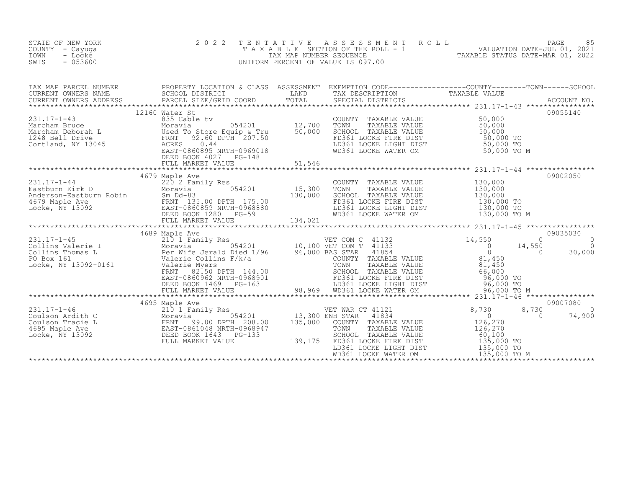| STATE OF NEW YORK<br>COUNTY - Cayuga<br>TOWN<br>- Locke<br>SWIS<br>$-053600$                                                                                                                                                                                                                                                                                                                             | 2 0 2 2        | T E N T A T I V E | UNIFORM PERCENT OF VALUE IS 097.00 | TENTATIVE ASSESSMENT ROLL PAGE 85<br>TAXABLE SECTION OF THE ROLL - 1 VALUATION DATE-JUL 01, 2021<br>TAX MAP NUMBER SEQUENCE TAXABLE STATUS DATE-MAR 01, 2022<br>JNIFORM PERCENT OF VALUE IS 097.00 |                    |
|----------------------------------------------------------------------------------------------------------------------------------------------------------------------------------------------------------------------------------------------------------------------------------------------------------------------------------------------------------------------------------------------------------|----------------|-------------------|------------------------------------|----------------------------------------------------------------------------------------------------------------------------------------------------------------------------------------------------|--------------------|
| TAX MAP PARCEL NUMBER PROPERTY LOCATION & CLASS ASSESSMENT EXEMPTION CODE-------------------COUNTY---------TOWN------SCHOOL SCHOOL DISTRICT LAND TAX DESCRIPTION CORN TAXABLE VALUE<br>CURRENT OWNERS ADDRESS PARCEL SIZE/GRID CO                                                                                                                                                                        |                |                   |                                    |                                                                                                                                                                                                    |                    |
|                                                                                                                                                                                                                                                                                                                                                                                                          | 12160 Water St |                   |                                    |                                                                                                                                                                                                    | 09055140           |
|                                                                                                                                                                                                                                                                                                                                                                                                          |                |                   |                                    |                                                                                                                                                                                                    |                    |
|                                                                                                                                                                                                                                                                                                                                                                                                          |                |                   |                                    |                                                                                                                                                                                                    |                    |
| $\begin{tabular}{c c c c c} \multicolumn{3}{c c c} \multicolumn{3}{c c c} \multicolumn{3}{c c c} \multicolumn{3}{c c c} \multicolumn{3}{c c c} \multicolumn{3}{c c c} \multicolumn{3}{c c c} \multicolumn{3}{c c c} \multicolumn{3}{c c c} \multicolumn{3}{c c c} \multicolumn{3}{c c c} \multicolumn{3}{c c c} \multicolumn{3}{c c c} \multicolumn{3}{c c c} \multicolumn{3}{c c c} \multicolumn{3}{c $ |                |                   |                                    |                                                                                                                                                                                                    |                    |
|                                                                                                                                                                                                                                                                                                                                                                                                          |                |                   |                                    |                                                                                                                                                                                                    |                    |
| $\begin{tabular}{c c c c c c} \multicolumn{3}{c c c c} \multicolumn{3}{c c c} \multicolumn{3}{c c c} \multicolumn{3}{c c c} \multicolumn{3}{c c c} \multicolumn{3}{c c c} \multicolumn{3}{c c c} \multicolumn{3}{c c c} \multicolumn{3}{c c c} \multicolumn{3}{c c c} \multicolumn{3}{c c c} \multicolumn{3}{c c c} \multicolumn{3}{c c c} \multicolumn{3}{c c c} \multicolumn{3}{c c c} \multicolumn{$  |                |                   |                                    | 8,730<br>$\overline{a}$                                                                                                                                                                            | 09007080<br>74,900 |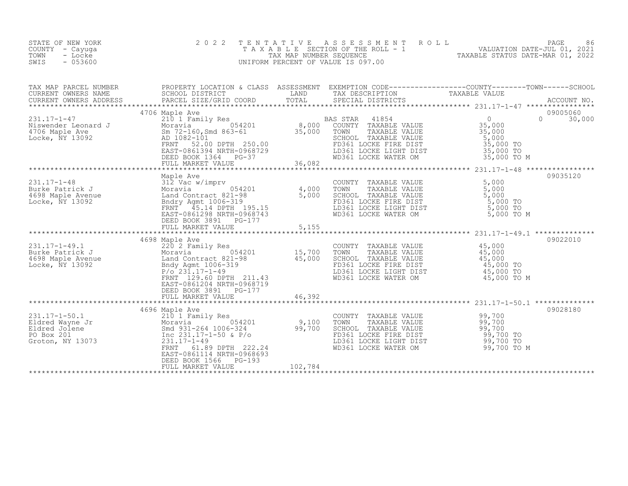| STATE OF NEW YORK<br>COUNTY - Cayuga<br>TOWN<br>- Locke<br>SWIS<br>$-053600$                                                                                                                                                                                                                | 2 0 2 2                                                                                                                     |         |                                                                                                                                                                                                                                                                                          | TENTATIVE ASSESSMENT ROLL PACE PAGE 86<br>TAXABLE SECTION OF THE ROLL - 1 VALUATION DATE-JUL 01, 2021<br>TAXABLE STATUS DATE-MAR 01, 2022<br>UNIFORM PERCENT OF VALUE IS 097.00 |        |
|---------------------------------------------------------------------------------------------------------------------------------------------------------------------------------------------------------------------------------------------------------------------------------------------|-----------------------------------------------------------------------------------------------------------------------------|---------|------------------------------------------------------------------------------------------------------------------------------------------------------------------------------------------------------------------------------------------------------------------------------------------|---------------------------------------------------------------------------------------------------------------------------------------------------------------------------------|--------|
|                                                                                                                                                                                                                                                                                             |                                                                                                                             |         |                                                                                                                                                                                                                                                                                          |                                                                                                                                                                                 |        |
|                                                                                                                                                                                                                                                                                             | 4706 Maple Ave                                                                                                              |         | WD361 LOCKE WATER OM 35,000 TO M                                                                                                                                                                                                                                                         | 09005060<br>$\Omega$<br>5,000<br>35,000 TO<br>35,000 TO                                                                                                                         | 30,000 |
| 231.17-1-48<br>Burke Patrick J<br>4,000<br>4,000<br>4,000<br>4,000<br>4,000<br>5,000<br>Locke, NY 13092<br>2016<br>2017<br>2017<br>2017<br>2018<br>2018<br>2018<br>2018<br>2018<br>2018<br>2018<br>2018<br>2018<br>2019<br>2018<br>2019<br>2019<br>2019<br>2019<br>2019<br>2019<br>2019<br> | Maple Ave<br>DEED BOOK 3891 PG-177<br>FULL MARKET VALUE                                                                     | 5,155   | COUNTY TAXABLE VALUE<br>TOWN TAXABLE VALUE 5,000<br>TOWN TAXABLE VALUE 5,000<br>5,000<br>FOR THAT THE VALUE<br>FOR TAXABLE VALUE<br>FOR TOOKE FIRE DIST<br>LD361 LOCKE LIGHT DIST<br>WD361 LOCKE WATER OM 5,000 TO M<br>5,000 TO M                                                       | 09035120                                                                                                                                                                        |        |
| 231.17-1-49.1<br>Burke Patrick J<br>4698 Maple Avenue<br>Land Contract 821-98<br>Locke, NY 13092<br>ENNT 129.60 DPTH 211.43<br>ENNT 129.60 DPTH 211.43                                                                                                                                      | 4698 Maple Ave<br>EAST-0861204 NRTH-0968719<br>DEED BOOK 3891 PG-177<br>FULL MARKET VALUE                                   | 46,392  | COUNTY TAXABLE VALUE 45,000<br>TAXABLE VALUE<br>TAXABLE VALUE 45,000<br>TAXABLE VALUE 45,000<br>TOWN<br>CHOOL TAXABLE VALUE $\begin{array}{ccc} 45,000 \\ 45,000 \end{array}$<br>FD361 LOCKE FIRE DIST 45,000 TO<br>LD361 LOCKE LIGHT DIST 45,000 TO<br>WD361 LOCKE WATER OM 45,000 TO M | 09022010                                                                                                                                                                        |        |
| 231.17-1-50.1<br>Eldred Wayne Jr<br>Eldred Jolene Moravia 054201 9,100<br>PO Box 201 5md 931-264 1006-324 99,700<br>Groton, NY 13073 231.17-1-49 PO Box 201<br>FRNT 61 89 PO PO 232.17-1-49<br>FRNT 61 89 PO 232.17-1-49                                                                    | 4696 Maple Ave<br>61.89 DPTH 222.24<br>FRNT<br>EAST-0861114 NRTH-0968693<br>DEED BOOK 1566<br>$PG-193$<br>FULL MARKET VALUE | 102,784 | COUNTY TAXABLE VALUE $99,700$<br>TOWN TAXABLE VALUE $99,700$<br>SCHOOL TAXABLE VALUE $99,700$<br>FD361 LOCKE FIBE DIST (98.700<br>FD361 LOCKE FIRE DIST<br>LD361 LOCKE LIGHT DIST<br>WD361 LOCKE WATER OM 39,700 TO M                                                                    | 09028180<br>99,700<br>99,700 TO<br>99,700 TO                                                                                                                                    |        |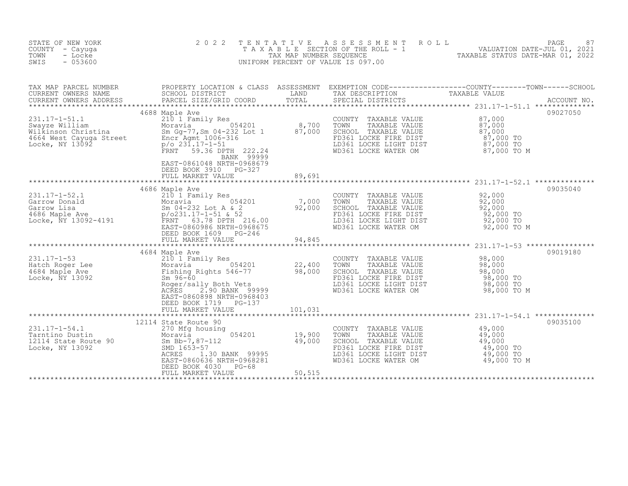| STATE OF NEW YORK<br>COUNTY - Cayuga<br>- Locke<br>TOWN<br>SWIS<br>$-053600$                                                                                                                                                                                                                                                                                                | 2 0 2 2                                                                                   | TENTATIVE              | UNIFORM PERCENT OF VALUE IS 097.00                                                                                                                                                          | T E N T A T I V E A S S E S S M E N T R O L L<br>T A X A B L E SECTION OF THE ROLL - 1<br>TAX MAP NUMBER SEQUENCE TAXABLE STATUS DATE-MAR 01, 2022<br>JNIFORM PERCENT OF VALUE IS 097.00                                          |
|-----------------------------------------------------------------------------------------------------------------------------------------------------------------------------------------------------------------------------------------------------------------------------------------------------------------------------------------------------------------------------|-------------------------------------------------------------------------------------------|------------------------|---------------------------------------------------------------------------------------------------------------------------------------------------------------------------------------------|-----------------------------------------------------------------------------------------------------------------------------------------------------------------------------------------------------------------------------------|
|                                                                                                                                                                                                                                                                                                                                                                             |                                                                                           |                        |                                                                                                                                                                                             | TAX MAP PARCEL NUMBER PROPERTY LOCATION & CLASS ASSESSMENT EXEMPTION CODE----------------COUNTY--------TOWN-----SCHOOL CURRENT OWNERS NAME SCHOOL DISTRICT LAND TAX DESCRIPTION TAXABLE VALUE<br>CURRENT OWNERS ADDRESS PARCEL SI |
| 1688 Maple Ave (210 1 Family Res (21.17-1-51.1 (22.24 Milkinson Christina (22.31.17-1-51) Primarily Res (21.17-1-51.1 (22.24 Milkinson Christina Moravia FAMILY SURVER (22.24 Milkinson Street FRIMT 59.36 DPTH 222.24 MILM (2                                                                                                                                              | 4688 Maple Ave<br>BANK 99999<br>EAST-0861048 NRTH-0968679<br>DEED BOOK 3910 PG-327        |                        |                                                                                                                                                                                             | 09027050                                                                                                                                                                                                                          |
|                                                                                                                                                                                                                                                                                                                                                                             | FULL MARKET VALUE                                                                         | 89,691<br>************ |                                                                                                                                                                                             |                                                                                                                                                                                                                                   |
| $\begin{array}{lcccc} 231.17-1-52.1 & 4686 \text{ Maple Ave} & 21011 Family Res & 0.000\text{TONN} & TAXABLE VALUE & 92,000\text{Garrow} & 92,000\text{Garrow} & 92,000\text{Garrow} & 92,000\text{Garrow} & 92,000\text{Garrow} & 92,000\text{Garrow} & 92,000\text{Garrow} & 92,000\text{Garrow} & 92,000\text{Garrow} & 92,000\text{Garrow} & 92,000\text{Garrow} & 92,$ | DEED BOOK 1609 PG-246<br>FULL MARKET VALUE                                                | 94,845                 |                                                                                                                                                                                             | 09035040                                                                                                                                                                                                                          |
| 231.17-1-53<br>Hatch Roger Lee 210 1 Family Res<br>4684 Maple Ave Moravia Fishing Rights 546-77 98,000<br>Locke, NY 13092 5m 96-60<br>Roger/sally Both Vets<br>Roger/sally Both Vets<br>Roger/sally Both Vets<br>Roger/sally Both Vets<br>Rog                                                                                                                               | 4684 Maple Ave<br>EAST-0860898 NRTH-0968403<br>DEED BOOK 1719 PG-137<br>FULL MARKET VALUE | 101,031                | COUNTY TAXABLE VALUE<br>TOWN TAXABLE VALUE 98,000<br>SCHOOL TAXABLE VALUE 98,000<br>FD361 LOCKE FIRE DIST 98,000 TO<br>LD361 LOCKE LIGHT DIST 98,000 TO<br>WD361 LOCKE WATER OM 98,000 TO M | 09019180                                                                                                                                                                                                                          |
| 12114 State Route 90<br>Tarntino Dustin 12114 State Route 90<br>12114 State Route 90<br>12114 State Route 90<br>19,900<br>SMD 1653-57<br>2CRES<br>EAST-0860636 NRTH-0968281<br>EAST-0860636 NRTH-0968281<br>EAST-0860636 NRTH-0968281                                                                                                                                       | 12114 State Route 90<br>DEED BOOK 4030 PG-68<br>FULL MARKET VALUE                         | 50,515                 | COUNTY TAXABLE VALUE<br>TOWN TAXABLE VALUE 49,000<br>SCHOOL TAXABLE VALUE 49,000<br>FD361 LOCKE FIRE DIST 49,000 TO<br>LD361 LOCKE LIGHT DIST 49,000 TO<br>WD361 LOCKE WATER OM 49,000 TO M | 09035100                                                                                                                                                                                                                          |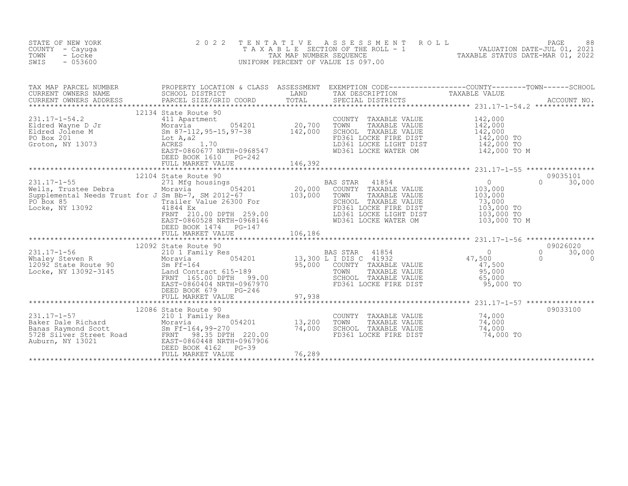| STATE OF NEW YORK<br>COUNTY - Cayuga<br>TOWN<br>- Locke<br>SWIS<br>$-053600$                                      | 2 0 2 2<br>TENTATIVE                                                                                                                                                                                                                                                                                                                                   | ASSESSMENT ROLL<br>UNIFORM PERCENT OF VALUE IS 097.00                                                                                                                                                                                                               | PAGE<br>88<br>TAXABLE SECTION OF THE ROLL - 1<br>TAXABLE STATUS DATE-JUL 01, 2021<br>TAXABLE STATUS DATE-MAR 01, 2022                                  |
|-------------------------------------------------------------------------------------------------------------------|--------------------------------------------------------------------------------------------------------------------------------------------------------------------------------------------------------------------------------------------------------------------------------------------------------------------------------------------------------|---------------------------------------------------------------------------------------------------------------------------------------------------------------------------------------------------------------------------------------------------------------------|--------------------------------------------------------------------------------------------------------------------------------------------------------|
| TAX MAP PARCEL NUMBER<br>CURRENT OWNERS NAME                                                                      | SCHOOL DISTRICT                                                                                                                                                                                                                                                                                                                                        | LAND<br>TAX DESCRIPTION                                                                                                                                                                                                                                             | PROPERTY LOCATION & CLASS ASSESSMENT EXEMPTION CODE-----------------COUNTY--------TOWN------SCHOOL<br>TAXABLE VALUE                                    |
|                                                                                                                   | 12134 State Route 90<br>231.17-1-54.2<br>Eldred Wayne D Jr<br>Eldred Johnson Moravia<br>20,700<br>Eldred Johnson Moravia<br>20,700<br>20,700<br>20,700<br>20,700<br>20,700<br>20,700<br>20,700<br>20,700<br>20,700<br>20,700<br>20,700<br>20,700<br>20,700<br>20,700<br>20,700<br>20,700<br>20,7<br>EAST-0860677 NRTH-0968547<br>DEED BOOK 1610 PG-242 | COUNTY TAXABLE VALUE<br>TOWN<br>TAXABLE VALUE<br>SCHOOL TAXABLE VALUE<br>FD361 LOCKE FIRE DIST<br>LD361 LOCKE LIGHT DIST<br>WD361 LOCKE WATER OM                                                                                                                    | 142,000<br>142,000<br>142,000<br>142,000 TO<br>142,000 TO<br>142,000 TO M                                                                              |
|                                                                                                                   | 41844 EX<br>FRNT - 210.00 DPTH - 259.00<br>FAST-0860528 NRTH-0968146<br>DEED BOOK 1474    PG-147                                                                                                                                                                                                                                                       | BAS STAR 41854<br>COUNTY TAXABLE VALUE<br>TOWN<br>TAXABLE VALUE<br>SCHOOL TAXABLE VALUE<br>FD361 LOCKE FIRE DIST<br>LD361 LOCKE LIGHT DIST<br>WD361 LOCKE WATER OM                                                                                                  | 09035101<br>$\begin{smallmatrix}&&0\0&103,000\end{smallmatrix}$<br>$\Omega$<br>30,000<br>103,000<br>73,000<br>103,000 TO<br>103,000 TO<br>103,000 TO M |
| 231.17-1-56 210 1 Fa<br>Whaley Steven R Moravia<br>12092 State Route 90 Sm Ff-16<br>Locke, NY 13092-3145 Land Cor | 12092 State Route 90<br>210 1 Family Res<br>EAST-0860404 NRTH-0967970<br>DEED BOOK 679<br>$PG-246$                                                                                                                                                                                                                                                     | BAS STAR<br>41854<br>210 1 Family Res<br>Moravia 054201 13,300 L I DIS C 41932<br>Sm Ff-164 95,000 COUNTY TAXABLE VALUE<br>Land Contract 615-189 TOWN TAXABLE VALUE<br>FRNT 165.00 DPTH 99.00 SCHOOL TAXABLE VALUE<br>SCHOOL TAXABLE VALUE<br>FD361 LOCKE FIRE DIST | 09026020<br>47,500<br>30,000<br>0<br>$\bigcap$<br>$\Omega$<br>47,500<br>95,000<br>65,000<br>95,000 TO                                                  |
|                                                                                                                   | 12086 State Route 90<br>231.17-1-57<br>Baker Dale Richard<br>Banas Raymond Scott<br>5728 Silver Street Road<br>Auburn, NY 13021<br>Auburn, NY 13021<br>Bass-0860448 NRTH-0967906<br>DEED BOOK 4162<br>$PG-39$<br>FULL MARKET VALUE                                                                                                                     | COUNTY TAXABLE VALUE 74,000<br>13,200<br>TOWN<br>TAXABLE VALUE<br>74,000<br>SCHOOL TAXABLE VALUE<br>FD361 LOCKE FIRE DIST<br>76,289                                                                                                                                 | 09033100<br>74,000<br>74,000<br>74,000 TO                                                                                                              |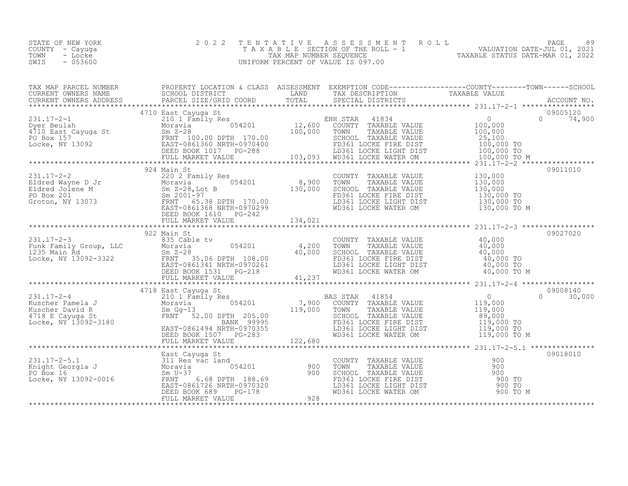| STATE OF NEW YORK | 2022 TENTATIVE ASSESSMENT ROLL     |                                  | PAGE                        | 89 |
|-------------------|------------------------------------|----------------------------------|-----------------------------|----|
| COUNTY – Cayuga   | TAXABLE SECTION OF THE ROLL - 1    |                                  | VALUATION DATE-JUL 01, 2021 |    |
| TOWN<br>- Locke   | TAX MAP NUMBER SEOUENCE            | TAXABLE STATUS DATE-MAR 01, 2022 |                             |    |
| $-053600$<br>SWIS | UNIFORM PERCENT OF VALUE IS 097.00 |                                  |                             |    |

| $\begin{tabular}{c cccc} \textbf{C11}\textbf{1} & 4710 & 8410 & 8410 & 8410 & 8410 & 8410 & 8410 & 8410 & 8410 & 8410 & 8410 & 8410 & 8410 & 8410 & 8410 & 8410 & 8410 & 8410 & 8410 & 8410 & 8410 & 8410 & 8410 & 8410 & 8410 & 8410 & 8410 & 8410 & 8410 & 8410 & 8410 & 8410 & 841$                                                                                                                   |  |  |  |
|----------------------------------------------------------------------------------------------------------------------------------------------------------------------------------------------------------------------------------------------------------------------------------------------------------------------------------------------------------------------------------------------------------|--|--|--|
|                                                                                                                                                                                                                                                                                                                                                                                                          |  |  |  |
|                                                                                                                                                                                                                                                                                                                                                                                                          |  |  |  |
|                                                                                                                                                                                                                                                                                                                                                                                                          |  |  |  |
|                                                                                                                                                                                                                                                                                                                                                                                                          |  |  |  |
|                                                                                                                                                                                                                                                                                                                                                                                                          |  |  |  |
| $\begin{tabular}{cccccc} \texttt{1117--7-3} & 922 & \texttt{Main St} & \texttt{C} & \texttt{C} & \texttt{C} & \texttt{31117--2-3} & \texttt{035} & \texttt{C} & \texttt{03027020} \\ & 922 & \texttt{Main St} & 054201 & 4,200 & \texttt{TONTY} & \texttt{TAXABLE VALUE} & 40,000 \\ & \texttt{Rxmin} & 935 & \texttt{Cable tv} & 054201 & 4,200 & \texttt{TONY} & \texttt{TAXABLE VALUE} & 40,000 \\ &$ |  |  |  |
|                                                                                                                                                                                                                                                                                                                                                                                                          |  |  |  |
|                                                                                                                                                                                                                                                                                                                                                                                                          |  |  |  |
|                                                                                                                                                                                                                                                                                                                                                                                                          |  |  |  |
|                                                                                                                                                                                                                                                                                                                                                                                                          |  |  |  |
|                                                                                                                                                                                                                                                                                                                                                                                                          |  |  |  |
|                                                                                                                                                                                                                                                                                                                                                                                                          |  |  |  |
|                                                                                                                                                                                                                                                                                                                                                                                                          |  |  |  |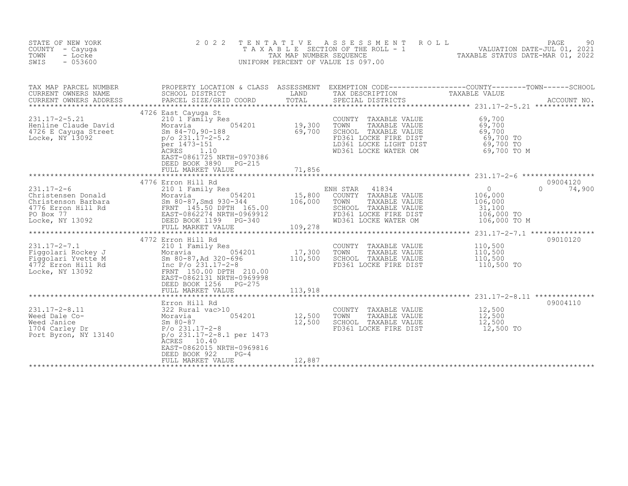| STATE OF NEW YORK<br>COUNTY - Cayuga<br>- Locke<br>TOWN<br>$-053600$<br>SWIS                                                                                                                                                                                                                                                                                                                       | 2 0 2 2                                                                                  | TENTATIVE | UNIFORM PERCENT OF VALUE IS 097.00                                                                                                                                                                                          |                                                                                                                                                                                                                                |  |
|----------------------------------------------------------------------------------------------------------------------------------------------------------------------------------------------------------------------------------------------------------------------------------------------------------------------------------------------------------------------------------------------------|------------------------------------------------------------------------------------------|-----------|-----------------------------------------------------------------------------------------------------------------------------------------------------------------------------------------------------------------------------|--------------------------------------------------------------------------------------------------------------------------------------------------------------------------------------------------------------------------------|--|
|                                                                                                                                                                                                                                                                                                                                                                                                    |                                                                                          |           |                                                                                                                                                                                                                             | TAX MAP PARCEL NUMBER PROPERTY LOCATION & CLASS ASSESSMENT EXEMPTION CODE------------------COUNTY---------TOWN------SCHOOL SCHOOL DISTRICT LAND TAX DESCRIPTION CORNERS NAME SCHOOL SCHOOL DISTRICT LAND TAX DESCRIPTION TAXAB |  |
| 231.17-2-5.21<br>Henline Claude David<br>4726 E Cayuga Street<br>Locke, NY 13092<br>19,300<br>19,300<br>4726 E Cayuga Street<br>59,700<br>231.17-2-5.2<br>point 1473-151<br>2CRES<br>1.10<br>EAST-08661725 NRTH-0970386<br>PERS 1.10<br>EAST-0861725 NRTH-                                                                                                                                         | 4726 East Cayuga St<br>DEED BOOK 3890<br>PG-215<br>FULL MARKET VALUE                     | 71,856    | COUNTY TAXABLE VALUE 69,700<br>TOWN TAXABLE VALUE 69,700<br>SCHOOL TAXABLE VALUE 69,700<br>FD361 LOCKE FIRE DIST 69,700 TO<br>FD361 LOCKE FIRE DIST<br>LD361 LOCKE LIGHT DIST 69,700 TO<br>WD361 LOCKE WATER OM 69,700 TO M |                                                                                                                                                                                                                                |  |
|                                                                                                                                                                                                                                                                                                                                                                                                    |                                                                                          |           |                                                                                                                                                                                                                             |                                                                                                                                                                                                                                |  |
| 231.17-2-7.1<br>Figgolari Rockey J<br>Figgolari Yvette M<br>4772 Erron Hill Rd<br>Locke, NY 13092<br>210 1 Family Res<br>Moravia 20-87, Ad 320-696<br>210.00<br>21.17-2-8<br>210.00<br>210.00<br>210.00<br>210.00<br>210.00<br>210.00<br>210.00<br>210.00<br>22.                                                                                                                                   | 4776 Erron Hill Rd<br>4772 Erron Hill Rd<br>FULL MARKET VALUE                            | 113,918   | NH STAR 41834<br>COUNTY TAXABLE VALUE 106,000<br>TOWN TAXABLE VALUE 106,000<br>COUNTY TAXABLE VALUE 110,500<br>TOWN<br>TOWN TAXABLE VALUE<br>SCHOOL TAXABLE VALUE 110,500 TO                                                | 09004120<br>09010120<br>TAXABLE VALUE 110,500<br>TAXABLE VALUE 110,500<br>TAXABLE VALUE 110,500                                                                                                                                |  |
|                                                                                                                                                                                                                                                                                                                                                                                                    |                                                                                          |           |                                                                                                                                                                                                                             |                                                                                                                                                                                                                                |  |
| $\begin{tabular}{llllll} \multicolumn{1}{c}{231.17-2-8.11} & \multicolumn{1}{c}{\tt Error} & Hill Rd\\ \hline \texttt{Weed Dale Co-} & 322 Rural vac >10 & 12,500\\ \texttt{Weed Janice} & 054201 & 12,500\\ \texttt{Weed Janice} & \texttt{Sm 80-87} & 1704 \texttt{Carley Dr} & P/o 231.17-2-8.1 per 1473\\ \texttt{Port Byron, NY 13140} & \multicolumn{1}{c}{p/o 231.17-2-8.1 per 1473} \end{$ | ACRES 10.40<br>EAST-0862015 NRTH-0969816<br>DEED BOOK 922<br>$PG-4$<br>FULL MARKET VALUE | 12,887    | COUNTY TAXABLE VALUE $12,500$<br>TOWN TAXABLE VALUE $12,500$<br>SCHOOL TAXABLE VALUE $12,500$<br>FD361 LOCKE FIRE DIST                                                                                                      | 09004110<br>$\frac{12}{12}$ ,500<br>12,500 TO                                                                                                                                                                                  |  |
|                                                                                                                                                                                                                                                                                                                                                                                                    |                                                                                          |           |                                                                                                                                                                                                                             |                                                                                                                                                                                                                                |  |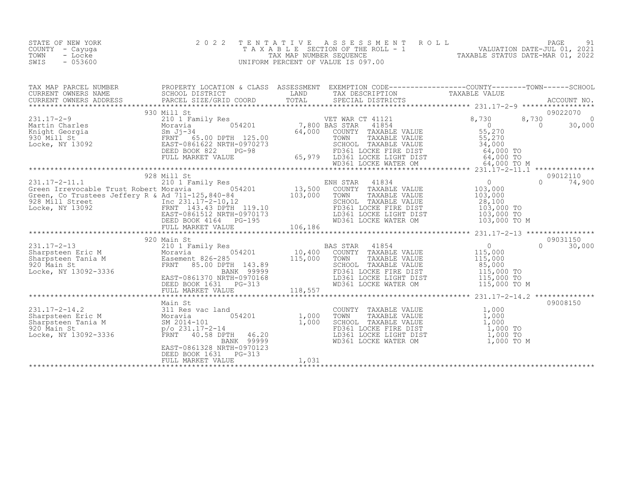| STATE OF NEW YORK<br>COUNTY - Cayuga<br>TOWN<br>- Locke<br>SWIS<br>$-053600$ | 2 0 2 2                                                                 |       |                                                                                                                                                                                                                                                                                                                                                                                                  | TENTATIVE ASSESSMENT ROLL PAGE 91<br>TAXABLE SECTION OF THE ROLL - 1 VALUATION DATE-JUL 01, 2021<br>TAX MAP NUMBER SEQUENCE TAXABLE STATUS DATE-MAR 01, 2022<br>UNIFORM PERCENT OF VALUE IS 097.00                                                                                                                                                                         |
|------------------------------------------------------------------------------|-------------------------------------------------------------------------|-------|--------------------------------------------------------------------------------------------------------------------------------------------------------------------------------------------------------------------------------------------------------------------------------------------------------------------------------------------------------------------------------------------------|----------------------------------------------------------------------------------------------------------------------------------------------------------------------------------------------------------------------------------------------------------------------------------------------------------------------------------------------------------------------------|
|                                                                              |                                                                         |       |                                                                                                                                                                                                                                                                                                                                                                                                  |                                                                                                                                                                                                                                                                                                                                                                            |
|                                                                              |                                                                         |       |                                                                                                                                                                                                                                                                                                                                                                                                  | $\begin{tabular}{lcccc} \texttt{1111} & \texttt{2111} & \texttt{3111} & \texttt{3111} & \texttt{3111} & \texttt{4111} & \texttt{5111} & \texttt{5111} & \texttt{5111} & \texttt{5111} & \texttt{5111} & \texttt{5111} & \texttt{5111} & \texttt{5111} & \texttt{5111} & \texttt{5111} & \texttt{5111} & \texttt{5111} & \texttt{5111} & \texttt{5111} & \texttt{5111} & \$ |
|                                                                              |                                                                         |       |                                                                                                                                                                                                                                                                                                                                                                                                  | $\begin{tabular}{lllllllllll} 231.17-2-11.1 & 928 & \text{Mill St} & \text{EMH STAR} & 41834 & 9012110 & 9012110 & 9012110 & 9012110 & 9012110 & 9012110 & 9012110 & 9012110 & 9012110 & 9012110 & 9012110 & 9012110 & 9012110 & 9012110 & 9012110 & 9012110 & 9012110 & 9012110 & 90$                                                                                     |
|                                                                              |                                                                         |       |                                                                                                                                                                                                                                                                                                                                                                                                  |                                                                                                                                                                                                                                                                                                                                                                            |
|                                                                              |                                                                         |       |                                                                                                                                                                                                                                                                                                                                                                                                  |                                                                                                                                                                                                                                                                                                                                                                            |
|                                                                              | EAST-0861328 NRTH-0970123<br>DEED BOOK 1631 PG-313<br>FULL MARKET VALUE | 1,031 | COUNTY TAXABLE VALUE $\begin{array}{cccc} 1,000 \ \text{TOMN} & \text{TAXABLE VALUE} & 1,000 \ \text{SCHOOL} & \text{TAXABLE VALUE} & 1,000 \ \text{SCHOOL} & \text{TAXABLE VALUE} & 1,000 \ \text{FD361 LOCKE FIRST} & 1,000 \ \text{LD361 LOCKE UIGHT DIST} & 1,000 \ \text{WD361 LOCKE WATER OM} & 1,000 \ \text{TO} & 1,000 \ \text{TO} & 1,000 \ \text{TO} & 1,000 \ \text{TO} & 1,000 \ \$ | 09008150                                                                                                                                                                                                                                                                                                                                                                   |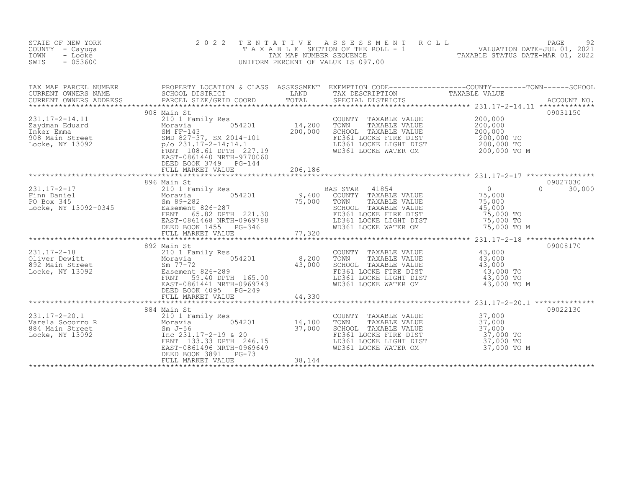| STATE OF NEW YORK<br>COUNTY - Cayuga<br>TOWN<br>- Locke<br>SWIS<br>$-053600$                                                                        | 2 0 2 2<br>TAXABLE                                                                                                                                                              | T E N T A T I V E<br>TAX MAP NUMBER SEQUENCE | $\begin{tabular}{lllllllllllll} \multicolumn{2}{c}{\begin{tabular}{c} \multicolumn{2}{c}{\begin{tabular}{c} \multicolumn{2}{c}{\begin{tabular}{c} \multicolumn{2}{c}{\begin{tabular}{c} \multicolumn{2}{c}{\begin{tabular}{c} \multicolumn{2}{c}{\begin{tabular}{c} \multicolumn{2}{c}{\begin{tabular}{c} \multicolumn{2}{c}{\begin{tabular}{c} \multicolumn{2}{c}{\begin{tabular}{c} \multicolumn{2}{c}{\begin{tabular}{c} \multicolumn{2}{c}{\begin{tabular}{c} \multicolumn{2}{c}{\begin{tabular}{c} \mult$<br>UNIFORM PERCENT OF VALUE IS 097.00 |                                                                                                   |                    |
|-----------------------------------------------------------------------------------------------------------------------------------------------------|---------------------------------------------------------------------------------------------------------------------------------------------------------------------------------|----------------------------------------------|------------------------------------------------------------------------------------------------------------------------------------------------------------------------------------------------------------------------------------------------------------------------------------------------------------------------------------------------------------------------------------------------------------------------------------------------------------------------------------------------------------------------------------------------------|---------------------------------------------------------------------------------------------------|--------------------|
| TAX MAP PARCEL NUMBER<br>CURRENT OWNERS NAME<br>CURRENT OWNERS ADDRESS<br>*************************                                                 | PROPERTY_LOCATION & CLASS ASSESSMENT EXEMPTION CODE-----------------COUNTY--------TOWN------SCHOOL<br>SCHOOL DISTRICT<br>PARCEL SIZE/GRID COORD                                 | LAND<br>TOTAL                                | TAX DESCRIPTION<br>SPECIAL DISTRICTS                                                                                                                                                                                                                                                                                                                                                                                                                                                                                                                 | TAXABLE VALUE                                                                                     | ACCOUNT NO.        |
| $231.17 - 2 - 14.11$<br>231.17<br>Zaydman Eduard<br>Inker Emma<br>908 Main Street<br>Locke, NY 13092<br>231.17-2-14;14.1<br>27.19<br>27.19<br>27.19 | 908 Main St<br>210 1 Family Res<br>054201<br>$p$ /o 231.17-2-14;14.1<br>FRNT 108.61 DPTH 227.19<br>EAST-0861440 NRTH-9770060<br>DEED BOOK 3749<br>$PG-144$<br>FULL MARKET VALUE | 14,200<br>200,000<br>206,186                 | COUNTY TAXABLE VALUE<br>TOWN<br>TAXABLE VALUE<br>SCHOOL TAXABLE VALUE<br>FD361 LOCKE FIRE DIST<br>LD361 LOCKE LIGHT DIST<br>WD361 LOCKE WATER OM                                                                                                                                                                                                                                                                                                                                                                                                     | 200,000<br>200,000<br>200,000<br>200,000 TO<br>200,000 TO<br>200,000 TO M                         | 09031150           |
|                                                                                                                                                     |                                                                                                                                                                                 |                                              |                                                                                                                                                                                                                                                                                                                                                                                                                                                                                                                                                      |                                                                                                   |                    |
| $231.17 - 2 - 17$                                                                                                                                   | 896 Main St<br>210 1 Family Res<br>65.82 DPTH 221.30<br>FRNT<br>EAST-0861468 NRTH-0969788<br>DEED BOOK 1455<br>PG-346<br>FULL MARKET VALUE                                      | 9,400<br>75,000<br>77,320                    | BAS STAR<br>41854<br>COUNTY TAXABLE VALUE<br>TOWN<br>TAXABLE VALUE<br>SCHOOL TAXABLE VALUE<br>FD361 LOCKE FIRE DIST<br>LD361 LOCKE LIGHT DIST<br>WD361 LOCKE WATER OM                                                                                                                                                                                                                                                                                                                                                                                | $\overline{0}$<br>$\Omega$<br>75,000<br>75,000<br>45,000<br>75,000 TO<br>75,000 TO<br>75,000 TO M | 09027030<br>30,000 |
|                                                                                                                                                     |                                                                                                                                                                                 |                                              |                                                                                                                                                                                                                                                                                                                                                                                                                                                                                                                                                      |                                                                                                   |                    |
| $231.17 - 2 - 18$<br>Oliver Dewitt<br>892 Main Street<br>Locke, NY 13092                                                                            | 892 Main St<br>210 1 Family Res<br>Moravia 1 054201<br>Sm 77-72<br>Easement 826-289<br>FRNT<br>59.40 DPTH 165.00<br>EAST-0861441 NRTH-0969743<br>DEED BOOK 4095<br>PG-249       | 8,200<br>43,000                              | TAXABLE VALUE<br>COUNTY<br>TOWN<br>TAXABLE VALUE<br>SCHOOL TAXABLE VALUE<br>FD361 LOCKE FIRE DIST<br>LD361 LOCKE LIGHT DIST<br>WD361 LOCKE WATER OM                                                                                                                                                                                                                                                                                                                                                                                                  | 43,000<br>43,000<br>43,000<br>43,000 TO<br>43,000 TO<br>43,000 TO M                               | 09008170           |
|                                                                                                                                                     | FULL MARKET VALUE                                                                                                                                                               | 44,330<br>*****************                  |                                                                                                                                                                                                                                                                                                                                                                                                                                                                                                                                                      | ************************ 231.17-2-20.1 **************                                             |                    |
| $231.17 - 2 - 20.1$<br>Varela Socorro R<br>Moravia<br>Sm J-56<br>Inc 231.<br>884 Main Street<br>Locke, NY 13092                                     | 884 Main St<br>210 1 Family Res<br>054201<br>Inc 231.17-2-19 & 20                                                                                                               | 16,100<br>37,000                             | COUNTY TAXABLE VALUE<br>TOWN<br>TAXABLE VALUE<br>SCHOOL TAXABLE VALUE<br>FD361 LOCKE FIRE DIST                                                                                                                                                                                                                                                                                                                                                                                                                                                       | 37,000<br>37,000<br>37,000<br>37,000 TO                                                           | 09022130           |
|                                                                                                                                                     | FRNT 133.33 DPTH 246.15<br>EAST-0861496 NRTH-0969649<br>DEED BOOK 3891<br>$PG-73$<br>FULL MARKET VALUE                                                                          | 38,144                                       | LD361 LOCKE LIGHT DIST<br>WD361 LOCKE WATER OM                                                                                                                                                                                                                                                                                                                                                                                                                                                                                                       | 37,000 TO<br>37,000 TO M                                                                          |                    |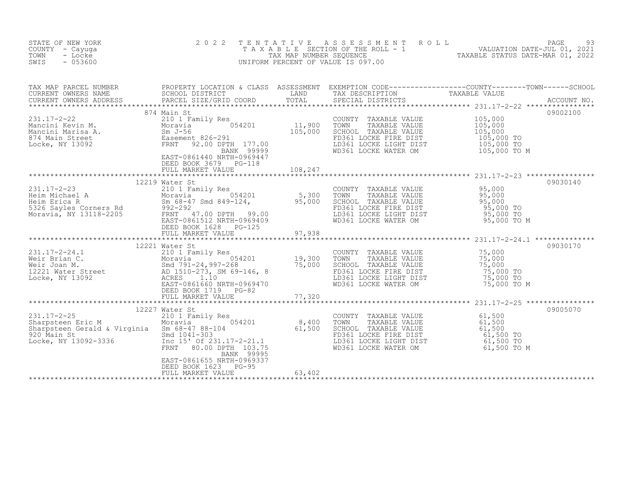| STATE OF NEW YORK<br>COUNTY - Cayuga<br>TOWN<br>- Locke<br>$-053600$<br>SWIS                                                                                                                                                                                      | 2 0 2 2                                                   |        |                                                                                                                                                                                                                                | TENTATIVE ASSESSMENT ROLL PAGE 93<br>TAXABLE SECTION OF THE ROLL - 1 VALUATION DATE-JUL 01, 2021<br>TAX MAP NUMBER SEQUENCE TAXABLE STATUS DATE-MAR 01, 2022<br>UNIFORM PERCENT OF VALUE IS 097.00 |          |
|-------------------------------------------------------------------------------------------------------------------------------------------------------------------------------------------------------------------------------------------------------------------|-----------------------------------------------------------|--------|--------------------------------------------------------------------------------------------------------------------------------------------------------------------------------------------------------------------------------|----------------------------------------------------------------------------------------------------------------------------------------------------------------------------------------------------|----------|
| TAX MAP PARCEL NUMBER PROPERTY LOCATION & CLASS ASSESSMENT EXEMPTION CODE-----------------COUNTY--------TOWN------SCHOOL CURRENT OWNERS NAME SCHOOL DISTRICT LAND TAX DESCRIPTION TAXABLE VALUE<br>CURRENT OWNERS ADDRESS PARCEL                                  |                                                           |        |                                                                                                                                                                                                                                |                                                                                                                                                                                                    |          |
| 31.17-2-22<br>Mancini Kevin M. 210 1 Family Res<br>Mancini Marisa A. Moravia 054201<br>Mancini Marisa A. Sm J-56 105,000<br>Easement 826-291<br>Locke, NY 13092<br>Noravia 2001 177.00<br>Easement 826-291<br>Easement 826-291<br>Easement 326-2                  | 874 Main St<br>EAST-0861440 NRTH-0969447                  |        | The second transfer that the second the second to the second the second to the second to the second to the second to the second to the second to the second to the second to the second to the second to the second to the sec |                                                                                                                                                                                                    | 09002100 |
|                                                                                                                                                                                                                                                                   | DEED BOOK 3679 PG-118                                     |        |                                                                                                                                                                                                                                |                                                                                                                                                                                                    |          |
|                                                                                                                                                                                                                                                                   | 12219 Water St<br>DEED BOOK 1628 PG-125                   |        | FD361 LOCKE FIRE DIST<br>LD361 LOCKE LIGHT DIST 95,000 TO<br>WD361 LOCKE WATER OM 95,000 TO M                                                                                                                                  |                                                                                                                                                                                                    | 09030140 |
|                                                                                                                                                                                                                                                                   | FULL MARKET VALUE                                         | 97,938 |                                                                                                                                                                                                                                |                                                                                                                                                                                                    |          |
| 231.17-2-24.1<br>Weir Brian C.<br>Weir Joan M.<br>19,300<br>19,300<br>19,300<br>19,300<br>19,300<br>19,300<br>Smd 791-24,997-268<br>AD 1510-273, SM 69-146, 8<br>AD 1510-273, SM 69-146, 8<br>ACRES<br>1.10<br>EAST-0861660 NRTH-0969470<br>EAST-0861660 NRT      | 12221 Water St<br>DEED BOOK 1719 PG-82                    |        | COUNTY TAXABLE VALUE<br>TOWN TAXABLE VALUE 75,000<br>SCHOOL TAXABLE VALUE 75,000<br>FD361 LOCKE FIRE DIST 75,000 TO<br>LD361 LOCKE LIGHT DIST 75,000 TO<br>WD361 LOCKE WATER OM 75,000 TO M                                    |                                                                                                                                                                                                    | 09030170 |
|                                                                                                                                                                                                                                                                   | FULL MARKET VALUE                                         | 77,320 |                                                                                                                                                                                                                                |                                                                                                                                                                                                    |          |
| 12227 Water St<br>210 1 Family Res<br>210 1 Family Res<br>210 1 Family Res<br>210 1 Family Res<br>210 1 Family Res<br>216 231.17-2-21.1<br>227 Water St<br>210 1 Family Res<br>20 34201<br>234201<br>234201<br>234201<br>234201<br>234201<br>234201<br>234201<br> | 12227 Water St<br>BANK 99995<br>EAST-0861655 NRTH-0969337 |        | COUNTY TAXABLE VALUE<br>TOWN TAXABLE VALUE 61,500<br>SCHOOL TAXABLE VALUE 61,500<br>FD361 LOCKE FIRE DIST 61,500 TO<br>LD361 LOCKE LIGHT DIST 61,500 TO<br>WD361 LOCKE WATER OM 61,500 TO M                                    |                                                                                                                                                                                                    | 09005070 |
|                                                                                                                                                                                                                                                                   | DEED BOOK 1623 PG-95<br>FULL MARKET VALUE                 | 63,402 |                                                                                                                                                                                                                                |                                                                                                                                                                                                    |          |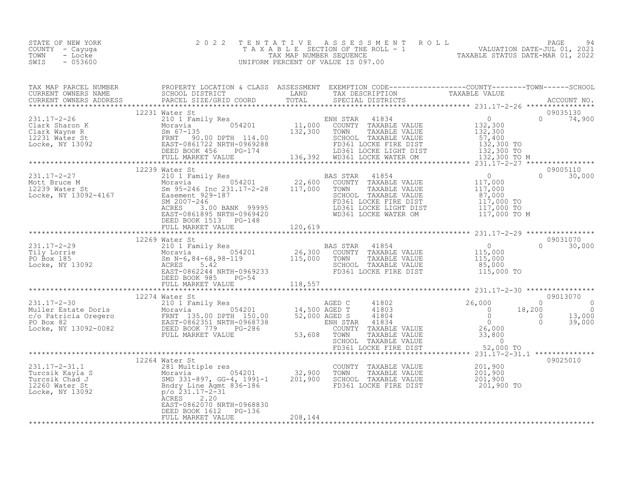| STATE OF NEW YORK<br>COUNTY - Cayuga<br>TOWN<br>- Locke<br>SWIS<br>- 053600 | 2022 TENTATIVE ASSESSMENT ROLL<br>TAXABLE SECTION OF THE ROLL - 1<br>TAX MAP NUMBER SEOUENCE<br>UNIFORM PERCENT OF VALUE IS 097.00 | 94<br>PAGE<br>VALUATION DATE-JUL 01, 2021<br>TAXABLE STATUS DATE-MAR 01, 2022 |
|-----------------------------------------------------------------------------|------------------------------------------------------------------------------------------------------------------------------------|-------------------------------------------------------------------------------|
|-----------------------------------------------------------------------------|------------------------------------------------------------------------------------------------------------------------------------|-------------------------------------------------------------------------------|

| $\begin{tabular}{l cccccc cccccc} \texttt{117--2--29} & \texttt{117--2--29} & \texttt{117--2--29} & \texttt{117--2--29} & \texttt{117--2--29} & \texttt{117--2--29} & \texttt{117--2--29} & \texttt{117--2--29} & \texttt{117--2--29} & \texttt{117--2--29} & \texttt{117--2--29} & \texttt{117--2--29} & \texttt{117--2--29} & \texttt{117--2--29} & \texttt{117--2--$ |  |  |  |
|-------------------------------------------------------------------------------------------------------------------------------------------------------------------------------------------------------------------------------------------------------------------------------------------------------------------------------------------------------------------------|--|--|--|
|                                                                                                                                                                                                                                                                                                                                                                         |  |  |  |
|                                                                                                                                                                                                                                                                                                                                                                         |  |  |  |
|                                                                                                                                                                                                                                                                                                                                                                         |  |  |  |
|                                                                                                                                                                                                                                                                                                                                                                         |  |  |  |
|                                                                                                                                                                                                                                                                                                                                                                         |  |  |  |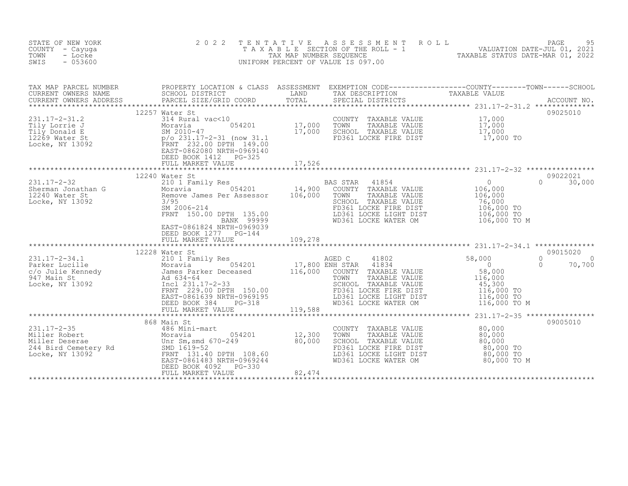| STATE OF NEW YORK<br>COUNTY - Cayuga<br>TOWN<br>- Locke<br>SWIS<br>$-053600$                                                                                                                                                                             | 2 0 2 2                                                                                   |         | TENTATIVE ASSESSMENT ROLL PAGE 95<br>TAXABLE SECTION OF THE ROLL - 1 VALUATION DATE-JUL 01, 2021<br>TAX MAP NUMBER SEQUENCE TAXABLE STATUS DATE-MAR 01, 2022<br>UNIFORM PERCENT OF VALUE IS 097.00 |             |                                |
|----------------------------------------------------------------------------------------------------------------------------------------------------------------------------------------------------------------------------------------------------------|-------------------------------------------------------------------------------------------|---------|----------------------------------------------------------------------------------------------------------------------------------------------------------------------------------------------------|-------------|--------------------------------|
|                                                                                                                                                                                                                                                          |                                                                                           |         |                                                                                                                                                                                                    |             |                                |
|                                                                                                                                                                                                                                                          |                                                                                           |         |                                                                                                                                                                                                    |             | 09025010                       |
|                                                                                                                                                                                                                                                          | 12257 Water St                                                                            |         |                                                                                                                                                                                                    |             |                                |
|                                                                                                                                                                                                                                                          |                                                                                           |         |                                                                                                                                                                                                    |             |                                |
|                                                                                                                                                                                                                                                          | 12240 Water St<br>EAST-0861824 NRTH-0969039<br>DEED BOOK 1277 PG-144<br>FULL MARKET VALUE | 109,278 | LD361 LOCKE LIGHT DIST<br>WD361 LOCKE LIGHT DIST 106,000 TO M<br>WD361 LOCKE WATER OM 106,000 TO M                                                                                                 |             | 09022021<br>$\Omega$<br>30,000 |
|                                                                                                                                                                                                                                                          |                                                                                           |         |                                                                                                                                                                                                    |             |                                |
|                                                                                                                                                                                                                                                          |                                                                                           |         |                                                                                                                                                                                                    |             |                                |
|                                                                                                                                                                                                                                                          | 868 Main St                                                                               |         |                                                                                                                                                                                                    |             | 09005010                       |
| 231.17-2-35<br>Miller Robert<br>Miller Deserae<br>244 Bird Cemetery Rd<br>13092<br>26 Miller Deserae<br>244 Bird Cemetery Rd<br>26 Miller Deserae<br>244 Bird Cemetery Rd<br>26661483 NRTH-0969244<br>27 FRNT<br>27 FRNT<br>27 POS61483 NRTH-0969244<br> | PG-330<br>DEED BOOK 4092<br>FULL MARKET VALUE                                             | 82, 474 | COUNTY TAXABLE VALUE<br>TOWN TAXABLE VALUE 80,000<br>SCHOOL TAXABLE VALUE 80,000<br>FD361 LOCKE FIRE DIST 80,000 TO<br>LD361 LOCKE LIGHT DIST 80,000 TO<br>WD361 LOCKE WATER OM                    | 80,000 TO M |                                |
|                                                                                                                                                                                                                                                          |                                                                                           |         |                                                                                                                                                                                                    |             |                                |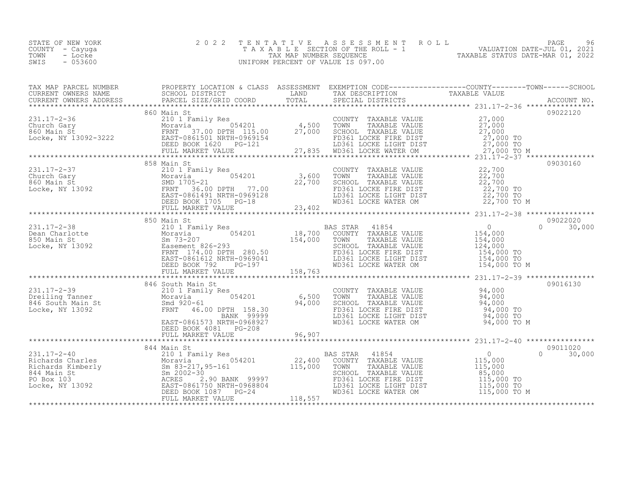| STATE OF NEW YORK | 2022 TENTATIVE ASSESSMENT ROLL     | 96<br>PAGE                       |
|-------------------|------------------------------------|----------------------------------|
| COUNTY – Cayuga   | TAXABLE SECTION OF THE ROLL - 1    | VALUATION DATE-JUL 01, 2021      |
| TOWN<br>- Locke   | TAX MAP NUMBER SEOUENCE            | TAXABLE STATUS DATE-MAR 01, 2022 |
| $-053600$<br>SWIS | UNIFORM PERCENT OF VALUE IS 097.00 |                                  |
|                   |                                    |                                  |

| $\begin{tabular}{lcccccc} \texttt{1111} & \texttt{1211} & \texttt{1311} & \texttt{1311} & \texttt{1411} & \texttt{1511} & \texttt{1511} & \texttt{1511} & \texttt{1511} & \texttt{1511} & \texttt{1511} & \texttt{1511} & \texttt{1511} & \texttt{1511} & \texttt{1511} & \texttt{1511} & \texttt{1511} & \texttt{1511} & \texttt{1511} & \texttt{1511} & \texttt{1511} &$                                                                                                                              |  |  |          |
|---------------------------------------------------------------------------------------------------------------------------------------------------------------------------------------------------------------------------------------------------------------------------------------------------------------------------------------------------------------------------------------------------------------------------------------------------------------------------------------------------------|--|--|----------|
|                                                                                                                                                                                                                                                                                                                                                                                                                                                                                                         |  |  |          |
|                                                                                                                                                                                                                                                                                                                                                                                                                                                                                                         |  |  |          |
|                                                                                                                                                                                                                                                                                                                                                                                                                                                                                                         |  |  |          |
|                                                                                                                                                                                                                                                                                                                                                                                                                                                                                                         |  |  |          |
|                                                                                                                                                                                                                                                                                                                                                                                                                                                                                                         |  |  |          |
| $\begin{tabular}{lcccccc} \texttt{\textbf{7}} & \texttt{\textbf{7}} & \texttt{\textbf{7}} & \texttt{\textbf{7}} & \texttt{\textbf{7}} & \texttt{\textbf{7}} & \texttt{\textbf{7}} & \texttt{\textbf{7}} & \texttt{\textbf{7}} & \texttt{\textbf{7}} & \texttt{\textbf{7}} & \texttt{\textbf{7}} & \texttt{\textbf{7}} \\ \texttt{\textbf{23}} & \texttt{\textbf{1}} & \texttt{\textbf{21}} & \texttt{\textbf{21}} & \texttt{\textbf{1}} & \texttt{\textbf{1}} & \texttt{\textbf{1}} & \texttt{\textbf{$ |  |  |          |
|                                                                                                                                                                                                                                                                                                                                                                                                                                                                                                         |  |  |          |
|                                                                                                                                                                                                                                                                                                                                                                                                                                                                                                         |  |  |          |
|                                                                                                                                                                                                                                                                                                                                                                                                                                                                                                         |  |  |          |
|                                                                                                                                                                                                                                                                                                                                                                                                                                                                                                         |  |  |          |
|                                                                                                                                                                                                                                                                                                                                                                                                                                                                                                         |  |  |          |
|                                                                                                                                                                                                                                                                                                                                                                                                                                                                                                         |  |  |          |
|                                                                                                                                                                                                                                                                                                                                                                                                                                                                                                         |  |  |          |
|                                                                                                                                                                                                                                                                                                                                                                                                                                                                                                         |  |  |          |
|                                                                                                                                                                                                                                                                                                                                                                                                                                                                                                         |  |  |          |
|                                                                                                                                                                                                                                                                                                                                                                                                                                                                                                         |  |  |          |
|                                                                                                                                                                                                                                                                                                                                                                                                                                                                                                         |  |  |          |
|                                                                                                                                                                                                                                                                                                                                                                                                                                                                                                         |  |  |          |
|                                                                                                                                                                                                                                                                                                                                                                                                                                                                                                         |  |  |          |
|                                                                                                                                                                                                                                                                                                                                                                                                                                                                                                         |  |  |          |
|                                                                                                                                                                                                                                                                                                                                                                                                                                                                                                         |  |  |          |
|                                                                                                                                                                                                                                                                                                                                                                                                                                                                                                         |  |  | 09016130 |
|                                                                                                                                                                                                                                                                                                                                                                                                                                                                                                         |  |  |          |
|                                                                                                                                                                                                                                                                                                                                                                                                                                                                                                         |  |  |          |
|                                                                                                                                                                                                                                                                                                                                                                                                                                                                                                         |  |  |          |
|                                                                                                                                                                                                                                                                                                                                                                                                                                                                                                         |  |  |          |
|                                                                                                                                                                                                                                                                                                                                                                                                                                                                                                         |  |  |          |
|                                                                                                                                                                                                                                                                                                                                                                                                                                                                                                         |  |  |          |
|                                                                                                                                                                                                                                                                                                                                                                                                                                                                                                         |  |  |          |
|                                                                                                                                                                                                                                                                                                                                                                                                                                                                                                         |  |  | 30,000   |
|                                                                                                                                                                                                                                                                                                                                                                                                                                                                                                         |  |  |          |
|                                                                                                                                                                                                                                                                                                                                                                                                                                                                                                         |  |  |          |
|                                                                                                                                                                                                                                                                                                                                                                                                                                                                                                         |  |  |          |
|                                                                                                                                                                                                                                                                                                                                                                                                                                                                                                         |  |  |          |
|                                                                                                                                                                                                                                                                                                                                                                                                                                                                                                         |  |  |          |
|                                                                                                                                                                                                                                                                                                                                                                                                                                                                                                         |  |  |          |
|                                                                                                                                                                                                                                                                                                                                                                                                                                                                                                         |  |  |          |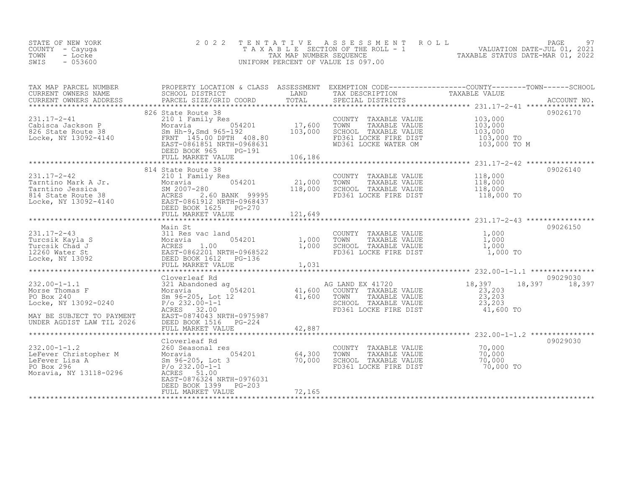| STATE OF NEW YORK<br>COUNTY - Cayuga<br>TOWN - Locke<br>- 053600<br>SWIS | 2022 TENTATIVE ASSESSMENT ROLL<br>TAXABLE SECTION OF THE ROLL - 1<br>TAX MAP NUMBER SEOUENCE<br>UNIFORM PERCENT OF VALUE IS 097.00 | TAXABLE STATUS DATE-MAR 01, 2022 | PAGE<br>VALUATION DATE-JUL 01, 2021 |  |
|--------------------------------------------------------------------------|------------------------------------------------------------------------------------------------------------------------------------|----------------------------------|-------------------------------------|--|
|                                                                          |                                                                                                                                    |                                  |                                     |  |

| TAX MAP PARCEL NUMBER                                                                                                                                                                                                                                                                                                                                                                                                                                          | PROPERTY LOCATION & CLASS ASSESSMENT EXEMPTION CODE----------------COUNTY-------TOWN------SCHOOL |        |                                                                       |          |
|----------------------------------------------------------------------------------------------------------------------------------------------------------------------------------------------------------------------------------------------------------------------------------------------------------------------------------------------------------------------------------------------------------------------------------------------------------------|--------------------------------------------------------------------------------------------------|--------|-----------------------------------------------------------------------|----------|
|                                                                                                                                                                                                                                                                                                                                                                                                                                                                |                                                                                                  |        |                                                                       |          |
|                                                                                                                                                                                                                                                                                                                                                                                                                                                                | 826 State Route 38                                                                               |        |                                                                       | 09026170 |
| 331.17-2-41<br>Cabisca Jackson P<br>200 Scape Moravia 054201<br>200 Scape Moravia 054201<br>200 Scape 17,600 TOWN TAXABLE VALUE 103,000<br>220 Scape 38<br>210 Scape 192<br>220 Scape 17,600 TOWN TAXABLE VALUE 103,000<br>220 Scape 36<br>220 S                                                                                                                                                                                                               |                                                                                                  |        |                                                                       |          |
|                                                                                                                                                                                                                                                                                                                                                                                                                                                                |                                                                                                  |        |                                                                       |          |
|                                                                                                                                                                                                                                                                                                                                                                                                                                                                |                                                                                                  |        |                                                                       |          |
|                                                                                                                                                                                                                                                                                                                                                                                                                                                                |                                                                                                  |        | FD361 LOCKE FIRE DIST 103,000 TO<br>WD361 LOCKE WATER OM 103,000 TO M |          |
|                                                                                                                                                                                                                                                                                                                                                                                                                                                                | DEED BOOK 965 PG-191                                                                             |        |                                                                       |          |
|                                                                                                                                                                                                                                                                                                                                                                                                                                                                |                                                                                                  |        |                                                                       |          |
|                                                                                                                                                                                                                                                                                                                                                                                                                                                                | 814 State Route 38                                                                               |        |                                                                       | 09026140 |
|                                                                                                                                                                                                                                                                                                                                                                                                                                                                |                                                                                                  |        |                                                                       |          |
|                                                                                                                                                                                                                                                                                                                                                                                                                                                                |                                                                                                  |        |                                                                       |          |
|                                                                                                                                                                                                                                                                                                                                                                                                                                                                |                                                                                                  |        |                                                                       |          |
|                                                                                                                                                                                                                                                                                                                                                                                                                                                                |                                                                                                  |        |                                                                       |          |
|                                                                                                                                                                                                                                                                                                                                                                                                                                                                |                                                                                                  |        |                                                                       |          |
|                                                                                                                                                                                                                                                                                                                                                                                                                                                                |                                                                                                  |        |                                                                       |          |
|                                                                                                                                                                                                                                                                                                                                                                                                                                                                |                                                                                                  |        |                                                                       | 09026150 |
|                                                                                                                                                                                                                                                                                                                                                                                                                                                                |                                                                                                  |        |                                                                       |          |
|                                                                                                                                                                                                                                                                                                                                                                                                                                                                |                                                                                                  |        |                                                                       |          |
|                                                                                                                                                                                                                                                                                                                                                                                                                                                                |                                                                                                  |        |                                                                       |          |
|                                                                                                                                                                                                                                                                                                                                                                                                                                                                |                                                                                                  |        |                                                                       |          |
|                                                                                                                                                                                                                                                                                                                                                                                                                                                                |                                                                                                  |        |                                                                       |          |
|                                                                                                                                                                                                                                                                                                                                                                                                                                                                |                                                                                                  |        |                                                                       |          |
|                                                                                                                                                                                                                                                                                                                                                                                                                                                                |                                                                                                  |        |                                                                       |          |
|                                                                                                                                                                                                                                                                                                                                                                                                                                                                |                                                                                                  |        |                                                                       |          |
|                                                                                                                                                                                                                                                                                                                                                                                                                                                                |                                                                                                  |        |                                                                       |          |
|                                                                                                                                                                                                                                                                                                                                                                                                                                                                |                                                                                                  |        |                                                                       |          |
| MAY BE SUBJECT TO PAYMENT<br>UNDER AGDIST LAW TIL 2026 DEED BOOK 1516 PG-224                                                                                                                                                                                                                                                                                                                                                                                   |                                                                                                  |        |                                                                       |          |
|                                                                                                                                                                                                                                                                                                                                                                                                                                                                |                                                                                                  |        |                                                                       |          |
|                                                                                                                                                                                                                                                                                                                                                                                                                                                                |                                                                                                  |        |                                                                       |          |
| $\begin{tabular}{lllllllllllll} \multicolumn{4}{c }{\begin{tabular}{l}c@{}} \multicolumn{4}{c }{\begin{tabular}{l}c@{}} \multicolumn{4}{c }{\begin{tabular}{l}c@{}} \multicolumn{4}{c }{\begin{tabular}{l}c@{}} \multicolumn{4}{c }{\begin{tabular}{l}c@{}} \multicolumn{4}{c }{\begin{tabular}{l}c@{}} \multicolumn{4}{c }{\begin{tabular}{l}c@{}} \multicolumn{4}{c }{\begin{tabular}{l}c@{}} \multicolumn{4}{c }{\begin{tabular}{l}c@{}} \multicolumn{4}{c$ |                                                                                                  |        |                                                                       | 09029030 |
|                                                                                                                                                                                                                                                                                                                                                                                                                                                                |                                                                                                  |        |                                                                       |          |
|                                                                                                                                                                                                                                                                                                                                                                                                                                                                |                                                                                                  |        |                                                                       |          |
|                                                                                                                                                                                                                                                                                                                                                                                                                                                                |                                                                                                  |        |                                                                       |          |
|                                                                                                                                                                                                                                                                                                                                                                                                                                                                |                                                                                                  |        |                                                                       |          |
|                                                                                                                                                                                                                                                                                                                                                                                                                                                                | EAST-0876324 NRTH-0976031<br>DEED BOOK 1399 PG-203                                               |        |                                                                       |          |
|                                                                                                                                                                                                                                                                                                                                                                                                                                                                | FULL MARKET VALUE                                                                                | 72,165 |                                                                       |          |
|                                                                                                                                                                                                                                                                                                                                                                                                                                                                |                                                                                                  |        |                                                                       |          |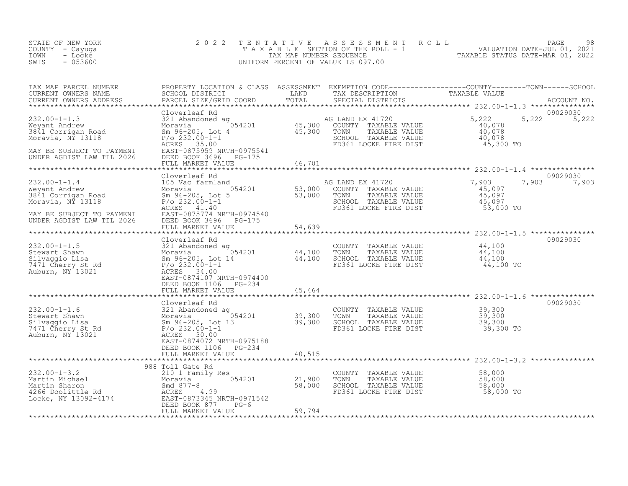| STATE OF NEW YORK<br>COUNTY - Cayuga<br>TOWN<br>- Locke<br>$-053600$<br>SWIS                                                                                                                      | 2 0 2 2                                                                                                                                                                                                                                     | TENTATIVE                         | ASSESSMENT ROLL<br>UNIFORM PERCENT OF VALUE IS 097.00                                                              | T A X A B L E SECTION OF THE ROLL - 1 VALUATION DATE-JUL 01, 2021                                                                                          | PAGE<br>98        |
|---------------------------------------------------------------------------------------------------------------------------------------------------------------------------------------------------|---------------------------------------------------------------------------------------------------------------------------------------------------------------------------------------------------------------------------------------------|-----------------------------------|--------------------------------------------------------------------------------------------------------------------|------------------------------------------------------------------------------------------------------------------------------------------------------------|-------------------|
| TAX MAP PARCEL NUMBER<br>CURRENT OWNERS NAME<br>CURRENT OWNERS ADDRESS                                                                                                                            | PARCEL SIZE/GRID COORD                                                                                                                                                                                                                      | TOTAL<br>***********              | SPECIAL DISTRICTS                                                                                                  | PROPERTY LOCATION & CLASS ASSESSMENT EXEMPTION CODE----------------COUNTY-------TOWN------SCHOOL SCHOOL SCHOOL OUSTRICT LAND TAX DESCRIPTION TAXABLE VALUE | ACCOUNT NO.       |
| $232.00 - 1 - 1.3$<br>Weyant Andrew<br>3841 Corrigan Road<br>Moravia, NY 13118<br>MAY BE SUBJECT TO PAYMENT<br>UNDER AGDIST LAW TIL 2026                                                          | Cloverleaf Rd<br>321 Abandoned ag<br>054201<br>Moravia<br>Sm 96-205, Lot 4<br>$P/O$ 232.00-1-1<br>ACRES 35.00<br>EAST-0875959 NRTH-0975541<br>DEED BOOK 3696<br>PG-175                                                                      | $\frac{45,300}{45,300}$           | AG LAND EX 41720<br>COUNTY TAXABLE VALUE<br>TAXABLE VALUE<br>TOWN<br>SCHOOL TAXABLE VALUE<br>FD361 LOCKE FIRE DIST | 5,222<br>5,222<br>40,078<br>40,078<br>40,078<br>45,300 TO                                                                                                  | 09029030<br>5,222 |
|                                                                                                                                                                                                   | FULL MARKET VALUE                                                                                                                                                                                                                           | 46,701                            |                                                                                                                    |                                                                                                                                                            |                   |
| $232.00 - 1 - 1.4$<br>Weyant Andrew<br>3841 Corrigan Road<br>Moravia, NÝ 13118<br>MAY BE SUBJECT TO PAYMENT                                                                                       | Cloverleaf Rd<br>105 Vac farmland<br>Rd<br>.rmland<br>054201 53,000<br>, Lot 5 53,000<br>0-1-1<br>1 40<br>Moravia<br>Sm 96-205, Lot 5<br>$P/O$ 232.00-1-1<br>ACRES 41.40<br>EAST-0875774 NRTH-0974540                                       |                                   | AG LAND EX 41720<br>COUNTY TAXABLE VALUE<br>TAXABLE VALUE<br>TOWN<br>SCHOOL TAXABLE VALUE<br>FD361 LOCKE FIRE DIST | 7,903<br>7,903<br>45,097<br>45,097<br>45,097<br>53,000 TO                                                                                                  | 09029030<br>7,903 |
| UNDER AGDIST LAW TIL 2026                                                                                                                                                                         | DEED BOOK 3696 PG-175<br>FULL MARKET VALUE                                                                                                                                                                                                  | 54,639                            |                                                                                                                    |                                                                                                                                                            |                   |
|                                                                                                                                                                                                   |                                                                                                                                                                                                                                             |                                   |                                                                                                                    |                                                                                                                                                            |                   |
| $232.00 - 1 - 1.5$<br>232.00-1-1.5 321 Abandoned ag<br>Stewart Shawn Moravia 054201<br>Silvaggio Lisa Sm 96-205, Lot 14<br>7471 Cherry St Rd P/o 232.00-1-1<br>P/o 232.00-1-1<br>Auburn, NY 13021 | Cloverleaf Rd<br>321 Abandoned ag<br>ACRES 34.00<br>EAST-0874107 NRTH-0974400                                                                                                                                                               | 44,100<br>44,100                  | COUNTY TAXABLE VALUE<br>TOWN<br>TAXABLE VALUE<br>SCHOOL TAXABLE VALUE<br>FD361 LOCKE FIRE DIST                     | 44,100<br>44,100<br>44,100<br>44,100 TO                                                                                                                    | 09029030          |
|                                                                                                                                                                                                   | DEED BOOK 1106<br>PG-234<br>FULL MARKET VALUE                                                                                                                                                                                               | 45,464                            |                                                                                                                    |                                                                                                                                                            |                   |
| $232.00 - 1 - 1.6$<br>Stewart Shawn<br>Silvaggio Lisa<br>7471 Cherry St Rd<br>Auburn, NY 13021                                                                                                    | **************************************<br>Cloverleaf Rd<br>321 Abanuones<br>Moravia<br>Sm 96-205, Lot<br>P/o 232.00-1-1<br>Anrs 30.00<br>321 Abandoned ag<br>,054201<br>L3<br>Sm 96-205, Lot 13<br>ACRES 30.00<br>EAST-0874072 NRTH-0975188 | *************<br>39,300<br>39,300 | COUNTY TAXABLE VALUE<br>TOWN<br>TAXABLE VALUE<br>SCHOOL TAXABLE VALUE<br>FD361 LOCKE FIRE DIST                     | 39,300<br>39,300<br>39,300<br>39,300 TO                                                                                                                    | 09029030          |
|                                                                                                                                                                                                   | DEED BOOK 1106<br>PG-234<br>FULL MARKET VALUE                                                                                                                                                                                               | 40,515                            |                                                                                                                    |                                                                                                                                                            |                   |
| $232.00 - 1 - 3.2$<br>nartin michael<br>Martin Sharon<br>4266 Doolittle Rd<br>Locke, NY 13092-4174                                                                                                | 988 Toll Gate Rd<br>210 1 Family Res<br>054201<br>Moravia<br>Smd $877 - 8$<br>ACRES 4.99<br>EAST-0873345 NRTH-0971542<br>DEED BOOK 877<br>$PG-6$<br>FULL MARKET VALUE                                                                       | 21,900<br>58,000<br>59,794        | COUNTY<br>TAXABLE VALUE<br>TOWN<br>TAXABLE VALUE<br>SCHOOL TAXABLE VALUE<br>FD361 LOCKE FIRE DIST                  | 58,000<br>58,000<br>58,000<br>58,000 TO                                                                                                                    |                   |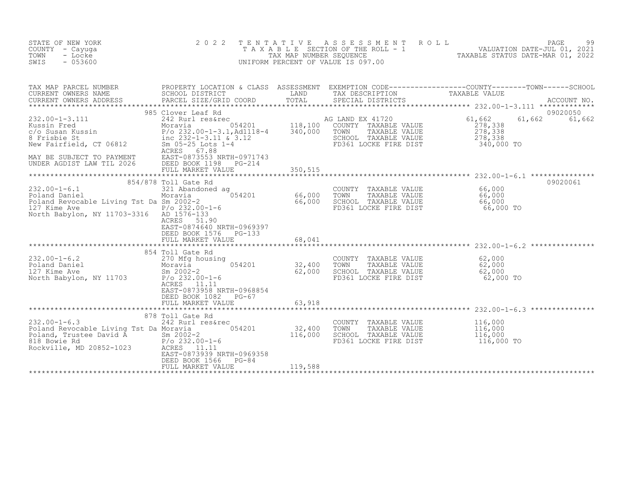| STATE OF NEW YORK<br>COUNTY - Cayuga<br>TOWN<br>- Locke<br>SWIS<br>$-053600$                                                                                                                                                                                                                                                            | 2 0 2 2                                                                                                                                    | TENTATIVE<br>TAX MAP NUMBER SEQUENCE | ASSESSMENT<br>ROLL<br>TAXABLE SECTION OF THE ROLL - 1<br>UNIFORM PERCENT OF VALUE IS 097.00                        | $\ensuremath{\mathsf{PAGE}}$<br>99<br>99<br>VALUATION DATE-JUL 01, 2021<br>TAXABLE STATUS DATE-MAP 01 2000 |
|-----------------------------------------------------------------------------------------------------------------------------------------------------------------------------------------------------------------------------------------------------------------------------------------------------------------------------------------|--------------------------------------------------------------------------------------------------------------------------------------------|--------------------------------------|--------------------------------------------------------------------------------------------------------------------|------------------------------------------------------------------------------------------------------------|
| TAX MAP PARCEL NUMBER<br>CURRENT OWNERS NAME<br>CURRENT OWNERS ADDRESS                                                                                                                                                                                                                                                                  | PARCEL SIZE/GRID COORD                                                                                                                     | TOTAL                                | SPECIAL DISTRICTS                                                                                                  | ACCOUNT NO.                                                                                                |
| $232.00 - 1 - 3.111$<br>xystem Fred<br>Contract Moravia 054201 118,100<br>Contract 118,100<br>Contract 118,100<br>Section Point 118,100<br>Point 1232-1-3.11 & 3.12<br>New Fairfield, CT 06812<br>Section 118,12<br>Section 118,100<br>Section 118,100<br>Section 118,100<br><br>MAY BE SUBJECT TO PAYMENT<br>UNDER AGDIST LAW TIL 2026 | 985 Clover Leaf Rd<br>242 Rurl res&rec<br>ACRES<br>67.88<br>EAST-0873553 NRTH-0971743<br>DEED BOOK 1198 PG-214<br>FULL MARKET VALUE        |                                      | AG LAND EX 41720<br>COUNTY TAXABLE VALUE<br>TOWN<br>TAXABLE VALUE<br>SCHOOL TAXABLE VALUE<br>FD361 LOCKE FIRE DIST | 09020050<br>61,662<br>61,662<br>61,662<br>278,338<br>278,338<br>278,338<br>340,000 TO                      |
| $232.00 - 1 - 6.1$<br>Poland Daniel<br>Poland Revocable Living Tst Da Sm 2002-2                                                                                                                                                                                                                                                         | FULL MARKET VALUE<br>854/878 Toll Gate Rd<br>321 Abandoned ag<br>054201<br>Moravia                                                         | 350,515<br>66,000<br>66,000          | COUNTY<br>TAXABLE VALUE<br>TOWN<br>TAXABLE VALUE<br>SCHOOL TAXABLE VALUE                                           | 09020061<br>66,000<br>66,000<br>66,000                                                                     |
| 127 Kime Ave<br>North Babylon, NY 11703-3316 AD 1576-133                                                                                                                                                                                                                                                                                | $P/O$ 232.00-1-6<br>ACRES<br>51.90<br>EAST-0874640 NRTH-0969397<br>DEED BOOK 1576<br>$PG-133$<br>FULL MARKET VALUE                         | 68,041                               | FD361 LOCKE FIRE DIST                                                                                              | 66,000 TO                                                                                                  |
|                                                                                                                                                                                                                                                                                                                                         |                                                                                                                                            |                                      |                                                                                                                    |                                                                                                            |
| $232.00 - 1 - 6.2$<br>Poland Daniel<br>127 Kime Ave<br>North Babylon, NY 11703                                                                                                                                                                                                                                                          | 854 Toll Gate Rd<br>270 Mfg housing<br>054201<br>Moravia<br>$Sm$ 2002-2<br>$P/O$ 232.00-1-6<br>ACRES<br>11.11<br>EAST-0873958 NRTH-0968854 | 32,400<br>62,000                     | COUNTY TAXABLE VALUE<br>TOWN<br>TAXABLE VALUE<br>SCHOOL TAXABLE VALUE<br>FD361 LOCKE FIRE DIST                     | 62,000<br>62,000<br>62,000<br>62,000 TO                                                                    |
|                                                                                                                                                                                                                                                                                                                                         | DEED BOOK 1082<br>PG-67<br>FULL MARKET VALUE                                                                                               | 63,918                               |                                                                                                                    |                                                                                                            |
|                                                                                                                                                                                                                                                                                                                                         | 878 Toll Gate Rd                                                                                                                           |                                      |                                                                                                                    |                                                                                                            |
| $232.00 - 1 - 6.3$<br>Poland Revocable Living Tst Da Moravia<br>Poland, Trustee David A<br>818 Bowie Rd<br>Rockville, MD 20852-1023                                                                                                                                                                                                     | 242 Rurl res&rec<br>054201<br>$Sm 2002 - 2$<br>$P/O$ 232.00-1-6<br>ACRES<br>11.11<br>EAST-0873939 NRTH-0969358                             | 32,400<br>116,000                    | COUNTY TAXABLE VALUE<br>TOWN<br>TAXABLE VALUE<br>SCHOOL TAXABLE VALUE<br>FD361 LOCKE FIRE DIST                     | 116,000<br>116,000<br>116,000<br>116,000 TO                                                                |
|                                                                                                                                                                                                                                                                                                                                         | DEED BOOK 1566<br>$PG-84$<br>FULL MARKET VALUE                                                                                             | 119,588                              |                                                                                                                    |                                                                                                            |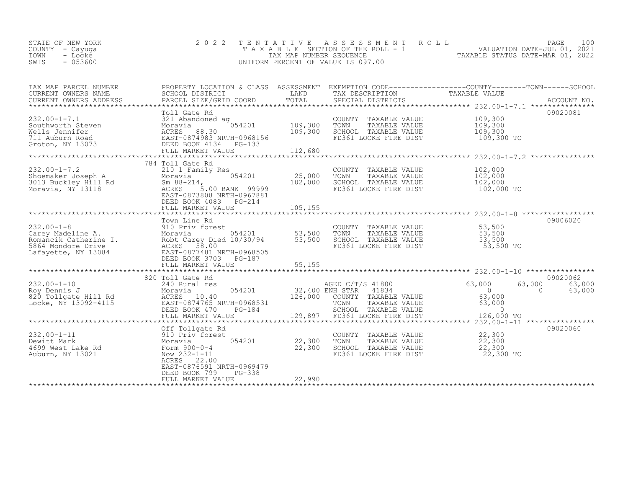| STATE OF NEW YORK<br>COUNTY - Cayuga<br>TOWN<br>- Locke<br>SWIS<br>- 053600 |  | 2022 TENTATIVE ASSESSMENT ROLL<br>TAXABLE SECTION OF THE ROLL - 1<br>TAX MAP NUMBER SEOUENCE<br>UNIFORM PERCENT OF VALUE IS 097.00 | TAXABLE STATUS DATE-MAR 01, 2022 | PAGE<br>VALUATION DATE-JUL 01, 2021 | 100 |
|-----------------------------------------------------------------------------|--|------------------------------------------------------------------------------------------------------------------------------------|----------------------------------|-------------------------------------|-----|
| TAX MAP PARCEL NUMBER                                                       |  | PROPERTY LOCATION & CLASS ASSESSMENT EXEMPTION CODE---------------COUNTY-------TOWN-----SCHOOL                                     |                                  |                                     |     |

| CURRENT OWNERS NAME<br>CURRENT OWNERS ADDRESS                                                               | SCHOOL DISTRICT<br>PARCEL SIZE/GRID COORD                                                                                                                                           | LAND<br>TOTAL                              | TAX DESCRIPTION<br>SPECIAL DISTRICTS                                                                                        | TAXABLE VALUE                                                                                         | ACCOUNT NO.<br>*************** |
|-------------------------------------------------------------------------------------------------------------|-------------------------------------------------------------------------------------------------------------------------------------------------------------------------------------|--------------------------------------------|-----------------------------------------------------------------------------------------------------------------------------|-------------------------------------------------------------------------------------------------------|--------------------------------|
| $232.00 - 1 - 7.1$<br>Southworth Steven<br>Wells Jennifer<br>711 Auburn Road<br>Groton, NY 13073            | Toll Gate Rd<br>321 Abandoned ag<br>054201<br>Moravia<br>ACRES<br>88.30<br>EAST-0874983 NRTH-0968156<br>DEED BOOK 4134<br>PG-133<br>FULL MARKET VALUE                               | 109,300<br>109,300<br>112,680              | COUNTY TAXABLE VALUE<br>TAXABLE VALUE<br>TOWN<br>SCHOOL TAXABLE VALUE<br>FD361 LOCKE FIRE DIST                              | 109,300<br>109,300<br>109,300<br>109,300 TO<br>************************ 232.00-1-7.2 **************** | 09020081                       |
| $232.00 - 1 - 7.2$<br>Shoemaker Joseph A<br>3013 Buckley Hill Rd<br>Moravia, NY 13118                       | 784 Toll Gate Rd<br>210 1 Family Res<br>054201<br>Moravia<br>Sm $88 - 214$ ,<br>5.00 BANK 99999<br>ACRES<br>EAST-0873808 NRTH-0967881<br>DEED BOOK 4083 PG-214<br>FULL MARKET VALUE | 25,000<br>102,000<br>105,155               | COUNTY TAXABLE VALUE<br>TOWN<br>TAXABLE VALUE<br>SCHOOL TAXABLE VALUE<br>FD361 LOCKE FIRE DIST                              | 102,000<br>102,000<br>102,000<br>102,000 TO                                                           |                                |
| $232.00 - 1 - 8$<br>Carey Madeline A.<br>Romancik Catherine I.<br>5864 Mondore Drive<br>Lafayette, NY 13084 | Town Line Rd<br>910 Priv forest<br>054201<br>Moravia<br>Robt Carey Died 10/30/94<br>58.00<br>ACRES<br>EAST-0877481 NRTH-0968505<br>DEED BOOK 3703<br>PG-187<br>FULL MARKET VALUE    | 53,500<br>53,500<br>55,155<br>************ | COUNTY TAXABLE VALUE<br>TAXABLE VALUE<br>TOWN<br>SCHOOL TAXABLE VALUE<br>FD361 LOCKE FIRE DIST                              | 53,500<br>53,500<br>53,500<br>53,500 TO                                                               | 09006020                       |
|                                                                                                             | 820 Toll Gate Rd                                                                                                                                                                    |                                            |                                                                                                                             |                                                                                                       | 09020062                       |
| $232.00 - 1 - 10$<br>Roy Dennis J<br>820 Tollgate Hill Rd<br>Locke, NY 13092-4115                           | 240 Rural res<br>054201<br>Moravia<br>ACRES 10.40<br>EAST-0874765 NRTH-0968531<br>DEED BOOK 470<br>PG-184<br>FULL MARKET VALUE                                                      | 32,400 ENH STAR<br>126,000<br>129,897      | AGED C/T/S 41800<br>41834<br>COUNTY TAXABLE VALUE<br>TOWN<br>TAXABLE VALUE<br>SCHOOL TAXABLE VALUE<br>FD361 LOCKE FIRE DIST | 63,000<br>63,000<br>$\overline{0}$<br>$\Omega$<br>63,000<br>63,000<br>$\Omega$<br>126,000 TO          | 63,000<br>63,000               |
|                                                                                                             |                                                                                                                                                                                     |                                            | *************************************                                                                                       | $x******$ 232.00-1-11 *****************                                                               |                                |
| $232.00 - 1 - 11$<br>Dewitt Mark<br>4699 West Lake Rd<br>Auburn, NY 13021                                   | Off Tollgate Rd<br>910 Priv forest<br>054201<br>Moravia<br>Form 900-0-4<br>Now 232-1-11<br>ACRES<br>22.00<br>EAST-0876591 NRTH-0969479                                              | 22,300<br>22,300                           | COUNTY<br>TAXABLE VALUE<br>TAXABLE VALUE<br>TOWN<br>SCHOOL TAXABLE VALUE<br>FD361 LOCKE FIRE DIST                           | 22,300<br>22,300<br>22,300<br>22,300 TO                                                               | 09020060                       |
|                                                                                                             | DEED BOOK 799<br>PG-338<br>FULL MARKET VALUE                                                                                                                                        | 22,990                                     |                                                                                                                             |                                                                                                       |                                |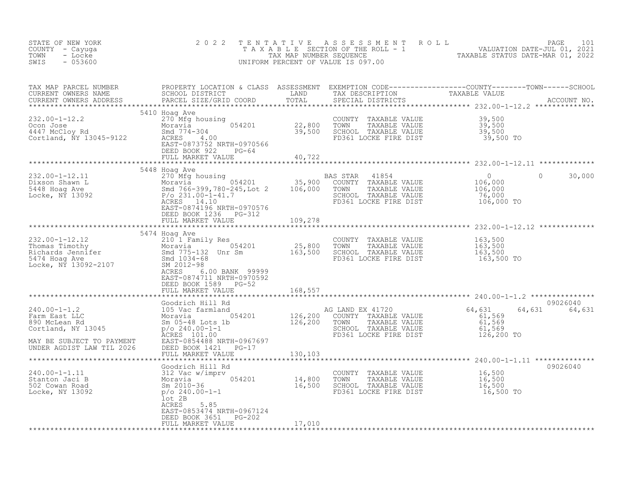| STATE OF NEW YORK<br>COUNTY - Cayuga<br>TOWN<br>- Locke<br>SWIS<br>$-053600$                                                                                                                                                                                                                                                                                                                                                                                                                                      | 2 0 2 2                                                                                                                                                                                    | TENTATIVE | UNIFORM PERCENT OF VALUE IS 097.00                                                                                 | FENTATIVE ASSESSMENT ROLL<br>TAXABLE SECTION OF THE ROLL - 1 VALUATION DATE-JUL 01, 2021<br>TAX MAP NUMBER SEQUENCE TAXABLE STATUS DATE-MAR 01, 2022<br>JNIFORM PERCENT OF VALUE IS 097.00 |
|-------------------------------------------------------------------------------------------------------------------------------------------------------------------------------------------------------------------------------------------------------------------------------------------------------------------------------------------------------------------------------------------------------------------------------------------------------------------------------------------------------------------|--------------------------------------------------------------------------------------------------------------------------------------------------------------------------------------------|-----------|--------------------------------------------------------------------------------------------------------------------|--------------------------------------------------------------------------------------------------------------------------------------------------------------------------------------------|
| CURRENT OWNERS ADDRESS                                                                                                                                                                                                                                                                                                                                                                                                                                                                                            | PARCEL SIZE/GRID COORD                                                                                                                                                                     | TOTAL     | SPECIAL DISTRICTS                                                                                                  |                                                                                                                                                                                            |
| $232.00 - 1 - 12.2$<br>232.00-1-12.2<br>Ocon Jose<br>4447 McCloy Rd<br>- tiang NY 13045-9122                                                                                                                                                                                                                                                                                                                                                                                                                      | 5410 Hoag Ave<br>270 Mfg housing<br>Moravia 054201 22,800<br>Smd 774-304 39,500<br>ACRES 1.00<br>ACRES 20110<br>EAST-0873752 NRTH-0970566<br>DEED BOOK 922 PG-64<br>FULL MARKET VALUE      | 40,722    | COUNTY TAXABLE VALUE<br>TAXABLE VALUE<br>TOWN<br>SCHOOL TAXABLE VALUE<br>FD361 LOCKE FIRE DIST                     | 39,500<br>39,500<br>39,500<br>39,500<br>39,500 TO                                                                                                                                          |
|                                                                                                                                                                                                                                                                                                                                                                                                                                                                                                                   |                                                                                                                                                                                            |           |                                                                                                                    |                                                                                                                                                                                            |
| $\begin{tabular}{lllllllll} \multicolumn{3}{c}{\begin{tabular}{l} \multicolumn{3}{c}{\begin{tabular}{l} \multicolumn{3}{c}{\begin{tabular}{l} \multicolumn{3}{c}{\begin{tabular}{l} \multicolumn{3}{c}{\begin{tabular}{l} \multicolumn{3}{c}{\begin{tabular}{l} \multicolumn{3}{c}{\begin{tabular}{l} \multicolumn{3}{c}{\begin{tabular}{l} \multicolumn{3}{c}{\begin{tabular}{l} \multicolumn{3}{c}{\begin{tabular}{l} \multicolumn{3}{c}{\begin{tabular}{l} \multicolumn{3}{c}{\begin{tabular}{l} \multicolumn$ | EAST-0874196 NRTH-0970576<br>DEED BOOK 1236 PG-312                                                                                                                                         |           |                                                                                                                    | $\overline{0}$<br>30,000<br>$106,000$<br>$106,000$<br>76,000<br>106,000 TO                                                                                                                 |
|                                                                                                                                                                                                                                                                                                                                                                                                                                                                                                                   | FULL MARKET VALUE                                                                                                                                                                          | 109,278   |                                                                                                                    |                                                                                                                                                                                            |
| 232.00-1-12.12<br>Thomas Timothy<br>Thomas Timothy<br>Richards Jennifer<br>S474 Hoag Ave Smd 775-132 Unr Sm<br>Locke, NY 13092-2107<br>The Smd 2012-98<br>National SM 2012-98<br>The Smd 2012-98<br>The Smd 2012-98<br>The SM 2012-98                                                                                                                                                                                                                                                                             | ACRES<br>6.00 BANK 99999<br>EAST-0874711 NRTH-0970592<br>DEED BOOK 1589 PG-52                                                                                                              |           | COUNTY TAXABLE VALUE<br>TOWN<br>TAXABLE VALUE<br>SCHOOL TAXABLE VALUE<br>FD361 LOCKE FIRE DIST                     | 163,500<br>163,500<br>163,500<br>163,500 TO                                                                                                                                                |
|                                                                                                                                                                                                                                                                                                                                                                                                                                                                                                                   | FULL MARKET VALUE                                                                                                                                                                          | 168,557   |                                                                                                                    |                                                                                                                                                                                            |
|                                                                                                                                                                                                                                                                                                                                                                                                                                                                                                                   |                                                                                                                                                                                            |           |                                                                                                                    |                                                                                                                                                                                            |
| $240.00 - 1 - 1.2$<br>Farm East LLC<br>890 McLean Rd<br>Cortland, NY 13045<br>MAY BE SUBJECT TO PAYMENT                                                                                                                                                                                                                                                                                                                                                                                                           | Goodrich Hill Rd<br>105 Vac farmland<br>Moravia 054201 126,200<br>Sm 05-48 Lots 1b 126,200<br>p/o 240.00-1-1<br>ACRES 101.00<br>PAST-08544.00<br>PAST-0854.00<br>EAST-0854488 NRTH-0967697 |           | AG LAND EX 41720<br>COUNTY TAXABLE VALUE<br>TAXABLE VALUE<br>TOWN<br>SCHOOL TAXABLE VALUE<br>FD361 LOCKE FIRE DIST | 09026040<br>64,631<br>64,631 64,631<br>61,569<br>61,569<br>61,569<br>126,200 TO                                                                                                            |
| UNDER AGDIST LAW TIL 2026                                                                                                                                                                                                                                                                                                                                                                                                                                                                                         | DEED BOOK 1421 PG-17<br>FULL MARKET VALUE                                                                                                                                                  | 130,103   |                                                                                                                    |                                                                                                                                                                                            |
|                                                                                                                                                                                                                                                                                                                                                                                                                                                                                                                   | Goodrich Hill Rd                                                                                                                                                                           |           |                                                                                                                    | 09026040                                                                                                                                                                                   |
| 240.00-1-1.11<br>Stanton Jaci B<br>502 Cowan Road<br>Locke, NY 13092                                                                                                                                                                                                                                                                                                                                                                                                                                              | 312 Vac w/imprv<br>Moravia (14,800)<br>Sm 2010-36 (16,500)<br>p/o 240.00-1-1 (16,500)<br>lot 2B<br>ACRES<br>5.85<br>EAST-0853474 NRTH-0967124                                              |           | COUNTY TAXABLE VALUE 16,500<br>TOWN TAXABLE VALUE 16,500<br>SCHOOL TAXABLE VALUE<br>FD361 LOCKE FIRE DIST          | 16,500<br>16,500 TO                                                                                                                                                                        |
|                                                                                                                                                                                                                                                                                                                                                                                                                                                                                                                   | DEED BOOK 3651 PG-202<br>FULL MARKET VALUE                                                                                                                                                 | 17,010    |                                                                                                                    |                                                                                                                                                                                            |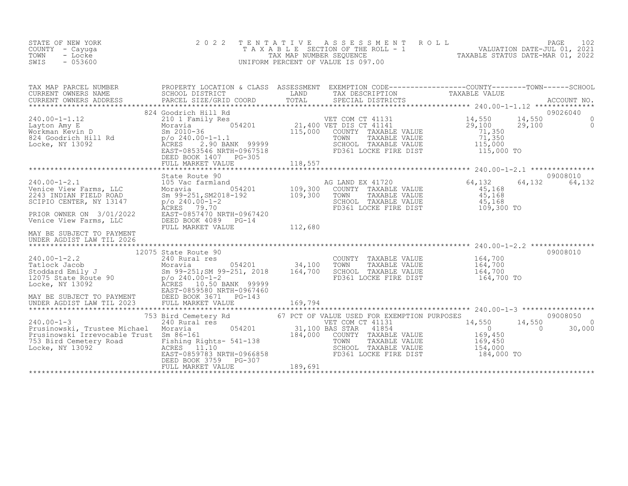| STATE OF NEW YORK<br>COUNTY - Cayuga<br>TOWN<br>- Locke<br>$-053600$<br>SWIS                                                                                                                                                                                                | 2 0 2 2<br>TAXABLE                                                                                                                                                                                                   | TENTATIVE<br>TAX MAP NUMBER SEQUENCE  | A S S E S S M E N T<br>SECTION OF THE ROLL - 1<br>UNIFORM PERCENT OF VALUE IS 097.00                                                                                       | ROLL<br>PAGE<br>102<br>2021 - PAGE PRODUCED DATE-JUL 01, 2021<br>TAXABLE STATUS DATE-MAR 01 2022                                                                                                                                  |
|-----------------------------------------------------------------------------------------------------------------------------------------------------------------------------------------------------------------------------------------------------------------------------|----------------------------------------------------------------------------------------------------------------------------------------------------------------------------------------------------------------------|---------------------------------------|----------------------------------------------------------------------------------------------------------------------------------------------------------------------------|-----------------------------------------------------------------------------------------------------------------------------------------------------------------------------------------------------------------------------------|
| TAX MAP PARCEL NUMBER<br>CURRENT OWNERS NAME<br>CURRENT OWNERS ADDRESS                                                                                                                                                                                                      | PARCEL SIZE/GRID COORD                                                                                                                                                                                               | TOTAL                                 | SPECIAL DISTRICTS                                                                                                                                                          | PROPERTY LOCATION & CLASS ASSESSMENT EXEMPTION CODE----------------COUNTY-------TOWN------SCHOOL<br>SCHOOL DISTRICT DESCRIPTION TRANS DESCRIPTION TRANSLE VALUE<br>PRECEL CISE/CRIP COOPP – TOTAL CRECILI RIGHTOTS<br>ACCOUNT NO. |
| $240.00 - 1 - 1.12$<br>Layton Amy E<br>Morkman Kevin D<br>824 Goodrich Hill Rd<br>Locke, NY 13092                                                                                                                                                                           | 824 Goodrich Hill Rd<br>210 1 Family Res<br>054201<br>Moravia<br>Sm $2010 - 36$<br>p/o 240.00-1-1.1<br>2.90 BANK 99999<br><b>ACRES</b><br>EAST-0853546 NRTH-0967518<br>DEED BOOK 1407<br>PG-305<br>FULL MARKET VALUE | 115,000<br>118,557                    | VET COM CT 41131<br>21,400 VET DIS CT 41141<br>COUNTY TAXABLE VALUE<br>TOWN<br>TAXABLE VALUE<br>SCHOOL TAXABLE VALUE<br>FD361 LOCKE FIRE DIST                              | 09026040<br>14,550<br>14,550<br>$\Omega$<br>29,100<br>29,100<br>$\Omega$<br>71,350<br>71,350<br>115,000<br>115,000 TO                                                                                                             |
| $240.00 - 1 - 2.1$<br>Venice View Farms, LLC<br>2243 INDIAN FIELD ROAD<br>SCIPIO CENTER, NY 13147<br>PRIOR OWNER ON 3/01/2022<br>Venice View Farms, LLC<br>MAY BE SUBJECT TO PAYMENT<br>UNDER AGDIST LAW TIL 2026                                                           | State Route 90<br>105 Vac farmland<br>054201<br>Moravia<br>Sm 99-251, SM2018-192<br>$p$ /o 240.00-1-2<br>79.70<br>ACRES<br>EAST-0857470 NRTH-0967420<br>DEED BOOK 4089<br>$PG-14$<br>FULL MARKET VALUE               | 109,300<br>109,300<br>112,680         | AG LAND EX 41720<br>COUNTY TAXABLE VALUE<br>TOWN<br>TAXABLE VALUE<br>SCHOOL TAXABLE VALUE<br>FD361 LOCKE FIRE DIST                                                         | 09008010<br>64,132<br>64,132<br>64,132<br>45,168<br>45,168<br>45,168<br>109,300 TO                                                                                                                                                |
| $240.00 - 1 - 2.2$<br>Fatlock Jacob<br>Stoddard Emily J<br>12075 State Route 90<br>Locke, NY 13092<br>2008 MCRES 10.50 BANK 99999<br>ACRES 10.50 BANK 99999<br>ACRES 10.50 BANK 99999<br>ACRES 10.50 BANK 99999<br>MAY BE SUBJECT TO PAYMENT<br>ANY BE SUBJECT TAM TIL 2023 | 12075 State Route 90<br>240 Rural res<br>054201<br>EAST-0859580 NRTH-0967460<br>DEED BOOK 3671<br>PG-143<br>FULL MARKET VALUE                                                                                        | 34,100<br>164,700<br>169,794          | COUNTY TAXABLE VALUE<br>TOWN<br>TAXABLE VALUE<br>SCHOOL TAXABLE VALUE<br>FD361 LOCKE FIRE DIST                                                                             | 09008010<br>164,700<br>164,700<br>164,700<br>164,700 TO                                                                                                                                                                           |
| $240.00 - 1 - 3$<br>Prusinowski, Trustee Michael<br>Prusinowski Irrevocable Trust Sm 86-161<br>753 Bird Cemetery Road<br>Locke, NY 13092<br>Locke, NY 13092                                                                                                                 | 753 Bird Cemetery Rd<br>240 Rural res<br>054201<br>Moravia<br>Fishing Rights- 541-138<br>11.10<br>ACRES<br>EAST-0859783 NRTH-0966858<br>DEED BOOK 3759<br>PG-307<br>FULL MARKET VALUE                                | 31,100 BAS STAR<br>184,000<br>189,691 | 67 PCT OF VALUE USED FOR EXEMPTION PURPOSES<br>VET COM CT 41131<br>41854<br>COUNTY TAXABLE VALUE<br>TAXABLE VALUE<br>TOWN<br>SCHOOL TAXABLE VALUE<br>FD361 LOCKE FIRE DIST | 09008050<br>14,550<br>14,550<br>$\Omega$<br>$\sim$ 0<br>$\Omega$<br>30,000<br>169,450<br>169,450<br>154,000<br>184,000 TO                                                                                                         |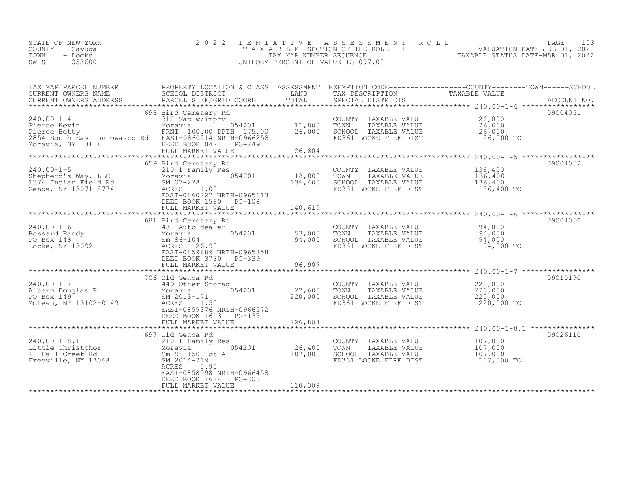| PROPERTY LOCATION & CLASS ASSESSMENT EXEMPTION CODE----------------COUNTY-------TOWN-----SCHOOL<br>TAX MAP PARCEL NUMBER                                                                                                                                                                                                                                                                                                                                                                       |          |
|------------------------------------------------------------------------------------------------------------------------------------------------------------------------------------------------------------------------------------------------------------------------------------------------------------------------------------------------------------------------------------------------------------------------------------------------------------------------------------------------|----------|
|                                                                                                                                                                                                                                                                                                                                                                                                                                                                                                |          |
|                                                                                                                                                                                                                                                                                                                                                                                                                                                                                                |          |
| 693 Bird Cemetery Rd<br>$W/$ imprv<br>054201 11,800<br>$240.00-1-4$<br>Pierce Kevin<br>Pierce Betty<br>Pierce Betty<br>Pierce Betty<br>Pierce Betty<br>Pierce Betty<br>Pierce Betty<br>Pierce Betty<br>Pierce Betty<br>Pierce Betty<br>Pierce Betty<br>Pierce Betty<br>COUNTY TAXABLE VALUE $26,000$<br>TOWN TAXABLE VALUE $26,000$<br>TOWN<br>SCHOOL TAXABLE VALUE 26,000<br>26,000<br>2854 South East on Owasco Rd EAST-0860214 NRTH-0966258<br>26,000 TO<br>FD361 LOCKE FIRE DIST<br>PG-249 | 09004051 |
| Moravia, NY 13118<br>DEED BOOK 842<br>FULL MARKET VA<br>26,804<br>FULL MARKET VALUE                                                                                                                                                                                                                                                                                                                                                                                                            |          |
|                                                                                                                                                                                                                                                                                                                                                                                                                                                                                                |          |
| 659 Bird Cemetery Rd<br>18,000<br>136,400<br>$240.00 - 1 - 5$<br>COUNTY TAXABLE VALUE<br>136,400<br>210 1 Family Res<br>Shepherd's Way, LLC<br>1374 Indian Field Rd<br>6enoa, NY 13071-8774 ACRES<br>Moravia 054201<br>TOWN TAXABLE VALUE 136,400<br>SCHOOL TAXABLE VALUE 136,400<br>FD361 LOCKE FIRE DIST 136,400 TO<br>ACRES 1.00<br>EAST-0860227 NRTH-0965613<br>DEED BOOK 1560 PG-108<br>FULL MARKET VALUE<br>140,619                                                                      | 09004052 |
|                                                                                                                                                                                                                                                                                                                                                                                                                                                                                                |          |
| 681 Bird Cemetery Rd<br>--<br>054201 53,000<br>COUNTY TAXABLE VALUE $94,000$<br>TOWN TAXABLE VALUE 94,000<br>SCHOOL TAXABLE VALUE 94,000<br>240.00-1-6<br>Bossard Randy<br>PO Box 148<br>Locke, NY 13092<br>Sm 86-104<br>RCRES 26.90<br>RCRES 26.90<br>PRET-085889 N<br>431 Auto dealer<br>94,000<br>FD361 LOCKE FIRE DIST<br>94,000 TO<br>EAST-0859689 NRTH-0965858<br>DEED BOOK 3730 PG-339<br>96,907<br>FULL MARKET VALUE                                                                   | 09004050 |
| 706 Old Genoa Rd                                                                                                                                                                                                                                                                                                                                                                                                                                                                               | 09010190 |
| 240.00-1-7<br>Albern Douglas R<br>Moravia 19<br>Moravia 150<br>Moravia 150<br>Moravia 150<br>Moravia 150<br>Moravia 150<br>Moravia 150<br>Moravia 150<br>Moravia 150<br>Moravia 150<br>Moravia 150<br>2013-171<br>220,000<br>COUNTY TAXABLE VALUE<br>220,000<br>TAXABLE VALUE<br>TOWN<br>220,000<br>SCHOOL TAXABLE VALUE<br>FD361 LOCKE FIRE DIST<br>220,000<br>220,000 TO<br>EAST-0859376 NRTH-0966572<br>DEED BOOK 1613 PG-137                                                               |          |
|                                                                                                                                                                                                                                                                                                                                                                                                                                                                                                |          |
| 697 Old Genoa Rd<br>240.00-1-8.1<br>Little Christphor 210 1 Family Res<br>11 Fall Creek Rd 5054201<br>Freeville, NY 13068<br>Exam 2014-219<br>107,000<br>COUNTY TAXABLE VALUE<br>$054201$ $26,400$<br>$107,000$<br>TOWN<br>TAXABLE VALUE<br>107,000<br>107,000<br>SCHOOL TAXABLE VALUE<br>107,000 TO<br>FD361 LOCKE FIRE DIST<br>ACRES<br>5.90<br>EAST-0858998 NRTH-0966458<br>DEED BOOK 1684 PG-306                                                                                           | 09026110 |
| 110,309<br>FULL MARKET VALUE                                                                                                                                                                                                                                                                                                                                                                                                                                                                   |          |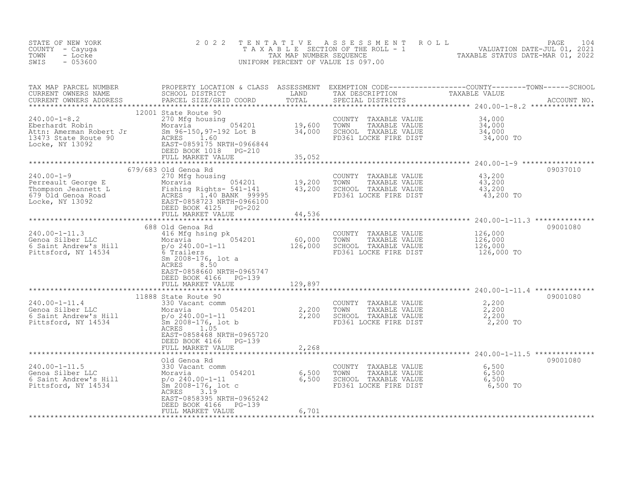| STATE OF NEW YORK<br>COUNTY - Cayuga<br>- Locke<br>TOWN<br>$-053600$<br>SWIS                                                                                                                                                                      | 2 0 2 2                                                                                                                                                                                                                        | TENTATIVE                                                       | UNIFORM PERCENT OF VALUE IS 097.00                                                                        | FENTATIVE ASSESSMENT ROLL<br>TAXABLE SECTION OF THE ROLL - 1<br>TAX MAP NUMBER SEQUENCE<br>INIFORM PERCENT OF VALUE TO 47 00 |
|---------------------------------------------------------------------------------------------------------------------------------------------------------------------------------------------------------------------------------------------------|--------------------------------------------------------------------------------------------------------------------------------------------------------------------------------------------------------------------------------|-----------------------------------------------------------------|-----------------------------------------------------------------------------------------------------------|------------------------------------------------------------------------------------------------------------------------------|
| TAX MAP PARCEL NUMBER<br>CURRENT OWNERS NAME<br>CURRENT OWNERS ADDRESS                                                                                                                                                                            | PROPERTY LOCATION & CLASS ASSESSMENT<br>SCHOOL DISTRICT<br>PARCEL SIZE/GRID COORD                                                                                                                                              | LAND<br>TOTAL<br>**************                                 |                                                                                                           |                                                                                                                              |
| $240.00 - 1 - 8.2$<br>Anden: Amerman Robert Jr<br>13473 State Route 90<br>Locke, NY 13092                                                                                                                                                         | 12001 State Route 90<br>270 Mfg housing<br>Moravia 654201<br>Sm $96-150, 97-192$ Lot B $34,000$<br>ACRES<br>1.60<br>EAST-0859175 NRTH-0966844<br>DEED BOOK 1018 PG-210<br>FULL MARKET VALUE                                    | 19,600<br>35,052                                                | COUNTY<br>TAXABLE VALUE<br>TAXABLE VALUE<br>TOWN<br>SCHOOL TAXABLE VALUE<br>FD361 LOCKE FIRE DIST         | $34,000$<br>$34,000$<br>$34,000$<br>34,000 TO                                                                                |
| $240.00 - 1 - 9$<br>240.00-1-9<br>Perreault George E Moravia 54201 19,200<br>Thompson Jeannett L Fishing Rights- 541-141 43,200<br>679 Old Genoa Road ACRES 1.40 BANK 99995<br>Locke, NY 13092 EAST-0858723 NRTH-0966100<br>DEED BOOK 4125 PG-202 | 679/683 Old Genoa Rd<br>270 Mfg housing<br>FULL MARKET VALUE                                                                                                                                                                   | 44,536                                                          | COUNTY TAXABLE VALUE<br>TOWN TAXABLE VALUE 43,200<br>SCHOOL TAXABLE VALUE 43,200<br>FD361 LOCKE FIRE DIST | 09037010<br>43,200<br>43,200 TO                                                                                              |
| $240.00 - 1 - 11.3$<br>Genoa Silber LLC<br>6 Saint Andrew's Hill<br>Pittsford, NY 14534                                                                                                                                                           | 688 Old Genoa Rd<br>416 Mfg hsing pk<br>Moravia $p/0.240.00-1-11$<br>$p$ /o 240.00-1-11<br>6 Trailers<br>$\rm{Sm}$ 2008-176, lot a<br>8.50<br>ACRES<br>EAST-0858660 NRTH-0965747<br>DEED BOOK 4166 PG-139<br>FULL MARKET VALUE | $60,000$<br>126,000<br>129,897                                  | COUNTY TAXABLE VALUE<br>TOWN<br>TAXABLE VALUE<br>SCHOOL TAXABLE VALUE<br>FD361 LOCKE FIRE DIST            | 09001080<br>126,000<br>126,000<br>126,000<br>126,000 TO                                                                      |
| $240.00 - 1 - 11.4$<br>Genoa Silber LLC<br>6 Saint Andrew's Hill<br>Pittsford NY 14504<br>Pittsford, NY 14534                                                                                                                                     | 11888 State Route 90<br>330 Vacant comm<br>Moravia<br>$p$ /o 240.00-1-11<br>Sm 2008-176, lot b<br>ACRES<br>1.05<br>EAST-0858468 NRTH-0965720<br>DEED BOOK 4166 PG-139<br>FULL MARKET VALUE                                     | ************<br>$054201$ $2,200$<br>$2,200$<br>$2,200$<br>2,268 | COUNTY TAXABLE VALUE<br>TOWN     TAXABLE VALUE                                                            | 09001080<br>2,200<br>2,200                                                                                                   |
| $240.00 - 1 - 11.5$<br>Genoa Silber LLC<br>6 Saint Andrew's Hill<br>Pittsford, NY 14534                                                                                                                                                           | Old Genoa Rd<br>330 Vacant comm<br>Moravia 054201 6,500<br>p/o 240.00-1-11 6,500<br>Sm 2008-176, lot c<br>aCRES 3.10<br>ACRES<br>3.19<br>EAST-0858395 NRTH-0965242<br>PG-139<br>DEED BOOK 4166<br>FULL MARKET VALUE            | 6,701                                                           | COUNTY TAXABLE VALUE<br>TAXABLE VALUE<br>TOWN<br>SCHOOL TAXABLE VALUE<br>FD361 LOCKE FIRE DIST            | 09001080<br>6,500<br>6,500<br>6,500<br>6,500 TO                                                                              |
|                                                                                                                                                                                                                                                   |                                                                                                                                                                                                                                |                                                                 |                                                                                                           |                                                                                                                              |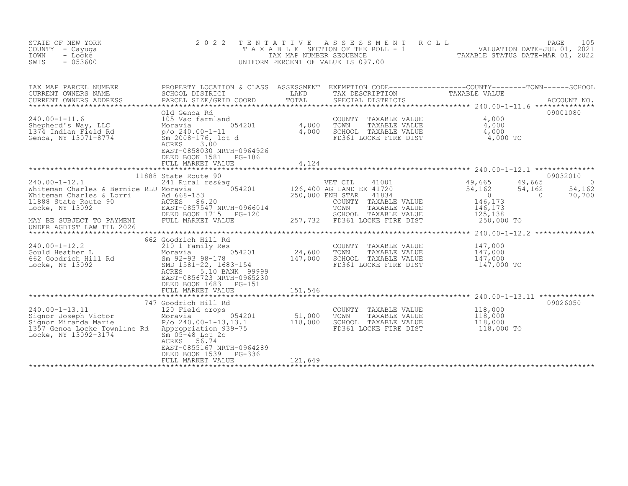| STATE OF NEW YORK<br>COUNTY - Cayuga<br>TOWN<br>- Locke<br>SWIS<br>$-053600$                                                                                                 | 2 0 2 2<br>TAXABLE                                                                                                                                                                               | TENTATIVE<br>TAX MAP NUMBER SEQUENCE | A S S E S S M E N T<br>SECTION OF THE ROLL - 1<br>NUMBER SEQUENCE - 1<br>TAXABLE STATUS DATE-MAR 01, 2022<br>UNIFORM PERCENT OF VALUE IS 097.00          | ROLL                                                                          | PAGE<br>105                                   |
|------------------------------------------------------------------------------------------------------------------------------------------------------------------------------|--------------------------------------------------------------------------------------------------------------------------------------------------------------------------------------------------|--------------------------------------|----------------------------------------------------------------------------------------------------------------------------------------------------------|-------------------------------------------------------------------------------|-----------------------------------------------|
| TAX MAP PARCEL NUMBER<br>CURRENT OWNERS NAME<br>CURRENT OWNERS ADDRESS<br>***********************                                                                            | PROPERTY LOCATION & CLASS ASSESSMENT EXEMPTION CODE----------------COUNTY-------TOWN-----SCHOOL<br>SCHOOL DISTRICT<br>PARCEL SIZE/GRID COORD                                                     | LAND<br>TOTAL                        | TAX DESCRIPTION<br>SPECIAL DISTRICTS                                                                                                                     | TAXABLE VALUE                                                                 | ACCOUNT NO.                                   |
| $240.00 - 1 - 11.6$<br>Shepherd's Way, LLC<br>1374 Indian Field Rd<br>Genoa, NY 13071-8774                                                                                   | Old Genoa Rd<br>105 Vac farmland<br>054201<br>Moravia<br>$p$ /o 240.00-1-11<br>Sm 2008-176, lot d<br>ACRES<br>3.00<br>EAST-0858030 NRTH-0964926<br>DEED BOOK 1581<br>PG-186<br>FULL MARKET VALUE | 4,000<br>4,000<br>4,124              | COUNTY TAXABLE VALUE<br>TOWN<br>TAXABLE VALUE<br>SCHOOL TAXABLE VALUE<br>FD361 LOCKE FIRE DIST                                                           | 4,000<br>4,000<br>$\frac{4,000}{4,000}$ TO                                    | 09001080                                      |
|                                                                                                                                                                              |                                                                                                                                                                                                  |                                      |                                                                                                                                                          |                                                                               |                                               |
| $240.00 - 1 - 12.1$<br>Whiteman Charles & Bernice RLU Moravia<br>Whiteman Charles & Lorri<br>11888 State Route 90<br>Locke, NY 13092                                         | 11888 State Route 90<br>241 Rural res&ag<br>054201<br>Ad 668-153<br>ACRES 86.20<br>EAST-0857547 NRTH-0966014<br>DEED BOOK 1715 PG-120                                                            | 250,000 ENH STAR                     | $41001$<br>$49,665$<br>$54.162$<br>VET CIL<br>126,400 AG LAND EX 41720<br>41834<br>COUNTY TAXABLE VALUE<br>TOWN<br>TAXABLE VALUE<br>SCHOOL TAXABLE VALUE | 49,665<br>54,162<br>54,162<br>$\overline{0}$<br>146,173<br>146,173<br>125,138 | 09032010<br>0<br>54,162<br>$\Omega$<br>70,700 |
| MAY BE SUBJECT TO PAYMENT<br>UNDER AGDIST LAW TIL 2026                                                                                                                       | FULL MARKET VALUE                                                                                                                                                                                |                                      | 257,732 FD361 LOCKE FIRE DIST                                                                                                                            | 250,000 TO                                                                    |                                               |
|                                                                                                                                                                              |                                                                                                                                                                                                  |                                      |                                                                                                                                                          |                                                                               |                                               |
| $240.00 - 1 - 12.2$<br>240.00-1-12.2<br>Gould Heather L<br>662 Goodrich Hill Rd<br>Times NY 13092<br>Locke, NY 13092                                                         | 662 Goodrich Hill Rd<br>210 1 Family Res<br>054201<br>Moravia<br>Sm 92-93 98-178<br>SMD 1581-22, 1683-154<br>5.10 BANK 99999<br>ACRES<br>EAST-0856723 NRTH-0965230<br>DEED BOOK 1683 PG-151      | 24,600<br>147,000                    | COUNTY TAXABLE VALUE<br>TOWN<br>TAXABLE VALUE<br>SCHOOL TAXABLE VALUE<br>FD361 LOCKE FIRE DIST                                                           | 147,000<br>147,000<br>147,000<br>147,000 TO                                   |                                               |
|                                                                                                                                                                              | FULL MARKET VALUE                                                                                                                                                                                | 151,546                              |                                                                                                                                                          |                                                                               |                                               |
|                                                                                                                                                                              | 747 Goodrich Hill Rd                                                                                                                                                                             |                                      |                                                                                                                                                          |                                                                               | 09026050                                      |
| $240.00 - 1 - 13.11$<br>Jiynor Joseph Victor<br>Signor Miranda Marie<br>1357 Genoa Locko Marrii<br>1357 Genoa Locke Townline Rd Appropriation 939-75<br>Locke, NY 13092-3174 | 120 Field crops<br>054201<br>Moravia<br>$P/O 240.00 - 1 - 13,13.1$<br>$\rm{Sm}$ 05-48 Lot 2c<br>56.74<br>ACRES<br>EAST-0855167 NRTH-0964289                                                      | 51,000<br>118,000                    | COUNTY<br>TAXABLE VALUE<br>TOWN<br>TAXABLE VALUE<br>SCHOOL TAXABLE VALUE<br>FD361 LOCKE FIRE DIST                                                        | 118,000<br>118,000<br>118,000<br>118,000 TO                                   |                                               |
|                                                                                                                                                                              | DEED BOOK 1539<br>PG-336<br>FULL MARKET VALUE                                                                                                                                                    | 121,649                              |                                                                                                                                                          |                                                                               |                                               |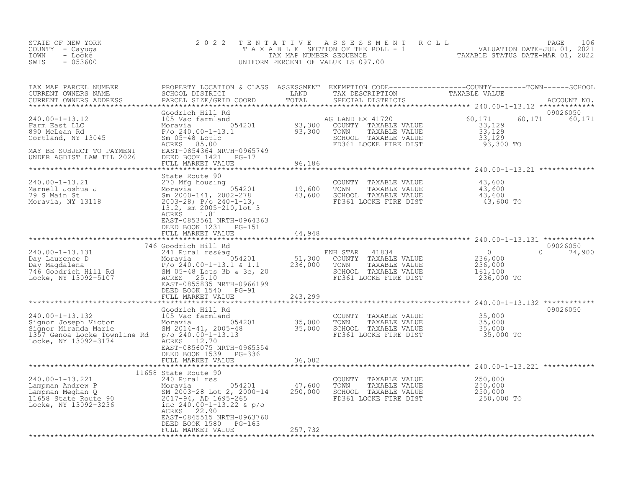| STATE OF NEW YORK<br>COUNTY - Cayuga<br>TOWN<br>- Locke<br>SWIS<br>$-053600$                                                                                                                                                   | 2 0 2 2                                                                                                                                                                                                 | TENTATIVE                          | ASSESSMENT ROLL<br>UNIFORM PERCENT OF VALUE IS 097.00                                                                   | PAGE<br>106<br>TAXABLE SECTION OF THE ROLL - 1 VALUATION DATE-JUL 01, 2021                                                                                                                                                                    |
|--------------------------------------------------------------------------------------------------------------------------------------------------------------------------------------------------------------------------------|---------------------------------------------------------------------------------------------------------------------------------------------------------------------------------------------------------|------------------------------------|-------------------------------------------------------------------------------------------------------------------------|-----------------------------------------------------------------------------------------------------------------------------------------------------------------------------------------------------------------------------------------------|
| TAX MAP PARCEL NUMBER<br>CURRENT OWNERS NAME<br>CURRENT OWNERS ADDRESS                                                                                                                                                         | PARCEL SIZE/GRID COORD                                                                                                                                                                                  | TOTAL                              | SPECIAL DISTRICTS                                                                                                       | PROPERTY LOCATION & CLASS ASSESSMENT EXEMPTION CODE----------------COUNTY-------TOWN------SCHOOL<br>SCHOOL DISTRICT                         LAND         TAX DESCRIPTION               TAXABLE VALUE<br>PARCEL SIZE/GRID COORD<br>ACCOUNT NO. |
| $240.00 - 1 - 13.12$<br>Farm East LLC<br>890 McLean Rd<br>Cortland, NY 13045<br>MAY BE SUBJECT TO PAYMENT<br>UNDER AGDIST LAW TIL 2026                                                                                         | Goodrich Hill Rd<br>105 Vac farmland<br>EAST-0854364 NRTH-0965749<br>DEED BOOK 1421 PG-17<br>FULL MARKET VALUE                                                                                          | 96,186                             | AG LAND EX 41720<br>COUNTY TAXABLE VALUE<br>TAXABLE VALUE<br>TOWN<br>SCHOOL TAXABLE VALUE<br>FD361 LOCKE FIRE DIST      | 09026050<br>60,171<br>60,171<br>60,171<br>33,129<br>33,129<br>33,129<br>93,300 TO                                                                                                                                                             |
| 240.00-1-13.21<br>Moravia, NY 13118                                                                                                                                                                                            | State Route 90<br>270 Mfg housing<br>$2003-28$ ; $P/0$ 240-1-13,<br>13.2, sm 2005-210, lot 3<br>1.81<br>ACRES<br>EAST-0853561 NRTH-0964363<br>DEED BOOK 1231<br><b>PG-151</b>                           | **************<br>19,600<br>43,600 | COUNTY TAXABLE VALUE<br>TAXABLE VALUE<br>TOWN<br>SCHOOL TAXABLE VALUE<br>FD361 LOCKE FIRE DIST                          | ************************************* 240.00-1-13.21 *************<br>43,600<br>43,600<br>43,600<br>43,600 TO                                                                                                                                 |
|                                                                                                                                                                                                                                | FULL MARKET VALUE                                                                                                                                                                                       | 44,948                             |                                                                                                                         |                                                                                                                                                                                                                                               |
| Notice the Contract of the Case of the Case of the Case of the Case of the Case of the Case of the Case of the Case of the Case of the Case of the Case of the Case of the Case of the Case of the Case of the Case of the Cas | DEED BOOK 1540 PG-91<br>FULL MARKET VALUE                                                                                                                                                               | 236,000<br>243,299                 | ENH STAR 41834<br>51,300 COUNTY TAXABLE VALUE<br>TAXABLE VALUE<br>TOWN<br>SCHOOL TAXABLE VALUE<br>FD361 LOCKE FIRE DIST | 09026050<br>$\overline{0}$<br>$\Omega$<br>74,900<br>236,000<br>236,000<br>161,100<br>236,000 TO                                                                                                                                               |
|                                                                                                                                                                                                                                | Goodrich Hill Rd                                                                                                                                                                                        | ************                       |                                                                                                                         | ******************* 240.00-1-13.132 ************<br>09026050                                                                                                                                                                                  |
| 240.00-1-13.132<br>Signor Joseph Victor<br>Signor Joseph Victor<br>Signor Miranda Marie<br>1357 Genoa Locke Townline Rd p/o 240.00-1-13.13<br>Locke, NY 13092-3174                                                             | 105 Vac farmland<br>1.1.1.2001 1.1.1.2005<br>SM 2014-41, 2005-48<br>p/o 240.00-1-13.13<br>p/o 240.00-1-13.13<br>p/o 240.00-1-13.13<br>ACRES 12.70<br>EAST-0856075 NRTH-0965354<br>DEED BOOK 1539 PG-336 |                                    | COUNTY TAXABLE VALUE<br>TAXABLE VALUE<br>TOWN<br>SCHOOL TAXABLE VALUE<br>FD361 LOCKE FIRE DIST                          | 35,000<br>35,000<br>35,000<br>35,000 TO                                                                                                                                                                                                       |
|                                                                                                                                                                                                                                | FULL MARKET VALUE                                                                                                                                                                                       | 36,082                             |                                                                                                                         |                                                                                                                                                                                                                                               |
| 240.00-1-13.221                                                                                                                                                                                                                | 11658 State Route 90<br>240 Rural res<br>054201<br>SM 2003-28 Lot 2, 2000-14 250,000<br>2017-94, AD 1695-265<br>inc $240.00 - 1 - 13.22$ & $p/o$<br>EAST-0845515 NRTH-0963760<br>DEED BOOK 1580 PG-163  | 47,600                             | COUNTY TAXABLE VALUE<br>TAXABLE VALUE<br>TOWN<br>SCHOOL TAXABLE VALUE<br>FD361 LOCKE FIRE DIST                          | 250,000<br>250,000<br>250,000<br>250,000 TO                                                                                                                                                                                                   |
|                                                                                                                                                                                                                                | FULL MARKET VALUE                                                                                                                                                                                       | 257,732                            |                                                                                                                         |                                                                                                                                                                                                                                               |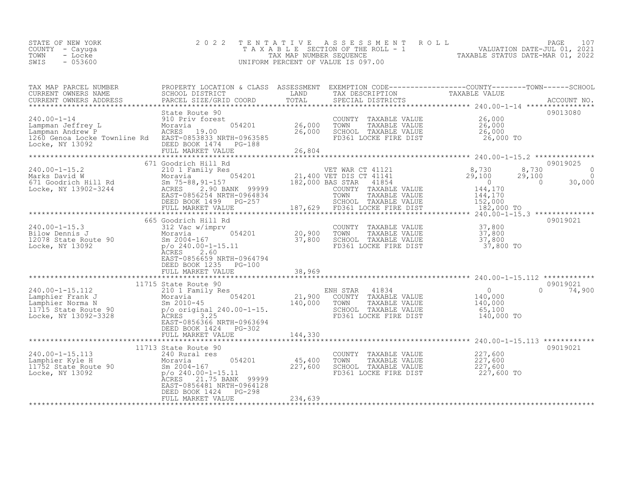| STATE OF NEW YORK<br>COUNTY - Cayuga | 2022 TENTATIVE ASSESSMENT ROLL<br>TAXABLE SECTION OF THE ROLL - 1 | VALUATION DATE-JUL 01, 2021      | PAGE 107 |  |
|--------------------------------------|-------------------------------------------------------------------|----------------------------------|----------|--|
| TOWN<br>- Locke                      | TAX MAP NUMBER SEOUENCE                                           | TAXABLE STATUS DATE-MAR 01, 2022 |          |  |
| - 053600<br>SWIS                     | UNIFORM PERCENT OF VALUE IS 097.00                                |                                  |          |  |

| TAX MAP PARCEL NUMBER<br>CURRENT OWNERS NAME<br>CURRENT OWNERS NAME<br>CURRENT OWNERS ADDRESS                                                                                                                                              | PROPERTY LOCATION & CLASS ASSESSMENT EXEMPTION CODE----------------COUNTY-------TOWN-----SCHOOL<br>SCHOOL DISTRICT                   | LAND                                  | TAX DESCRIPTION                                                                                                                                             | TAXABLE VALUE                                                                  |                                                         |
|--------------------------------------------------------------------------------------------------------------------------------------------------------------------------------------------------------------------------------------------|--------------------------------------------------------------------------------------------------------------------------------------|---------------------------------------|-------------------------------------------------------------------------------------------------------------------------------------------------------------|--------------------------------------------------------------------------------|---------------------------------------------------------|
| 240.00-1-14<br>Lampman Jeffrey Lampman Andrew P (Moravia Moravia)<br>Lampman Andrew P (Moravia 19.00<br>1260 Genoa Locke Townline Rd EAST-0853833 NRTH-0963585<br>Locke, NY 13092                                                          | State Route 90<br>DEED BOOK 1474 PG-188<br>FULL MARKET VALUE                                                                         | COUNT 26,000 TOWN<br>26,000<br>26,804 |                                                                                                                                                             |                                                                                | 09013080                                                |
| 240.00-1-15.2<br>Marks David W 210 1 Family Res<br>671 Goodrich Hill Rd 5m 75-88,91-157<br>Locke, NY 13902-3244<br>Engress 2.90 BANK 99999                                                                                                 | 671 Goodrich Hill Rd<br>EAST-0856254 NRTH-0964834<br>DEED BOOK 1499 PG-257<br>FULL MARKET VALUE                                      |                                       | nily Res<br>054201 054201 21,400 VET DIS CT 41141<br>182,000 BAS STAR 41854<br>2.90 BANK 99999 00UNTY TAXABLE VALUE<br>5254 NRTH-0964834 TOMN TAXABLE VALUE | 8,730<br>29,100<br>182,000 TO                                                  | 09019025<br>8,730<br>$\Omega$<br>$29,100$ 0<br>0 30,000 |
| $240.00 - 1 - 15.3$<br>240.00-1-15.3<br>Bilow Dennis J<br>12078 State Route 90 Sm 2004-167<br>Locke, NY 13092 p/o_240.00-1                                                                                                                 | 665 Goodrich Hill Rd<br>312 Vac w/imprv<br>$p$ /o 240.00-1-15.11<br>ACRES 2.60<br>EAST-0856659 NRTH-0964794<br>DEED BOOK 1235 PG-100 |                                       | COUNTY TAXABLE VALUE 37,800<br>054201 20,900 TOWN TAXABLE VALUE 37,800<br>37,800 SCHOOL TAXABLE VALUE 37,800<br>PD361 LOCKE FIRE DIST 37,800 TO             |                                                                                | 09019021                                                |
| 240.00-1-15.112<br>Lamphier Frank J<br>Lamphier Norma N Moravia (1910)<br>Moravia (194201 21,900 COUNTY TAXABLE VALUE<br>Sm 2010-45 140,000 TOWN TAXABLE VALUE<br>1715 State Route 90 p/o original 240.00-1-15.<br>Locke, NY 13092-3328 AC | 11715 State Route 90<br>EAST-0856366 NRTH-0963694<br>DEED BOOK 1424    PG-302<br>FULL MARKET VALUE                                   | 144,330                               | SCHOOL TAXABLE VALUE<br>FD361 LOCKE FIRE DIST                                                                                                               | $\begin{array}{c} 0 \\ 140,000 \\ 140,000 \end{array}$<br>65,100<br>140,000 TO | 09019021<br>$0 \t 74,900$                               |
|                                                                                                                                                                                                                                            | 11713 State Route 90                                                                                                                 | ***************                       |                                                                                                                                                             |                                                                                | 09019021                                                |
| 240.00-1-15.113<br>Lamphier Kyle H Moravia 054201 45,400<br>11752 State Route 90 5 m 2004-167 227,600<br>Locke, NY 13092 p/o 240.00-1-15.11                                                                                                | ACRES 21.75 BANK 99999<br>EAST-0856481 NRTH-0964128<br>DEED BOOK 1424<br>$PG-298$<br>FULL MARKET VALUE                               | 234,639                               | COUNTY TAXABLE VALUE $227,600$<br>TOWN TAXABLE VALUE $227,600$<br>TOWN<br>SCHOOL TAXABLE VALUE<br>FD361 LOCKE FIRE DIST                                     | 227,600<br>227,600 TO                                                          |                                                         |
|                                                                                                                                                                                                                                            |                                                                                                                                      |                                       |                                                                                                                                                             |                                                                                |                                                         |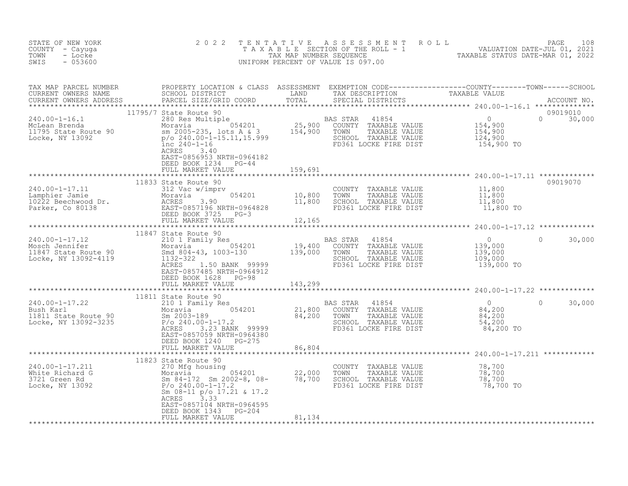| STATE OF NEW YORK<br>COUNTY - Cayuga<br>TOWN<br>- Locke<br>SWIS<br>$-053600$                                                                                                                                                                                           | 2 0 2 2                                                                                                                  |         | TENTATIVE ASSESSMENT ROLL PAGE 108<br>TAXABLE SECTION OF THE ROLL - 1 VALUATION DATE-JUL 01, 2021<br>TAX MAP NUMBER SEQUENCE TAXABLE STATUS DATE-MAR 01, 2022<br>UNIFORM PERCENT OF VALUE IS 097.00 |                                                                                                    |                    |
|------------------------------------------------------------------------------------------------------------------------------------------------------------------------------------------------------------------------------------------------------------------------|--------------------------------------------------------------------------------------------------------------------------|---------|-----------------------------------------------------------------------------------------------------------------------------------------------------------------------------------------------------|----------------------------------------------------------------------------------------------------|--------------------|
|                                                                                                                                                                                                                                                                        | 11795/7 State Route 90                                                                                                   |         |                                                                                                                                                                                                     |                                                                                                    | 09019010           |
| 11/95//State Route 90<br>280 RAS STAR 41854<br>McLean Brenda Moravia (1995-235, 10ts A & 3 (1997) 25,900 COUNTY TAXABLE VALUE<br>11795 State Route 90 Moravia (1995-235, 10ts A & 3 (1998) 154,900 TOWN TAXABLE VALUE<br>Locke, NY 130                                 | ACRES 3.40<br>EAST-0856953 NRTH-0964182<br>DEED BOOK 1234 PG-44                                                          |         |                                                                                                                                                                                                     |                                                                                                    | $0 \t 30,000$      |
|                                                                                                                                                                                                                                                                        | FULL MARKET VALUE                                                                                                        | 159,691 |                                                                                                                                                                                                     |                                                                                                    |                    |
| 240.00-1-17.11<br>Lamphier Jamie<br>10,800<br>10222 Beechwood Dr.<br>Parker, Co 80138<br>11,800<br>Parker, Co 80138<br>11,800<br>Parker, Co 80138<br>Parker Vietnam FUILL MARKET VALUE<br>THILL MARKET VALUE<br>THILL MARKET VALUE<br>THILL MARKET VA                  | 11833 State Route 90                                                                                                     |         | 11,800<br>TOWN TAXABLE VALUE 11,800<br>SCHOOL TAXABLE VALUE 11,800<br>FD361 LOCKE FIRE DIST                                                                                                         | 11,800 TO                                                                                          | 09019070           |
|                                                                                                                                                                                                                                                                        |                                                                                                                          |         |                                                                                                                                                                                                     |                                                                                                    |                    |
| 11847 State Route 90<br>Mosch Jennifer Moravia (1847 State Route 90<br>Mosch Jennifer Moravia (1847 State Route 90<br>Moravia 054201 19,400 COUNTY TAXABLE VALUE<br>Moravia 19,400 COUNTY TAXABLE VALUE<br>Moravia 19,000 TOWN TAXABLE V                               | EAST-0857485 NRTH-0964912<br>DEED BOOK 1628 PG-98<br>FULL MARKET VALUE                                                   | 143,299 | TAXABLE VALUE                                                                                                                                                                                       | $\overline{0}$<br>139,000<br>139,000<br>109,000<br>139,000 TO                                      | $\Omega$<br>30,000 |
|                                                                                                                                                                                                                                                                        | 11811 State Route 90                                                                                                     |         |                                                                                                                                                                                                     |                                                                                                    |                    |
| 240.00-1-17.22<br>Bush Karl 210 1 Family Res<br>11811 State Route 90<br>Locke, NY 13092-3235<br>21,800<br>21,800<br>21,800<br>21,800<br>21,800<br>21,800<br>21,800<br>21,800<br>21,800<br>21,800<br>21,800<br>21,800<br>21,800<br>21,800<br>21,800<br>21,800<br>21,800 | EAST-0857059 NRTH-0964380<br>DEED BOOK 1240 PG-275<br>FULL MARKET VALUE                                                  | 86,804  | BAS STAR<br>41854<br>COUNTY TAXABLE VALUE<br>TOWN     TAXABLE VALUE<br>SCHOOL TAXABLE VALUE<br>FD361 LOCKE FIRE DIST                                                                                | $\overline{0}$<br>84,200<br>84,200<br>54,200<br>84,200 TO                                          | $\Omega$<br>30,000 |
|                                                                                                                                                                                                                                                                        |                                                                                                                          |         |                                                                                                                                                                                                     |                                                                                                    |                    |
| 240.00-1-17.211<br>White Richard G<br>3721 Green Rd<br>13092<br>Sm 84-172 Sm 2002-8, 08-<br>22,000<br>P/o 240.00-1-17.2<br>Sm 08-11 p/o 17.21 & 17.2                                                                                                                   | 11823 State Route 90<br>Sm 08-11 p/o 17.21 & 17.2<br>ACRES<br>3.33<br>EAST-0857104 NRTH-0964595<br>DEED BOOK 1343 PG-204 |         | COUNTY TAXABLE VALUE<br>TOWN<br>SCHOOL TAXABLE VALUE<br>FD361 LOCKE FIRE DIST                                                                                                                       | TAXABLE VALUE $78,700$<br>TAXABLE VALUE 78,700<br>TAXABLE VALUE 78,700<br>OCKE FIRE DIST 78,700 TO |                    |
|                                                                                                                                                                                                                                                                        | FULL MARKET VALUE                                                                                                        | 81,134  | **************                                                                                                                                                                                      |                                                                                                    |                    |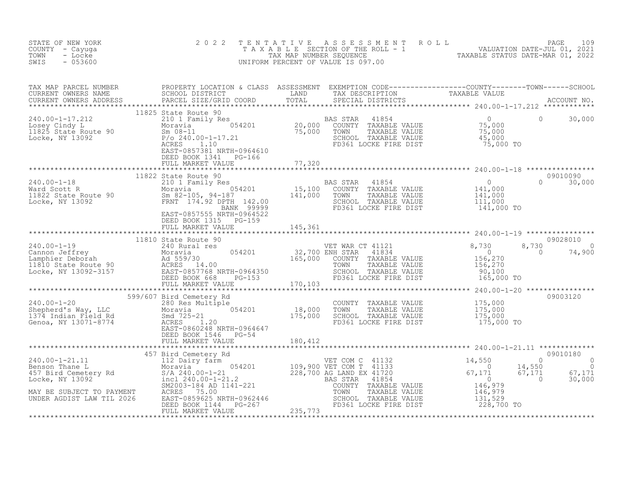| STATE OF NEW YORK<br>COUNTY - Cayuga<br>- Locke<br>TOWN<br>$-053600$<br>SWIS                                                                                                                                                                                                                                                                                          | 2 0 2 2                                                                                                                                                                                                                                                                   | TENTATIVE ASSESSMENT ROLL UNIVERSION DATE-JUL 01, 2021<br>TAXABLE SECTION OF THE ROLL - 1 VALUATION DATE-JUL 01, 2021<br>TAXABLE STATUS DATE-MAR 01, 2022<br>JNIFORM PERCENT OF VALUE IS 097.00<br>TENTATIVE<br>UNIFORM PERCENT OF VALUE IS 097.00                                                                                                            |                                                                                                                                                                                                               |
|-----------------------------------------------------------------------------------------------------------------------------------------------------------------------------------------------------------------------------------------------------------------------------------------------------------------------------------------------------------------------|---------------------------------------------------------------------------------------------------------------------------------------------------------------------------------------------------------------------------------------------------------------------------|---------------------------------------------------------------------------------------------------------------------------------------------------------------------------------------------------------------------------------------------------------------------------------------------------------------------------------------------------------------|---------------------------------------------------------------------------------------------------------------------------------------------------------------------------------------------------------------|
|                                                                                                                                                                                                                                                                                                                                                                       |                                                                                                                                                                                                                                                                           |                                                                                                                                                                                                                                                                                                                                                               |                                                                                                                                                                                                               |
| 240.00-1-17.212<br>Losey Cindy L<br>11825 State Route 90<br>Locke, NY 13092<br>210 1 Family Res<br>Moravia<br>210 1 Family Res<br>210 1 Family Res<br>210 1 Family Res<br>210 1 Family Res<br>210 1 Family Res<br>210 1 Family Res<br>210 1 Family Res                                                                                                                | 11825 State Route 90<br>210 1 Family Res<br>Moravia 054201 20,000 COUNTY<br>Moravia 054201 20,000 COUNTY<br>Sm 08-11 75,000 TOWN<br>P/o 240.00-1-17.21 5CHOOL<br>ACRES 1.10 FD361 L<br>EAST-0857381 NRTH-0964610<br>FD361 L<br>DEED BOOK 1341 PG-166<br>FULL MARKET VALUE | AS STAR 41854 U<br>COUNTY TAXABLE VALUE 75,000<br>TOWN TAXABLE VALUE 75,000<br>TOWN TAXABLE VALUE 75,000<br>AS 15,000<br>45,000<br>SCHOOL TAXABLE VALUE 45,000<br>FD361 LOCKE FIRE DIST 75,000 TO<br>77,320                                                                                                                                                   | $\circ$<br>30,000                                                                                                                                                                                             |
|                                                                                                                                                                                                                                                                                                                                                                       |                                                                                                                                                                                                                                                                           |                                                                                                                                                                                                                                                                                                                                                               | 09010090                                                                                                                                                                                                      |
| 240.00-1-18<br>Ward Scott R<br>11822 State Route 90<br>Locke, NY 13092<br>210 1 Family Res<br>210 1 Family Res<br>210 5 Moravia<br>2105, 94-187<br>2102<br>22 DPTH<br>2102<br>22 DPTH<br>22.00                                                                                                                                                                        | 11822 State Route 90<br>BANK 99999<br>EAST-0857555 NRTH-0964522                                                                                                                                                                                                           | an Taran<br>Manazarta<br>SCHOOL TAXABLE VALUE<br>FD361 LOCKE FIRE DIST                                                                                                                                                                                                                                                                                        | $\begin{array}{c} 0 \\ 141,000 \\ 141,000 \\ 111,000 \\ 111,000 \end{array}$<br>$\Omega$<br>30,000<br>141,000 TO                                                                                              |
|                                                                                                                                                                                                                                                                                                                                                                       | DEED BOOK 1315 PG-159<br>FULL MARKET VALUE                                                                                                                                                                                                                                | 145,361                                                                                                                                                                                                                                                                                                                                                       |                                                                                                                                                                                                               |
|                                                                                                                                                                                                                                                                                                                                                                       |                                                                                                                                                                                                                                                                           |                                                                                                                                                                                                                                                                                                                                                               | 09028010                                                                                                                                                                                                      |
| 240.00-1-19 240 Rural res<br>Cannon Jeffrey Moravia 054201<br>Lamphier Deborah Ad 559/30<br>11810 State Route 90 ACRES 14.00<br>Locke, NY 13092-3157 EAST-0857768 NRTH-0964350<br>FRED BOOK 668 PG-153                                                                                                                                                                | 11810 State Route 90<br>240 Rural res UET WAR C<br>Moravia 054201 32,700 ENH STAR<br>ACRES 14.00 165,000 COUNTY<br>EAST-0857768 NRTH-0964350 5CHOOL<br>DEED BOOK 668 PG-153 170,103 FD361 L<br>FULL MARKET VALUE 170,103 FD361 L<br>FULL MARKET VALUE 170,103 FD36        | VET WAR CT 41121<br>41834<br>COUNTY TAXABLE VALUE<br>TAXABLE VALUE<br>SCHOOL TAXABLE VALUE<br>FD361 LOCKE FIRE DIST                                                                                                                                                                                                                                           | 8,730<br>8,730<br>$\Omega$<br>$\begin{array}{c} 0 \\ 156,270 \end{array}$<br>$\circ$<br>74,900<br>156,270<br>90,100<br>165,000 TO                                                                             |
|                                                                                                                                                                                                                                                                                                                                                                       |                                                                                                                                                                                                                                                                           |                                                                                                                                                                                                                                                                                                                                                               | 09003120                                                                                                                                                                                                      |
| $\begin{array}{lll} \text{240.00-1-20} & & & \text{230 Res Multiply Rd} \\ \text{Shepherical's Way, LLC} & & & 280 Res Multiply Rd} & & & 054201 & & 18,000 \\ 1374 Indian Field Rd & & & 54201 & & 175,000 \\ 1374 J13071-8774 & & & & \text{ACRES} & 1.20 \\ 13071-8774 & & & & \text{ACRES} & 1.20 \\ 13280 & & & 054201 & & 175,000 \\ 1374 & & & 054201 & & 175$ | DEED BOOK 1546 PG-54                                                                                                                                                                                                                                                      | COUNTY TAXABLE VALUE<br>TOWN<br>TAXABLE VALUE<br>TOWN IRAADIL<br>SCHOOL TAXABLE VALUE<br>ACTA ACTE FIRE DIST                                                                                                                                                                                                                                                  | 175,000<br>175,000<br>175,000<br>175,000<br>175,000 TO                                                                                                                                                        |
|                                                                                                                                                                                                                                                                                                                                                                       | FULL MARKET VALUE                                                                                                                                                                                                                                                         | 180,412                                                                                                                                                                                                                                                                                                                                                       |                                                                                                                                                                                                               |
| 240.00-1-21.11<br>240.00-1-21.11<br>Benson Thane L<br>457 Bird Cemetery Rd<br>Locke, NY 13092<br>MAY BE SUBJECT TO PAYMENT<br>UNDER AGDIST LAW TIL 2026                                                                                                                                                                                                               | 457 Bird Cemetery Rd<br>ACRES<br>75.00<br>EAST-0859625 NRTH-0962446<br>DEED BOOK 1144<br>PG-267<br>FULL MARKET VALUE                                                                                                                                                      | Bird Cemetery Rd<br>112 Dairy farm<br>Moravia 054201<br>5/A 240.00-1-21 109,900 VET COM T 41133<br>5/A 240.00-1-21.2<br>implies 228,700 AG LAND EX 41750<br>228,700 AG LAND EX 41751<br>228,700 AG LAND EX 41854<br>FORE 184 AD 1141-221<br>TOWN<br>COUNTY TAXABLE VALUE<br>TAXABLE VALUE<br>TOWN<br>SCHOOL TAXABLE VALUE<br>FD361 LOCKE FIRE DIST<br>235,773 | 09010180<br>$14,550$<br>67,171<br>$\bigcirc$<br>0<br>14,550<br>$\circ$<br>67,171<br>67,171<br>$\begin{array}{r} 7 - 0 \\ 146,979 \\ 146,979 \end{array}$<br>$\overline{0}$<br>30,000<br>131,529<br>228,700 TO |

\*\*\*\*\*\*\*\*\*\*\*\*\*\*\*\*\*\*\*\*\*\*\*\*\*\*\*\*\*\*\*\*\*\*\*\*\*\*\*\*\*\*\*\*\*\*\*\*\*\*\*\*\*\*\*\*\*\*\*\*\*\*\*\*\*\*\*\*\*\*\*\*\*\*\*\*\*\*\*\*\*\*\*\*\*\*\*\*\*\*\*\*\*\*\*\*\*\*\*\*\*\*\*\*\*\*\*\*\*\*\*\*\*\*\*\*\*\*\*\*\*\*\*\*\*\*\*\*\*\*\*\*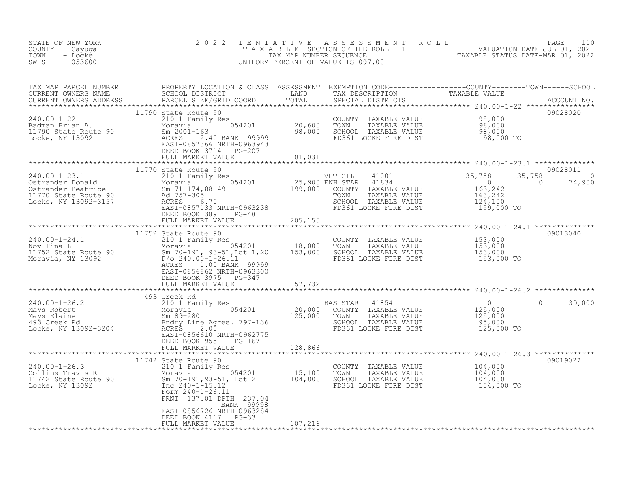| STATE OF NEW YORK<br>COUNTY - Cayuga<br>TOWN<br>- Locke<br>$-053600$<br>SWIS                                                                                                                                                                   | 2 0 2 2<br>TENTATIVE                                                                       |         | UNIFORM PERCENT OF VALUE IS 097.00                                                                                                                    | T E N T A T I V E A S S E S S M E N T R O L L<br>T A X A B L E SECTION OF THE ROLL - 1<br>TAX MAP NUMBER SEQUENCE<br>TAXABLE STATUS DATE-MAR 01, 2022<br>TAXABLE STATUS DATE-MAR 01, 2022 |                                |
|------------------------------------------------------------------------------------------------------------------------------------------------------------------------------------------------------------------------------------------------|--------------------------------------------------------------------------------------------|---------|-------------------------------------------------------------------------------------------------------------------------------------------------------|-------------------------------------------------------------------------------------------------------------------------------------------------------------------------------------------|--------------------------------|
|                                                                                                                                                                                                                                                |                                                                                            |         |                                                                                                                                                       |                                                                                                                                                                                           |                                |
| 240.00-1-22<br>Padman Brian A. Badman Brian A. Moravia 054201 20,600<br>11790 State Route 90 Sm 2001-163 98,000<br>Locke, NY 13092 2.40 BANK 99999<br>EAST-0857366 NRTH-0963943<br>EAST-0857366 NRTH-0963943<br>PEED ROOK 3714 PC-207          | 11790 State Route 90<br>DEED BOOK 3714 PG-207<br>FULL MARKET VALUE                         | 101,031 | COUNTY TAXABLE VALUE $98,000$<br>TOWN TAXABLE VALUE 98,000<br>SCHOOL TAXABLE VALUE 98,000<br>FD361 LOCKE FIRE DIST 98,000 TO<br>FD361 LOCKE FIRE DIST |                                                                                                                                                                                           | 09028020                       |
|                                                                                                                                                                                                                                                |                                                                                            |         |                                                                                                                                                       |                                                                                                                                                                                           |                                |
| 11770 State Moravia (1998)<br>210 1 Family Res (1999)<br>210 1 Family Res (1999)<br>Moravia (199,000 ENH STAR 41834<br>25,900 ENH STAR 41834<br>25,900 ENH STAR 41834<br>25,900 ENH STAR 41834<br>25,900 ENH STAR 41834<br>25,900 ENH STAR 418 | 11770 State Route 90                                                                       |         |                                                                                                                                                       | 41001<br>41834 0<br>TAXABLE VALUE 163,242<br>TAXABLE VALUE 163,242<br>TAXABLE VALUE 163,242<br>TAXABLE VALUE 124,100<br>35,758<br>$\sim$ 0<br>199,000 TO                                  | 09028011<br>$\Omega$<br>74,900 |
|                                                                                                                                                                                                                                                | DEED BOOK 389 PG-48<br>FULL MARKET VALUE                                                   | 205,155 |                                                                                                                                                       |                                                                                                                                                                                           |                                |
|                                                                                                                                                                                                                                                |                                                                                            |         |                                                                                                                                                       |                                                                                                                                                                                           |                                |
| 240.00-1-24.1<br>Nov Tina L<br>Nov Tina L<br>18,000<br>11752 State Route 90<br>Moravia, NY 13092<br>2000 P/o 240.00-1-26.11<br>2000-1-26.11<br>2000-1-26.11<br>2000-1-26.11<br>2000-1-26.11                                                    | EAST-0856862 NRTH-0963300<br>DEED BOOK 3975 PG-347<br>FULL MARKET VALUE                    | 157,732 | COUNTY TAXABLE VALUE<br>TOWN TAXABLE VALUE<br>SCHOOL TAXABLE VALUE<br>FD361 LOCKE FIRE DIST                                                           | 153,000<br>153,000<br>153,000<br>153,000 TO                                                                                                                                               | 09013040                       |
|                                                                                                                                                                                                                                                |                                                                                            |         |                                                                                                                                                       |                                                                                                                                                                                           |                                |
|                                                                                                                                                                                                                                                | 493 Creek Rd<br>EAST-0856610 NRTH-0962775<br>DEED BOOK 955 PG-167                          |         |                                                                                                                                                       | $\circ$<br>$\begin{array}{c} 0 \\ 125,000 \\ 125,000 \\ 95,000 \\ 125,000 \ \text{TO} \end{array}$                                                                                        | 30,000                         |
|                                                                                                                                                                                                                                                | FULL MARKET VALUE                                                                          | 128,866 |                                                                                                                                                       |                                                                                                                                                                                           |                                |
| 240.00-1-26.3<br>Collins Travis R<br>11742 State Route 90<br>Locke, NY 13092<br>2901<br>290-1-15.12<br>290-1-26.11<br>290-1-26.11<br>290-1-26.11<br>290-1-26.11                                                                                | 11742 State Route 90<br>FRNT 137.01 DPTH 237.04<br>BANK 99998<br>EAST-0856726 NRTH-0963284 |         | COUNTY TAXABLE VALUE<br>TOWN     TAXABLE VALUE<br>SCHOOL TAXABLE VALUE<br>FD361 LOCKE FIRE DIST                                                       | 104,000<br>104,000<br>104,000<br>104,000 TO                                                                                                                                               | 09019022                       |
|                                                                                                                                                                                                                                                | DEED BOOK 4117 PG-33<br>FULL MARKET VALUE                                                  | 107,216 |                                                                                                                                                       |                                                                                                                                                                                           |                                |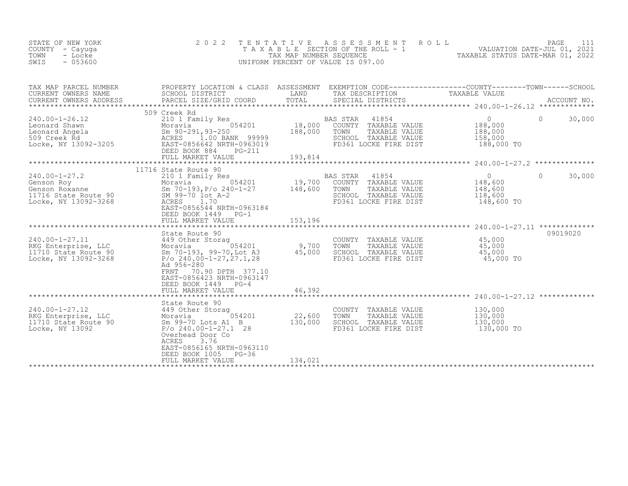| STATE OF NEW YORK<br>COUNTY - Cayuga<br>TOWN<br>- Locke<br>SWIS<br>$-053600$                                                                                                                            | 2 0 2 2                                                                                                                                                                                                         | TENTATIVE<br>TAX MAP NUMBER SEQUENCE | A S S E S S M E N T<br>ROLL<br>TAXABLE SECTION OF THE ROLL - 1<br>UNIFORM PERCENT OF VALUE IS 097.00                              | $\frac{1}{2}$ 1 $\frac{1}{2}$ 7221<br>TAXABLE STATUS DATE-MAR 01, 2022 | PAGE         | 111         |
|---------------------------------------------------------------------------------------------------------------------------------------------------------------------------------------------------------|-----------------------------------------------------------------------------------------------------------------------------------------------------------------------------------------------------------------|--------------------------------------|-----------------------------------------------------------------------------------------------------------------------------------|------------------------------------------------------------------------|--------------|-------------|
| TAX MAP PARCEL NUMBER<br>CURRENT OWNERS NAME<br>CURRENT OWNERS ADDRESS                                                                                                                                  | PROPERTY LOCATION & CLASS ASSESSMENT EXEMPTION CODE----------------COUNTY-------TOWN------SCHOOL<br>SCHOOL DISTRICT<br>PARCEL SIZE/GRID COORD                                                                   | LAND<br>TOTAL                        | TAX DESCRIPTION<br>SPECIAL DISTRICTS                                                                                              | TAXABLE VALUE                                                          |              | ACCOUNT NO. |
| 240.00-1-26.12<br>Leonard Shawn Moravia 054201 18,000<br>Leonard Angela Sm 90-291,93-250 188,000<br>509 Creek Rd ACRES 1.00 BANK 99999<br>Locke, NY 13092-3205 EAST-09656642 NRTH-0963019               | 509 Creek Rd<br>DEED BOOK 884<br>PG-211                                                                                                                                                                         |                                      | BAS STAR 41854 0<br>18,000 COUNTY TAXABLE VALUE 188,000<br>TOWN<br>TAXABLE VALUE<br>SCHOOL TAXABLE VALUE<br>FD361 LOCKE FIRE DIST | 188,000<br>158,000<br>188,000 TO                                       | $\mathbf{0}$ | 30,000      |
|                                                                                                                                                                                                         |                                                                                                                                                                                                                 |                                      |                                                                                                                                   |                                                                        |              |             |
| $240.00 - 1 - 27.2$<br>240.00-1-27.2<br>Genson Roy Moravia 054201<br>Genson Roxanne Sm 70-193, P/o 240-1-27<br>11716 State Route 90 SM 99-70 lot A-2<br>Locke, NY 13092-3268 ACRES 0656544 NPTH 0963194 | 11716 State Route 90<br>EAST-0856544 NRTH-0963184<br>DEED BOOK 1449 PG-1                                                                                                                                        |                                      | BAS STAR<br>41854<br>COUNTY TAXABLE VALUE 148,600<br>TOWN<br>TAXABLE VALUE<br>SCHOOL TAXABLE VALUE<br>FD361 LOCKE FIRE DIST       | $\overline{0}$<br>148,600<br>118,600<br>148,600 TO                     | $\Omega$     | 30,000      |
|                                                                                                                                                                                                         | FULL MARKET VALUE                                                                                                                                                                                               |                                      |                                                                                                                                   |                                                                        |              |             |
|                                                                                                                                                                                                         |                                                                                                                                                                                                                 |                                      |                                                                                                                                   |                                                                        |              |             |
| 240.00-1-27.11<br>RKG Enterprise, LLC<br>11710 State Route 90<br>Locke, NY 13092-3268                                                                                                                   | State Route 90<br>449 Other Storag<br>Moravia 054201<br>Sm 70-193, 99-70, Lot A3<br>$P$ /o 240.00-1-27, 27.1, 28<br>Ad 956-280<br>70.90 DPTH 377.10<br>FRNT<br>EAST-0856423 NRTH-0963147<br>DEED BOOK 1449 PG-4 | 9,700<br>45,000                      | COUNTY TAXABLE VALUE 45,000<br>TOWN TAXABLE VALUE 45,000<br>SCHOOL TAXABLE VALUE<br>FD361 LOCKE FIRE DIST                         | 45,000<br>45,000 TO                                                    | 09019020     |             |
|                                                                                                                                                                                                         | FULL MARKET VALUE                                                                                                                                                                                               | 46,392                               |                                                                                                                                   |                                                                        |              |             |
|                                                                                                                                                                                                         |                                                                                                                                                                                                                 |                                      |                                                                                                                                   |                                                                        |              |             |
| 240.00-1-27.12<br>RKG Enterprise, LLC Moravia 054201<br>11710 State Route 90 Sm 99-70 Lots A1 B<br>Locke, NY 13092 P/o 240.00-1-27.1 28                                                                 | State Route 90<br>054201<br>Sm 99-70 Lots A1 B<br>Overhead Door Co<br>3.76<br>ACRES<br>EAST-0856165 NRTH-0963110                                                                                                | 22,600<br>130,000                    | COUNTY TAXABLE VALUE<br>TOWN<br>TAXABLE VALUE<br>SCHOOL TAXABLE VALUE<br>FD361 LOCKE FIRE DIST                                    | 130,000<br>130,000<br>130,000<br>130,000 TO                            |              |             |
|                                                                                                                                                                                                         | DEED BOOK 1005<br>PG-36<br>FULL MARKET VALUE                                                                                                                                                                    | 134,021                              |                                                                                                                                   |                                                                        |              |             |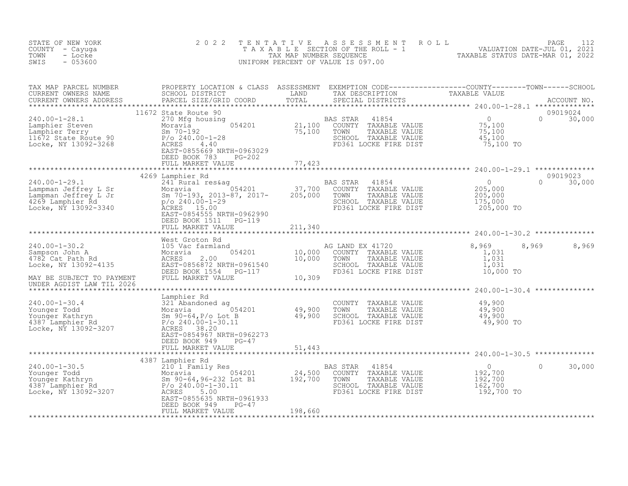| PROPERTY LOCATION & CLASS ASSESSMENT EXEMPTION CODE-------------------COUNTY--------TOWN------SCHOOL<br>SCHOOL DISTRICT LAND TAX DESCRIPTION TAXABLE VALUE<br>PARCEL SIZE/GRID COORD TOTAL SPECIAL DISTRICTS ACCOUNT NO.<br>***********<br>TAX MAP PARCEL NUMBER<br>CURRENT OWNERS NAME<br>ULSTRICT (MERS ADDRESS PARCEL SIZE/GRID COORD PARALL SIZE/GRID COORD PARCEL SIZE/GRID COORD<br>CURRENT OWNERS ADDRESS<br>09019024<br>11672 State Route 90<br>$\begin{array}{c} 0 \\ 75,100 \\ 75,100 \\ 45,100 \\ 75,100 \text{ TO} \end{array}$<br>240.00-1-28.1<br>Lamphier Steven<br>Lamphier Terry Moravia 21,100 COUNTY TAXABLE VALUE<br>Moravia 054201<br>21,100 COUNTY TAXABLE VALUE<br>21,100 COUNTY TAXABLE VALUE<br>21,100 COUNTY TAXABLE VALUE<br>21,100 COUNTY TAXABLE VALUE<br>21,100<br>$0 \t 30,000$<br>FD361 LOCKE FIRE DIST<br>EAST-0855669 NRTH-0963029<br>DEED BOOK 783<br>PG-202<br>77,423<br>FULL MARKET VALUE<br>09019023<br>4269 Lamphier Rd |
|----------------------------------------------------------------------------------------------------------------------------------------------------------------------------------------------------------------------------------------------------------------------------------------------------------------------------------------------------------------------------------------------------------------------------------------------------------------------------------------------------------------------------------------------------------------------------------------------------------------------------------------------------------------------------------------------------------------------------------------------------------------------------------------------------------------------------------------------------------------------------------------------------------------------------------------------------------------|
|                                                                                                                                                                                                                                                                                                                                                                                                                                                                                                                                                                                                                                                                                                                                                                                                                                                                                                                                                                |
|                                                                                                                                                                                                                                                                                                                                                                                                                                                                                                                                                                                                                                                                                                                                                                                                                                                                                                                                                                |
|                                                                                                                                                                                                                                                                                                                                                                                                                                                                                                                                                                                                                                                                                                                                                                                                                                                                                                                                                                |
| 240.00-1-29.1<br>240.00-1-29.1<br>241 Rund Poravia University Dubber of the Moravia US4201<br>205,000 TOWN TAXABLE VALUE<br>269 Lamphier Rd p/o 240.00-1-29<br>205,000 TOWN TAXABLE VALUE<br>205,000 TOWN TAXABLE VALUE<br>205,000 TOWN TAXA<br>$\overline{0}$<br>$\Omega$<br>30,000<br>$\begin{array}{c} 0 \\ 205,000 \\ 205,000 \\ 175,000 \end{array}$<br>$205,000$ TO<br>EAST-0854555 NRTH-0962990<br>DEED BOOK 1511    PG-119                                                                                                                                                                                                                                                                                                                                                                                                                                                                                                                             |
| 211,340<br>FULL MARKET VALUE                                                                                                                                                                                                                                                                                                                                                                                                                                                                                                                                                                                                                                                                                                                                                                                                                                                                                                                                   |
|                                                                                                                                                                                                                                                                                                                                                                                                                                                                                                                                                                                                                                                                                                                                                                                                                                                                                                                                                                |
| 8,969<br>8,969<br>8,969<br>1,031<br>1,031<br>1,031<br>10,000 TO<br>10,309<br>FULL MARKET VALUE<br>MAY BE SUBJECT TO PAYMENT<br>UNDER AGDIST LAW TIL 2026                                                                                                                                                                                                                                                                                                                                                                                                                                                                                                                                                                                                                                                                                                                                                                                                       |
| *****************************<br>*************** 240.00-1-30.4 ***************                                                                                                                                                                                                                                                                                                                                                                                                                                                                                                                                                                                                                                                                                                                                                                                                                                                                                 |
| 140.00-1-30.4<br>Younger Todd 321 Abandoned ag<br>Younger Kathryn Sm 90-64, P/o Lot B<br>1387 Lamphier Rd P/o 240.00-1-30.11<br>Locke, NY 13092-3207<br>P/o 240.00-1-30.11<br>ACRES 38.20<br>P/o 240.00-1-30.11<br>ACRES 38.20<br>COUNTY TAXABLE VALUE $\begin{array}{cccc} 49,900 \ \text{TOWN} & \text{TAXABLE VALUE} & 49,900 \ \text{SCHOOL} & \text{TAXABLE VALUE} & 49,900 \ \text{FD361 LOCKE FIRE DIST} & 49,900 \ \end{array}$<br>EAST-0854967 NRTH-0962273<br>DEED BOOK 949<br>PG-47                                                                                                                                                                                                                                                                                                                                                                                                                                                                 |
| FULL MARKET VALUE<br>51,443                                                                                                                                                                                                                                                                                                                                                                                                                                                                                                                                                                                                                                                                                                                                                                                                                                                                                                                                    |
| 4387 Lamphier Rd                                                                                                                                                                                                                                                                                                                                                                                                                                                                                                                                                                                                                                                                                                                                                                                                                                                                                                                                               |
| $\bigcirc$<br>30,000<br>BAS STAR<br>41854<br>0                                                                                                                                                                                                                                                                                                                                                                                                                                                                                                                                                                                                                                                                                                                                                                                                                                                                                                                 |
| 240.00-1-30.5<br>Younger Todd<br>Younger Kathryn<br>192,700<br>4387 Lamphier Rd<br>Locke, NY 13092-3207<br>240.00-1-30.11<br>24,500<br>240.00-1-30.11<br>24,500<br>240.00-1-30.11<br>27,700<br>27,700<br>27,700<br>27,700<br>27,700<br>27,700<br>27,700<br>27,700<br><br>0<br>192,700<br>192,700<br>COUNTY<br>TAXABLE VALUE<br>TOWN<br>TAXABLE VALUE<br>162,700<br>SCHOOL TAXABLE VALUE<br>FD361 LOCKE FIRE DIST<br>192,700 TO<br>EAST-0855635 NRTH-0961933<br>DEED BOOK 949<br>$PG-47$<br>FULL MARKET VALUE<br>198,660                                                                                                                                                                                                                                                                                                                                                                                                                                        |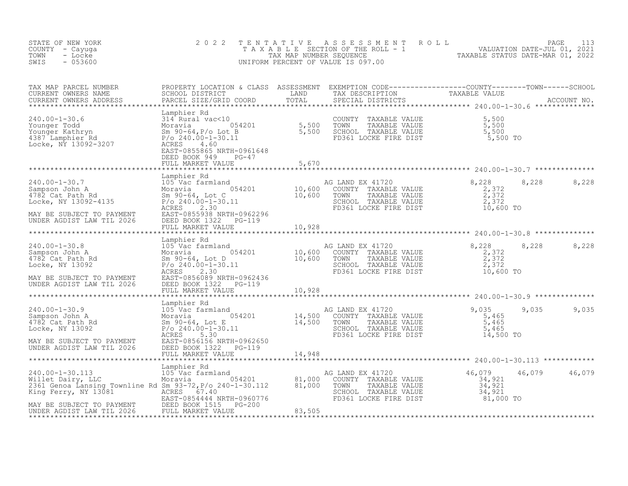| STATE OF NEW YORK<br>COUNTY - Cayuga<br>- Locke<br>TOWN<br>$-053600$<br>SWIS                                                                                                                                                                                                                                                                                                                                                                                                 | 2 0 2 2                  |       | TENTATIVE ASSESSMENT ROLL PAGE 113<br>TAXABLE SECTION OF THE ROLL - 1 VALUATION DATE-JUL 01, 2021<br>TAX MAP NUMBER SEQUENCE TAXABLE STATUS DATE-MAR 01, 2022<br>UNIFORM PERCENT OF VALUE IS 097.00 |                |
|------------------------------------------------------------------------------------------------------------------------------------------------------------------------------------------------------------------------------------------------------------------------------------------------------------------------------------------------------------------------------------------------------------------------------------------------------------------------------|--------------------------|-------|-----------------------------------------------------------------------------------------------------------------------------------------------------------------------------------------------------|----------------|
|                                                                                                                                                                                                                                                                                                                                                                                                                                                                              |                          |       |                                                                                                                                                                                                     |                |
| $\begin{tabular}{lllllllllllllllllllllll} \textsc{rank} & \textsc{PROPERY} & \textsc{PROPERTY LOCATION & \textsc{CIASS} & \textsc{ASSSESSEMENT} & \textsc{EXEMPTION COD} & \textsc{CODE}-------------C-COUNT----C-COUNT----T0NN------SCHOOD \\ \textsc{CURREINT ONNERS ANDRESS & \textsc{SCHOD. DISTRICI} & \textsc{COD. DISTIC} & \textsc{TAYABLE} & \textsc{RXABLE} & \textsc{NAND} \\ \textsc{CURRENT ONNERS ANDRESS & \textsc{PACCLS IZE (GRID COORD & \textsc{TAYABLE}$ |                          |       |                                                                                                                                                                                                     |                |
|                                                                                                                                                                                                                                                                                                                                                                                                                                                                              |                          | 5,670 |                                                                                                                                                                                                     |                |
|                                                                                                                                                                                                                                                                                                                                                                                                                                                                              |                          |       |                                                                                                                                                                                                     |                |
|                                                                                                                                                                                                                                                                                                                                                                                                                                                                              |                          |       |                                                                                                                                                                                                     |                |
|                                                                                                                                                                                                                                                                                                                                                                                                                                                                              |                          |       |                                                                                                                                                                                                     | 8,228<br>8,228 |
|                                                                                                                                                                                                                                                                                                                                                                                                                                                                              |                          |       |                                                                                                                                                                                                     |                |
|                                                                                                                                                                                                                                                                                                                                                                                                                                                                              |                          |       |                                                                                                                                                                                                     | 9,035 9,035    |
|                                                                                                                                                                                                                                                                                                                                                                                                                                                                              | FULL MARKET VALUE 14,948 |       |                                                                                                                                                                                                     |                |
| $\begin{tabular}{lllllllllllllllllllllll} & & & & & & \mbox{Lamphier Rd} & & & & \mbox{Lamphier Rd} & & & \mbox{Mille} & 240.00-1-30.113 & 105 \text{ Vac farmland} & & & \mbox{MGLAND EX 41720} & 46,079 & 46,079 & 40.000-1-30 & 105 \text{ Vac farmland} & & & \mbox{MGLAND EX 41720} & 46,079 & 40.000-1-30 & 105 \text{ Vac farmland} & & & \mbox{MGLND EX 41720} &$                                                                                                    |                          |       |                                                                                                                                                                                                     | 46,079 46,079  |
|                                                                                                                                                                                                                                                                                                                                                                                                                                                                              |                          |       |                                                                                                                                                                                                     |                |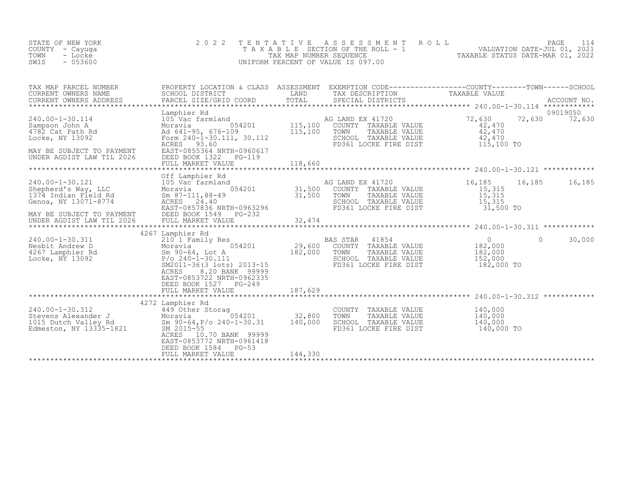| STATE OF NEW YORK<br>COUNTY – Cayuga<br>TOWN - Locke<br>SWIS<br>- 053600 | 2022 TENTATIVE ASSESSMENT ROLL<br>TAXABLE SECTION OF THE ROLL - 1<br>TAX MAP NUMBER SEOUENCE<br>UNIFORM PERCENT OF VALUE IS 097.00 | TAXABLE STATUS DATE-MAR 01, 2022 | PAGE 114<br>VALUATION DATE-JUL 01, 2021 |  |
|--------------------------------------------------------------------------|------------------------------------------------------------------------------------------------------------------------------------|----------------------------------|-----------------------------------------|--|
|                                                                          |                                                                                                                                    |                                  |                                         |  |

| TAX MAP PARCEL NUMBER<br>CURRENT OWNERS NAME<br>CURRENT OWNERS ADDRESS                                                                                   | PROPERTY LOCATION & CLASS ASSESSMENT EXEMPTION CODE----------------COUNTY-------TOWN-----SCHOOL<br>SCHOOL DISTRICT<br><b>EXAMPLE EXAMPLE EXAMPLE EXAMPLE EXAMPLE EXAMPLE EXAMPLE EXAMPLE EXAMPLE EXAMPLE EXAMPLE EXAMPLE EXAMPLE EXAMPLE E</b>                                                                                             |         | TAX DESCRIPTION TAXABLE VALUE                                                                                                                                                     |                      |          |          |
|----------------------------------------------------------------------------------------------------------------------------------------------------------|--------------------------------------------------------------------------------------------------------------------------------------------------------------------------------------------------------------------------------------------------------------------------------------------------------------------------------------------|---------|-----------------------------------------------------------------------------------------------------------------------------------------------------------------------------------|----------------------|----------|----------|
|                                                                                                                                                          | Lamphier Rd                                                                                                                                                                                                                                                                                                                                |         |                                                                                                                                                                                   |                      |          | 09019050 |
| 240.00-1-30.114<br>Sampson John A<br>4782 Cat Path Rd<br>Locke, NY 13092<br>MAY BE SUBJECT TO PAYMENT<br>UNDER AGDIST LAW TIL 2026 DEED BOOK 1322 PG-119 |                                                                                                                                                                                                                                                                                                                                            |         | AG LAND EX 41720<br>COUNTY TAXABLE VALUE<br>TOWN TAXABLE VALUE<br>TOWN TAXABLE VALUE<br>$42,470$<br>$42,470$<br>SCHOOL TAXABLE VALUE $42,470$<br>FD361 LOCKE FIRE DIST 115,100 TO |                      |          |          |
|                                                                                                                                                          | Off Lamphier Rd                                                                                                                                                                                                                                                                                                                            |         |                                                                                                                                                                                   |                      |          |          |
| 240.00-1-30.121 105 Vac farmland<br>Shepherd's Way, LLC Moravia C<br>1374 Indian Field Rd Sm 87-111,88-49<br>Genoa, NY 13071-8774 ACRES 24.40            | 16,185 16<br>16 Moravia 16,185 16<br>Moravia 054201 31,500 COUNTY TAXABLE VALUE 15,315<br>31,500 TOWN TAXABLE VALUE 15,315<br>24.40 SCHOOL TAXABLE VALUE 15,315<br>EAST-0857836 NRTH-0963296 FD361 LOCKE FIRE DIST 31,500 TO                                                                                                               |         |                                                                                                                                                                                   | 16,185 16,185 16,185 |          |          |
| MAY BE SUBJECT TO PAYMENT DEED BOOK 1549 PG-232<br>UNDER AGDIST LAW TIL 2026                                                                             |                                                                                                                                                                                                                                                                                                                                            |         |                                                                                                                                                                                   |                      |          |          |
|                                                                                                                                                          | 4267 Lamphier Rd                                                                                                                                                                                                                                                                                                                           |         |                                                                                                                                                                                   |                      |          |          |
| 240.00-1-30.311<br>Nesbit Andrew D<br>4267 Lamphier Rd<br>Locke, NY 13092                                                                                | 210 <sup>1</sup> 1 Family Res RAS STAR 41854 0<br>Moravia 054201 29,600 COUNTY TAXABLE VALUE 182,000<br>210 <sup>-1</sup> Family Res<br>Moravia 054201 29,600 COON.<br>Sm 90-64, Lot A 182,000 TOWN<br>P/o 240-1-30.111 SCHOOL<br>SM2011-36(3 lots) 2013-15<br>PORE 8.20 BANK 999999<br>EAST-0853722 NRTH-0962335<br>DEED BOOK 1527 PG-249 |         | TOWN      TAXABLE VALUE<br>SCHOOL   TAXABLE VALUE<br>FD361 LOCKE FIRE DIST 182,000 TO                                                                                             | 182,000<br>152,000   | $\Omega$ | 30,000   |
|                                                                                                                                                          |                                                                                                                                                                                                                                                                                                                                            |         |                                                                                                                                                                                   |                      |          |          |
| 240.00-1-30.312<br>Stevens Alexander J<br>1015 Dutch Valley Rd<br>Edmeston, NY 13335-1821<br>Edmeston, NY 13335-1821<br>2015-55                          | 4272 Lamphier Rd<br>ACRES 10.70 BANK 99999<br>EAST-0853772 NRTH-0961418<br>DEED BOOK 1584 PG-53                                                                                                                                                                                                                                            |         | COUNTY TAXABLE VALUE $140,000$<br>TOWN TAXABLE VALUE $140,000$<br>SCHOOL TAXABLE VALUE $140,000$<br>FD361 LOCKE FIRE DIST 140,000 TO                                              |                      |          |          |
|                                                                                                                                                          | FULL MARKET VALUE                                                                                                                                                                                                                                                                                                                          | 144,330 |                                                                                                                                                                                   |                      |          |          |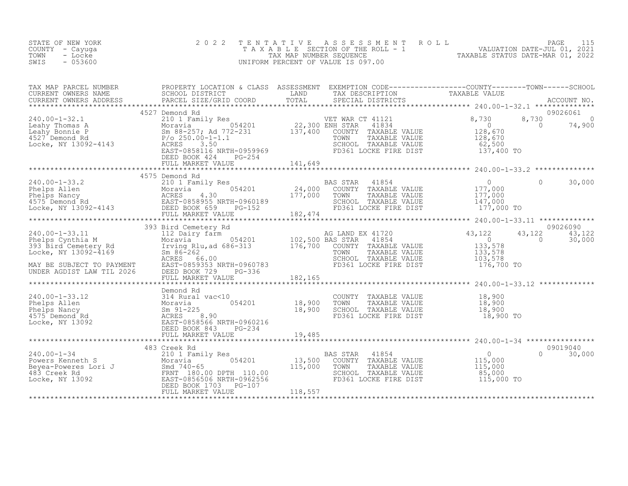| COUNTY<br>- Cayuqa<br>TOWN<br>- Locke<br>$-053600$<br>SWIS                                                                                                                                                                                                                                                                                                                                                                                          |                                                                                |                              | T A X A B L E SECTION OF THE ROLL - 1 WALUATION DATE-JUL 01, 2021<br>TAXABLE STATUS DATE-MAR 01, 2022<br>INIEOPM PERCENT OF VALUE IS 097.00<br>UNIFORM PERCENT OF VALUE IS 097.00 |                                                                                |                         |                                |
|-----------------------------------------------------------------------------------------------------------------------------------------------------------------------------------------------------------------------------------------------------------------------------------------------------------------------------------------------------------------------------------------------------------------------------------------------------|--------------------------------------------------------------------------------|------------------------------|-----------------------------------------------------------------------------------------------------------------------------------------------------------------------------------|--------------------------------------------------------------------------------|-------------------------|--------------------------------|
| TAX MAP PARCEL NUMBER BROPERTY LOCATION & CLASS ASSESSMENT EXEMPTION CODE----------------COUNTY--------TOWN-----SCHOOL CURRENT OWNERS NAME SCHOOL DISTRICT LAND TAX DESCRIPTION TAXABLE VALUE CURRENT OWNERS ADDRESS PARCEL SI                                                                                                                                                                                                                      |                                                                                |                              |                                                                                                                                                                                   |                                                                                |                         |                                |
|                                                                                                                                                                                                                                                                                                                                                                                                                                                     | 4527 Demond Rd<br>DEED BOOK 424 PG-254                                         |                              | VET WAR CT 41121 8,730<br>ENH STAR 41834 0<br>COUNTY TAXABLE VALUE<br>TAXABLE VALUE<br>SCHOOL TAXABLE VALUE<br>FD361 LOCKE FIRE DIST                                              | $\sim$ 0<br>128,670<br>128,670<br>62,500<br>137,400 TO                         | 8,730<br>$\overline{0}$ | 09026061<br>$\Omega$<br>74,900 |
|                                                                                                                                                                                                                                                                                                                                                                                                                                                     |                                                                                |                              |                                                                                                                                                                                   |                                                                                |                         |                                |
| $\begin{array}{lllllllllllll} 240.00-1-33.2 & & & & 45/5\text{ J} & \text{Demond KA} & & & & \text{B} \\ \text{Phelps Allen} & & & & & 210\text{ I Family Res} & & & & 24,000 \\ \text{Phelps Nancy} & & & & & & \text{ACRES} & 4.30 & & 177,000 \\ 4575\text{ Demond Rd} & & & & & & \text{EAST-0858955 NRTH-0960189} & & & & 177,000 \\ \text{Locke, NY 13092-4143 & & & & & \text{EUL} &$                                                        | 4575 Demond Rd                                                                 |                              | <b>BAS STAR</b><br>41854<br>COUNTY TAXABLE VALUE<br>TOWN<br>TAXABLE VALUE<br>SCHOOL TAXABLE VALUE<br>FD361 LOCKE FIRE DIST                                                        | $\overline{0}$<br>$177,000$<br>$177,000$<br>147,000<br>177,000 TO              | $\Omega$                | 30,000                         |
|                                                                                                                                                                                                                                                                                                                                                                                                                                                     |                                                                                |                              |                                                                                                                                                                                   |                                                                                |                         |                                |
| $\begin{tabular}{lllllllllll} \multicolumn{3}{c }{\begin{tabular}{c} \multicolumn{3}{c}{\begin{tabular}{c} $\mathsf{240.00$--1$--33.11}$} \multicolumn{3}{c}{\begin{tabular}{c} $\mathsf{39.3~Bird} $\mathsf{C}$ & $\mathsf{39.3~Bird}$ & $\mathsf{122~Dairy}$ & $\mathsf{farm}$ & $\mathsf{AG} $\mathsf{LAND} $\mathsf{EX}$ & $\mathsf{41720}$ \\ 112 & \mathsf{Dairy} $\mathsf{farm}$ & $\mathsf{102,500} $\mathsf{BAS} $\mathsf{STAR}$ & $\math$ |                                                                                |                              | AG LAND EX 41720<br>DAG STAR 41854<br>COUNTY TAXABLE VALUE<br>TAXABLE VALUE<br>SCHOOL TAXABLE VALUE<br>FD361 LOCKE FIRE DIST                                                      | 43,122<br>$\frac{7}{0}$<br>133,578<br>133,378<br>103,578<br>176,700 TO         | 43,122<br>$\sim$ 0      | 09026090<br>43,122<br>30,000   |
|                                                                                                                                                                                                                                                                                                                                                                                                                                                     |                                                                                |                              |                                                                                                                                                                                   |                                                                                |                         |                                |
| 240.00-1-33.12<br>Phelps Allen 314 Rural vac<10<br>Phelps Nancy Moravia 91-225 18,900<br>4575 Demond Rd 201<br>Locke, NY 13092<br>2021<br>2021<br>2022 234<br>2022 234<br>2022 234<br>2022 234<br>2022 234<br>2022 234<br>2022 234<br>2022 234<br>2022 234<br>                                                                                                                                                                                      | Demond Rd                                                                      |                              | COUNTY TAXABLE VALUE 18,900<br>TOWN TAXABLE VALUE 18,900<br>SCHOOL TAXABLE VALUE 18,900<br>FD361 LOCKE FIRE DIST                                                                  | 18,900 TO                                                                      |                         |                                |
|                                                                                                                                                                                                                                                                                                                                                                                                                                                     | FULL MARKET VALUE                                                              | 19,485                       |                                                                                                                                                                                   |                                                                                |                         |                                |
| $240.00 - 1 - 34$<br>240.00-1-34<br>Powers Kenneth S<br>Beyea-Poweres Lori J<br>483 Creek Rd<br>Locke, NY 13092<br>FRNT 180.00 DPTH 110.00<br>EAST-0856506 NRTH-0962556<br>FRNT 180.00 DPTH 110.00<br>EAST-0856506 NRTH-0962556<br>FRNT 180.00 DPTH 110.00<br>EAST-0856                                                                                                                                                                             | 483 Creek Rd<br>210 1 Family Res<br>DEED BOOK 1703 PG-107<br>FULL MARKET VALUE | 13,500<br>115,000<br>118,557 | BAS STAR<br>41854<br>COUNTY TAXABLE VALUE<br>TOWN<br>TAXABLE VALUE<br>SCHOOL TAXABLE VALUE<br>FD361 LOCKE FIRE DIST                                                               | $\begin{array}{c} 0 \\ 115,000 \\ 115,000 \end{array}$<br>85,000<br>115,000 TO | $\Omega$                | 09019040<br>30,000             |

\*\*\*\*\*\*\*\*\*\*\*\*\*\*\*\*\*\*\*\*\*\*\*\*\*\*\*\*\*\*\*\*\*\*\*\*\*\*\*\*\*\*\*\*\*\*\*\*\*\*\*\*\*\*\*\*\*\*\*\*\*\*\*\*\*\*\*\*\*\*\*\*\*\*\*\*\*\*\*\*\*\*\*\*\*\*\*\*\*\*\*\*\*\*\*\*\*\*\*\*\*\*\*\*\*\*\*\*\*\*\*\*\*\*\*\*\*\*\*\*\*\*\*\*\*\*\*\*\*\*\*\*

STATE OF NEW YORK 2 0 2 2 T E N T A T I V E A S S E S S M E N T R O L L PAGE 115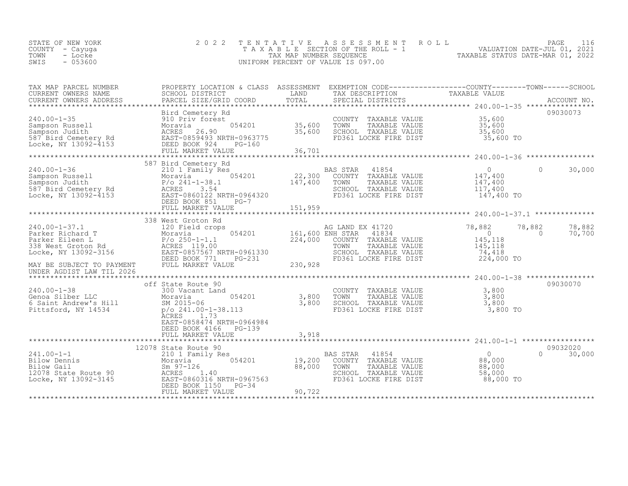| STATE OF NEW YORK<br>COUNTY – Cayuga | 2022 TENTATIVE ASSESSMENT ROLL<br>TAXABLE SECTION OF THE ROLL - 1 |                                  | PAGE<br>VALUATION DATE-JUL 01, 2021 |  |
|--------------------------------------|-------------------------------------------------------------------|----------------------------------|-------------------------------------|--|
| TOWN<br>- Locke<br>$-053600$<br>SWIS | TAX MAP NUMBER SEOUENCE<br>UNIFORM PERCENT OF VALUE IS 097.00     | TAXABLE STATUS DATE-MAR 01, 2022 |                                     |  |

| TAX MAP PARCEL NUMBER<br>TAX MAP PARCER NUMBER<br>CURRENT OWNERS NAME SCHOOL DISTRICT COORD TOTAL TRANSFERS TRANSFERS ADDRESS FACCOUNT NO.<br>CURRENT OWNERS ADDRESS PARCEL SIZE/GRID COORD TOTAL SPECIAL DISTRICTS ACCOUNT NO.<br>*****************************                                                                                              | PROPERTY LOCATION & CLASS ASSESSMENT EXEMPTION CODE----------------COUNTY-------TOWN------SCHOOL |        |  |          |                           |
|---------------------------------------------------------------------------------------------------------------------------------------------------------------------------------------------------------------------------------------------------------------------------------------------------------------------------------------------------------------|--------------------------------------------------------------------------------------------------|--------|--|----------|---------------------------|
| 340.00-1-35<br>240.00-1-35<br>240.00-1-35<br>26.00<br>26.00 Examples value<br>26.00 Examples value<br>26.00 Examples value<br>26.00 Examples value<br>26.90 SCHOOL TAXABLE VALUE<br>26.90 SCHOOL TAXABLE VALUE<br>26.90 SCHOOL TAXABLE VALUE<br>26.9                                                                                                          |                                                                                                  | 36,701 |  |          | 09030073                  |
| $\begin{tabular}{lllllllllllll} \multicolumn{3}{c}{240.00-1-36} & 587 \text{ Bird} & 587 \text{ Find} & 587 \text{ and} & 587 \text{ and} & 0 & 30,000 \\ & 210.1 \text{ Family Res} & 0 & 30,000 \\ & & 22,300 & \text{COUNTY} & \text{TAABLE VALUE} & 147,400 \\ & & 9/0 & 241-1-36 & 147,400 & 147,400 \\ & & 9/0 & 241-1-36 & 147,400 & 147,400 \\ & & 9$ | 587 Bird Cemetery Rd                                                                             |        |  |          |                           |
|                                                                                                                                                                                                                                                                                                                                                               | 338 West Groton Rd                                                                               |        |  |          |                           |
| UNDER AGDIST LAW TIL 2026                                                                                                                                                                                                                                                                                                                                     |                                                                                                  |        |  |          | 78,882 78,882<br>0 70,700 |
| 340.00-1-38<br>COUNTY TAXABLE VALUE<br>Genoa Silber LLC<br>6 Saint Andrew's Hill<br>Moravia 3,800<br>Moravia 554201<br>SM 2015-06<br>Pittsford, NY 14534<br>Pittsford, NY 14534<br>ACRES<br>ACRES<br>2.1.73<br>2.1.73<br>2.1.73<br>2.1.73<br>2.1.73<br>2.1.73<br>                                                                                             | EAST-0858474 NRTH-0964984<br>DEED BOOK 4166 PG-139                                               |        |  |          | 09030070                  |
|                                                                                                                                                                                                                                                                                                                                                               | 12078 State Route 90                                                                             |        |  | 09032020 |                           |
|                                                                                                                                                                                                                                                                                                                                                               |                                                                                                  |        |  |          | $0 \t 30,000$             |
|                                                                                                                                                                                                                                                                                                                                                               |                                                                                                  |        |  |          |                           |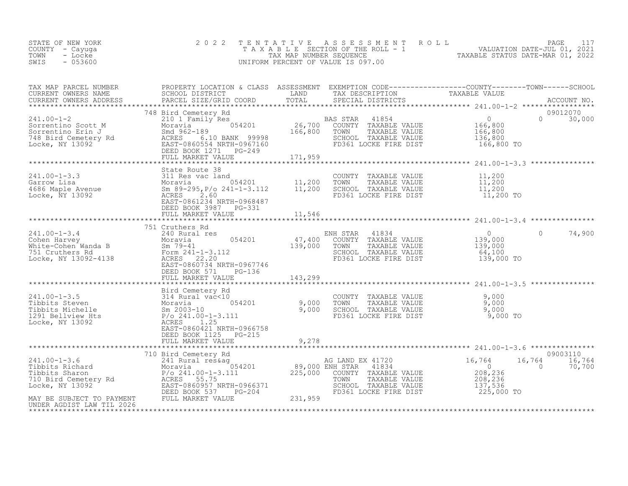| STATE OF NEW YORK<br>COUNTY – Cayuga<br>TOWN<br>- Locke<br>SWIS<br>$-053600$ | 2022 TENTATIVE ASSESSMENT ROLL<br>T A X A B L E SECTION OF THE ROLL - 1<br>TAX MAP NUMBER SEQUENCE<br>UNIFORM PERCENT OF VALUE IS 097.00 | TAXABLE STATUS DATE-MAR 01, 2022 | PAGE<br>VALUATION DATE-JUL 01, 2021 |  |
|------------------------------------------------------------------------------|------------------------------------------------------------------------------------------------------------------------------------------|----------------------------------|-------------------------------------|--|
|                                                                              |                                                                                                                                          |                                  |                                     |  |

| TAX MAP PARCEL NUMBER                                                                                                                                                                                                                                                                                                                                                                                                                                                                                         | PROPERTY LOCATION & CLASS ASSESSMENT EXEMPTION CODE----------------COUNTY-------TOWN-----SCHOOL |         |                                                                                                                                                                                                                         |                       |                                                    |
|---------------------------------------------------------------------------------------------------------------------------------------------------------------------------------------------------------------------------------------------------------------------------------------------------------------------------------------------------------------------------------------------------------------------------------------------------------------------------------------------------------------|-------------------------------------------------------------------------------------------------|---------|-------------------------------------------------------------------------------------------------------------------------------------------------------------------------------------------------------------------------|-----------------------|----------------------------------------------------|
|                                                                                                                                                                                                                                                                                                                                                                                                                                                                                                               |                                                                                                 |         |                                                                                                                                                                                                                         |                       |                                                    |
| $\begin{tabular}{lllllllllllllllllll} \multicolumn{3}{c }{\begin{tabular}{l} \multicolumn{3}{c}{\begin{tabular}{l} \multicolumn{3}{c}{\begin{tabular}{l} \multicolumn{3}{c}{\begin{tabular}{l} \multicolumn{3}{c}{\begin{tabular}{l} \multicolumn{3}{c}{\begin{tabular}{l} \multicolumn{3}{c}{\begin{tabular}{c} \multicolumn{3}{c}{\begin{tabular}{c} \multicolumn{3}{c}{\begin{tabular}{c} \multicolumn{3}{c}{\begin{tabular}{c} \multicolumn{3}{c}{\begin{tabular}{c} \multicolumn{3}{c}{\begin{tabular}{$ |                                                                                                 |         |                                                                                                                                                                                                                         | 136,800<br>166,800 TO | 09012070<br>$0 \t 30,000$                          |
|                                                                                                                                                                                                                                                                                                                                                                                                                                                                                                               |                                                                                                 |         |                                                                                                                                                                                                                         |                       |                                                    |
|                                                                                                                                                                                                                                                                                                                                                                                                                                                                                                               |                                                                                                 |         |                                                                                                                                                                                                                         |                       |                                                    |
|                                                                                                                                                                                                                                                                                                                                                                                                                                                                                                               | FULL MARKET VALUE                                                                               | 11,546  |                                                                                                                                                                                                                         |                       |                                                    |
|                                                                                                                                                                                                                                                                                                                                                                                                                                                                                                               | 751 Cruthers Rd                                                                                 |         |                                                                                                                                                                                                                         |                       |                                                    |
| $\begin{array}{cccccc} 241.00-1-3.4 & 751 \text{ Cruthers } \text{Rd} & \text{EMH } \text{STAR} & 41834 \\ \text{Cohen Harvey} & \text{Moravia} & 240 \text{ Rural res} & 054201 & 47,400 \text{ COUNTY } \text{TAXABLE VALUE} & 0 \\ \text{White-Cohen Wanda B} & \text{Sm } 79-41 & 39,000 \text{ TONN } \text{TAXABLE VALUE} & 139,000 \\ \text{Thic-Cohen Wanda B} & \text{Sm } 79-41 & 339,000 \text{ TONN } \text{TAXABLE VALUE$                                                                        |                                                                                                 |         |                                                                                                                                                                                                                         |                       | $\cap$<br>74,900                                   |
|                                                                                                                                                                                                                                                                                                                                                                                                                                                                                                               | FULL MARKET VALUE                                                                               | 143,299 |                                                                                                                                                                                                                         |                       |                                                    |
|                                                                                                                                                                                                                                                                                                                                                                                                                                                                                                               |                                                                                                 |         |                                                                                                                                                                                                                         |                       |                                                    |
|                                                                                                                                                                                                                                                                                                                                                                                                                                                                                                               | EAST-0860421 NRTH-0966758<br>DEED BOOK 1125 PG-215                                              |         | COUNTY TAXABLE VALUE $\begin{array}{ccc} 9,000 \ \text{TOWN} & \text{TAXABLE VALUE} \ \text{SCHOOL} & \text{TAXABLE VALUE} \ \text{FDS61 LOCKE FIRE DIST} & 9,000 \ \text{FDS61 LOCKE FIRE DIST} & 9,000 \ \end{array}$ |                       |                                                    |
|                                                                                                                                                                                                                                                                                                                                                                                                                                                                                                               | FULL MARKET VALUE                                                                               | 9,278   |                                                                                                                                                                                                                         |                       |                                                    |
|                                                                                                                                                                                                                                                                                                                                                                                                                                                                                                               |                                                                                                 |         |                                                                                                                                                                                                                         |                       |                                                    |
|                                                                                                                                                                                                                                                                                                                                                                                                                                                                                                               |                                                                                                 |         |                                                                                                                                                                                                                         | 137,536<br>225,000 TO | 09003110<br>16,764<br>16,764<br>$\sim$ 0<br>70,700 |
|                                                                                                                                                                                                                                                                                                                                                                                                                                                                                                               |                                                                                                 |         |                                                                                                                                                                                                                         |                       |                                                    |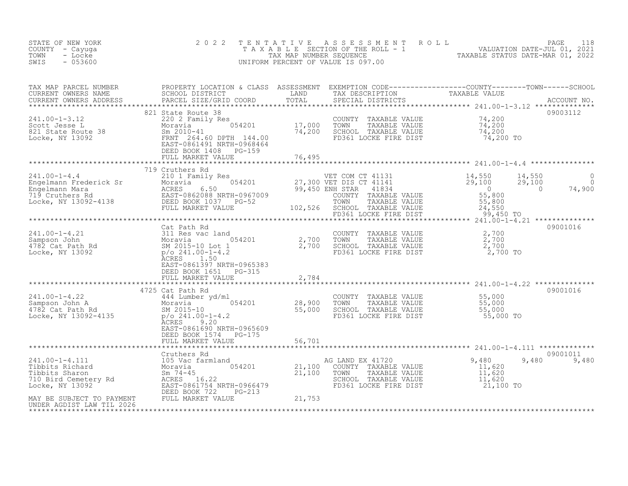| STATE OF NEW YORK<br>COUNTY - Cayuga<br>TOWN<br>- Locke<br>SWIS<br>$-053600$                                                                                                                                                                                                                                                                                                                                                        | 2 0 2 2                                                                 | TENTATIVE | UNIFORM PERCENT OF VALUE IS 097.00                                                                                         | FENTATIVE ASSESSMENT ROLL<br>TAXABLE SECTION OF THE ROLL - 1 VALUATION DATE-JUL 01, 2021<br>TAX MAP NUMBER SEQUENCE TAXABLE STATUS DATE-MAR 01, 2022<br>JNIFORM PERCENT OF VALUE IS 097.00 |                          |
|-------------------------------------------------------------------------------------------------------------------------------------------------------------------------------------------------------------------------------------------------------------------------------------------------------------------------------------------------------------------------------------------------------------------------------------|-------------------------------------------------------------------------|-----------|----------------------------------------------------------------------------------------------------------------------------|--------------------------------------------------------------------------------------------------------------------------------------------------------------------------------------------|--------------------------|
| TAX MAP PARCEL NUMBER<br>CURRENT OWNERS NAME<br>CURRENT OWNERS ADDRESS                                                                                                                                                                                                                                                                                                                                                              |                                                                         |           |                                                                                                                            |                                                                                                                                                                                            |                          |
|                                                                                                                                                                                                                                                                                                                                                                                                                                     | DEED BOOK 1408 PG-159<br>FULL MARKET VALUE                              | 76,495    |                                                                                                                            |                                                                                                                                                                                            | 09003112                 |
|                                                                                                                                                                                                                                                                                                                                                                                                                                     |                                                                         |           |                                                                                                                            |                                                                                                                                                                                            |                          |
| $\begin{tabular}{lllllllllllllllllll} \hline 241.00-1-4.4 & 719\;\;Cruthers\;\;Rd & 210\;\;1\;\;Family\;\;Res & 054201 & 719\;\;Cruthers\;\;Rd & 054201 & 27,300\;\;VET\;\;COM\;\;CT\;\;41131 & 14,550\;\;14,550\;\;27,300\;\;VET\;\;DIS\;\;CT\;\;41141 & 29,100\;\;29,450\;\;EWRST\;\;Rd & 0& 0& 0& 0& 0$                                                                                                                          | 719 Cruthers Rd                                                         |           |                                                                                                                            | 14,550<br>29,100<br>$\sim$ 0                                                                                                                                                               | $\overline{0}$<br>74,900 |
|                                                                                                                                                                                                                                                                                                                                                                                                                                     |                                                                         |           |                                                                                                                            |                                                                                                                                                                                            |                          |
|                                                                                                                                                                                                                                                                                                                                                                                                                                     |                                                                         |           |                                                                                                                            |                                                                                                                                                                                            |                          |
| $\begin{array}{lllllllllllll} 241.00-1-4.21 & \text{Cat } \texttt{Path } \texttt{Rd} & \texttt{COUNTY} & \texttt{TAXABLE VALUE} & 2,700 \\ \texttt{Sampson John} & \texttt{Moravia} & 054201 & 2,700 & \texttt{TOWN} & \texttt{TAXABLE VALUE} & 2,700 \\ 4782 \texttt{Cat } \texttt{Path } \texttt{Rd} & \texttt{SM } 2015-10 \texttt{ Lot} & 2,700 & \texttt{SCHOOL} & \texttt{TAXABLE VALUE} & 2,700 \\ \texttt{Locke, NY } 1309$ | ACRES 1.50                                                              |           |                                                                                                                            |                                                                                                                                                                                            | 09001016                 |
|                                                                                                                                                                                                                                                                                                                                                                                                                                     | EAST-0861397 NRTH-0965383<br>DEED BOOK 1651 PG-315<br>FULL MARKET VALUE | 2,784     |                                                                                                                            |                                                                                                                                                                                            |                          |
|                                                                                                                                                                                                                                                                                                                                                                                                                                     | 4725 Cat Path Rd                                                        |           |                                                                                                                            |                                                                                                                                                                                            | 09001016                 |
| 241.00-1-4.22<br>Sampson John A<br>4782 Cat Path Rd<br>1782 Cat Path Rd<br>1782 Cat Path Rd<br>1782 Cat Path Rd<br>1782 Cat Path Rd<br>1892-4135<br>29/0241.00-1-4.2<br>29/00 SCHOOL TAXABLE VALUE<br>29,900 SCHOOL TAXABLE VALUE<br>55,000 SCHOOL                                                                                                                                                                                  |                                                                         |           | COUNTY TAXABLE VALUE 55,000<br>TOWN TAXABLE VALUE 55,000<br>SCHOOL TAXABLE VALUE 55,000<br>FD361 LOCKE FIRE DIST 55,000 TO |                                                                                                                                                                                            |                          |
|                                                                                                                                                                                                                                                                                                                                                                                                                                     | EAST-0861690 NRTH-0965609<br>DEED BOOK 1574 PG-175<br>FULL MARKET VALUE | 56,701    |                                                                                                                            |                                                                                                                                                                                            |                          |
|                                                                                                                                                                                                                                                                                                                                                                                                                                     |                                                                         |           |                                                                                                                            |                                                                                                                                                                                            | 09001011                 |
|                                                                                                                                                                                                                                                                                                                                                                                                                                     |                                                                         |           |                                                                                                                            | 9,480<br>$\begin{array}{r} 11,620 \\ 11,620 \\ 11,620 \end{array}$<br>21,100 TO                                                                                                            | 9,480 9,480              |
|                                                                                                                                                                                                                                                                                                                                                                                                                                     |                                                                         |           |                                                                                                                            |                                                                                                                                                                                            |                          |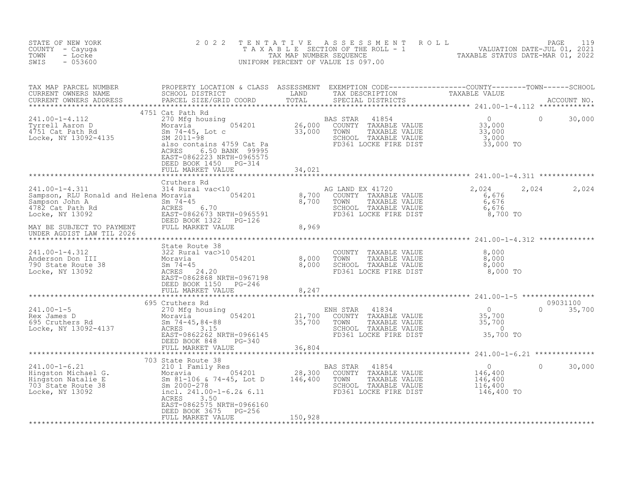| STATE OF NEW YORK<br>COUNTY - Cayuga<br>- Locke<br>TOWN<br>$-053600$<br>SWIS                                                                                                                                                                                                                                                                 | 2 0 2 2                                                                                                                 |         | TENTATIVE ASSESSMENT ROLL ROUM VALUATION DATE-JUL 01, 2021<br>TAXABLE SECTION OF THE ROLL - 1 VALUATION DATE-JUL 01, 2021<br>TAXABLE STATUS DATE-MAR 01, 2022<br>UNIFORM PERCENT OF VALUE IS 097.00 |                   |                      |        |
|----------------------------------------------------------------------------------------------------------------------------------------------------------------------------------------------------------------------------------------------------------------------------------------------------------------------------------------------|-------------------------------------------------------------------------------------------------------------------------|---------|-----------------------------------------------------------------------------------------------------------------------------------------------------------------------------------------------------|-------------------|----------------------|--------|
| TAX MAP PARCEL NUMBER PROPERTY LOCATION & CLASS ASSESSMENT EXEMPTION CODE----------------COUNTY--------TOWN------SCHOOL CURRENT OWNERS NAME SCHOOL DISTRICT LAND TAX DESCRIPTION TAXABLE VALUE<br>CURRENT OWNERS ADDRESS PARCEL S                                                                                                            |                                                                                                                         |         |                                                                                                                                                                                                     |                   |                      |        |
| 241.00-1-4.112<br>Tyrrell Aaron D 270 Mfg housing 054201 BAS STAR 41854 0<br>4751 Cat Path Rd Sm 74-45, Lot c 33,000 TOWN TAXABLE VALUE<br>Locke, NY 13092-4135 SIRS 31,000 SCHOL TAXABLE VALUE<br>Moravia 954201 26,000 COUNTY TAXAB                                                                                                        | 4751 Cat Path Rd<br>6.50 BANK 99995<br>ACRES<br>EAST-0862223 NRTH-0965575<br>DEED BOOK 1450 PG-314<br>FULL MARKET VALUE | 34,021  |                                                                                                                                                                                                     |                   | 0                    | 30,000 |
|                                                                                                                                                                                                                                                                                                                                              |                                                                                                                         |         |                                                                                                                                                                                                     |                   |                      |        |
|                                                                                                                                                                                                                                                                                                                                              |                                                                                                                         |         | COUNTY TAXABLE VALUE<br>TOWN TAXABLE VALUE 6,676<br>SCHOOL TAXABLE VALUE 6,676<br>FD361 LOCKE FIRE DIST                                                                                             | 2,024<br>8,700 TO | 2,024 2,024          |        |
|                                                                                                                                                                                                                                                                                                                                              |                                                                                                                         |         |                                                                                                                                                                                                     |                   |                      |        |
|                                                                                                                                                                                                                                                                                                                                              | DEED BOOK 1150 PG-246<br>FULL MARKET VALUE                                                                              | 8,247   |                                                                                                                                                                                                     |                   |                      |        |
|                                                                                                                                                                                                                                                                                                                                              |                                                                                                                         |         |                                                                                                                                                                                                     |                   |                      |        |
| $\begin{array}{lllllllllllllllllllll} \end{array} \begin{array}{l} \text{0.5, 700} & \text{0.5, 700} & \text{0.5, 700} & \text{0.5, 700} & \text{0.5, 700} & \text{0.5, 700} & \text{0.5, 700} & \text{0.5, 700} & \text{0.5, 700} & \text{0.5, 700} & \text{0.5, 700} & \text{0.5, 700} & \text{0.5, 700} & \text{0.5, 700} & \text{0.5, 7$ | 695 Cruthers Rd<br>DEED BOOK 848 PG-340<br>FULL MARKET VALUE 66,804                                                     |         |                                                                                                                                                                                                     |                   | 09031100<br>$\Omega$ | 35,700 |
|                                                                                                                                                                                                                                                                                                                                              |                                                                                                                         |         |                                                                                                                                                                                                     |                   |                      |        |
| 241.00-1-6.21<br>Hingston Michael G.<br>Hingston Natalie E Moravia 054201 28,300<br>703 State Route 38<br>Locke, NY 13092<br>28.300<br>28,300<br>28,300<br>28,300<br>28,300<br>28,300<br>28,300<br>28,300<br>28,300<br>28,300<br>28,300<br>28,300<br>28,300<br>28,                                                                           | 703 State Route 38<br>ACRES<br>3.50<br>EAST-0862575 NRTH-0966160<br>DEED BOOK 3675 PG-256<br>FULL MARKET VALUE          | 150,928 | BAS STAR<br>41854<br>AS STAR 41854<br>COUNTY TAXABLE VALUE 146,400<br>TOWN TAXABLE VALUE 146,400<br>SCHOOL TAXABLE VALUE 116,400<br>FD361 LOCKE FIRE DIST 146,400 TO                                | $\overline{0}$    | $\circ$              | 30,000 |
|                                                                                                                                                                                                                                                                                                                                              |                                                                                                                         |         |                                                                                                                                                                                                     |                   |                      |        |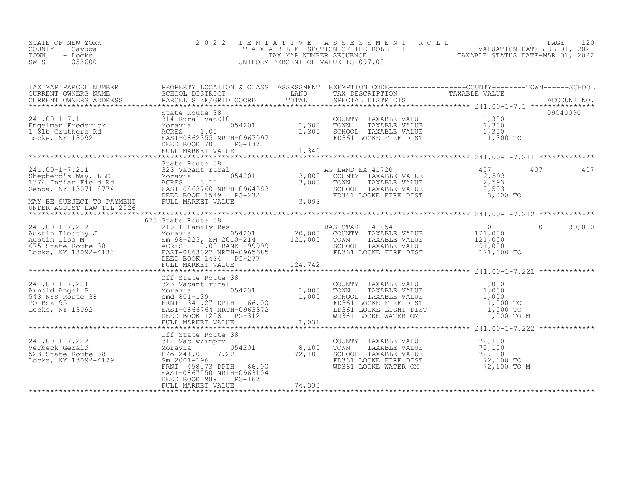| STATE OF NEW YORK | 2022 TENTATIVE ASSESSMENT ROLL        |                                  | PAGE                        | 1 2 0 |
|-------------------|---------------------------------------|----------------------------------|-----------------------------|-------|
| COUNTY - Cayuga   | T A X A B L E SECTION OF THE ROLL - 1 |                                  | VALUATION DATE-JUL 01, 2021 |       |
| TOWN<br>Locke     | TAX MAP NUMBER SEOUENCE               | TAXABLE STATUS DATE-MAR 01, 2022 |                             |       |
| $-053600$<br>SWIS | UNIFORM PERCENT OF VALUE IS 097.00    |                                  |                             |       |

| TAX MAP PARCEL NUMBER THE PROPERTY LOCATION & CLASS ASSESSMENT EXEMPTION CODE----------------COUNTY--------TOWN-----SCHOOL |                      |  |             |  |
|----------------------------------------------------------------------------------------------------------------------------|----------------------|--|-------------|--|
|                                                                                                                            |                      |  |             |  |
|                                                                                                                            |                      |  |             |  |
|                                                                                                                            |                      |  |             |  |
|                                                                                                                            |                      |  |             |  |
|                                                                                                                            |                      |  |             |  |
|                                                                                                                            |                      |  |             |  |
|                                                                                                                            | DEED BOOK 989 PG-167 |  | 72,100 TO M |  |
|                                                                                                                            |                      |  |             |  |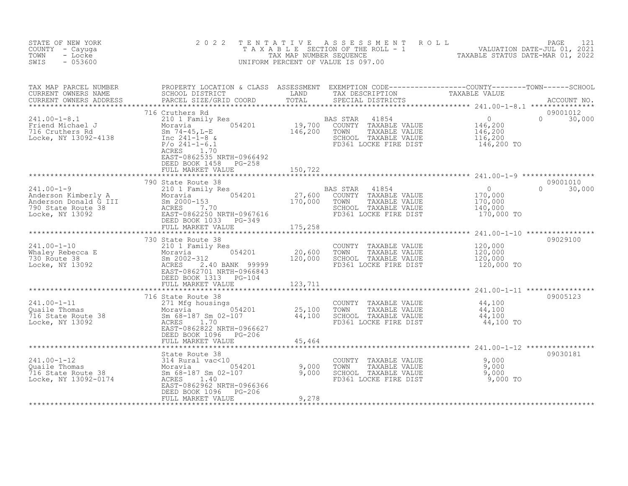| STATE OF NEW YORK<br>COUNTY - Cayuga<br>- Locke<br>TOWN<br>$-053600$<br>SWIS                                                                                | 2 0 2 2                                                                                                                                                                                         | TENTATIVE               | ASSESSMENT ROLL<br>EAGE 121<br>TAXABLE SECTION OF THE ROLL - 1 VALUATION DATE-JUL 01, 2021<br>TAXABLE STATUS DATE-MAR 01, 2022<br>NULLE STATUS DATE-MAR 01, 2022<br>UNIFORM PERCENT OF VALUE IS 097.00 |                                                    | 121<br>PAGE                    |
|-------------------------------------------------------------------------------------------------------------------------------------------------------------|-------------------------------------------------------------------------------------------------------------------------------------------------------------------------------------------------|-------------------------|--------------------------------------------------------------------------------------------------------------------------------------------------------------------------------------------------------|----------------------------------------------------|--------------------------------|
| TAX MAP PARCEL NUMBER<br>CURRENT OWNERS NAME<br>CURRENT OWNERS ADDRESS                                                                                      | PARCEL SIZE/GRID COORD                                                                                                                                                                          | TOTAL                   | SPECIAL DISTRICTS                                                                                                                                                                                      |                                                    | ACCOUNT NO.                    |
| $241.00 - 1 - 8.1$<br>241.00-1 U.1<br>Friend Michael J<br>716 Cruthers Rd<br>*** 12002-4138<br>Locke, NY 13092-4138                                         | 716 Cruthers Rd<br>210 1 Family Res<br>Moravia $054201$<br>Sm $74-45$ , L-E<br>Inc $241 - 1 - 8$ &<br>$P/O 241-1-6.1$<br>ACRES 1.70<br>EAST-0862535 NRTH-0966492<br>DEED BOOK 1458 PG-258       |                         | BAS STAR 41854<br>19,700 COUNTY TAXABLE VALUE<br>146,200 TOWN TAXABLE VALUE<br>SCHOOL TAXABLE VALUE<br>FD361 LOCKE FIRE DIST                                                                           | $0$<br>146,200<br>146,200<br>116,200<br>146,200 TO | 09001012<br>$\Omega$<br>30,000 |
|                                                                                                                                                             | FULL MARKET VALUE                                                                                                                                                                               | 150,722                 |                                                                                                                                                                                                        |                                                    |                                |
| 241.00-1-9<br>Anderson Kimberly A Moravia<br>Anderson Donald G III Sm 2000-153<br>790 State Route 38 ACRES 7.70<br>NY 13092 BAST-0862250 N<br>NEED BOOK 103 | 790 State Route 38<br>210 1 Family Res<br>054201<br>Moravia<br>Sm 2000-153                                                                                                                      | 27,600<br>170,000       | 41854<br>BAS STAR<br>COUNTY TAXABLE VALUE<br>TOWN<br>TAXABLE VALUE<br>SCHOOL TAXABLE VALUE                                                                                                             | $\overline{0}$<br>170,000<br>170,000<br>140,000    | 09001010<br>$\Omega$<br>30,000 |
|                                                                                                                                                             | EAST-0862250 NRTH-0967616<br>DEED BOOK 1033 PG-349<br>FULL MARKET VALUE                                                                                                                         | 175,258                 | FD361 LOCKE FIRE DIST                                                                                                                                                                                  | 170,000 TO                                         |                                |
| $241.00 - 1 - 10$<br>Whaley Rebecca E<br>730 Route 38<br>Locke, NY 13092                                                                                    | 730 State Route 38<br>210 1 Family Res<br>054201<br>Moravia<br>Sm 2002-312<br>ACRES<br>2.40 BANK 99999<br>EAST-0862701 NRTH-0966843<br>DEED BOOK 1313 PG-104                                    | 20,600<br>120,000       | COUNTY TAXABLE VALUE<br>TOWN<br>TAXABLE VALUE<br>SCHOOL TAXABLE VALUE<br>FD361 LOCKE FIRE DIST                                                                                                         | 120,000<br>120,000<br>120,000<br>120,000 TO        | 09029100                       |
|                                                                                                                                                             | FULL MARKET VALUE                                                                                                                                                                               | 123,711                 |                                                                                                                                                                                                        |                                                    |                                |
| $241.00 - 1 - 11$<br>Quaile Thomas<br>716 State Route 38<br>Locke, NY 13092                                                                                 | 716 State Route 38<br>271 Mfg housings<br>Moravia 1984201 25,100<br>Sm <sub>1</sub> 68-187 Sm <sub>1</sub> 02-107 44,100<br>ACRES<br>1,70<br>EAST-0862822 NRTH-0966627<br>DEED BOOK 1096 PG-206 |                         | COUNTY TAXABLE VALUE<br>TOWN<br>TAXABLE VALUE<br>SCHOOL TAXABLE VALUE<br>FD361 LOCKE FIRE DIST                                                                                                         | 44,100<br>44,100<br>44,100<br>44,100 TO            | 09005123                       |
|                                                                                                                                                             | FULL MARKET VALUE                                                                                                                                                                               | 45,464                  |                                                                                                                                                                                                        |                                                    |                                |
| $241.00 - 1 - 12$<br>Quaile Thomas<br>716 State Route 38<br>Locke, NY 13092-0174                                                                            | State Route 38<br>314 Rural vac<10<br>Moravia 054201<br>Sm 68-187 Sm 02-107<br>ACRES 1.40<br>ACRES 1.40<br>EAST-0862962 NRTH-0966366<br>DEED BOOK 1096 PG-206<br>FULL MARKET VALUE              | 9,000<br>9,000<br>9,278 | COUNTY TAXABLE VALUE<br>TOWN<br>TAXABLE VALUE<br>SCHOOL TAXABLE VALUE<br>FD361 LOCKE FIRE DIST                                                                                                         | 9,000<br>9,000<br>9,000<br>9,000 TO                | 09030181                       |
|                                                                                                                                                             |                                                                                                                                                                                                 |                         |                                                                                                                                                                                                        |                                                    |                                |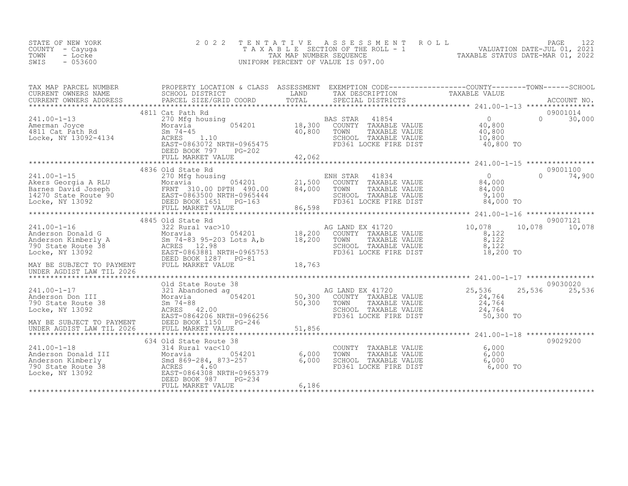| STATE OF NEW YORK<br>COUNTY - Cayuga<br>- Locke<br>TOWN<br>$-053600$<br>SWIS                                                                                                                                                                                                                                                                                                                              | 2 0 2 2           |                                                                                                                                                             | TAXABLE SECTION OF THE ROLL - 1<br>TAXABLE SECTION OF THE ROLL - 1<br>TAXABLE STATUS DATE-JUL 01, 2021<br>UNIFORM PERCENT OF VALUE IS 097.00<br>UNIFORM PERCENT OF VALUE IS 097.00 |                           |
|-----------------------------------------------------------------------------------------------------------------------------------------------------------------------------------------------------------------------------------------------------------------------------------------------------------------------------------------------------------------------------------------------------------|-------------------|-------------------------------------------------------------------------------------------------------------------------------------------------------------|------------------------------------------------------------------------------------------------------------------------------------------------------------------------------------|---------------------------|
| TAX MAP PARCEL NUMBER PROPERTY LOCATION & CLASS ASSESSMENT EXEMPTION CODE-----------------COUNTY--------TOWN------SCHOOL CURRENT OWNERS NAME SCHOOL DISTRICT LAND TAX DESCRIPTION TAXABLE VALUE<br>CURRENT OWNERS ADDRESS PARCEL                                                                                                                                                                          |                   |                                                                                                                                                             |                                                                                                                                                                                    |                           |
| $\begin{array}{cccccccc} 241.00-1-13 & 4811\text{ Cat } \text{Path } \text{Rd} & 270\text{ Nor} \text{ housing} & 054201 & 18,300\text{ COUNTY} & \text{PAXABLE VALUE} & 0 & 0 & 30,000\text{ Nor} \text{m} \text{volume} & 0.800\text{ Nor} \text{volume} & 0.800\text{ Nor} \text{volume} & 0.800\text{ Nor} \text{volume} & 0.800\text{ Nor} \text{volume} & 0.800\text{ Nor} \text{m} \text{u} & 0.8$ | 4811 Cat Path Rd  |                                                                                                                                                             |                                                                                                                                                                                    | 09001014                  |
|                                                                                                                                                                                                                                                                                                                                                                                                           |                   |                                                                                                                                                             |                                                                                                                                                                                    |                           |
| $241.00 - 1 - 15$                                                                                                                                                                                                                                                                                                                                                                                         | 4836 Old State Rd | NH STAR 41834 0<br>COUNTY TAXABLE VALUE 84,000<br>TOWN TAXABLE VALUE 84,000<br>SCHOOL TAXABLE VALUE 9,100<br>FD361 LOCKE FIRE DIST 84,000<br>ENH STAR 41834 | 84,000 TO                                                                                                                                                                          | 09001100<br>$0 \t 74,900$ |
|                                                                                                                                                                                                                                                                                                                                                                                                           |                   |                                                                                                                                                             |                                                                                                                                                                                    |                           |
| 241.00-1-16<br>Anderson Donald G<br>Anderson Kimberly A<br>790 State Route 38<br>Locke, NY 13092<br>MAY BE SUBJECT TO PAYMENT<br>NAY BE SUBJECT TO PAYMENT<br>THE BOOK 1287<br>PULL MARKET VALUE<br>PULL MARKET VALUE<br>TULL MARKET VALUE<br>18,763<br>UNDER AGDIST LAW TIL 2026                                                                                                                         | 4845 Old State Rd | AG LAND EX 41720<br>COUNTY TAXABLE VALUE<br>TOWN TAXABLE VALUE 8,122<br>SCHOOL TAXABLE VALUE 8,122<br>FD361 LOCKE FIRE DIST 18,200 TO                       | VALUE $10,078$<br>$8,122$<br>$8,122$                                                                                                                                               | 09007121<br>10,078 10,078 |
|                                                                                                                                                                                                                                                                                                                                                                                                           |                   |                                                                                                                                                             |                                                                                                                                                                                    |                           |
| 11.00-1-17<br>241.00-1-17 321 Abandoned ag<br>25,536 25,536 25,536 25,536 25,536 25,536<br>25,536 25,536 25,536 25,536 25,536 25,536<br>24,764 50,300 COUNTY TAXABLE VALUE<br>24,764 24,764 50,300 COUNTY TAXABLE VALUE<br>24,764 EXERC 24                                                                                                                                                                |                   |                                                                                                                                                             |                                                                                                                                                                                    |                           |
|                                                                                                                                                                                                                                                                                                                                                                                                           |                   |                                                                                                                                                             |                                                                                                                                                                                    |                           |
| 441.00-1-18<br>Anderson Donald III 334 Old State Route 38<br>314 Rural vac<10<br>2010 3790 State Route 38<br>2010 54201 6,000<br>2000 54201 6,000<br>790 State Route 38<br>2000 284, 873-257<br>2000 284, 873-257<br>2000 284, 873-257<br>2000 284                                                                                                                                                        |                   |                                                                                                                                                             |                                                                                                                                                                                    | 09029200                  |
|                                                                                                                                                                                                                                                                                                                                                                                                           |                   |                                                                                                                                                             |                                                                                                                                                                                    |                           |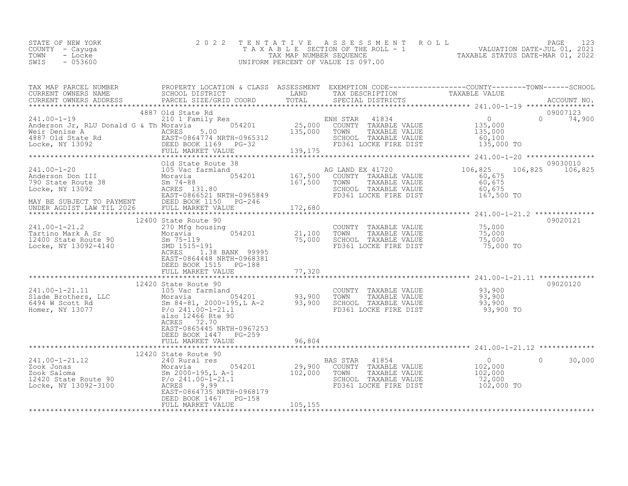| STATE OF NEW YORK | 2022 TENTATIVE ASSESSMENT ROLL     |                                  | PAGE :                      |  |
|-------------------|------------------------------------|----------------------------------|-----------------------------|--|
| COUNTY - Cayuqa   | TAXABLE SECTION OF THE ROLL - 1    |                                  | VALUATION DATE-JUL 01, 2021 |  |
| TOWN<br>- Locke   | TAX MAP NUMBER SEQUENCE            | TAXABLE STATUS DATE-MAR 01, 2022 |                             |  |
| SWIS<br>- 053600  | UNIFORM PERCENT OF VALUE IS 097.00 |                                  |                             |  |

| TAX MAP PARCEL NUMBER                                                                                                                                                                                                                                                                                                                                                                                                                                                                                       | PROPERTY LOCATION & CLASS ASSESSMENT EXEMPTION CODE----------------COUNTY-------TOWN------SCHOOL    |                 |                                                                                                                                 |            |                    |
|-------------------------------------------------------------------------------------------------------------------------------------------------------------------------------------------------------------------------------------------------------------------------------------------------------------------------------------------------------------------------------------------------------------------------------------------------------------------------------------------------------------|-----------------------------------------------------------------------------------------------------|-----------------|---------------------------------------------------------------------------------------------------------------------------------|------------|--------------------|
|                                                                                                                                                                                                                                                                                                                                                                                                                                                                                                             |                                                                                                     |                 |                                                                                                                                 |            |                    |
|                                                                                                                                                                                                                                                                                                                                                                                                                                                                                                             | 4887 Old State Rd                                                                                   |                 |                                                                                                                                 |            | 09007123           |
|                                                                                                                                                                                                                                                                                                                                                                                                                                                                                                             |                                                                                                     |                 |                                                                                                                                 |            | 09030010           |
|                                                                                                                                                                                                                                                                                                                                                                                                                                                                                                             | Old State Route 38                                                                                  |                 |                                                                                                                                 | 106,825    | 106,825            |
|                                                                                                                                                                                                                                                                                                                                                                                                                                                                                                             |                                                                                                     |                 |                                                                                                                                 |            |                    |
|                                                                                                                                                                                                                                                                                                                                                                                                                                                                                                             |                                                                                                     |                 |                                                                                                                                 |            |                    |
| 241.00-1-21.2<br>Tartino Mark A Sr<br>12400 State Route 90<br>Locke, NY 13092-4140<br>21,100<br>Locke, NY 13092-4140<br>21,100<br>SMD 1515-191<br>21,100<br>21,100<br>21,100<br>21,100<br>21,100<br>21,100<br>21,100<br>21,100<br>21,100<br>21,000                                                                                                                                                                                                                                                          | 12400 State Route 90<br>ACRES 1.38 BANK 99995<br>EAST-0864448 NRTH-0968381<br>DEED BOOK 1515 PG-188 | $\bar{75}$ ,000 | COUNTY TAXABLE VALUE 75,000<br>TOWN TAXABLE VALUE 75,000<br>SCHOOL TAXABLE VALUE 75,000<br>FD361 LOCKE FIRE DIST 75,000<br>TOWN | 75,000 TO  | 09020121           |
|                                                                                                                                                                                                                                                                                                                                                                                                                                                                                                             |                                                                                                     |                 |                                                                                                                                 |            | 09020120           |
| 12420 State Route 90<br>241.00-1-21.11<br>2420 State Route 90<br>25 Vac farmland<br>263.900 SCHOOL TAXABLE VALUE<br>273.900 SCHOOL TAXABLE VALUE<br>273.900 SCHOOL TAXABLE VALUE<br>273.900 SCHOOL TAXABLE VALUE<br>273.900 SCHOOL TAXABLE VAL                                                                                                                                                                                                                                                              | ACRES 72.70<br>EAST-0865445 NRTH-0967253<br>DEED BOOK 1447 PG-259                                   |                 |                                                                                                                                 |            |                    |
|                                                                                                                                                                                                                                                                                                                                                                                                                                                                                                             | FULL MARKET VALUE                                                                                   | 96,804          |                                                                                                                                 |            |                    |
|                                                                                                                                                                                                                                                                                                                                                                                                                                                                                                             |                                                                                                     |                 |                                                                                                                                 |            |                    |
| $\begin{tabular}{lllllllllllll} \multicolumn{3}{c }{\begin{tabular}{l} \multicolumn{3}{c}{\begin{tabular}{l} \multicolumn{3}{c}{\begin{tabular}{l} \multicolumn{3}{c}{\begin{tabular}{l} \multicolumn{3}{c}{\begin{tabular}{l} \multicolumn{3}{c}{\begin{tabular}{l} \multicolumn{3}{c}{\begin{tabular}{l} \multicolumn{3}{c}{\begin{tabular}{l} \multicolumn{3}{c}{\begin{tabular}{l} \multicolumn{3}{c}{\begin{tabular}{l} \multicolumn{3}{c}{\begin{tabular}{l} \multicolumn{3}{c}{\begin{tabular}{l} \$ | EAST-0864735 NRTH-0968179<br>DEED BOOK 1467    PG-158                                               |                 | BAS STAR 41854<br>COUNTY TAXABLE VALUE 102,000<br>TOWN TAXABLE VALUE 102,000<br>SCHOOL TAXABLE VALUE 72,000                     | 102,000 TO | 30,000<br>$\Omega$ |
|                                                                                                                                                                                                                                                                                                                                                                                                                                                                                                             | FULL MARKET VALUE                                                                                   | 105,155         |                                                                                                                                 |            |                    |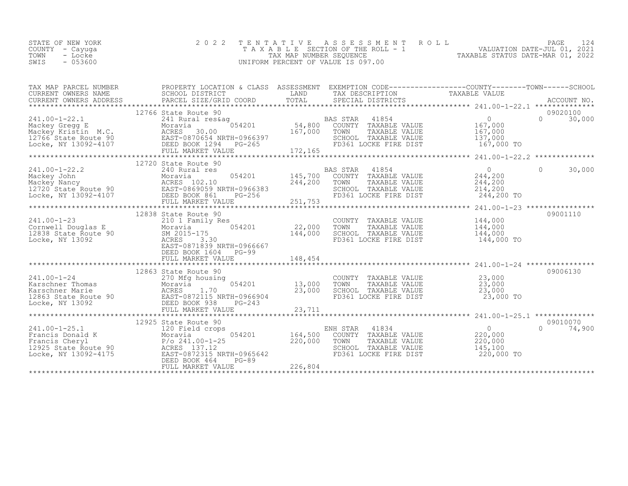| STATE OF NEW YORK | 2022 TENTATIVE ASSESSMENT ROLL        |                                  | PAGE                        |  |
|-------------------|---------------------------------------|----------------------------------|-----------------------------|--|
| COUNTY – Cayuga   | T A X A B L E SECTION OF THE ROLL - 1 |                                  | VALUATION DATE-JUL 01, 2021 |  |
| TOWN<br>- Locke   | TAX MAP NUMBER SEOUENCE               | TAXABLE STATUS DATE-MAR 01, 2022 |                             |  |
| $-053600$<br>SWIS | UNIFORM PERCENT OF VALUE IS 097.00    |                                  |                             |  |

| TAX MAP PARCEL NUMBER<br>CURRENT OWNERS NAME<br>CURRENT OWNERS ADDRESS<br>TRANCEL SIZE/GRID<br>TRANCEL SIZE/GRID<br>TRANCEL SIZE/GRID                                                         | PROPERTY LOCATION & CLASS ASSESSMENT EXEMPTION CODE-----------------COUNTY--------TOWN------SCHOOL<br>CONNERI OWNERS ADDRESS DANCEL SIZE/GRID COORD TOTAL SECIAL DISTRICTS FOR ACCOUNT NO.<br>CURRENT OWNERS ADDRESS PARCEL SIZE/GRID COORD TOTAL SECIAL DISTRICTS ACCOUNT NO.                                                                                                                                                               |         | LAND TAX DESCRIPTION TAXABLE VALUE                                                                                                                                                                       |                                                |                    |
|-----------------------------------------------------------------------------------------------------------------------------------------------------------------------------------------------|----------------------------------------------------------------------------------------------------------------------------------------------------------------------------------------------------------------------------------------------------------------------------------------------------------------------------------------------------------------------------------------------------------------------------------------------|---------|----------------------------------------------------------------------------------------------------------------------------------------------------------------------------------------------------------|------------------------------------------------|--------------------|
|                                                                                                                                                                                               | 12766 State Route 90                                                                                                                                                                                                                                                                                                                                                                                                                         |         |                                                                                                                                                                                                          |                                                | 09020100           |
|                                                                                                                                                                                               |                                                                                                                                                                                                                                                                                                                                                                                                                                              |         |                                                                                                                                                                                                          |                                                |                    |
|                                                                                                                                                                                               | 12720 State Route 90                                                                                                                                                                                                                                                                                                                                                                                                                         |         |                                                                                                                                                                                                          |                                                |                    |
|                                                                                                                                                                                               | 241.00-1-22.2<br>Mackey John Moravia 054201<br>Mackey Nancy 240 Rural res<br>12720 State Route 90<br>Locke, NY 13092-4107<br>Mackey Nancy 256<br>Locke, NY 13092-4107<br>DEED BOOK 861<br>DEED BOOK 861<br>Mackey Nancy<br>DEED BOOK 861<br>Mackey N                                                                                                                                                                                         | 244,200 | BAS STAR 41854 0<br>054201 145,700 COUNTY TAXABLE VALUE 244,200<br>TOWN<br>SCHOOL TAXABLE VALUE<br>FD361 LOCKE FIRE DIST 244,200 TO                                                                      | TAXABLE VALUE 244,200<br>TAXABLE VALUE 214,200 | $\Omega$<br>30,000 |
|                                                                                                                                                                                               |                                                                                                                                                                                                                                                                                                                                                                                                                                              |         |                                                                                                                                                                                                          |                                                | 09001110           |
| 241.00-1-23<br>Cornwell Douglas E 210 1 Family Ave<br>12838 State Route 90<br>Tooke, NY 13092<br>2015-175<br>2015-175<br>2020 2021839 N<br>2020 2021839 N<br>2020 2021839 N<br>2020 2021839 N | state Route 90<br>210 1 Family Res<br>22,000<br>144,000<br>EAST-0871839 NRTH-0966667<br>DEED BOOK 1604 PG-99                                                                                                                                                                                                                                                                                                                                 |         | COUNTY TAXABLE VALUE 144,000<br>TOWN TAXABLE VALUE 144,000<br>TOWN<br>SCHOOL TAXABLE VALUE<br>FD361 LOCKE FIRE DIST                                                                                      | 144,000<br>144,000 TO                          |                    |
|                                                                                                                                                                                               | 12863 State Route 90<br>$\begin{array}{cccccccc} 241.00-1-24 & 12863 & 5 \text{tate Route} & 90 & 270 \text{ V2000150} \\ & 270 \text{ Mg housing} & 054201 & 13,000 & \text{TOMN} & \text{TAXABLE VALUE} & 23,000 \\ \text{Karschner Thomas} & \text{Aorie} & \text{ACRES} & 1.70 & 23,000 & \text{SCHOOL TAXABLE VALUE} & 23,000 \\ \text{Karschner Marie} & \text{Aorie} & \text{ACRES} & 1.70 & 23,000 & \text{SCHOOL TAXABLE VALUE} & $ |         |                                                                                                                                                                                                          |                                                | 09006130           |
|                                                                                                                                                                                               | 12925 State Route 90                                                                                                                                                                                                                                                                                                                                                                                                                         |         |                                                                                                                                                                                                          |                                                | 09010070           |
|                                                                                                                                                                                               | 241.00-1-25.1<br>Francis Donald K<br>Francis Cheryl<br>12925 State Route 90<br>12925 State Route 90<br>12925 State Route 90<br>12925 State Route 90<br>12925 State Route 90<br>12925 State Route 90<br>12925 State Route 90<br>12925 State Route 9                                                                                                                                                                                           |         | ENH STAR 41834<br>054201 164,500 COUNTY TAXABLE VALUE 220,000<br>220,000 TOWN TAXABLE VALUE 220,000<br>SCHOOL TAXABLE VALUE 145,100<br>FD361 LOCKE FIRE DIST 220,000<br>FD361 LOCKE FIRE DIST 220,000 TO |                                                | $0 \t 74,900$      |
|                                                                                                                                                                                               |                                                                                                                                                                                                                                                                                                                                                                                                                                              |         |                                                                                                                                                                                                          |                                                |                    |
|                                                                                                                                                                                               |                                                                                                                                                                                                                                                                                                                                                                                                                                              |         |                                                                                                                                                                                                          |                                                |                    |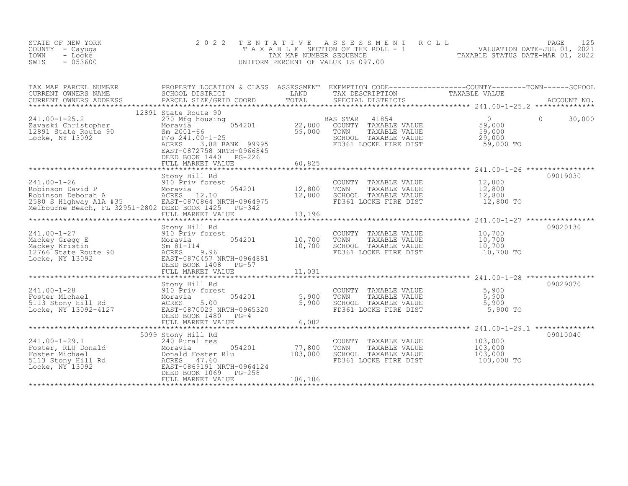| STATE OF NEW YORK<br>COUNTY - Cayuga<br>TOWN<br>- Locke<br>$-053600$<br>SWIS                                                                                                                    | 2 0 2 2                                                                                                                                                                                                                             | TENTATIVE                    | ASSESSMENT ROLL<br>T A X A B L E SECTION OF THE ROLL - 1 VALUATION DATE-JUL 01, 2021<br>UNIFORM PERCENT OF VALUE IS 097.00 |                                                           | PAGE<br>125        |
|-------------------------------------------------------------------------------------------------------------------------------------------------------------------------------------------------|-------------------------------------------------------------------------------------------------------------------------------------------------------------------------------------------------------------------------------------|------------------------------|----------------------------------------------------------------------------------------------------------------------------|-----------------------------------------------------------|--------------------|
| TAX MAP PARCEL NUMBER<br>CURRENT OWNERS NAME<br>CURRENT OWNERS ADDRESS                                                                                                                          | PROPERTY LOCATION & CLASS ASSESSMENT EXEMPTION CODE----------------COUNTY--------TOWN------SCHOOL<br>SCHOOL DISTRICT         LAND     TAX DESCRIPTION       TAXABLE VALUE<br>PARCEL SIZE/GRID COORD     TOTAL     SPECIAL DISTRICTS |                              | SPECIAL DISTRICTS                                                                                                          |                                                           |                    |
|                                                                                                                                                                                                 |                                                                                                                                                                                                                                     | **************               |                                                                                                                            |                                                           |                    |
| $241.00 - 1 - 25.2$<br>241.00 1 2012<br>Zavaski Christopher Moravia<br>12891 State Route 90 Sm 2001-66<br>Tocke, NY 13092 P/o 241.00-1-25<br>ACPES 3.88 BA                                      | 12891 State Route 90<br>270 Mfg housing<br>054201<br>ACRES<br>3.88 BANK 99995<br>EAST-0872758 NRTH-0966845<br>DEED BOOK 1440 PG-226                                                                                                 | 22,800<br>59,000             | BAS STAR<br>41854<br>COUNTY TAXABLE VALUE<br>TAXABLE VALUE<br>TOWN<br>SCHOOL TAXABLE VALUE<br>FD361 LOCKE FIRE DIST        | $\overline{0}$<br>59,000<br>59,000<br>29,000<br>59,000 TO | $\Omega$<br>30,000 |
|                                                                                                                                                                                                 | FULL MARKET VALUE                                                                                                                                                                                                                   | 60,825                       |                                                                                                                            |                                                           |                    |
| 241.00-1-26<br>Robinson David P<br>Moravia 1990 Priv forest<br>2580 S Highway A1A #35<br>Melbourne Beach, FL 32951-2802 DEED BOOK 1425                                                          | Stony Hill Rd<br>054201<br>EAST-0870864 NRTH-0964975                                                                                                                                                                                | 12,800<br>12,800             | COUNTY TAXABLE VALUE<br>TOWN<br>TAXABLE VALUE<br>SCHOOL TAXABLE VALUE<br>FD361 LOCKE FIRE DIST                             | 12,800<br>12,800<br>12,800<br>12,800 TO                   | 09019030           |
|                                                                                                                                                                                                 | PG-342                                                                                                                                                                                                                              |                              |                                                                                                                            |                                                           |                    |
|                                                                                                                                                                                                 | FULL MARKET VALUE<br>*************************                                                                                                                                                                                      | 13,196<br>*************      |                                                                                                                            | *********************** 241.00-1-27 *****************     |                    |
| olony<br>Mackey Kristin<br>12766 State Route 90<br>Locke, NY 13092<br>Mackey Kristin<br>2001<br>Mackey Kristin<br>2001<br>ACRES<br>EAST-09<br>EAST-09                                           | Stony Hill Rd<br>910 Priv forest<br>054201<br>Moravia<br>$Sm 81 - 114$<br>9.96<br>EAST-0870457 NRTH-0964881<br>DEED BOOK 1408<br>$PG-57$                                                                                            | 10,700<br>10,700             | COUNTY TAXABLE VALUE<br>TOWN<br>TAXABLE VALUE<br>SCHOOL TAXABLE VALUE<br>FD361 LOCKE FIRE DIST                             | 10,700<br>10,700<br>10,700<br>10,700 TO                   | 09020130           |
|                                                                                                                                                                                                 | FULL MARKET VALUE                                                                                                                                                                                                                   | 11,031                       |                                                                                                                            |                                                           |                    |
| $241.00 - 1 - 28$<br>Foster Michael<br>5113 Stony Hill Rd<br>Locke, NY 13092-4127                                                                                                               | Stony Hill Rd<br>910 Priv forest<br>054201<br>Moravia<br>ACRES<br>5.00<br>EAST-0870029 NRTH-0965320<br>DEED BOOK 1480<br>$PG-4$<br>FULL MARKET VALUE                                                                                | 5,900<br>5,900<br>6,082      | COUNTY TAXABLE VALUE<br>TOWN<br>TAXABLE VALUE<br>SCHOOL TAXABLE VALUE<br>FD361 LOCKE FIRE DIST                             | 5,900<br>5,900<br>5,900<br>5,900 TO                       | 09029070           |
|                                                                                                                                                                                                 |                                                                                                                                                                                                                                     |                              |                                                                                                                            |                                                           |                    |
| $241.00 - 1 - 29.1$<br>241.00-1-29.1 240 Rural res<br>Foster, RLU Donald Moravia 05<br>Foster Michael Donald Foster Rlu<br>5113 Stony Hill Rd ACRES 47.60<br>Locke, NY 13092 EAST-0869191 NRTH- | 5099 Stony Hill Rd<br>240 Rural res<br>054201<br>EAST-0869191 NRTH-0964124<br>DEED BOOK 1069<br>PG-258<br>FULL MARKET VALUE                                                                                                         | 77,800<br>103,000<br>106,186 | COUNTY TAXABLE VALUE<br>TOWN<br>TAXABLE VALUE<br>SCHOOL TAXABLE VALUE<br>FD361 LOCKE FIRE DIST                             | 103,000<br>103,000<br>103,000<br>103,000 TO               | 09010040           |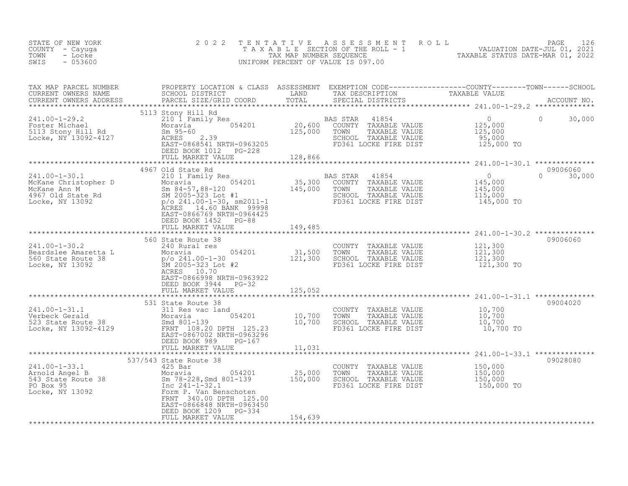| STATE OF NEW YORK<br>COUNTY - Cayuga<br>TOWN<br>- Locke<br>$-053600$<br>SWIS                                                                                                                                                                                                                                                                                          | 2 0 2 2                                                                                                                      |         | TENTATIVE ASSESSMENT ROLL PAGE 126<br>TAXABLE SECTION OF THE ROLL - 1 VALUATION DATE-JUL 01, 2021<br>TAX MAP NUMBER SEQUENCE TAXABLE STATUS DATE-MAR 01, 2022<br>UNIFORM PERCENT OF VALUE IS 097.00 |                |                           |
|-----------------------------------------------------------------------------------------------------------------------------------------------------------------------------------------------------------------------------------------------------------------------------------------------------------------------------------------------------------------------|------------------------------------------------------------------------------------------------------------------------------|---------|-----------------------------------------------------------------------------------------------------------------------------------------------------------------------------------------------------|----------------|---------------------------|
| TAX MAP PARCEL NUMBER BROPERTY LOCATION & CLASS ASSESSMENT EXEMPTION CODE-----------------COUNTY--------TOWN------SCHOOL CURRENT OWNERS NAME SCHOOL DISTRICT LAND TAX DESCRIPTION TAXABLE VALUE<br>CURRENT OWNERS ADDRESS PARCEL                                                                                                                                      |                                                                                                                              |         |                                                                                                                                                                                                     |                |                           |
| $\begin{array}{lllllllllllll} \text{241.00-1-29.2} & & & & & & & & \\ \text{241.00-1-29.2} & & & & & & & & \\ \text{241.00-1-29.2} & & & & & & & \\ \text{241.00-1-29.2} & & & & & & & \\ \text{241.01-12} & & & & & & & & \\ \text{241.02} & & & & & & & & \\ \text{241.03-13.3} & & & & & & & \\ \text{241.04} & & & & & & & & \\ \text{241.05-13.4} & & & & & & &$ | 5113 Stony Hill Rd<br>DEED BOOK 1012 PG-228<br>FULL MARKET VALUE 128,866                                                     |         | AS STAR 41854<br>COUNTY TAXABLE VALUE 125,000<br>TOWN TAXABLE VALUE 125,000<br>SCHOOL TAXABLE VALUE 95,000<br>FD361 LOCKE FIRE DIST 125,000 TO                                                      | $\overline{0}$ | $\Omega$<br>30,000        |
|                                                                                                                                                                                                                                                                                                                                                                       |                                                                                                                              |         |                                                                                                                                                                                                     |                |                           |
|                                                                                                                                                                                                                                                                                                                                                                       | 4967 Old State Rd<br>EAST-0866769 NRTH-0964425<br>DEED BOOK 1452 PG-88                                                       |         |                                                                                                                                                                                                     |                | 09006060<br>$0 \t 30,000$ |
|                                                                                                                                                                                                                                                                                                                                                                       | FULL MARKET VALUE 149,485                                                                                                    |         |                                                                                                                                                                                                     |                |                           |
|                                                                                                                                                                                                                                                                                                                                                                       |                                                                                                                              |         |                                                                                                                                                                                                     |                |                           |
| 241.00-1-30.2<br>240 Rural res<br>Beardslee Amaretta L Moravia 054201<br>260 State Route 38<br>260 State Route 38<br>27/0 241.00-1-30<br>27/0 241.00-1-30<br>27/0 241.00-1-30<br>27/0 241.00-1-30<br>27/0 241.00-1-30<br>27/0 241.00-1-30<br>27/0 24                                                                                                                  | EAST-0866998 NRTH-0963922<br>DEED BOOK 3944 PG-32<br>FULL MARKET VALUE                                                       | 125,052 |                                                                                                                                                                                                     |                | 09006060                  |
|                                                                                                                                                                                                                                                                                                                                                                       |                                                                                                                              |         |                                                                                                                                                                                                     |                |                           |
| 241.00-1-31.1<br>Verbeck Gerald<br>S23 State Route 38<br>S23 State Route 38<br>Davis 10,700<br>Davis State 1054201<br>S20 DETH 125.23<br>EAST-0867002 NRTH-0963296<br>DEED PON 08.2<br>DREED PON 08.2<br>DREED PON 08.2<br>DREED PON 08.2<br>DREED PON                                                                                                                | FULL MARKET VALUE                                                                                                            | 11,031  | COUNTY TAXABLE VALUE $10,700$<br>TOWN TAXABLE VALUE $10,700$<br>SCHOOL TAXABLE VALUE $10,700$<br>FD361 LOCKE FIRE DIST $10,700$<br>FD361 LOCKE FIRE DIST                                            | 10,700 TO      | 09004020                  |
|                                                                                                                                                                                                                                                                                                                                                                       |                                                                                                                              |         |                                                                                                                                                                                                     |                |                           |
| 241.00-1-33.1<br>Arnold Angel B<br>543 State Route 38<br>Form P. Van Benschoten<br>150,000<br>150,000<br>Experiment State Service Service Service Service State Service Service State State Route<br>150,000<br>PO Box 95<br>Term P. Van Benscho                                                                                                                      | 537/543 State Route 38<br>FRNT 340.00 DPTH 125.00<br>EAST-0866848 NRTH-0963450<br>DEED BOOK 1209 PG-334<br>FULL MARKET VALUE | 154,639 | COUNTY TAXABLE VALUE $150,000$<br>TOWN TAXABLE VALUE $150,000$<br>SCHOOL TAXABLE VALUE $150,000$<br>FD361 LOCKE FIRE DIST $150,000$ TO                                                              |                | 09028080                  |
|                                                                                                                                                                                                                                                                                                                                                                       |                                                                                                                              |         |                                                                                                                                                                                                     |                |                           |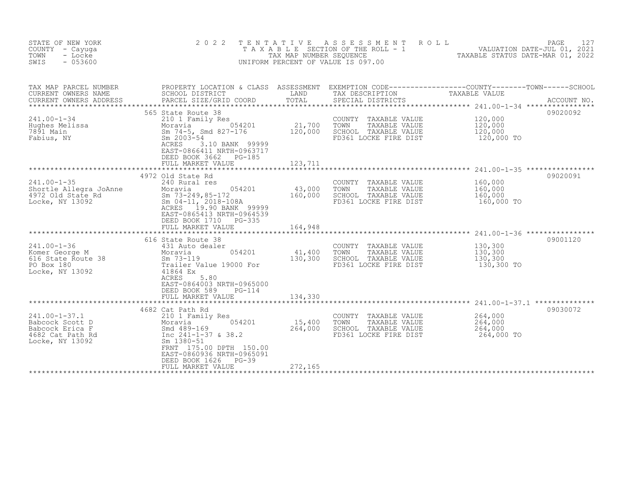| STATE OF NEW YORK<br>COUNTY - Cayuga<br>TOWN<br>- Locke<br>$-053600$<br>SWIS                     | 2 0 2 2                                                                                                                                                                                                                                             | TAX MAP NUMBER SEQUENCE                       | TENTATIVE ASSESSMENT ROLL<br>T A X A B L E SECTION OF THE ROLL - 1<br>UNIFORM PERCENT OF VALUE IS 097.00 | PAGE<br>VALUATION DATE-JUL 01, 2021<br>TAXABLE STATUS DATE-MAR 01, 2022                                          | 127         |
|--------------------------------------------------------------------------------------------------|-----------------------------------------------------------------------------------------------------------------------------------------------------------------------------------------------------------------------------------------------------|-----------------------------------------------|----------------------------------------------------------------------------------------------------------|------------------------------------------------------------------------------------------------------------------|-------------|
| TAX MAP PARCEL NUMBER<br>CURRENT OWNERS NAME<br>CURRENT OWNERS ADDRESS                           | SCHOOL DISTRICT<br>PARCEL SIZE/GRID COORD                                                                                                                                                                                                           | LAND<br>TOTAL                                 | TAX DESCRIPTION<br>SPECIAL DISTRICTS                                                                     | PROPERTY LOCATION & CLASS ASSESSMENT EXEMPTION CODE----------------COUNTY-------TOWN-----SCHOOL<br>TAXABLE VALUE | ACCOUNT NO. |
| $241.00 - 1 - 34$<br>Hughes Melissa<br>7891 Main<br>Fabius, NY                                   | 565 State Route 38<br>210 1 Family Res<br>054201<br>Moravia<br>Sm 74-5, Smd 827-176<br>Sm 2003-54<br>3.10 BANK 99999<br>ACRES<br>EAST-0866411 NRTH-0963717<br>DEED BOOK 3662<br>PG-185<br>FULL MARKET VALUE                                         | 21,700<br>120,000<br>123,711                  | COUNTY TAXABLE VALUE<br>TOWN<br>TAXABLE VALUE<br>SCHOOL TAXABLE VALUE<br>FD361 LOCKE FIRE DIST           | 120,000<br>120,000<br>120,000<br>120,000 TO                                                                      | 09020092    |
| $241.00 - 1 - 35$<br>Shortle Allegra JoAnne<br>4972 Old State Rd<br>Locke, NY 13092              | 4972 Old State Rd<br>240 Rural res<br>054201<br>Moravia<br>Sm 73-249,85-172<br>Sm 04-11, 2018-108A<br>19.90 BANK 99999<br>ACRES<br>EAST-0865413 NRTH-0964539<br>DEED BOOK 1710<br>PG-335<br>FULL MARKET VALUE                                       | 43,000<br>160,000<br>164,948<br>************* | COUNTY TAXABLE VALUE<br>TAXABLE VALUE<br>TOWN<br>SCHOOL TAXABLE VALUE<br>FD361 LOCKE FIRE DIST           | 160,000<br>160,000<br>160,000<br>160,000 TO                                                                      | 09020091    |
| $241.00 - 1 - 36$<br>Komer George M<br>616 State Route 38<br>PO Box 180<br>Locke, NY 13092       | 616 State Route 38<br>431 Auto dealer<br>054201<br>Moravia<br>$Sm$ 73-119<br>Trailer Value 19000 For<br>41864 Ex<br>ACRES<br>5.80<br>EAST-0864003 NRTH-0965000<br>DEED BOOK 589<br>PG-114<br>FULL MARKET VALUE                                      | 41,400<br>130,300<br>134,330                  | COUNTY TAXABLE VALUE<br>TOWN<br>TAXABLE VALUE<br>SCHOOL TAXABLE VALUE<br>FD361 LOCKE FIRE DIST           | 130,300<br>130,300<br>130,300<br>130,300 TO                                                                      | 09001120    |
| $241.00 - 1 - 37.1$<br>Babcock Scott D<br>Babcock Erica F<br>4682 Cat Path Rd<br>Locke, NY 13092 | **************************<br>4682 Cat Path Rd<br>210 1 Family Res<br>054201<br>Moravia<br>Smd 489-169<br>Inc 241-1-37 & 38.2<br>Sm 1380-51<br>FRNT 175.00 DPTH 150.00<br>EAST-0860936 NRTH-0965091<br>DEED BOOK 1626<br>PG-39<br>FULL MARKET VALUE | 15,400<br>264,000<br>272,165                  | COUNTY TAXABLE VALUE<br>TOWN<br>TAXABLE VALUE<br>SCHOOL TAXABLE VALUE<br>FD361 LOCKE FIRE DIST           | 264,000<br>264,000<br>264,000<br>264,000 TO                                                                      | 09030072    |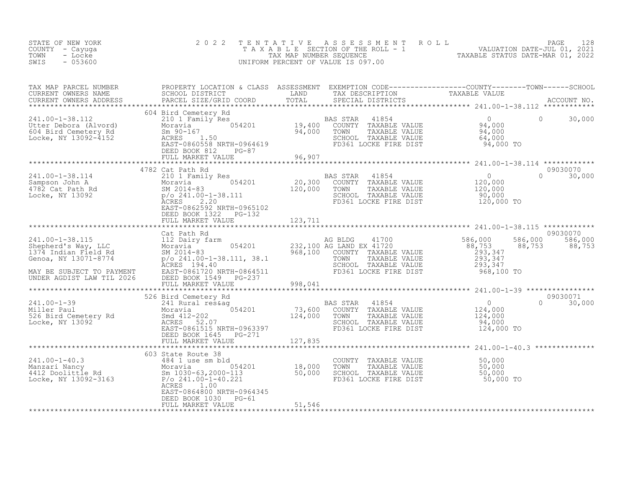| STATE OF NEW YORK<br>COUNTY - Cayuga<br>- Locke<br>TOWN<br>SWIS<br>$-053600$                                                                                                                                                                                     | 2 0 2 2                                                                |         | TENTATIVE ASSESSMENT ROLL PACE 128<br>TAXABLE SECTION OF THE ROLL - 1 VALUATION DATE-JUL 01, 2021<br>TAX MAP NUMBER SEQUENCE TAXABLE STATUS DATE-MAR 01, 2022<br>UNIFORM PERCENT OF VALUE IS 097.00 |               |
|------------------------------------------------------------------------------------------------------------------------------------------------------------------------------------------------------------------------------------------------------------------|------------------------------------------------------------------------|---------|-----------------------------------------------------------------------------------------------------------------------------------------------------------------------------------------------------|---------------|
|                                                                                                                                                                                                                                                                  |                                                                        |         |                                                                                                                                                                                                     |               |
|                                                                                                                                                                                                                                                                  | FULL MARKET VALUE 96,907                                               |         |                                                                                                                                                                                                     |               |
|                                                                                                                                                                                                                                                                  |                                                                        |         |                                                                                                                                                                                                     |               |
|                                                                                                                                                                                                                                                                  | DEED BOOK 1322 PG-132                                                  |         | 09030070                                                                                                                                                                                            | $0 \t 30,000$ |
|                                                                                                                                                                                                                                                                  | FULL MARKET VALUE 1944 123,711                                         |         |                                                                                                                                                                                                     |               |
|                                                                                                                                                                                                                                                                  | Cat Path Rd                                                            |         | 09030070<br>586,000 586,000                                                                                                                                                                         | 88,753        |
|                                                                                                                                                                                                                                                                  |                                                                        |         |                                                                                                                                                                                                     |               |
|                                                                                                                                                                                                                                                                  |                                                                        |         |                                                                                                                                                                                                     |               |
|                                                                                                                                                                                                                                                                  | FULL MARKET VALUE                                                      | 127,835 | 09030071<br>124,000 TO                                                                                                                                                                              | $0 \t 30,000$ |
|                                                                                                                                                                                                                                                                  |                                                                        |         |                                                                                                                                                                                                     |               |
| 341.00-1-40.3<br>484 1 use sm bld<br>Manzari Nancy<br>4412 Doolittle Rd<br>18,000 TOWN TAXABLE VALUE<br>4412 Doolittle Rd<br>18,000 TOWN TAXABLE VALUE<br>50,000<br>50,000<br>50,000<br>50,000<br>50,000<br>50,000<br>50,000<br>50,000<br>50,000<br>50,000<br>50 | ACRES<br>1.00                                                          |         |                                                                                                                                                                                                     |               |
|                                                                                                                                                                                                                                                                  | EAST-0864800 NRTH-0964345<br>DEED BOOK 1030 PG-61<br>FULL MARKET VALUE | 51,546  |                                                                                                                                                                                                     |               |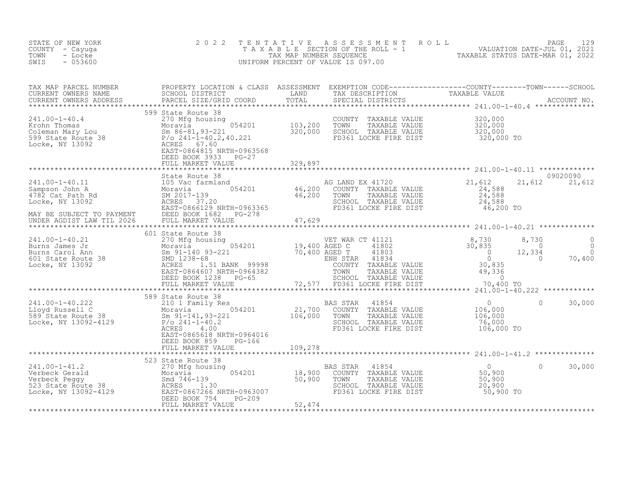| STATE OF NEW YORK<br>COUNTY - Cayuga<br>- Locke<br>TOWN<br>$-053600$<br>SWIS                                                                                                                                                                                           | 2 0 2 2                                                                                                                                                                                                          | TENTATIVE         | TENTATIVE ASSESSMENT ROLL ROLL PAGE 129<br>TAXABLE SECTION OF THE ROLL - 1 VALUATION DATE-JUL 01, 2021<br>TAX MAP NUMBER SEQUENCE TAXABLE STATUS DATE-MAR 01, 2022<br>JNIFORM PERCENT OF VALUE IS 097.00<br>UNIFORM PERCENT OF VALUE IS 097.00 |                                                          |                                               |                         |
|------------------------------------------------------------------------------------------------------------------------------------------------------------------------------------------------------------------------------------------------------------------------|------------------------------------------------------------------------------------------------------------------------------------------------------------------------------------------------------------------|-------------------|------------------------------------------------------------------------------------------------------------------------------------------------------------------------------------------------------------------------------------------------|----------------------------------------------------------|-----------------------------------------------|-------------------------|
|                                                                                                                                                                                                                                                                        |                                                                                                                                                                                                                  |                   |                                                                                                                                                                                                                                                |                                                          |                                               |                         |
|                                                                                                                                                                                                                                                                        | 599 State Route 38                                                                                                                                                                                               |                   | COUNTY TAXABLE VALUE<br>TOWN TAXABLE VALUE<br>SCHOOL TAXABLE VALUE<br>FD361 LOCKE FIRE DIST                                                                                                                                                    | 320,000<br>$\frac{320,000}{320,000}$<br>320,000 TO       |                                               |                         |
| 241.00-1-40.11<br>Sampson John A<br>4782 Cat Path Rd<br>Locke, NY 13092<br>MAY BE SUBJECT TO PAYMENT<br>UNDER AGDIST LAW TIL 2026<br>UNDER AGDIST LAW TIL 2026                                                                                                         | State Route 38<br>105 Vac farmland<br>Moravia 054201 46,200 COUNTY TAXABLE VALUE<br>SM 2017-139 46,200 TOWN TAXABLE VALUE<br>ACRES 37.20<br>EAST-0866129 NRTH-0963365 FD361 LOCKE FIRE DIST<br>FULL MARKET VALUE | 47,629            | TOWN TAXABLE VALUE<br>SCHOOL TAXABLE VALUE                                                                                                                                                                                                     | 21,612<br>24,588<br>$\frac{24}{24}$ , 588<br>46,200 TO   | 21,612 21,612                                 | 09020090                |
|                                                                                                                                                                                                                                                                        |                                                                                                                                                                                                                  | ***************** |                                                                                                                                                                                                                                                |                                                          |                                               |                         |
|                                                                                                                                                                                                                                                                        | 601 State Route 38                                                                                                                                                                                               |                   |                                                                                                                                                                                                                                                | 70,400 TO                                                | 8,730<br>$\sim$ 0<br>12,334<br>$\overline{0}$ | 0<br>$\Omega$<br>70,400 |
|                                                                                                                                                                                                                                                                        |                                                                                                                                                                                                                  |                   |                                                                                                                                                                                                                                                |                                                          |                                               |                         |
| 141.00-1-40.222<br>210.00-1-40.222<br>210.1 Family Res<br>21,700<br>589 State Route 38<br>21,700<br>21,700<br>21,700<br>21,700<br>21,700<br>21,700<br>21,700<br>21,700<br>21,700<br>21,700<br>21,700<br>21,700<br>21,700<br>21,700<br>21,700<br>21,89 Sm 91-141,93-221 | ACRES<br>4.00<br>EAST-0865618 NRTH-0964016<br>DEED BOOK 859<br>PG-166                                                                                                                                            |                   | 41854<br>BAS STAR<br>COUNTY<br>TAXABLE VALUE<br>TOWN<br>TAXABLE VALUE<br>SCHOOL TAXABLE VALUE<br>FD361 LOCKE FIRE DIST                                                                                                                         | $0$<br>106,000<br>106<br>106,000<br>76,000<br>106,000 TO | $\Omega$                                      | 30,000                  |
|                                                                                                                                                                                                                                                                        | FULL MARKET VALUE                                                                                                                                                                                                | 109,278           |                                                                                                                                                                                                                                                |                                                          |                                               |                         |
| 241.00-1-41.2<br>Verbeck Gerald<br>Verbeck Feggy<br>523 State Route 38<br>523 State Route 38<br>523 State Route 38<br>523 State Route 38<br>523 State Route 38<br>523 State Route 38<br>523 State Route 38<br>523 State Route 38<br>525 SMS Moravia<br>                | 523 State Route 38<br>ing 054201 18,900<br>0 50,900<br>NRTH-0963007<br>A 06-200<br>FULL MARKET VALUE                                                                                                             | 52,474            | BAS STAR<br>41854<br>COUNTY TAXABLE VALUE<br>TAXABLE VALUE<br>TOWN<br>SCHOOL TAXABLE VALUE<br>FD361 LOCKE FIRE DIST                                                                                                                            | $\Omega$<br>$50,900$<br>$50,900$<br>20,900<br>50,900 TO  | $\Omega$                                      | 30,000                  |
|                                                                                                                                                                                                                                                                        |                                                                                                                                                                                                                  |                   |                                                                                                                                                                                                                                                |                                                          |                                               |                         |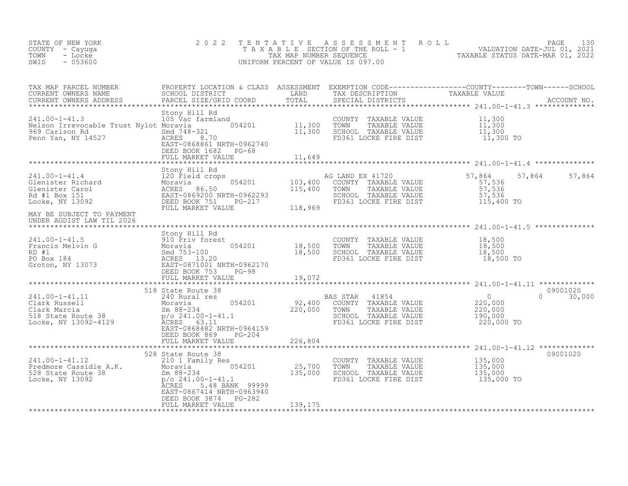| STATE OF NEW YORK<br>COUNTY - Cayuga<br>- Locke<br>TOWN<br>$-053600$<br>SWIS                                                                                                                                                                       | 2 0 2 2                                                                 |         |                                                                                                                                                           | TENTATIVE ASSESSMENT ROLL PACE 130<br>TAXABLE SECTION OF THE ROLL - 1 VALUATION DATE-JUL 01, 2021<br>TAX MAP NUMBER SEQUENCE TAXABLE STATUS DATE-MAR 01, 2022<br>UNIFORM PERCENT OF VALUE IS 097.00 |               |
|----------------------------------------------------------------------------------------------------------------------------------------------------------------------------------------------------------------------------------------------------|-------------------------------------------------------------------------|---------|-----------------------------------------------------------------------------------------------------------------------------------------------------------|-----------------------------------------------------------------------------------------------------------------------------------------------------------------------------------------------------|---------------|
|                                                                                                                                                                                                                                                    |                                                                         |         |                                                                                                                                                           |                                                                                                                                                                                                     |               |
| Stony Hill Rd<br>105 Vac farmland<br>105 Vac farmland<br>11,300 TOWN TAXABLE VALUE<br>11,300 TOWN TAXABLE VALUE<br>969 Carlson Rd<br>211.00-1-41.3<br>11,300 SCHOOL TAXABLE VALUE<br>11,300 SCHOOL TAXABLE VALUE<br>211.00-1-41.3<br>211.00-1-41.3 | DEED BOOK 1682 PG-68<br>FULL MARKET VALUE                               | 11,649  |                                                                                                                                                           |                                                                                                                                                                                                     |               |
|                                                                                                                                                                                                                                                    |                                                                         |         |                                                                                                                                                           |                                                                                                                                                                                                     |               |
|                                                                                                                                                                                                                                                    |                                                                         |         | AG LAND EX 41720 57,864 57<br>COUNTY TAXABLE VALUE 57,536<br>TOWN TAXABLE VALUE 57,536<br>SCHOOL TAXABLE VALUE 57,536<br>FD361 LOCKE FIRE DIST 115,400 TO |                                                                                                                                                                                                     | 57,864 57,864 |
| UNDER AGDIST LAW TIL 2026                                                                                                                                                                                                                          |                                                                         |         |                                                                                                                                                           |                                                                                                                                                                                                     |               |
|                                                                                                                                                                                                                                                    |                                                                         |         |                                                                                                                                                           |                                                                                                                                                                                                     |               |
|                                                                                                                                                                                                                                                    |                                                                         |         |                                                                                                                                                           |                                                                                                                                                                                                     | 09001020      |
| 31.00-1-41.11<br>240 Rural res<br>Clark Rarcia Moravia Sm (1892)<br>Moravia Sm (1892-234<br>220,000 Minimips 220,000 TOWN TAXABLE VALUE<br>220,000 TOWN TAXABLE VALUE<br>220,000 TOWN TAXABLE VALUE<br>220,000 220,000 TOWN TAXABLE VALUE<br>2     | DEED BOOK 869 PG-204                                                    |         |                                                                                                                                                           |                                                                                                                                                                                                     | $0 \t30,000$  |
|                                                                                                                                                                                                                                                    | FULL MARKET VALUE                                                       | 226,804 |                                                                                                                                                           |                                                                                                                                                                                                     |               |
| 528 State Route 38<br>241.00-1-41.12 210 1 Family Res<br>Predmore Cassidie A.K. Moravia 054201 25,700 TOWN TAXABLE VALUE 135,000<br>528 State Route 38 Sm 88-234 135,000 SCHOOL TAXABLE VALUE 135,000<br>Locke, NY 13092 26 CRES<br>ACRE           | EAST-0867414 NRTH-0963940<br>DEED BOOK 3874 PG-282<br>FULL MARKET VALUE | 139,175 |                                                                                                                                                           |                                                                                                                                                                                                     | 09001020      |
|                                                                                                                                                                                                                                                    |                                                                         |         |                                                                                                                                                           |                                                                                                                                                                                                     |               |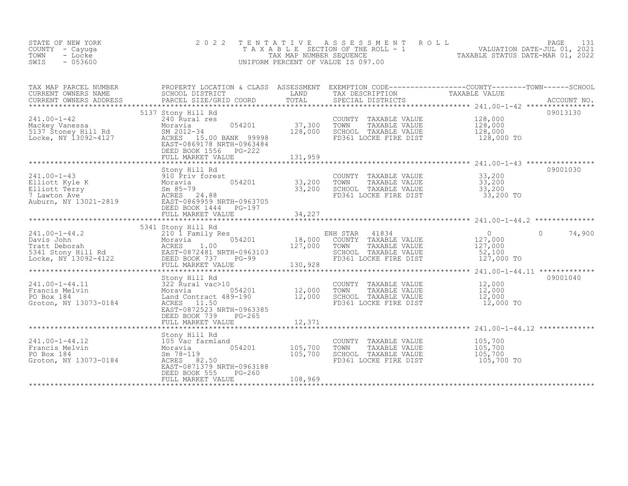| STATE OF NEW YORK<br>COUNTY - Cayuga<br>TOWN<br>- Locke<br>SWIS<br>$-053600$                                                                                                                                                                             | 2 0 2 2                                                                                                                                                                                                                | TENTATIVE                             | A S S E S S M E N T<br>ROLL<br>UNIFORM PERCENT OF VALUE IS 097.00                                                               | PAGE<br>T A X A B L E SECTION OF THE ROLL - 1<br>TAX MAP NUMBER SEQUENCE<br>JNIFORM PERCENT OF VALUE IS 097.00                     | 131 |
|----------------------------------------------------------------------------------------------------------------------------------------------------------------------------------------------------------------------------------------------------------|------------------------------------------------------------------------------------------------------------------------------------------------------------------------------------------------------------------------|---------------------------------------|---------------------------------------------------------------------------------------------------------------------------------|------------------------------------------------------------------------------------------------------------------------------------|-----|
| TAX MAP PARCEL NUMBER<br>CURRENT OWNERS NAME<br>CURRENT OWNERS ADDRESS                                                                                                                                                                                   | SCHOOL DISTRICT<br><b>LAND</b><br>PARCEL SIZE/GRID COORD                                                                                                                                                               | TOTAL                                 | TAX DESCRIPTION<br>SPECIAL DISTRICTS                                                                                            | PROPERTY LOCATION & CLASS ASSESSMENT EXEMPTION CODE-----------------COUNTY--------TOWN------SCHOOL<br>TAXABLE VALUE<br>ACCOUNT NO. |     |
| 241.00-1-42<br>Mackey Vanessa<br>5137 Stoney Hill Rd<br>Locke, NY 13092-4127                                                                                                                                                                             | 5137 Stony Hill Rd<br>240 Rural res<br>054201<br>Moravia<br>SM 2012-34<br>ACRES 15.00 BANK 99998<br>EAST-0869178 NRTH-0963484<br>DEED BOOK 1556 PG-222                                                                 | 37,300<br>128,000                     | COUNTY TAXABLE VALUE<br>TAXABLE VALUE<br>TOWN<br>SCHOOL TAXABLE VALUE<br>FD361 LOCKE FIRE DIST                                  | 09013130<br>128,000<br>128,000<br>128,000<br>128,000 TO                                                                            |     |
|                                                                                                                                                                                                                                                          |                                                                                                                                                                                                                        |                                       |                                                                                                                                 |                                                                                                                                    |     |
| 241.00-1-43<br>241.00-1-43<br>210 Briv forest<br>210 Briv forest<br>210 Briv forest<br>210 Briv forest<br>210 Briv 60 Ballott<br>210 Briv 60 Ballott<br>2010 Briv 60 Ballott<br>2010 Ballott<br>2010 Ballott<br>2010 Ballott<br>2010 Ballott<br>2010 Bal | DEED BOOK 1444 PG-197                                                                                                                                                                                                  | 054201 33,200<br>33,200               | TAXABLE VALUE 33, 200<br>TAXABLE VALUE 33, 200<br>COUNTY TAXABLE VALUE<br>TOWN<br>SCHOOL TAXABLE VALUE<br>FD361 LOCKE FIRE DIST | 09001030<br>33,200<br>33,200 TO                                                                                                    |     |
|                                                                                                                                                                                                                                                          | FULL MARKET VALUE                                                                                                                                                                                                      | 34,227                                |                                                                                                                                 |                                                                                                                                    |     |
| 241.00-1-44.2<br>Davis John 210 1 Family Res<br>Tratt Deborah 210 1 Family Res<br>5341 Stony Hill Rd<br>5341 Stony Hill Rd<br>5341 Stony Hill Rd<br>5341 Stony Hill Rd<br>5341 Stony Hill Rd<br>5341 Stony Hill Rd<br>5341 Stony Hill Rd<br>526 DE       | 5341 Stony Hill Rd<br>FULL MARKET VALUE                                                                                                                                                                                | $054201$ 18,000<br>127,000<br>130,928 | ENH STAR 41834<br>COUNTY TAXABLE VALUE<br>TOWN<br>TAXABLE VALUE<br>SCHOOL TAXABLE VALUE<br>FD361 LOCKE FIRE DIST                | $\overline{0}$<br>$\Omega$<br>74,900<br>127,000<br>127,000<br>52,100<br>127,000 TO                                                 |     |
|                                                                                                                                                                                                                                                          |                                                                                                                                                                                                                        |                                       |                                                                                                                                 |                                                                                                                                    |     |
| $241.00 - 1 - 44.11$<br>Francis Melvin<br>PO Box 184<br>Groton, NY 13073-0184                                                                                                                                                                            | Stony Hill Rd<br>11 S22 Rund Hill Kd.<br>72 Rund Vac>10<br>71 Moravia Contract 489<br>13073-0184 ACRES 11.50<br>054201<br>Land Contract 489-190<br>ACRES 11.50<br>EAST-0872523 NRTH-0963385<br>DEED BOOK 739<br>PG-265 | 12,000<br>12,000                      | COUNTY TAXABLE VALUE<br>TOWN<br>TAXABLE VALUE<br>SCHOOL TAXABLE VALUE<br>FD361 LOCKE FIRE DIST                                  | 09001040<br>12,000<br>12,000<br>12,000<br>12,000 TO                                                                                |     |
|                                                                                                                                                                                                                                                          | FULL MARKET VALUE                                                                                                                                                                                                      | 12,371                                |                                                                                                                                 |                                                                                                                                    |     |
|                                                                                                                                                                                                                                                          | Stony Hill Rd                                                                                                                                                                                                          |                                       |                                                                                                                                 |                                                                                                                                    |     |
| $241.00 - 1 - 44.12$<br>Francis Melvin<br>PO Box 184<br>Groton, NY 13073-0184                                                                                                                                                                            | 105 V̄ac farmland<br>Moravia<br>054201<br>Sm 78-119<br>ACRES 82.50<br>EAST-0871379 NRTH-0963188                                                                                                                        | 105,700<br>105,700                    | COUNTY TAXABLE VALUE<br>TOWN<br>TAXABLE VALUE<br>SCHOOL TAXABLE VALUE<br>FD361 LOCKE FIRE DIST                                  | 105,700<br>105,700<br>105,700<br>105,700 TO                                                                                        |     |

\*\*\*\*\*\*\*\*\*\*\*\*\*\*\*\*\*\*\*\*\*\*\*\*\*\*\*\*\*\*\*\*\*\*\*\*\*\*\*\*\*\*\*\*\*\*\*\*\*\*\*\*\*\*\*\*\*\*\*\*\*\*\*\*\*\*\*\*\*\*\*\*\*\*\*\*\*\*\*\*\*\*\*\*\*\*\*\*\*\*\*\*\*\*\*\*\*\*\*\*\*\*\*\*\*\*\*\*\*\*\*\*\*\*\*\*\*\*\*\*\*\*\*\*\*\*\*\*\*\*\*\*

EAST-0871379 NRTH-0963188 DEED BOOK 555 PG-260

FULL MARKET VALUE 108,969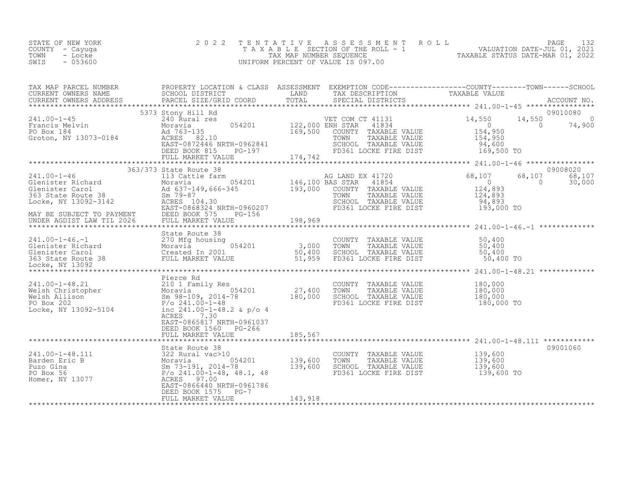| STATE OF NEW YORK<br>COUNTY – Cayuga<br>TOWN<br>- Locke<br>$-053600$<br>SWIS | 2022 TENTATIVE ASSESSMENT ROLL<br>TAXABLE SECTION OF THE ROLL - 1<br>TAX MAP NUMBER SEOUENCE<br>UNIFORM PERCENT OF VALUE IS 097.00 | TAXABLE STATUS DATE-MAR 01, 2022 | PAGE<br>VALUATION DATE-JUL 01, 2021 |  |
|------------------------------------------------------------------------------|------------------------------------------------------------------------------------------------------------------------------------|----------------------------------|-------------------------------------|--|
|                                                                              |                                                                                                                                    |                                  |                                     |  |

| 5373 Stony Hill Rd<br>09010080<br>VET COM CT 41131 14,550<br>054201 122,000 ENH STAR 41834 14.9 0<br>14,550<br>$\sim$ 0<br>74,900<br>NH STAR 41834<br>COUNTY TAXABLE VALUE 154,950<br>TOWN TAXABLE VALUE 154,950<br>SCHOOL TAXABLE VALUE 154,950<br>SCHOOL TAXABLE VALUE 94,600<br>FD361 LOCKE FIRE DIST 169,500 TO<br>$\sim$ 0<br>169,500<br>Pierce Rd<br>ACRES 7.30<br>EAST-0865817 NRTH-0961037<br>DEED BOOK 1560 PG-266<br>FULL MARKET VALUE<br>185,567<br>*******************<br>09001060<br>State Route 38<br>COUNTY TAXABLE VALUE 139,600<br>TOWN TAXABLE VALUE 139,600<br>SCHOOL TAXABLE VALUE 139,600<br>FD361 LOCKE FIRE DIST 139,600 TO<br>EAST-0866440 NRTH-0961786<br>DEED BOOK 1575 PG-7<br>FULL MARKET VALUE<br>143,918 | TAX MAP PARCED NUMBER TROPING PROPERTY DOCALLON & CLASS ASSESSMENT EXAMPLE CONTRESS TO TAXABLE VALUE<br>CURRENT OWNERS NAME SCHOL DISTRICT TOTAL TRANSFORMENT ON TRANSFORM THE RECOUNT NO.<br>CURRENT OWNERS ADDRESS PARCEL SIZE/GRI<br>241.00-1-45<br>Francis Melvin<br>PO Box 184<br>Groton, NY 13073-0184<br>ACRES 82.10<br>241.00-1-48.21<br>Welsh Christopher<br>Welsh Allison Moravia (180,000 UNITY TAXABLE VALUE 180,000<br>Welsh Allison Sm 98-109, 2014-78 180,000 SCHOOL TAXABLE VALUE 180,000<br>PO Box 202 P/o 241.00-1-48.2 & p/o 4<br>Locke, NY 13092-51<br>311.00-1-48.111<br>241.00-1-48.111<br>322 Rural vac>10<br>22 Rural vac>10<br>2014-78<br>2014-78<br>2014-78<br>2014-78<br>2014-78<br>2014-78<br>2014-78<br>2014-78<br>2014-78<br>2014-78<br>2014-78<br>2014-78<br>2014-78<br>2015-00<br>2011.00-1 | TAX MAP PARCEL NUMBER | PROPERTY LOCATION & CLASS ASSESSMENT EXEMPTION CODE-----------------COUNTY-------TOWN------SCHOOL |  |  |
|----------------------------------------------------------------------------------------------------------------------------------------------------------------------------------------------------------------------------------------------------------------------------------------------------------------------------------------------------------------------------------------------------------------------------------------------------------------------------------------------------------------------------------------------------------------------------------------------------------------------------------------------------------------------------------------------------------------------------------------|-----------------------------------------------------------------------------------------------------------------------------------------------------------------------------------------------------------------------------------------------------------------------------------------------------------------------------------------------------------------------------------------------------------------------------------------------------------------------------------------------------------------------------------------------------------------------------------------------------------------------------------------------------------------------------------------------------------------------------------------------------------------------------------------------------------------------------|-----------------------|---------------------------------------------------------------------------------------------------|--|--|
|                                                                                                                                                                                                                                                                                                                                                                                                                                                                                                                                                                                                                                                                                                                                        |                                                                                                                                                                                                                                                                                                                                                                                                                                                                                                                                                                                                                                                                                                                                                                                                                             |                       |                                                                                                   |  |  |
|                                                                                                                                                                                                                                                                                                                                                                                                                                                                                                                                                                                                                                                                                                                                        |                                                                                                                                                                                                                                                                                                                                                                                                                                                                                                                                                                                                                                                                                                                                                                                                                             |                       |                                                                                                   |  |  |
|                                                                                                                                                                                                                                                                                                                                                                                                                                                                                                                                                                                                                                                                                                                                        |                                                                                                                                                                                                                                                                                                                                                                                                                                                                                                                                                                                                                                                                                                                                                                                                                             |                       |                                                                                                   |  |  |
|                                                                                                                                                                                                                                                                                                                                                                                                                                                                                                                                                                                                                                                                                                                                        |                                                                                                                                                                                                                                                                                                                                                                                                                                                                                                                                                                                                                                                                                                                                                                                                                             |                       |                                                                                                   |  |  |
|                                                                                                                                                                                                                                                                                                                                                                                                                                                                                                                                                                                                                                                                                                                                        |                                                                                                                                                                                                                                                                                                                                                                                                                                                                                                                                                                                                                                                                                                                                                                                                                             |                       |                                                                                                   |  |  |
|                                                                                                                                                                                                                                                                                                                                                                                                                                                                                                                                                                                                                                                                                                                                        |                                                                                                                                                                                                                                                                                                                                                                                                                                                                                                                                                                                                                                                                                                                                                                                                                             |                       |                                                                                                   |  |  |
|                                                                                                                                                                                                                                                                                                                                                                                                                                                                                                                                                                                                                                                                                                                                        |                                                                                                                                                                                                                                                                                                                                                                                                                                                                                                                                                                                                                                                                                                                                                                                                                             |                       |                                                                                                   |  |  |
|                                                                                                                                                                                                                                                                                                                                                                                                                                                                                                                                                                                                                                                                                                                                        |                                                                                                                                                                                                                                                                                                                                                                                                                                                                                                                                                                                                                                                                                                                                                                                                                             |                       |                                                                                                   |  |  |
|                                                                                                                                                                                                                                                                                                                                                                                                                                                                                                                                                                                                                                                                                                                                        |                                                                                                                                                                                                                                                                                                                                                                                                                                                                                                                                                                                                                                                                                                                                                                                                                             |                       |                                                                                                   |  |  |
|                                                                                                                                                                                                                                                                                                                                                                                                                                                                                                                                                                                                                                                                                                                                        |                                                                                                                                                                                                                                                                                                                                                                                                                                                                                                                                                                                                                                                                                                                                                                                                                             |                       |                                                                                                   |  |  |
|                                                                                                                                                                                                                                                                                                                                                                                                                                                                                                                                                                                                                                                                                                                                        |                                                                                                                                                                                                                                                                                                                                                                                                                                                                                                                                                                                                                                                                                                                                                                                                                             |                       |                                                                                                   |  |  |
|                                                                                                                                                                                                                                                                                                                                                                                                                                                                                                                                                                                                                                                                                                                                        |                                                                                                                                                                                                                                                                                                                                                                                                                                                                                                                                                                                                                                                                                                                                                                                                                             |                       |                                                                                                   |  |  |
|                                                                                                                                                                                                                                                                                                                                                                                                                                                                                                                                                                                                                                                                                                                                        |                                                                                                                                                                                                                                                                                                                                                                                                                                                                                                                                                                                                                                                                                                                                                                                                                             |                       |                                                                                                   |  |  |
|                                                                                                                                                                                                                                                                                                                                                                                                                                                                                                                                                                                                                                                                                                                                        |                                                                                                                                                                                                                                                                                                                                                                                                                                                                                                                                                                                                                                                                                                                                                                                                                             |                       |                                                                                                   |  |  |
|                                                                                                                                                                                                                                                                                                                                                                                                                                                                                                                                                                                                                                                                                                                                        |                                                                                                                                                                                                                                                                                                                                                                                                                                                                                                                                                                                                                                                                                                                                                                                                                             |                       |                                                                                                   |  |  |
|                                                                                                                                                                                                                                                                                                                                                                                                                                                                                                                                                                                                                                                                                                                                        |                                                                                                                                                                                                                                                                                                                                                                                                                                                                                                                                                                                                                                                                                                                                                                                                                             |                       |                                                                                                   |  |  |
|                                                                                                                                                                                                                                                                                                                                                                                                                                                                                                                                                                                                                                                                                                                                        |                                                                                                                                                                                                                                                                                                                                                                                                                                                                                                                                                                                                                                                                                                                                                                                                                             |                       |                                                                                                   |  |  |
|                                                                                                                                                                                                                                                                                                                                                                                                                                                                                                                                                                                                                                                                                                                                        |                                                                                                                                                                                                                                                                                                                                                                                                                                                                                                                                                                                                                                                                                                                                                                                                                             |                       |                                                                                                   |  |  |
|                                                                                                                                                                                                                                                                                                                                                                                                                                                                                                                                                                                                                                                                                                                                        |                                                                                                                                                                                                                                                                                                                                                                                                                                                                                                                                                                                                                                                                                                                                                                                                                             |                       |                                                                                                   |  |  |
|                                                                                                                                                                                                                                                                                                                                                                                                                                                                                                                                                                                                                                                                                                                                        |                                                                                                                                                                                                                                                                                                                                                                                                                                                                                                                                                                                                                                                                                                                                                                                                                             |                       |                                                                                                   |  |  |
|                                                                                                                                                                                                                                                                                                                                                                                                                                                                                                                                                                                                                                                                                                                                        |                                                                                                                                                                                                                                                                                                                                                                                                                                                                                                                                                                                                                                                                                                                                                                                                                             |                       |                                                                                                   |  |  |
|                                                                                                                                                                                                                                                                                                                                                                                                                                                                                                                                                                                                                                                                                                                                        |                                                                                                                                                                                                                                                                                                                                                                                                                                                                                                                                                                                                                                                                                                                                                                                                                             |                       |                                                                                                   |  |  |
|                                                                                                                                                                                                                                                                                                                                                                                                                                                                                                                                                                                                                                                                                                                                        |                                                                                                                                                                                                                                                                                                                                                                                                                                                                                                                                                                                                                                                                                                                                                                                                                             |                       |                                                                                                   |  |  |
|                                                                                                                                                                                                                                                                                                                                                                                                                                                                                                                                                                                                                                                                                                                                        |                                                                                                                                                                                                                                                                                                                                                                                                                                                                                                                                                                                                                                                                                                                                                                                                                             |                       |                                                                                                   |  |  |
|                                                                                                                                                                                                                                                                                                                                                                                                                                                                                                                                                                                                                                                                                                                                        |                                                                                                                                                                                                                                                                                                                                                                                                                                                                                                                                                                                                                                                                                                                                                                                                                             |                       |                                                                                                   |  |  |
|                                                                                                                                                                                                                                                                                                                                                                                                                                                                                                                                                                                                                                                                                                                                        |                                                                                                                                                                                                                                                                                                                                                                                                                                                                                                                                                                                                                                                                                                                                                                                                                             |                       |                                                                                                   |  |  |
|                                                                                                                                                                                                                                                                                                                                                                                                                                                                                                                                                                                                                                                                                                                                        |                                                                                                                                                                                                                                                                                                                                                                                                                                                                                                                                                                                                                                                                                                                                                                                                                             |                       |                                                                                                   |  |  |
|                                                                                                                                                                                                                                                                                                                                                                                                                                                                                                                                                                                                                                                                                                                                        |                                                                                                                                                                                                                                                                                                                                                                                                                                                                                                                                                                                                                                                                                                                                                                                                                             |                       |                                                                                                   |  |  |
|                                                                                                                                                                                                                                                                                                                                                                                                                                                                                                                                                                                                                                                                                                                                        |                                                                                                                                                                                                                                                                                                                                                                                                                                                                                                                                                                                                                                                                                                                                                                                                                             |                       |                                                                                                   |  |  |
|                                                                                                                                                                                                                                                                                                                                                                                                                                                                                                                                                                                                                                                                                                                                        |                                                                                                                                                                                                                                                                                                                                                                                                                                                                                                                                                                                                                                                                                                                                                                                                                             |                       |                                                                                                   |  |  |
|                                                                                                                                                                                                                                                                                                                                                                                                                                                                                                                                                                                                                                                                                                                                        |                                                                                                                                                                                                                                                                                                                                                                                                                                                                                                                                                                                                                                                                                                                                                                                                                             |                       |                                                                                                   |  |  |
|                                                                                                                                                                                                                                                                                                                                                                                                                                                                                                                                                                                                                                                                                                                                        |                                                                                                                                                                                                                                                                                                                                                                                                                                                                                                                                                                                                                                                                                                                                                                                                                             |                       |                                                                                                   |  |  |
|                                                                                                                                                                                                                                                                                                                                                                                                                                                                                                                                                                                                                                                                                                                                        |                                                                                                                                                                                                                                                                                                                                                                                                                                                                                                                                                                                                                                                                                                                                                                                                                             |                       |                                                                                                   |  |  |
|                                                                                                                                                                                                                                                                                                                                                                                                                                                                                                                                                                                                                                                                                                                                        |                                                                                                                                                                                                                                                                                                                                                                                                                                                                                                                                                                                                                                                                                                                                                                                                                             |                       |                                                                                                   |  |  |
|                                                                                                                                                                                                                                                                                                                                                                                                                                                                                                                                                                                                                                                                                                                                        |                                                                                                                                                                                                                                                                                                                                                                                                                                                                                                                                                                                                                                                                                                                                                                                                                             |                       |                                                                                                   |  |  |
|                                                                                                                                                                                                                                                                                                                                                                                                                                                                                                                                                                                                                                                                                                                                        |                                                                                                                                                                                                                                                                                                                                                                                                                                                                                                                                                                                                                                                                                                                                                                                                                             |                       |                                                                                                   |  |  |
|                                                                                                                                                                                                                                                                                                                                                                                                                                                                                                                                                                                                                                                                                                                                        |                                                                                                                                                                                                                                                                                                                                                                                                                                                                                                                                                                                                                                                                                                                                                                                                                             |                       |                                                                                                   |  |  |
|                                                                                                                                                                                                                                                                                                                                                                                                                                                                                                                                                                                                                                                                                                                                        |                                                                                                                                                                                                                                                                                                                                                                                                                                                                                                                                                                                                                                                                                                                                                                                                                             |                       |                                                                                                   |  |  |
|                                                                                                                                                                                                                                                                                                                                                                                                                                                                                                                                                                                                                                                                                                                                        |                                                                                                                                                                                                                                                                                                                                                                                                                                                                                                                                                                                                                                                                                                                                                                                                                             |                       |                                                                                                   |  |  |
|                                                                                                                                                                                                                                                                                                                                                                                                                                                                                                                                                                                                                                                                                                                                        |                                                                                                                                                                                                                                                                                                                                                                                                                                                                                                                                                                                                                                                                                                                                                                                                                             |                       |                                                                                                   |  |  |
|                                                                                                                                                                                                                                                                                                                                                                                                                                                                                                                                                                                                                                                                                                                                        |                                                                                                                                                                                                                                                                                                                                                                                                                                                                                                                                                                                                                                                                                                                                                                                                                             |                       |                                                                                                   |  |  |
|                                                                                                                                                                                                                                                                                                                                                                                                                                                                                                                                                                                                                                                                                                                                        |                                                                                                                                                                                                                                                                                                                                                                                                                                                                                                                                                                                                                                                                                                                                                                                                                             |                       |                                                                                                   |  |  |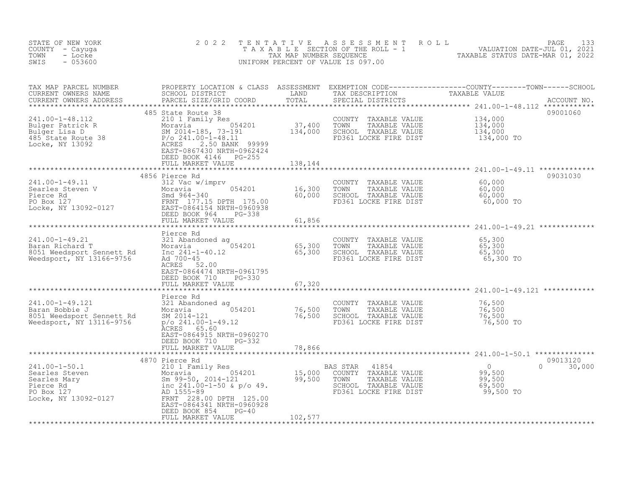| STATE OF NEW YORK<br>COUNTY - Cayuga<br>TOWN<br>- Locke<br>$-053600$<br>SWIS                                                                                                                                                                             | 2 0 2 2                                                                                                                                                                                               | TENTATIVE                        | UNIFORM PERCENT OF VALUE IS 097.00                                                                                     | TENTATIVE ASSESSMENT ROLL MALUATION DATE-JUL 01, 2021<br>TAXABLE SECTION OF THE ROLL - 1 VALUATION DATE-JUL 01, 2021<br>TAXABLE STATUS DATE-MAR 01, 2022<br>INIEORM PERCENT OF UALUATION OF LATTE TO 00 |
|----------------------------------------------------------------------------------------------------------------------------------------------------------------------------------------------------------------------------------------------------------|-------------------------------------------------------------------------------------------------------------------------------------------------------------------------------------------------------|----------------------------------|------------------------------------------------------------------------------------------------------------------------|---------------------------------------------------------------------------------------------------------------------------------------------------------------------------------------------------------|
| TAX MAP PARCEL NUMBER<br>CURRENT OWNERS NAME<br>CURRENT OWNERS ADDRESS                                                                                                                                                                                   | PARCEL SIZE/GRID COORD                                                                                                                                                                                | TOTAL                            | SPECIAL DISTRICTS                                                                                                      | ACCOUNT NO.                                                                                                                                                                                             |
| 241.00-1-48.112<br>Bulger Patrick R<br>Bulger Lisa D<br>485 State Route 38<br>1865 State Route 38<br>2014-185, 73-191<br>2014-185, 73-191<br>2014-185, 73-191<br>2014-185, 73-191<br>2014-185, 73-191<br>20201<br>20201 RARES<br>20201 RARES<br>2020 RAR | 485 State Route 38<br>EAST-0867430 NRTH-0962424<br>DEED BOOK 4146 PG-255<br>FULL MARKET VALUE                                                                                                         | $37,400$<br>$134,000$<br>138,144 | COUNTY TAXABLE VALUE<br>TOWN<br>TAXABLE VALUE<br>SCHOOL TAXABLE VALUE<br>FD361 LOCKE FIRE DIST                         | 09001060<br>134,000<br>134,000<br>134,000<br>134,000 TO                                                                                                                                                 |
|                                                                                                                                                                                                                                                          |                                                                                                                                                                                                       | ************                     |                                                                                                                        | 09031030                                                                                                                                                                                                |
|                                                                                                                                                                                                                                                          |                                                                                                                                                                                                       | 16,300<br>60,000                 | COUNTY TAXABLE VALUE<br>TAXABLE VALUE<br>TOWN<br>SCHOOL TAXABLE VALUE<br>FD361 LOCKE FIRE DIST                         | 60,000<br>60,000<br>60,000<br>60,000 TO                                                                                                                                                                 |
|                                                                                                                                                                                                                                                          |                                                                                                                                                                                                       | 61,856<br>************           |                                                                                                                        | ************************ 241.00-1-49.21 **************                                                                                                                                                  |
| 241.00-1-49.21<br>Baran Richard T<br>8051 Weedsport Sennett Rd<br>Weedsport, NY 13166-9756                                                                                                                                                               | Pierce Rd<br>321 Abandoned ag<br>Moravia 054201<br>Inc 241-1-40.12<br>Ad 700-45<br>Ad 700-45<br>ACRES 52.00<br>EAST-0864474 NRTH-0961795                                                              | 65,300                           | COUNTY TAXABLE VALUE<br>TAXABLE VALUE<br>TOWN<br>SCHOOL TAXABLE VALUE<br>FD361 LOCKE FIRE DIST                         | 65,300<br>$65,300$<br>$65,300$<br>$65,300$<br>65,300 TO                                                                                                                                                 |
|                                                                                                                                                                                                                                                          | DEED BOOK 710 PG-330<br>FULL MARKET VALUE                                                                                                                                                             | 67,320                           |                                                                                                                        |                                                                                                                                                                                                         |
|                                                                                                                                                                                                                                                          | **************************************<br>Pierce Rd                                                                                                                                                   |                                  |                                                                                                                        |                                                                                                                                                                                                         |
| 241.00-1-49.121<br>241.00-1-49.121<br>Baran Bobbie J<br>8051 Weedsport Sennett Rd<br>Weedsport, NY 13116-9756<br>Weedsport, NY 13116-9756                                                                                                                | 321 Abandoned ag<br>054201<br>Moravia<br>a di Papa Salah Indonesia.<br>Pada tahun 1970<br>SM 2014-121<br>$p$ /o 241.00-1-49.12<br>ACRES 65.60<br>EAST-0864915 NRTH-0960270<br>DEED BOOK 710<br>PG-332 | 76,500<br>76,500                 | COUNTY TAXABLE VALUE<br>TOWN<br>TAXABLE VALUE<br>SCHOOL TAXABLE VALUE<br>FD361 LOCKE FIRE DIST                         | 76,500<br>76,500<br>76,500<br>76,500 TO                                                                                                                                                                 |
|                                                                                                                                                                                                                                                          | FULL MARKET VALUE                                                                                                                                                                                     | 78,866                           |                                                                                                                        |                                                                                                                                                                                                         |
| 241.00-1-50.1<br>Searles Steven<br>Searles Mary<br>Searles Mary<br>Pierce Rd<br>PO Box 127<br>Locke, NY 13092-0127<br>228.00 DPTH 125.00                                                                                                                 | 4870 Pierce Rd<br>EAST-0864341 NRTH-0960928<br>DEED BOOK 854<br>$PG-40$<br>FULL MARKET VALUE                                                                                                          | 15,000<br>99,500<br>102,577      | 41854<br>BAS STAR<br>TAXABLE VALUE<br>COUNTY<br>TOWN<br>TAXABLE VALUE<br>SCHOOL TAXABLE VALUE<br>FD361 LOCKE FIRE DIST | 09013120<br>$\overline{0}$<br>$\Omega$<br>30,000<br>$99,500$<br>99,500<br>69,500<br>99,500 TO                                                                                                           |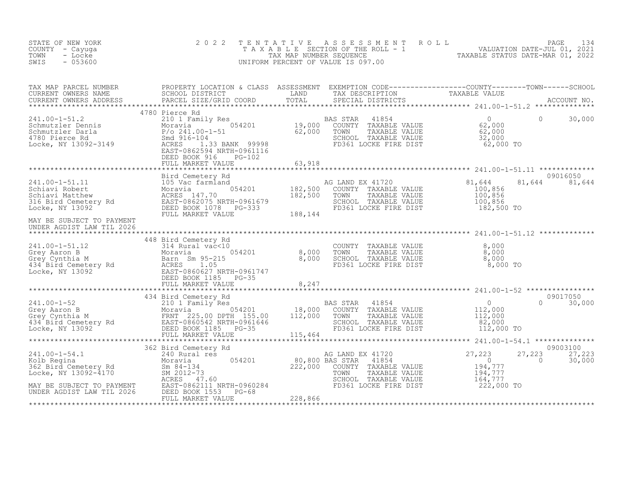| STATE OF NEW YORK<br>COUNTY - Cayuga<br>- Locke<br>TOWN<br>$-053600$<br>SWIS | 2 0 2 2 | TENTATIVE ASSESSMENT ROLL PAGE 134<br>TAXABLE SECTION OF THE ROLL - 1 VALUATION DATE-JUL 01, 2021<br>TAX MAP NUMBER SEQUENCE TAXABLE STATUS DATE-MAR 01, 2022<br>UNIFORM PERCENT OF VALUE IS 097.00 |                                                    |
|------------------------------------------------------------------------------|---------|-----------------------------------------------------------------------------------------------------------------------------------------------------------------------------------------------------|----------------------------------------------------|
|                                                                              |         |                                                                                                                                                                                                     |                                                    |
|                                                                              |         |                                                                                                                                                                                                     |                                                    |
| MAY BE SUBJECT TO PAYMENT<br>UNDER AGDIST LAW TIL 2026                       |         | AG LAND EX 41720<br>COUNTY TAXABLE VALUE 100,856<br>TOWN TAXABLE VALUE 100,856<br>SCHOOL TAXABLE VALUE 100,856<br>FD361 LOCKE FIRE DIST 182,500 TO                                                  | 09016050<br>81,644 81,644                          |
|                                                                              |         |                                                                                                                                                                                                     |                                                    |
|                                                                              |         |                                                                                                                                                                                                     | $0 \t 30,000$                                      |
|                                                                              |         |                                                                                                                                                                                                     | 09003100<br>27,223<br>27,223<br>$\sim$ 0<br>30,000 |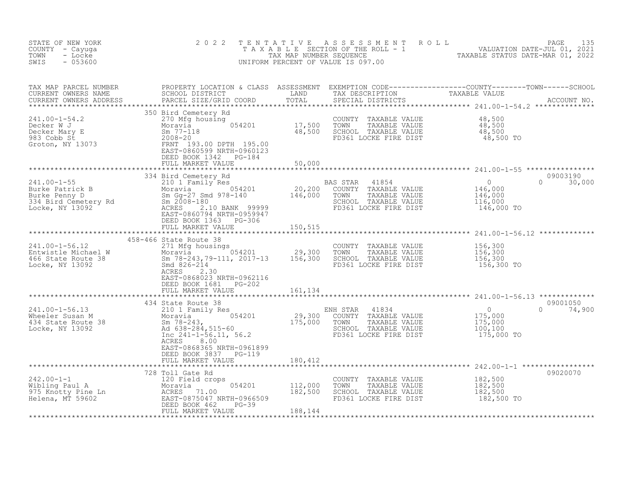| STATE OF NEW YORK<br>COUNTY - Cayuga<br>- Locke<br>TOWN<br>SWIS<br>$-053600$                                                                                                                                                                        | 2 0 2 2                                                                 |         | TENTATIVE ASSESSMENT ROLL PACE 135<br>TAXABLE SECTION OF THE ROLL - 1 VALUATION DATE-JUL 01, 2021<br>TAX MAP NUMBER SEQUENCE TAXABLE STATUS DATE-MAR 01, 2022<br>UNIFORM PERCENT OF VALUE IS 097.00 |                                             |                                |
|-----------------------------------------------------------------------------------------------------------------------------------------------------------------------------------------------------------------------------------------------------|-------------------------------------------------------------------------|---------|-----------------------------------------------------------------------------------------------------------------------------------------------------------------------------------------------------|---------------------------------------------|--------------------------------|
| TAX MAP PARCEL NUMBER<br>CURRENT OWNERS NAME<br>CURRENT OWNERS NAME SCHOOL DISTRICT LAND TAX DESCRIPTION TAXABLE VALUE<br>CURRENT OWNERS ADDRESS PARCEL SIZE/GRID COORD TOTAL SPECIAL DISTRICTS ACCOUNT NO.<br>***********************              |                                                                         |         |                                                                                                                                                                                                     |                                             |                                |
|                                                                                                                                                                                                                                                     |                                                                         |         |                                                                                                                                                                                                     |                                             |                                |
| 241.00-1-55<br>BAS STAR 41854<br>BAS STAR 41854<br>Durke Patrick B<br>Burke Penny D<br>334 Bird Cemetery Rd<br>Moravia 1978-140<br>Sm 2008-180<br>334 Bird Cemetery Rd<br>Sm 2008-180<br>20,200 COUNTY TAXABLE VALUE<br>20,200 COUNTY TAXABLE VALUE | FULL MARKET VALUE<br>334 Bird Cemetery Rd                               | 50,000  |                                                                                                                                                                                                     |                                             | 09003190<br>$\Omega$<br>30,000 |
|                                                                                                                                                                                                                                                     | DEED BOOK 1363 PG-306<br>FULL MARKET VALUE<br>FULL MARKET VALUE 150,515 |         |                                                                                                                                                                                                     |                                             |                                |
|                                                                                                                                                                                                                                                     | DEED BOOK 1681 PG-202                                                   |         |                                                                                                                                                                                                     |                                             |                                |
|                                                                                                                                                                                                                                                     | FULL MARKET VALUE 161, 134                                              |         |                                                                                                                                                                                                     |                                             |                                |
|                                                                                                                                                                                                                                                     | ACRES<br>8.00<br>EAST-0868365 NRTH-0961899<br>DEED BOOK 3837 PG-119     |         |                                                                                                                                                                                                     |                                             |                                |
|                                                                                                                                                                                                                                                     | FULL MARKET VALUE                                                       | 180,412 |                                                                                                                                                                                                     |                                             |                                |
| 242.00-1-1<br>Wibling Paul A<br>975 Knotty Pine Ln<br>Michael A<br>975 Knotty Pine Ln<br>Michael A<br>975 Knotty Pine Ln<br>MCRES 71.00<br>BEED BOOK 462 PG-39<br>FULL MARKET VALUE<br>182,500<br>188,144<br>188,144                                |                                                                         |         | COUNTY TAXABLE VALUE<br>TAXABLE VALUE<br>TOWN<br>SCHOOL TAXABLE VALUE<br>FD361 LOCKE FIRE DIST                                                                                                      | 182,500<br>182,500<br>182,500<br>182,500 TO | 09020070                       |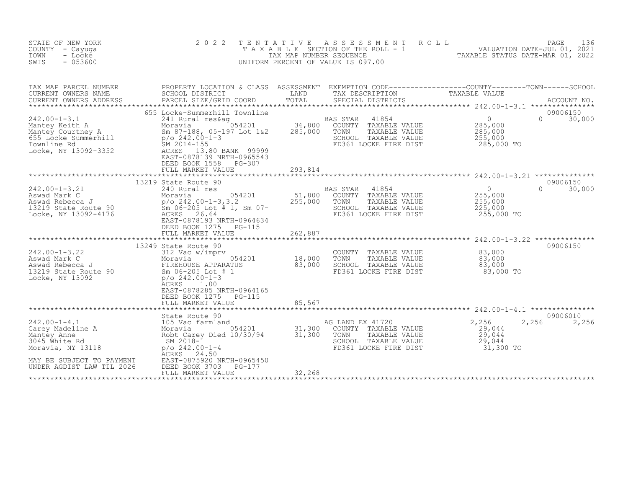| STATE OF NEW YORK<br>COUNTY - Cayuga<br>- Locke<br>TOWN<br>SWIS<br>$-053600$                                                                                                           | 2 0 2 2<br>TAXABLE                                                                                                                                                                                                           | TENTATIVE<br>TAX MAP NUMBER SEQUENCE | A S S E S S M E N T<br>SECTION OF THE ROLL - 1<br>UNIFORM PERCENT OF VALUE IS 097.00                                | PAGE 136<br>VALUATION DATE-JUL 01, 2021<br>TAXABLE STATIIS DATE-MAR 01, 2021                                                    |
|----------------------------------------------------------------------------------------------------------------------------------------------------------------------------------------|------------------------------------------------------------------------------------------------------------------------------------------------------------------------------------------------------------------------------|--------------------------------------|---------------------------------------------------------------------------------------------------------------------|---------------------------------------------------------------------------------------------------------------------------------|
| TAX MAP PARCEL NUMBER<br>CURRENT OWNERS NAME<br>CURRENT OWNERS ADDRESS                                                                                                                 | SCHOOL DISTRICT<br>PARCEL SIZE/GRID COORD                                                                                                                                                                                    | LAND<br>TOTAL                        | TAX DESCRIPTION<br>SPECIAL DISTRICTS                                                                                | PROPERTY LOCATION & CLASS ASSESSMENT EXEMPTION CODE----------------COUNTY-------TOWN-----SCHOOL<br>TAXABLE VALUE<br>ACCOUNT NO. |
| $242.00 - 1 - 3.1$<br>Antal resk<br>Mantey Courtney A Moravia<br>Sm 87-188, 05-1<br>655 Locke Summerhill<br>Townline Rd B 2012.00-1-3<br>Locke. NY 12002.200-1<br>Locke, NY 13092-3352 | 655 Locke-Summerhill Townline<br>241 Rural res&ag<br>Moravia 1054201<br>Sm 87-188, 05-197 Lot 1&2<br>ACRES<br>13.80 BANK 99999<br>EAST-0878139 NRTH-0965543<br>DEED BOOK 1558<br>PG-307<br>FULL MARKET VALUE                 | 36,800<br>285,000                    | BAS STAR<br>41854<br>COUNTY TAXABLE VALUE<br>TOWN<br>TAXABLE VALUE<br>SCHOOL TAXABLE VALUE<br>FD361 LOCKE FIRE DIST | 09006150<br>$\overline{0}$<br>$\Omega$<br>30,000<br>285,000<br>285,000<br>255,000<br>285,000 TO                                 |
|                                                                                                                                                                                        |                                                                                                                                                                                                                              | 293,814                              |                                                                                                                     |                                                                                                                                 |
| $242.00 - 1 - 3.21$<br>Aswad Mark C<br>Aswad Mark C<br>Aswad Rebecca J<br>13219 State Route 90<br>Locke, NY 13092-4176                                                                 | 13219 State Route 90<br>240 Rural res<br>054201<br>Moravia<br>$p$ /o 242.00-1-3,3.2<br>Sm $06-205$ Lot # 1, Sm $07-$<br>ACRES 26.64<br>EAST-0878193 NRTH-0964634<br>DEED BOOK 1275<br>PG-115                                 | 51,800<br>255,000                    | BAS STAR<br>41854<br>COUNTY TAXABLE VALUE<br>TAXABLE VALUE<br>TOWN<br>SCHOOL TAXABLE VALUE<br>FD361 LOCKE FIRE DIST | 09006150<br>$\Omega$<br>$\overline{0}$<br>30,000<br>255,000<br>255,000<br>225,000<br>255,000 TO                                 |
|                                                                                                                                                                                        | FULL MARKET VALUE                                                                                                                                                                                                            | 262,887                              |                                                                                                                     |                                                                                                                                 |
| $242.00 - 1 - 3.22$<br>Aswad Mark C<br>Aswad Rebecca J<br>13219 State Route 90<br>Locke, NY 13092                                                                                      | 13249 State Route 90<br>312 Vac w/imprv<br>054201<br>Moravia<br>FIREHOUSE APPARATUS<br>Sm 06-205 Lot # 1<br>$p$ /o 242.00-1-3<br>ACRES<br>1.00<br>EAST-0878285 NRTH-0964165<br>DEED BOOK 1275<br>PG-115<br>FULL MARKET VALUE | 18,000<br>83,000<br>85,567           | COUNTY TAXABLE VALUE<br>TOWN<br>TAXABLE VALUE<br>SCHOOL TAXABLE VALUE<br>FD361 LOCKE FIRE DIST                      | 09006150<br>83,000<br>83,000<br>83,000<br>83,000 TO                                                                             |
|                                                                                                                                                                                        |                                                                                                                                                                                                                              |                                      |                                                                                                                     |                                                                                                                                 |
| $242.00 - 1 - 4.1$<br>Carey Madeline A<br>Mantey Anne<br>3045 White Rd<br>Moravia, NY 13118<br>MAY BE SUBJECT TO PAYMENT<br>UNDER AGDIST LAW TIL 2026                                  | State Route 90<br>105 Vac farmland<br>054201<br>Moravia<br>Robt Carey Died 10/30/94<br>SM 2018-1<br>$p$ /o 242.00-1-4<br>24.50<br>ACRES<br>EAST-0875920 NRTH-0965450<br>DEED BOOK 3703<br>PG-177                             | 31,300<br>31,300                     | AG LAND EX 41720<br>COUNTY TAXABLE VALUE<br>TOWN<br>TAXABLE VALUE<br>SCHOOL TAXABLE VALUE<br>FD361 LOCKE FIRE DIST  | 09006010<br>2,256<br>2,256<br>2,256<br>29,044<br>29,044<br>29,044<br>31,300 TO                                                  |
|                                                                                                                                                                                        | FULL MARKET VALUE                                                                                                                                                                                                            | 32,268                               |                                                                                                                     |                                                                                                                                 |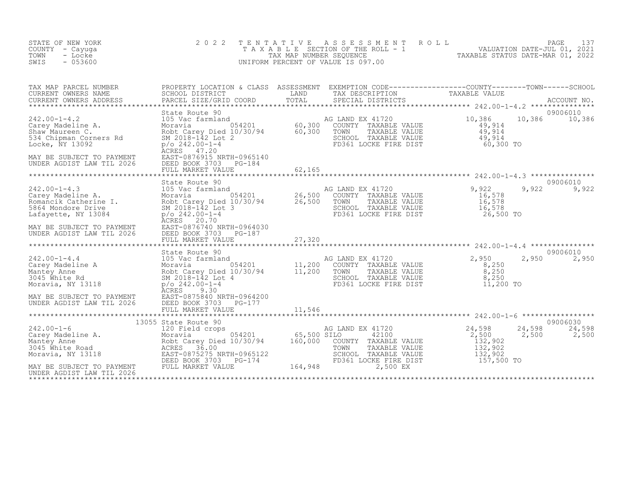| STATE OF NEW YORK<br>COUNTY - Cayuga<br>- Locke<br>TOWN<br>SWIS<br>$-053600$                                                                                            | 2 0 2 2<br>TAXABLE                                                                                                                                                                                                                  | TENTATIVE<br>TAX MAP NUMBER SEQUENCE | A S S E S S M E N T<br>ROLL<br>SECTION OF THE ROLL - 1<br>UNIFORM PERCENT OF VALUE IS 097.00                                                                                      | VALUATION DATE-JUL 01, 2021<br>TAXABLE STATUS DATE-MAR 01, 2022                   | 137<br>PAGE                 |
|-------------------------------------------------------------------------------------------------------------------------------------------------------------------------|-------------------------------------------------------------------------------------------------------------------------------------------------------------------------------------------------------------------------------------|--------------------------------------|-----------------------------------------------------------------------------------------------------------------------------------------------------------------------------------|-----------------------------------------------------------------------------------|-----------------------------|
| TAX MAP PARCEL NUMBER<br>CURRENT OWNERS NAME<br>CURRENT OWNERS ADDRESS                                                                                                  | PARCEL SIZE/GRID COORD                                                                                                                                                                                                              | TOTAL                                | PROPERTY LOCATION & CLASS ASSESSMENT EXEMPTION CODE-----------------COUNTY--------TOWN------SCHOOL SCHOOL SCHOOL OUSTRICT LAND TAX DESCRIPTION TAXABLE VALUE<br>SPECIAL DISTRICTS |                                                                                   | ACCOUNT NO.                 |
| $242.00 - 1 - 4.2$<br>Carey Madeline A.<br>Shaw Maureen C.<br>534 Chipman Corners Rd<br>Locke, NY 13092<br>MAY BE SUBJECT TO PAYMENT<br>UNDER AGDIST LAW TIL 2026       | State Route 90<br>105 Vac farmland<br>Moravia 054201 60,300<br>Robt Carey Died 10/30/94 60,300<br>SM 2018-142 Lot 2<br>P/o 242.00-1-4<br>ACRES 47.20<br>EAST-0876915 NRTH-0965140<br>DEED BOOK 3703 PG-184                          |                                      | AG LAND EX 41720<br>COUNTY TAXABLE VALUE<br>TOWN<br>TAXABLE VALUE<br>SCHOOL TAXABLE VALUE<br>FD361 LOCKE FIRE DIST                                                                | 10,386<br>10,386<br>49,914<br>49,914<br>49,914<br>$60,300$ TO                     | 09006010<br>10,386          |
|                                                                                                                                                                         | FULL MARKET VALUE                                                                                                                                                                                                                   | 62,165                               |                                                                                                                                                                                   |                                                                                   |                             |
| $242.00 - 1 - 4.3$<br>Carey Madeline A.<br>Romancik Catherine I.<br>5864 Mondore Drive<br>Lafayette, NY 13084<br>MAY BE SUBJECT TO PAYMENT<br>UNDER AGDIST LAW TIL 2026 | State Route 90<br>105 Vac farmland<br>Moravia 054201 26,500<br>Robt Carey Died 10/30/94 26,500<br>SM 2018-142 Lot 3<br>p/o_242.00-1-4<br>ACRES 20.70<br>EAST-0876740 NRTH-0964030<br>DEED BOOK 3703<br>PG-187                       |                                      | AG LAND EX 41720<br>COUNTY TAXABLE VALUE<br>TAXABLE VALUE<br>TOWN<br>SCHOOL TAXABLE VALUE<br>FD361 LOCKE FIRE DIST                                                                | 9,922<br>9,922<br>16,578<br>16,578<br>16,578<br>26,500 TO                         | 09006010<br>9,922           |
|                                                                                                                                                                         | FULL MARKET VALUE                                                                                                                                                                                                                   | 27,320                               |                                                                                                                                                                                   |                                                                                   | 09006010                    |
| $242.00 - 1 - 4.4$<br>Carey Madeline A<br>Mantey Anne<br>3045 White Rd<br>Moravia, NY 13118<br>MAY BE SUBJECT TO PAYMENT<br>UNDER AGDIST LAW TIL 2026                   | State Route 90<br>105 Vac farmland<br>animianu 054201 11,200<br>11,200 y Died 10/30/94 11,200<br>Moravia<br>Robt Carey Died 10/30/94<br>SM 2018-142 Lot 4<br>$p$ /o 242.00-1-4<br><b>ACRES</b><br>9.30<br>EAST-0875840 NRTH-0964200 |                                      | AG LAND EX 41720<br>COUNTY TAXABLE VALUE<br>TOWN<br>TAXABLE VALUE<br>SCHOOL TAXABLE VALUE<br>FD361 LOCKE FIRE DIST                                                                | 2,950<br>2,950<br>8,250<br>8,250<br>8,250<br>$11,200$ TO                          | 2,950                       |
|                                                                                                                                                                         | DEED BOOK 3703<br>PG-177<br>FULL MARKET VALUE                                                                                                                                                                                       | 11,546                               |                                                                                                                                                                                   |                                                                                   |                             |
| 242.00-1-6<br>Carey Madeline A.<br>Mantey Anne<br>3045 White Road<br>Moravia, NY 13118<br>MAY BE SUBJECT TO PAYMENT<br>UNDER AGDIST LAW TIL 2026                        | 13055 State Route 90<br>120 Field crops<br>Moravia<br>Robt Carey Died 10/30/94 160,000<br>ACRES 36.00<br>EAST-0875275 NRTH-0965122<br>DEED BOOK 3703 PG-174<br>FULL MARKET VALUE                                                    | 054201 65,500 SILO<br>164,948        | AG LAND EX 41720<br>42100<br>COUNTY TAXABLE VALUE<br>TOWN<br>TAXABLE VALUE<br>SCHOOL TAXABLE VALUE<br>FD361 LOCKE FIRE DIST<br>2,500 EX                                           | 24,598<br>24,598<br>2,500<br>2,500<br>132,902<br>132,902<br>132,902<br>157,500 TO | 09006030<br>24,598<br>2,500 |
|                                                                                                                                                                         |                                                                                                                                                                                                                                     |                                      |                                                                                                                                                                                   |                                                                                   |                             |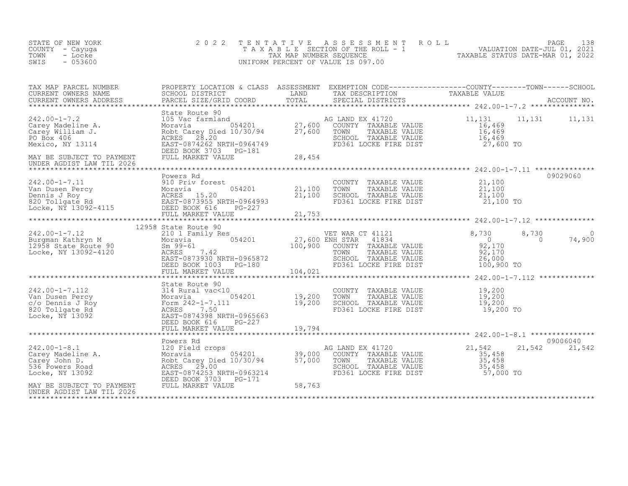| STATE OF NEW YORK<br>COUNTY - Cayuga<br>TOWN<br>- Locke<br>SWIS<br>$-053600$                                                                                                                                                                         | 2 0 2 2                                                                                                                                                                                                                                           | TENTATIVE                                                                               | T E N T A T I V E A S S E S S M E N T R O L L<br>T A X A B L E SECTION OF THE ROLL - 1 VALUATION DATE-JUL 01, 2021<br>TAX MAP NUMBER SEQUENCE TAXABLE STATUS DATE-MAR 01, 2022<br>JNIFORM PERCENT OF VALUE IS 097.00<br>UNIFORM PERCENT OF VALUE IS 097.00 |                                                                                        |                                          |
|------------------------------------------------------------------------------------------------------------------------------------------------------------------------------------------------------------------------------------------------------|---------------------------------------------------------------------------------------------------------------------------------------------------------------------------------------------------------------------------------------------------|-----------------------------------------------------------------------------------------|------------------------------------------------------------------------------------------------------------------------------------------------------------------------------------------------------------------------------------------------------------|----------------------------------------------------------------------------------------|------------------------------------------|
| TAX MAP PARCEL NUMBER<br>TAX MAP PARCEL NUMBER<br>CURRENT OWNERS NAME<br>CURRENT OWNERS ADDRESS                                                                                                                                                      | PROPERTY LOCATION & CLASS ASSESSMENT EXEMPTION CODE------------------COUNTY--------TOWN------SCHOOL<br>SCHOOL DISTRICT LAND TAX DESCRIPTION TAXABLE VALUE<br>PARCEL SIZE/GRID COORD TOTAL SPECIAL DISTRICTS                                       |                                                                                         |                                                                                                                                                                                                                                                            |                                                                                        |                                          |
|                                                                                                                                                                                                                                                      | DEED BOOK 3703 PG-181                                                                                                                                                                                                                             |                                                                                         |                                                                                                                                                                                                                                                            | 11,131<br>16,469<br>16,469<br>16,469<br>27,600 TO                                      | 11, 131 11, 131                          |
| MAY BE SUBJECT TO PAYMENT<br>UNDER AGDIST LAW TIL 2026                                                                                                                                                                                               | FULL MARKET VALUE                                                                                                                                                                                                                                 | 28,454                                                                                  |                                                                                                                                                                                                                                                            |                                                                                        |                                          |
| 242.00-1-7.11<br>Van Dusen Percy<br>Dennis J Roy<br>820 Tollgate Rd<br>Locke, NY 13092-4115<br>20 Tollgate Rd<br>20 Tollgate Rd<br>20 EAST-0873955 NRTH-0964993<br>20 Tollgate Rd<br>20 EAST-0873955 NRTH-0964993<br>20 EED BOOK 616<br>20 FULL MARK | Powers Rd                                                                                                                                                                                                                                         | $\begin{array}{r} 0.54201 & 21,100 \\ 21,100 \\ 21,100 \\ 264993 \\ 27,100 \end{array}$ | COUNTY TAXABLE VALUE<br>TOWN<br>TAXABLE VALUE<br>SCHOOL TAXABLE VALUE 21,100<br>FD361 LOCKE FIRE DIST                                                                                                                                                      | 21,100<br>21,100<br>$21,100$ TO                                                        | 09029060                                 |
|                                                                                                                                                                                                                                                      | FULL MARKET VALUE                                                                                                                                                                                                                                 | 21,753                                                                                  |                                                                                                                                                                                                                                                            |                                                                                        |                                          |
| 242.00-1-7.12<br>Burgman Kathryn M<br>12958 State Route 90<br>Locke, NY 13092-4120                                                                                                                                                                   | 12958 State Route 90<br>VET WAR C<br>210 1 Family Res<br>Moravia 054201 27,600 ENH STAR<br>Sm 99-61 100,900 COUNTY<br>ACRES 7.42 TOWN<br>EAST-0873930 NRTH-0965872 SCHOOL<br>DEED BOOK 1003 PG-180 FD361 L<br>THIS ROOK 1003<br>FULL MARKET VALUE | 104,021                                                                                 | VET WAR CT 41121<br>41834<br>COUNTY TAXABLE VALUE<br>TOWN    TAXABLE VALUE<br>SCHOOL  TAXABLE VALUE<br>FD361 LOCKE FIRE DIST                                                                                                                               | 8,730<br>$92,170$<br>$92,170$<br>$92,170$<br>26,000<br>100,900 TO                      | 8,730<br>$\bigcap$<br>74,900<br>$\sim$ 0 |
| 242.00-1-7.112<br>Van Dusen Percy<br>C/o Dennis J Roy<br>820 Tollgate Rd<br>Locke, NY 13092<br>200 EAST-0874398 NRTH-0965663<br>200 EAST-0874398 NRTH-0965663<br>200 EAST-0874398 NRTH-0965663<br>200 EAST-0874398 NRTH-0965663<br>200 EEED BOOK     | State Route 90<br>DEED BOOK 616<br>PG-227<br>FULL MARKET VALUE                                                                                                                                                                                    | 19,794                                                                                  | COUNTY TAXABLE VALUE<br>TOWN      TAXABLE VALUE<br>SCHOOL   TAXABLE VALUE<br>FD361 LOCKE FIRE DIST                                                                                                                                                         | ************** 242.00-1-7.112 *************<br>19,200<br>19,200<br>19,200<br>19,200 TO |                                          |
|                                                                                                                                                                                                                                                      | Powers Rd                                                                                                                                                                                                                                         |                                                                                         |                                                                                                                                                                                                                                                            |                                                                                        | 09006040                                 |
| $242.00 - 1 - 8.1$<br>Carey Madeline A.<br>Carey John D.<br>536 Powers Road<br>Locke, NY 13092                                                                                                                                                       | 120 Field crops<br>Moravia 054201 39,000<br>Robt_Carey Died 10/30/94 57,000<br>29.00<br>ACRES<br>EAST-0874253 NRTH-0963214<br>DEED BOOK 3703 PG-171                                                                                               |                                                                                         | AG LAND EX 41720<br>COUNTY TAXABLE VALUE<br>TAXABLE VALUE<br>TOWN<br>SCHOOL TAXABLE VALUE<br>FD361 LOCKE FIRE DIST                                                                                                                                         | 21,542<br>35,458<br>35,458<br>$\frac{35}{5}$ , 458<br>$57,000$ TO                      | 21,542 21,542                            |
| MAY BE SUBJECT TO PAYMENT<br>UNDER AGDIST LAW TIL 2026                                                                                                                                                                                               | FULL MARKET VALUE                                                                                                                                                                                                                                 | 58,763                                                                                  |                                                                                                                                                                                                                                                            |                                                                                        |                                          |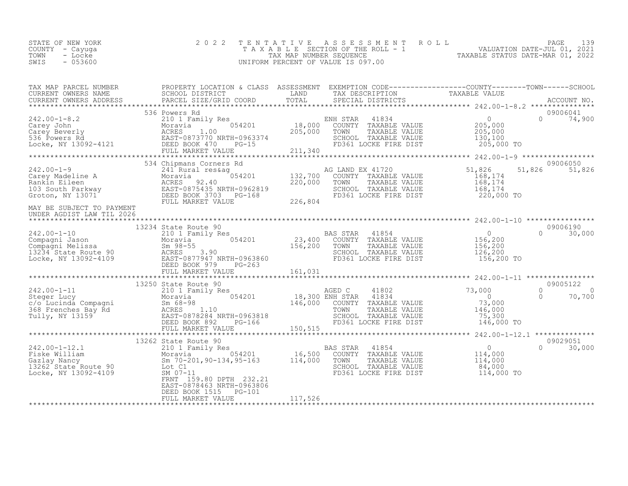| STATE OF NEW YORK | 2022 TENTATIVE ASSESSMENT ROLL     | 139<br>PAGE <b>Fig.</b>          |
|-------------------|------------------------------------|----------------------------------|
| COUNTY – Cayuga   | TAXABLE SECTION OF THE ROLL - 1    | VALUATION DATE-JUL 01, 2021      |
| TOWN<br>- Locke   | TAX MAP NUMBER SEOUENCE            | TAXABLE STATUS DATE-MAR 01, 2022 |
| $-053600$<br>SWIS | UNIFORM PERCENT OF VALUE IS 097.00 |                                  |

|                                                                                                                                                                                                                                          |                           |  |  | 09006050      |
|------------------------------------------------------------------------------------------------------------------------------------------------------------------------------------------------------------------------------------------|---------------------------|--|--|---------------|
|                                                                                                                                                                                                                                          |                           |  |  | 51,826 51,826 |
|                                                                                                                                                                                                                                          |                           |  |  |               |
|                                                                                                                                                                                                                                          |                           |  |  |               |
|                                                                                                                                                                                                                                          |                           |  |  |               |
|                                                                                                                                                                                                                                          |                           |  |  |               |
|                                                                                                                                                                                                                                          |                           |  |  |               |
|                                                                                                                                                                                                                                          |                           |  |  |               |
|                                                                                                                                                                                                                                          |                           |  |  |               |
|                                                                                                                                                                                                                                          |                           |  |  |               |
|                                                                                                                                                                                                                                          |                           |  |  |               |
|                                                                                                                                                                                                                                          |                           |  |  |               |
|                                                                                                                                                                                                                                          |                           |  |  |               |
|                                                                                                                                                                                                                                          |                           |  |  |               |
|                                                                                                                                                                                                                                          |                           |  |  |               |
|                                                                                                                                                                                                                                          |                           |  |  |               |
|                                                                                                                                                                                                                                          | 13250 State Route 90      |  |  | 09005122      |
|                                                                                                                                                                                                                                          |                           |  |  |               |
|                                                                                                                                                                                                                                          |                           |  |  |               |
|                                                                                                                                                                                                                                          |                           |  |  |               |
|                                                                                                                                                                                                                                          |                           |  |  |               |
|                                                                                                                                                                                                                                          |                           |  |  |               |
|                                                                                                                                                                                                                                          |                           |  |  |               |
|                                                                                                                                                                                                                                          |                           |  |  |               |
| 13262 State Route 90<br>242.00-1-12.1 13262 State Route 90<br>Fiske William Moravia 16,500 COUNTY TAXABLE VALUE 114,000<br>Gazlay Nancy Sm 70-201,90-134,95-163 114,000 TOWN TAXABLE VALUE 114,000<br>13262 State Route 90 Lot C1<br>Loc |                           |  |  | 09029051      |
|                                                                                                                                                                                                                                          |                           |  |  | $0 \t 30,000$ |
|                                                                                                                                                                                                                                          |                           |  |  |               |
|                                                                                                                                                                                                                                          |                           |  |  |               |
|                                                                                                                                                                                                                                          |                           |  |  |               |
|                                                                                                                                                                                                                                          | FRNT 159.80 DPTH 232.21   |  |  |               |
|                                                                                                                                                                                                                                          | EAST-0878463 NRTH-0963806 |  |  |               |
|                                                                                                                                                                                                                                          | DEED BOOK 1515 PG-101     |  |  |               |
|                                                                                                                                                                                                                                          |                           |  |  |               |
|                                                                                                                                                                                                                                          |                           |  |  |               |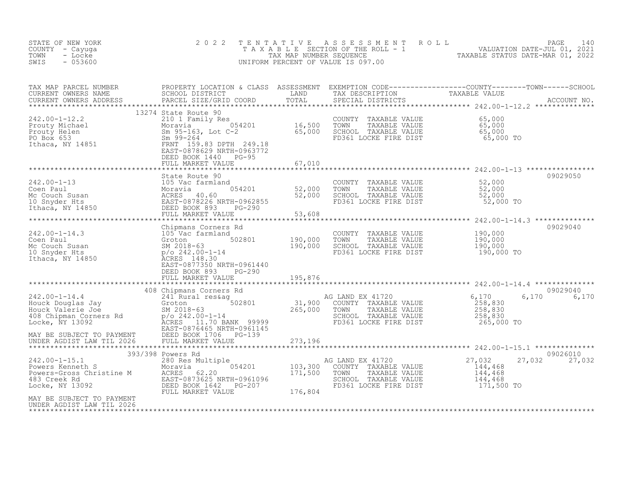| STATE OF NEW YORK<br>COUNTY - Cayuga<br>TOWN<br>- Locke<br>$-053600$<br>SWIS                                                                                                                                                                                                                                                                            | 2 0 2 2                                                                                       | TENTATIVE           | PAGE 140<br>TAXABLE SECTION OF THE ROLL - 1 VALUATION DATE-JUL 01, 2021<br>TAX MAP NUMBER SEQUENCE TAXABLE STATUS DATE-MAR 01, 2022<br>NIFORM PERCENT OF VALUE IS 097.00<br>UNIFORM PERCENT OF VALUE IS 097.00 |                                                                  |                    |
|---------------------------------------------------------------------------------------------------------------------------------------------------------------------------------------------------------------------------------------------------------------------------------------------------------------------------------------------------------|-----------------------------------------------------------------------------------------------|---------------------|----------------------------------------------------------------------------------------------------------------------------------------------------------------------------------------------------------------|------------------------------------------------------------------|--------------------|
|                                                                                                                                                                                                                                                                                                                                                         |                                                                                               |                     |                                                                                                                                                                                                                |                                                                  |                    |
| 242.00-1-12.2<br>Prouty Michael 210 1 Family Res<br>Prouty Helen Moravia 054201 16,500<br>Prouty Helen 50<br>210 1 Family Res<br>Moravia 054201 16,500<br>20 16,500<br>Sm 99-264<br>ERNT 159.83 DPTH 249.18<br>ERST-0878629 NRTH-0963772<br>DEED B                                                                                                      | 13274 State Route 90                                                                          |                     | COUNTY TAXABLE VALUE<br>TAXABLE VALUE<br>TAXABLE VALUE<br>TAXABLE VALUE<br>65,000<br>TOWN<br>SCHOOL TAXABLE VALUE<br>FD361 LOCKE FIRE DIST                                                                     | 65,000<br>65,000 TO                                              |                    |
|                                                                                                                                                                                                                                                                                                                                                         |                                                                                               |                     |                                                                                                                                                                                                                |                                                                  |                    |
|                                                                                                                                                                                                                                                                                                                                                         |                                                                                               |                     | COUNTY TAXABLE VALUE 52,000<br>TOWN TAXABLE VALUE 52,000<br>SCHOOL TAXABLE VALUE 52,000<br>FD361 LOCKE FIRE DIST 52,000 TO                                                                                     |                                                                  | 09029050           |
|                                                                                                                                                                                                                                                                                                                                                         | Chipmans Corners Rd                                                                           | ******************* |                                                                                                                                                                                                                |                                                                  | 09029040           |
| $\begin{tabular}{ll} \texttt{242.00-1-14.3} & \texttt{Chipmans Conners} \\ \texttt{Coen Paul} & 105 \text{ Vac farmland} & 50 \\ \texttt{Mc Couch Susan} & SM 2018-63 \\ \texttt{10 Super Hts} & p/o 242.00-1-14 \\ \texttt{Ithaca, NY 14850} & \texttt{RORES 148.30} \\ & \texttt{EAST-0877350 NDMT} \\ & \texttt{RMST-0877350 NDMT} \\ \end{tabular}$ | nd<br>502801 190,000<br>4 190,000<br>EAST-0877350 NRTH-0961440<br>PG-290                      |                     | COUNTY TAXABLE VALUE<br>TOWN<br>TAXABLE VALUE<br>SCHOOL TAXABLE VALUE<br>FD361 LOCKE FIRE DIST                                                                                                                 | 190,000<br>190,000<br>190,000<br>190,000 TO                      |                    |
|                                                                                                                                                                                                                                                                                                                                                         | FULL MARKET VALUE                                                                             | 195,876             |                                                                                                                                                                                                                |                                                                  |                    |
| 242.00-1-14.4<br>Houck Douglas Jay and the corners Ku and the same of the same of the season of the season of the season of the season of the season of the season of the season of the season of the season of the season of t                                                                                                                         | 408 Chipmans Corners Rd                                                                       |                     | AG LAND EX 41720<br>COUNTY TAXABLE VALUE<br>TAXABLE VALUE<br>TOWN<br>SCHOOL TAXABLE VALUE<br>FD361 LOCKE FIRE DIST                                                                                             | 6,170<br>6,170<br>258,830<br>258,830<br>258,830<br>265,000 TO    | 09029040<br>6,170  |
|                                                                                                                                                                                                                                                                                                                                                         |                                                                                               |                     |                                                                                                                                                                                                                |                                                                  |                    |
|                                                                                                                                                                                                                                                                                                                                                         | 393/398 Powers Rd<br>103,300<br>Multiple 054201 103,300<br>62.20 171,500<br>FULL MARKET VALUE | 176,804             | AG LAND EX 41720<br>COUNTY TAXABLE VALUE<br>TOWN<br>TAXABLE VALUE<br>SCHOOL TAXABLE VALUE<br>FD361 LOCKE FIRE DIST                                                                                             | 27,032<br>27,032<br>144, 468<br>144,468<br>144,468<br>171,500 TO | 09026010<br>27,032 |
| MAY BE SUBJECT TO PAYMENT<br>UNDER AGDIST LAW TIL 2026                                                                                                                                                                                                                                                                                                  |                                                                                               |                     |                                                                                                                                                                                                                |                                                                  |                    |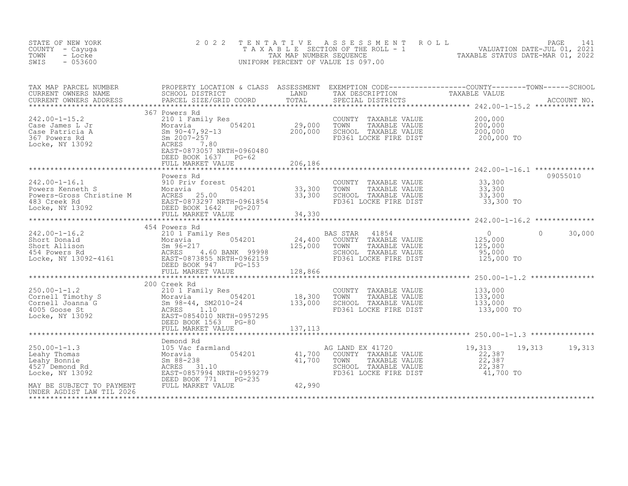| STATE OF NEW YORK<br>COUNTY - Cayuga<br>TOWN<br>- Locke<br>$-053600$<br>SWIS                                                                                                                                                                                        | 2 0 2 2                                                                                                                  | TENTATIVE               | A S S E S S M E N T A O L L<br>TAXABLE SECTION OF THE ROLL - 1<br>TAXABLE STATUS DATE-JUL 01, 2021<br>INIEOPM PERCENT OF VALUATION DATE-MAR 01, 2022<br>UNIFORM PERCENT OF VALUE IS 097.00 |                                                              | PAGE<br>141        |
|---------------------------------------------------------------------------------------------------------------------------------------------------------------------------------------------------------------------------------------------------------------------|--------------------------------------------------------------------------------------------------------------------------|-------------------------|--------------------------------------------------------------------------------------------------------------------------------------------------------------------------------------------|--------------------------------------------------------------|--------------------|
| TAX MAP PARCEL NUMBER<br>CURRENT OWNERS NAME<br>CURRENT OWNERS ADDRESS                                                                                                                                                                                              |                                                                                                                          |                         |                                                                                                                                                                                            |                                                              |                    |
| $242.00 - 1 - 15.2$                                                                                                                                                                                                                                                 | 367 Powers Rd<br>210 1 Family Res<br>es<br>054201 29,000<br>200,000<br>EAST-0873057 NRTH-0960480<br>DEED BOOK 1637 PG-62 |                         | COUNTY TAXABLE VALUE<br>TOWN<br>TAXABLE VALUE<br>SCHOOL TAXABLE VALUE<br>FD361 LOCKE FIRE DIST                                                                                             | 200,000<br>200,000<br>200,000<br>200,000 TO                  |                    |
|                                                                                                                                                                                                                                                                     | FULL MARKET VALUE                                                                                                        | 206,186                 |                                                                                                                                                                                            |                                                              |                    |
| 242.00-1-16.1<br>Powers Kenneth S<br>Powers-Gross Christine M<br>483 Creek Rd<br>Locke, NY 13092<br>EED BOOK 1642<br>POWER TO BOOK 1642<br>POWER TO BOOK 1642<br>POWER TO BOOK 1642<br>POWER TO BOOK 1642<br>POWER TO FULL MARKET VALUE                             | Powers Rd                                                                                                                | 33,300<br>33,300        | COUNTY TAXABLE VALUE<br>TAXABLE VALUE<br>TOWN<br>SCHOOL TAXABLE VALUE<br>FD361 LOCKE FIRE DIST                                                                                             | 33,300<br>33,300<br>33,300<br>33,300 TO                      | 09055010           |
|                                                                                                                                                                                                                                                                     |                                                                                                                          | 34,330                  |                                                                                                                                                                                            |                                                              |                    |
|                                                                                                                                                                                                                                                                     | 454 Powers Rd                                                                                                            |                         |                                                                                                                                                                                            |                                                              |                    |
| 242.00-1-16.2<br>Short Donald<br>Short Allison<br>454 Powers Rd<br>16.0 BANK 99998<br>16.0 BANK 99998<br>16.0 BANK 99998<br>16.0 BANK 99998<br>16.0 BANK 99998<br>20.17<br>20.2159<br>20.2159<br>20.2159<br>20.2159<br>20.2159<br>20.2159<br>20.2159<br>20.2159<br> |                                                                                                                          | 24,400<br>125,000       | BAS STAR<br>41854<br>COUNTY<br>TAXABLE VALUE<br>TOWN<br>TAXABLE VALUE<br>SCHOOL TAXABLE VALUE<br>FD361 LOCKE FIRE DIST                                                                     | $\overline{0}$<br>125,000<br>125,000<br>95,000<br>125,000 TO | 30,000<br>$\Omega$ |
|                                                                                                                                                                                                                                                                     | FULL MARKET VALUE                                                                                                        | 128,866<br>************ |                                                                                                                                                                                            |                                                              |                    |
| $250.00 - 1 - 1.2$<br>250.00-1-1.2<br>Cornell Timothy S<br>Cornell Joanna G<br>Cornell Joanna G<br>ACRES<br>ACRES<br>Locke, NY 13092<br>DEED BOOK 1563<br>PG-80<br>DEED BOOK 1563<br>PG-80                                                                          | 200 Creek Rd<br>DEED BOOK 1563 PG-80                                                                                     | 18,300<br>133,000       | COUNTY TAXABLE VALUE<br>TOWN<br>TAXABLE VALUE<br>SCHOOL TAXABLE VALUE<br>FD361 LOCKE FIRE DIST                                                                                             | 133,000<br>133,000<br>133,000<br>133,000 TO                  |                    |
|                                                                                                                                                                                                                                                                     |                                                                                                                          | 137,113                 |                                                                                                                                                                                            |                                                              |                    |
| $250.00 - 1 - 1.3$<br>Leahy Thomas<br>Leahy Bonnie<br>4527 Demond Rd<br>Locke, NY 13092                                                                                                                                                                             |                                                                                                                          | $41,700$ A<br>41,700    | AG LAND EX 41720<br>COUNTY TAXABLE VALUE<br>TAXABLE VALUE<br>TOWN<br>SCHOOL TAXABLE VALUE<br>FD361 LOCKE FIRE DIST                                                                         | 19,313<br>22,387<br>22,387<br>22,387<br>41,700 TO            | 19,313<br>19,313   |
| MAY BE SUBJECT TO PAYMENT<br>UNDER AGDIST LAW TIL 2026                                                                                                                                                                                                              | FULL MARKET VALUE                                                                                                        | 42,990                  |                                                                                                                                                                                            |                                                              |                    |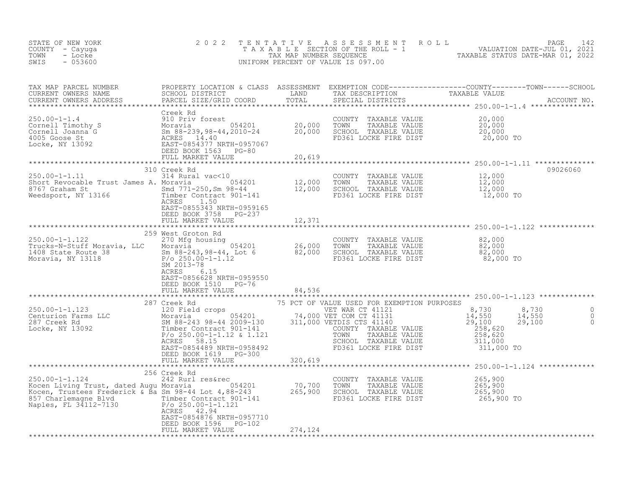| STATE OF NEW YORK<br>COUNTY - Cayuqa<br>TOWN<br>- Locke<br>SWIS<br>$-053600$                                                                                                                                                                                          | 2 0 2 2                                                                                                                                                                                                                                                                  | TENTATIVE | UNIFORM PERCENT OF VALUE IS 097.00                                                                                                            | $\begin{tabular}{lllllllllllllllllllll} \hline $\texttt{n$} $\texttt{n$} $\texttt{n$} $\texttt{n$} $\texttt{n$} $\texttt{n$} $\texttt{n$} $\texttt{n$} $\texttt{n$} $\texttt{n$} $\texttt{n$} $\texttt{n$} $\texttt{n$} $\texttt{n$} $\texttt{n$} $\texttt{n$} $\texttt{n$} $\texttt{n$} $\texttt{n$} $\texttt{n$} $\texttt{n$} $\texttt{n$} $\texttt{n$} $\texttt{n$} $\texttt{n$} $\texttt{n$} $\texttt{n$} $\texttt{n$} $\texttt{n$} $\texttt{n$} $\texttt{n$} $\texttt{n$} $\texttt{n$} $\text$ |
|-----------------------------------------------------------------------------------------------------------------------------------------------------------------------------------------------------------------------------------------------------------------------|--------------------------------------------------------------------------------------------------------------------------------------------------------------------------------------------------------------------------------------------------------------------------|-----------|-----------------------------------------------------------------------------------------------------------------------------------------------|-----------------------------------------------------------------------------------------------------------------------------------------------------------------------------------------------------------------------------------------------------------------------------------------------------------------------------------------------------------------------------------------------------------------------------------------------------------------------------------------------------|
| TAX MAP PARCEL NUMBER<br>CURRENT OWNERS NAME<br>CURRENT OWNERS ADDRESS                                                                                                                                                                                                |                                                                                                                                                                                                                                                                          |           | SPECIAL DISTRICTS                                                                                                                             |                                                                                                                                                                                                                                                                                                                                                                                                                                                                                                     |
|                                                                                                                                                                                                                                                                       | FULL MARKET VALUE                                                                                                                                                                                                                                                        | 20,619    | COUNTY TAXABLE VALUE<br>TOWN TAXABLE VALUE<br>SCHOOL TAXABLE VALUE<br>SCHOOL TAXABLE VALUE<br>20,000<br>FD361 LOCKE FIRE DIST                 | 20,000<br>20,000 TO                                                                                                                                                                                                                                                                                                                                                                                                                                                                                 |
|                                                                                                                                                                                                                                                                       | 310 Creek Rd                                                                                                                                                                                                                                                             |           |                                                                                                                                               | 09026060                                                                                                                                                                                                                                                                                                                                                                                                                                                                                            |
| $250.00 - 1 - 1.11$<br>Short Revolute from Fig. 3767 Graham St<br>Weedsport, NY 13166                                                                                                                                                                                 | 314 Rural vac<10<br>ACRES<br>1.50<br>EAST-0855343 NRTH-0959165<br>DEED BOOK 3758 PG-237                                                                                                                                                                                  |           | COUNTY TAXABLE VALUE                                                                                                                          | 12,000<br>12,000<br>12,000<br>12,000 TO                                                                                                                                                                                                                                                                                                                                                                                                                                                             |
|                                                                                                                                                                                                                                                                       | FULL MARKET VALUE                                                                                                                                                                                                                                                        | 12,371    |                                                                                                                                               |                                                                                                                                                                                                                                                                                                                                                                                                                                                                                                     |
|                                                                                                                                                                                                                                                                       | 259 West Groton Rd                                                                                                                                                                                                                                                       |           |                                                                                                                                               |                                                                                                                                                                                                                                                                                                                                                                                                                                                                                                     |
| $250.00 - 1 - 1.122$<br>Trucks-N-Stuff Moravia, LLC<br>1408 State Route 38<br>Moravia, NY 13118                                                                                                                                                                       | 270 Mfg housing<br>Moravia 054201 26,000 TOWN TAXABLE VALUE 82,000<br>Sm 88-243,98-44, Lot 6 82,000 SCHOOL TAXABLE VALUE 82,000<br>P/o 250.00-1-1.12 FD361 LOCKE FIRE DIST 82,000 TO<br>SM 2013-78 32,000 TO<br>SM 2013-78<br>ACRES<br>6.15<br>EAST-0856628 NRTH-0959550 |           |                                                                                                                                               |                                                                                                                                                                                                                                                                                                                                                                                                                                                                                                     |
|                                                                                                                                                                                                                                                                       | DEED BOOK 1510 PG-76                                                                                                                                                                                                                                                     |           |                                                                                                                                               |                                                                                                                                                                                                                                                                                                                                                                                                                                                                                                     |
|                                                                                                                                                                                                                                                                       | FULL MARKET VALUE                                                                                                                                                                                                                                                        | 84,536    |                                                                                                                                               |                                                                                                                                                                                                                                                                                                                                                                                                                                                                                                     |
| CONTRACT THE CONTRACT OF THE CONTRACT OF THE CONTRACT OF THE CONTRACT OF THE CONTRACT OF THE CONTRACT OF THE CONTRACT OF THE CONTRACT OF THE CONTRACT OF THE CONTRACT OF THE CONTRACT OF THE CONTRACT OF THE CONTRACT OF THE C                                        | 287 Creek Rd<br>Timber Contract 901-141<br>$P/O 250.00-1-1.12$ & 1.121<br>ACRES 58.15<br>EAST-0854489 NRTH-0958492<br>DEED BOOK 1619 PG-300                                                                                                                              |           | 75 PCT OF VALUE USED FOR EXEMPTION PURPOSES<br>COUNTY TAXABLE VALUE<br>TAXABLE VALUE<br>TOWN<br>SCHOOL TAXABLE VALUE<br>FD361 LOCKE FIRE DIST | 8,730<br>8,730<br>14,550<br>29,100<br>0<br>$\frac{14}{29}$ , 550<br>$\overline{0}$<br>$\overline{0}$<br>258,620<br>258,620<br>311,000<br>311,000 TO                                                                                                                                                                                                                                                                                                                                                 |
|                                                                                                                                                                                                                                                                       | FULL MARKET VALUE                                                                                                                                                                                                                                                        | 320,619   |                                                                                                                                               |                                                                                                                                                                                                                                                                                                                                                                                                                                                                                                     |
| 250.00-1-1.124<br>250.00-1-1.124<br>265 Creek Rocen<br>242 Rurl res&rec<br>2654201<br>265,900<br>265,900<br>265,900<br>265,900<br>265,900<br>265,900<br>265,900<br>265,900<br>265,900<br>265,900<br>265,900<br>265,900<br>265,900<br>265,900<br>Naples, FL 34112-7130 | 256 Creek Rd<br>$P/O 250.00-1-1.121$<br>ACRES 42.94<br>EAST-0854876 NRTH-0957710                                                                                                                                                                                         |           | COUNTY TAXABLE VALUE<br>TOWN      TAXABLE VALUE<br>SCHOOL   TAXABLE VALUE<br>FD361 LOCKE FIRE DIST                                            | 265,900<br>265,900<br>265,900<br>265,900 TO                                                                                                                                                                                                                                                                                                                                                                                                                                                         |
|                                                                                                                                                                                                                                                                       | DEED BOOK 1596 PG-102<br>FULL MARKET VALUE                                                                                                                                                                                                                               | 274,124   |                                                                                                                                               |                                                                                                                                                                                                                                                                                                                                                                                                                                                                                                     |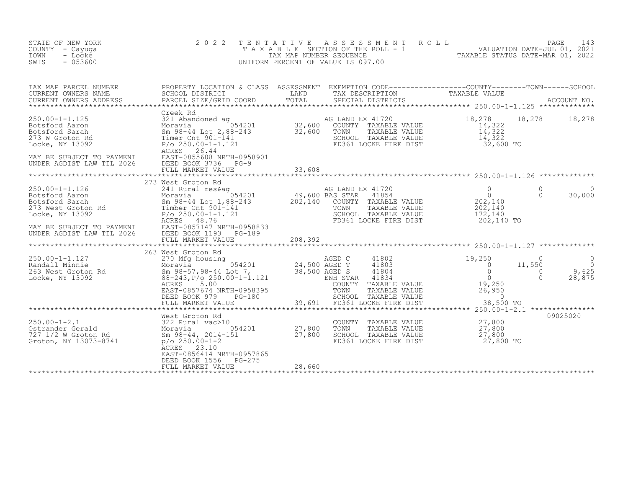| STATE OF NEW YORK<br>COUNTY - Cayuga<br>- Locke<br>TOWN<br>$-053600$<br>SWIS                                                                                | 2 0 2 2<br>TAXABLE                                                                                                                                                                                                                  | TENTATIVE<br>TAX MAP NUMBER SEQUENCE         | UNIFORM PERCENT OF VALUE IS 097.00                                                                                                                          |                                                                           |                                            |                                         |
|-------------------------------------------------------------------------------------------------------------------------------------------------------------|-------------------------------------------------------------------------------------------------------------------------------------------------------------------------------------------------------------------------------------|----------------------------------------------|-------------------------------------------------------------------------------------------------------------------------------------------------------------|---------------------------------------------------------------------------|--------------------------------------------|-----------------------------------------|
| TAX MAP PARCEL NUMBER<br>CURRENT OWNERS NAME<br>CURRENT OWNERS ADDRESS                                                                                      | PROPERTY LOCATION & CLASS ASSESSMENT EXEMPTION CODE----------------COUNTY-------TOWN------SCHOOL SCHOOL SCHOOL OUSTRICT LAND TAX DESCRIPTION TAXABLE VALUE<br>PARCEL SIZE/GRID COORD                                                | TOTAL<br>*************************           | SPECIAL DISTRICTS                                                                                                                                           | *********************** 250.00-1-1.125 *************                      |                                            | ACCOUNT NO.                             |
| $250.00 - 1 - 1.125$<br>Botsford Aaron<br>Botsford Sarah<br>273 W Groton Rd<br>Locke, NY 13092<br>MAY BE SUBJECT TO PAYMENT<br>UNDER AGDIST LAW TIL 2026    | Creek Rd<br>321 Abandoned ag<br>Moravia 1054201<br>Sm 98-44 Lot 2,88-243<br>Timer Cnt 901-141<br>$P/O 250.00 - 1 - 1.121$<br>ACRES 26.44<br>EAST-0855608 NRTH-0958901<br>DEED BOOK 3736 PG-9<br>FULL MARKET VALUE                   | 32,600<br>32,600<br>33,608                   | AG LAND EX 41720<br>COUNTY TAXABLE VALUE<br>TOWN<br>TAXABLE VALUE<br>SCHOOL TAXABLE VALUE<br>FD361 LOCKE FIRE DIST                                          | 18,278<br>14,322<br>14,322<br>14,322<br>32,600 TO                         | 18,278                                     | 18,278                                  |
|                                                                                                                                                             |                                                                                                                                                                                                                                     |                                              |                                                                                                                                                             |                                                                           |                                            |                                         |
| $250.00 - 1 - 1.126$<br>Botsford Aaron<br>Botsford Sarah<br>273 West Groton Rd<br>Locke, NY 13092<br>MAY BE SUBJECT TO PAYMENT<br>UNDER AGDIST LAW TIL 2026 | 273 West Groton Rd<br>241 Rural res&aq<br>054201<br>Moravia<br>Sm 98-44 Lot 1,88-243<br>Timber Cnt 901-141<br>$P/O 250.00 - 1 - 1.121$<br>ACRES<br>48.76<br>EAST-0857147 NRTH-0958833<br>DEED BOOK 1193 PG-189<br>FULL MARKET VALUE | 49,600 BAS STAR<br>202,140 COUNTY<br>208,392 | AG LAND EX 41720<br>41854<br>COUNTY TAXABLE VALUE<br>TOWN<br>TAXABLE VALUE<br>SCHOOL TAXABLE VALUE<br>FD361 LOCKE FIRE DIST                                 | $\Omega$<br>$\overline{0}$<br>202,140<br>202,140<br>172,140<br>202,140 TO | $\Omega$<br>$\Omega$                       | 30,000                                  |
|                                                                                                                                                             | 263 West Groton Rd                                                                                                                                                                                                                  |                                              |                                                                                                                                                             |                                                                           |                                            |                                         |
| $250.00 - 1 - 1.127$<br>Randall Minnie<br>263 West Groton Rd<br>Locke, NY 13092                                                                             | 270 Mfg housing<br>Moravia 654201<br>Sm 98-57, 98-44 Lot 7,<br>$88 - 243$ , $P/O$ 250.00-1-1.121<br>ACRES 5.00<br>EAST-0857674 NRTH-0958395<br>DEED BOOK 979<br>$PG-180$<br>FULL MARKET VALUE                                       | 24,500 AGED T<br>38,500 AGED S               | AGED C<br>41802<br>41803<br>41804<br>41834<br>ENH STAR<br>COUNTY<br>TAXABLE VALUE<br>TOWN<br>TAXABLE VALUE<br>SCHOOL TAXABLE VALUE<br>FD361 LOCKE FIRE DIST | 19,250<br>$\circ$<br>$\Omega$<br>$\Omega$<br>19,250<br>26,950<br>$\sim$ 0 | $\Omega$<br>11,550<br>$\Omega$<br>$\Omega$ | $\Omega$<br>$\Omega$<br>9,625<br>28,875 |
|                                                                                                                                                             |                                                                                                                                                                                                                                     | 39,691                                       |                                                                                                                                                             | 38,500 TO<br>******** 250.00-1-2.1 ***************                        |                                            |                                         |
| $250.00 - 1 - 2.1$<br>Ostrander Gerald<br>727 1/2 W Groton Rd<br>Groton, NY 13073-8741                                                                      | West Groton Rd<br>322 Rural vac>10<br>054201<br>Moravia<br>Sm 98-44, 2014-151<br>$p$ /o 250.00-1-2<br>ACRES 23.10<br>EAST-0856414 NRTH-0957865<br>DEED BOOK 1556<br>PG-275<br>FULL MARKET VALUE                                     | $\frac{27,800}{27.800}$<br>28,660            | COUNTY TAXABLE VALUE<br>TOWN<br>TAXABLE VALUE<br>SCHOOL TAXABLE VALUE<br>FD361 LOCKE FIRE DIST                                                              | 27,800<br>27,800<br>27,800<br>27,800 TO                                   |                                            | 09025020                                |
|                                                                                                                                                             |                                                                                                                                                                                                                                     |                                              |                                                                                                                                                             |                                                                           |                                            |                                         |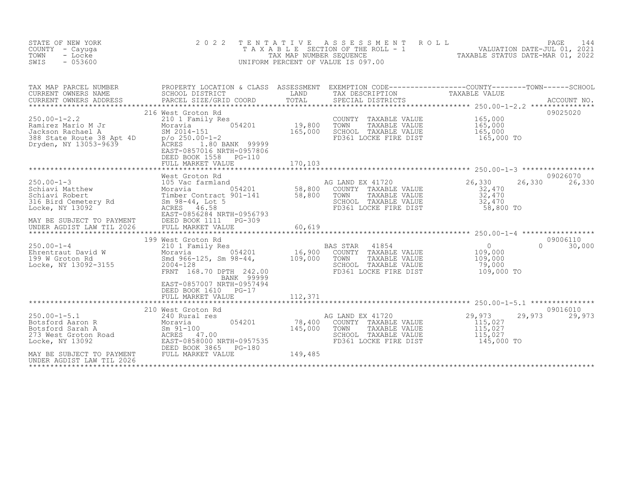| STATE OF NEW YORK<br>COUNTY - Cayuga<br>TOWN<br>- Locke<br>SWIS<br>$-053600$                                                  | 2 0 2 2<br>TAXABLE                                                                                                                                                                                        | T E N T A T I V E<br>TAX MAP NUMBER SEQUENCE | A S S E S S M E N T<br>ROLL<br>SECTION OF THE ROLL - 1<br>UNIFORM PERCENT OF VALUE IS 097.00                           | 144<br>PAGE<br>244 - PAGE<br>2021 VALUATION DATE-JUL<br>2000 - TAXABLE STATHS DATE-MAD 01                                                          |
|-------------------------------------------------------------------------------------------------------------------------------|-----------------------------------------------------------------------------------------------------------------------------------------------------------------------------------------------------------|----------------------------------------------|------------------------------------------------------------------------------------------------------------------------|----------------------------------------------------------------------------------------------------------------------------------------------------|
| TAX MAP PARCEL NUMBER<br>CURRENT OWNERS NAME<br>CURRENT OWNERS ADDRESS<br>***********************                             | SCHOOL DISTRICT<br>PARCEL SIZE/GRID COORD                                                                                                                                                                 | LAND<br>TOTAL                                | TAX DESCRIPTION<br>SPECIAL DISTRICTS                                                                                   | PROPERTY LOCATION & CLASS ASSESSMENT EXEMPTION CODE----------------COUNTY-------TOWN-----SCHOOL<br>TAXABLE VALUE<br>ACCOUNT NO.<br>*************** |
| $250.00 - 1 - 2.2$<br>Ramirez Mario M Jr<br>Jackson Rachael A<br>388 State Route 38 Apt 4D<br>Dryden, NY 13053-9639           | 216 West Groton Rd<br>210 1 Family Res<br>054201<br>Moravia<br>SM 2014-151<br>$p$ /o 250.00-1-2<br>ACRES<br>1.80 BANK 99999<br>EAST-0857016 NRTH-0957806<br>DEED BOOK 1558<br>PG-110<br>FULL MARKET VALUE | 19,800<br>165,000<br>170,103                 | COUNTY<br>TAXABLE VALUE<br>TOWN<br>TAXABLE VALUE<br>SCHOOL TAXABLE VALUE<br>FD361 LOCKE FIRE DIST                      | 09025020<br>165,000<br>165,000<br>165,000<br>165,000 TO                                                                                            |
| $250.00 - 1 - 3$<br>Schiavi Matthew<br>Schiavi Robert<br>316 Bird Cemetery Rd<br>Locke, NY 13092<br>MAY BE SUBJECT TO PAYMENT | West Groton Rd<br>105 Vac farmland<br>054201<br>Moravia<br>Timber Contract 901-141<br>Sm 98-44, Lot 5<br>ACRES 46.58<br>EAST-0856284 NRTH-0956793<br>DEED BOOK 1111<br>PG-309                             | 58,800<br>58,800                             | AG LAND EX 41720<br>COUNTY TAXABLE VALUE<br>TOWN<br>TAXABLE VALUE<br>SCHOOL TAXABLE VALUE<br>FD361 LOCKE FIRE DIST     | 09026070<br>26,330<br>26,330<br>26,330<br>32,470<br>32,470<br>32,470<br>58,800 TO                                                                  |
| UNDER AGDIST LAW TIL 2026                                                                                                     | FULL MARKET VALUE                                                                                                                                                                                         | 60,619                                       |                                                                                                                        |                                                                                                                                                    |
| $250.00 - 1 - 4$<br>Ehrentraut David W<br>199 W Groton Rd<br>Locke, NY 13092-3155                                             | 199 West Groton Rd<br>210 1 Family Res<br>054201<br>Moravia<br>Smd 966-125, Sm 98-44,<br>2004-128<br>FRNT 168.70 DPTH 242.00<br>BANK 99999<br>EAST-0857007 NRTH-0957494                                   | 16,900<br>109,000                            | 41854<br>BAS STAR<br>COUNTY<br>TAXABLE VALUE<br>TOWN<br>TAXABLE VALUE<br>SCHOOL TAXABLE VALUE<br>FD361 LOCKE FIRE DIST | 09006110<br>$\overline{0}$<br>$\cap$<br>30,000<br>109,000<br>109,000<br>79,000<br>109,000 TO                                                       |
|                                                                                                                               | DEED BOOK 1610<br>$PG-17$<br>FULL MARKET VALUE                                                                                                                                                            | 112,371                                      |                                                                                                                        |                                                                                                                                                    |
| $250.00 - 1 - 5.1$<br>Botsford Aaron R<br>Botsford Sarah A<br>273 West Groton Road<br>Locke, NY 13092                         | 210 West Groton Rd<br>240 Rural res<br>054201<br>Moravia<br>$Sm$ 91-100<br>ACRES<br>47.00<br>EAST-0858000 NRTH-0957535<br>DEED BOOK 3865<br>PG-180                                                        | 78,400<br>145,000                            | AG LAND EX 41720<br>COUNTY TAXABLE VALUE<br>TAXABLE VALUE<br>TOWN<br>SCHOOL TAXABLE VALUE<br>FD361 LOCKE FIRE DIST     | 09016010<br>29,973<br>29,973<br>29,973<br>115,027<br>115,027<br>115,027<br>145,000 TO                                                              |
| MAY BE SUBJECT TO PAYMENT<br>UNDER AGDIST LAW TIL 2026                                                                        | FULL MARKET VALUE                                                                                                                                                                                         | 149,485                                      |                                                                                                                        |                                                                                                                                                    |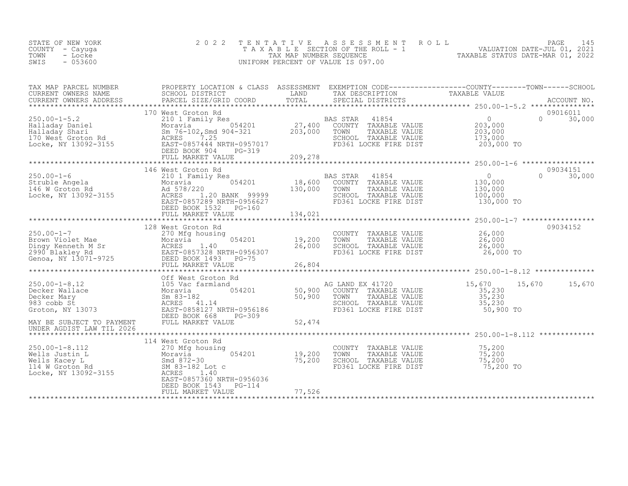| STATE OF NEW YORK<br>COUNTY - Cayuga<br>- Locke<br>TOWN<br>$-053600$<br>SWIS                                                                                                                                                                                                                                                                                                                                                | 2 0 2 2                                                                                                                                                                                                                                                                                     |         | TENTATIVE ASSESSMENT ROLL PAGE 145<br>TAXABLE SECTION OF THE ROLL - 1 VALUATION DATE-JUL 01, 2021<br>TAX MAP NUMBER SEQUENCE TAXABLE STATUS DATE-MAR 01, 2022<br>UNIFORM PERCENT OF VALUE IS 097.00 |                                                         |                                |
|-----------------------------------------------------------------------------------------------------------------------------------------------------------------------------------------------------------------------------------------------------------------------------------------------------------------------------------------------------------------------------------------------------------------------------|---------------------------------------------------------------------------------------------------------------------------------------------------------------------------------------------------------------------------------------------------------------------------------------------|---------|-----------------------------------------------------------------------------------------------------------------------------------------------------------------------------------------------------|---------------------------------------------------------|--------------------------------|
| TAX MAP PARCEL NUMBER PROPERTY LOCATION & CLASS ASSESSMENT EXEMPTION CODE-----------------COUNTY--------TOWN------SCHOOL CURRENT OWNERS NAME SCHOOL DISTRICT LAND TAX DESCRIPTION TAXABLE VALUE<br>CURRENT OWNERS ADDRESS PARCEL                                                                                                                                                                                            |                                                                                                                                                                                                                                                                                             |         |                                                                                                                                                                                                     |                                                         |                                |
| 170 West Groton Rd 250.00-1-5.2<br>Halladay Daniel Moravia 054201<br>Halladay Shari Sm 76-102, Smd 904-321<br>Locke, NY 13092-3155<br>Halladay Shari Sm 76-102, Smd 904-321<br>203,000<br>Locke, NY 13092-3155<br>203,000<br>DEED BOOK 904<br>PG                                                                                                                                                                            | FULL MARKET VALUE 209,278                                                                                                                                                                                                                                                                   |         |                                                                                                                                                                                                     | 203,000 TO                                              | 09016011<br>$0 \t 30,000$      |
|                                                                                                                                                                                                                                                                                                                                                                                                                             |                                                                                                                                                                                                                                                                                             |         |                                                                                                                                                                                                     |                                                         |                                |
| 250.00-1-6<br>Struble Angela<br>146 W Groton Rd<br>16 W Groton Rd<br>16 Nocke, NY 13092-3155<br>2002-3155<br>2008<br>2008<br>2008<br>2008<br>2008<br>2008<br>2008<br>2008<br>2008<br>2008<br>2008<br>2008<br>2008                                                                                                                                                                                                           | 146 West Groton Rd<br>West Groton Rd<br>2010 18,600 COUNTY TAXABLE VALUE<br>2010 18,600 COUNTY TAXABLE VALUE<br>2010 130,000 TOWN TAXABLE VALUE<br>2010 130,000 TOWN TAXABLE VALUE<br>2000 2010 130,000 SCHOOL TAXABLE VALUE<br>2000 2010 100,000<br>2000 2010 FD3<br>DEED BOOK 1532 PG-160 |         |                                                                                                                                                                                                     | 130,000 TO                                              | 09034151<br>$\Omega$<br>30,000 |
|                                                                                                                                                                                                                                                                                                                                                                                                                             | FULL MARKET VALUE                                                                                                                                                                                                                                                                           | 134,021 |                                                                                                                                                                                                     |                                                         |                                |
|                                                                                                                                                                                                                                                                                                                                                                                                                             |                                                                                                                                                                                                                                                                                             |         |                                                                                                                                                                                                     |                                                         |                                |
|                                                                                                                                                                                                                                                                                                                                                                                                                             | 128 West Groton Rd                                                                                                                                                                                                                                                                          |         |                                                                                                                                                                                                     |                                                         | 09034152                       |
|                                                                                                                                                                                                                                                                                                                                                                                                                             |                                                                                                                                                                                                                                                                                             |         |                                                                                                                                                                                                     |                                                         |                                |
| $\begin{tabular}{lllllllllllllllllllll} \multicolumn{3}{c c c c c c} \multicolumn{3}{c c c c} \multicolumn{3}{c c c} \multicolumn{3}{c c c} \multicolumn{3}{c c c} \multicolumn{3}{c c c} \multicolumn{3}{c c c} \multicolumn{3}{c c} \multicolumn{3}{c c} \multicolumn{3}{c c} \multicolumn{3}{c c} \multicolumn{3}{c c} \multicolumn{3}{c c} \multicolumn{3}{c c} \multicolumn{3}{c c} \multicolumn{3}{c c} \multicolumn$ |                                                                                                                                                                                                                                                                                             |         | FD361 LOCKE FIRE DIST                                                                                                                                                                               | 35,230<br>$\frac{35}{35}$ , 230<br>35, 230<br>50,900 TO | 15,670 15,670 15,670           |
|                                                                                                                                                                                                                                                                                                                                                                                                                             |                                                                                                                                                                                                                                                                                             |         |                                                                                                                                                                                                     |                                                         |                                |
| UNDER AGDIST LAW TIL 2026                                                                                                                                                                                                                                                                                                                                                                                                   |                                                                                                                                                                                                                                                                                             |         |                                                                                                                                                                                                     |                                                         |                                |
| 250.00-1-8.112<br>Wells Justin L<br>Wells Kacey L<br>114 W Groton Rd<br>Locke, NY 13092-3155<br>270 Mfg housing<br>Moravia<br>270 Mfg housing<br>Moravia<br>270 Mfg housing<br>Moravia<br>270 Mfg housing<br>Moravia<br>270 Mfg housing<br>270 Mfg housing                                                                                                                                                                  | 114 West Groton Rd<br>270 Mfg housing<br>EAST-0857360 NRTH-0956036                                                                                                                                                                                                                          |         | COUNTY TAXABLE VALUE 75,200<br>TOWN TAXABLE VALUE 75,200<br>SCHOOL TAXABLE VALUE 75,200<br>FD361 LOCKE FIRE DIST 75,200 TO                                                                          |                                                         |                                |
|                                                                                                                                                                                                                                                                                                                                                                                                                             | DEED BOOK 1543<br>PG-114<br>FULL MARKET VALUE                                                                                                                                                                                                                                               | 77,526  |                                                                                                                                                                                                     |                                                         |                                |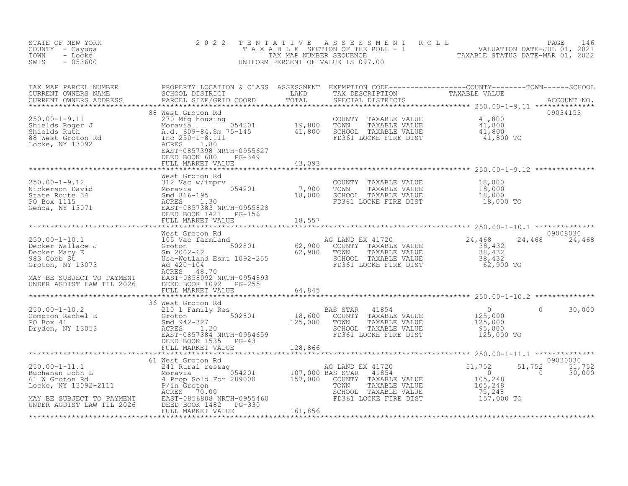| STATE OF NEW YORK<br>COUNTY - Cayuga<br>TOWN<br>- Locke<br>$-053600$<br>SWIS                                                                                                                                                                                                                                                                                                                                                                         | 2 0 2 2                  |  | TENTATIVE ASSESSMENT ROLL PALUATION DATE-JUL 01, 2021<br>TAXABLE SECTION OF THE ROLL - 1 VALUATION DATE-JUL 01, 2021<br>UNIFORM PERCENT OF VALUE IS 097.00<br>UNIFORM PERCENT OF VALUE IS 097.00 |                           |
|------------------------------------------------------------------------------------------------------------------------------------------------------------------------------------------------------------------------------------------------------------------------------------------------------------------------------------------------------------------------------------------------------------------------------------------------------|--------------------------|--|--------------------------------------------------------------------------------------------------------------------------------------------------------------------------------------------------|---------------------------|
| TAX MAP PARCEL NUMBER PROPERTY LOCATION & CLASS ASSESSMENT EXEMPTION CODE-----------------COUNTY--------TOWN------SCHOOL SCHOOL DISTRICT LAND TAX DESCRIPTION TAXABLE VALUE<br>CURRENT OWNERS NAME PARCEL SIZE/GRID COORD TOTAL S                                                                                                                                                                                                                    |                          |  |                                                                                                                                                                                                  |                           |
|                                                                                                                                                                                                                                                                                                                                                                                                                                                      |                          |  |                                                                                                                                                                                                  | 09034153                  |
|                                                                                                                                                                                                                                                                                                                                                                                                                                                      |                          |  |                                                                                                                                                                                                  |                           |
| $\begin{tabular}{lllllllllll} \multicolumn{3}{l}{{\footnotesize \begin{tabular}{l}p{0.00-1-9.12}}\hline & {\color{red}{\begin{tabular}{l}p{0.00-1}}\hline & {\color{red}{\begin{tabular}{l}p{0.00-1}}\hline & {\color{red}{\begin{tabular}{l}p{0.00-1}}\hline & {\color{red}{\begin{tabular}{l}p{0.00-1}}\hline & {\color{red}{\begin{tabular}{l}p{0.00-1}}\hline & {\color{red}{\begin{tabular}{l}p{0.00-1}}\hline & {\color{red}{\begin{tabular}{$ |                          |  |                                                                                                                                                                                                  |                           |
|                                                                                                                                                                                                                                                                                                                                                                                                                                                      |                          |  |                                                                                                                                                                                                  |                           |
| $\begin{tabular}{l c c c c c} \multicolumn{4}{c c c c} \multicolumn{4}{c c c} \multicolumn{4}{c c c} \multicolumn{4}{c c c} \multicolumn{4}{c c c} \multicolumn{4}{c c c} \multicolumn{4}{c c c} \multicolumn{4}{c c c} \multicolumn{4}{c c c} \multicolumn{4}{c c c} \multicolumn{4}{c c c} \multicolumn{4}{c c c} \multicolumn{4}{c c c} \multicolumn{4}{c c c} \multicolumn{4}{c c c} \multicolumn{$                                              |                          |  |                                                                                                                                                                                                  | 09008030<br>24,468 24,468 |
|                                                                                                                                                                                                                                                                                                                                                                                                                                                      | FULL MARKET VALUE 64,845 |  |                                                                                                                                                                                                  |                           |
|                                                                                                                                                                                                                                                                                                                                                                                                                                                      |                          |  |                                                                                                                                                                                                  |                           |
|                                                                                                                                                                                                                                                                                                                                                                                                                                                      |                          |  |                                                                                                                                                                                                  |                           |
|                                                                                                                                                                                                                                                                                                                                                                                                                                                      |                          |  |                                                                                                                                                                                                  |                           |
| XAMBLE VALUE (105,248 MORE AGDIST LAN TIL 2026 DEED BOOK 1482 PG-330 MORE AGDIST LAN TIL 2026 AND EXAMBLE VALUE (16.248 MORE SUBJECT TO PAYMENT ASST -0856808 NRTH-0955460 MORE SUBJECT TO PAYMENT ASST -085000 MAY BE SUBJECT                                                                                                                                                                                                                       |                          |  |                                                                                                                                                                                                  | 51,752<br>30,000          |
|                                                                                                                                                                                                                                                                                                                                                                                                                                                      |                          |  |                                                                                                                                                                                                  |                           |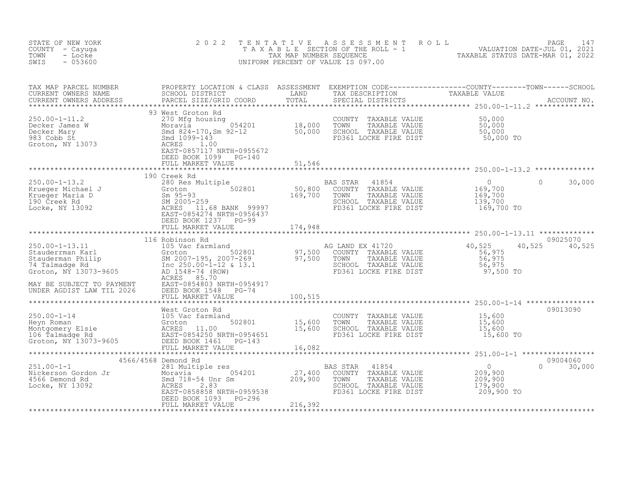| STATE OF NEW YORK<br>COUNTY - Cayuga<br>- Locke<br>TOWN<br>$-053600$<br>SWIS                                                                                                                                                                                                                                                                                                                                                                                                     | 2 0 2 2           | $\begin{tabular}{lllllllllllllllllllll} \hline T & E & N & T & I & V & E & A & S & S & E & S & M & E & N & T & R & O & L & \\\hline T & A & X & A & B & L & E & SECTION OF THE ROLL & - & 1 & & \text{VALUATION DATE–JUL 01, 2021} \\ & T & X & MAP NUMBER SEQUENCE & & & \text{TXABLE STATUS DATE–MAR 01, 2022} \\ & & & & & \text{UNIFORM PERCENT OF VALUE IS 097.00} & & & & \text{TXABLE STATUS DATE–MAR 01, 2022} \end{tabular}$ |                       |                           |
|----------------------------------------------------------------------------------------------------------------------------------------------------------------------------------------------------------------------------------------------------------------------------------------------------------------------------------------------------------------------------------------------------------------------------------------------------------------------------------|-------------------|---------------------------------------------------------------------------------------------------------------------------------------------------------------------------------------------------------------------------------------------------------------------------------------------------------------------------------------------------------------------------------------------------------------------------------------|-----------------------|---------------------------|
| TAX MAP PARCEL NUMBER PROPERTY LOCATION & CLASS ASSESSMENT EXEMPTION CODE-----------------COUNTY--------TOWN------SCHOOL SCHOOL DISTRICT LAND TAX DESCRIPTION TAXABLE VALUE<br>CURRENT OWNERS ADDRESS PARCEL SIZE/GRID COORD TOTA                                                                                                                                                                                                                                                |                   |                                                                                                                                                                                                                                                                                                                                                                                                                                       |                       |                           |
| 250.00-1-11.2<br>Decker James W 3000 Moravia 270 Mfg housing<br>Moravia 934-170, Sm 92-12<br>983 Cobb St Smd 1099-143<br>Groton, NY 13073<br>SACRES 1.00<br>EAST-0857117 NRTH-0955672<br>DECKE FIRE DIST<br>EAST-0857117 NRTH-0955672<br>DECKE                                                                                                                                                                                                                                   | 93 West Groton Rd |                                                                                                                                                                                                                                                                                                                                                                                                                                       |                       |                           |
|                                                                                                                                                                                                                                                                                                                                                                                                                                                                                  |                   |                                                                                                                                                                                                                                                                                                                                                                                                                                       |                       |                           |
| 350.00-1-13.2<br>250.00-1-13.2<br>280 Res Multiple 202801<br>280 Res Multiple 202801<br>280 Res Multiple 202801<br>280 Res Multiple 202801<br>280 Res Multiple 202801<br>280 Res Multiple 202801<br>280 Res Multiple 202801<br>280 Res Multiple                                                                                                                                                                                                                                  |                   |                                                                                                                                                                                                                                                                                                                                                                                                                                       |                       | $0 \t 30,000$             |
|                                                                                                                                                                                                                                                                                                                                                                                                                                                                                  |                   |                                                                                                                                                                                                                                                                                                                                                                                                                                       |                       |                           |
|                                                                                                                                                                                                                                                                                                                                                                                                                                                                                  |                   |                                                                                                                                                                                                                                                                                                                                                                                                                                       |                       | 09025070                  |
|                                                                                                                                                                                                                                                                                                                                                                                                                                                                                  |                   |                                                                                                                                                                                                                                                                                                                                                                                                                                       |                       | 40,525 40,525             |
|                                                                                                                                                                                                                                                                                                                                                                                                                                                                                  |                   |                                                                                                                                                                                                                                                                                                                                                                                                                                       |                       |                           |
| West Groton Rd 250.00-1-14<br>Meyn Roman (105 Vac farmland COUNTY TAXABLE VALUE 15,600<br>Montgomery Elsie ACRES 11.00<br>16 Talmadge Rd 250.00 ERS 11.00<br>16 Talmadge Rd 250.00 ERS 11.00<br>26 EAST-0854651<br>26 EAST-0854651<br>2561 L                                                                                                                                                                                                                                     |                   |                                                                                                                                                                                                                                                                                                                                                                                                                                       |                       | 09013090                  |
|                                                                                                                                                                                                                                                                                                                                                                                                                                                                                  |                   |                                                                                                                                                                                                                                                                                                                                                                                                                                       |                       |                           |
|                                                                                                                                                                                                                                                                                                                                                                                                                                                                                  |                   |                                                                                                                                                                                                                                                                                                                                                                                                                                       |                       | 09004060<br>$0 \t 30,000$ |
| $\begin{tabular}{lllllllllllll} \multicolumn{3}{c}{\begin{tabular}{l} \multicolumn{3}{c}{\begin{tabular}{l} $251.00-1-1$} \end{tabular} }} & $4566/4568$ & Demoned Rd & & & & & & & & & & & & \\ & $281$ & Multiple res & & & & & & & & & & & & \\ & $281$ & Multiple res & & & & & & & & & & & & \\ & $281$ & Multiple res & & & & & & & & & & & & \\ & $281$ & Multiple res & & & & & & & & & & & & \\ & $274400$ & COMNTY & TAXABLE VALUE & & & & & & & & \\ & $566$ & Demon$ |                   |                                                                                                                                                                                                                                                                                                                                                                                                                                       | 179,900<br>209,900 TO |                           |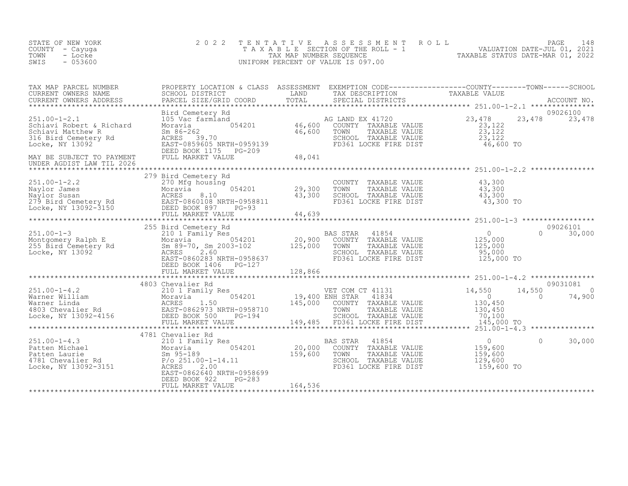| STATE OF NEW YORK<br>COUNTY - Cayuga<br>- Locke<br>TOWN<br>$-053600$<br>SWIS                                                                                                                                                                                                                                                                                                                                                                  | 2 0 2 2           | TENTATIVE ASSESSMENT ROLL PAGE 148<br>TAXABLE SECTION OF THE ROLL - 1 VALUATION DATE-JUL 01, 2021<br>TAX MAP NUMBER SEQUENCE TAXABLE STATUS DATE-MAR 01, 2022<br>UNIFORM PERCENT OF VALUE IS 097.00 |          |        |
|-----------------------------------------------------------------------------------------------------------------------------------------------------------------------------------------------------------------------------------------------------------------------------------------------------------------------------------------------------------------------------------------------------------------------------------------------|-------------------|-----------------------------------------------------------------------------------------------------------------------------------------------------------------------------------------------------|----------|--------|
|                                                                                                                                                                                                                                                                                                                                                                                                                                               |                   |                                                                                                                                                                                                     |          |        |
|                                                                                                                                                                                                                                                                                                                                                                                                                                               |                   |                                                                                                                                                                                                     |          |        |
|                                                                                                                                                                                                                                                                                                                                                                                                                                               |                   |                                                                                                                                                                                                     |          |        |
|                                                                                                                                                                                                                                                                                                                                                                                                                                               |                   |                                                                                                                                                                                                     |          |        |
|                                                                                                                                                                                                                                                                                                                                                                                                                                               |                   |                                                                                                                                                                                                     |          |        |
|                                                                                                                                                                                                                                                                                                                                                                                                                                               |                   |                                                                                                                                                                                                     |          |        |
|                                                                                                                                                                                                                                                                                                                                                                                                                                               | 4781 Chevalier Rd |                                                                                                                                                                                                     |          |        |
| $\begin{array}{lllllllllllll} \text{251.00-1-4.3} & & & & & & & 4781 \text{ Chevalier Rd} & & & & & & & & 0 \\ \text{Pattern Michael} & & & & & & & & & & & & 20,000 & \text{COUNTY} & \text{TAXABLE VALUE} & & & & & 0 \\ \text{Pattern Laurie} & & & & & & & & & & 054201 & & & & 20,000 & \text{COUNTY} & \text{TAXABLE VALUE} & & & & 159,600 \\ \text{Pattern Laurie} & & & & & & & & & & 054201 & & & & 20,000 & \text{COUNTY} & \text$ |                   |                                                                                                                                                                                                     | $\Omega$ | 30,000 |
|                                                                                                                                                                                                                                                                                                                                                                                                                                               |                   |                                                                                                                                                                                                     |          |        |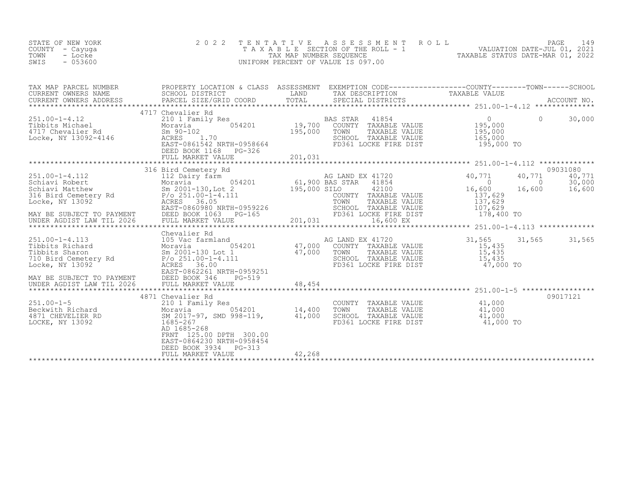| STATE OF NEW YORK<br>COUNTY - Cayuga<br>TOWN<br>- Locke<br>$-053600$<br>SWIS                                                                                                                                                                                                                                                                                                                                 | 2 0 2 2                                                              |              | TENTATIVE ASSESSMENT<br>ROLL<br>T A X A B L E SECTION OF THE ROLL - 1<br>TAX MAP NUMBER SEQUENCE<br>UNIFORM PERCENT OF VALUE IS 097.00                                                                                                                                                                                                                                                                                     |                                                                                                               | PAGE                                     | 149                |
|--------------------------------------------------------------------------------------------------------------------------------------------------------------------------------------------------------------------------------------------------------------------------------------------------------------------------------------------------------------------------------------------------------------|----------------------------------------------------------------------|--------------|----------------------------------------------------------------------------------------------------------------------------------------------------------------------------------------------------------------------------------------------------------------------------------------------------------------------------------------------------------------------------------------------------------------------------|---------------------------------------------------------------------------------------------------------------|------------------------------------------|--------------------|
|                                                                                                                                                                                                                                                                                                                                                                                                              |                                                                      |              |                                                                                                                                                                                                                                                                                                                                                                                                                            |                                                                                                               |                                          |                    |
| 251.00-1-4.12<br>Tibbits Michael Moravia 054201 19,700<br>4717 Chevalier Rd Sm 90-102 195,000<br>Locke, NY 13092-4146 ACRES 1.70<br>EAST-0861542 NRTH-0958664                                                                                                                                                                                                                                                | 4717 Chevalier Rd<br>DEED BOOK 1168 PG-326                           | 195,000 TOWN | TAXABLE VALUE 195,000<br>SCHOOL TAXABLE VALUE<br>FD361 LOCKE FIRE DIST                                                                                                                                                                                                                                                                                                                                                     | $\begin{matrix}0&0\end{matrix}$<br>165,000<br>195,000 TO<br>******************** 251.00-1-4.112 ************* |                                          | 30,000             |
| $\begin{tabular}{lllllllllllll} \multicolumn{3}{c}{\begin{tabular}{c} \multicolumn{3}{c}{51.00-1-4.112} & $\color{red$18.00$ & $\color{red$18.00$ & $\color{red$18.00$ & $\color{red$18.00$ & $\color{red$18.00$ & $\color{red$18.00$ & $\color{red$18.00$ & $\color{red$18.00$ & $\color{red$18.00$ & $\color{red$18.00$ & $\color{red$18.00$ & $\color{red$18.00$ & $\color{red$18.00$ & $\color{red$18.0$ | 316 Bird Cemetery Rd                                                 |              |                                                                                                                                                                                                                                                                                                                                                                                                                            | 40,771<br>$\sim$ 0<br>16,600<br>137,629<br>137,629<br>107,629<br>178,400 TO                                   | 40,771<br>$0 \t 30,000$<br>16,600 16,600 | 09031080<br>40,771 |
| 251.00-1-4.113<br>Tibbits Richard<br>Tibbits Sharon<br>710 Bird Cemetery Rd<br>8 2001-130 Lot 1<br>710 Bird Cemetery Rd<br>8 2001-130 Lot 1<br>710 Bird Cemetery Rd<br>8 2001-14.111<br>7 251.00-1-4.111<br>MAY BE SUBJECT TO PAYMENT                                                                                                                                                                        | Chevalier Rd<br>EAST-0862261 NRTH-0959251<br>DEED BOOK 346<br>PG-519 |              | $\begin{tabular}{lllllllll} {\tiny &\begin{tabular}{lcl} d & $\mbox{AG$ & \texttt{LAND} & \texttt{EX} & $41720$ \\ 054201 & 47,000 & \texttt{COUNTY} & \texttt{TAXABLE VALUE} \\ \mbox{\tiny $c$ & 1} & $47,000 & \texttt{TOWN} & \texttt{TAXABLE VALUE} \\ \mbox{\tiny $+111$ & & \texttt{SCHOOL} & \texttt{TAXABLE VALUE} \\ \mbox{\tiny $FD361$ & \texttt{LOCKE} & \texttt{FIRE DIST} \\ \end{tabular} } \end{tabular}$ | 31,565<br>15,435<br>15,435<br>15,435<br>47,000 TO                                                             | 31,565                                   | 31,565             |

| $251.00 - 1 - 5$<br>Beckwith Richard<br>4871 CHEVELIER RD<br>LOCKE, NY 13092 | 4871 Chevalier Rd<br>210 1 Family Res<br>054201<br>Moravia<br>SM 2017-97, SMD 998-119,<br>1685-267<br>AD 1685-268<br>300.00<br>FRNT 125.00 DPTH<br>EAST-0864230 NRTH-0958454<br>DEED BOOK 3934 PG-313<br>FULL MARKET VALUE | 14,400<br>41,000<br>42,268 | COUNTY<br>TAXABLE VALUE<br>TOWN<br>TAXABLE VALUE<br>SCHOOL<br>TAXABLE VALUE<br>FD361 LOCKE FIRE DIST | 09017121<br>41,000<br>41,000<br>41,000<br>41,000 TO |  |
|------------------------------------------------------------------------------|----------------------------------------------------------------------------------------------------------------------------------------------------------------------------------------------------------------------------|----------------------------|------------------------------------------------------------------------------------------------------|-----------------------------------------------------|--|
|                                                                              |                                                                                                                                                                                                                            |                            |                                                                                                      |                                                     |  |
|                                                                              |                                                                                                                                                                                                                            |                            |                                                                                                      |                                                     |  |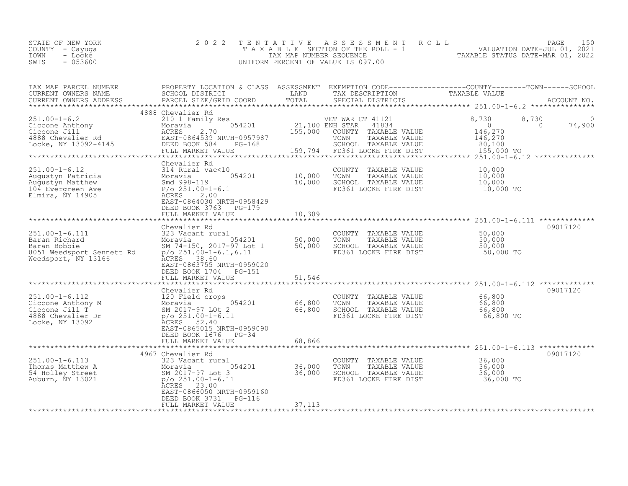| STATE OF NEW YORK<br>COUNTY – Cayuga<br>TOWN<br>- Locke<br>$-053600$<br>SWIS | 2022 TENTATIVE ASSESSMENT ROLL<br>TAXABLE SECTION OF THE ROLL - 1<br>TAX MAP NUMBER SEQUENCE<br>UNIFORM PERCENT OF VALUE IS 097.00 | 150<br>PAGE<br>VALUATION DATE-JUL 01, 2021<br>TAXABLE STATUS DATE-MAR 01, 2022 |
|------------------------------------------------------------------------------|------------------------------------------------------------------------------------------------------------------------------------|--------------------------------------------------------------------------------|
|------------------------------------------------------------------------------|------------------------------------------------------------------------------------------------------------------------------------|--------------------------------------------------------------------------------|

| TAX MAP PARCEL NUMBER<br>CURRENT OWNERS NAME<br>CURRENT OWNERS ADDRESS                                                                                                                                                                               | PROPERTY LOCATION & CLASS ASSESSMENT EXEMPTION CODE----------------COUNTY-------TOWN-----SCHOOL<br>SCHOOL DISTRICT<br>PARCEL SIZE/GRID COORD                                                         | LAND<br>TOTAL              | TAX DESCRIPTION<br>SPECIAL DISTRICTS                                                                                                | TAXABLE VALUE                                                                         | ACCOUNT NO. |
|------------------------------------------------------------------------------------------------------------------------------------------------------------------------------------------------------------------------------------------------------|------------------------------------------------------------------------------------------------------------------------------------------------------------------------------------------------------|----------------------------|-------------------------------------------------------------------------------------------------------------------------------------|---------------------------------------------------------------------------------------|-------------|
|                                                                                                                                                                                                                                                      |                                                                                                                                                                                                      |                            |                                                                                                                                     |                                                                                       |             |
| $251.00 - 1 - 6.2$<br>251.00-1-6.2<br>Ciccone Anthony<br>Ciccone Jill Moravia (194201<br>210 1 Family Res<br>Moravia (194201<br>2.70<br>4888 Chevalier Rd (1945) EAST-0864539 NRTH-0957987<br>Locke, NY 13092-4145<br>DEED BOOK 584<br>DEED BOOK 584 | 4888 Chevalier Rd<br>210 1 Family Res<br>PG-168<br>FULL MARKET VALUE                                                                                                                                 | 21,100 ENH STAR<br>155,000 | VET WAR CT 41121<br>41834<br>COUNTY TAXABLE VALUE<br>TOWN<br>TAXABLE VALUE<br>SCHOOL TAXABLE VALUE<br>159,794 FD361 LOCKE FIRE DIST | 8,730<br>8,730<br>$\bigcap$<br>$\sim$ 0<br>146,270<br>146,270<br>80,100<br>155,000 TO | 74,900      |
|                                                                                                                                                                                                                                                      | Chevalier Rd                                                                                                                                                                                         |                            |                                                                                                                                     |                                                                                       |             |
| $251.00 - 1 - 6.12$<br>Augustyn Patricia<br>Augustyn Patricia<br>Augustyn Matthew Smd 998-119<br>104 Evergreen Ave P/o 251.00-1-6.1<br>Elmira, NY 14905<br>ACRES 2.00                                                                                | 054201<br>EAST-0864030 NRTH-0958429<br>DEED BOOK 3763<br>PG-179                                                                                                                                      | 10,000<br>10,000           | COUNTY TAXABLE VALUE<br>TOWN<br>TAXABLE VALUE<br>SCHOOL TAXABLE VALUE<br>FD361 LOCKE FIRE DIST                                      | 10,000<br>10,000<br>10,000<br>10,000 TO                                               |             |
|                                                                                                                                                                                                                                                      | FULL MARKET VALUE                                                                                                                                                                                    | 10,309                     |                                                                                                                                     |                                                                                       |             |
|                                                                                                                                                                                                                                                      | Chevalier Rd                                                                                                                                                                                         |                            |                                                                                                                                     |                                                                                       | 09017120    |
| $251.00 - 1 - 6.111$<br>251.00-1-6.111<br>Baran Richard<br>Baran Bobbie<br>8051 Weedsport Sennett Rd<br>Weedsport, NY 13166<br>Weedsport, NY 13166                                                                                                   | 323 Vacant rural<br>Moravia 199201 50,000<br>SM 74-150, 2017-97 Lot 1 50,000<br>$p$ /o 251.00-1-6.1,6.11<br>ACRES 38.60<br>EAST-0863755 NRTH-0959020<br>DEED BOOK 1704<br>PG-151                     |                            | COUNTY TAXABLE VALUE<br>TOWN<br>TAXABLE VALUE<br>SCHOOL TAXABLE VALUE<br>FD361 LOCKE FIRE DIST                                      | 50,000<br>50,000<br>50,000<br>50,000 TO                                               |             |
|                                                                                                                                                                                                                                                      | FULL MARKET VALUE                                                                                                                                                                                    | 51,546                     |                                                                                                                                     |                                                                                       |             |
|                                                                                                                                                                                                                                                      |                                                                                                                                                                                                      | ************               |                                                                                                                                     |                                                                                       |             |
| 251.00-1-6.112 120 Field crops<br>Ciccone Anthony M<br>Ciccone Jill T<br>4888 Chevalier Dr p/o 251.00-1-6.11<br>4888 Nevelier Dr p/o 251.00-1-6.11<br>Locke, NY 13092                                                                                | Chevalier Rd<br>054201 66,800<br>ACRES 52.40<br>EAST-0865015 NRTH-0959090<br>DEED BOOK 1676 PG-34                                                                                                    | 66, 800                    | COUNTY TAXABLE VALUE<br>TOWN<br>TAXABLE VALUE<br>SCHOOL TAXABLE VALUE<br>FD361 LOCKE FIRE DIST                                      | 66,800<br>66,800<br>66,800<br>66,800 TO                                               | 09017120    |
|                                                                                                                                                                                                                                                      | FULL MARKET VALUE                                                                                                                                                                                    | 68,866                     |                                                                                                                                     |                                                                                       |             |
|                                                                                                                                                                                                                                                      |                                                                                                                                                                                                      |                            |                                                                                                                                     |                                                                                       |             |
| $251.00 - 1 - 6.113$<br>Thomas Matthew A<br>54 Holley Street<br>Auburn, NY 13021                                                                                                                                                                     | 4967 Chevalier Rd<br>323 Vacant rural<br>323 Vacant 101.<br>Moravia 05/<br>SM 2017-97 Lot 3<br>p/o 251.00-1-6.11<br>Approve 23.00<br>054201<br>EAST-0866050 NRTH-0959160<br>DEED BOOK 3731<br>PG-116 | 36,000<br>36,000           | COUNTY TAXABLE VALUE 36,000<br>TOWN<br>TAXABLE VALUE<br>SCHOOL TAXABLE VALUE<br>FD361 LOCKE FIRE DIST                               | 36,000<br>36,000<br>36,000 TO                                                         | 09017120    |
|                                                                                                                                                                                                                                                      | FULL MARKET VALUE                                                                                                                                                                                    | 37,113                     |                                                                                                                                     |                                                                                       |             |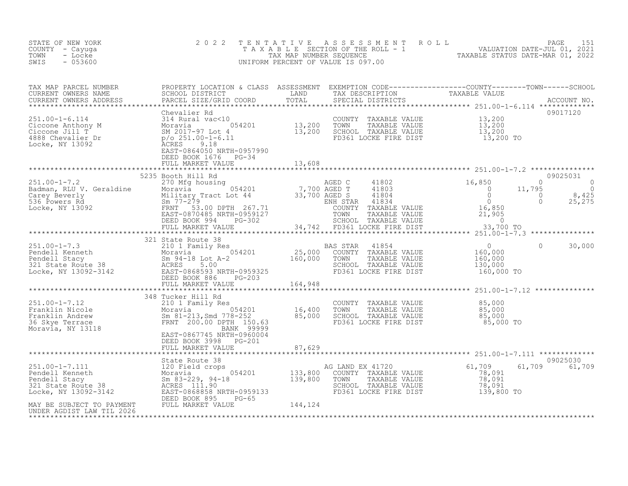| STATE OF NEW YORK<br>COUNTY - Cayuga<br>- Locke<br>TOWN<br>$-053600$<br>SWIS                                                                                                                                                                                                                                                                                                                                                                                                                                | 2 0 2 2                                           |                       | TENTATIVE ASSESSMENT ROLL PAGE 151<br>TAXABLE SECTION OF THE ROLL - 1 VALUATION DATE-JUL 01, 2021<br>TAX MAP NUMBER SEQUENCE TAXABLE STATUS DATE-MAR 01, 2022<br>UNIFORM PERCENT OF VALUE IS 097.00 |               |
|-------------------------------------------------------------------------------------------------------------------------------------------------------------------------------------------------------------------------------------------------------------------------------------------------------------------------------------------------------------------------------------------------------------------------------------------------------------------------------------------------------------|---------------------------------------------------|-----------------------|-----------------------------------------------------------------------------------------------------------------------------------------------------------------------------------------------------|---------------|
| TAX MAP PARCEL NUMBER PROPERTY LOCATION & CLASS ASSESSMENT EXEMPTION CODE------------------COUNTY---------TOWN------SCHOOL SCHOOL DISTRICT<br>CURRENT OWNERS NAME SCHOOL DISTRICT LAND TAX DESCRIPTION TAXABLE VALUE<br>CURRENT OWNE                                                                                                                                                                                                                                                                        |                                                   |                       |                                                                                                                                                                                                     |               |
| $\begin{tabular}{lllllllllllll} \multicolumn{4}{c }{\begin{tabular}{l} \multicolumn{4}{c}{\begin{tabular}{l} \multicolumn{4}{c}{\begin{tabular}{l} \multicolumn{4}{c}{\begin{tabular}{l} \multicolumn{4}{c}{\begin{tabular}{l} \multicolumn{4}{c}{\begin{tabular}{l} \multicolumn{4}{c}{\begin{tabular}{l} \multicolumn{4}{c}{\begin{tabular}{l} \multicolumn{4}{c}{\begin{tabular}{l} \multicolumn{4}{c}{\begin{tabular}{l} \multicolumn{4}{c}{\begin{tabular}{c} \multicolumn{4}{c}{\begin{tabular}{c} \$ |                                                   |                       |                                                                                                                                                                                                     | 09017120      |
|                                                                                                                                                                                                                                                                                                                                                                                                                                                                                                             |                                                   |                       |                                                                                                                                                                                                     |               |
| $\begin{tabular}{lllllllll} \textbf{251.00-1-7.2} & \textbf{5235 Booth Hill Rd} & \textbf{270 Mg housing} & \textbf{285 Booth Hill Rd} & \textbf{29025031} & \textbf{201.00-1-7.2} & \textbf{211.00-1-7.2} & \textbf{221.00-1-7.2} & \textbf{231.00-1-7.2} & \textbf{2425} \\ \textbf{251.00-1-7.2} & \textbf{270 Mg housing} & \textbf{270 Mg housing} & \textbf{285 B OF} & \textbf{29$                                                                                                                   |                                                   |                       |                                                                                                                                                                                                     |               |
|                                                                                                                                                                                                                                                                                                                                                                                                                                                                                                             |                                                   |                       |                                                                                                                                                                                                     |               |
|                                                                                                                                                                                                                                                                                                                                                                                                                                                                                                             |                                                   |                       |                                                                                                                                                                                                     |               |
|                                                                                                                                                                                                                                                                                                                                                                                                                                                                                                             |                                                   |                       | $\overline{0}$                                                                                                                                                                                      | 30,000        |
|                                                                                                                                                                                                                                                                                                                                                                                                                                                                                                             |                                                   | ********************* |                                                                                                                                                                                                     |               |
| $\begin{array}{lllllllllllll} \text{251.00--1-7.12} & & & & & 348 \text{ Tucker Hill Rd} & & & & & \text{COUNTY} & \text{TXABLE VALUE} & & & 85,000 \\ \text{Franklin Nicole} & & & & & & 210 \text{ I Family Res} & & & & \text{COUNTY} & \text{TXABLE VALUE} & & 85,000 \\ \text{Franklin Andrew} & & & & & & 054201 & & 16,400 & \text{TOWN} & \text{TXABLE VALUE} & & 85,000 \\ \text{Franklin Andrew} & & & & & & 85,000 & \text{SMM} & \text{TXABLE VALUE$                                            | 348 Tucker Hill Rd                                |                       |                                                                                                                                                                                                     |               |
|                                                                                                                                                                                                                                                                                                                                                                                                                                                                                                             | DEED BOOK 3998 PG-201<br>FULL MARKET VALUE 87,629 |                       |                                                                                                                                                                                                     |               |
|                                                                                                                                                                                                                                                                                                                                                                                                                                                                                                             |                                                   |                       |                                                                                                                                                                                                     | 09025030      |
|                                                                                                                                                                                                                                                                                                                                                                                                                                                                                                             |                                                   |                       |                                                                                                                                                                                                     | 61,709 61,709 |
|                                                                                                                                                                                                                                                                                                                                                                                                                                                                                                             |                                                   |                       |                                                                                                                                                                                                     |               |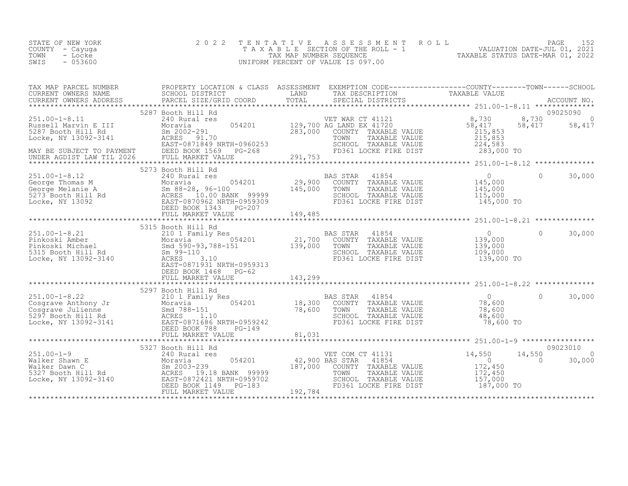| STATE OF NEW YORK | 2022 TENTATIVE ASSESSMENT ROLL     | PAGE                             |
|-------------------|------------------------------------|----------------------------------|
| COUNTY - Cayuqa   | TAXABLE SECTION OF THE ROLL - 1    | VALUATION DATE-JUL 01, 2021      |
| TOWN<br>- Locke   | TAX MAP NUMBER SEQUENCE            | TAXABLE STATUS DATE-MAR 01, 2022 |
| $-053600$<br>SWIS | UNIFORM PERCENT OF VALUE IS 097.00 |                                  |

| TAX MAP PARCEL NUMBER PROPERTY LOCATION & CLASS ASSESSMENT EXEMPTION CODE----------------COUNTY-------TOWN-----SCHOOL                                                                                                                                                                                                                          |                      |  |          |          |
|------------------------------------------------------------------------------------------------------------------------------------------------------------------------------------------------------------------------------------------------------------------------------------------------------------------------------------------------|----------------------|--|----------|----------|
|                                                                                                                                                                                                                                                                                                                                                |                      |  |          |          |
|                                                                                                                                                                                                                                                                                                                                                | 5287 Booth Hill Rd   |  |          | 09025090 |
|                                                                                                                                                                                                                                                                                                                                                |                      |  |          |          |
| 373 Booth Hill Rd<br>29,900 COUNTY TAXABLE VALUE<br>George Thomas M Moravia 29,900 COUNTY TAXABLE VALUE<br>George Thomas M Moravia 29,900 COUNTY TAXABLE VALUE<br>San 88-28, 96-100 145,000 TOWN TAXABLE VALUE<br>5273 Booth Hill Rd ACR                                                                                                       |                      |  |          |          |
|                                                                                                                                                                                                                                                                                                                                                |                      |  |          |          |
| 315 Booth Hill Rd (139,000 BORES 3.10<br>Experiment Market Market (139,000 BOR) 21,700 COUNTY TAXABLE VALUE<br>Experiment Market Market (139,000 Market Market (139,000 Market Market Market Market Market Market Market Market Ma                                                                                                             | DEED BOOK 1468 PG-62 |  | $\Omega$ | 30,000   |
|                                                                                                                                                                                                                                                                                                                                                |                      |  |          |          |
| $\begin{tabular}{lllllllllll} \textbf{78.600} & \textbf{5297 Booth Hill Rd} & \textbf{5201.00-1-8.22} & \textbf{521.00-1-8.22} & \textbf{5297 Booth Hill Rd} & \textbf{5201.00-1-8.22} & \textbf{521.00-1-8.22} & \textbf{521.00-1-8.22} & \textbf{521.00-1-8.22} & \textbf{521.01.00} & \textbf{521.02.000} & \textbf{521.01.000} & \textbf{$ |                      |  |          |          |
|                                                                                                                                                                                                                                                                                                                                                |                      |  |          | 09023010 |
|                                                                                                                                                                                                                                                                                                                                                |                      |  |          |          |
|                                                                                                                                                                                                                                                                                                                                                |                      |  |          |          |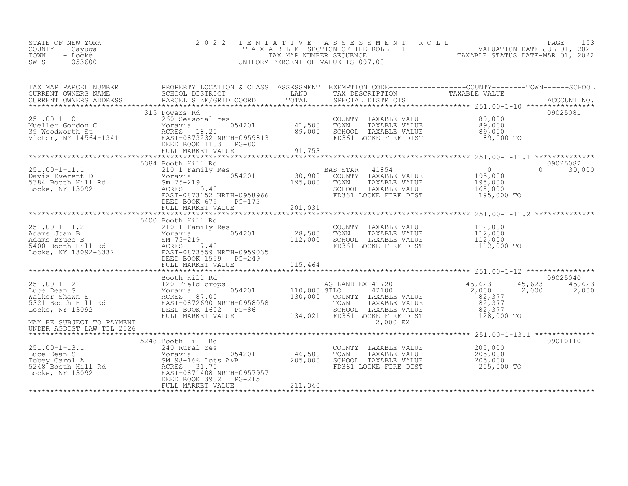| STATE OF NEW YORK<br>COUNTY – Cayuga<br>TOWN<br>- Locke<br>- 053600<br>SWIS |  | 2022 TENTATIVE ASSESSMENT ROLL<br>T A X A B L E SECTION OF THE ROLL - 1<br>TAX MAP NUMBER SEOUENCE<br>UNIFORM PERCENT OF VALUE IS 097.00 |  | TAXABLE STATUS DATE-MAR 01, 2022 | PAGE 153<br>VALUATION DATE-JUL 01, 2021 |  |
|-----------------------------------------------------------------------------|--|------------------------------------------------------------------------------------------------------------------------------------------|--|----------------------------------|-----------------------------------------|--|
|-----------------------------------------------------------------------------|--|------------------------------------------------------------------------------------------------------------------------------------------|--|----------------------------------|-----------------------------------------|--|

| TAX MAP PARCEL NUMBER                                                                                                                                                                                                                                          | PROPERTY LOCATION & CLASS ASSESSMENT EXEMPTION CODE----------------COUNTY-------TOWN------SCHOOL |                                                                                        |            |                           |
|----------------------------------------------------------------------------------------------------------------------------------------------------------------------------------------------------------------------------------------------------------------|--------------------------------------------------------------------------------------------------|----------------------------------------------------------------------------------------|------------|---------------------------|
| COMPRESS NAME SORREL SURFACTLE CORPORAGING THE TRANSPORT TRANSPORT TRANSPORT TRANSPORT TRANSPORT TRANSPORT TRANSPORT TRANSPORT TRANSPORT TRANSPORT TRANSPORT TRANSPORT TRANSPORT TRANSPORT TRANSPORT TRANSPORT TRANSPORT TRANS                                 |                                                                                                  |                                                                                        |            |                           |
|                                                                                                                                                                                                                                                                |                                                                                                  |                                                                                        |            |                           |
|                                                                                                                                                                                                                                                                | 315 Powers Rd                                                                                    |                                                                                        |            | 09025081                  |
|                                                                                                                                                                                                                                                                |                                                                                                  |                                                                                        |            |                           |
|                                                                                                                                                                                                                                                                |                                                                                                  |                                                                                        |            |                           |
| 251.00-1-10<br>Mueller Gordon C<br>Mueller Gordon C<br>Moravia 054201 41,500 TOWN TAXABLE VALUE 89,000<br>39 Woodworth St ACRES 18.20 89,000 SCHOOL TAXABLE VALUE 89,000<br>Victor, NY 14564-1341 EAST-0873232 NRTH-0959813 FD361 LOCKE                        |                                                                                                  | FD361 LOCKE FIRE DIST 89,000 TO                                                        |            |                           |
|                                                                                                                                                                                                                                                                |                                                                                                  |                                                                                        |            |                           |
|                                                                                                                                                                                                                                                                |                                                                                                  |                                                                                        |            |                           |
|                                                                                                                                                                                                                                                                | 5384 Booth Hill Rd                                                                               |                                                                                        |            | 09025082<br>$0 \t 30,000$ |
|                                                                                                                                                                                                                                                                |                                                                                                  |                                                                                        |            |                           |
|                                                                                                                                                                                                                                                                |                                                                                                  |                                                                                        |            |                           |
|                                                                                                                                                                                                                                                                |                                                                                                  |                                                                                        |            |                           |
|                                                                                                                                                                                                                                                                | DEED BOOK 679<br>$PG-175$                                                                        |                                                                                        |            |                           |
|                                                                                                                                                                                                                                                                |                                                                                                  |                                                                                        |            |                           |
|                                                                                                                                                                                                                                                                |                                                                                                  |                                                                                        |            |                           |
|                                                                                                                                                                                                                                                                | 5400 Booth Hill Rd                                                                               |                                                                                        |            |                           |
|                                                                                                                                                                                                                                                                |                                                                                                  | COUNTY TAXABLE VALUE 112,000<br>TOWN TAXABLE VALUE 112,000                             |            |                           |
|                                                                                                                                                                                                                                                                |                                                                                                  | TOWN TAXABLE VALUE<br>SCHOOL TAXABLE VALUE 112,000<br>ED361 LOCKE FIRE DIST 112,000 TO |            |                           |
|                                                                                                                                                                                                                                                                |                                                                                                  |                                                                                        |            |                           |
|                                                                                                                                                                                                                                                                |                                                                                                  |                                                                                        |            |                           |
| 251.00-1-11.2<br>Adams Joan B<br>Adams Bruce B<br>5400 Booth Hill Rd<br>Locke, NY 13092-3332<br>Adams Bruce B<br>28,500 TOWN<br>Moravia<br>28,500 TOWN<br>28,500 TOWN<br>28,500 TOWN<br>28,500 TOWN<br>28,500 TOWN<br>28,500 TOWN<br>28,500 TOWN<br>28,500 T   |                                                                                                  |                                                                                        |            |                           |
|                                                                                                                                                                                                                                                                |                                                                                                  |                                                                                        |            |                           |
|                                                                                                                                                                                                                                                                | Booth Hill Rd                                                                                    |                                                                                        |            | 09025040                  |
|                                                                                                                                                                                                                                                                |                                                                                                  |                                                                                        |            |                           |
|                                                                                                                                                                                                                                                                |                                                                                                  |                                                                                        |            |                           |
|                                                                                                                                                                                                                                                                |                                                                                                  |                                                                                        |            |                           |
|                                                                                                                                                                                                                                                                |                                                                                                  |                                                                                        |            |                           |
| MAY BE SUBJECT TO PAYMENT                                                                                                                                                                                                                                      |                                                                                                  | 2,000 EX                                                                               |            |                           |
| UNDER AGDIST LAW TIL 2026                                                                                                                                                                                                                                      |                                                                                                  |                                                                                        |            |                           |
|                                                                                                                                                                                                                                                                | 5248 Booth Hill Rd                                                                               |                                                                                        |            | 09010110                  |
|                                                                                                                                                                                                                                                                |                                                                                                  | COUNTY TAXABLE VALUE $205,000$<br>TOWN TAXABLE VALUE $205,000$                         |            |                           |
|                                                                                                                                                                                                                                                                |                                                                                                  | TOWN<br>SCHOOL TAXABLE VALUE                                                           | 205,000    |                           |
|                                                                                                                                                                                                                                                                |                                                                                                  | FD361 LOCKE FIRE DIST                                                                  | 205,000 TO |                           |
|                                                                                                                                                                                                                                                                |                                                                                                  |                                                                                        |            |                           |
| 251.00-1-13.1<br>Luce Dean S<br>Tobey Carol A<br>Tobey Carol A<br>S240 Rural res<br>Moravia 054201<br>Moravia 054201<br>205,000<br>S240 Rural res<br>Moravia 054201<br>205,000<br>S240 Rural res<br>205,000<br>S240 Rural res<br>205,000<br>S240 Rural res<br> |                                                                                                  |                                                                                        |            |                           |
|                                                                                                                                                                                                                                                                |                                                                                                  |                                                                                        |            |                           |
|                                                                                                                                                                                                                                                                |                                                                                                  |                                                                                        |            |                           |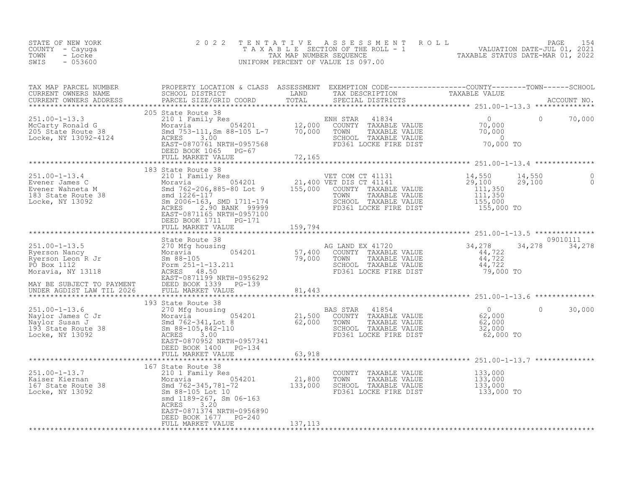| STATE OF NEW YORK<br>COUNTY - Cayuga<br>TOWN<br>- Locke<br>SWIS<br>$-053600$                                                                                                                                                                     | 2022                                                                        |         | TENTATIVE ASSESSMENT ROLL PAGE 154<br>TAXABLE SECTION OF THE ROLL - 1 VALUATION DATE-JUL 01, 2021<br>TAX MAP NUMBER SEQUENCE TAXABLE STATUS DATE-MAR 01, 2022<br>UNIFORM PERCENT OF VALUE IS 097.00 |        |
|--------------------------------------------------------------------------------------------------------------------------------------------------------------------------------------------------------------------------------------------------|-----------------------------------------------------------------------------|---------|-----------------------------------------------------------------------------------------------------------------------------------------------------------------------------------------------------|--------|
|                                                                                                                                                                                                                                                  |                                                                             |         |                                                                                                                                                                                                     |        |
|                                                                                                                                                                                                                                                  |                                                                             |         |                                                                                                                                                                                                     |        |
|                                                                                                                                                                                                                                                  |                                                                             |         |                                                                                                                                                                                                     |        |
|                                                                                                                                                                                                                                                  | DEED BOOK 1711 PG-171<br>DEED BOOK I/II PG-1/1<br>FULL MARKET VALUE 159,794 |         |                                                                                                                                                                                                     |        |
|                                                                                                                                                                                                                                                  |                                                                             |         |                                                                                                                                                                                                     |        |
|                                                                                                                                                                                                                                                  | State Route 38                                                              |         | 09010111                                                                                                                                                                                            |        |
|                                                                                                                                                                                                                                                  |                                                                             |         |                                                                                                                                                                                                     |        |
|                                                                                                                                                                                                                                                  | DEED BOOK 1400 PG-134<br>FULL MARKET VALUE 1919                             |         | $\circ$                                                                                                                                                                                             | 30,000 |
|                                                                                                                                                                                                                                                  |                                                                             |         |                                                                                                                                                                                                     |        |
| 167 State Route 38<br>Moravia 167-210 1 Family Res<br>Moravia 167 State Route 38<br>Moravia 167 State Route 38<br>Moravia 167 State Route 38<br>Moravia 167 State Route 38<br>Sm 38-105 Lock 10<br>Moravia 133,000<br>Sm 88-105 Lock 10<br>Morav | ACRES 3.20<br>EAST-0871374 NRTH-0956890<br>DEED BOOK 1677 PG-240            |         |                                                                                                                                                                                                     |        |
|                                                                                                                                                                                                                                                  | FULL MARKET VALUE                                                           | 137,113 |                                                                                                                                                                                                     |        |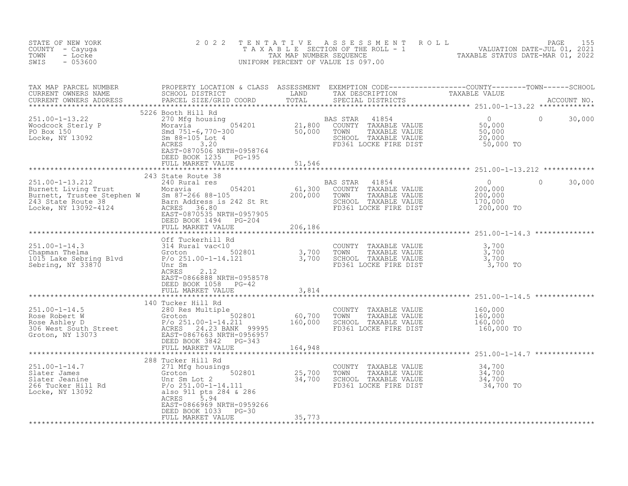| STATE OF NEW YORK<br>COUNTY - Cayuga<br>TOWN<br>- Locke<br>$-053600$<br>SWIS                                                                                                                                                                               | 2 0 2 2                                                                                  |       |                                                                                                                                 | TENTATIVE ASSESSMENT ROLL PAGE 155<br>TAXABLE SECTION OF THE ROLL - 1 VALUATION DATE-JUL 01, 2021<br>TAX MAP NUMBER SEQUENCE TAXABLE STATUS DATE-MAR 01, 2022<br>UNIFORM PERCENT OF VALUE IS 097.00 |        |
|------------------------------------------------------------------------------------------------------------------------------------------------------------------------------------------------------------------------------------------------------------|------------------------------------------------------------------------------------------|-------|---------------------------------------------------------------------------------------------------------------------------------|-----------------------------------------------------------------------------------------------------------------------------------------------------------------------------------------------------|--------|
| TAX MAP PARCEL NUMBER PROPERTY LOCATION & CLASS ASSESSMENT EXEMPTION CODE-----------------COUNTY--------TOWN------SCHOOL CURRENT OWNERS NAME SCHOOL DISTRICT LAND TAX DESCRIPTION TAXABLE VALUE<br>CURRENT OWNERS ADDRESS PARCEL                           |                                                                                          |       |                                                                                                                                 |                                                                                                                                                                                                     |        |
|                                                                                                                                                                                                                                                            | 5226 Booth Hill Rd<br>DEED BOOK 1235 PG-195<br>FULL MARKET VALUE 51,546                  |       |                                                                                                                                 | $\Omega$                                                                                                                                                                                            | 30,000 |
|                                                                                                                                                                                                                                                            |                                                                                          |       |                                                                                                                                 |                                                                                                                                                                                                     |        |
| 251.00-1-13.212<br>243 State Route 38<br>Burnett Living Trust and Moravia constant of the Moravia constant of the Moravia country TAXABLE VALUE<br>200,000 TOWN TAXABLE VALUE 200,000<br>243 State Route 38 Barn Address is 242 St Rt                      | 243 State Route 38                                                                       |       |                                                                                                                                 | $\mathbf{0}$                                                                                                                                                                                        | 30,000 |
|                                                                                                                                                                                                                                                            |                                                                                          |       |                                                                                                                                 |                                                                                                                                                                                                     |        |
|                                                                                                                                                                                                                                                            |                                                                                          |       |                                                                                                                                 |                                                                                                                                                                                                     |        |
| Off Tuckerhill Rd<br>251.00-1-14.3<br>Chapman Thelma<br>Chapman Thelma<br>3,700<br>CoUNTY TAXABLE VALUE<br>CoUNTY TAXABLE VALUE<br>3,700<br>TOMN TAXABLE VALUE<br>3,700<br>TOMN TAXABLE VALUE<br>2,700<br>TOMN TAXABLE VALUE<br>2,700<br>SCHOOL TAXABLE VA | EAST-0866888 NRTH-0958578<br>DEED BOOK 1058 PG-42<br>FULL MARKET VALUE                   | 3,814 |                                                                                                                                 |                                                                                                                                                                                                     |        |
|                                                                                                                                                                                                                                                            |                                                                                          |       |                                                                                                                                 |                                                                                                                                                                                                     |        |
|                                                                                                                                                                                                                                                            |                                                                                          |       |                                                                                                                                 |                                                                                                                                                                                                     |        |
|                                                                                                                                                                                                                                                            |                                                                                          |       |                                                                                                                                 |                                                                                                                                                                                                     |        |
| 251.00-1-14.7<br>Slater James<br>Slater Jeanine<br>266 Tucker Hill Rd<br>266 Tucker Hill Rd<br>266 Tucker Hill Rd<br>266 Tucker Hill Rd<br>266 Tucker Hill Rd<br>266 Tucker Hill Rd<br>266 Tucker Hill Rd<br>266 Tucker Hill Rd<br>280 25,700<br>25,70     | 288 Tucker Hill Rd<br>ACRES<br>5.94<br>EAST-0866969 NRTH-0959266<br>DEED BOOK 1033 PG-30 |       | COUNTY TAXABLE VALUE $34,700$<br>TOWN TAXABLE VALUE $34,700$<br>SCHOOL TAXABLE VALUE $34,700$<br>FD361 LOCKE FIRE DIST $34,700$ |                                                                                                                                                                                                     |        |
|                                                                                                                                                                                                                                                            |                                                                                          |       |                                                                                                                                 |                                                                                                                                                                                                     |        |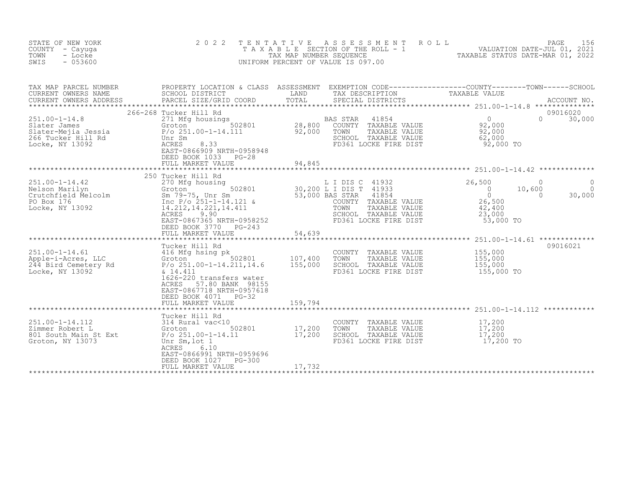| STATE OF NEW YORK<br>COUNTY<br>- Cayuga<br>TOWN<br>- Locke<br>$-053600$<br>SWIS                     | 2 0 2 2                                                                                                                                                                                                                          | T E N T A T I V E<br>TAX MAP NUMBER SEQUENCE | A S S E S S M E N T<br>T A X A B L E SECTION OF THE ROLL - 1 THE TRANSPORT ON DATE-JUL 01, 2021<br>TAX MAP NUMBER SEQUENCE TAXABLE STATIIS DATE-MAR 01. 2022<br>UNIFORM PERCENT OF VALUE IS 097.00 | ROLL                                                                           | PAGE<br>156<br>TAXABLE STATUS DATE-MAR 01, 2022      |
|-----------------------------------------------------------------------------------------------------|----------------------------------------------------------------------------------------------------------------------------------------------------------------------------------------------------------------------------------|----------------------------------------------|----------------------------------------------------------------------------------------------------------------------------------------------------------------------------------------------------|--------------------------------------------------------------------------------|------------------------------------------------------|
| TAX MAP PARCEL NUMBER<br>CURRENT OWNERS NAME<br>CURRENT OWNERS ADDRESS                              | PROPERTY LOCATION & CLASS ASSESSMENT EXEMPTION CODE----------------COUNTY-------TOWN-----SCHOOL<br>SCHOOL DISTRICT<br>PARCEL SIZE/GRID COORD                                                                                     | LAND<br>TOTAL                                | TAX DESCRIPTION<br>SPECIAL DISTRICTS                                                                                                                                                               | TAXABLE VALUE                                                                  | ACCOUNT NO.                                          |
| $251.00 - 1 - 14.8$<br>Slater James<br>Slater-Mejia Jessia<br>266 Tucker Hill Rd<br>Locke, NY 13092 | 266-268 Tucker Hill Rd<br>271 Mfg housings<br>502801<br>Groton<br>$P$ /o 251.00-1-14.111<br>Unr Sm<br>ACRES<br>8.33<br>EAST-0866909 NRTH-0958948<br>DEED BOOK 1033<br>$PG-28$<br>FULL MARKET VALUE                               | 28,800<br>92,000<br>94,845                   | BAS STAR<br>41854<br>COUNTY TAXABLE VALUE<br>TOWN<br>TAXABLE VALUE<br>SCHOOL TAXABLE VALUE<br>FD361 LOCKE FIRE DIST                                                                                | $\overline{0}$<br>92,000<br>92,000<br>62,000<br>92,000 TO                      | 09016020<br>$\Omega$<br>30,000                       |
|                                                                                                     |                                                                                                                                                                                                                                  |                                              |                                                                                                                                                                                                    |                                                                                |                                                      |
| $251.00 - 1 - 14.42$<br>Nelson Marilyn<br>Crutchfield Melcolm<br>PO Box 176<br>Locke, NY 13092      | 250 Tucker Hill Rd<br>270 Mfg housing<br>502801<br>Groton<br>Sm 79-75, UNL Sm<br>Inc P/o 251-1-14.121 &<br>14.212,14.221,14.411<br>14.212, 14.221, 14.411<br>9.90<br>ACRES<br>EAST-0867365 NRTH-0958252<br>DEED BOOK 3770 PG-243 |                                              | L I DIS C 41932<br>30,200 L I DIS T 41933<br>41854<br>53,000 BAS STAR<br>COUNTY TAXABLE VALUE<br>TOWN<br>TAXABLE VALUE<br>SCHOOL TAXABLE VALUE<br>FD361 LOCKE FIRE DIST                            | 26,500<br>$\overline{0}$<br>$\circ$<br>26,500<br>42,400<br>23,000<br>53,000 TO | $\Omega$<br>10,600<br>$\Omega$<br>$\Omega$<br>30,000 |
|                                                                                                     | FULL MARKET VALUE<br>*************************                                                                                                                                                                                   | 54,639                                       |                                                                                                                                                                                                    |                                                                                |                                                      |
| $251.00 - 1 - 14.61$<br>Apple-i-Acres, LLC<br>244 Bird Cemetery Rd<br>Locke, NY 13092               | Tucker Hill Rd<br>$P/O$ 251.00-1-14.211,14.6<br>& 14.411<br>1626-220 transfers water<br>57.80 BANK 98155<br>ACRES<br>EAST-0867718 NRTH-0957618<br>DEED BOOK 4071<br>$PG-32$                                                      | 107,400<br>155,000                           | COUNTY TAXABLE VALUE<br>TOWN<br>TAXABLE VALUE<br>SCHOOL TAXABLE VALUE<br>FD361 LOCKE FIRE DIST                                                                                                     | 155,000<br>155,000<br>155,000<br>155,000 TO                                    | 09016021                                             |
|                                                                                                     | FULL MARKET VALUE                                                                                                                                                                                                                | 159,794                                      |                                                                                                                                                                                                    |                                                                                |                                                      |
| $251.00 - 1 - 14.112$<br>Zimmer Robert L<br>801 South Main St Ext<br>Groton, NY 13073               | Tucker Hill Rd<br>314 Rural vac<10<br>502801<br>Groton<br>$P/O 251.00 - 1 - 14.11$<br>Unr Sm, lot 1<br>ACRES<br>6.10<br>EAST-0866991 NRTH-0959696<br>DEED BOOK 1027<br>PG-300                                                    | 17,200<br>17,200                             | COUNTY TAXABLE VALUE<br>TOWN<br>TAXABLE VALUE<br>SCHOOL TAXABLE VALUE<br>FD361 LOCKE FIRE DIST                                                                                                     | 17,200<br>$\frac{17}{17}$ , 200<br>17, 200<br>17,200 TO                        |                                                      |
|                                                                                                     | FULL MARKET VALUE                                                                                                                                                                                                                | 17,732                                       |                                                                                                                                                                                                    |                                                                                |                                                      |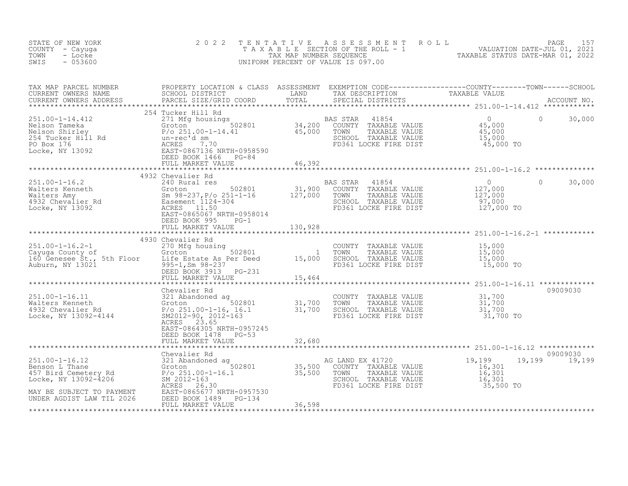| STATE OF NEW YORK<br>COUNTY - Cayuga<br>- Locke<br>TOWN<br>$-053600$<br>SWIS                                                                                                                                                                                                                                                                                                                   | 2 0 2 2                                                          |        |        | TENTATIVE ASSESSMENT ROLL PAGE 157<br>TAXABLE SECTION OF THE ROLL - 1 VALUATION DATE-JUL 01, 2021<br>TAX MAP NUMBER SEQUENCE TAXABLE STATUS DATE-MAR 01, 2022<br>UNIFORM PERCENT OF VALUE IS 097.00 |                           |
|------------------------------------------------------------------------------------------------------------------------------------------------------------------------------------------------------------------------------------------------------------------------------------------------------------------------------------------------------------------------------------------------|------------------------------------------------------------------|--------|--------|-----------------------------------------------------------------------------------------------------------------------------------------------------------------------------------------------------|---------------------------|
|                                                                                                                                                                                                                                                                                                                                                                                                |                                                                  |        |        |                                                                                                                                                                                                     |                           |
|                                                                                                                                                                                                                                                                                                                                                                                                |                                                                  |        |        |                                                                                                                                                                                                     |                           |
|                                                                                                                                                                                                                                                                                                                                                                                                |                                                                  |        |        |                                                                                                                                                                                                     |                           |
| 351.00-1-16.2<br>Walters Kenneth (350.00-1-16.2)<br>Walters Kenneth (37,000 Society Proposed and Test of Section (31,900 COUNTY TAXABLE VALUE 127,000<br>Walters Amy Sm 98-237, P/o 251-1-16 127,000 TOWN TAXABLE VALUE 127,000<br>TOC                                                                                                                                                         | DEED BOOK 995 PG-1                                               |        |        |                                                                                                                                                                                                     | $0 \t 30,000$             |
|                                                                                                                                                                                                                                                                                                                                                                                                | FULL MARKET VALUE 130,928                                        |        |        |                                                                                                                                                                                                     |                           |
|                                                                                                                                                                                                                                                                                                                                                                                                | 4930 Chevalier Rd                                                |        |        |                                                                                                                                                                                                     |                           |
|                                                                                                                                                                                                                                                                                                                                                                                                |                                                                  |        |        |                                                                                                                                                                                                     |                           |
|                                                                                                                                                                                                                                                                                                                                                                                                | Chevalier Rd                                                     |        |        |                                                                                                                                                                                                     | 09009030                  |
| Vervaller Randoned and the countr TAXABLE VALUE<br>Walters Kenneth Groton 502801 31,700 TOWN TAXABLE VALUE 31,700<br>4932 Chevalier Rd F/o 251.00-1-16, 16.1 31,700 SCHOOL TAXABLE VALUE 31,700<br>Locke, NY 13092-4144 SM2012-90, 2                                                                                                                                                           | ACRES 23.65<br>EAST-0864305 NRTH-0957245<br>DEED BOOK 1478 PG-53 |        |        |                                                                                                                                                                                                     |                           |
|                                                                                                                                                                                                                                                                                                                                                                                                | FULL MARKET VALUE                                                |        | 32,680 |                                                                                                                                                                                                     |                           |
| $\begin{tabular}{l c c c c c c c c} \multicolumn{3}{c c c c} \multicolumn{3}{c c c} \multicolumn{3}{c c c} \multicolumn{3}{c c c} \multicolumn{3}{c c c} \multicolumn{3}{c c c} \multicolumn{3}{c c c} \multicolumn{3}{c c c} \multicolumn{3}{c c c} \multicolumn{3}{c c c} \multicolumn{3}{c c c} \multicolumn{3}{c c c} \multicolumn{3}{c c c} \multicolumn{3}{c c c} \multicolumn{3}{c c c$ |                                                                  |        |        |                                                                                                                                                                                                     | 09009030<br>19,199 19,199 |
|                                                                                                                                                                                                                                                                                                                                                                                                | FULL MARKET VALUE                                                | 36,598 |        |                                                                                                                                                                                                     |                           |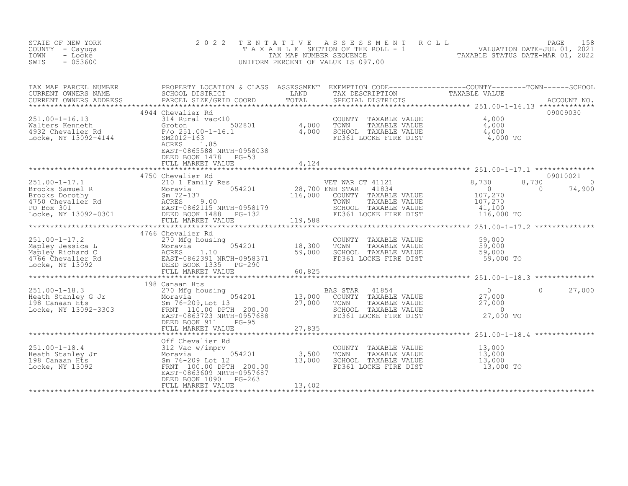| STATE OF NEW YORK<br>COUNTY - Cayuga<br>- Locke<br>TOWN<br>$-053600$<br>SWIS                                                                                                                                                                                                                                                                                                                                                                         | 2 0 2 2                                                                                     | TENTATIVE | UNIFORM PERCENT OF VALUE IS 097.00                                                                                                                                                                                                  | TENTATIVE ASSESSMENT ROLL UNIVERSITY PAGE 158<br>TAXABLE SECTION OF THE ROLL - 1 VALUATION DATE-JUL 01, 2021<br>TAX MAP NUMBER SEQUENCE TAXABLE STATUS DATE-MAR 01, 2022<br>JNIFORM PERCENT OF VALUE IS 097.00 |                                |
|------------------------------------------------------------------------------------------------------------------------------------------------------------------------------------------------------------------------------------------------------------------------------------------------------------------------------------------------------------------------------------------------------------------------------------------------------|---------------------------------------------------------------------------------------------|-----------|-------------------------------------------------------------------------------------------------------------------------------------------------------------------------------------------------------------------------------------|----------------------------------------------------------------------------------------------------------------------------------------------------------------------------------------------------------------|--------------------------------|
| TAX MAP PARCEL NUMBER PROPERTY LOCATION & CLASS ASSESSMENT EXEMPTION CODE----------------COUNTY--------TOWN------SCHOOL CURRENT OWNERS NAME SCHOOL DISTRICT LAND TAX DESCRIPTION TAXABLE VALUE<br>CURRENT OWNERS ADDRESS PARCEL S                                                                                                                                                                                                                    |                                                                                             |           |                                                                                                                                                                                                                                     |                                                                                                                                                                                                                |                                |
| 251.00-1-16.13<br>Walters Kenneth 31 and 314 Rural vac<10<br>4,000<br>4,000<br>Hote, NY 13092-4144<br>EXCES 20012-163<br>MAGNET 20012-163<br>ACRES 20011.85<br>ACRES 20011.85<br>ACRES 20011.85<br>ACRES 20011.85<br>ACRES 20011.85<br>ACRES 20011.85<br>                                                                                                                                                                                            | 4944 Chevalier Rd<br>EAST-0865588 NRTH-0958038<br>DEED BOOK 1478 PG-53<br>FULL MARKET VALUE | 4,124     | COUNTY TAXABLE VALUE $\begin{array}{cccc} 4,000\ \text{TOWN} & \text{TAXABLE VALUE} & 4,000\ \text{SCHOOL} & \text{TAXABLE VALUE} & 4,000\ \text{FD361 LOCKE FIRE DIST} & 4,000\ \text{FD361 LOCKE FIRE DIST} & 4,000\ \end{array}$ |                                                                                                                                                                                                                | 09009030                       |
|                                                                                                                                                                                                                                                                                                                                                                                                                                                      | 4750 Chevalier Rd                                                                           |           | ET WAR CT 41121 8,730<br>NH STAR 41834 0<br>COUNTY TAXABLE VALUE 107,270<br>TOWN TAXABLE VALUE 107,270<br>SCHOOL TAXABLE VALUE 41,100<br>FD361 LOCKE FIRE DIST                                                                      | 8,730<br>$\sim$ 0<br>116,000 TO                                                                                                                                                                                | 09010021<br>$\Omega$<br>74,900 |
| $\begin{array}{lllllllllllll} \text{251.00-1-17.2} & & & & & 4766 \text{ Chevalier Rd} & & & & & \text{COUNTY TAXABLE VALUE} & & & 59,000 \\ \text{Mapley Jessica L} & & & & & 270 \text{ Mfg housing} & & & & 18,300 & \text{TOWN} & \text{TAXABLE VALUE} & & 59,000 \\ \text{Mapley Richard C} & & & & & & & 59,000 & \text{SCHOOL TAXABLE VALUE} & & 59,000 \\ \text{Mapley Richard C} & & & & & & 59,000 & \text{SCHOOL TAXABLE VALUE} & & 59,0$ | 4766 Chevalier Rd                                                                           |           |                                                                                                                                                                                                                                     |                                                                                                                                                                                                                |                                |
| 251.00-1-18.3<br>Heath Stanley G Jr and Moravia Sm 76-209, Lot 13 27,000<br>198 Canaan Hts 27,000<br>Locke, NY 13092-3303<br>Heath Stanley G Jr and Sm 76-209, Lot 13 27,000<br>EAST-0863723 NRTH-0957688<br>DEED BOOK 911 PG-95<br>DEED DR                                                                                                                                                                                                          | 198 Canaan Hts<br>FULL MARKET VALUE 27,835                                                  |           | AS STAR 41854 0<br>COUNTY TAXABLE VALUE 27,000<br>TOWN TAXABLE VALUE 27,000<br>SCHOOL TAXABLE VALUE 27,000<br>FD361 LOCKE FIRE DIST 27,000 TO<br>BAS STAR 41854                                                                     |                                                                                                                                                                                                                | $0 \t 27,000$                  |
|                                                                                                                                                                                                                                                                                                                                                                                                                                                      | DEED BOOK 1090 PG-263<br>FULL MARKET VALUE                                                  | 13,402    | COUNTRE THAABLE VALUE 13,000<br>TOWN TAXABLE VALUE 13,000<br>SCHOOL TAXABLE VALUE 13,000<br>FD361 LOCKE FIRE DIST                                                                                                                   | 13,000 TO                                                                                                                                                                                                      |                                |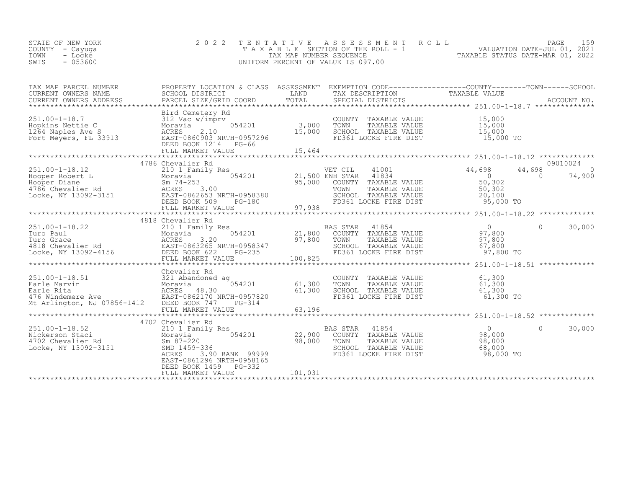|  | STATE OF NEW YORK<br>COUNTY – Cayuga<br>TOWN<br>- Locke<br>SWIS<br>- 053600 |  | 2022 TENTATIVE ASSESSMENT ROLL<br>TAXABLE SECTION OF THE ROLL - 1<br>TAX MAP NUMBER SEOUENCE<br>UNIFORM PERCENT OF VALUE IS 097.00 | PAGE<br>VALUATION DATE-JUL 01, 2021<br>TAXABLE STATUS DATE-MAR 01, 2022 |
|--|-----------------------------------------------------------------------------|--|------------------------------------------------------------------------------------------------------------------------------------|-------------------------------------------------------------------------|
|--|-----------------------------------------------------------------------------|--|------------------------------------------------------------------------------------------------------------------------------------|-------------------------------------------------------------------------|

| TAX MAP PARCEL NUMBER                                                                                                                                                                                                                                      | PROPERTY LOCATION & CLASS ASSESSMENT EXEMPTION CODE-----------------COUNTY-------TOWN-----SCHOOL |         |                                                                                                                                                      |          |          |
|------------------------------------------------------------------------------------------------------------------------------------------------------------------------------------------------------------------------------------------------------------|--------------------------------------------------------------------------------------------------|---------|------------------------------------------------------------------------------------------------------------------------------------------------------|----------|----------|
|                                                                                                                                                                                                                                                            | Bird Cemetery Rd                                                                                 |         |                                                                                                                                                      |          |          |
|                                                                                                                                                                                                                                                            | 4786 Chevalier Rd                                                                                |         |                                                                                                                                                      |          | 09010024 |
|                                                                                                                                                                                                                                                            |                                                                                                  |         |                                                                                                                                                      |          |          |
|                                                                                                                                                                                                                                                            |                                                                                                  |         |                                                                                                                                                      |          |          |
|                                                                                                                                                                                                                                                            | 4818 Chevalier Rd                                                                                |         | FD361 LOCKE FIRE DIST 97,800 TO                                                                                                                      | $\Omega$ | 30,000   |
| 251.00-1-18.51<br>Earle Marvin 321 Abandoned ag<br>Earle Rita Moravia 054201<br>476 Windemere Ave EAST-0862170 NRTH-0957820<br>Mt Arlington, NJ 07856-1412 DEED BOOK 747PG-314                                                                             | Chevalier Rd                                                                                     |         | 3<br>054201 61,300 TOWN TAXABLE VALUE 61,300<br>FI-0957820 61,300 SCHOOL TAXABLE VALUE 61,300<br>FD361 LOCKE FIRE DIST 61,300 TO<br>PG-314 61,300 TO |          |          |
|                                                                                                                                                                                                                                                            |                                                                                                  |         |                                                                                                                                                      |          |          |
| 251.00-1-18.52<br>251.00-1-18.52<br>21.00-1-18.52<br>21.00-1-18.52<br>21.00-1-18.52<br>21.00-1-18.52<br>21.00-1-18.52<br>21.00-1-18.52<br>21.00-1-18.52<br>21.00-1-18.52<br>21.00-1-18.52<br>21.00-1-18.52<br>21.00-1-18.52<br>21.00-1-18.52<br>21.00-1-18 | EAST-0861296 NRTH-0958165<br>DEED BOOK 1459 PG-332                                               |         |                                                                                                                                                      | $\Omega$ | 30,000   |
|                                                                                                                                                                                                                                                            | FULL MARKET VALUE                                                                                | 101,031 |                                                                                                                                                      |          |          |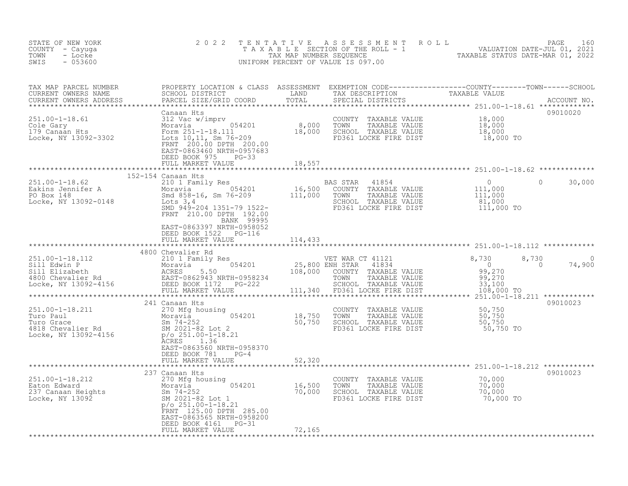| STATE OF NEW YORK<br>COUNTY - Cayuga<br>- Locke<br>TOWN<br>SWIS<br>$-053600$                                                                                                                                                                                                                        | 2 0 2 2                                                                             |                         |                                                                                                                                                                           | TENTATIVE ASSESSMENT ROLL PAGE 160<br>TAXABLE SECTION OF THE ROLL - 1 VALUATION DATE-JUL 01, 2021<br>TAX MAP NUMBER SEQUENCE TAXABLE STATUS DATE-MAR 01, 2022<br>UNIFORM PERCENT OF VALUE IS 097.00 |  |
|-----------------------------------------------------------------------------------------------------------------------------------------------------------------------------------------------------------------------------------------------------------------------------------------------------|-------------------------------------------------------------------------------------|-------------------------|---------------------------------------------------------------------------------------------------------------------------------------------------------------------------|-----------------------------------------------------------------------------------------------------------------------------------------------------------------------------------------------------|--|
|                                                                                                                                                                                                                                                                                                     |                                                                                     |                         |                                                                                                                                                                           |                                                                                                                                                                                                     |  |
|                                                                                                                                                                                                                                                                                                     | Canaan Hts<br>EAST-0863460 NRTH-0957683<br>DEED BOOK 975 PG-33<br>FULL MARKET VALUE | 18,557                  |                                                                                                                                                                           | 09010020                                                                                                                                                                                            |  |
|                                                                                                                                                                                                                                                                                                     |                                                                                     |                         |                                                                                                                                                                           |                                                                                                                                                                                                     |  |
| 1992-1942 201 12 1351-79 2012 11,000<br>Eakins Jennifer A Moravia 16,500 COUNTY TAXABLE VALUE 111,000<br>PO Box 148 58-16, Sm 76-209 111,000 TOWN TAXABLE VALUE 111,000<br>Locke, NY 13092-0148 5MD 949-204 1351-79 1522-<br>MD 949-20                                                              | 152-154 Canaan Hts<br>FRNT 210.00 DPTH 192.00<br><b>EANK 99995</b>                  |                         |                                                                                                                                                                           | $\Omega$<br>30,000                                                                                                                                                                                  |  |
|                                                                                                                                                                                                                                                                                                     | EAST-0863397 NRTH-0958052<br>DEED BOOK 1522 PG-116<br>FULL MARKET VALUE             | 114,433                 |                                                                                                                                                                           |                                                                                                                                                                                                     |  |
|                                                                                                                                                                                                                                                                                                     | 4800 Chevalier Rd                                                                   |                         |                                                                                                                                                                           |                                                                                                                                                                                                     |  |
|                                                                                                                                                                                                                                                                                                     |                                                                                     |                         | *********************************                                                                                                                                         | 8,730<br>74,900<br>$\overline{0}$<br>********************251.00-1-18.211 **************                                                                                                             |  |
|                                                                                                                                                                                                                                                                                                     | 241 Canaan Hts                                                                      |                         |                                                                                                                                                                           | 09010023                                                                                                                                                                                            |  |
| 251.00-1-18.211<br>Turo Paul<br>Turo Grace<br>4818 Chevalier Rd<br>Locke, NY 13092-4156<br>$\frac{50}{750}$<br>$\frac{50}{750}$<br>$\frac{50}{750}$<br>$\frac{50}{750}$<br>$\frac{50}{750}$<br>$\frac{50}{750}$<br>$\frac{50}{750}$<br>$\frac{50}{750}$<br>$\frac{50}{750}$<br>$\frac{50}{750}$<br> | ACRES 1.36<br>EAST-0863560 NRTH-0958370<br>DEED BOOK 781 PG-4                       |                         | COUNTY TAXABLE VALUE 50,750<br>TOWN TAXABLE VALUE 50,750<br>SCHOOL TAXABLE VALUE 50,750<br>FD361 LOCKE FIRE DIST                                                          | 50,750 TO                                                                                                                                                                                           |  |
|                                                                                                                                                                                                                                                                                                     | FULL MARKET VALUE                                                                   | 52,320<br>************* |                                                                                                                                                                           |                                                                                                                                                                                                     |  |
|                                                                                                                                                                                                                                                                                                     | 237 Canaan Hts                                                                      |                         |                                                                                                                                                                           | 09010023                                                                                                                                                                                            |  |
| 251.00-1-18.212<br>Eaton Edward Moravia 054201 16,500<br>237 Canaan Heights Sm 74-252 70,000<br>Locke, NY 13092 5M 2021-82 Lot 1<br>$p/0.251.00-1-18.21$<br>$p/0.251.00-1-18.21$<br>251.00-1-18.21                                                                                                  | FRNT 125.00 DPTH 285.00<br>EAST-0863565 NRTH-0958200<br>DEED BOOK 4161 PG-31        |                         | COUNTY TAXABLE VALUE $\begin{array}{ccc} 70,000 \ 7000 \ 7000 \end{array}$<br>TOWN TAXABLE VALUE 70,000<br>SCHOOL TAXABLE VALUE 70,000<br>FD361 LOCKE FIRE DIST 70,000 TO |                                                                                                                                                                                                     |  |
|                                                                                                                                                                                                                                                                                                     | FULL MARKET VALUE                                                                   | 72,165                  |                                                                                                                                                                           |                                                                                                                                                                                                     |  |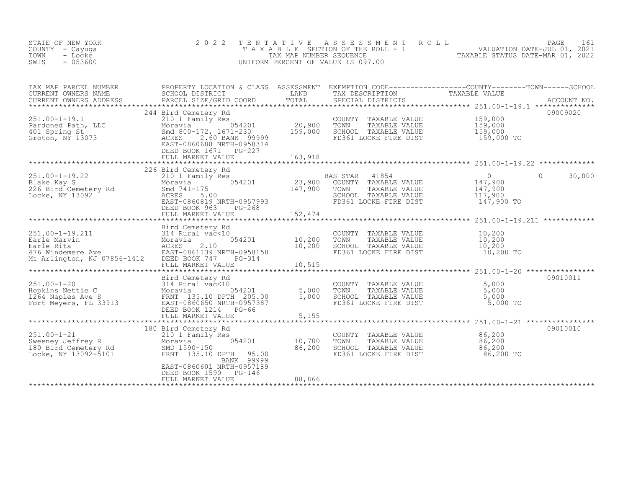| STATE OF NEW YORK<br>COUNTY - Cayuga<br>TOWN<br>- Locke<br>$-053600$<br>SWIS | 2022 TENTATIVE ASSESSMENT ROLL<br>TAXABLE SECTION OF THE ROLL - 1<br>TAX MAP NUMBER SEOUENCE<br>UNIFORM PERCENT OF VALUE IS 097.00 | TAXABLE STATUS DATE-MAR 01, 2022 | PAGE 161<br>VALUATION DATE-JUL 01, 2021 |  |
|------------------------------------------------------------------------------|------------------------------------------------------------------------------------------------------------------------------------|----------------------------------|-----------------------------------------|--|
|                                                                              |                                                                                                                                    |                                  |                                         |  |

| TAX MAP PARCEL NUMBER<br>CURRENT OWNERS NAME                                                                                                                                 | SCHOOL DISTRICT<br><b>LAND</b>                                                                                                                                           |                            | TAX DESCRIPTION                                                                                                              | PROPERTY LOCATION & CLASS ASSESSMENT EXEMPTION CODE----------------COUNTY-------TOWN-----SCHOOL<br>TAXABLE VALUE                                          |
|------------------------------------------------------------------------------------------------------------------------------------------------------------------------------|--------------------------------------------------------------------------------------------------------------------------------------------------------------------------|----------------------------|------------------------------------------------------------------------------------------------------------------------------|-----------------------------------------------------------------------------------------------------------------------------------------------------------|
| $251.00 - 1 - 19.1$<br>251.00-1-15.1<br>Pardoned Path, LLC<br>401 Spring St<br>Groton, NY 13073                                                                              | 244 Bird Cemetery Rd<br>210 1 Family Res<br>054201<br>Moravia<br>Smd 800-172, 1671-230<br>ACRES<br>2.60 BANK 99999<br>EAST-0860688 NRTH-0958314<br>DEED BOOK 1671 PG-227 | 20,900<br>159,000          | COUNTY TAXABLE VALUE<br>TOWN<br>TAXABLE VALUE<br>SCHOOL TAXABLE VALUE<br>FD361 LOCKE FIRE DIST 159,000 TO                    | 09009020<br>159,000<br>159,000<br>159,000                                                                                                                 |
|                                                                                                                                                                              |                                                                                                                                                                          |                            |                                                                                                                              |                                                                                                                                                           |
| $251.00 - 1 - 19.22$<br>Blake Kay S<br>Blake Kay S<br>226 Bird Cemetery Rd<br>Locke, NY 13092                                                                                | 226 Bird Cemetery Rd<br>210 1 Family Res<br>054201<br>Moravia<br>Smd 741-175<br>ACRES<br>5.00<br>EAST-0860819 NRTH-0957993<br>DEED BOOK 963<br>PG-268                    |                            | BAS STAR 41854<br>23,900 COUNTY TAXABLE VALUE<br>147,900 TOWN TAXABLE VALUE<br>SCHOOL TAXABLE VALUE<br>FD361 LOCKE FIRE DIST | 30,000<br>0<br>VALUE 147,900<br>VALUE 147,900<br>$\Omega$<br>147,900<br>117,900<br>147,900 TO                                                             |
| 251.00-1-19.211<br>Earle Marvin<br>Earle Rita<br>476 Windemere Ave (EAST-0861139 NRTH-0958158<br>Mt Arlington, NJ 07856-1412 DEED BOOK 747  PG-314                           | Bird Cemetery Rd<br>054201<br>FULL MARKET VALUE                                                                                                                          | 10,200<br>10,200<br>10,515 | COUNTY TAXABLE VALUE 10,200<br>TOWN TAXABLE VALUE $10,200$<br>SCHOOL TAXABLE VALUE $10,200$<br>FD361 LOCKE FIRE DIST         | 10,200 TO                                                                                                                                                 |
| Bird Cemetery Rd<br>1264 Naples Ave S<br>Fort Meyers, FL 33913<br>1264 Naples Ave S<br>Fort Meyers, FL 33913<br>205.00<br>205.00<br>2057387<br>205110 DPTH 205.00<br>2057387 | DEED BOOK 1214 PG-66                                                                                                                                                     | 5,000<br>5,000             | COUNTY TAXABLE VALUE<br>TOWN TAXABLE VALUE<br>SCHOOL TAXABLE VALUE<br>FD361 LOCKE FIRE DIST                                  | 09010011<br>5,000<br>5,000<br>5,000<br>5,000 TO<br>${\small \newline \text{FULL} \text{MARK}} {\tiny \text{FULL} \text{MARKET} \text{VALUE} \text{5,155}$ |
| $251.00 - 1 - 21$<br>251.00-1-21<br>Sweeney Jeffrey R<br>180 Bird Cemetery Rd<br>Locke, NY 13092-5101                                                                        | 180 Bird Cemetery Rd<br>210 1 Family Res<br>054201<br>Moravia<br>SMD 1590-150<br>FRNT 135.10 DPTH 95.00<br>BANK 99999<br>EAST-0860601 NRTH-0957189                       | 10,700<br>86,200           | COUNTY TAXABLE VALUE<br>TOWN      TAXABLE VALUE<br>SCHOOL   TAXABLE VALUE<br>FD361 LOCKE FIRE DIST                           | 09010010<br>86,200<br>86,200<br>86,200<br>86,200 TO                                                                                                       |
|                                                                                                                                                                              | DEED BOOK 1590 PG-146<br>FULL MARKET VALUE                                                                                                                               | 88,866                     |                                                                                                                              |                                                                                                                                                           |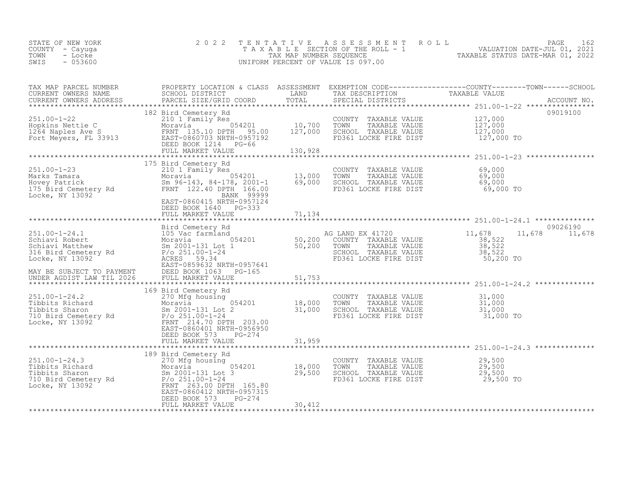| 2022 TENTATIVE ASSESSMENT ROLL<br>STATE OF NEW YORK<br>T A X A B L E SECTION OF THE ROLL - 1<br>COUNTY – Cayuga<br>TOWN<br>TAX MAP NUMBER SEOUENCE<br>- Locke<br>$-053600$<br>SWIS<br>UNIFORM PERCENT OF VALUE IS 097.00 |  | TAXABLE STATUS DATE-MAR 01, 2022 | PAGE<br>VALUATION DATE-JUL 01, 2021 |  |
|--------------------------------------------------------------------------------------------------------------------------------------------------------------------------------------------------------------------------|--|----------------------------------|-------------------------------------|--|
|--------------------------------------------------------------------------------------------------------------------------------------------------------------------------------------------------------------------------|--|----------------------------------|-------------------------------------|--|

| TAX MAP PARCEL NUMBER                                                                                                                                                                                                                                 |                                                                                                                                                            |        |                                                                                                                                        | PROPERTY LOCATION & CLASS ASSESSMENT EXEMPTION CODE-----------------COUNTY-------TOWN------SCHOOL |
|-------------------------------------------------------------------------------------------------------------------------------------------------------------------------------------------------------------------------------------------------------|------------------------------------------------------------------------------------------------------------------------------------------------------------|--------|----------------------------------------------------------------------------------------------------------------------------------------|---------------------------------------------------------------------------------------------------|
|                                                                                                                                                                                                                                                       |                                                                                                                                                            |        |                                                                                                                                        |                                                                                                   |
| 251.00-1-22<br>Hopkins Nettie C<br>10,700<br>10,700<br>10,700<br>10,700<br>Fort Meyers, FL 33913<br>FRNT 135.10 DPH 95.00<br>EAST-0860703 NRTH-0957192<br>EAST-0860703 NRTH-0957192<br>DEED BOOK 1214<br>FRNT MADELED BOOK 1214<br>FILIT MADELED BOOK | 182 Bird Cemetery Rd                                                                                                                                       |        | COUNTY TAXABLE VALUE $127,000$<br>TOWN TAXABLE VALUE $127,000$<br>SCHOOL TAXABLE VALUE $127,000$<br>FD361 LOCKE FIRE DIST $127,000$ TO | 09019100                                                                                          |
|                                                                                                                                                                                                                                                       |                                                                                                                                                            |        |                                                                                                                                        |                                                                                                   |
|                                                                                                                                                                                                                                                       | FULL MARKET VALUE                                                                                                                                          | 71,134 |                                                                                                                                        |                                                                                                   |
|                                                                                                                                                                                                                                                       |                                                                                                                                                            |        |                                                                                                                                        |                                                                                                   |
|                                                                                                                                                                                                                                                       |                                                                                                                                                            |        |                                                                                                                                        | 09026190                                                                                          |
|                                                                                                                                                                                                                                                       |                                                                                                                                                            |        |                                                                                                                                        | 11,678 11,678                                                                                     |
|                                                                                                                                                                                                                                                       |                                                                                                                                                            |        |                                                                                                                                        |                                                                                                   |
|                                                                                                                                                                                                                                                       | 169 Bird Cemetery Rd<br>270 Mfg housing<br>270 Mfg housing<br>054201 18,000 TOWN<br>Sm 2001-121 Let 2<br>EAST-0860401 NRTH-0956950<br>DEED BOOK 573 PG-274 |        |                                                                                                                                        |                                                                                                   |
|                                                                                                                                                                                                                                                       | FULL MARKET VALUE                                                                                                                                          | 31,959 |                                                                                                                                        |                                                                                                   |
|                                                                                                                                                                                                                                                       |                                                                                                                                                            |        |                                                                                                                                        |                                                                                                   |
|                                                                                                                                                                                                                                                       | PG-274<br>DEED BOOK 573                                                                                                                                    |        | COUNTY TAXABLE VALUE $29,500$<br>TOWN TAXABLE VALUE $29,500$<br>SCHOOL TAXABLE VALUE $29,500$<br>FD361 LOCKE FIRE DIST $29,500$ TO     |                                                                                                   |
|                                                                                                                                                                                                                                                       | FULL MARKET VALUE                                                                                                                                          | 30,412 |                                                                                                                                        |                                                                                                   |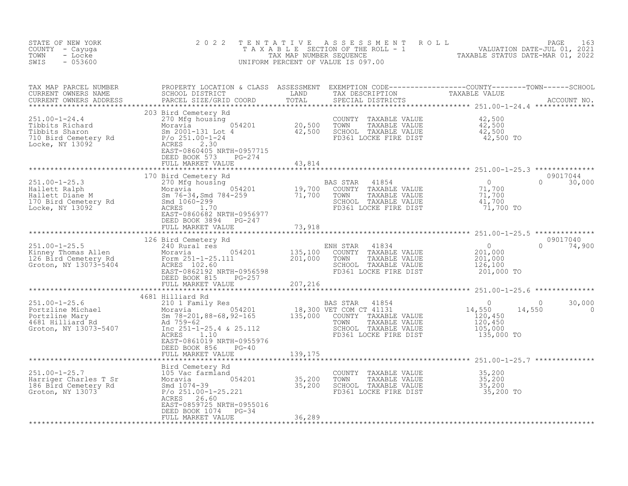| STATE OF NEW YORK<br>COUNTY - Cayuga<br>TOWN<br>- Locke<br>$-053600$<br>SWIS                                                                                                                                                                                       | 2 0 2 2                                       |         | TENTATIVE ASSESSMENT ROLL PAGE 163<br>TAXABLE SECTION OF THE ROLL - 1 VALUATION DATE-JUL 01, 2021<br>TAX MAP NUMBER SEQUENCE TAXABLE STATUS DATE-MAR 01, 2022<br>UNIFORM PERCENT OF VALUE IS 097.00                                                                                                                           |                          |
|--------------------------------------------------------------------------------------------------------------------------------------------------------------------------------------------------------------------------------------------------------------------|-----------------------------------------------|---------|-------------------------------------------------------------------------------------------------------------------------------------------------------------------------------------------------------------------------------------------------------------------------------------------------------------------------------|--------------------------|
|                                                                                                                                                                                                                                                                    |                                               |         | TAX MAP PARCEL NUMBER PROPERTY LOCATION & CLASS ASSESSMENT EXEMPTION CODE----------------COUNTY--------TOWN-----SCHOOL CURRENT OWNERS NAME SCHOOL DISTRICT LAND TAX DESCRIPTION TAXABLE VALUE<br>CURRENT OWNERS ADDRESS PARCEL SI                                                                                             |                          |
|                                                                                                                                                                                                                                                                    | FULL MARKET VALUE                             | 43,814  |                                                                                                                                                                                                                                                                                                                               |                          |
|                                                                                                                                                                                                                                                                    |                                               |         | 09017044<br>$0 \t 30,000$                                                                                                                                                                                                                                                                                                     |                          |
|                                                                                                                                                                                                                                                                    | FULL MARKET VALUE                             | 73,918  |                                                                                                                                                                                                                                                                                                                               |                          |
|                                                                                                                                                                                                                                                                    |                                               |         | 09017040<br>$\begin{tabular}{c cccc} \hline & 126 Bird Center & 18 & 231.00-1-25.5 & 0.9017040 \\ 126 Bird Center & 240 Rural res & 0.9017040 \\ 251.00-1-25.5 & 240 Rural res & 0.9017040 \\ 251.00-1-25.5 & 240 Rural res & 0.9017040 \\ 252.5 & 252.50-0.962192 & 201,000 & 201,000 \\ 253.5 & 254.5000 & 255.5000 \\ 254$ |                          |
|                                                                                                                                                                                                                                                                    |                                               |         |                                                                                                                                                                                                                                                                                                                               |                          |
|                                                                                                                                                                                                                                                                    | DEED BOOK 856<br>$PG-40$<br>FULL MARKET VALUE | 139,175 |                                                                                                                                                                                                                                                                                                                               | 30,000<br>$\overline{0}$ |
|                                                                                                                                                                                                                                                                    |                                               |         |                                                                                                                                                                                                                                                                                                                               |                          |
| 251.00-1-25.7<br>251.00-1-25.7<br>251.00-1-25.7<br>251.00-1-25.7<br>251.00-1-25.7<br>251.00-1-25.7<br>251.00-1-25.7<br>251.00-1-25.23<br>26.251.00-1-25.221<br>257.200<br>257.200<br>257.200<br>257.200<br>257.200<br>257.200<br>257.200<br>257.200<br>257.200<br> | ACRES 26.60<br>EAST-0859725 NRTH-0955016      |         |                                                                                                                                                                                                                                                                                                                               |                          |
|                                                                                                                                                                                                                                                                    | DEED BOOK 1074 PG-34<br>FULL MARKET VALUE     | 36,289  |                                                                                                                                                                                                                                                                                                                               |                          |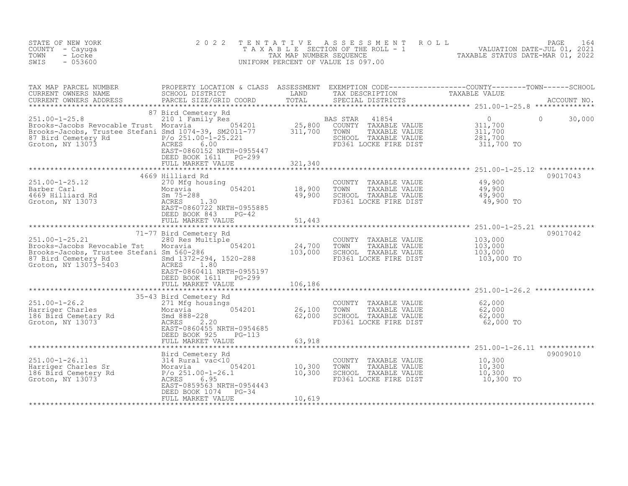| 2 0 2 2                                                                                                        |                                                                                                                                                                                                                                                                                                                                                                                                                                                                                                                                                          |                                                                                                                                                                                                                                                                                                                                                                                                      | PAGE<br>164                                                                                                                                                                                                                                                                                                                                                                                                                                          |
|----------------------------------------------------------------------------------------------------------------|----------------------------------------------------------------------------------------------------------------------------------------------------------------------------------------------------------------------------------------------------------------------------------------------------------------------------------------------------------------------------------------------------------------------------------------------------------------------------------------------------------------------------------------------------------|------------------------------------------------------------------------------------------------------------------------------------------------------------------------------------------------------------------------------------------------------------------------------------------------------------------------------------------------------------------------------------------------------|------------------------------------------------------------------------------------------------------------------------------------------------------------------------------------------------------------------------------------------------------------------------------------------------------------------------------------------------------------------------------------------------------------------------------------------------------|
|                                                                                                                |                                                                                                                                                                                                                                                                                                                                                                                                                                                                                                                                                          |                                                                                                                                                                                                                                                                                                                                                                                                      |                                                                                                                                                                                                                                                                                                                                                                                                                                                      |
| 210 1 Family Res<br>6.00<br>DEED BOOK 1611 PG-299                                                              |                                                                                                                                                                                                                                                                                                                                                                                                                                                                                                                                                          | 41854<br>COUNTY TAXABLE VALUE<br>TOWN<br>TAXABLE VALUE<br>SCHOOL TAXABLE VALUE<br>FD361 LOCKE FIRE DIST                                                                                                                                                                                                                                                                                              | $\Omega$<br>$\Omega$<br>30,000<br>$\begin{array}{c} 311, 700 \\ 311, 700 \\ 221, 700 \end{array}$<br>311,700 TO                                                                                                                                                                                                                                                                                                                                      |
|                                                                                                                |                                                                                                                                                                                                                                                                                                                                                                                                                                                                                                                                                          |                                                                                                                                                                                                                                                                                                                                                                                                      |                                                                                                                                                                                                                                                                                                                                                                                                                                                      |
| 270 Mfg housing<br>EAST-0860722 NRTH-0955885                                                                   | 18,900<br>49,900                                                                                                                                                                                                                                                                                                                                                                                                                                                                                                                                         | COUNTY TAXABLE VALUE<br>TOWN<br>TAXABLE VALUE<br>SCHOOL TAXABLE VALUE<br>FD361 LOCKE FIRE DIST                                                                                                                                                                                                                                                                                                       | 09017043<br>49,900<br>49,900<br>49,900<br>49,900 TO                                                                                                                                                                                                                                                                                                                                                                                                  |
|                                                                                                                |                                                                                                                                                                                                                                                                                                                                                                                                                                                                                                                                                          |                                                                                                                                                                                                                                                                                                                                                                                                      |                                                                                                                                                                                                                                                                                                                                                                                                                                                      |
| 280 Res Multiple<br>Smd 1372-294, 1520-288<br>ACRES 1.80<br>EAST-0860411 NRTH-0955197<br>DEED BOOK 1611 PG-299 | 24,700<br>103,000                                                                                                                                                                                                                                                                                                                                                                                                                                                                                                                                        | COUNTY TAXABLE VALUE<br>TOWN<br>TAXABLE VALUE<br>SCHOOL TAXABLE VALUE<br>FD361 LOCKE FIRE DIST                                                                                                                                                                                                                                                                                                       | 09017042<br>103,000<br>103,000<br>103,000<br>103,000 TO                                                                                                                                                                                                                                                                                                                                                                                              |
|                                                                                                                | 106,186                                                                                                                                                                                                                                                                                                                                                                                                                                                                                                                                                  |                                                                                                                                                                                                                                                                                                                                                                                                      |                                                                                                                                                                                                                                                                                                                                                                                                                                                      |
| EAST-0860455 NRTH-0954685<br>DEED BOOK 925<br>PG-113                                                           | 26,100<br>62,000                                                                                                                                                                                                                                                                                                                                                                                                                                                                                                                                         | COUNTY TAXABLE VALUE<br>TOWN<br>TAXABLE VALUE<br>SCHOOL TAXABLE VALUE<br>FD361 LOCKE FIRE DIST                                                                                                                                                                                                                                                                                                       | 62,000<br>62,000<br>62,000<br>62,000 TO                                                                                                                                                                                                                                                                                                                                                                                                              |
|                                                                                                                |                                                                                                                                                                                                                                                                                                                                                                                                                                                                                                                                                          |                                                                                                                                                                                                                                                                                                                                                                                                      |                                                                                                                                                                                                                                                                                                                                                                                                                                                      |
| Bird Cemetery Rd<br>EAST-0859563 NRTH-0954443<br>DEED BOOK 1074 PG-34<br>FULL MARKET VALUE                     | 10,619                                                                                                                                                                                                                                                                                                                                                                                                                                                                                                                                                   | COUNTY TAXABLE VALUE<br>TOWN<br>TAXABLE VALUE<br>SCHOOL TAXABLE VALUE<br>FD361 LOCKE FIRE DIST                                                                                                                                                                                                                                                                                                       | 09009010<br>10,300<br>10,300<br>10,300<br>10,300 TO                                                                                                                                                                                                                                                                                                                                                                                                  |
|                                                                                                                | 87 Bird Cemetery Rd<br>Brooks-Jacobs Revocable Trust Moravia 054201<br>Brooks-Jacobs, Trustee Stefani Smd 1074-39, SM2011-77<br>$P/O$ 251.00-1-25.221<br>87 Bird Cemetery Rd<br>Groton, NY 13073<br>ACRES<br>EAST-0860152 NRTH-0955447<br>FULL MARKET VALUE<br>4669 Hilliard Rd<br>Moravia<br>Sm 75-288<br>ACRES 1.30<br>DEED BOOK 843<br>$PG-42$<br>FULL MARKET VALUE<br>71-77 Bird Cemetery Rd<br>Moravia 1954201<br>Brooks-Jacobs, Trustee Stefani Sm 560-286<br>FULL MARKET VALUE<br>35-43 Bird Cemetery Rd<br>FULL MARKET VALUE<br>314 Rural vac<10 | TENTATIVE<br>321,340<br>054201<br>51,443<br>251.00-1-26.2<br>Harriger Charles<br>186 Bird Cemetary Rd<br>Groton, NY 13073<br>Cross Context Conduct Conduct Charles<br>2.20<br>Cross Cross Cross Cross Cross Cross Cross Cross Cross Cross Cross Cross Cross Cross Cross Cross Cross Cr<br>63,918<br>314 Rural vac<10<br>Moravia 054201 10,300<br>P/o 251.00-1-26.1 10,300<br>ACRES 6.95 NPTL 0054443 | A S S E S S M E N T A O L L<br>TAXABLE SECTION OF THE ROLL - 1<br>TAXABLE STATUS DATE-JUL 01, 2021<br>TAXABLE STATUS DATE-MAR 01, 2022<br>UNIFORM PERCENT OF VALUE IS 097.00<br>PROPERTY LOCATION & CLASS ASSESSMENT EXEMPTION CODE-----------------COUNTY--------TOWN------SCHOOL<br>SCHOOL DISTRICT             LAND       TAX DESCRIPTION                         TAXABLE VALUE<br>PARCEL SIZE/GRID COORD<br>BAS STAR<br>$\frac{25,800}{311,700}$ |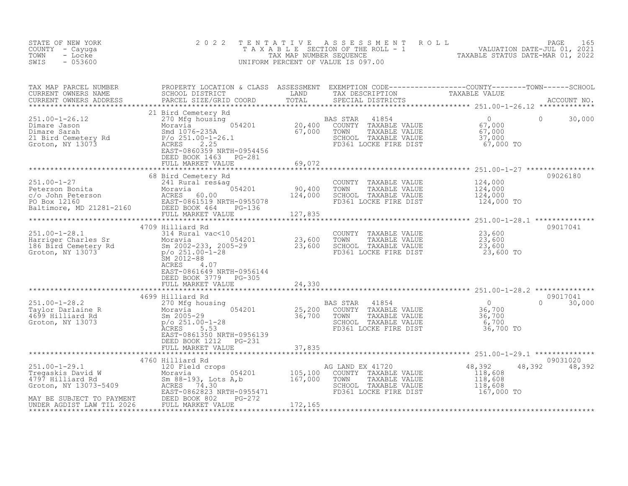| STATE OF NEW YORK<br>COUNTY - Cayuga<br>TOWN<br>- Locke<br>SWIS<br>$-053600$                                                                                                                                                                                                                                                                                               | 2 0 2 2                                                                              |        | TENTATIVE ASSESSMENT ROLL PACE 165<br>TAXABLE SECTION OF THE ROLL - 1 VALUATION DATE-JUL 01, 2021<br>TAX MAP NUMBER SEQUENCE TAXABLE STATUS DATE-MAR 01, 2022<br>UNIFORM PERCENT OF VALUE IS 097.00 |                           |
|----------------------------------------------------------------------------------------------------------------------------------------------------------------------------------------------------------------------------------------------------------------------------------------------------------------------------------------------------------------------------|--------------------------------------------------------------------------------------|--------|-----------------------------------------------------------------------------------------------------------------------------------------------------------------------------------------------------|---------------------------|
|                                                                                                                                                                                                                                                                                                                                                                            |                                                                                      |        |                                                                                                                                                                                                     |                           |
|                                                                                                                                                                                                                                                                                                                                                                            |                                                                                      |        |                                                                                                                                                                                                     |                           |
|                                                                                                                                                                                                                                                                                                                                                                            |                                                                                      |        |                                                                                                                                                                                                     | 09026180                  |
| 4709 Hilliard Rd<br>314 Rural vac<10<br>Harriger Charles Sr<br>186 Bird Cemetery Rd<br>Groton, NY 13073<br>314 Rural vac<10<br>314 Rural vac<10<br>54201<br>554201<br>564201<br>23,600<br>23,600<br>23,600<br>23,600<br>23,600<br>23,600<br>23,600<br>23,600<br>23                                                                                                         | 4709 Hilliard Rd<br>ACRES 4.07<br>EAST-0861649 NRTH-0956144<br>DEED BOOK 3779 PG-305 |        |                                                                                                                                                                                                     | 09017041                  |
|                                                                                                                                                                                                                                                                                                                                                                            |                                                                                      |        |                                                                                                                                                                                                     |                           |
| $\begin{array}{cccccc} 251.00-1-28.2 & 4699 \text{ Hilliard Rd} & \text{BAS STAR} & 41854 & 0 \\ 270 \text{ Mg housing} & 270 \text{ Mg housing} & 0 \\ 4699 \text{ Hilliard Rd} & 8m \text{ } 2005-29 & 36,700 \text{ } 700 \text{ } 86,700 \\ 6700 \text{ FDA} & 8m \text{ } 251.00-1-28 & 36,700 \text{ } 700 \text{ } 86,700 \\ 6700 \text{ FDA} & 8m \text{ } 251.00$ | DEED BOOK 1212 PG-231                                                                |        |                                                                                                                                                                                                     | 09017041<br>$0 \t 30,000$ |
|                                                                                                                                                                                                                                                                                                                                                                            | FULL MARKET VALUE                                                                    | 37,835 |                                                                                                                                                                                                     |                           |
| 251.00-1-29.1<br>Tregaskis David W<br>4797 Hilliard Rd<br>Sm 88-193, Lots A,b<br>Croton, NY 13073-5409<br>MAY BE SUBJECT TO PAYMENT<br>MAY BE SUBJECT TO PAYMENT<br>MAY BE SUBJECT TO PAYMENT<br>MAY BE SUBJECT TO PAYMENT<br>MAY BE SUBJECT TO                                                                                                                            | 4760 Hilliard Rd                                                                     |        | AG LAND EX 41720<br>COUNTY TAXABLE VALUE<br>G LAND EX 41720<br>COUNTY TAXABLE VALUE 118,608<br>TOWN TAXABLE VALUE 118,608<br>SCHOOL TAXABLE VALUE 118,608<br>FD361 LOCKE FIRE DIST 167,000 TO       | 09031020<br>48,392 48,392 |
|                                                                                                                                                                                                                                                                                                                                                                            |                                                                                      |        |                                                                                                                                                                                                     |                           |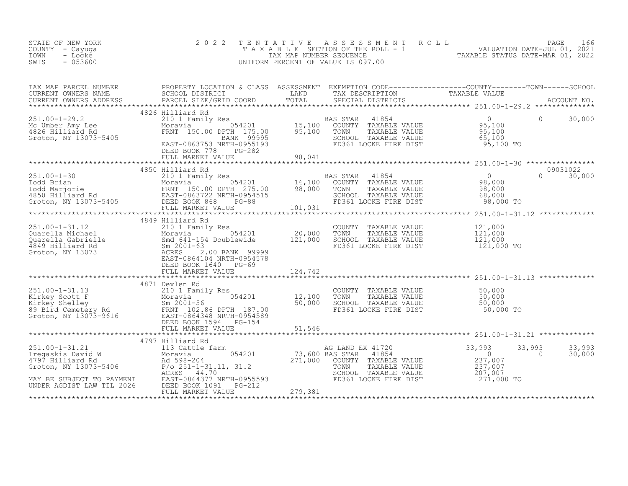| STATE OF NEW YORK<br>COUNTY - Cayuga<br>TOWN<br>- Locke<br>$-053600$<br>SWIS   | 2 0 2 2                                                                                                                                                                                                                                                                                          |         | TENTATIVE ASSESSMENT ROLL PAGE 166<br>TAXABLE SECTION OF THE ROLL - 1 VALUATION DATE-JUL 01, 2021<br>TAX MAP NUMBER SEQUENCE TAXABLE STATUS DATE-MAR 01, 2022<br>UNIFORM PERCENT OF VALUE IS 097.00 |                                                                    |                                        |
|--------------------------------------------------------------------------------|--------------------------------------------------------------------------------------------------------------------------------------------------------------------------------------------------------------------------------------------------------------------------------------------------|---------|-----------------------------------------------------------------------------------------------------------------------------------------------------------------------------------------------------|--------------------------------------------------------------------|----------------------------------------|
|                                                                                |                                                                                                                                                                                                                                                                                                  |         |                                                                                                                                                                                                     |                                                                    |                                        |
|                                                                                |                                                                                                                                                                                                                                                                                                  |         |                                                                                                                                                                                                     |                                                                    |                                        |
| 251.00-1-29.2<br>Mc Umber Amy Lee<br>4826 Hilliard Rd<br>Groton, NY 13073-5405 | DEED BOOK 778<br>PG-282<br>FULL MARKET VALUE 98,041                                                                                                                                                                                                                                              |         |                                                                                                                                                                                                     |                                                                    |                                        |
|                                                                                |                                                                                                                                                                                                                                                                                                  |         |                                                                                                                                                                                                     |                                                                    |                                        |
|                                                                                |                                                                                                                                                                                                                                                                                                  |         |                                                                                                                                                                                                     |                                                                    |                                        |
|                                                                                | 4849 Hilliard Rd                                                                                                                                                                                                                                                                                 |         |                                                                                                                                                                                                     |                                                                    |                                        |
|                                                                                | 251.00-1-31.12<br>210 1 Family Res<br>210 1 Family Res<br>20,000<br>20,000<br>20,000<br>4849 Hilliard Rd<br>Groton, NY 13073<br>20,000<br>20,000<br>20,000<br>20,000<br>20,000<br>20,000<br>20,000<br>20,000<br>20,000<br>20,000<br>20,000<br>20,000<br>20,000<br>20,000<br>DEED BOOK 1640 PG-69 |         | COUNTY TAXABLE VALUE<br>TOWN<br>TAXABLE VALUE<br>SCHOOL TAXABLE VALUE<br>FD361 LOCKE FIRE DIST                                                                                                      | 121,000<br>121,000<br>121,000<br>121,000 TO                        |                                        |
|                                                                                | FULL MARKET VALUE                                                                                                                                                                                                                                                                                | 124,742 |                                                                                                                                                                                                     |                                                                    |                                        |
|                                                                                | 4871 Devlen Rd<br>251.00-1-31.13<br>Kirkey Scott F Moravia 054201 12,100<br>Kirkey Shelley Sm 2001-56 50,000<br>89 Bird Cemetery Rd FRNT 102.86 DPTH 187.00<br>Groton, NY 13073-9616 EAST-0864348 NRTH-0954589<br>DEED BOOK 1594 PG-154 51,546                                                   |         | COUNTY TAXABLE VALUE 50,000<br>TOWN TAXABLE VALUE 50,000<br>SCHOOL TAXABLE VALUE 50,000<br>FD361 LOCKE FIRE DIST                                                                                    | 50,000 TO                                                          |                                        |
|                                                                                | FULL MARKET VALUE                                                                                                                                                                                                                                                                                | 51,546  |                                                                                                                                                                                                     |                                                                    |                                        |
|                                                                                |                                                                                                                                                                                                                                                                                                  |         |                                                                                                                                                                                                     |                                                                    |                                        |
|                                                                                |                                                                                                                                                                                                                                                                                                  |         | AG LAND EX 41720<br>41854<br>COUNTY TAXABLE VALUE<br>TOWN     TAXABLE VALUE<br>SCHOOL TAXABLE VALUE                                                                                                 | 33,993<br>E VALUE 237,007<br>E VALUE 237,007<br>237,007<br>207,007 | 33,993<br>33,993<br>$\Omega$<br>30,000 |
|                                                                                | MAY BE SUBJECT TO PAYMENT<br>UNDER AGDIST LAW TIL 2026 DEED BOOK 1091 PG-212<br>FULL MARKET VALUE                                                                                                                                                                                                | 279,381 | FD361 LOCKE FIRE DIST                                                                                                                                                                               | 271,000 TO                                                         |                                        |
| *********************                                                          |                                                                                                                                                                                                                                                                                                  |         |                                                                                                                                                                                                     |                                                                    |                                        |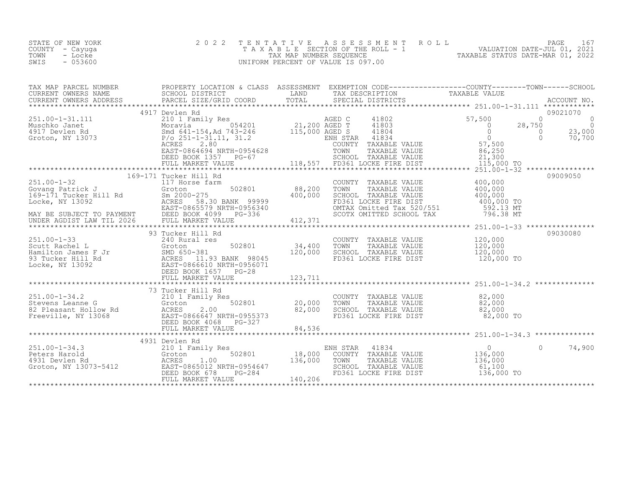| STATE OF NEW YORK | 2022 TENTATIVE ASSESSMENT ROLL     | PAGE 1                           |
|-------------------|------------------------------------|----------------------------------|
| COUNTY - Cayuga   | TAXABLE SECTION OF THE ROLL - 1    | VALUATION DATE-JUL 01, 2021      |
| TOWN<br>- Locke   | TAX MAP NUMBER SEOUENCE            | TAXABLE STATUS DATE-MAR 01, 2022 |
| $-053600$<br>SWIS | UNIFORM PERCENT OF VALUE IS 097.00 |                                  |

| TAX MAP PARCEL NUMBER THE PROPERTY LOCATION & CLASS ASSESSMENT EXEMPTION CODE----------------COUNTY--------TOWN-----SCHOOL                                                                                                                                                                                                                                                                                    |  |          |
|---------------------------------------------------------------------------------------------------------------------------------------------------------------------------------------------------------------------------------------------------------------------------------------------------------------------------------------------------------------------------------------------------------------|--|----------|
|                                                                                                                                                                                                                                                                                                                                                                                                               |  |          |
| 4917 Devlen Rd                                                                                                                                                                                                                                                                                                                                                                                                |  | 09021070 |
| $\begin{array}{cccccccc} 251.00-1-31.111 & 4917 \text{ Devlen Rd} & \text{AGED C} & 41802 & 57,500 & 0 \\ 210.1 & \text{Family Res} & 054201 & 21,200 \text{ AGED T} & 41803 & 0 & 0 \\ 4917 \text{ Devlen Rd} & \text{Small S} & 0 & 0 & 0 \\ 4917 \text{ Devlen Rd} & 0 & 0 & 0 & 0 \\ 57,500 & 0 & 0 & 0 & 0 \\ 57,500 & 0 & 0 & 0 & 0 \\ 57,500 & 0$                                                      |  |          |
|                                                                                                                                                                                                                                                                                                                                                                                                               |  |          |
|                                                                                                                                                                                                                                                                                                                                                                                                               |  |          |
| 169-171 Tucker Hill Rd<br>169-171 Tucker Hill Rd<br>COUNTY TAXABLE VALUE<br>COUNTY TAXABLE VALUE<br>COUNTY TAXABLE VALUE<br>COUNTY TAXABLE VALUE<br>17 Horse farm<br>169-171 Tucker Hill Rd<br>Sex 58.30 BANK 99999<br>ACRES 58.30 BANK 999999<br>                                                                                                                                                            |  |          |
|                                                                                                                                                                                                                                                                                                                                                                                                               |  |          |
| 93 Tucker Hill Rd                                                                                                                                                                                                                                                                                                                                                                                             |  | 09030080 |
|                                                                                                                                                                                                                                                                                                                                                                                                               |  |          |
| 37 Tucker Hill Rd<br>20,000 TOWN TAXABLE VALUE<br>Solution Rd COUNTY TAXABLE VALUE<br>Solution Rd County TAXABLE VALUE<br>Solution Rd County TAXABLE VALUE<br>Solution Repubble 20,000 TOWN TAXABLE VALUE<br>Solution Repubble 20,000 SCHO                                                                                                                                                                    |  |          |
|                                                                                                                                                                                                                                                                                                                                                                                                               |  |          |
| 4931 Devlen Rd<br>$\begin{array}{cccccccc} 251.00-1-34.3 & 4931 \text{ Devlen Rd} & 210 & \text{Family Res} & \text{ENH STAR} & 41834 & 0 & 0 & 74,900 \\ \text{Peters Harold} & 210 & \text{Groton} & 502801 & 18,000 & \text{COUNTY TAXABLE VALUE} & 136,000 & 0 & 74,900 \\ 4931 \text{Devlen Rd} & \text{GCES} & 1.00 & 136,000 & \text{TOWN} & \text{TAXABLE VALUE} & 136,000 \\ \text{Groton, NY 13073$ |  |          |
|                                                                                                                                                                                                                                                                                                                                                                                                               |  |          |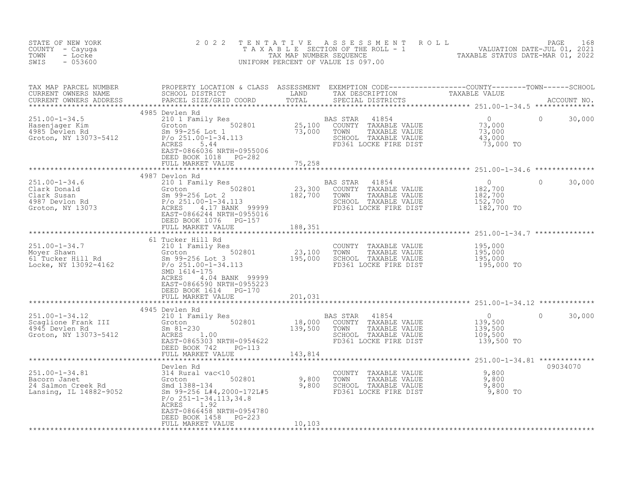| STATE OF NEW YORK<br>COUNTY - Cayuga<br>TOWN<br>- Locke<br>SWIS<br>$-053600$                                                                                                                                                         | 2 0 2 2                                                                                                |         | TENTATIVE ASSESSMENT ROLL PAGE 168<br>TAXABLE SECTION OF THE ROLL - 1 VALUATION DATE-JUL 01, 2021<br>TAX MAP NUMBER SEQUENCE TAXABLE STATUS DATE-MAR 01, 2022<br>UNIFORM PERCENT OF VALUE IS 097.00 |                |                    |
|--------------------------------------------------------------------------------------------------------------------------------------------------------------------------------------------------------------------------------------|--------------------------------------------------------------------------------------------------------|---------|-----------------------------------------------------------------------------------------------------------------------------------------------------------------------------------------------------|----------------|--------------------|
|                                                                                                                                                                                                                                      |                                                                                                        |         |                                                                                                                                                                                                     |                |                    |
| TAX MAP PARCEL NUMBER BROPERTY LOCATION & CLASS ASSESSMENT EXEMPTION CODE----------------COUNTY--------TOWN------SCHOOL CURRENT OWNERS NAME SCHOOL DISTRICT LAND TAX DESCRIPTION TAXABLE VALUE<br>CURRENT OWNERS ADDRESS PARCEL S    |                                                                                                        |         |                                                                                                                                                                                                     |                |                    |
| 1985 Device Hasenjager Rim (1898) Particle 1989 Particle Control of the Section of the Section of the Section<br>251.00-1-34.5 Device Rim (1895 Device Rim (1897)<br>25,100 COUNTY TAXABLE VALUE 73,000<br>37,000 TOWN TAXABLE VALUE | 4985 Devlen Rd<br>EAST-0866036 NRTH-0955006<br>DEED BOOK 1018 PG-282<br>FULL MARKET VALUE              | 75,258  | TOWN TAXABLE VALUE<br>SCHOOL TAXABLE VALUE 45,000 TO<br>TAXABLE VALUE 45,000 TO                                                                                                                     |                | $\Omega$<br>30,000 |
|                                                                                                                                                                                                                                      | 4987 Devlon Rd                                                                                         |         |                                                                                                                                                                                                     |                |                    |
|                                                                                                                                                                                                                                      | DEED BOOK 1076 PG-157<br>FULL MARKET VALUE                                                             | 188,351 | AS STAR 41854 0<br>COUNTY TAXABLE VALUE 182,700<br>TOWN TAXABLE VALUE 182,700<br>SCHOOL TAXABLE VALUE 152,700<br>FD361 LOCKE FIRE DIST 182,700 TO                                                   | $\overline{0}$ | $\Omega$<br>30,000 |
|                                                                                                                                                                                                                                      |                                                                                                        |         |                                                                                                                                                                                                     |                |                    |
| 251.00-1-34.7<br>Moyer Shawn 210 1 Family Res<br>Moyer Shawn Groton 502801 23,100 TOWN TAXABLE VALUE<br>Sm 99-256 Lot 3<br>Locke, NY 13092-4162 P/o 251.00-1-34.113 FD361 LOCKE FIRE DIST<br>SMD 1614-175                            | 61 Tucker Hill Rd<br>ACRES 4.04 BANK 99999<br>EAST-0866590 NRTH-0955223<br>DEED BOOK 1614    PG-170    |         | COUNTY TAXABLE VALUE 195,000<br>TOWN TAXABLE VALUE 195,000<br>SCHOOL TAXABLE VALUE 195,000<br>FD361 LOCKE FIRE DIST 195,000 TO                                                                      |                |                    |
|                                                                                                                                                                                                                                      | FULL MARKET VALUE                                                                                      | 201,031 |                                                                                                                                                                                                     |                |                    |
|                                                                                                                                                                                                                                      | FULL MARKET VALUE 143,814                                                                              |         |                                                                                                                                                                                                     |                | 30,000<br>$\Omega$ |
|                                                                                                                                                                                                                                      |                                                                                                        |         |                                                                                                                                                                                                     |                |                    |
|                                                                                                                                                                                                                                      | Devlen Rd<br>P/o 251-1-34.113,34.8<br>ACRES 1.92<br>EAST-0866458 NRTH-0954780<br>DEED BOOK 1458 PG-223 |         |                                                                                                                                                                                                     |                | 09034070           |
|                                                                                                                                                                                                                                      | FULL MARKET VALUE                                                                                      | 10,103  |                                                                                                                                                                                                     |                |                    |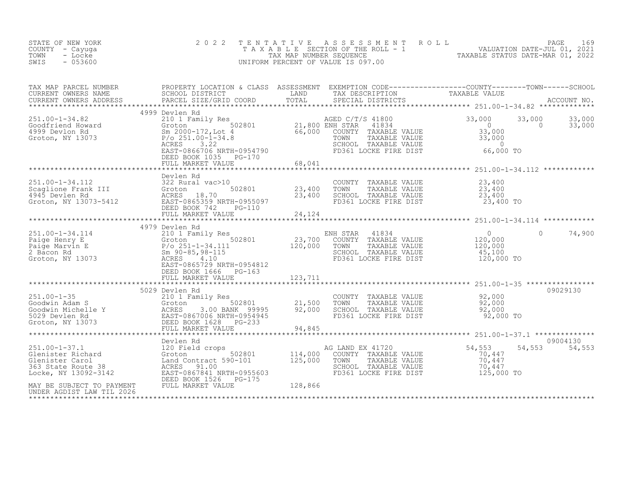| STATE OF NEW YORK<br>COUNTY - Cayuga<br>- Locke<br>TOWN<br>$-053600$<br>SWIS                              | 2 0 2 2<br>TENTATIVE                                                                                                                                                                                                                                                                 |                                        | A S S E S S M E N T R O L L<br>TAXABLE SECTION OF THE ROLL - 1 VALUATION DATE-JUL 01, 2021<br>UNIFORM PERCENT OF VALUE IS 097.00 |                                                                             | PAGE<br>169                            |
|-----------------------------------------------------------------------------------------------------------|--------------------------------------------------------------------------------------------------------------------------------------------------------------------------------------------------------------------------------------------------------------------------------------|----------------------------------------|----------------------------------------------------------------------------------------------------------------------------------|-----------------------------------------------------------------------------|----------------------------------------|
| TAX MAP PARCEL NUMBER<br>CURRENT OWNERS NAME<br>CURRENT OWNERS ADDRESS                                    | PROPERTY LOCATION & CLASS ASSESSMENT EXEMPTION CODE----------------COUNTY-------TOWN------SCHOOL<br>SCHOOL DISTRICT               LAND       TAX DESCRIPTION         TAXABLE VALUE<br>PARCEL SIZE/GRID COORD       TOTAL     SPECIAL<br>PARCEL SIZE/GRID COORD<br>****************** | TOTAL                                  | SPECIAL DISTRICTS                                                                                                                |                                                                             | ACCOUNT NO.                            |
|                                                                                                           | 4999 Devlen Rd                                                                                                                                                                                                                                                                       |                                        |                                                                                                                                  |                                                                             |                                        |
| $251.00 - 1 - 34.82$<br>Goodfriend Howard<br>4999 Devlon Rd<br>Groton, NY 13073                           | 210 1 Family Res<br>Groton 502801<br>Sm 2000-172, Lot 4<br>$P/O$ 251.00-1-34.8<br>ACRES<br>3.22<br>EAST-0866706 NRTH-0954790<br>DEED BOOK 1035<br>PG-170                                                                                                                             | AGED C/T,<br>21,800 ENH STAR<br>66,000 | AGED C/T/S 41800<br>41834<br>COUNTY TAXABLE VALUE<br>TAXABLE VALUE<br>TOWN<br>SCHOOL TAXABLE VALUE<br>FD361 LOCKE FIRE DIST      | 33,000<br>$\overline{0}$<br>33,000<br>33,000<br>$\overline{0}$<br>66,000 TO | 33,000<br>33,000<br>$\Omega$<br>33,000 |
|                                                                                                           | FULL MARKET VALUE                                                                                                                                                                                                                                                                    | 68,041                                 |                                                                                                                                  |                                                                             |                                        |
|                                                                                                           |                                                                                                                                                                                                                                                                                      |                                        |                                                                                                                                  |                                                                             |                                        |
| 251.00-1-34.112<br>Scaglione Frank III<br>4945 Devlen Rd<br>Groton, NY 13073-5412                         | Devlen Rd<br>322 Rural vac>10<br>322 Rural vac>10<br>Groton 502801<br>ACRES 18.70<br>EAST-0865359 NRTH-0955097<br>TTT-0865359 NRTH-0955097<br>DEED BOOK 742<br>PG-110                                                                                                                | 23,400<br>23,400                       | COUNTY TAXABLE VALUE<br>TOWN<br>TAXABLE VALUE<br>SCHOOL TAXABLE VALUE<br>FD361 LOCKE FIRE DIST                                   | 23,400<br>23,400<br>23,400<br>23,400 TO                                     |                                        |
|                                                                                                           | FULL MARKET VALUE                                                                                                                                                                                                                                                                    | 24,124                                 |                                                                                                                                  |                                                                             |                                        |
|                                                                                                           | 4979 Devlen Rd                                                                                                                                                                                                                                                                       |                                        |                                                                                                                                  |                                                                             |                                        |
| 251.00-1-34.114<br>Paige Henry E<br>Paige Marvin E<br>2 Bacon Rd<br>Groton, NY 13073                      | 210 1 Family Res<br>Groton 502801<br>P/o 251-1-34.111<br>Sm 90-85,98-115<br>ACRES<br>EAST-0865729 NRTH-0954812<br>DEED BOOK 1666 PG-163                                                                                                                                              | 23,700<br>120,000                      | ENH STAR<br>41834<br>COUNTY<br>TAXABLE VALUE<br>TOWN<br>TAXABLE VALUE<br>SCHOOL TAXABLE VALUE<br>FD361 LOCKE FIRE DIST           | $\circ$<br>120,000<br>120,000<br>45,100<br>120,000 TO                       | 74,900<br>0                            |
|                                                                                                           |                                                                                                                                                                                                                                                                                      |                                        |                                                                                                                                  |                                                                             |                                        |
|                                                                                                           |                                                                                                                                                                                                                                                                                      |                                        |                                                                                                                                  |                                                                             |                                        |
| $251.00 - 1 - 35$<br>Goodwin Adam S<br>Goodwin Michelle Y<br>5029 Devlen Rd<br>Groton, NY 13073           | 5029 Devlen Rd<br>210 1 Family Res<br>310 1 Family Res<br>502801<br>12 ACRES 3.00 BANK 99995<br>EAST-0867006 NRTH-0954945<br>73 DEED BOOK 1628<br>502801                                                                                                                             | 21,500<br>92,000                       | COUNTY TAXABLE VALUE<br>TOWN<br>TAXABLE VALUE<br>SCHOOL TAXABLE VALUE<br>FD361 LOCKE FIRE DIST                                   | 92,000<br>92,000<br>92,000<br>92,000 TO                                     | 09029130                               |
|                                                                                                           | FULL MARKET VALUE                                                                                                                                                                                                                                                                    | 94,845                                 |                                                                                                                                  |                                                                             |                                        |
|                                                                                                           |                                                                                                                                                                                                                                                                                      |                                        |                                                                                                                                  |                                                                             |                                        |
| $251.00 - 1 - 37.1$<br>Glenister Richard<br>Glenister Carol<br>363 State Route 38<br>Locke, NY 13092-3142 | Devlen Rd<br>120 Field crops<br>502801<br>Groton<br>Land Contract 590-101<br>91.00<br>ACRES<br>EAST-0867841 NRTH-0955603<br>DEED BOOK 1526 PG-175                                                                                                                                    | 114,000<br>125,000                     | AG LAND EX 41720<br>COUNTY TAXABLE VALUE<br>TOWN<br>TAXABLE VALUE<br>SCHOOL TAXABLE VALUE<br>FD361 LOCKE FIRE DIST               | 54,553<br>70,447<br>70,447<br>70,447<br>125,000 TO                          | 09004130<br>54,553<br>54,553           |
| MAY BE SUBJECT TO PAYMENT<br>UNDER AGDIST LAW TIL 2026                                                    | FULL MARKET VALUE                                                                                                                                                                                                                                                                    | 128,866                                |                                                                                                                                  |                                                                             |                                        |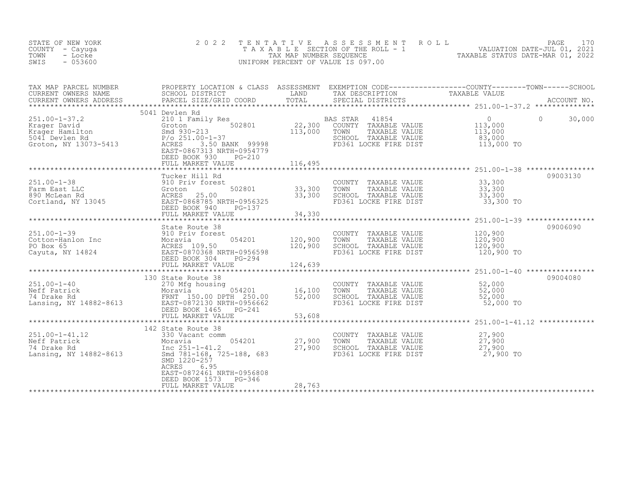| STATE OF NEW YORK<br>COUNTY<br>- Cayuga<br>TOWN<br>- Locke<br>$-053600$<br>SWIS                                                                       | 2 0 2 2                                                                                                                                          |                                          | TENTATIVE ASSESSMENT<br>T A X A B L E SECTION OF THE ROLL - 1 WALUATION DATE-JUL 01, 2021<br>TAX MAP NUMBER SEQUENCE<br>UNIFORM PERCENT OF VALUE IS 097.00 | ROLL                                                         | PAGE<br>170        |
|-------------------------------------------------------------------------------------------------------------------------------------------------------|--------------------------------------------------------------------------------------------------------------------------------------------------|------------------------------------------|------------------------------------------------------------------------------------------------------------------------------------------------------------|--------------------------------------------------------------|--------------------|
| TAX MAP PARCEL NUMBER                                                                                                                                 | PROPERTY LOCATION & CLASS ASSESSMENT EXEMPTION CODE----------------COUNTY-------TOWN-----SCHOOL                                                  |                                          |                                                                                                                                                            |                                                              |                    |
|                                                                                                                                                       | 5041 Devlen Rd                                                                                                                                   |                                          |                                                                                                                                                            |                                                              |                    |
| $251.00 - 1 - 37.2$<br>251.00-1-37.2<br>Krager David<br>Krager Hamilton<br>5041 Devlen Rd<br>Groton, NY 13073-5413                                    | 210 1 Family Res<br>Groton<br>Smd 930-213<br>P/o 251.00-1-37<br>3.50 BANK 99998<br>ACRES<br>EAST-0867313 NRTH-0954779<br>DEED BOOK 930<br>PG-210 | <sup>5</sup><br>502801 22,300<br>113,000 | BAS STAR 41854<br>COUNTY TAXABLE VALUE<br>TOWN<br>TAXABLE VALUE<br>SCHOOL TAXABLE VALUE<br>FD361 LOCKE FIRE DIST                                           | $\overline{0}$<br>113,000<br>113,000<br>83,000<br>113,000 TO | $\Omega$<br>30,000 |
|                                                                                                                                                       | FULL MARKET VALUE                                                                                                                                | 116,495                                  |                                                                                                                                                            |                                                              |                    |
|                                                                                                                                                       |                                                                                                                                                  |                                          |                                                                                                                                                            |                                                              |                    |
| $251.00 - 1 - 38$<br>Farm East LLC<br>890 McLean Rd<br>Cortland, NY 13045                                                                             | Tucker Hill Rd<br>910 Priv forest<br>502801<br>Groton<br>ACRES 25.00<br>EAST-0868785 NRTH-0956325<br>DEED BOOK 940<br>PG-137                     | 33,300<br>33,300                         | COUNTY TAXABLE VALUE<br>TOWN<br>TAXABLE VALUE<br>SCHOOL TAXABLE VALUE<br>FD361 LOCKE FIRE DIST                                                             | 33,300<br>33,300<br>33,300<br>33,300 TO                      | 09003130           |
|                                                                                                                                                       |                                                                                                                                                  |                                          |                                                                                                                                                            |                                                              |                    |
|                                                                                                                                                       |                                                                                                                                                  |                                          |                                                                                                                                                            |                                                              |                    |
| Xames and State Route 38<br>Cotton-Hanlon Inc Moravia Moravia 109.50<br>PO Box 65<br>Cayuta, NY 14824<br>Cayuta, NY 14824<br>Cayuta BAST-0870368 NRTH | 054201<br>EAST-0870368 NRTH-0956598<br>PG-294                                                                                                    | 120,900<br>120,900<br>124,639            | COUNTY TAXABLE VALUE<br>TAXABLE VALUE<br>TOWN<br>SCHOOL TAXABLE VALUE<br>FD361 LOCKE FIRE DIST                                                             | 120,900<br>120,900<br>120,900<br>120,900 TO                  | 09006090           |
|                                                                                                                                                       |                                                                                                                                                  |                                          |                                                                                                                                                            |                                                              |                    |
| 251.00-1-40<br>Neff Patrick 270 Mfg housing<br>74 Drake Rd FRNT 150.00 DPTH 250.00<br>Lansing, NY 14882-8613<br>EAST-0872130 NRTH-0956662             | 130 State Route 38<br>$PG-241$<br>DEED BOOK 1465<br>FULL MARKET VALUE                                                                            | 16, 100<br>52,000<br>53,608              | COUNTY TAXABLE VALUE<br>TOWN<br>TAXABLE VALUE<br>SCHOOL TAXABLE VALUE<br>FD361 LOCKE FIRE DIST                                                             | 52,000<br>52,000<br>52,000<br>52,000 TO                      | 09004080           |

| 251.00-1-41.12         | 142 State Route 38<br>330 Vacant comm |        | TAXABLE VALUE<br>COUNTY | 27,900    |
|------------------------|---------------------------------------|--------|-------------------------|-----------|
| Neff Patrick           | 054201<br>Moravia                     | 27,900 | TAXABLE VALUE<br>TOWN   | 27,900    |
| 74 Drake Rd            | Inc 251-1-41.2                        | 27,900 | SCHOOL<br>TAXABLE VALUE | 27,900    |
| Lansing, NY 14882-8613 | Smd 781-168, 725-188, 683             |        | FD361 LOCKE FIRE DIST   | 27,900 TO |
|                        | SMD 1220-257                          |        |                         |           |
|                        | 6.95<br>ACRES                         |        |                         |           |
|                        | EAST-0872461 NRTH-0956808             |        |                         |           |
|                        | DEED BOOK 1573<br>PG-346              |        |                         |           |
|                        | FULL MARKET VALUE                     | 28,763 |                         |           |
|                        |                                       |        |                         |           |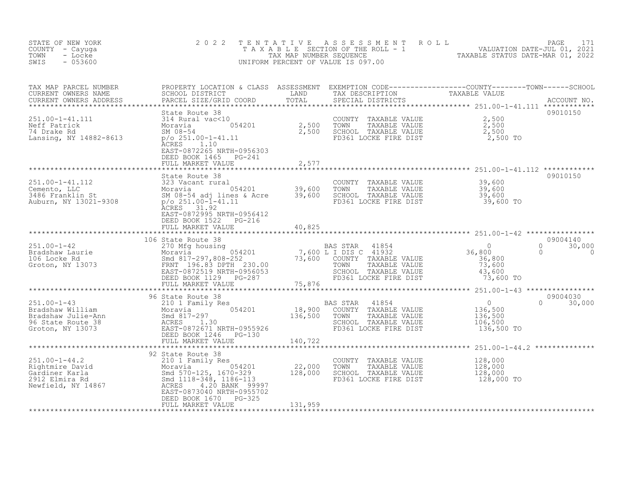| STATE OF NEW YORK<br>COUNTY - Cayuga<br>TOWN<br>- Locke<br>SWIS<br>$-053600$                                                                                                                                                                                                                                                                                                | 2 0 2 2                                                                                                                                                                                                                          | TENTATIVE             | TENTATIVE ASSESSMENT ROLL<br>TAXABLE SECTION OF THE ROLL - 1 VALUATION DATE-JUL 01, 2021<br>TAX MAP NUMBER SEQUENCE TAXABLE STATUS DATE-MAR 01, 2022<br>JNIFORM PERCENT OF VALUE IS 097.00<br>UNIFORM PERCENT OF VALUE IS 097.00 |                                                                                    |                                |
|-----------------------------------------------------------------------------------------------------------------------------------------------------------------------------------------------------------------------------------------------------------------------------------------------------------------------------------------------------------------------------|----------------------------------------------------------------------------------------------------------------------------------------------------------------------------------------------------------------------------------|-----------------------|----------------------------------------------------------------------------------------------------------------------------------------------------------------------------------------------------------------------------------|------------------------------------------------------------------------------------|--------------------------------|
| TAX MAP PARCEL NUMBER<br>CURRENT OWNERS NAME<br>CURRENT OWNERS ADDRESS                                                                                                                                                                                                                                                                                                      | PROPERTY LOCATION & CLASS ASSESSMENT EXEMPTION CODE----------------COUNTY-------TOWN------SCHOOL<br>SCHOOL DISTRICT                         LAND         TAX DESCRIPTION                 TAXABLE VALUE<br>PARCEL SIZE/GRID COORD |                       |                                                                                                                                                                                                                                  |                                                                                    |                                |
| 251.00-1-41.111<br>Neff Patrick<br>74 Drake Rd<br>Lansing, NY 14882-8613                                                                                                                                                                                                                                                                                                    | State Route 38<br>EAST-0872265 NRTH-0956303<br>DEED BOOK 1465 PG-241<br>FULL MARKET VALUE                                                                                                                                        | 2,577                 | COUNTY TAXABLE VALUE<br>TOWN TAXABLE VALUE<br>SCHOOL TAXABLE VALUE<br>FD361 LOCKE FIRE DIST                                                                                                                                      | 2,500<br>$2,500$<br>$2,500$<br>$2,500$<br>2,500 TO                                 | 09010150                       |
| 251.00-1-41.112<br>Cemento, LLC 323 Vacant rural<br>3486 Franklin St Moravia 54201 39,600<br>3486 Franklin St SM 08-54 adj lines & Acre 39,600<br>Auburn, NY 13021-9308 p/o 251.00-1-41.11                                                                                                                                                                                  | State Route 38<br>ACRES 31.92<br>EAST-0872995 NRTH-0956412<br>DEED BOOK 1522 PG-216<br>FULL MARKET VALUE                                                                                                                         | 40,825                |                                                                                                                                                                                                                                  |                                                                                    | 09010150                       |
|                                                                                                                                                                                                                                                                                                                                                                             |                                                                                                                                                                                                                                  |                       |                                                                                                                                                                                                                                  |                                                                                    |                                |
| $\begin{tabular}{lcccc} 251.00-1-42 & 106 State Route & 38 & 37AR & 41854 \\ \texttt{Bradshaw Laure} & 270 Mfg housing & 054201 & 7,600 L I DIS C & 41932 \\ \texttt{Mod Stock Red} & 8017-297,808-252 & 73,600 COUNTY TAXABLE VALUE \\ \texttt{Groton, NY 13073} & FRNT 196.83 DPTH 230.00 & 70WN TAXABLE VALUE \\ & 251.00-1-42 & 7,600 L I DIS C & 41932 \\ & 5000000 &$ | 106 State Route 38                                                                                                                                                                                                               |                       |                                                                                                                                                                                                                                  | $\frac{0}{36,800}$<br>0<br>$\mathbf{0}$<br>36,800<br>73,600<br>43,600<br>73,600 TO | 09004140<br>30,000<br>$\Omega$ |
|                                                                                                                                                                                                                                                                                                                                                                             | 96 State Route 38                                                                                                                                                                                                                |                       |                                                                                                                                                                                                                                  |                                                                                    | 09004030                       |
| $251.00 - 1 - 43$<br>251.00-1-43<br>Bradshaw William Moravia 297 054201<br>Bradshaw Julie-Ann Smd 817-297<br>96 State Route 38 ACRES 1.30<br>Groton, NY 13073 BAST-0872671 NRTH-0955926<br>DEED BOOK 1246                                                                                                                                                                   | FULL MARKET VALUE                                                                                                                                                                                                                | 140,722               | BAS STAR<br>41854<br>COUNTY<br>TAXABLE VALUE<br>TAXABLE VALUE<br>TOWN<br>SCHOOL TAXABLE VALUE<br>FD361 LOCKE FIRE DIST                                                                                                           | 0<br>136,500<br>136,500<br>106,500<br>$\Omega$<br>136,500 TO                       | 30,000                         |
|                                                                                                                                                                                                                                                                                                                                                                             |                                                                                                                                                                                                                                  | ********************* |                                                                                                                                                                                                                                  |                                                                                    |                                |
| $251.00 - 1 - 44.2$<br>251.00-1-44.2<br>Rightmire David<br>Gardiner Karla<br>2912 Elmira Rd<br>2912 Elmira Rd<br>2912 Elmira Rd<br>2912 Elmira Rd<br>2912 Elmira Rd<br>2912 Elmira Rd<br>2912 Elmira Rd<br>2912 Elmira Rd<br>2912 Elmira Rd<br>292 292 29312<br>292 2932<br>292 2                                                                                           | 92 State Route 38<br>210 1 Family Res<br>EAST-0873040 NRTH-0955702<br>DEED BOOK 1670<br>PG-325<br>FULL MARKET VALUE                                                                                                              | 131,959               | COUNTY TAXABLE VALUE<br>TOWN<br>TAXABLE VALUE<br>SCHOOL TAXABLE VALUE<br>FD361 LOCKE FIRE DIST                                                                                                                                   | 128,000<br>128,000<br>128,000<br>128,000 TO                                        |                                |
|                                                                                                                                                                                                                                                                                                                                                                             |                                                                                                                                                                                                                                  |                       |                                                                                                                                                                                                                                  |                                                                                    |                                |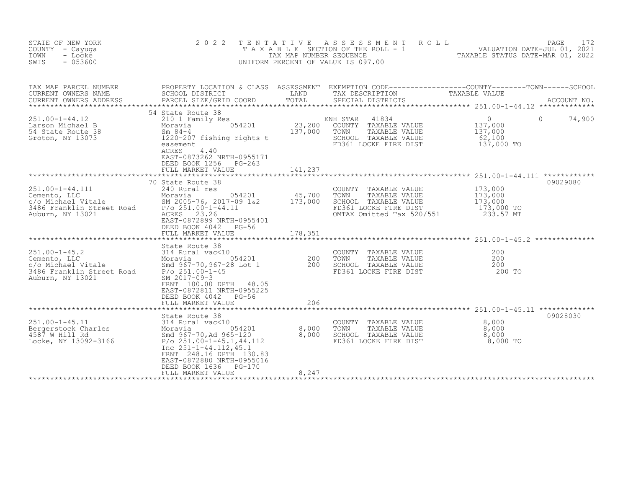| STATE OF NEW YORK<br>COUNTY - Cayuga<br>- Locke<br>TOWN<br>$-053600$<br>SWIS                                 | 2 0 2 2                                                                                                                                                                                                                                                  | TENTATIVE                    | A S S E S S M E N T<br>R O L L<br>TAXABLE SECTION OF THE ROLL - 1<br>TAXABLE STATUS DATE-JUL 01, 2021<br>NILOOM PERCENT OF WILLIE CORRECTED CORRECTED TAXABLE STATUS DATE-MAR 01, 2022<br>UNIFORM PERCENT OF VALUE IS 097.00 |                                                                          | 172<br>PAGE |
|--------------------------------------------------------------------------------------------------------------|----------------------------------------------------------------------------------------------------------------------------------------------------------------------------------------------------------------------------------------------------------|------------------------------|------------------------------------------------------------------------------------------------------------------------------------------------------------------------------------------------------------------------------|--------------------------------------------------------------------------|-------------|
| TAX MAP PARCEL NUMBER<br>CURRENT OWNERS NAME<br>CURRENT OWNERS ADDRESS                                       | PROPERTY LOCATION & CLASS ASSESSMENT EXEMPTION CODE----------------COUNTY-------TOWN------SCHOOL<br>SCHOOL DISTRICT<br>PARCEL SIZE/GRID COORD                                                                                                            | LAND<br>TOTAL                | TAX DESCRIPTION<br>SPECIAL DISTRICTS                                                                                                                                                                                         | TAXABLE VALUE                                                            | ACCOUNT NO. |
| $251.00 - 1 - 44.12$<br>Larson Michael B<br>54 State Route 38<br>Groton, NY 13073                            | 54 State Route 38<br>210 1 Family Res<br>054201<br>Moravia<br>Sm $84-4$<br>1220-207 fishing rights t<br>easement<br>ACRES<br>4.40<br>EAST-0873262 NRTH-0955171<br>DEED BOOK 1256 PG-263<br>FULL MARKET VALUE                                             | 23,200<br>137,000<br>141,237 | ENH STAR<br>41834<br>COUNTY TAXABLE VALUE<br>TOWN<br>TAXABLE VALUE<br>SCHOOL TAXABLE VALUE<br>FD361 LOCKE FIRE DIST                                                                                                          | $\overline{0}$<br>$\Omega$<br>137,000<br>137,000<br>62,100<br>137,000 TO | 74,900      |
| $251.00 - 1 - 44.111$<br>Cemento, LLC<br>c/o Michael Vitale<br>3486 Franklin Street Road<br>Auburn, NY 13021 | 70 State Route 38<br>240 Rural res<br>Moravia<br>054201<br>SM 2005-76, 2017-09 1&2<br>$P/O 251.00 - 1 - 44.11$<br>ACRES 23.26<br>EAST-0872899 NRTH-0955401<br>DEED BOOK 4042 PG-56<br>FULL MARKET VALUE                                                  | 45,700<br>173,000<br>178,351 | COUNTY TAXABLE VALUE<br>TOWN<br>TAXABLE VALUE<br>SCHOOL TAXABLE VALUE<br>FD361 LOCKE FIRE DIST<br>OMTAX Omitted Tax 520/551                                                                                                  | 173,000<br>173,000<br>173,000<br>173,000 TO<br>233.57 MT                 | 09029080    |
| Auburn, NY 13021                                                                                             | State Route 38<br>SM 2017-09-3<br>FRNT 100.00 DPTH 48.05<br>EAST-0872811 NRTH-0955225<br>DEED BOOK 4042 PG-56<br>FULL MARKET VALUE                                                                                                                       | 206                          | COUNTY TAXABLE VALUE<br>TOWN<br>TAXABLE VALUE<br>SCHOOL TAXABLE VALUE<br>FD361 LOCKE FIRE DIST                                                                                                                               | 200<br>200<br>200<br>200 TO                                              |             |
| $251.00 - 1 - 45.11$<br>Bergerstock Charles<br>4587 W Hill Rd<br>Locke, NY 13092-3166                        | State Route 38<br>314 Rural vac<10<br>Moravia<br>054201<br>Smd 967-70,Ad 965-120<br>$P$ /o 251.00-1-45.1,44.112<br>Inc $251 - 1 - 44.112, 45.1$<br>FRNT 248.16 DPTH 130.83<br>EAST-0872880 NRTH-0955016<br>DEED BOOK 1636<br>PG-170<br>FULL MARKET VALUE | 8,000<br>8,000<br>8,247      | COUNTY TAXABLE VALUE<br>TOWN<br>TAXABLE VALUE<br>SCHOOL TAXABLE VALUE<br>FD361 LOCKE FIRE DIST                                                                                                                               | 8,000<br>8,000<br>8,000<br>8,000 TO                                      | 09028030    |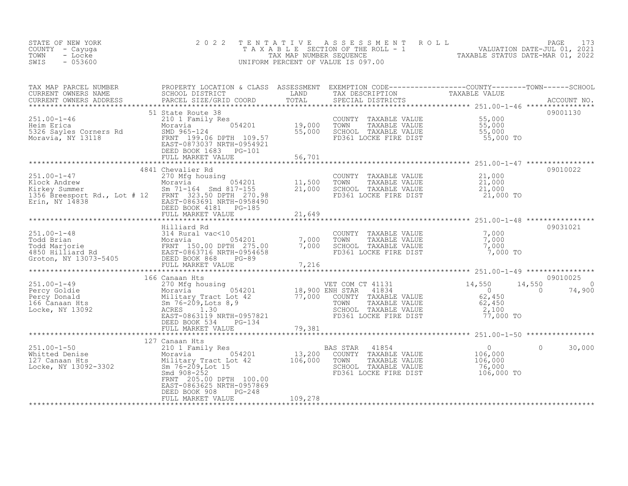| STATE OF NEW YORK<br>COUNTY - Cayuga<br>TOWN<br>- Locke<br>SWIS<br>$-053600$                                                                                                                                                                                                                                                                       | 2 0 2 2                                                                                       |         | TENTATIVE ASSESSMENT ROLL PAGE 173<br>TAXABLE SECTION OF THE ROLL - 1 VALUATION DATE-JUL 01, 2021<br>TAX MAP NUMBER SEQUENCE TAXABLE STATUS DATE-MAR 01, 2022<br>UNIFORM PERCENT OF VALUE IS 097.00 |                                                |
|----------------------------------------------------------------------------------------------------------------------------------------------------------------------------------------------------------------------------------------------------------------------------------------------------------------------------------------------------|-----------------------------------------------------------------------------------------------|---------|-----------------------------------------------------------------------------------------------------------------------------------------------------------------------------------------------------|------------------------------------------------|
| TAX MAP PARCEL NUMBER PROPERTY LOCATION & CLASS ASSESSMENT EXEMPTION CODE-----------------COUNTY--------TOWN------SCHOOL CURRENT OWNERS NAME SCHOOL DISTRICT LAND TAX DESCRIPTION CONTRENT TAXABLE VALUE<br>CURRENT OWNERS ADDRES                                                                                                                  |                                                                                               |         |                                                                                                                                                                                                     |                                                |
| 251.00-1-46<br>Heim Erica<br>5326 Sayles Corners Rd 5326 Sayles Corners Rd 5326 Sayles Corners Rd 55,000<br>Moravia, NY 13118<br>Moravia, NY 13118<br>Moravia, NY 13118<br>SAST-0873037 NRTH-0954921<br>THER DON'T 199.06 DPTH 109.57<br>THER                                                                                                      | 51 State Route 38<br>DEED BOOK 1683 PG-101<br>FULL MARKET VALUE                               | 56,701  |                                                                                                                                                                                                     | 09001130                                       |
|                                                                                                                                                                                                                                                                                                                                                    |                                                                                               |         |                                                                                                                                                                                                     | 09010022                                       |
| 251.00-1-47<br>Klock Andrew Moravia 054201 11,500<br>Kirkey Summer 5.1 1.4 # 12 FOR FRINT 323.50 DPTH 270.98<br>1356 Breesport Rd., Lot # 12 FRNT 323.50 DPTH 270.98<br>Erin, NY 14838                                                                                                                                                             | 4841 Chevalier Rd<br>EAST-0863691 NRTH-0958490<br>DEED BOOK 4181 PG-185<br>FIILL MARKET VALUE |         | COUNTY TAXABLE VALUE $21,000$<br>TOWN TAXABLE VALUE $21,000$<br>SCHOOL TAXABLE VALUE $21,000$<br>FD361 LOCKE FIRE DIST $21,000$ TO                                                                  |                                                |
|                                                                                                                                                                                                                                                                                                                                                    | FULL MARKET VALUE                                                                             | 21,649  |                                                                                                                                                                                                     |                                                |
|                                                                                                                                                                                                                                                                                                                                                    | Hilliard Rd                                                                                   |         |                                                                                                                                                                                                     | 09031021                                       |
|                                                                                                                                                                                                                                                                                                                                                    |                                                                                               |         | COUNTY TAXABLE VALUE<br>TOWN TAXABLE VALUE 7,000<br>SCHOOL TAXABLE VALUE 7,000<br>FD361 LOCKE FIRE DIST 7,000 TO                                                                                    |                                                |
|                                                                                                                                                                                                                                                                                                                                                    |                                                                                               |         |                                                                                                                                                                                                     |                                                |
|                                                                                                                                                                                                                                                                                                                                                    | 166 Canaan Hts                                                                                |         |                                                                                                                                                                                                     | 09010025                                       |
| $\begin{tabular}{l c c c c c} \multicolumn{3}{c}{251.00-1-49} & \multicolumn{3}{c}{166\,\, & \hspace{0.1cm} 14,550 & 14 & 270 \,\, & \hspace{0.1cm} 18,900 \,\, \mathrm{ENR} \  \  \, 311 & 14,550 & 14 \,\, \\ \multicolumn{3}{c}{Percy\,\, & \hspace{0.1cm} 166\,\, & \hspace{0.1cm} 166\,\, & \hspace{0.1cm} 166\,\, & \hspace{0.1cm} 17,000 &$ |                                                                                               |         |                                                                                                                                                                                                     | 14,550<br>$\Omega$<br>74,900<br>$\overline{0}$ |
|                                                                                                                                                                                                                                                                                                                                                    |                                                                                               |         |                                                                                                                                                                                                     |                                                |
|                                                                                                                                                                                                                                                                                                                                                    |                                                                                               |         |                                                                                                                                                                                                     |                                                |
|                                                                                                                                                                                                                                                                                                                                                    | FRNT 205.00 DPTH 100.00<br>EAST-0863625 NRTH-0957869<br>DEED BOOK 908<br>PG-248               |         | AS STAR 41854 0<br>COUNTY TAXABLE VALUE 106,000<br>TOWN TAXABLE VALUE 106,000<br>SCHOOL TAXABLE VALUE 76,000<br>FD361 LOCKE FIRE DIST 106,000 TO                                                    | 30,000                                         |
|                                                                                                                                                                                                                                                                                                                                                    | FULL MARKET VALUE                                                                             | 109,278 |                                                                                                                                                                                                     |                                                |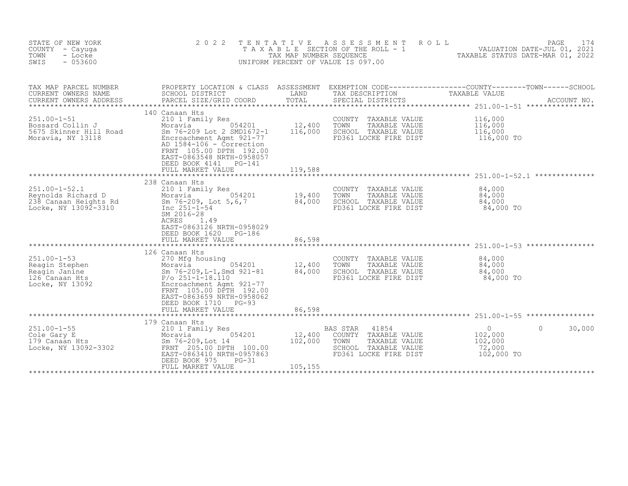| STATE OF NEW YORK<br>COUNTY - Cayuga<br>TOWN<br>- Locke<br>$-053600$<br>SWIS               | 2 0 2 2<br>TENTATIVE<br>TAXABLE                                                                                                                                                                                                                       | TAX MAP NUMBER SEQUENCE                        | A S S E S S M E N T<br>SECTION OF THE ROLL - 1<br>UNIFORM PERCENT OF VALUE IS 097.00                                          | PAGE<br>ROLL<br>174<br>VALUATION DATE-JUL 01, 2021<br>TAXABLE STATUS DATE-MAR 01, 2022                                           |
|--------------------------------------------------------------------------------------------|-------------------------------------------------------------------------------------------------------------------------------------------------------------------------------------------------------------------------------------------------------|------------------------------------------------|-------------------------------------------------------------------------------------------------------------------------------|----------------------------------------------------------------------------------------------------------------------------------|
| TAX MAP PARCEL NUMBER<br>CURRENT OWNERS NAME<br>CURRENT OWNERS ADDRESS                     | SCHOOL DISTRICT<br>PARCEL SIZE/GRID COORD                                                                                                                                                                                                             | LAND<br>TOTAL                                  | TAX DESCRIPTION<br>SPECIAL DISTRICTS                                                                                          | PROPERTY LOCATION & CLASS ASSESSMENT EXEMPTION CODE-----------------COUNTY-------TOWN-----SCHOOL<br>TAXABLE VALUE<br>ACCOUNT NO. |
| $251.00 - 1 - 51$<br>Bossard Collin J<br>5675 Skinner Hill Road<br>Moravia, NY 13118       | 140 Canaan Hts<br>210 1 Family Res<br>054201<br>Moravia<br>Sm 76-209 Lot 2 SMD1672-1<br>Encroachment Agmt 921-77<br>AD 1584-106 - Correction<br>FRNT 105.00 DPTH 192.00<br>EAST-0863548 NRTH-0958057<br>DEED BOOK 4141<br>PG-141<br>FULL MARKET VALUE | 12,400<br>116,000<br>119,588                   | COUNTY<br>TAXABLE VALUE<br>TOWN<br>TAXABLE VALUE<br>SCHOOL TAXABLE VALUE<br>FD361 LOCKE FIRE DIST                             | 116,000<br>116,000<br>116,000<br>116,000 TO                                                                                      |
| $251.00 - 1 - 52.1$<br>Reynolds Richard D<br>238 Canaan Heights Rd<br>Locke, NY 13092-3310 | ***********************<br>238 Canaan Hts<br>210 1 Family Res<br>054201<br>Moravia<br>Sm 76-209, Lot 5,6,7<br>Inc 251-1-54<br>SM 2016-28<br><b>ACRES</b><br>1.49<br>EAST-0863126 NRTH-0958029<br>DEED BOOK 1620<br>PG-186<br>FULL MARKET VALUE        | ****************<br>19,400<br>84,000<br>86,598 | COUNTY<br>TAXABLE VALUE<br>TOWN<br>TAXABLE VALUE<br>SCHOOL TAXABLE VALUE<br>FD361 LOCKE FIRE DIST                             | 84,000<br>84,000<br>84,000<br>84,000 TO<br>************************************* 251.00-1-53 *****************                   |
| $251.00 - 1 - 53$<br>Reagin Stephen<br>Reagin Janine<br>126 Canaan Hts<br>Locke, NY 13092  | 126 Canaan Hts<br>270 Mfg housing<br>054201<br>Moravia<br>Sm 76-209, L-1, Smd 921-81<br>$P/O 251 - 1 - 18.110$<br>Encroachment Agmt 921-77<br>FRNT 105.00 DPTH 192.00<br>EAST-0863659 NRTH-0958062<br>DEED BOOK 1710<br>$PG-93$<br>FULL MARKET VALUE  | 12,400<br>84,000<br>86,598<br>***********      | COUNTY TAXABLE VALUE<br>TOWN<br>TAXABLE VALUE<br>SCHOOL TAXABLE VALUE<br>FD361 LOCKE FIRE DIST                                | 84,000<br>84,000<br>84,000<br>84,000 TO<br>******************************** 251 00-1-55 ****************                         |
|                                                                                            | 179 Canaan Hts                                                                                                                                                                                                                                        |                                                |                                                                                                                               |                                                                                                                                  |
| $251.00 - 1 - 55$<br>Cole Gary E<br>179 Canaan Hts<br>Locke, NY 13092-3302                 | 210 1 Family Res<br>054201<br>Moravia<br>Sm 76-209, Lot 14<br>FRNT 205.00 DPTH 100.00<br>EAST-0863410 NRTH-0957863<br>DEED BOOK 975<br>$PG-31$<br>FULL MARKET VALUE                                                                                   | 12,400<br>102,000<br>105,155                   | <b>BAS STAR</b><br>41854<br>COUNTY<br>TAXABLE VALUE<br>TOWN<br>TAXABLE VALUE<br>SCHOOL TAXABLE VALUE<br>FD361 LOCKE FIRE DIST | $\circ$<br>30,000<br>$\Omega$<br>102,000<br>102,000<br>72,000<br>102,000 TO                                                      |
|                                                                                            |                                                                                                                                                                                                                                                       |                                                |                                                                                                                               |                                                                                                                                  |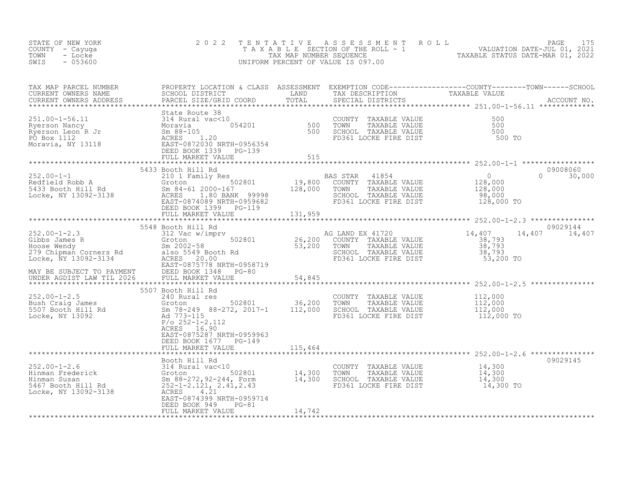| STATE OF NEW YORK<br>COUNTY - Cayuga<br>TOWN<br>- Locke<br>$-053600$<br>SWIS | 2 0 2 2                                                                                |         | TENTATIVE ASSESSMENT ROLL PAGE 175<br>TAXABLE SECTION OF THE ROLL - 1 VALUATION DATE-JUL 01, 2021<br>TAX MAP NUMBER SEQUENCE TAXABLE STATUS DATE-MAR 01, 2022<br>UNIFORM PERCENT OF VALUE IS 097.00                               |
|------------------------------------------------------------------------------|----------------------------------------------------------------------------------------|---------|-----------------------------------------------------------------------------------------------------------------------------------------------------------------------------------------------------------------------------------|
|                                                                              |                                                                                        |         | TAX MAP PARCEL NUMBER PROPERTY LOCATION & CLASS ASSESSMENT EXEMPTION CODE---------------COUNTY--------TOWN------SCHOOL CURRENT OWNERS NAME SCHOOL DISTRICT LAND TAX DESCRIPTION TAXABLE VALUE<br>CURRENT OWNERS ADDRESS PARCEL SI |
|                                                                              |                                                                                        |         |                                                                                                                                                                                                                                   |
|                                                                              |                                                                                        |         | 09008060<br>$0 \t 30,000$                                                                                                                                                                                                         |
|                                                                              | 5548 Booth Hill Rd                                                                     |         | 09029144<br>14,407 14,407                                                                                                                                                                                                         |
|                                                                              | ACRES 16.90<br>EAST-0875287 NRTH-0959963<br>DEED BOOK 1677 PG-149<br>FULL MARKET VALUE | 115,464 |                                                                                                                                                                                                                                   |
|                                                                              |                                                                                        |         | 09029145                                                                                                                                                                                                                          |
|                                                                              | EAST-0874399 NRTH-0959714<br>DEED BOOK 949<br>$PG-81$                                  |         |                                                                                                                                                                                                                                   |
|                                                                              | FULL MARKET VALUE                                                                      | 14,742  |                                                                                                                                                                                                                                   |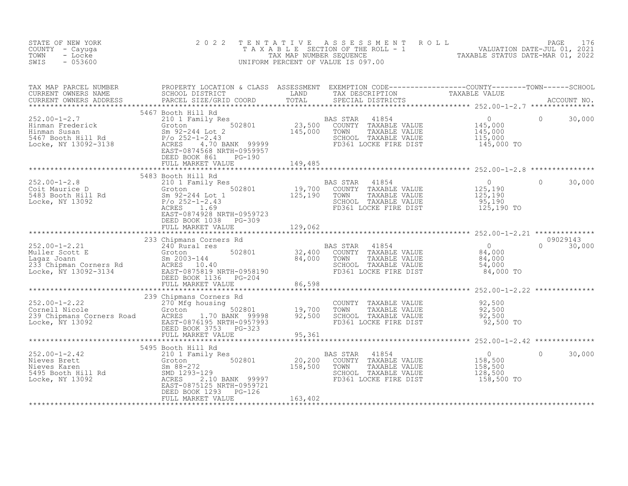| STATE OF NEW YORK<br>COUNTY - Cayuga<br>TOWN<br>- Locke<br>$-053600$<br>SWIS | 2 0 2 2                                                                                                                                                                                                                                                                                                                                                                                                                                                |         | TENTATIVE ASSESSMENT ROLL PAGE 176<br>TAXABLE SECTION OF THE ROLL - 1 VALUATION DATE-JUL 01, 2021<br>TAX MAP NUMBER SEQUENCE TAXABLE STATUS DATE-MAR 01, 2022<br>UNIFORM PERCENT OF VALUE IS 097.00 |                    |  |
|------------------------------------------------------------------------------|--------------------------------------------------------------------------------------------------------------------------------------------------------------------------------------------------------------------------------------------------------------------------------------------------------------------------------------------------------------------------------------------------------------------------------------------------------|---------|-----------------------------------------------------------------------------------------------------------------------------------------------------------------------------------------------------|--------------------|--|
|                                                                              |                                                                                                                                                                                                                                                                                                                                                                                                                                                        |         |                                                                                                                                                                                                     |                    |  |
|                                                                              | $\begin{tabular}{lllllllllllllllllllll} \textsc{rank} & \textsc{PROPERTY LOCATION & \textsc{CLASS} & \textsc{ASSESSMENT} & \textsc{EXEMPTION COD} & \textsc{CURRENT ONDE-----------COUNTY----COUNTY----CONNT------CONNT-----CNOONT-XMMEEN & \textsc{SCHODO} & \textsc{SCHODD} & \textsc{TRRIST} & \textsc{RNCOONT NO} & \textsc{LAND} & \textsc{TRX} & \textsc{DESCRIPTON} & \textsc{RNCOUNT NO} & \textsc{LAND} & \textsc{TRX} & \textsc{DSCRIPTION}$ |         |                                                                                                                                                                                                     |                    |  |
|                                                                              |                                                                                                                                                                                                                                                                                                                                                                                                                                                        |         |                                                                                                                                                                                                     |                    |  |
|                                                                              | 5483 Booth Hill Rd<br>DEED BOOK 1038 PG-309<br>FULL MARKET VALUE                                                                                                                                                                                                                                                                                                                                                                                       | 129,062 |                                                                                                                                                                                                     | $\Omega$<br>30,000 |  |
|                                                                              |                                                                                                                                                                                                                                                                                                                                                                                                                                                        |         |                                                                                                                                                                                                     | 09029143           |  |
|                                                                              | 33 Chipman Corners Rd<br>Muller Scott E 240 Rural res<br>Muller Scott E Groton 502801 32,400 COUNTY TAXABLE VALUE<br>Lagaz Joann Sm 2003-144 84,000 TOWN TAXABLE VALUE<br>233 Chipman Corners Rd<br>Legaz Joann Sm 2003-144 84,000 TOWN                                                                                                                                                                                                                |         |                                                                                                                                                                                                     | $0 \t 30,000$      |  |
|                                                                              |                                                                                                                                                                                                                                                                                                                                                                                                                                                        |         |                                                                                                                                                                                                     |                    |  |
|                                                                              | 239 Chipmans Corners Rd<br>239 Chipmans Corners Rd<br>270 Mfg housing<br>Cornell Nicole (270 Mfg housing 20,500<br>270 Mfg housing 20,500<br>270 Mfg housing 20,500<br>270 Mfg housing 20,500<br>270 Mfg housing 20,500<br>270 Mfg housing 20,                                                                                                                                                                                                         |         |                                                                                                                                                                                                     |                    |  |
|                                                                              |                                                                                                                                                                                                                                                                                                                                                                                                                                                        |         |                                                                                                                                                                                                     |                    |  |
|                                                                              | 5495 Booth Hill Rd<br>$\begin{tabular}{lllllllll} 252.00-1-2.42 & 5495\; \text{Booth Hill Rd} & \text{BAS STAR} & 41854 & 0 \\ 210\; \text{I Family Res} & \text{BAS STAR} & 41854 & 0 \\ \text{Nieves Brett} & \text{Storen} & 502801 & 20,200\; \text{COUNTY} & \text{TAXABLE VALUE} & 158,500 \\ \text{Nieves Karen} & \text{Sm } 88-272 & 158,500\; \text{SOD} & \text{TOWN} & \text{TAXABLE VALUE} & 158,500 \\ \text{S4$                         |         |                                                                                                                                                                                                     | $\Omega$<br>30,000 |  |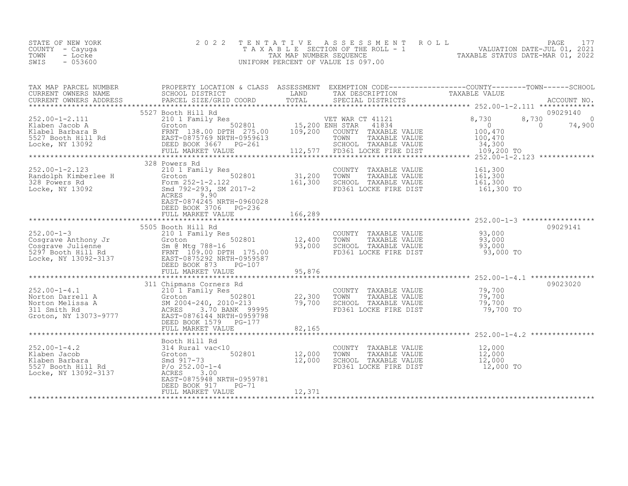| STATE OF NEW YORK | 2022 TENTATIVE ASSESSMENT ROLL     |                                  | PAGE                        |  |
|-------------------|------------------------------------|----------------------------------|-----------------------------|--|
| COUNTY – Cayuga   | TAXABLE SECTION OF THE ROLL - 1    |                                  | VALUATION DATE-JUL 01, 2021 |  |
| TOWN<br>- Locke   | TAX MAP NUMBER SEOUENCE            | TAXABLE STATUS DATE-MAR 01, 2022 |                             |  |
| $-053600$<br>SWIS | UNIFORM PERCENT OF VALUE IS 097.00 |                                  |                             |  |

| TAX MAP PARCEL NUMBER<br>CURRENT OWNERS NAME                                                                                                                                                                                                                                                  | PROPERTY LOCATION & CLASS ASSESSMENT EXEMPTION CODE----------------COUNTY-------TOWN-----SCHOOL<br>SCHOOL DISTRICT | LAND                       | TAX DESCRIPTION                                                                                                                 | TAXABLE VALUE                               |          |
|-----------------------------------------------------------------------------------------------------------------------------------------------------------------------------------------------------------------------------------------------------------------------------------------------|--------------------------------------------------------------------------------------------------------------------|----------------------------|---------------------------------------------------------------------------------------------------------------------------------|---------------------------------------------|----------|
|                                                                                                                                                                                                                                                                                               |                                                                                                                    |                            |                                                                                                                                 |                                             |          |
| $\begin{array}{cccccccc} 252.00-1-2.111 & 5527 & 800th & \text{Hill Rd} & 210 & 502801 & 502801 & 15,200 & \text{ENR RT} & 41834 & 0 & 8,730 & 8,730 & 74,900 & 0 & 74,900 & 0 & 74,900 & 0 & 74,900 & 0 & 74,900 & 0 & 74,900 & 0 & 74,900 & 0 & 74,900 & 0 & 74,900 & 0 & 74,900 & 0 & 74,$ | 5527 Booth Hill Rd                                                                                                 |                            |                                                                                                                                 |                                             | 09029140 |
|                                                                                                                                                                                                                                                                                               | 328 Powers Rd                                                                                                      |                            |                                                                                                                                 |                                             |          |
| 202.00-1-2.123<br>Randolph Kimberlee H Groton 502801<br>328 Powers Rd Form 252-1-2.122<br>Locke, NY 13092 328 Smd 792-293, SM 2017-2<br>ACRES                                                                                                                                                 | 210 1 Family Res<br>Groton 502801 31,200<br>EAST-0874245 NRTH-0960028<br>DEED BOOK 3706 PG-236                     | 161,300                    | COUNTY TAXABLE VALUE<br>TOWN<br>TAXABLE VALUE<br>SCHOOL TAXABLE VALUE<br>FD361 LOCKE FIRE DIST                                  | 161,300<br>161,300<br>161,300<br>161,300 TO |          |
|                                                                                                                                                                                                                                                                                               | FULL MARKET VALUE                                                                                                  | 166,289                    |                                                                                                                                 |                                             |          |
|                                                                                                                                                                                                                                                                                               |                                                                                                                    |                            |                                                                                                                                 |                                             |          |
| $252.00 - 1 - 3$                                                                                                                                                                                                                                                                              | 5505 Booth Hill Rd<br>210 1 Family Res<br>502801                                                                   | 12,400<br>93,000           | COUNTY TAXABLE VALUE $93,000$<br>TOWN TAXABLE VALUE $93,000$<br>SCHOOL TAXABLE VALUE $93,000$<br>FD361 LOCKE FIRE DIST $93,000$ | 93,000 TO                                   | 09029141 |
|                                                                                                                                                                                                                                                                                               | FULL MARKET VALUE                                                                                                  | 95,876                     |                                                                                                                                 |                                             |          |
|                                                                                                                                                                                                                                                                                               |                                                                                                                    |                            |                                                                                                                                 |                                             |          |
| 252.00-1-4.1<br>Norton Darrell A<br>Norton Melissa A<br>311 Smith Rd<br>Groton, NY 13073-9777<br>2004-240, 2010-213<br>315 Smith Rd<br>Groton, NY 13073-9777<br>2007 EAST-08761444 NRTH-0959798<br>2004-240, 2010-213<br>2008-1179<br>2008-2179<br>200                                        | 311 Chipmans Corners Rd<br>DEED BOOK 1579 PG-177<br>FULL MARKET VALUE                                              | 22,300<br>79,700<br>82,165 | COUNTY TAXABLE VALUE 79,700<br>TOWN TAXABLE VALUE 79,700<br>SCHOOL TAXABLE VALUE 79,700<br>FD361 LOCKE FIRE DIST                | 79,700 TO                                   | 09023020 |
|                                                                                                                                                                                                                                                                                               |                                                                                                                    |                            |                                                                                                                                 |                                             |          |
| Example of Booth Hill Rd<br>Example 12<br>Klaben Jacob 314 Rural vac<10<br>Klaben Barbara 5527 Booth Hill Rd<br>5527 Booth Hill Rd<br>5527 Booth Hill Rd<br>7/0 252.00-1-4<br>Locke, NY 13092-3137                                                                                            | Booth Hill Rd<br>502801 12,000<br>ACRES 3.00<br>EAST-0875948 NRTH-0959781<br>DEED BOOK 917<br>$PG-71$              | 12,000                     | COUNTY TAXABLE VALUE<br>TOWN      TAXABLE VALUE<br>SCHOOL TAXABLE VALUE<br>FD361 LOCKE FIRE DIST                                | 12,000<br>12,000<br>12,000<br>12,000 TO     |          |
|                                                                                                                                                                                                                                                                                               | FULL MARKET VALUE                                                                                                  | 12,371                     |                                                                                                                                 |                                             |          |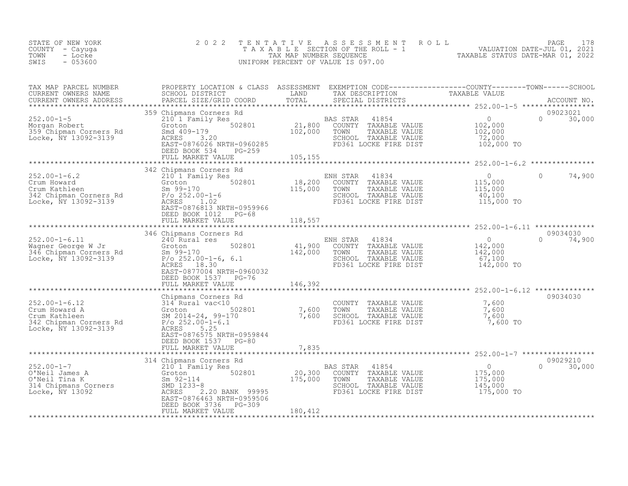| STATE OF NEW YORK<br>COUNTY - Cayuga<br>TOWN<br>- Locke<br>SWIS<br>$-053600$                                                                                                                                                                                                                                                                                                                                                                                 | 2 0 2 2                                                                                                   |         | TENTATIVE ASSESSMENT ROLL<br>UNIFORM PERCENT OF VALUE IS 097.00                                                                                                                                                                                                                                                                                                                                                                                                                         | TAXABLE SECTION OF THE ROLL - 1<br>TAXABLE SECTION OF THE ROLL - 1<br>NIFORM PERCENT OF VALUE IS 097.00<br>INIFORM PERCENT OF VALUE IS 097.00                                                                                                                                                                                                                                                                                                                   |
|--------------------------------------------------------------------------------------------------------------------------------------------------------------------------------------------------------------------------------------------------------------------------------------------------------------------------------------------------------------------------------------------------------------------------------------------------------------|-----------------------------------------------------------------------------------------------------------|---------|-----------------------------------------------------------------------------------------------------------------------------------------------------------------------------------------------------------------------------------------------------------------------------------------------------------------------------------------------------------------------------------------------------------------------------------------------------------------------------------------|-----------------------------------------------------------------------------------------------------------------------------------------------------------------------------------------------------------------------------------------------------------------------------------------------------------------------------------------------------------------------------------------------------------------------------------------------------------------|
|                                                                                                                                                                                                                                                                                                                                                                                                                                                              |                                                                                                           |         |                                                                                                                                                                                                                                                                                                                                                                                                                                                                                         |                                                                                                                                                                                                                                                                                                                                                                                                                                                                 |
|                                                                                                                                                                                                                                                                                                                                                                                                                                                              | DEED BOOK 534 PG-259<br>FULL MARKET VALUE 105,155                                                         |         |                                                                                                                                                                                                                                                                                                                                                                                                                                                                                         | $\begin{tabular}{lllllllllllllllllllll} \textsc{rank} & \textsc{PROFERTY LOCATION & \textsc{CLSS} & \textsc{ASSESSMENT} & \textsc{EXEMPTION COD} \textsc{CDE} \textsc{-------------COUNTY------CONNY------SCHOOL} & \textsc{CURRENT ONN------SCHOOL} & \textsc{LAND} & \textsc{TAXABLE} & \textsc{VALUE} & \textsc{TAXABLE} & \textsc{VALUE} & \textsc{CCOUNT NO} \textsc{.} & \textsc{COURT NO} \textsc{.} & \textsc{COURT NO} \textsc{.} & \textsc{COURT NO}$ |
|                                                                                                                                                                                                                                                                                                                                                                                                                                                              |                                                                                                           |         |                                                                                                                                                                                                                                                                                                                                                                                                                                                                                         |                                                                                                                                                                                                                                                                                                                                                                                                                                                                 |
|                                                                                                                                                                                                                                                                                                                                                                                                                                                              | 342 Chipmans Corners Rd<br>EAST-0876813 NRTH-0959966<br>DEED BOOK 1012 PG-68<br>FULL MARKET VALUE         | 118,557 | NH STAR 41834 0<br>COUNTY TAXABLE VALUE 115,000<br>TOWN TAXABLE VALUE 115,000<br>SCHOOL TAXABLE VALUE 40,100<br>FD361 LOCKE FIRE DIST 115,000 TO                                                                                                                                                                                                                                                                                                                                        | $\overline{0}$<br>$\Omega$<br>74,900                                                                                                                                                                                                                                                                                                                                                                                                                            |
|                                                                                                                                                                                                                                                                                                                                                                                                                                                              |                                                                                                           |         |                                                                                                                                                                                                                                                                                                                                                                                                                                                                                         |                                                                                                                                                                                                                                                                                                                                                                                                                                                                 |
| 252.00-1-6.11<br>Wagner George W Jr and Captural res 502801<br>240 Cunrel Res 120 COUNTY TAXABLE VALUE<br>240 Coron 502801<br>262.00-1-6, 6.1<br>252.00-1-6, 6.1<br>262.00-1-6, 6.1<br>262.00-1-6, 6.1<br>262.00-1-6, 6.1<br>262.00-1-6, 6.1<br>26                                                                                                                                                                                                           | 346 Chipmans Corners Rd<br>EAST-0877004 NRTH-0960032<br>DEED BOOK 1537 PG-76<br>FULL MARKET VALUE 146,392 |         | NH STAR 41834<br>COUNTY TAXABLE VALUE 142,000<br>TOWN TAXABLE VALUE 142,000<br>SCHOOL TAXABLE VALUE 142,000<br>FD361 LOCKE FIRE DIST 142,000 TO                                                                                                                                                                                                                                                                                                                                         | 09034030<br>$\Omega$<br>74,900                                                                                                                                                                                                                                                                                                                                                                                                                                  |
|                                                                                                                                                                                                                                                                                                                                                                                                                                                              |                                                                                                           |         |                                                                                                                                                                                                                                                                                                                                                                                                                                                                                         |                                                                                                                                                                                                                                                                                                                                                                                                                                                                 |
| 146, 392<br>252.00-1-6.12<br>Crum Howard A<br>Crum Kathleen<br>342 Chipman Corners Rd<br>362 Chipman Corners Rd<br>362 Chipman Corners Rd<br>362 Chipman Corners Rd<br>262.00-1-6.1<br>2622.00-1-6.1<br>2622.00-1-6.1<br>2622.00-1-6.1<br>2632.00-1-6.                                                                                                                                                                                                       | DEED BOOK 1537 PG-80                                                                                      |         | $\begin{tabular}{lllllllll} \multicolumn{2}{c}{\multicolumn{2}{c}{\multicolumn{2}{c}{\multicolumn{2}{c}{\multicolumn{2}{c}{\multicolumn{2}{c}{\multicolumn{2}{c}{\multicolumn{2}{c}{\multicolumn{2}{c}{\multicolumn{2}{c}{\multicolumn{2}{c}{\multicolumn{2}{c}{\multicolumn{2}{c}{\multicolumn{2}{c}{\multicolumn{2}{c}{\multicolumn{2}{c}{\multicolumn{2}{c}{\multicolumn{2}{c}{\multicolumn{2}{c}{\multicolumn{2}{c}{\multicolumn{2}{c}{\multicolumn{2}{c}{\multicolumn{2}{c}{\mult$ | 09034030<br>7,600 TO                                                                                                                                                                                                                                                                                                                                                                                                                                            |
|                                                                                                                                                                                                                                                                                                                                                                                                                                                              |                                                                                                           |         |                                                                                                                                                                                                                                                                                                                                                                                                                                                                                         |                                                                                                                                                                                                                                                                                                                                                                                                                                                                 |
| $\begin{tabular}{lllllllllllllllllllllll} \hline & 314 \text{ Chipmans Corners }\text{Rd} & 314 \text{ Chipmans Corners }\text{Rd} & 314 \text{ Chipmans Corners }\text{Rd} & 314 \text{ Chipmans}\text{Comers }\text{Rd} & 314 \text{ Groton} & 314 \text{ Groton} & 314 \text{ Groton} & 314 \text{ Groton} & 314 \text{ Groton} & 314 \text{ Groton} & 314 \text{ Groton} & 314 \text{ Groton} & 314 \text{ Groton} & 314 \text{ Groton} & 314 \text{ Gr$ | DEED BOOK 3736 PG-309                                                                                     |         |                                                                                                                                                                                                                                                                                                                                                                                                                                                                                         | 09029210<br>$\Omega$<br>30,000                                                                                                                                                                                                                                                                                                                                                                                                                                  |
|                                                                                                                                                                                                                                                                                                                                                                                                                                                              | FULL MARKET VALUE                                                                                         | 180,412 |                                                                                                                                                                                                                                                                                                                                                                                                                                                                                         |                                                                                                                                                                                                                                                                                                                                                                                                                                                                 |
|                                                                                                                                                                                                                                                                                                                                                                                                                                                              |                                                                                                           |         |                                                                                                                                                                                                                                                                                                                                                                                                                                                                                         |                                                                                                                                                                                                                                                                                                                                                                                                                                                                 |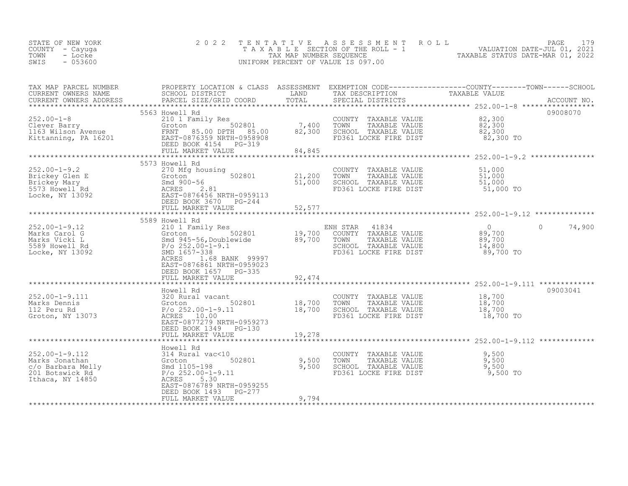| STATE OF NEW YORK<br>COUNTY - Cayuga<br>TOWN<br>- Locke<br>$-053600$<br>SWIS                                                                                     | 2 0 2 2                                                                                                                                                                                                  | TENTATIVE                  | A S S E S S M E N T R O L L<br>UNIFORM PERCENT OF VALUE IS 097.00                                                   | 179<br>PAGE<br>T A X A B L E SECTION OF THE ROLL - 1 VALUATION DATE-JUL 01, 2021                                                                                                                                       |
|------------------------------------------------------------------------------------------------------------------------------------------------------------------|----------------------------------------------------------------------------------------------------------------------------------------------------------------------------------------------------------|----------------------------|---------------------------------------------------------------------------------------------------------------------|------------------------------------------------------------------------------------------------------------------------------------------------------------------------------------------------------------------------|
| TAX MAP PARCEL NUMBER<br>CURRENT OWNERS NAME<br>CURRENT OWNERS ADDRESS                                                                                           |                                                                                                                                                                                                          |                            |                                                                                                                     | PROPERTY LOCATION & CLASS ASSESSMENT EXEMPTION CODE-----------------COUNTY--------TOWN------SCHOOL<br>SCHOOL DISTRICT LAND TAX DESCRIPTION TAXABLE VALUE<br>PARCEL SIZE/GRID COORD TOTAL SPECIAL DISTRICTS ACCOUNT NO. |
| 252.00-1-8<br>Clever Barry Clever Barry Groton 502801 7,400<br>1163 Wilson Avenue FRNT 85.00 DPTH 85.00 82,300<br>Kittanning, PA 16201 EAST-0876359 NRTH-0958908 | 5563 Howell Rd<br>DEED BOOK 4154 PG-319<br>FULL MARKET VALUE                                                                                                                                             | 84,845                     | COUNTY TAXABLE VALUE<br>TOWN<br>TAXABLE VALUE<br>SCHOOL TAXABLE VALUE<br>FD361 LOCKE FIRE DIST                      | 09008070<br>82,300<br>82,300<br>82,300<br>82,300 TO                                                                                                                                                                    |
| Exercisely Glen E<br>Brickey Glen E<br>Brickey Mary Smd 90<br>5573 Howell Rd ACRES<br>Locke, NY 13092 EAST-0                                                     | 5573 Howell Rd<br>270 Mfg housing<br>Groton 502801<br>Smd 900-56<br>2.81<br>EAST-0876456 NRTH-0959113<br>DEED BOOK 3670 PG-244<br>FULL MARKET VALUE                                                      | 21,200<br>51,000<br>52,577 | COUNTY<br>TAXABLE VALUE<br>TOWN<br>TAXABLE VALUE<br>SCHOOL TAXABLE VALUE<br>FD361 LOCKE FIRE DIST                   | 51,000<br>51,000<br>51,000<br>51,000 TO                                                                                                                                                                                |
|                                                                                                                                                                  | 5589 Howell Rd                                                                                                                                                                                           |                            |                                                                                                                     |                                                                                                                                                                                                                        |
| $252.00 - 1 - 9.12$<br>Marks Carol G<br>Marks Vicki L<br>5589 Howell Rd<br>Locke, NY 13092                                                                       | 210 1 Family Res<br>Groton 502801<br>Smd 945-56, Doublewide<br>R/s 252, 00-1-0.1<br>$P/O 252.00-1-9.1$<br>SMD 1657-338<br>ACRES<br>1.68 BANK 99997<br>EAST-0876861 NRTH-0959023<br>DEED BOOK 1657 PG-335 | $\frac{19,700}{89,700}$    | ENH STAR<br>41834<br>COUNTY TAXABLE VALUE<br>TOWN<br>TAXABLE VALUE<br>SCHOOL TAXABLE VALUE<br>FD361 LOCKE FIRE DIST | $\overline{0}$<br>$\Omega$<br>74,900<br>89,700<br>89,700<br>14,800<br>89,700 TO                                                                                                                                        |
|                                                                                                                                                                  | FULL MARKET VALUE                                                                                                                                                                                        | 92,474<br>**********       |                                                                                                                     | ***************************** 252.00-1-9.111 *************                                                                                                                                                             |
| $252.00 - 1 - 9.111$<br>Marks Dennis<br>112 Peru Rd<br>Groton, NY 13073                                                                                          | Howell Rd<br>320 Rural vacant<br>502801<br>Groton<br>$P/O 252.00-1-9.11$<br>ACRES 10.00<br>EAST-0877279 NRTH-0959273<br>DEED BOOK 1349 PG-130                                                            | 18,700<br>18,700           | COUNTY TAXABLE VALUE<br>TOWN<br>TAXABLE VALUE<br>SCHOOL TAXABLE VALUE<br>FD361 LOCKE FIRE DIST                      | 09003041<br>18,700<br>18,700<br>18,700<br>18,700 TO                                                                                                                                                                    |
|                                                                                                                                                                  | FULL MARKET VALUE                                                                                                                                                                                        | 19,278                     |                                                                                                                     |                                                                                                                                                                                                                        |
| $252.00 - 1 - 9.112$<br>contribution<br>c/o Barbara Melly<br>201 Botswick Rd<br>Ithaca, NY 14850                                                                 | Howell Rd<br>314 Rural vac<10<br>502801<br>Groton<br>Smd 1105-198<br>$P/O 252.00 - 1 - 9.11$<br>ACRES<br>5.30<br>EAST-0876789 NRTH-0959255<br>DEED BOOK 1493<br>PG-277                                   | 9,500<br>9,500             | COUNTY TAXABLE VALUE<br>TOWN<br>TAXABLE VALUE<br>SCHOOL TAXABLE VALUE<br>FD361 LOCKE FIRE DIST                      | 9,500<br>9,500<br>9,500<br>9,500 TO                                                                                                                                                                                    |

\*\*\*\*\*\*\*\*\*\*\*\*\*\*\*\*\*\*\*\*\*\*\*\*\*\*\*\*\*\*\*\*\*\*\*\*\*\*\*\*\*\*\*\*\*\*\*\*\*\*\*\*\*\*\*\*\*\*\*\*\*\*\*\*\*\*\*\*\*\*\*\*\*\*\*\*\*\*\*\*\*\*\*\*\*\*\*\*\*\*\*\*\*\*\*\*\*\*\*\*\*\*\*\*\*\*\*\*\*\*\*\*\*\*\*\*\*\*\*\*\*\*\*\*\*\*\*\*\*\*\*\*

FULL MARKET VALUE 9,794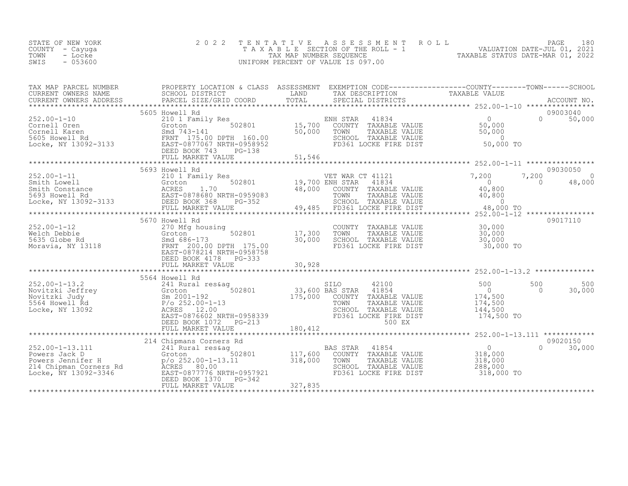| STATE OF NEW YORK<br>COUNTY - Cayuga<br>TOWN<br>- Locke<br>$-053600$<br>SWIS                                                                                                                                                                                                                                                                                                                                | 2 0 2 2                                         |                      | TENTATIVE ASSESSMENT ROLL PACE 180<br>TAXABLE SECTION OF THE ROLL - 1 VALUATION DATE-JUL 01, 2021<br>TAX MAP NUMBER SEQUENCE TAXABLE STATUS DATE-MAR 01, 2022<br>UNIFORM PERCENT OF VALUE IS 097.00 |                                                                               |                                         |
|-------------------------------------------------------------------------------------------------------------------------------------------------------------------------------------------------------------------------------------------------------------------------------------------------------------------------------------------------------------------------------------------------------------|-------------------------------------------------|----------------------|-----------------------------------------------------------------------------------------------------------------------------------------------------------------------------------------------------|-------------------------------------------------------------------------------|-----------------------------------------|
| TAX MAP PARCEL NUMBER PROPERTY LOCATION & CLASS ASSESSMENT EXEMPTION CODE---------------------COUNTY---------TOWN-------SCHOOL<br>CURRENT OWNERS NAME SCHOOL DISTRICT LAND TAX DESCRIPTION TAXABLE VALUE<br>CURRENT OWNERS ADDRESS P                                                                                                                                                                        |                                                 |                      |                                                                                                                                                                                                     |                                                                               |                                         |
|                                                                                                                                                                                                                                                                                                                                                                                                             | 5605 Howell Rd                                  |                      |                                                                                                                                                                                                     |                                                                               | 09003040<br>0 50,000                    |
|                                                                                                                                                                                                                                                                                                                                                                                                             |                                                 |                      |                                                                                                                                                                                                     |                                                                               |                                         |
| 5693 Howell Rd<br>210 1 Family Res<br>Smith Lowell 210 1 Family Res<br>Smith Constance 602801 502801 19,700 ENH STAR 41834 0<br>Smith Constance 2017<br>Smith Constance 2017<br>Smith Constance 2017<br>2010 Family Res<br>2010 502801 19,700                                                                                                                                                               | 5693 Howell Rd                                  |                      |                                                                                                                                                                                                     |                                                                               | 09030050<br>7,200<br>$\sim$ 0<br>48,000 |
|                                                                                                                                                                                                                                                                                                                                                                                                             | 5670 Howell Rd                                  |                      |                                                                                                                                                                                                     |                                                                               | 09017110                                |
| 252.00-1-12<br>Welch Debbie 270 Mfg housing<br>5635 Globe Rd Smd 686-173 30,000<br>Moravia, NY 13118 ERST-0878214 NRTH-0958758                                                                                                                                                                                                                                                                              | DEED BOOK 4178 PG-333                           | $\overline{30}$ ,000 |                                                                                                                                                                                                     |                                                                               |                                         |
|                                                                                                                                                                                                                                                                                                                                                                                                             | FULL MARKET VALUE                               | 30,928               |                                                                                                                                                                                                     |                                                                               |                                         |
|                                                                                                                                                                                                                                                                                                                                                                                                             | 5564 Howell Rd                                  |                      |                                                                                                                                                                                                     |                                                                               |                                         |
|                                                                                                                                                                                                                                                                                                                                                                                                             |                                                 |                      |                                                                                                                                                                                                     |                                                                               |                                         |
|                                                                                                                                                                                                                                                                                                                                                                                                             |                                                 |                      |                                                                                                                                                                                                     |                                                                               |                                         |
| $\begin{tabular}{lllllllll} \multicolumn{3}{c c c c c} \multicolumn{3}{c c c c} \multicolumn{3}{c c c c} \multicolumn{3}{c c c} \multicolumn{3}{c c c} \multicolumn{3}{c c c} \multicolumn{3}{c c c} \multicolumn{3}{c c c} \multicolumn{3}{c c c} \multicolumn{3}{c c c} \multicolumn{3}{c c c} \multicolumn{3}{c c c} \multicolumn{3}{c c c} \multicolumn{3}{c c c} \multicolumn{3}{c c c} \multicolumn{$ | DEED BOOK 1370<br>$PG-342$<br>FULL MARKET VALUE | 327,835              |                                                                                                                                                                                                     | 0<br>VALUE 318,000<br>VALUE 318,000<br>VALUE 318,000<br>288,000<br>318,000 TO | 09020150<br>$\Omega$<br>30,000          |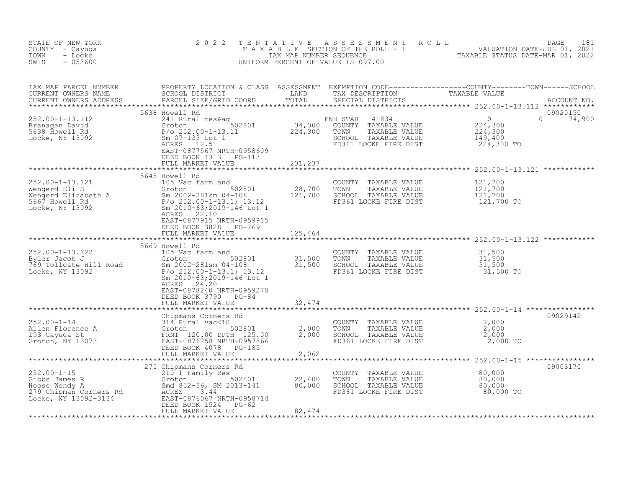| STATE OF NEW YORK<br>COUNTY - Cayuga<br>- Locke<br>TOWN<br>SWIS<br>$-053600$                                                                                                                | 2 0 2 2                                                                                                                                                                                    | T E N T A T I V E                                            | UNIFORM PERCENT OF VALUE IS 097.00                                                                                  | FENTATIVE ASSESSMENT ROLL VALUATION DATE-JUL 01, 2021<br>TAXABLE SECTION OF THE ROLL - 1 VALUATION DATE-JUL 01, 2021<br>TAXABLE STATUS DATE-MAR 01, 2022                |                    |
|---------------------------------------------------------------------------------------------------------------------------------------------------------------------------------------------|--------------------------------------------------------------------------------------------------------------------------------------------------------------------------------------------|--------------------------------------------------------------|---------------------------------------------------------------------------------------------------------------------|-------------------------------------------------------------------------------------------------------------------------------------------------------------------------|--------------------|
| TAX MAP PARCEL NUMBER<br>CURRENT OWNERS NAME<br>CURRENT OWNERS ADDRESS                                                                                                                      |                                                                                                                                                                                            |                                                              |                                                                                                                     | PROPERTY LOCATION & CLASS ASSESSMENT EXEMPTION CODE----------------COUNTY--------TOWN------SCHOOL SCHOOL SCHOOL DISTRICT LAND TAX DESCRIPTION TAXABLE VALUE ACCOUNT NO. |                    |
| $252.00 - 1 - 13.112$<br>Branagan David<br>5638 Howell Rd<br>Locke, NY 13092                                                                                                                | 5638 Howell Rd<br>241 Rural res&aq<br>Groton 502801<br>P/o 252.00-1-13.11<br>Sm 07-133 Lot 1<br>ACRES 12.51<br>EAST-0877567 NRTH-0958609<br>DEED BOOK 1313 PG-113<br>FULL MARKET VALUE     | $34,300$<br>224,300<br>231,237                               | ENH STAR<br>41834<br>COUNTY TAXABLE VALUE<br>TOWN<br>TAXABLE VALUE<br>SCHOOL TAXABLE VALUE<br>FD361 LOCKE FIRE DIST | $\overline{0}$<br>$\Omega$<br>$\frac{224}{224}$ , 300<br>149,400<br>224,300 TO                                                                                          | 09020150<br>74,900 |
| 252.00-1-13.121<br>Wengerd Eli S<br>Wengerd Eli S<br>Wengerd Elizabeth A<br>5667 Howell Rd<br>Locke, NY 13092<br>2010-63;2019-146 Lot 1<br>2010-63;2019-146 Lot 1<br>2010-63;2019-146 Lot 1 | 5645 Howell Rd<br>105 Vac farmland<br>502801<br>Groton<br>22.10<br>ACRES<br>EAST-0877915 NRTH-0959915<br>DEED BOOK 3828<br>PG-269<br>FULL MARKET VALUE                                     | 28,700<br>121,700<br>an an Silversia.<br>Tagairtí<br>125,464 | COUNTY TAXABLE VALUE<br>TOWN<br>TAXABLE VALUE<br>SCHOOL TAXABLE VALUE<br>FD361 LOCKE FIRE DIST                      | 121,700<br>121,700<br>121,700<br>121,700 TO                                                                                                                             |                    |
| 252.00-1-13.122<br>Byler Jacob J<br>769 Tollgate Hill Road<br>13.1300 Sm 2002-281sm 04-108<br>13.12<br>P/o 252.00-1-13.1; 13.12                                                             | 5669 Howell Rd<br>Sm 2010-63;2019-146 Lot 1<br>24.20<br>ACRES<br>EAST-0878240 NRTH-0959270<br>DEED BOOK 3790 PG-84<br>FULL MARKET VALUE                                                    | 32,474                                                       | COUNTY TAXABLE VALUE<br>TOWN<br>TAXABLE VALUE<br>SCHOOL TAXABLE VALUE<br>FD361 LOCKE FIRE DIST                      | 31,500<br>$\frac{31}{31}$ , 500<br>31, 500<br>31,500 TO                                                                                                                 |                    |
|                                                                                                                                                                                             |                                                                                                                                                                                            |                                                              |                                                                                                                     |                                                                                                                                                                         |                    |
|                                                                                                                                                                                             | Chipmans Corners Rd<br>DEED BOOK 4078<br>$PG-185$                                                                                                                                          | $\frac{2}{2}$ , 000                                          | COUNTY TAXABLE VALUE<br>TAXABLE VALUE<br>TOWN<br>SCHOOL TAXABLE VALUE<br>FD361 LOCKE FIRE DIST                      | 2,000<br>2,000<br>2,000<br>2,000 TO                                                                                                                                     | 09029142           |
|                                                                                                                                                                                             | FULL MARKET VALUE                                                                                                                                                                          | 2,062                                                        |                                                                                                                     |                                                                                                                                                                         |                    |
| $252.00 - 1 - 15$<br>Gibbs James R<br>Hoose Wendy A<br>279 Chipman Corners Rd<br>Locke, NY 13092-3134                                                                                       | 275 Chipmans Corners Rd<br>210 1 Family Res<br>502801<br>Groton<br>Smd 852-36, SM 2013-141<br>ACRES<br>3.44<br>EAST-0876067 NRTH-0958714<br>$PG-62$<br>DEED BOOK 1524<br>FULL MARKET VALUE | 22,400<br>80,000<br>82,474                                   | COUNTY<br>TAXABLE VALUE<br>TOWN<br>TAXABLE VALUE<br>SCHOOL TAXABLE VALUE<br>FD361 LOCKE FIRE DIST                   | 80,000<br>80,000<br>80,000<br>80,000 TO                                                                                                                                 | 09003170           |
|                                                                                                                                                                                             |                                                                                                                                                                                            |                                                              |                                                                                                                     |                                                                                                                                                                         |                    |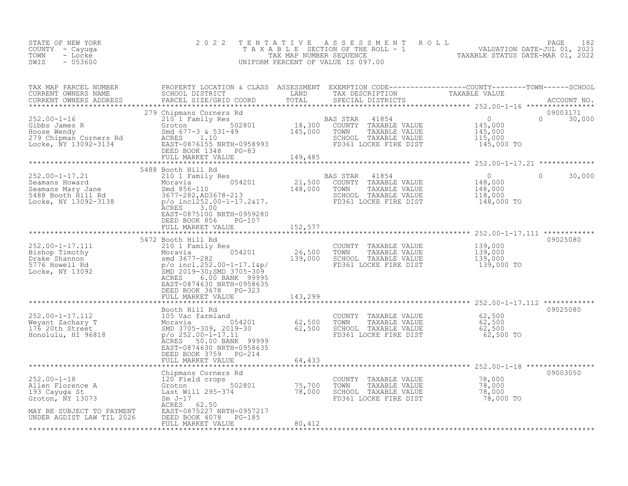| STATE OF NEW YORK<br>COUNTY - Cayuga<br>TOWN<br>- Locke<br>$-053600$<br>SWIS                                                                                                                                                                        | 2 0 2 2                                                                                                                                                                                                                                                                                                                                                | TENTATIVE                     | UNIFORM PERCENT OF VALUE IS 097.00                                                             | FENTATIVE ASSESSMENT ROLL MALUATION DATE-JUL 01, 2021<br>TAXABLE SECTION OF THE ROLL - 1 VALUATION DATE-JUL 01, 2021<br>TAXABLE STATUS DATE-MAR 01, 2022                                                   |                           |
|-----------------------------------------------------------------------------------------------------------------------------------------------------------------------------------------------------------------------------------------------------|--------------------------------------------------------------------------------------------------------------------------------------------------------------------------------------------------------------------------------------------------------------------------------------------------------------------------------------------------------|-------------------------------|------------------------------------------------------------------------------------------------|------------------------------------------------------------------------------------------------------------------------------------------------------------------------------------------------------------|---------------------------|
| TAX MAP PARCEL NUMBER<br>CURRENT OWNERS NAME<br>CURRENT OWNERS ADDRESS                                                                                                                                                                              |                                                                                                                                                                                                                                                                                                                                                        |                               |                                                                                                | PROPERTY LOCATION & CLASS ASSESSMENT EXEMPTION CODE-----------------COUNTY--------TOWN------SCHOOL<br>SCHOOL DISTRICT LAND TAX DESCRIPTION TAXABLE VALUE<br>PARCEL SIZE/GRID COORD TOTAL SPECIAL DISTRICTS |                           |
| 252.00-1-16<br>Gibbs James R<br>Hoose Wendy<br>279 Chipman Corners Rd<br>Locke, NY 13092-3134<br>279 Chipman Corners Rd<br>279 Chipman Corners Rd<br>279 Chipman Corners Rd<br>28 ACRES<br>28 ACRES<br>28 ACRES<br>28 ACRES<br>28 ACRES<br>28 ACRES | 279 Chipmans Corners Rd<br>EXERN A USE OF THE MANUSIC SERVICE CONTRACT ON A SOLUTION OF THE SALE OF SUITE OF A SALE OF SALE OF A SALE OF<br>SMORT SMORE SMORE SMORE SMORE SMORE SMORE SMORE SMORE SMORE SMORE SMORE SMORE SMORE SMORE SMORE SMORE SMORE SMO<br>ACRES 1.10<br>EAST-0876155 NRTH-0958993<br>DEED BOOK 1348 PC-83<br>DEED BOOK 1348 PG-83 |                               | 41854<br>SCHOOL TAXABLE VALUE<br>FD361 LOCKE FIRE DIST                                         | $\begin{array}{c} 0 \\ 145,000 \\ 145,000 \\ 115,000 \\ 115,000 \\ \end{array}$<br>145,000 TO                                                                                                              | 09003171<br>$0 \t 30,000$ |
|                                                                                                                                                                                                                                                     |                                                                                                                                                                                                                                                                                                                                                        |                               |                                                                                                |                                                                                                                                                                                                            |                           |
| 252.00-1-17.21<br>Seamans Howard<br>Seamans Howard<br>Seamans Mary Jane<br>5488 Booth Hill Rd<br>Locke, NY 13092-3138                                                                                                                               | 5488 Booth Hill Rd<br>BOOTH HILL RQ<br>21,500 EAS STAR 41854<br>Moravia 054201 21,500 COUNTY TAXABLE VALUE<br>Smd 856-110 148,000 TOWN TAXABLE VALUE<br>3677-282,AD3678-213 SCHOOL TAXABLE VALUE<br>P/o_inc1252,00-1-17.2&17. FD361 LOCKE FIRE DIST<br>3.00<br>ACRES                                                                                   |                               |                                                                                                | $\overline{0}$<br>$\circ$<br>$\begin{smallmatrix} & & 0\ 148,000\ 148,000\ 118,000\ 148,000\ \end{smallmatrix}$<br>148,000 TO                                                                              | 30,000                    |
|                                                                                                                                                                                                                                                     | EAST-0875100 NRTH-0959280<br>DEED BOOK 856<br>PG-107                                                                                                                                                                                                                                                                                                   |                               |                                                                                                |                                                                                                                                                                                                            |                           |
|                                                                                                                                                                                                                                                     | FULL MARKET VALUE                                                                                                                                                                                                                                                                                                                                      | 152,577                       |                                                                                                |                                                                                                                                                                                                            |                           |
|                                                                                                                                                                                                                                                     |                                                                                                                                                                                                                                                                                                                                                        | * * * * * * * * * * * * * * * |                                                                                                | ****************************** 252.00–1–17.111 ************                                                                                                                                                |                           |
| 252.00-1-17.111<br>Bishop Timothy<br>Drake Shannon<br>5776 Howell Rd<br>Locke, NY 13092                                                                                                                                                             | 5472 Booth Hill Rd<br>210 1 Family Res<br>210 1 Family Res<br>Moravia 054201<br>smd 3677-282<br>p/o incl.252.00-1-17.1&p/<br>SMD 2019-30;SMD 3705-309<br>ACRES 6.08 BANK 99995<br>ACRES<br>6.00 BANK 99995<br>EAST-0874630 NRTH-0958635                                                                                                                | 26,500<br>139,000             | COUNTY TAXABLE VALUE<br>TOWN<br>TAXABLE VALUE<br>SCHOOL TAXABLE VALUE<br>FD361 LOCKE FIRE DIST | 139,000<br>139,000<br>139,000<br>139,000 TO                                                                                                                                                                | 09025080                  |
|                                                                                                                                                                                                                                                     | DEED BOOK 3678 PG-323<br>FULL MARKET VALUE                                                                                                                                                                                                                                                                                                             | 143,299                       |                                                                                                |                                                                                                                                                                                                            |                           |
|                                                                                                                                                                                                                                                     |                                                                                                                                                                                                                                                                                                                                                        | **********                    |                                                                                                | ****************************** 252.00-1-17.112 ************                                                                                                                                                |                           |
| 252.00-1-17.112<br>Weyant Zachary T<br>176 20th Street<br>Honolulu, HI 96818                                                                                                                                                                        | Booth Hill Rd<br>105 Vac farmland<br>Moravia 054201<br>SMD 3705-309, 2019-30<br>p/o 252.00-1-17.11<br>ACRES<br>50.00 BANK 99999<br>EAST-0874630 NRTH-0958635<br>DEED BOOK 3759 PG-214<br>FULL MARKET VALUE                                                                                                                                             | 62,500<br>62,500<br>64,433    | COUNTY TAXABLE VALUE<br>TAXABLE VALUE<br>TOWN<br>SCHOOL TAXABLE VALUE<br>FD361 LOCKE FIRE DIST | 62,500<br>62,500<br>62,500<br>62,500 TO                                                                                                                                                                    | 09025080                  |
|                                                                                                                                                                                                                                                     |                                                                                                                                                                                                                                                                                                                                                        |                               |                                                                                                | ************** 252.00-1-18 *************                                                                                                                                                                   |                           |
| $252.00 - 1 - 18$<br>Allen Florence A<br>193 Cayuga St<br>Groton, NY 13073                                                                                                                                                                          | Chipmans Corners Rd<br>120 Field crops<br>120 Field crops<br>Groton 502801 75,700<br>Last Will 295-374 78,000<br>Sm J-17 7                                                                                                                                                                                                                             |                               | COUNTY TAXABLE VALUE<br>TOWN<br>TAXABLE VALUE<br>SCHOOL TAXABLE VALUE<br>FD361 LOCKE FIRE DIST | 78,000<br>78,000<br>7 <u>8,</u> 000<br>78,000 TO                                                                                                                                                           | 09003050                  |
| MAY BE SUBJECT TO PAYMENT<br>UNDER AGDIST LAW TIL 2026                                                                                                                                                                                              | ACRES<br>62.50<br>EAST-0875227 NRTH-0957217<br>DEED BOOK 4078<br>$PG-185$<br>FULL MARKET VALUE                                                                                                                                                                                                                                                         | 80,412                        |                                                                                                |                                                                                                                                                                                                            |                           |
|                                                                                                                                                                                                                                                     |                                                                                                                                                                                                                                                                                                                                                        |                               |                                                                                                |                                                                                                                                                                                                            |                           |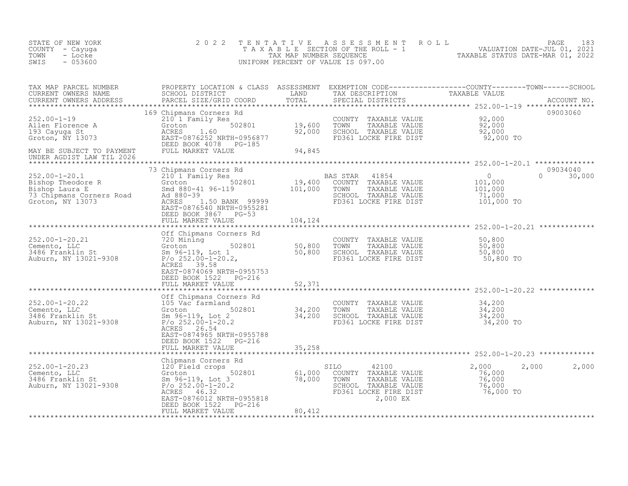| STATE OF NEW YORK<br>COUNTY - Cayuga<br>TOWN<br>- Locke<br>$-053600$<br>SWIS                                                                                                                  | 2 0 2 2                                                                                                                                                                                          | T E N T A T I V E          | A S S E S S M E N T<br>UNIFORM PERCENT OF VALUE IS 097.00                                                                   | PAGE<br>R O L L<br>TAXABLE SECTION OF THE ROLL - 1 ANDIATION DATE-JUL 01, 2021                                                                                                                                                  | 183 |
|-----------------------------------------------------------------------------------------------------------------------------------------------------------------------------------------------|--------------------------------------------------------------------------------------------------------------------------------------------------------------------------------------------------|----------------------------|-----------------------------------------------------------------------------------------------------------------------------|---------------------------------------------------------------------------------------------------------------------------------------------------------------------------------------------------------------------------------|-----|
| TAX MAP PARCEL NUMBER<br>CURRENT OWNERS NAME<br>CURRENT OWNERS ADDRESS<br>************************                                                                                            | PARCEL SIZE/GRID COORD<br>169 Chipmans Corners Rd                                                                                                                                                | TOTAL                      | SPECIAL DISTRICTS                                                                                                           | PROPERTY LOCATION & CLASS ASSESSMENT EXEMPTION CODE----------------COUNTY-------TOWN------SCHOOL<br>SCHOOL DISTRICT                         LAND         TAX DESCRIPTION               TAXABLE VALUE<br>ACCOUNT NO.<br>09003060 |     |
| $252.00 - 1 - 19$<br>Allen Florence A<br>Allen Florence A<br>193 Cayuga St<br>Groton, $\overline{N}$ 13073                                                                                    | 210 1 Family Res<br>502801<br>Groton<br>ACRES<br>1.60<br>EAST-0876252 NRTH-0956877<br>DEED BOOK 4078 PG-185<br>FULL MARKET VALUE                                                                 | 19,600<br>92,000           | COUNTY<br>TAXABLE VALUE<br>TAXABLE VALUE<br>TOWN<br>SCHOOL TAXABLE VALUE<br>FD361 LOCKE FIRE DIST                           | 92,000<br>92,000<br>92,000<br>92,000 TO                                                                                                                                                                                         |     |
| MAY BE SUBJECT TO PAYMENT<br>UNDER AGDIST LAW TIL 2026                                                                                                                                        |                                                                                                                                                                                                  | 94,845                     |                                                                                                                             |                                                                                                                                                                                                                                 |     |
| $252.00 - 1 - 20.1$<br>Exercise of Exercise Report of the S02801<br>Bishop Theodore R<br>Bishop Laura E<br>T3 Chingans Corners Road<br>Ad B80-39<br>ACBES 1 50 BANK 99999<br>Groton, NY 13073 | 73 Chipmans Corners Rd<br>210 1 Family Res<br>ACRES<br>1.50 BANK 99999<br>EAST-0876540 NRTH-0955281<br>DEED BOOK 3867 PG-53                                                                      | 19,400<br>101,000          | BAS STAR<br>41854<br>COUNTY TAXABLE VALUE<br>TOWN<br>TAXABLE VALUE<br>SCHOOL TAXABLE VALUE<br>FD361 LOCKE FIRE DIST         | 09034040<br>$\circ$<br>$\Omega$<br>30,000<br>101,000<br>101,000<br>71,000<br>101,000 TO                                                                                                                                         |     |
|                                                                                                                                                                                               | FULL MARKET VALUE                                                                                                                                                                                | 104,124                    |                                                                                                                             |                                                                                                                                                                                                                                 |     |
| 252.00-1-20.21<br>Cemento, LLC<br>3486 Franklin St<br>Auburn, NY 13021-9308                                                                                                                   | Off Chipmans Corners Rd<br>720 Mining<br>502801<br>Groton<br>Sm 96-119, Lot 1<br>$P$ /o 252.00-1-20.2,<br>ACRES 39.58<br>EAST-0874069 NRTH-0955753<br>DEED BOOK 1522 PG-216<br>FULL MARKET VALUE | 50,800<br>50,800<br>52,371 | COUNTY<br>TAXABLE VALUE<br>TAXABLE VALUE<br>TOWN<br>SCHOOL TAXABLE VALUE<br>FD361 LOCKE FIRE DIST                           | 50,800<br>50,800<br>50,800<br>50,800 TO                                                                                                                                                                                         |     |
|                                                                                                                                                                                               | Off Chipmans Corners Rd                                                                                                                                                                          | ************               |                                                                                                                             |                                                                                                                                                                                                                                 |     |
| 252.00-1-20.22<br>Cemento, LLC<br>3486 Franklin St<br>Auburn, NY 13021-9308                                                                                                                   | 105 Vac farmland<br>502801<br>Groton<br>Sm 96-119, Lot 2<br>$P/O$ 252.00-1-20.2<br>ACRES 26.54<br>EAST-0874965 NRTH-0955788<br>DEED BOOK 1522 PG-216                                             | 34,200<br>34,200           | COUNTY TAXABLE VALUE<br>TOWN<br>TAXABLE VALUE<br>SCHOOL TAXABLE VALUE<br>FD361 LOCKE FIRE DIST                              | 34,200<br>34,200<br>34,200<br>34,200 TO                                                                                                                                                                                         |     |
|                                                                                                                                                                                               | FULL MARKET VALUE                                                                                                                                                                                | 35,258                     |                                                                                                                             | ******************** 252.00-1-20.23 ************                                                                                                                                                                                |     |
| 252.00-1-20.23<br>Cemento, LLC<br>3486 Franklin St<br>Auburn, NY 13021-9308                                                                                                                   | Chipmans Corners Rd<br>120 Field crops<br>502801<br>Groton<br>Sm 96-119, Lot 3<br>P/o 252.00-1-20.2<br>ACRES 46.32<br>EAST-0876012 NRTH-0955818<br>DEED BOOK 1522 PG-216                         | 61,000<br>78,000           | 42100<br>SILO<br>COUNTY TAXABLE VALUE<br>TOWN<br>TAXABLE VALUE<br>SCHOOL TAXABLE VALUE<br>FD361 LOCKE FIRE DIST<br>2,000 EX | 2,000<br>2,000<br>2,000<br>76,000<br>76,000<br>76,000<br>76,000 TO                                                                                                                                                              |     |
|                                                                                                                                                                                               | FULL MARKET VALUE                                                                                                                                                                                | 80,412                     |                                                                                                                             |                                                                                                                                                                                                                                 |     |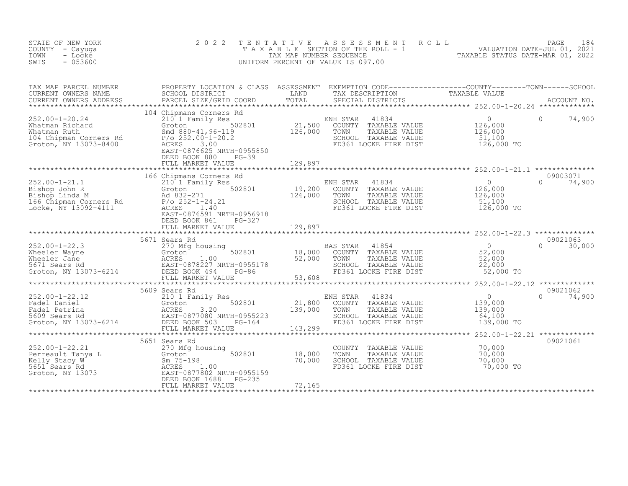| STATE OF NEW YORK<br>COUNTY - Cayuga<br>- Locke<br>TOWN<br>$-053600$<br>SWIS                                                                                                                                                                           | 2 0 2 2                                                                            | TENTATIVE | TENTATIVE ASSESSMENT ROLL PACE 184<br>TAXABLE SECTION OF THE ROLL - 1 VALUATION DATE-JUL 01, 2021<br>TAX MAP NUMBER SEQUENCE TAXABLE STATUS DATE-MAR 01, 2022<br>JNIFORM PERCENT OF VALUE IS 097.00<br>UNIFORM PERCENT OF VALUE IS 097.00 |           |                    |
|--------------------------------------------------------------------------------------------------------------------------------------------------------------------------------------------------------------------------------------------------------|------------------------------------------------------------------------------------|-----------|-------------------------------------------------------------------------------------------------------------------------------------------------------------------------------------------------------------------------------------------|-----------|--------------------|
| TAX MAP PARCEL NUMBER PROPERTY LOCATION & CLASS ASSESSMENT EXEMPTION CODE-----------------COUNTY--------TOWN------SCHOOL SCHOOL DISTRICT LAND TAX DESCRIPTION TAXABLE VALUE<br>CURRENT OWNERS ADDRESS PARCEL SIZE/GRID COORD TOTA                      |                                                                                    |           |                                                                                                                                                                                                                                           |           |                    |
| 104 Chipmans Corners Rd<br>252.00-1-20.24 210 1 Family Res<br>Whatman Richard Groton 502801 21,500 COUNTY TAXABLE VALUE 126,000<br>Whatman Ruth Smd 880-41,96-119 126,000 TOWN TAXABLE VALUE 126,000<br>104 Chipman Corners Rd P/o 252                 | EAST-0876625 NRTH-0955850<br>DEED BOOK 880<br>$PG-39$<br>FULL MARKET VALUE 129,897 |           |                                                                                                                                                                                                                                           |           | 74,900             |
|                                                                                                                                                                                                                                                        |                                                                                    |           |                                                                                                                                                                                                                                           |           | 09003071           |
|                                                                                                                                                                                                                                                        | 166 Chipmans Corners Rd<br>DEED BOOK 861 PG-327                                    | 129,897   | SCHOOL TAXABLE VALUE<br>FD361 LOCKE FIRE DIST 126,000 TO                                                                                                                                                                                  |           | $\Omega$<br>74,900 |
|                                                                                                                                                                                                                                                        |                                                                                    |           |                                                                                                                                                                                                                                           |           |                    |
| 352.00-1-22.3 56/1 Sears Rd<br>Wheeler Wayne (270 Mfg housing BAS STAR 41854 0<br>Wheeler Wayne Solem Solem States 1.00 COUNTY TAXABLE VALUE 52,000<br>Wheeler Jane ACRES 1.00 52,000 TOWN TAXABLE VALUE 52,000<br>S671 Sears Rd EAST-                 | 5671 Sears Rd                                                                      |           |                                                                                                                                                                                                                                           |           | 09021063           |
|                                                                                                                                                                                                                                                        | 5609 Sears Rd                                                                      |           |                                                                                                                                                                                                                                           |           | 09021062           |
|                                                                                                                                                                                                                                                        |                                                                                    |           |                                                                                                                                                                                                                                           |           |                    |
|                                                                                                                                                                                                                                                        |                                                                                    |           |                                                                                                                                                                                                                                           |           |                    |
| 252.00-1-22.21<br>Perreault Tanya L<br>Erreault Tanya L<br>SUSI Sears Rely Stacy W<br>502801 18,000<br>SUSI Sears 1.00<br>SUSI Sears 1.00<br>ACRES 1.00<br>ACRES 1.00<br>ERD BOOK 1688 PG-235<br>PEED BOOK 1688 PG-235<br>PEED BOOK 1688 PG-235<br>PEE | 5651 Sears Rd                                                                      |           | COUNTY TAXABLE VALUE $70,000$<br>TOWN TAXABLE VALUE 70,000<br>SCHOOL TAXABLE VALUE 70,000<br>FD361 LOCKE FIRE DIST                                                                                                                        | 70,000 TO | 09021061           |
|                                                                                                                                                                                                                                                        |                                                                                    |           |                                                                                                                                                                                                                                           |           |                    |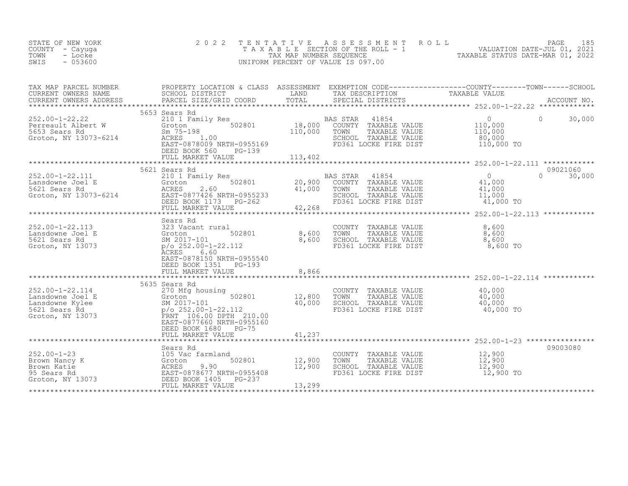| STATE OF NEW YORK<br>COUNTY - Cayuga<br>- Locke<br>TOWN<br>$-053600$<br>SWIS                                                                                                                                                                               | 2 0 2 2                                                                                              | TENTATIVE                           | UNIFORM PERCENT OF VALUE IS 097.00                                                                                                                                                                                                              | FENTATIVE ASSESSMENT ROLL<br>TAXABLE SECTION OF THE ROLL - 1 VALUATION DATE-JUL 01, 2021<br>TAXABLE STATUS DATE-MAR 01, 2022<br>INIEODM DERICENT OF VALUATION OF VALUATION DERICTION |  |
|------------------------------------------------------------------------------------------------------------------------------------------------------------------------------------------------------------------------------------------------------------|------------------------------------------------------------------------------------------------------|-------------------------------------|-------------------------------------------------------------------------------------------------------------------------------------------------------------------------------------------------------------------------------------------------|--------------------------------------------------------------------------------------------------------------------------------------------------------------------------------------|--|
| CURRENT OWNERS NAME                                                                                                                                                                                                                                        |                                                                                                      |                                     |                                                                                                                                                                                                                                                 |                                                                                                                                                                                      |  |
| 252.00-1-22.22<br>Perreault Albert W 3000 2001 Family Res<br>Ferreault Albert W 3070-6214<br>Groton, NY 13073-6214<br>Groton, NY 13073-6214<br>CRES 1.00<br>DEED ROOK 560 PG-139<br>DEED ROOK 560 PG-139<br>PERD ROOK 560 PG-139<br>PERD ROOK 56           | 5653 Sears Rd<br>DEED BOOK 560 PG-139                                                                |                                     |                                                                                                                                                                                                                                                 | $\overline{0}$<br>$\Omega$<br>30,000<br>$\frac{110,000}{110,000}$<br>80,000<br>110,000 TO                                                                                            |  |
| 352.00-1-22.111<br>Lansdowne Joel E 30201 Family Res<br>5621 Sears Rd Groton, NY 13073-6214<br>Groton, NY 13073-6214<br>CREED BOOK 1173 PG-262                                                                                                             | 5621 Sears Rd<br>FULL MARKET VALUE                                                                   | 42,268                              | N JIAK 41854<br>COUNTY TAXABLE VALUE 41,000<br>TOWN TAXABLE VALUE 41,000<br>SCHOOL TAXABLE VALUE 41,000<br>TRESCH TAXABLE VALUE<br>BAS STAR 41854<br>TOWN TAXABLE VALUE<br>SCHOOL TAXABLE VALUE<br>COSS TOCKE FIRE DIST<br>******************** | 09021060<br>$\Omega$<br>30,000<br>41,000 TO<br>******************** 252.00-1-22.113 ************                                                                                     |  |
| 252.00-1-22.113<br>Lansdowne Joel E 323 Vacant rural 202801<br>Section by the series of the state of the state of the small country TAXABLE VALUE 8,600<br>Section, NY 13073<br>Section, NY 13073<br>Section, NY 13073<br>Section, NY 130                  | Sears Rd<br>6.60<br>ACRES<br>EAST-0878150 NRTH-0955540<br>DEED BOOK 1351 PG-193<br>FULL MARKET VALUE | 8,866                               |                                                                                                                                                                                                                                                 |                                                                                                                                                                                      |  |
| 252.00-1-22.114<br>Lansdowne Joel E<br>Lansdowne Kylee<br>5621 Sears Rd<br>Groton, NY 13073<br>FRNT 106.00 DPTH 210.00<br>EAST-0877660 NPTH 210.00                                                                                                         | 5635 Sears Rd<br>DEED BOOK 1680 PG-75<br>FULL MARKET VALUE                                           | 12,800<br>40,000<br>41,237          | COUNTY TAXABLE VALUE<br>TOWN TAXABLE VALUE $40,000$<br>SCHOOL TAXABLE VALUE $40,000$<br>FD361 LOCKE FIRE DIST                                                                                                                                   | 40,000<br>40,000 TO<br>************************************* 252.00-1-23 *****************                                                                                           |  |
| 252.00-1-23<br>Brown Nancy K<br>Brown Katie<br>95 Sears Rd<br>95 Sears Rd<br>95 Sears Rd<br>95 Sears Rd<br>95 Sears Rd<br>95 Sears Rd<br>95 Sears Rd<br>95 Sears Rd<br>95 Sears Rd<br>95 Sears Rd<br>95 BRST-0878677 NRTH-0955408<br>95 BRST-0878677 NRTH- |                                                                                                      | $502801$ 12,900<br>12,900<br>13,299 | COUNTY TAXABLE VALUE<br>TOWN<br>TAXABLE VALUE<br>SCHOOL TAXABLE VALUE<br>FD361 LOCKE FIRE DIST                                                                                                                                                  | 09003080<br>12,900<br>12,900<br>12,900<br>12,900 TO                                                                                                                                  |  |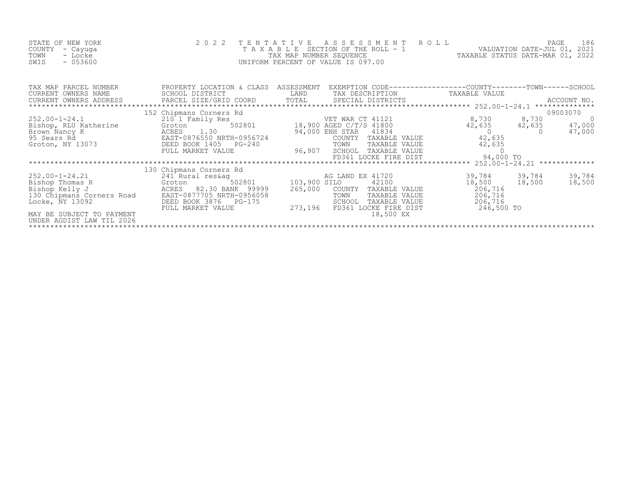| STATE OF NEW YORK<br>COUNTY<br>- Cayuqa<br>TOWN<br>- Locke<br>$-053600$<br>SWIS                                                                                     | 2022 TENTATIVE                                                                                                                                                       | ASSESSMENT<br>T A X A B L E SECTION OF THE ROLL - 1<br>TAX MAP NUMBER SEQUENCE<br>UNIFORM PERCENT OF VALUE IS 097.00                                                                | R O L L<br>186<br>PAGE<br>VALUATION DATE-JUL 01, 2021<br>TAXABLE STATUS DATE-MAR 01, 2022                             |
|---------------------------------------------------------------------------------------------------------------------------------------------------------------------|----------------------------------------------------------------------------------------------------------------------------------------------------------------------|-------------------------------------------------------------------------------------------------------------------------------------------------------------------------------------|-----------------------------------------------------------------------------------------------------------------------|
| TAX MAP PARCEL NUMBER<br>CURRENT OWNERS NAME<br>CURRENT OWNERS ADDRESS<br>*************************                                                                 | PROPERTY LOCATION & CLASS ASSESSMENT<br>SCHOOL DISTRICT                                                                                                              | LAND<br>TAX DESCRIPTION                                                                                                                                                             | EXEMPTION CODE-----------------COUNTY-------TOWN------SCHOOL<br>TAXABLE VALUE                                         |
|                                                                                                                                                                     |                                                                                                                                                                      |                                                                                                                                                                                     | 09003070                                                                                                              |
| $252.00 - 1 - 24.1$<br>Bishop, RLU Katherine<br>Brown Nancy K<br>95 Sears Rd<br>Groton, NY 13073                                                                    | 152 Chipmans Corners Rd<br>210 1 Family Res<br>502801<br>Groton<br>1.30<br>ACRES<br>EAST-0876550 NRTH-0956724<br>DEED BOOK 1405 PG-240<br>FULL MARKET VALUE          | VET WAR CT 41121<br>18,900 AGED C/T/S 41800<br>94,000 ENH STAR 41834<br>COUNTY TAXABLE VALUE<br>TAXABLE VALUE<br>TOWN<br>96,907<br>SCHOOL<br>TAXABLE VALUE<br>FD361 LOCKE FIRE DIST | 8,730 8,730<br>$42,635$ $47,000$<br>0 $47,000$<br>42,635<br>$\overline{0}$<br>47,000<br>42,635<br>42,635<br>94,000 TO |
|                                                                                                                                                                     |                                                                                                                                                                      |                                                                                                                                                                                     |                                                                                                                       |
| $252.00 - 1 - 24.21$<br>Bishop Thomas R<br>Bishop Kelly J<br>130 Chipmans Corners Road<br>Locke, NY 13092<br>MAY BE SUBJECT TO PAYMENT<br>UNDER AGDIST LAW TIL 2026 | 130 Chipmans Corners Rd<br>241 Rural res&ag<br>502801<br>Groton<br>ACRES 82.30 BANK 99999<br>EAST-0877705 NRTH-0956058<br>DEED BOOK 3876 PG-175<br>FULL MARKET VALUE | AG LAND EX 41720<br>103,900 SILO<br>42100<br>COUNTY TAXABLE VALUE<br>265,000<br>TAXABLE VALUE<br>TOWN<br>SCHOOL<br>TAXABLE VALUE<br>273,196<br>FD361 LOCKE FIRE DIST<br>18,500 EX   | 39,784<br>39,784<br>39,784<br>18,500<br>18,500<br>18,500<br>206,716<br>206,716<br>206,716<br>246,500 TO               |

\*\*\*\*\*\*\*\*\*\*\*\*\*\*\*\*\*\*\*\*\*\*\*\*\*\*\*\*\*\*\*\*\*\*\*\*\*\*\*\*\*\*\*\*\*\*\*\*\*\*\*\*\*\*\*\*\*\*\*\*\*\*\*\*\*\*\*\*\*\*\*\*\*\*\*\*\*\*\*\*\*\*\*\*\*\*\*\*\*\*\*\*\*\*\*\*\*\*\*\*\*\*\*\*\*\*\*\*\*\*\*\*\*\*\*\*\*\*\*\*\*\*\*\*\*\*\*\*\*\*\*\*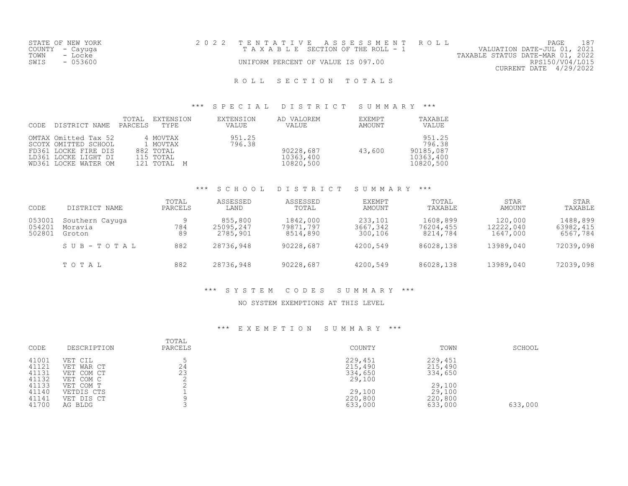|      | STATE OF NEW YORK | 2022 TENTATIVE ASSESSMENT ROLL        |  |                                  | PAGE                        |  |
|------|-------------------|---------------------------------------|--|----------------------------------|-----------------------------|--|
|      | COUNTY – Cayuga   | T A X A B L E SECTION OF THE ROLL - 1 |  |                                  | VALUATION DATE-JUL 01, 2021 |  |
| TOWN | - Locke           |                                       |  | TAXABLE STATUS DATE-MAR 01, 2022 |                             |  |
| SWIS | - 053600          | UNIFORM PERCENT OF VALUE IS 097.00    |  |                                  | RPS150/V04/L015             |  |
|      |                   |                                       |  |                                  | CURRENT DATE 4/29/2022      |  |
|      |                   |                                       |  |                                  |                             |  |

#### \*\*\* S P E C I A L D I S T R I C T S U M M A R Y \*\*\*

| CODE | DISTRICT NAME                                                                                                        | TOTAL<br>PARCELS | EXTENSION<br>TYPE                                             | EXTENSION<br>VALUE | AD VALOREM<br>VALUE                 | EXEMPT<br>AMOUNT | TAXABLE<br>VALUE                                        |
|------|----------------------------------------------------------------------------------------------------------------------|------------------|---------------------------------------------------------------|--------------------|-------------------------------------|------------------|---------------------------------------------------------|
|      | OMTAX Omitted Tax 52<br>SCOTX OMITTED SCHOOL<br>FD361 LOCKE FIRE DIS<br>LD361 LOCKE LIGHT DI<br>WD361 LOCKE WATER OM |                  | 4 MOVTAX<br>1 MOVTAX<br>882 TOTAL<br>115 TOTAL<br>121 TOTAL M | 951.25<br>796.38   | 90228,687<br>10363,400<br>10820,500 | 43,600           | 951.25<br>796.38<br>90185,087<br>10363,400<br>10820,500 |

#### \*\*\* S C H O O L D I S T R I C T S U M M A R Y \*\*\*

| CODE                       | DISTRICT NAME                        | TOTAL<br>PARCELS | ASSESSED<br>LAND                 | ASSESSED<br>TOTAL                 | <b>EXEMPT</b><br>AMOUNT        | TOTAL<br>TAXABLE                  | STAR<br>AMOUNT                   | STAR<br>TAXABLE                   |
|----------------------------|--------------------------------------|------------------|----------------------------------|-----------------------------------|--------------------------------|-----------------------------------|----------------------------------|-----------------------------------|
| 053001<br>054201<br>502801 | Southern Cayuqa<br>Moravia<br>Groton | 784<br>89        | 855,800<br>25095,247<br>2785,901 | 1842,000<br>79871,797<br>8514,890 | 233,101<br>3667,342<br>300,106 | 1608,899<br>76204,455<br>8214,784 | 120,000<br>12222,040<br>1647,000 | 1488,899<br>63982,415<br>6567,784 |
|                            | SUB-TOTAL                            | 882              | 28736,948                        | 90228,687                         | 4200,549                       | 86028,138                         | 13989,040                        | 72039,098                         |
|                            | TOTAL                                | 882              | 28736,948                        | 90228,687                         | 4200,549                       | 86028,138                         | 13989,040                        | 72039,098                         |

### \*\*\* S Y S T E M C O D E S S U M M A R Y \*\*\*

#### NO SYSTEM EXEMPTIONS AT THIS LEVEL

| 41001<br>229,451<br>229,451<br>VET CIL<br>24<br>41121<br>215,490<br>215,490<br>VET WAR CT<br>23<br>41131<br>334,650<br>334,650<br>VET COM CT<br>41132<br>29,100<br>VET COM C<br>41133<br>29,100<br>VET COM T<br>29,100<br>29,100<br>41140<br>VETDIS CTS<br>41141<br>220,800<br>220,800<br>VET DIS CT | CODE  | DESCRIPTION | TOTAL<br>PARCELS | COUNTY  | TOWN    | SCHOOL  |
|------------------------------------------------------------------------------------------------------------------------------------------------------------------------------------------------------------------------------------------------------------------------------------------------------|-------|-------------|------------------|---------|---------|---------|
|                                                                                                                                                                                                                                                                                                      | 41700 | AG BLDG     |                  | 633,000 | 633,000 | 633,000 |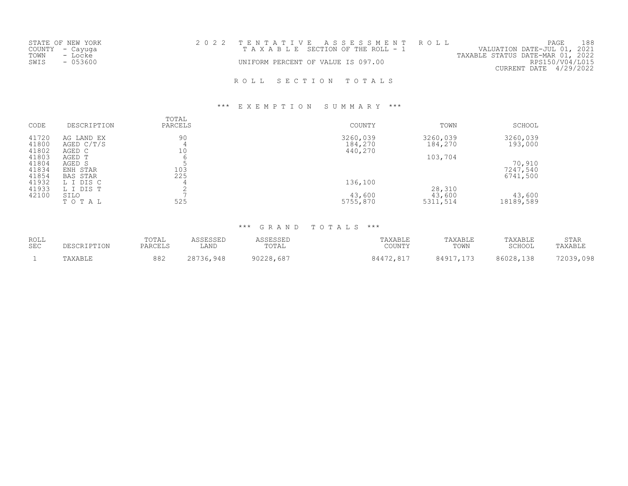|      | STATE OF NEW YORK |  |                                    | 2022 TENTATIVE ASSESSMENT ROLL  |                                  | PAGE                   | 188 |
|------|-------------------|--|------------------------------------|---------------------------------|----------------------------------|------------------------|-----|
|      | COUNTY - Cayuga   |  |                                    | TAXABLE SECTION OF THE ROLL - 1 | VALUATION DATE-JUL 01, 2021      |                        |     |
| TOWN | - Locke           |  |                                    |                                 | TAXABLE STATUS DATE-MAR 01, 2022 |                        |     |
| SWIS | $-053600$         |  | UNIFORM PERCENT OF VALUE IS 097.00 |                                 |                                  | RPS150/V04/L015        |     |
|      |                   |  |                                    |                                 |                                  | CURRENT DATE 4/29/2022 |     |
|      |                   |  |                                    |                                 |                                  |                        |     |
|      |                   |  |                                    | ROLL SECTION TOTALS             |                                  |                        |     |

#### \*\*\* E X E M P T I O N S U M M A R Y \*\*\*

| CODE           | DESCRIPTION          | TOTAL<br>PARCELS | COUNTY             | TOWN     | SCHOOL    |
|----------------|----------------------|------------------|--------------------|----------|-----------|
| 41720          | AG LAND EX           | 90               | 3260,039           | 3260,039 | 3260,039  |
| 41800<br>41802 | AGED C/T/S<br>AGED C | 10               | 184,270<br>440,270 | 184,270  | 193,000   |
| 41803          | AGED T               | b                |                    | 103,704  |           |
| 41804          | AGED S               |                  |                    |          | 70,910    |
| 41834          | ENH STAR             | 103              |                    |          | 7247,540  |
| 41854          | <b>BAS STAR</b>      | 225              |                    |          | 6741,500  |
| 41932          | L I DIS C            |                  | 136,100            |          |           |
| 41933          | L I DIS T            |                  |                    | 28,310   |           |
| 42100          | SILO                 |                  | 43,600             | 43,600   | 43,600    |
|                | TOTAL                | 525              | 5755,870           | 5311,514 | 18189,589 |

| ROLL       | DESCRIPTION | TOTAL   | ASSESSED  | ASSESSED  | TAXABLE   | TAXABLE   | TAXABLE   | <b>STAR</b> |
|------------|-------------|---------|-----------|-----------|-----------|-----------|-----------|-------------|
| <b>SEC</b> |             | PARCELS | LAND      | TOTAL     | COUNTY    | TOWN      | SCHOOL    | TAXABLE     |
|            | TAXABLE     | 882     | 28736,948 | 90228,687 | 84472,817 | 84917,173 | 86028,138 | 72039,098   |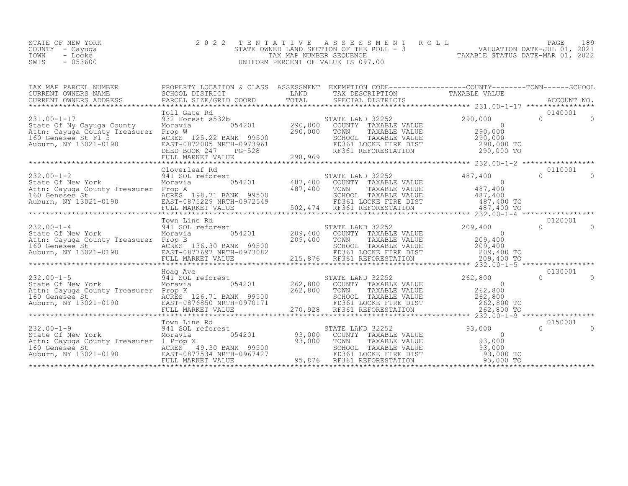| STATE OF NEW YORK | 2022 TENTATIVE ASSESSMENT ROLL                              | PAGE 189                    |  |
|-------------------|-------------------------------------------------------------|-----------------------------|--|
| COUNTY – Cayuga   | STATE OWNED LAND SECTION OF THE ROLL - 3                    | VALUATION DATE-JUL 01, 2021 |  |
| TOWN<br>- Locke   | TAXABLE STATUS DATE-MAR 01, 2022<br>TAX MAP NUMBER SEOUENCE |                             |  |
| $-053600$<br>SWIS | UNIFORM PERCENT OF VALUE IS 097.00                          |                             |  |

|                                                                                                                                                                                                                                                                                                                                                                                                                                                                        | Toll Gate Rd                |                                                                                                                                  |                           | 0140001 |          |
|------------------------------------------------------------------------------------------------------------------------------------------------------------------------------------------------------------------------------------------------------------------------------------------------------------------------------------------------------------------------------------------------------------------------------------------------------------------------|-----------------------------|----------------------------------------------------------------------------------------------------------------------------------|---------------------------|---------|----------|
| $231.00 - 1 - 17$<br>State Of Ny Cayuga County<br>Attn: Cayuga County Treasurer Prop W<br>Attn: Cayuga County Treasurer Prop W<br>160 Genesee St F1 5 ACRES 125.22 BANK 99500 290,000 TOWN TAXABLE VALUE<br>Auburn, NY 13021-0190 BAST-0872005 NRTH-0973961 BDSED BOOK 247 PG-528 RF361 REFORESTATION 290,000 TO<br>FULL MARKE                                                                                                                                         | 932 Forest s532b<br>Moravia | 532b<br>532b 290,000 STATE LAND 32252<br>054201 290,000 TOWN TAXABLE VALUE<br>290,000 TOWN TAXABLE VALUE<br>SCHOOL TAXABLE VALUE | 290,000<br>$0$<br>290,000 | $\cap$  | $\Omega$ |
|                                                                                                                                                                                                                                                                                                                                                                                                                                                                        |                             |                                                                                                                                  |                           |         |          |
|                                                                                                                                                                                                                                                                                                                                                                                                                                                                        |                             |                                                                                                                                  |                           |         |          |
|                                                                                                                                                                                                                                                                                                                                                                                                                                                                        | Cloverleaf Rd               |                                                                                                                                  |                           | 0110001 |          |
|                                                                                                                                                                                                                                                                                                                                                                                                                                                                        |                             |                                                                                                                                  |                           |         |          |
|                                                                                                                                                                                                                                                                                                                                                                                                                                                                        |                             |                                                                                                                                  |                           |         |          |
|                                                                                                                                                                                                                                                                                                                                                                                                                                                                        |                             |                                                                                                                                  |                           | 0120001 |          |
| 232.00-1-4<br>232.00-1-4 941 SOL reforest<br>209,400<br>Moravia 054201 209,400<br>$\begin{tabular}{lllllllllllll} 232.00-1-4 & 941 \: \: 80 \: \text{Moravia} & 054201 & 209,400 & \: 8000 \: \text{COWITY} & \text{TAXABLE VALUE} & 209,400 \\ \text{State Of New York} & \text{Moravia} & 054201 & 209,400 & \: 8000 \: \text{COWITY} & \text{TAXABLE VALUE} & 209,400 \\ \text{Attn: Cayage St} & \text{Rorog} & \text{Rorog} & \text{Rorog} & 209,400 & \: 8000 \$ |                             | STATE LAND 32252                                                                                                                 | 209,400                   | $\cap$  | $\Omega$ |
|                                                                                                                                                                                                                                                                                                                                                                                                                                                                        |                             |                                                                                                                                  |                           |         |          |
|                                                                                                                                                                                                                                                                                                                                                                                                                                                                        |                             |                                                                                                                                  |                           |         |          |
| $\begin{tabular}{l c c c c c c} \multicolumn{3}{c c c c} \multicolumn{3}{c c c} \multicolumn{3}{c c c} \multicolumn{3}{c c c} \multicolumn{3}{c c c} \multicolumn{3}{c c c} \multicolumn{3}{c c c} \multicolumn{3}{c c c} \multicolumn{3}{c c c} \multicolumn{3}{c c c} \multicolumn{3}{c c c} \multicolumn{3}{c c c} \multicolumn{3}{c c c} \multicolumn{3}{c c c} \multicolumn{3}{c c c} \multicolumn$                                                               |                             |                                                                                                                                  |                           |         |          |
|                                                                                                                                                                                                                                                                                                                                                                                                                                                                        |                             |                                                                                                                                  |                           | 0150001 |          |
|                                                                                                                                                                                                                                                                                                                                                                                                                                                                        |                             |                                                                                                                                  |                           | $\cap$  | $\Omega$ |
|                                                                                                                                                                                                                                                                                                                                                                                                                                                                        |                             |                                                                                                                                  |                           |         |          |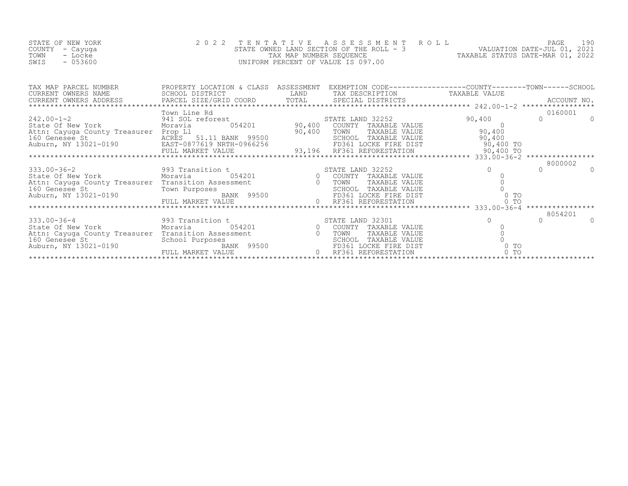| STATE OF NEW YORK | 2022 TENTATIVE ASSESSMENT ROLL           | 190<br>PAGE                      |
|-------------------|------------------------------------------|----------------------------------|
| COUNTY – Cayuga   | STATE OWNED LAND SECTION OF THE ROLL - 3 | VALUATION DATE-JUL 01, 2021      |
| TOWN<br>- Locke   | TAX MAP NUMBER SEOUENCE                  | TAXABLE STATUS DATE-MAR 01, 2022 |
| $-053600$<br>SWIS | UNIFORM PERCENT OF VALUE IS 097.00       |                                  |
|                   |                                          |                                  |

| TAX MAP PARCEL NUMBER PROPERTY LOCATION & CLASS ASSESSMENT BARRITION TAXABLE VALUE<br>CURRENT OWNERS NAME SCHOOL DISTRICT LAND TAX DESCRIPTION TAXABLE VALUE<br>CURRENT OWNERS ADDRESS PARCEL SIZE/GRID COORD TOTAL SPECIAL DISTRICT                                 |              |  |        |         |
|----------------------------------------------------------------------------------------------------------------------------------------------------------------------------------------------------------------------------------------------------------------------|--------------|--|--------|---------|
|                                                                                                                                                                                                                                                                      |              |  |        |         |
|                                                                                                                                                                                                                                                                      |              |  |        |         |
|                                                                                                                                                                                                                                                                      | Town Line Rd |  |        | 0160001 |
|                                                                                                                                                                                                                                                                      |              |  |        |         |
|                                                                                                                                                                                                                                                                      |              |  |        |         |
|                                                                                                                                                                                                                                                                      |              |  |        |         |
|                                                                                                                                                                                                                                                                      |              |  |        |         |
|                                                                                                                                                                                                                                                                      |              |  |        |         |
|                                                                                                                                                                                                                                                                      |              |  |        |         |
| $\begin{tabular}{@{}c@{}}\textbf{242.00-1-2} & 1000001 & 1010 & 1010 & 1010 & 1010 & 1010 & 1010 & 1010 & 10100000 & 10100000 & 101000000 & 101000000 & 101000000 & 101000000 & 101000000 & 101000000 & 101000000 & 101000000 & 101000000 & 101000000 & 101000000 &$ |              |  |        |         |
|                                                                                                                                                                                                                                                                      |              |  |        | 8000002 |
|                                                                                                                                                                                                                                                                      |              |  |        |         |
|                                                                                                                                                                                                                                                                      |              |  |        |         |
|                                                                                                                                                                                                                                                                      |              |  |        |         |
|                                                                                                                                                                                                                                                                      |              |  |        |         |
|                                                                                                                                                                                                                                                                      |              |  |        |         |
|                                                                                                                                                                                                                                                                      |              |  |        |         |
|                                                                                                                                                                                                                                                                      |              |  |        |         |
|                                                                                                                                                                                                                                                                      |              |  |        | 8054201 |
|                                                                                                                                                                                                                                                                      |              |  |        |         |
|                                                                                                                                                                                                                                                                      |              |  |        |         |
|                                                                                                                                                                                                                                                                      |              |  |        |         |
|                                                                                                                                                                                                                                                                      |              |  |        |         |
|                                                                                                                                                                                                                                                                      |              |  | $0$ TO |         |
| 333.00-36-4<br>State Of New York Moravia and Moravia 054201<br>Moravia 054201 0 COUNTY TAXABLE VALUE<br>Attn: Cayuga County Treasurer Transition Assessment 160 Genesee St<br>Auburn, NY 13021-0190 FULL MARKET VALUE<br>FULL MARKET VAL                             |              |  |        |         |
|                                                                                                                                                                                                                                                                      |              |  |        |         |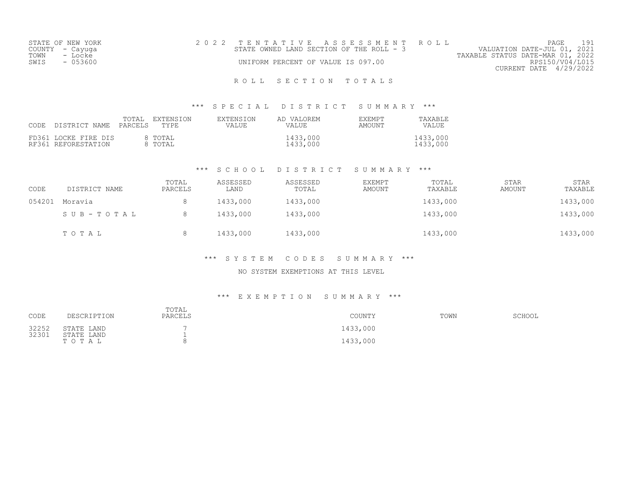| STATE OF NEW YORK | 2022 TENTATIVE ASSESSMENT ROLL           | PAGE                             |  |
|-------------------|------------------------------------------|----------------------------------|--|
| COUNTY - Cayuqa   | STATE OWNED LAND SECTION OF THE ROLL - 3 | VALUATION DATE-JUL 01, 2021      |  |
| TOWN<br>- Locke   |                                          | TAXABLE STATUS DATE-MAR 01, 2022 |  |
| - 053600<br>SWIS  | UNIFORM PERCENT OF VALUE IS 097.00       | RPS150/V04/L015                  |  |
|                   |                                          | CURRENT DATE 4/29/2022           |  |

#### \*\*\* S P E C I A L D I S T R I C T S U M M A R Y \*\*\*

| CODE | DISTRICT NAME                               | TOTAL<br>PARCELS | EXTENSION<br>TYPE  | EXTENSION<br>VALUE | AD VALOREM<br>VALUE  | <b>EXEMPT</b><br>AMOUNT | TAXABLE<br>VALUE     |
|------|---------------------------------------------|------------------|--------------------|--------------------|----------------------|-------------------------|----------------------|
|      | FD361 LOCKE FIRE DIS<br>RF361 REFORESTATION |                  | 8 TOTAL<br>8 TOTAL |                    | 1433,000<br>1433,000 |                         | 1433,000<br>1433,000 |

### \*\*\* S C H O O L D I S T R I C T S U M M A R Y \*\*\*

| CODE   | DISTRICT NAME | TOTAL<br>PARCELS | ASSESSED<br>LAND | ASSESSED<br>TOTAL | EXEMPT<br>AMOUNT | TOTAL<br>TAXABLE | <b>STAR</b><br>AMOUNT | <b>STAR</b><br>TAXABLE |
|--------|---------------|------------------|------------------|-------------------|------------------|------------------|-----------------------|------------------------|
| 054201 | Moravia       | 8                | 1433,000         | 1433,000          |                  | 1433,000         |                       | 1433,000               |
|        | SUB-TOTAL     | 8                | 1433,000         | 1433,000          |                  | 1433,000         |                       | 1433,000               |
|        | TOTAL         | 8                | 1433,000         | 1433,000          |                  | 1433,000         |                       | 1433,000               |

#### \*\*\* S Y S T E M C O D E S S U M M A R Y \*\*\*

#### NO SYSTEM EXEMPTIONS AT THIS LEVEL

| CODE           | DESCRIPTION              | TOTAL<br>PARCELS | COUNTY   | TOWN | SCHOOL |
|----------------|--------------------------|------------------|----------|------|--------|
| 32252<br>32301 | STATE LAND<br>STATE LAND |                  | 1433,000 |      |        |
|                | TOTAL                    |                  | 1433,000 |      |        |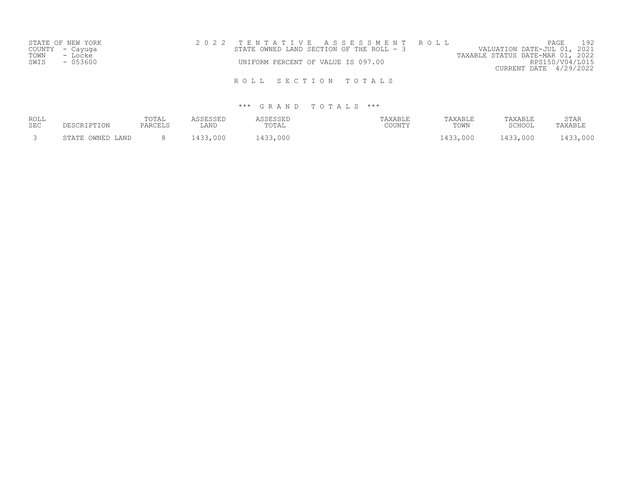|      | STATE OF NEW YORK | 2022 TENTATIVE ASSESSMENT ROLL |                                    |  |                                          |                                  |                        | PAGE | 192 |
|------|-------------------|--------------------------------|------------------------------------|--|------------------------------------------|----------------------------------|------------------------|------|-----|
|      | COUNTY - Cayuga   |                                |                                    |  | STATE OWNED LAND SECTION OF THE ROLL - 3 | VALUATION DATE-JUL 01, 2021      |                        |      |     |
| TOWN | - Locke           |                                |                                    |  |                                          | TAXABLE STATUS DATE-MAR 01, 2022 |                        |      |     |
| SWIS | $-053600$         |                                | UNIFORM PERCENT OF VALUE IS 097.00 |  |                                          |                                  | RPS150/V04/L015        |      |     |
|      |                   |                                |                                    |  |                                          |                                  | CURRENT DATE 4/29/2022 |      |     |
|      |                   |                                |                                    |  |                                          |                                  |                        |      |     |
|      |                   |                                | ROLL SECTION TOTALS                |  |                                          |                                  |                        |      |     |

| ROLL<br><b>SEC</b> | CRIPTION                   | TOTAL<br>PARCELS | LAND        | TOTAL       | 'AXABLE<br>COUNTY | "AXABLE<br>TOWN | TAXABLE<br>$CCTI\cap\cap T$ | STAR<br>TAXABLI |
|--------------------|----------------------------|------------------|-------------|-------------|-------------------|-----------------|-----------------------------|-----------------|
|                    | OWNED LAND<br><b>STATE</b> |                  | ハつつ<br>,000 | ,000<br>V33 |                   | .433,000        | 433,000                     | ,000            |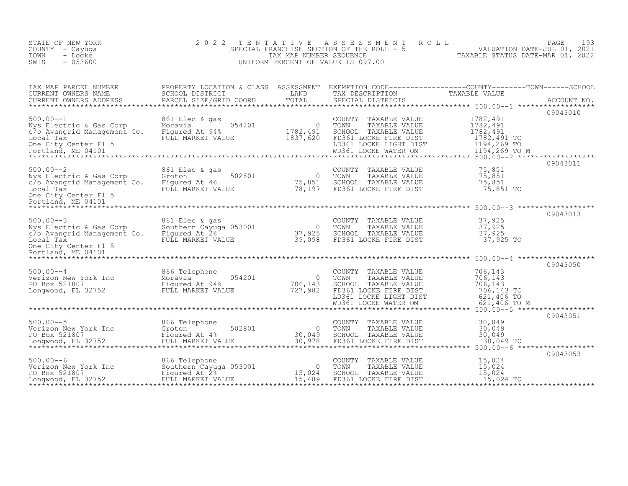| STATE OF NEW YORK<br>COUNTY - Cayuga<br>TOWN<br>- Locke<br>$-053600$<br>SWIS                                                                                              | 2 0 2 2<br>TENTATIVE                                                          | TAX MAP NUMBER SEQUENCE              | A S S E S S M E N T<br>SPECIAL FRANCHISE SECTION OF THE ROLL - 5<br>UNIFORM PERCENT OF VALUE IS 097.00                                           | ROLL<br>PAGE<br>PAGE 193<br>VALUATION DATE-JUL 01, 2021<br>TAXABLE STATUS DATE-MAR 01, 2022 | 193         |
|---------------------------------------------------------------------------------------------------------------------------------------------------------------------------|-------------------------------------------------------------------------------|--------------------------------------|--------------------------------------------------------------------------------------------------------------------------------------------------|---------------------------------------------------------------------------------------------|-------------|
| TAX MAP PARCEL NUMBER THE PROPERTY LOCATION & CLASS ASSESSMENT EXEMPTION CODE---------------COUNTY-------TOWN-----SCHOOL<br>CURRENT OWNERS NAME<br>CURRENT OWNERS ADDRESS | SCHOOL DISTRICT<br>PARCEL SIZE/GRID COORD                                     | LAND<br>TOTAL                        | TAX DESCRIPTION TAXABLE VALUE<br>SPECIAL DISTRICTS<br>SPECIAL DISTRICTS                                                                          |                                                                                             | ACCOUNT NO. |
|                                                                                                                                                                           |                                                                               |                                      |                                                                                                                                                  |                                                                                             | 09043010    |
| $500.00 - -1$<br>Nys Electric & Gas Corp<br>c/o Avangrid Management Co. Figured At 94%<br>Local Tax<br>One City Center Fl 5<br>Portland, ME 04101                         | 861 Elec & gas<br>Moravia<br>FULL MARKET VALUE                                | 054201 0<br>1782,491<br>1837,620     | COUNTY TAXABLE VALUE<br>TOWN<br>TAXABLE VALUE<br>SCHOOL TAXABLE VALUE<br>FD361 LOCKE FIRE DIST<br>LD361 LOCKE LIGHT DIST<br>WD361 LOCKE WATER OM | 1782,491<br>1782,491<br>1782,491<br>1782,491 TO<br>1194,269 TO<br>1194,269 TO M             |             |
|                                                                                                                                                                           |                                                                               |                                      |                                                                                                                                                  |                                                                                             | 09043011    |
| $500.00 - 2$<br>Nys Electric & Gas Corp<br>c/o Avangrid Management Co. Figured At 4%<br>Local Tax<br>One City Center Fl 5<br>Portland, ME 04101                           | 861 Elec & gas<br>502801<br>Groton<br>FULL MARKET VALUE                       | $\overline{0}$<br>75,851<br>78,197   | COUNTY TAXABLE VALUE<br>TOWN<br>TAXABLE VALUE<br>SCHOOL TAXABLE VALUE<br>FD361 LOCKE FIRE DIST                                                   | 75,851<br>75,851<br>75,851<br>75,851 TO                                                     |             |
|                                                                                                                                                                           |                                                                               |                                      |                                                                                                                                                  |                                                                                             | 09043013    |
| $500.00 - -3$<br>Nys Electric & Gas Corp<br>c/o Avangrid Management Co. Figured At 2%<br>Local Tax<br>One City Center Fl 5<br>Portland, ME 04101                          | 861 Elec & gas<br>Southern Cayuga 053001<br>FULL MARKET VALUE                 | $\overline{0}$<br>37,925<br>39,098   | COUNTY TAXABLE VALUE<br>TOWN<br>TAXABLE VALUE<br>SCHOOL TAXABLE VALUE<br>FD361 LOCKE FIRE DIST                                                   | 37,925<br>37,925<br>37,925<br>37,925 TO                                                     |             |
|                                                                                                                                                                           |                                                                               |                                      |                                                                                                                                                  |                                                                                             | 09043050    |
| $500.00 - 4$<br>UNIVERSITY OF THE MOTAL SURFACE OF THE VALUE PO BOX 521807<br>PO Box 521807 Figured At 94%<br>Longwood, FL 32752 FULL MARKET VALUE                        | 866 Telephone<br>054201                                                       | $\overline{0}$<br>706,143<br>727,982 | COUNTY TAXABLE VALUE<br>TOWN<br>TAXABLE VALUE<br>SCHOOL TAXABLE VALUE<br>FD361 LOCKE FIRE DIST                                                   | 706,143<br>706,143<br>706,143<br>706,143 TO<br>621,406 TO<br>621,406 TO M                   |             |
|                                                                                                                                                                           |                                                                               |                                      |                                                                                                                                                  |                                                                                             |             |
| $500.00--5$<br>Verizon New York Inc Groton<br>PO Box 521807 Figured At 4%<br>Longwood, FL 32752 FULL MARKET VA                                                            | 866 Telephone<br>FULL MARKET VALUE                                            | $502801$ 0<br>30,049<br>JE 30,978    | COUNTY TAXABLE VALUE<br>TOWN<br>TAXABLE VALUE<br>SCHOOL TAXABLE VALUE<br>FD361 LOCKE FIRE DIST                                                   | 30,049<br>30,049<br>30,049<br>30,049 TO                                                     | 09043051    |
|                                                                                                                                                                           |                                                                               |                                      |                                                                                                                                                  |                                                                                             | 09043053    |
| $500.00 - 6$<br>Verizon New York Inc<br>PO Box 521807<br>Longwood, FL 32752                                                                                               | 866 Telephone<br>Southern Cayuga 053001<br>Figured At 2%<br>FULL MARKET VALUE | $\bigcirc$<br>15,024<br>15,489       | COUNTY TAXABLE VALUE<br>TOWN<br>TAXABLE VALUE<br>SCHOOL TAXABLE VALUE<br>FD361 LOCKE FIRE DIST                                                   | 15,024<br>15,024<br>15,024<br>15,024 TO                                                     |             |

\*\*\*\*\*\*\*\*\*\*\*\*\*\*\*\*\*\*\*\*\*\*\*\*\*\*\*\*\*\*\*\*\*\*\*\*\*\*\*\*\*\*\*\*\*\*\*\*\*\*\*\*\*\*\*\*\*\*\*\*\*\*\*\*\*\*\*\*\*\*\*\*\*\*\*\*\*\*\*\*\*\*\*\*\*\*\*\*\*\*\*\*\*\*\*\*\*\*\*\*\*\*\*\*\*\*\*\*\*\*\*\*\*\*\*\*\*\*\*\*\*\*\*\*\*\*\*\*\*\*\*\*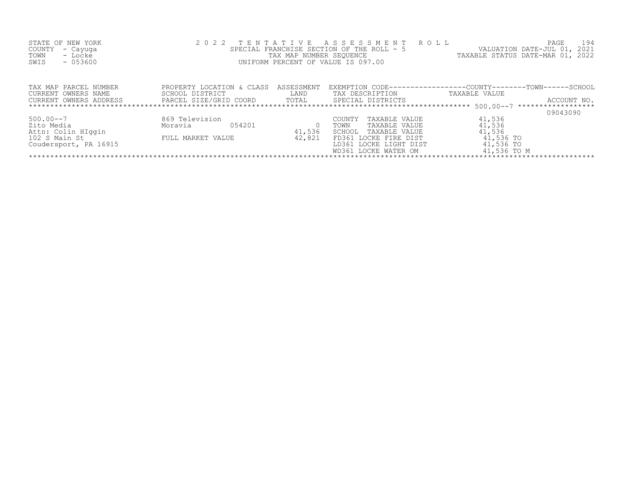| STATE OF NEW YORK<br>COUNTY<br>- Cayuga<br>- Locke<br>TOWN<br>$-053600$<br>SWIS            |                                                                                                | TAX MAP NUMBER SEQUENCE | 2022 TENTATIVE ASSESSMENT ROLL<br>SPECIAL FRANCHISE SECTION OF THE ROLL - 5<br>UNIFORM PERCENT OF VALUE IS 097.00                                   | PAGE<br>- 194<br>VALUATION DATE-JUL 01, 2021<br>TAXABLE STATUS DATE-MAR 01, 2022                         |  |  |  |  |
|--------------------------------------------------------------------------------------------|------------------------------------------------------------------------------------------------|-------------------------|-----------------------------------------------------------------------------------------------------------------------------------------------------|----------------------------------------------------------------------------------------------------------|--|--|--|--|
| TAX MAP PARCEL NUMBER<br>CURRENT OWNERS NAME<br>CURRENT OWNERS ADDRESS                     | PROPERTY LOCATION & CLASS<br>SCHOOL DISTRICT<br>PARCEL SIZE/GRID COORD TOTAL SPECIAL DISTRICTS | ASSESSMENT<br>LAND      | TAX DESCRIPTION                                                                                                                                     | EXEMPTION CODE-----------------COUNTY-------TOWN------SCHOOL<br>TAXABLE VALUE<br>ACCOUNT NO.<br>09043090 |  |  |  |  |
| $500.00 - 7$<br>Zito Media<br>Attn: Colin HIqqin<br>102 S Main St<br>Coudersport, PA 16915 | 869 Television<br>054201<br>Moravia<br>FULL MARKET VALUE                                       | 41,536<br>42,821        | TAXABLE VALUE<br>COUNTY<br>TAXABLE VALUE<br>TOWN<br>SCHOOL TAXABLE VALUE<br>FD361 LOCKE FIRE DIST<br>LD361 LOCKE LIGHT DIST<br>WD361 LOCKE WATER OM | 41,536<br>41,536<br>41,536<br>41,536 TO<br>41,536 TO<br>41,536 TO M                                      |  |  |  |  |
|                                                                                            |                                                                                                |                         |                                                                                                                                                     |                                                                                                          |  |  |  |  |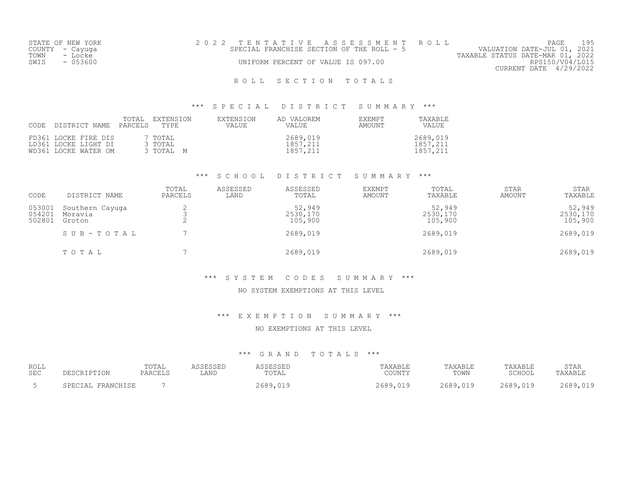|      | STATE OF NEW YORK | 2022 TENTATIVE ASSESSMENT ROLL            |  |  |                                  | PAGE                   | 195 |
|------|-------------------|-------------------------------------------|--|--|----------------------------------|------------------------|-----|
|      | COUNTY – Cayuga   | SPECIAL FRANCHISE SECTION OF THE ROLL - 5 |  |  | VALUATION DATE-JUL 01, 2021      |                        |     |
| TOWN | - Locke           |                                           |  |  | TAXABLE STATUS DATE-MAR 01, 2022 |                        |     |
| SWIS | - 053600          | UNIFORM PERCENT OF VALUE IS 097.00        |  |  |                                  | RPS150/V04/L015        |     |
|      |                   |                                           |  |  |                                  | CURRENT DATE 4/29/2022 |     |
|      |                   |                                           |  |  |                                  |                        |     |

\*\*\* S P E C I A L D I S T R I C T S U M M A R Y \*\*\*

| CODE DISTRICT NAME PARCELS TYPE                                      | TOTAL | EXTENSION                       | EXTENSION<br>VALUE | AD VALOREM<br>VALUE              | <b>EXEMPT</b><br>AMOUNT | TAXARLE<br>VALUE                 |
|----------------------------------------------------------------------|-------|---------------------------------|--------------------|----------------------------------|-------------------------|----------------------------------|
| FD361 LOCKE FIRE DIS<br>LD361 LOCKE LIGHT DI<br>WD361 LOCKE WATER OM |       | 7 TOTAL<br>3 TOTAL<br>3 TOTAL M |                    | 2689,019<br>1857,211<br>1857,211 |                         | 2689,019<br>1857,211<br>1857,211 |

#### \*\*\* S C H O O L D I S T R I C T S U M M A R Y \*\*\*

| CODE                       | DISTRICT NAME                        | TOTAL<br>PARCELS | ASSESSED<br>LAND | ASSESSED<br>TOTAL             | <b>EXEMPT</b><br>AMOUNT | TOTAL<br>TAXABLE              | <b>STAR</b><br>AMOUNT | <b>STAR</b><br>TAXABLE        |
|----------------------------|--------------------------------------|------------------|------------------|-------------------------------|-------------------------|-------------------------------|-----------------------|-------------------------------|
| 053001<br>054201<br>502801 | Southern Cayuga<br>Moravia<br>Groton | ▵<br>ے           |                  | 52,949<br>2530,170<br>105,900 |                         | 52,949<br>2530,170<br>105,900 |                       | 52,949<br>2530,170<br>105,900 |
|                            | SUB-TOTAL                            |                  |                  | 2689,019                      |                         | 2689,019                      |                       | 2689,019                      |
|                            | TOTAL                                |                  |                  | 2689,019                      |                         | 2689,019                      |                       | 2689,019                      |

#### \*\*\* S Y S T E M C O D E S S U M M A R Y \*\*\*

### NO SYSTEM EXEMPTIONS AT THIS LEVEL

#### \*\*\* E X E M P T I O N S U M M A R Y \*\*\*

NO EXEMPTIONS AT THIS LEVEL

| ROLL<br>SEC | DESCRIPTION       | TOTAL<br>PARCELS | ASSESSED<br>LAND | ACCECCEL<br>$m \wedge m \wedge$<br>eutal | TAXABLE<br>COUNTY        | TAXABLE<br>TOWN | TAXABLE<br>SCHOOL | STAR<br>TAXABLE |
|-------------|-------------------|------------------|------------------|------------------------------------------|--------------------------|-----------------|-------------------|-----------------|
|             | SPECIAL FRANCHISE |                  |                  | 2689,019                                 | 2689.<br>$\cap$ 1 $\cap$ | 2689,019        | 2689,019          | 2689,019        |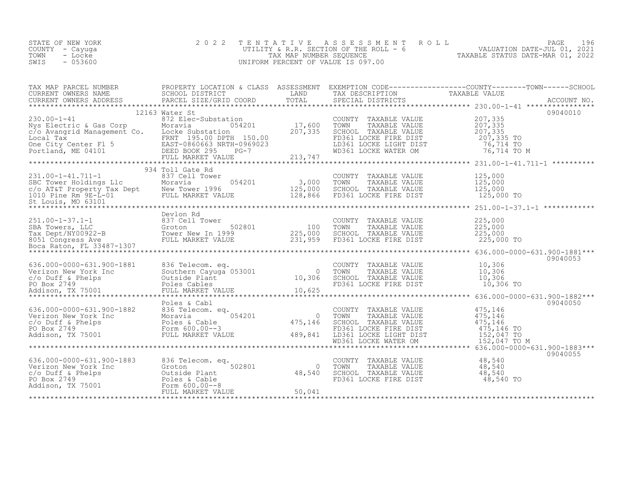| STATE OF NEW YORK | 2022 TENTATIVE ASSESSMENT ROLL          |                                  | PAGE                        | 196 |
|-------------------|-----------------------------------------|----------------------------------|-----------------------------|-----|
| COUNTY – Cayuga   | UTILITY & R.R. SECTION OF THE ROLL $-6$ |                                  | VALUATION DATE-JUL 01, 2021 |     |
| TOWN<br>- Locke   | TAX MAP NUMBER SEOUENCE                 | TAXABLE STATUS DATE-MAR 01, 2022 |                             |     |
| - 053600<br>SWIS  | UNIFORM PERCENT OF VALUE IS 097.00      |                                  |                             |     |

| TAX MAP PARCEL NUMBER<br>TAX MAP PARCER NUMBER AND ENGLISITY IN A CONSUMERT ON TAXABLE VALUE<br>CURRENT OWNERS NAME SOMEN SCHOOL DISTRICT TOTAL TO TAXABLE VALUE<br>CURRENT OWNERS ADDRESS PARCEL SIZE/GRID COORD TOTAL SPECIAL DISTRICTS ACCOUNT NO.<br>******* | PROPERTY LOCATION & CLASS ASSESSMENT EXEMPTION CODE----------------COUNTY-------TOWN------SCHOOL |                                                                                                                                 |          |
|------------------------------------------------------------------------------------------------------------------------------------------------------------------------------------------------------------------------------------------------------------------|--------------------------------------------------------------------------------------------------|---------------------------------------------------------------------------------------------------------------------------------|----------|
|                                                                                                                                                                                                                                                                  |                                                                                                  |                                                                                                                                 |          |
|                                                                                                                                                                                                                                                                  | 12163 Water St                                                                                   |                                                                                                                                 | 09040010 |
|                                                                                                                                                                                                                                                                  |                                                                                                  |                                                                                                                                 |          |
|                                                                                                                                                                                                                                                                  |                                                                                                  |                                                                                                                                 |          |
|                                                                                                                                                                                                                                                                  | 934 Toll Gate Rd                                                                                 |                                                                                                                                 |          |
| 125,000 1-1-12,11-1 231.00-1-41.711-1 234 1011 Gate Au 231.00-1-41.711-1 23.000 2000 2011 235,000 2011 235,000<br>SBC Tower Holdings Llc Moravia 254 201 3,000 7000 2000 2011 225,000<br>C/O AT&T Property Tax Dept New Tower 1996                               |                                                                                                  |                                                                                                                                 |          |
|                                                                                                                                                                                                                                                                  |                                                                                                  |                                                                                                                                 |          |
|                                                                                                                                                                                                                                                                  |                                                                                                  |                                                                                                                                 |          |
|                                                                                                                                                                                                                                                                  |                                                                                                  |                                                                                                                                 |          |
| 636.000-0000-631.900-1881 836 Telecom.eq.<br>Verizon New York Inc Southern Cayuga 053001 0 70WN TAXABLE VALUE 10,306<br>C/o Duff & Phelps 0utside Plant 10,306 SCHOOL TAXABLE VALUE 10,306<br>PO Box 2749 Poles Cables FD361 LOCKE F                             |                                                                                                  |                                                                                                                                 | 09040053 |
|                                                                                                                                                                                                                                                                  |                                                                                                  |                                                                                                                                 |          |
|                                                                                                                                                                                                                                                                  |                                                                                                  |                                                                                                                                 |          |
|                                                                                                                                                                                                                                                                  |                                                                                                  |                                                                                                                                 | 09040055 |
| 636.000-0000-631.900-1883<br>Verizon New York Inc Groton 5<br>c/o Duff & Phelps Outside Plant<br>PO Box 2749 Poles & Cable<br>Addison, TX 75001 FORM PO BOLOGICALLY<br>POLES & Cable<br>FULL MARKET VALUE                                                        |                                                                                                  | COUNTY TAXABLE VALUE $48,540$<br>TOWN TAXABLE VALUE $48,540$<br>SCHOOL TAXABLE VALUE $48,540$<br>FD361 LOCKE FIRE DIST $48,540$ |          |
|                                                                                                                                                                                                                                                                  |                                                                                                  |                                                                                                                                 |          |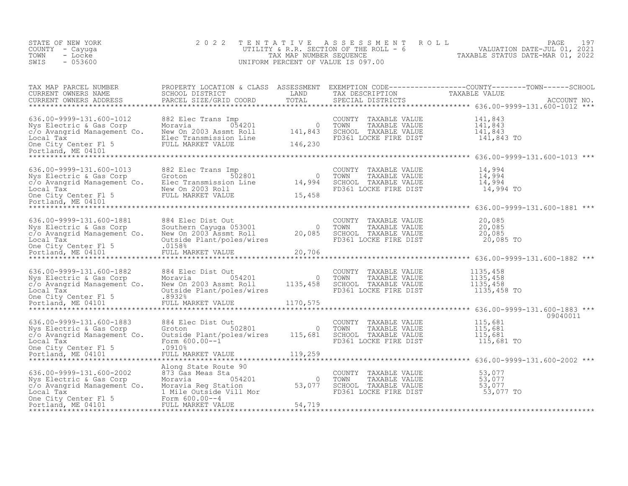| STATE OF NEW YORK<br>COUNTY - Cayuga<br>TOWN<br>- Locke<br>SWIS<br>$-053600$                                                                                                                                                                                | 2 0 2 2                                                                                                                                                                                                                               |                | TENTATIVE ASSESSMENT<br>UNIFORM PERCENT OF VALUE IS 097.00                                                 | FENTATIVE ASSESSMENT ROLL (PAGE 197<br>UTILITY & R.R. SECTION OF THE ROLL - 6 VALUATION DATE-JUL 01, 2021<br>TAX MAP NUMBER SEQUENCE (TAXABLE STATUS DATE-MAR 01, 2022                                          |
|-------------------------------------------------------------------------------------------------------------------------------------------------------------------------------------------------------------------------------------------------------------|---------------------------------------------------------------------------------------------------------------------------------------------------------------------------------------------------------------------------------------|----------------|------------------------------------------------------------------------------------------------------------|-----------------------------------------------------------------------------------------------------------------------------------------------------------------------------------------------------------------|
| TAX MAP PARCEL NUMBER<br>CURRENT OWNERS NAME<br>CURRENT OWNERS ADDRESS                                                                                                                                                                                      |                                                                                                                                                                                                                                       |                |                                                                                                            | PROPERTY LOCATION & CLASS ASSESSMENT EXEMPTION CODE------------------COUNTY--------TOWN------SCHOOL SCHOOL SCHOOL DISTRICT LAND TAX DESCRIPTION TAXABLE VALUE<br>PARCEL SIZE/GRID COORD TOTAL SPECIAL DISTRICTS |
| Nys Electric & Gas Corp<br>Communication of the Moravia and Communication of the Moravia and Communication of the Moravia and Communication<br>Communication of the Moravia and Communication of the Moravia and Electron<br>Communi                        |                                                                                                                                                                                                                                       |                | COUNTY TAXABLE VALUE<br>TOWN<br>TAXABLE VALUE<br>SCHOOL TAXABLE VALUE<br>FD361 LOCKE FIRE DIST 141,843 TO  | 141,843<br>141,843<br>$\overline{1}\overline{4}\overline{1}$ , 843                                                                                                                                              |
| 636.00-9999-131.600-1013<br>636.00-9999-131.600-1013 882 Elec Trans Imp<br>Nys Electric & Gas Corp Groton 502801 0<br>c/o Avangrid Management Co. Elec Transmission Line 14,994<br>Local Tax New On 2003 Roll One City Center F1 5 FULL MARKET VALUE 15,458 | 882 Elec Trans Imp                                                                                                                                                                                                                    |                | COUNTY TAXABLE VALUE<br>TOWN<br>TAXABLE VALUE<br>SCHOOL TAXABLE VALUE<br>FD361 LOCKE FIRE DIST 14,994 TO   | 14,994<br>14,994<br>14,994                                                                                                                                                                                      |
| 636.00-9999-131.600-1881<br>Nys Electric & Gas Corp<br>c/o Avangrid Management Co.                                                                                                                                                                          | 884 Elec Dist Out<br>Southern Cayuga 053001 0<br>New On 2003 Assmt Roll 20,085<br>Outside Plant/poles/wires 20,085<br>FULL MARKET VALUE 20,706                                                                                        |                |                                                                                                            |                                                                                                                                                                                                                 |
| 636.00-9999-131.600-1882<br>Nys Electric & Gas Corp<br>c/o Avangrid Management Co.                                                                                                                                                                          | 884 Elec Dist Out<br>$\begin{array}{ll}\n & - & - & - & - & - \\  \text{Moravia} & 054201 \\  \text{New On 2002 n} & - & - & - \\  \end{array}$<br>New On 2003 Assmt Roll 1135, 458<br>Outside Plant/poles/wires<br>FULL MARKET VALUE | $\overline{0}$ | COUNTY TAXABLE VALUE<br>TOWN<br>TAXABLE VALUE<br>SCHOOL TAXABLE VALUE<br>FD361 LOCKE FIRE DIST 1135,458 TO | 1135,458<br>1135,458<br>1135,458                                                                                                                                                                                |
| 636.00-9999-131.600-1883<br>Nys Electric & Gas Corp<br>c/o Avangrid Management Co.<br>Local Tax<br>One City Center Fl 5<br>Portland, ME 04101                                                                                                               | Groton 502801 0<br>Outside Plant/poles/wires 115,681<br>Form 600.00--1<br>20010000-1<br>.0910%<br>FULL MARKET VALUE                                                                                                                   | 119,259        | COUNTY TAXABLE VALUE<br>TOWN<br>TAXABLE VALUE<br>SCHOOL TAXABLE VALUE<br>FD361 LOCKE FIRE DIST             | 09040011<br>115,681<br>115,681<br>115,681<br>115,681 TO<br>******************************** 636.00-9999-131.600-2002 ***                                                                                        |
| 636.00-9999-131.600-2002<br>Nys Electric & Gas Corp<br>c/o Avangrid Management Co.<br>Local Tax<br>Local Tax 1 Mile Outside Vil<br>One City Center F1 5 Form 600.00--4<br>Portland, ME 04101 FULL MARKET VALUE                                              |                                                                                                                                                                                                                                       | 54,719         | COUNTY TAXABLE VALUE<br>TOWN<br>TAXABLE VALUE<br>SCHOOL TAXABLE VALUE<br>FD361 LOCKE FIRE DIST             | 53,077<br>53,077<br>53,077<br>53,077 TO                                                                                                                                                                         |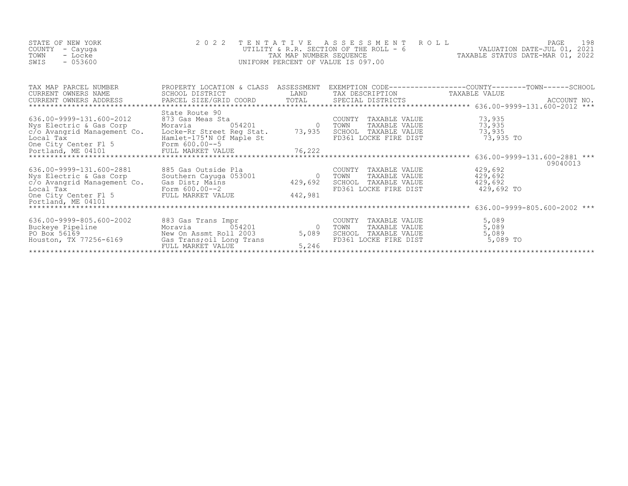| STATE OF NEW YORK | 2022 TENTATIVE ASSESSMENT ROLL          |                                  | PAGE                        | 198 |
|-------------------|-----------------------------------------|----------------------------------|-----------------------------|-----|
| COUNTY - Cayuga   | UTILITY & R.R. SECTION OF THE ROLL $-6$ |                                  | VALUATION DATE-JUL 01, 2021 |     |
| TOWN<br>- Locke   | TAX MAP NUMBER SEQUENCE                 | TAXABLE STATUS DATE-MAR 01, 2022 |                             |     |
| $-053600$<br>SWIS | UNIFORM PERCENT OF VALUE IS 097.00      |                                  |                             |     |
|                   |                                         |                                  |                             |     |

| TAX MAP PARCEL NUMBER                                                                                                                                         |                                                                                                       |         |                                    | PROPERTY LOCATION & CLASS ASSESSMENT EXEMPTION CODE----------------COUNTY-------TOWN-----SCHOOL                                                                  |  |  |  |  |
|---------------------------------------------------------------------------------------------------------------------------------------------------------------|-------------------------------------------------------------------------------------------------------|---------|------------------------------------|------------------------------------------------------------------------------------------------------------------------------------------------------------------|--|--|--|--|
| CURRENT OWNERS NAME                                                                                                                                           | SCHOOL DISTRICT                                                                                       |         | LAND TAX DESCRIPTION TAXABLE VALUE |                                                                                                                                                                  |  |  |  |  |
|                                                                                                                                                               |                                                                                                       |         |                                    | CONNEIN OWNERS ADDRESS DARCEL SIZE/GRID COORD TOTAL SPECIAL DISTRICTS (CONNEINT OWNERS ADDRESS DARCEL SIZE/GRID COORD TOTAL SPECIAL DISTRICTS (2000) ACCOUNT NO. |  |  |  |  |
|                                                                                                                                                               |                                                                                                       |         |                                    |                                                                                                                                                                  |  |  |  |  |
|                                                                                                                                                               | State Route 90                                                                                        |         |                                    |                                                                                                                                                                  |  |  |  |  |
| 636.00-9999-131.600-2012                                                                                                                                      | 873 Gas Meas Sta                                                                                      |         | COUNTY TAXABLE VALUE               | 73,935                                                                                                                                                           |  |  |  |  |
| Nys Electric & Gas Corp                                                                                                                                       | Moravia                                                                                               |         | TOWN TAXABLE VALUE                 | 73,935                                                                                                                                                           |  |  |  |  |
| c/o Avangrid Management Co. Locke-Rr Street Reg Stat. 73,935                                                                                                  |                                                                                                       |         | SCHOOL TAXABLE VALUE               | 73,935                                                                                                                                                           |  |  |  |  |
|                                                                                                                                                               |                                                                                                       |         |                                    |                                                                                                                                                                  |  |  |  |  |
|                                                                                                                                                               |                                                                                                       |         |                                    |                                                                                                                                                                  |  |  |  |  |
|                                                                                                                                                               |                                                                                                       |         |                                    |                                                                                                                                                                  |  |  |  |  |
|                                                                                                                                                               |                                                                                                       |         |                                    |                                                                                                                                                                  |  |  |  |  |
|                                                                                                                                                               |                                                                                                       |         |                                    | 09040013                                                                                                                                                         |  |  |  |  |
| 636.00-9999-131.600-2881                                                                                                                                      | 885 Gas Outside Pla<br>885 Gas Outside Pla<br>Southern Cayuga 053001 (0)<br>Gas Dist; Mains (429,692) |         | COUNTY TAXABLE VALUE               | 429,692                                                                                                                                                          |  |  |  |  |
| Nys Electric & Gas Corp                                                                                                                                       |                                                                                                       |         | TOWN<br>TAXABLE VALUE              | 429,692                                                                                                                                                          |  |  |  |  |
| c/o Avangrid Management Co.                                                                                                                                   |                                                                                                       |         | SCHOOL TAXABLE VALUE               | 429,692                                                                                                                                                          |  |  |  |  |
| Local Tax and Tax and Torm 600.00--2<br>One City Center F1 5 FULL MARKET VALUE                                                                                |                                                                                                       |         | FD361 LOCKE FIRE DIST              | 429,692 TO                                                                                                                                                       |  |  |  |  |
|                                                                                                                                                               |                                                                                                       | 442,981 |                                    |                                                                                                                                                                  |  |  |  |  |
| Portland, ME 04101                                                                                                                                            |                                                                                                       |         |                                    |                                                                                                                                                                  |  |  |  |  |
|                                                                                                                                                               |                                                                                                       |         |                                    |                                                                                                                                                                  |  |  |  |  |
|                                                                                                                                                               |                                                                                                       |         |                                    |                                                                                                                                                                  |  |  |  |  |
| 0 16.00-9999-805.600-2002<br>Buckeye Pipeline Moravia 054201<br>PO Box 56169 New On Assmt Roll 2003 5,089<br>Houston, TX 77256-6169 Gas Trans, oil Long Trans |                                                                                                       |         | COUNTY TAXABLE VALUE               | 5,089                                                                                                                                                            |  |  |  |  |
|                                                                                                                                                               |                                                                                                       |         | TOWN TAXABLE VALUE                 | 5,089                                                                                                                                                            |  |  |  |  |
|                                                                                                                                                               |                                                                                                       |         | SCHOOL TAXABLE VALUE               | 5,089                                                                                                                                                            |  |  |  |  |
|                                                                                                                                                               |                                                                                                       |         | FD361 LOCKE FIRE DIST              | 5,089 TO                                                                                                                                                         |  |  |  |  |
|                                                                                                                                                               | FULL MARKET VALUE                                                                                     | 5,246   |                                    |                                                                                                                                                                  |  |  |  |  |
|                                                                                                                                                               |                                                                                                       |         |                                    |                                                                                                                                                                  |  |  |  |  |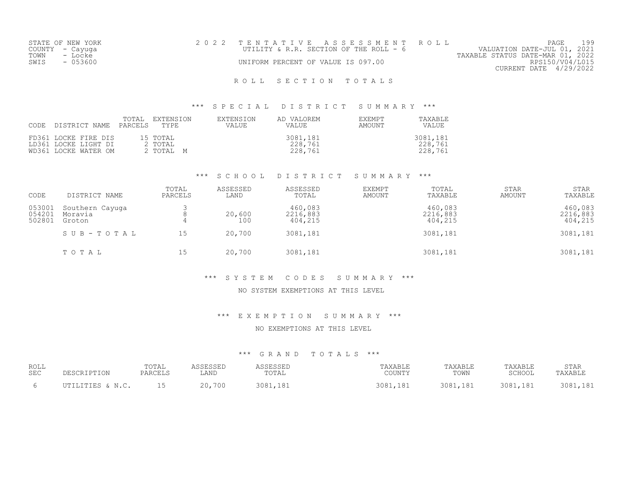| STATE OF NEW YORK | 2022 TENTATIVE ASSESSMENT ROLL         | PAGE                             |
|-------------------|----------------------------------------|----------------------------------|
| COUNTY - Cayuga   | UTILITY & R.R. SECTION OF THE ROLL - 6 | VALUATION DATE-JUL 01, 2021      |
| TOWN<br>- Locke   |                                        | TAXABLE STATUS DATE-MAR 01, 2022 |
| SWIS<br>- 053600  | UNIFORM PERCENT OF VALUE IS 097.00     | RPS150/V04/L015                  |
|                   |                                        | CURRENT DATE 4/29/2022           |
|                   |                                        |                                  |

#### \*\*\* S P E C I A L D I S T R I C T S U M M A R Y \*\*\*

| CODE | DISTRICT NAME                                                        | TOTAL<br>PARCELS TYPE | EXTENSION                        | EXTENSION<br><b>VALUE</b> | AD VALOREM<br><b>VALUE</b>     | EXEMPT<br>AMOUNT | TAXABLE<br><b>VALUE</b>        |
|------|----------------------------------------------------------------------|-----------------------|----------------------------------|---------------------------|--------------------------------|------------------|--------------------------------|
|      | FD361 LOCKE FIRE DIS<br>LD361 LOCKE LIGHT DI<br>WD361 LOCKE WATER OM |                       | 15 TOTAL<br>2 TOTAL<br>2 ТОТАЬ М |                           | 3081,181<br>228,761<br>228,761 |                  | 3081,181<br>228,761<br>228,761 |

#### \*\*\* S C H O O L D I S T R I C T S U M M A R Y \*\*\*

| CODE                       | DISTRICT NAME                        | TOTAL<br>PARCELS | ASSESSED<br>LAND | ASSESSED<br>TOTAL              | <b>EXEMPT</b><br>AMOUNT | TOTAL<br>TAXABLE               | STAR<br>AMOUNT | <b>STAR</b><br>TAXABLE         |
|----------------------------|--------------------------------------|------------------|------------------|--------------------------------|-------------------------|--------------------------------|----------------|--------------------------------|
| 053001<br>054201<br>502801 | Southern Cayuga<br>Moravia<br>Groton |                  | 20,600<br>100    | 460,083<br>2216,883<br>404,215 |                         | 460,083<br>2216,883<br>404,215 |                | 460,083<br>2216,883<br>404,215 |
|                            | SUB-TOTAL                            | 15               | 20,700           | 3081,181                       |                         | 3081,181                       |                | 3081,181                       |
|                            | TOTAL                                | 15               | 20,700           | 3081,181                       |                         | 3081,181                       |                | 3081,181                       |

#### \*\*\* S Y S T E M C O D E S S U M M A R Y \*\*\*

#### NO SYSTEM EXEMPTIONS AT THIS LEVEL

#### \*\*\* E X E M P T I O N S U M M A R Y \*\*\*

NO EXEMPTIONS AT THIS LEVEL

| ROLL<br><b>SEC</b> |                  | TOTAL<br>PARCELS | 0.000000<br>LAND | TOTAL        | AXABLE<br>COUNTY | TAXABLE<br>TOWN | TAXABLE<br>$\gamma$ $\gamma$ <sub>T1</sub> $\land$ $\gamma$ | STAR<br>$\cdot$ PAYART' |
|--------------------|------------------|------------------|------------------|--------------|------------------|-----------------|-------------------------------------------------------------|-------------------------|
|                    | ם החדי<br>ד דיחד |                  | 20,700           | 3081<br>1 R. | 3081<br>1 O T    | 3081<br>1 2 1   | ∍∩0.<br>18 <sup>-</sup><br>. <i>.</i> 101                   | 2001<br>1 Q '           |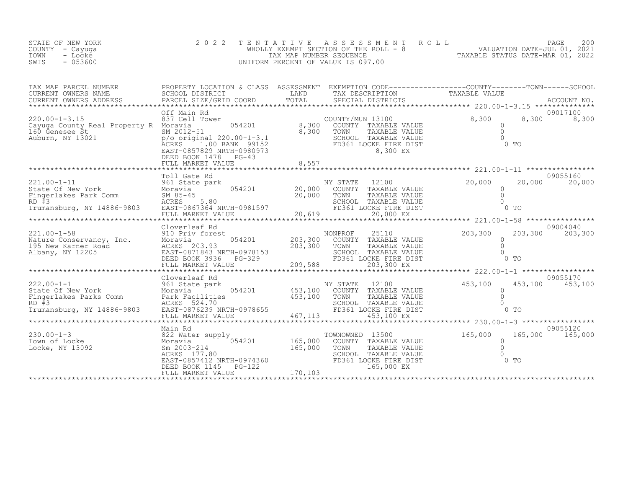| STATE OF NEW YORK | 2022 TENTATIVE ASSESSMENT ROLL        | 200<br>PAGE                      |
|-------------------|---------------------------------------|----------------------------------|
| COUNTY – Cayuqa   | WHOLLY EXEMPT SECTION OF THE ROLL - 8 | VALUATION DATE-JUL 01, 2021      |
| TOWN<br>- Locke   | TAX MAP NUMBER SEOUENCE               | TAXABLE STATUS DATE-MAR 01, 2022 |
| $-053600$<br>SWIS | UNIFORM PERCENT OF VALUE IS 097.00    |                                  |
|                   |                                       |                                  |

| TAX MAP PARCEL NUMBER<br>CURRENT OWNERS NAME<br>CURRENT OWNERS ADDRESS<br>*****************************                                                                                                                                                | PROPERTY LOCATION & CLASS ASSESSMENT EXEMPTION CODE----------------COUNTY-------TOWN-----SCHOOL<br>SCHOOL DISTRICT<br>PARCEL SIZE/GRID COORD | LAND    | TAX DESCRIPTION                                                                                                                   | TAXABLE VALUE                                               |                             |
|--------------------------------------------------------------------------------------------------------------------------------------------------------------------------------------------------------------------------------------------------------|----------------------------------------------------------------------------------------------------------------------------------------------|---------|-----------------------------------------------------------------------------------------------------------------------------------|-------------------------------------------------------------|-----------------------------|
|                                                                                                                                                                                                                                                        | Off Main Rd                                                                                                                                  |         |                                                                                                                                   |                                                             | 09017100                    |
| $220.00 - 1 - 3.15$<br>Cayuga County Real Property R Moravia<br>160 Genesee St 51 SM 2012-51<br>Auburn, NY 13021 p/o original 220.00-1-3.1                                                                                                             | 1.00 BANK 99152<br>ĀCRES<br>EAST-0857829 NRTH-0980973<br>DEED BOOK 1478 PG-43                                                                |         | COUNTY/MUN 13100<br>COUNTY TAXABLE VALUE<br>8,300 TOWN TAXABLE VALUE<br>SCHOOL TAXABLE VALUE<br>FD361 LOCKE FIRE DIST<br>8,300 EX | 8,300<br>$rac{0}{0}$<br>0 TO                                | 8,300 8,300                 |
|                                                                                                                                                                                                                                                        | Toll Gate Rd                                                                                                                                 |         |                                                                                                                                   |                                                             | 09055160                    |
|                                                                                                                                                                                                                                                        |                                                                                                                                              |         |                                                                                                                                   |                                                             |                             |
|                                                                                                                                                                                                                                                        |                                                                                                                                              |         |                                                                                                                                   |                                                             |                             |
| 1221.00-1-58<br>Nature Conservancy, Inc. 910 Priv forest<br>195 New Karner Road (1210 203,300 203,300 COUNTY TAXABLE VALUE<br>195 New Karner Road (12205 203.93)<br>203,300 TOWN TAXABLE VALUE<br>203,300 TOWN TAXABLE VALUE<br>203,300 TO             | Cloverleaf Rd                                                                                                                                |         |                                                                                                                                   |                                                             | 09004040                    |
|                                                                                                                                                                                                                                                        |                                                                                                                                              |         |                                                                                                                                   |                                                             | 09055170                    |
| 222.00-1-1<br>State Of New York<br>Fingerlakes Parks Comm<br>RD #3<br>MORES 524.70<br>RD #3<br>MORES 524.70<br>ACRES 524.70<br>ACRES 524.70<br>ACRES 524.70<br>ACRES 524.70<br>ACRES 524.70<br>Trumansburg, NY 14886-9803<br>EAST-0876239 NRTH-0978655 | Cloverleaf Rd                                                                                                                                |         | FD361 LOCKE FIRE DIST                                                                                                             | 453,100<br>$\Omega$<br>$\Omega$<br>$\cap$<br>0 <sub>T</sub> | 453,100 453,100             |
|                                                                                                                                                                                                                                                        | MARKET VALUE 467, 113<br>FULL MARKET VALUE                                                                                                   |         | $453,100$ EX<br>*************************                                                                                         | ******* 230.00-1-3 ******************                       |                             |
| $230.00 - 1 - 3$<br>Town of Locke<br>Locke, NY 13092                                                                                                                                                                                                   | Main Rd<br>822 Water supply<br>822 Water supply<br>932 Sm 2003-214<br>DEED BOOK 1145 PG-122<br>FULL MARKET VALUE                             | 170,103 | TOWNOWNED 13500<br>165,000 EX                                                                                                     | 165,000<br>$\Omega$<br>$\bigcirc$<br>$0$ TO                 | 09055120<br>165,000 165,000 |
|                                                                                                                                                                                                                                                        |                                                                                                                                              |         |                                                                                                                                   |                                                             |                             |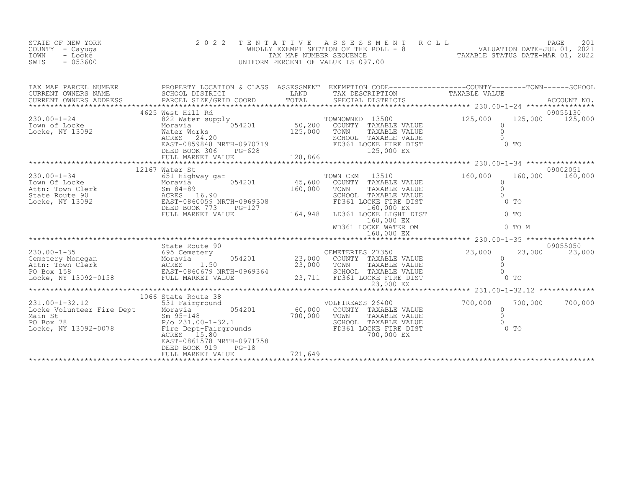| STATE OF NEW YORK<br>COUNTY - Cayuga<br>- Locke<br>TOWN<br>$-053600$<br>SWIS                                                                                                                                                                                                                                                                                         | 2 0 2 2<br>TENTATIVE                                                                                             |         | FAGE 201<br>WHOLLY EXEMPT SECTION OF THE ROLL - 8 WALUATION DATE-JUL 01, 2021<br>TAX MAP NUMBER SEQUENCE TAX MAP NUMBER SEQUENCE TAX MAP NUMBER SEQUENCE TAXABLE STATUS DATE-MAR 01, 2022<br>UNIFORM PERCENT OF VALUE IS 097.00                                          |                                                                       |                             |
|----------------------------------------------------------------------------------------------------------------------------------------------------------------------------------------------------------------------------------------------------------------------------------------------------------------------------------------------------------------------|------------------------------------------------------------------------------------------------------------------|---------|--------------------------------------------------------------------------------------------------------------------------------------------------------------------------------------------------------------------------------------------------------------------------|-----------------------------------------------------------------------|-----------------------------|
| TAX MAP PARCEL NUMBER PROPERTY LOCATION & CLASS ASSESSMENT EXEMPTION CODE--------------------COUNTY---------TOWN------SCHOOL SCHOOL DISTRICT LAND TAX DESCRIPTION TRIMBER PARCEL SIZE/GRID COORD TOTAL TOTAL SECIAL DISTRICTS                                                                                                                                        |                                                                                                                  |         |                                                                                                                                                                                                                                                                          |                                                                       |                             |
| $\begin{tabular}{lcccc} 230.00-1-24 & 4625 West Hill Rd & TOWNOWNED 135 Town of Locke & Moravi & 054201 & 50,200 COUNTY TAXALocke, NY 13092 & MacE' Works & 24.20EXECIS DCAC & RXXC & ECSI & 24.20EXECIS DBCD BOK 306 & PG-628 & 128,866FLUL MARKET VALUE & 128,86625,128,86625,128,86625,128,86626,125,00028,0002$                                                  | 4625 West Hill Rd                                                                                                |         | CONNOWNED 13500<br>COUNTY TAXABLE VALUE<br>TOWN TAXABLE VALUE<br>SCHOOL TAXABLE VALUE<br>FD361 LOCKE FIRE DIST<br>125.000 FY<br>TOWNOWNED 13500<br>125,000 EX                                                                                                            | $\Omega$<br>$\circ$<br>$\cap$<br>$0$ TO                               | 09055130<br>125,000 125,000 |
|                                                                                                                                                                                                                                                                                                                                                                      |                                                                                                                  |         |                                                                                                                                                                                                                                                                          | ********************* 230.00-1-34 ****************                    | 09002051                    |
|                                                                                                                                                                                                                                                                                                                                                                      |                                                                                                                  |         | TOWN CEM 13510<br>COUNTY TAXABLE VALUE<br>TOWN TAXABLE VALUE<br>TOWN TAXABLE VALUE<br>SCHOOL TAXABLE VALUE<br>SCHOOL TAXABLE VALUE<br>FD361 LOCKE FIRE DIST<br>LD361 LOCKE LIGHT DIST<br>160,000 EX<br>WD361 LOCKE WATER OM<br>0 TO<br>ND361 LOCKE WATER OM<br>0 TO<br>M | 160,000                                                               | 160,000 160,000             |
|                                                                                                                                                                                                                                                                                                                                                                      |                                                                                                                  |         |                                                                                                                                                                                                                                                                          | 160,000 EX<br>************************* 230.00-1-35 ***************** |                             |
| 30.00-1-35<br>CEMETERIES 27350<br>CEMETERIES 27350<br>CEMETERIES 27350<br>CEMETERIES 27350<br>CEMETERIES 27350<br>CEMETERIES 27350<br>CEMETERIES 27350<br>COUNTY TAXABLE VALUE 0<br>23,000 COUNTY TAXABLE VALUE 0<br>23,000 COUNTY TAXABLE                                                                                                                           | State Route 90                                                                                                   |         | 23,000 EX                                                                                                                                                                                                                                                                | 23,000<br>$0$ TO                                                      | 09055050<br>23,000          |
|                                                                                                                                                                                                                                                                                                                                                                      |                                                                                                                  |         |                                                                                                                                                                                                                                                                          | ************************ 231.00-1-32.12 *************                 |                             |
| $\begin{tabular}{lllllllllllll} 231.00-1-32.12 & 531\text{ Fairground} & 054201 & 60,000\text{ COUNTY} \\ \text{Locke Volumteer Fire Dept} & Moravia & 054201 & 60,000\text{ COUNTY} \\ \text{Main St} & Sm 95-148 & 700,000\text{ TOWN} \\ \text{Po Box 78} & P/o 231.00-1-32.1 & 054000 & 00000 \\ \text{Locke, NY 13092-0078} & & F D 361 & 0.0000 & 0.0000 \\ \$ | 1066 State Route 38<br>State Route 38<br>531 Fairground<br>EAST-0861578 NRTH-0971758<br>$PG-18$<br>DEED BOOK 919 |         | VOLFIREASS 26400<br>COUNTY TAXABLE VALUE<br>TOWN<br>TAXABLE VALUE<br>SCHOOL TAXABLE VALUE<br>FD361 LOCKE FIRE DIST<br>700,000 EX                                                                                                                                         | $*** 231.00$<br>700,000<br>$0$ TO                                     | 700,000 700,000             |
|                                                                                                                                                                                                                                                                                                                                                                      | FULL MARKET VALUE                                                                                                | 721,649 |                                                                                                                                                                                                                                                                          |                                                                       |                             |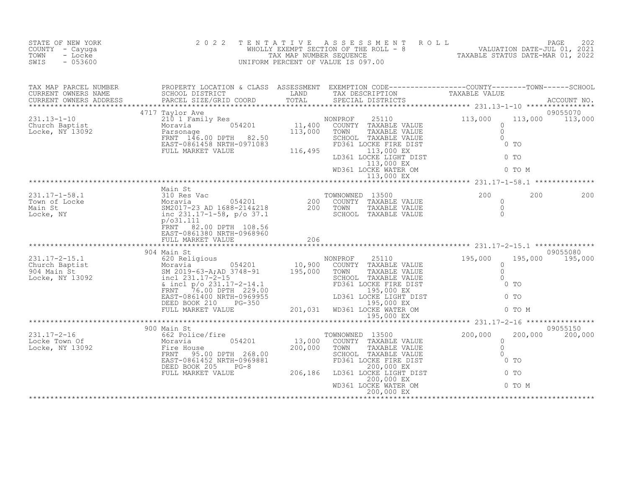| STATE OF NEW YORK<br>COUNTY - Cayuga<br>TOWN<br>- Locke<br>SWIS<br>$-053600$                                                                                                                                                     | 2 0 2 2                                                                             |     | TENTATIVE ASSESSMENT ROLL ROUDER VALUATION DATE-JUL 01, 2021<br>WHOLLY EXEMPT SECTION OF THE ROLL - 8 VALUATION DATE-JUL 01, 2021<br>UNIFORM PERCENT OF VALUE IS 097.00<br>WIFORM PERCENT OF VALUE IS 097.00                                    |        |                             |
|----------------------------------------------------------------------------------------------------------------------------------------------------------------------------------------------------------------------------------|-------------------------------------------------------------------------------------|-----|-------------------------------------------------------------------------------------------------------------------------------------------------------------------------------------------------------------------------------------------------|--------|-----------------------------|
| TAX MAP PARCEL NUMBER PROPERTY LOCATION & CLASS ASSESSMENT EXEMPTION CODE-----------------COUNTY--------TOWN------SCHOOL CURRENT OWNERS NAME SCHOOL DISTRICT LAND TAX DESCRIPTION TAXABLE VALUE<br>CURRENT OWNERS ADDRESS PARCEL |                                                                                     |     |                                                                                                                                                                                                                                                 |        |                             |
|                                                                                                                                                                                                                                  |                                                                                     |     | NONPROF 25110<br>COUNTY TAXABLE VALUE 113,000 113<br>TOWN TAXABLE VALUE 0<br>SCHOOL TAXABLE VALUE 0<br>SCHOOL TAXABLE VALUE 0<br>FD361 LOCKE FIRE DIST 0 TO<br>LD361 LOCKE LIGHT DIST 0 TO<br>113,000 EX<br>WD361 LOCKE WATER OM 0 TO M<br>113, |        | 09055070<br>113,000 113,000 |
|                                                                                                                                                                                                                                  |                                                                                     |     |                                                                                                                                                                                                                                                 |        |                             |
|                                                                                                                                                                                                                                  | Main St<br>FRNT 82.00 DPTH 108.56<br>EAST-0861380 NRTH-0968960<br>FULL MARKET VALUE | 206 |                                                                                                                                                                                                                                                 |        | 200<br>200                  |
|                                                                                                                                                                                                                                  |                                                                                     |     |                                                                                                                                                                                                                                                 |        |                             |
|                                                                                                                                                                                                                                  |                                                                                     |     |                                                                                                                                                                                                                                                 | 0 TO M | 09055080<br>195,000 195,000 |
|                                                                                                                                                                                                                                  |                                                                                     |     |                                                                                                                                                                                                                                                 |        |                             |
|                                                                                                                                                                                                                                  |                                                                                     |     | TOWNOWNED 13500                                                                                                                                                                                                                                 |        | 09055150<br>200,000 200,000 |
|                                                                                                                                                                                                                                  |                                                                                     |     |                                                                                                                                                                                                                                                 |        |                             |
|                                                                                                                                                                                                                                  |                                                                                     |     |                                                                                                                                                                                                                                                 |        |                             |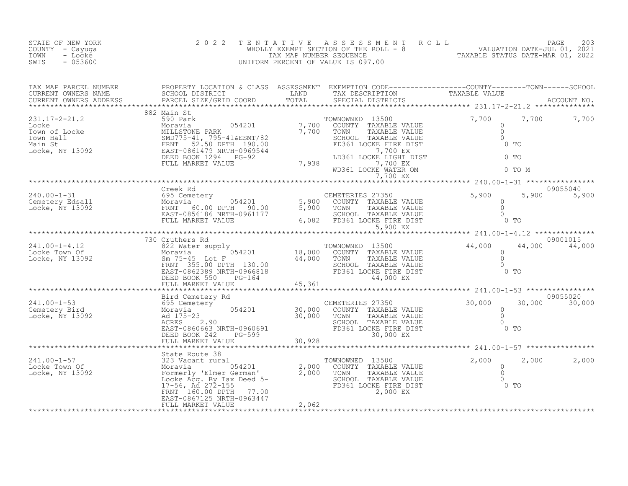| STATE OF NEW YORK<br>COUNTY - Cayuga<br>- Locke<br>TOWN<br>$-053600$<br>SWIS                                                                                                                                                                                                                                 | 2 0 2 2                             |       | TENTATIVE ASSESSMENT ROLL PAGE 203<br>WHOLLY EXEMPT SECTION OF THE ROLL - 8<br>TAX MAP NUMBER SEQUENCE TAX MAP NUMBER SEQUENCE TAXABLE STATUS DATE-MAR 01, 2022   |          |
|--------------------------------------------------------------------------------------------------------------------------------------------------------------------------------------------------------------------------------------------------------------------------------------------------------------|-------------------------------------|-------|-------------------------------------------------------------------------------------------------------------------------------------------------------------------|----------|
| TAX MAP PARCEL NUMBER PROPERTY LOCATION & CLASS ASSESSMENT EXEMPTION CODE-----------------COUNTY--------TOWN------SCHOOL SCHOOL DISTRICT LAND TAX DESCRIPTION TAXABLE VALUE<br>CURRENT OWNERS ADDRESS PARCEL SIZE/GRID COORD TOTA                                                                            |                                     |       |                                                                                                                                                                   |          |
| $\begin{array}{cccccccccccc} 231.17-2-21.2 & 882 & \text{Main set} & 54201 & 7,700 & 7,700 & 7,700 & 7,700 & 7,700 & 7,700 & 7,700 & 7,700 & 7,700 & 7,700 & 7,700 & 7,700 & 7,700 & 7,700 & 7,700 & 7,700 & 7,700 & 7,700 & 7,700 & 7,700 & 7,700 & 7,700 & 7,700 & 7,700 & 7,700 & 7$                      | 882 Main St                         |       |                                                                                                                                                                   |          |
| 240.00-1-31 Creek Rd<br>Cemetery Edsall 695 Cemetery 60.00 DPTH 90.00 5,900 COUNTY TAXABLE VALUE 6<br>Locke, NY 13092 MORY FRNT 60.00 DPTH 90.00 5,900 TOWN TAXABLE VALUE 0<br>EAST-0856186 NRTH-0961177 6,082 FD361 LOCKE FIRE DIST                                                                         | Creek Rd                            |       | 09055040<br>5,900 5,900                                                                                                                                           |          |
| $\begin{array}{cccccccc} 241.00-1-4.12 & 730 Cruthers Rd & 70WNOMNED & 13500 & 44,000 & 44,000 & 9001115 \\ & & 822 Water supply & 054201 & 18,000 & COUTY TAXABLE VALUE & 0 & 0 & 0 & 44,000 & 44,000 & 44,000 & 44,000 & 44,000 & 44,000 & 44,000 & 44,000 & 44,000 & 44,000 & 44,000 & 44,000 & 44,000 &$ | ****************<br>730 Cruthers Rd |       | **************************** 241.00-1-4.12 ***************<br>09001015                                                                                            |          |
|                                                                                                                                                                                                                                                                                                              |                                     |       | 30,000 30,000                                                                                                                                                     | 09055020 |
|                                                                                                                                                                                                                                                                                                              | FULL MARKET VALUE                   | 2,062 | COUNTY TAXABLE VALUE<br>TOWN TAXABLE VALUE<br>TOWN TAXABLE VALUE<br>SCHOOL TAXABLE VALUE<br>SCHOOL TAXABLE VALUE<br>FD361 LOCKE FIRE DIST<br>2,000 EX<br>2,000 EX | 2,000    |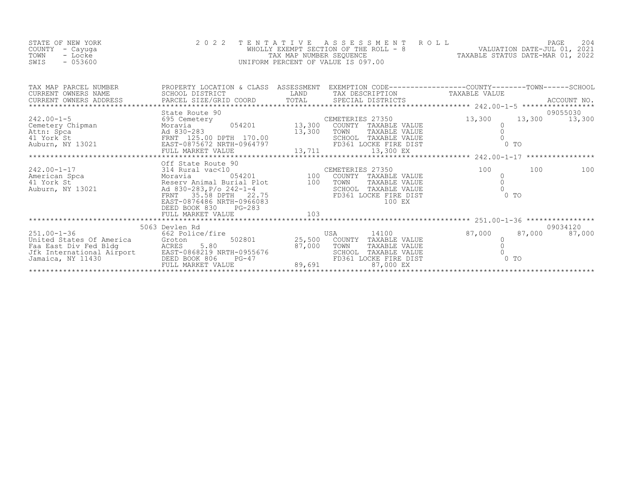| STATE OF NEW YORK | 2022 TENTATIVE ASSESSMENT ROLL        |                                  | PAGE 204                    |  |
|-------------------|---------------------------------------|----------------------------------|-----------------------------|--|
| COUNTY – Cayuqa   | WHOLLY EXEMPT SECTION OF THE ROLL - 8 |                                  | VALUATION DATE-JUL 01, 2021 |  |
| TOWN<br>- Locke   | TAX MAP NUMBER SEOUENCE               | TAXABLE STATUS DATE-MAR 01, 2022 |                             |  |
| $-053600$<br>SWIS | UNIFORM PERCENT OF VALUE IS 097.00    |                                  |                             |  |

|                                                                                                                                                                                                                                                        |                         |                   | CEMETERIES 27350<br>tery 054201 13,300 COUNTY TAXABLE VALUE |        |     |               |
|--------------------------------------------------------------------------------------------------------------------------------------------------------------------------------------------------------------------------------------------------------|-------------------------|-------------------|-------------------------------------------------------------|--------|-----|---------------|
|                                                                                                                                                                                                                                                        |                         |                   |                                                             |        |     |               |
|                                                                                                                                                                                                                                                        |                         |                   |                                                             |        |     |               |
|                                                                                                                                                                                                                                                        |                         |                   |                                                             |        |     |               |
|                                                                                                                                                                                                                                                        |                         |                   |                                                             |        |     |               |
|                                                                                                                                                                                                                                                        |                         |                   |                                                             |        |     |               |
|                                                                                                                                                                                                                                                        |                         |                   |                                                             |        |     |               |
|                                                                                                                                                                                                                                                        |                         |                   |                                                             | 100    | 100 | 100           |
|                                                                                                                                                                                                                                                        |                         |                   | COUNTY TAXABLE VALUE                                        |        |     |               |
|                                                                                                                                                                                                                                                        |                         |                   | TAXABLE VALUE                                               |        |     |               |
|                                                                                                                                                                                                                                                        |                         |                   | SCHOOL TAXABLE VALUE                                        |        |     |               |
|                                                                                                                                                                                                                                                        |                         |                   | FD361 LOCKE FIRE DIST                                       | $0$ TO |     |               |
|                                                                                                                                                                                                                                                        |                         |                   | 100 EX                                                      |        |     |               |
|                                                                                                                                                                                                                                                        | DEED BOOK 830<br>PG-283 |                   |                                                             |        |     |               |
|                                                                                                                                                                                                                                                        | FULL MARKET VALUE       | 103               |                                                             |        |     |               |
|                                                                                                                                                                                                                                                        |                         |                   |                                                             |        |     |               |
|                                                                                                                                                                                                                                                        | 5063 Devlen Rd          |                   |                                                             |        |     | 09034120      |
|                                                                                                                                                                                                                                                        |                         |                   | USA<br>14100                                                | 87,000 |     | 87,000 87,000 |
|                                                                                                                                                                                                                                                        |                         |                   | COUNTY TAXABLE VALUE<br>TOWN<br>TAXABLE VALUE               |        |     |               |
|                                                                                                                                                                                                                                                        |                         |                   | SCHOOL TAXABLE VALUE                                        |        |     |               |
|                                                                                                                                                                                                                                                        |                         |                   | FD361 LOCKE FIRE DIST                                       | $0$ To |     |               |
| 251.00-1-36<br>United States Of America<br>Faa East Div Fed Bldg<br>Jfk International Airport<br>Jamaica, NY 11430<br>CRED BOOK 806<br>FULL MARKET VALUE<br>FULL MARKET VALUE<br>CRED BOOK 806<br>PG-47<br>PULL MARKET VALUE<br>CRED BOOK 806<br>PG-47 |                         |                   | 87,000 EX                                                   |        |     |               |
|                                                                                                                                                                                                                                                        |                         | ***************** |                                                             |        |     |               |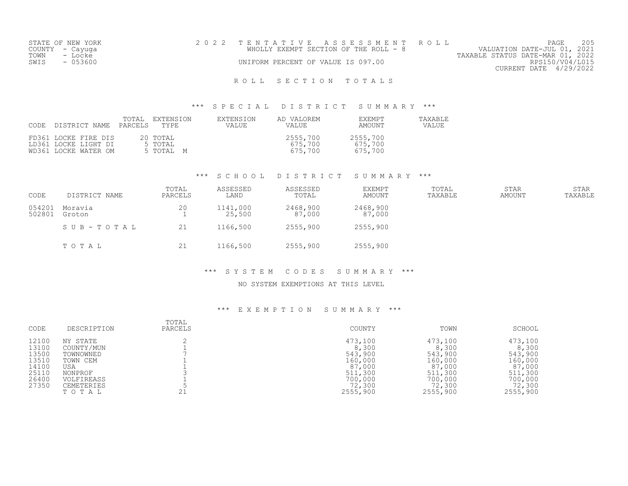|                 | STATE OF NEW YORK | 2022 TENTATIVE ASSESSMENT ROLL        | PAGE                             | 205             |
|-----------------|-------------------|---------------------------------------|----------------------------------|-----------------|
| COUNTY - Cayuga |                   | WHOLLY EXEMPT SECTION OF THE ROLL - 8 | VALUATION DATE-JUL 01, 2021      |                 |
| TOWN            | - Locke           |                                       | TAXABLE STATUS DATE-MAR 01, 2022 |                 |
| SWIS            | $-053600$         | UNIFORM PERCENT OF VALUE IS 097.00    |                                  | RPS150/V04/L015 |
|                 |                   |                                       | CURRENT DATE 4/29/2022           |                 |
|                 |                   |                                       |                                  |                 |

#### \*\*\* S P E C I A L D I S T R I C T S U M M A R Y \*\*\*

| CODE DISTRICT NAME                                                   | TOTAL<br>PARCELS TYPE | EXTENSION                        | EXTENSION<br>VALUE | AD VALOREM<br>VALUE            | EXEMPT<br>AMOUNT               | TAXABLE<br><b>VALUE</b> |
|----------------------------------------------------------------------|-----------------------|----------------------------------|--------------------|--------------------------------|--------------------------------|-------------------------|
| FD361 LOCKE FIRE DIS<br>LD361 LOCKE LIGHT DI<br>WD361 LOCKE WATER OM |                       | 20 TOTAL<br>5 TOTAL<br>5 ТОТАЬ М |                    | 2555,700<br>675,700<br>675.700 | 2555,700<br>675,700<br>675,700 |                         |

#### \*\*\* S C H O O L D I S T R I C T S U M M A R Y \*\*\*

| CODE             | DISTRICT NAME     | TOTAL<br>PARCELS | ASSESSED<br>LAND   | ASSESSED<br>TOTAL  | <b>EXEMPT</b><br>AMOUNT | TOTAL<br>TAXABLE | <b>STAR</b><br>AMOUNT | STAR<br>TAXABLE |
|------------------|-------------------|------------------|--------------------|--------------------|-------------------------|------------------|-----------------------|-----------------|
| 054201<br>502801 | Moravia<br>Groton | 20               | 1141,000<br>25,500 | 2468,900<br>87,000 | 2468,900<br>87,000      |                  |                       |                 |
|                  | SUB-TOTAL         | 21               | 1166,500           | 2555,900           | 2555,900                |                  |                       |                 |
|                  | TOTAL             | 21               | 1166,500           | 2555,900           | 2555,900                |                  |                       |                 |

### \*\*\* S Y S T E M C O D E S S U M M A R Y \*\*\*

### NO SYSTEM EXEMPTIONS AT THIS LEVEL

| CODE  | DESCRIPTION       | TOTAL<br>PARCELS | COUNTY   | TOWN     | SCHOOL   |
|-------|-------------------|------------------|----------|----------|----------|
| 12100 | NY STATE          |                  | 473,100  | 473,100  | 473,100  |
| 13100 | COUNTY/MUN        |                  | 8,300    | 8,300    | 8,300    |
| 13500 | TOWNOWNED         |                  | 543,900  | 543,900  | 543,900  |
| 13510 | TOWN CEM          |                  | 160,000  | 160,000  | 160,000  |
| 14100 | USA               |                  | 87,000   | 87,000   | 87,000   |
| 25110 | NONPROF           |                  | 511,300  | 511,300  | 511,300  |
| 26400 | VOLFIREASS        |                  | 700,000  | 700,000  | 700,000  |
| 27350 | <b>CEMETERIES</b> |                  | 72,300   | 72,300   | 72,300   |
|       | TOTAL             |                  | 2555,900 | 2555,900 | 2555,900 |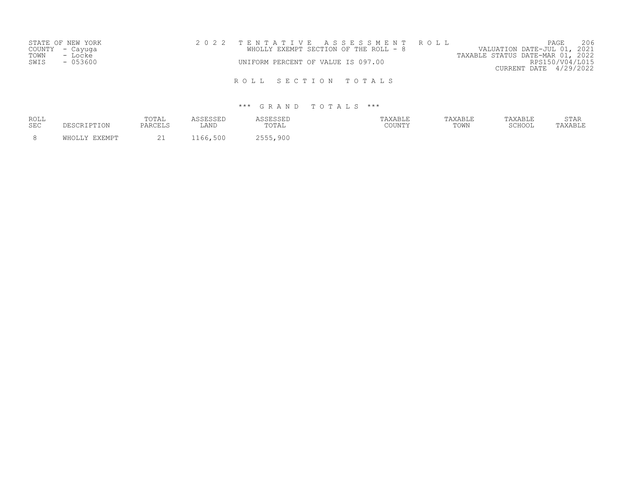| STATE OF NEW YORK | 2022 TENTATIVE ASSESSMENT ROLL |  |                                       |  |                                  |                        | PAGE | 206 |
|-------------------|--------------------------------|--|---------------------------------------|--|----------------------------------|------------------------|------|-----|
| COUNTY - Cayuga   |                                |  | WHOLLY EXEMPT SECTION OF THE ROLL - 8 |  | VALUATION DATE-JUL 01, 2021      |                        |      |     |
| TOWN<br>- Locke   |                                |  |                                       |  | TAXABLE STATUS DATE-MAR 01, 2022 |                        |      |     |
| - 053600<br>SWIS  |                                |  | UNIFORM PERCENT OF VALUE IS 097.00    |  |                                  | RPS150/V04/L015        |      |     |
|                   |                                |  |                                       |  |                                  | CURRENT DATE 4/29/2022 |      |     |
|                   |                                |  |                                       |  |                                  |                        |      |     |
|                   |                                |  | ROLL SECTION TOTALS                   |  |                                  |                        |      |     |

| <b>ROLL</b><br><b>SEC</b> | DESCRIPTION   | TOTAL<br>PARCELS   | <b>A C C F C C F L</b><br>LAND | ASSESSED<br>"OTAL | TAXABLE<br>COUNTY | TAXABLE<br>TOWN | TAXABLE<br>SCHOOL | STAR<br>TAXABLE |
|---------------------------|---------------|--------------------|--------------------------------|-------------------|-------------------|-----------------|-------------------|-----------------|
| - 8                       | WHOLLY EXEMPT | $\bigcap$ 1<br>ے ت | 1166,500                       | 2555,900          |                   |                 |                   |                 |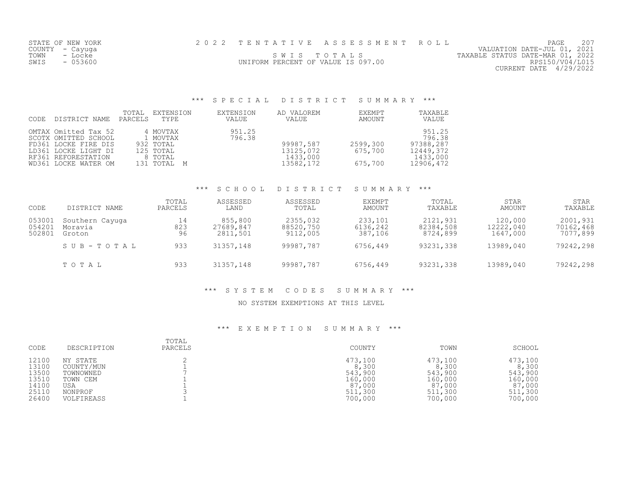| STATE OF NEW YORK |                                    | 2022 TENTATIVE ASSESSMENT ROLL |                                  | PAGE                        | 207 |
|-------------------|------------------------------------|--------------------------------|----------------------------------|-----------------------------|-----|
| COUNTY – Cayuga   |                                    |                                |                                  | VALUATION DATE-JUL 01, 2021 |     |
| TOWN<br>- Locke   |                                    | SWIS TOTALS                    | TAXABLE STATUS DATE-MAR 01, 2022 |                             |     |
| $-053600$<br>SWIS | UNIFORM PERCENT OF VALUE IS 097.00 |                                |                                  | RPS150/V04/L015             |     |
|                   |                                    |                                |                                  | CURRENT DATE 4/29/2022      |     |

# \*\*\* S P E C I A L D I S T R I C T S U M M A R Y \*\*\*

| CODE | DISTRICT NAME                                                                                                                               | TOTAL<br>PARCELS | EXTENSION<br>TYPE                                                        | EXTENSION<br>VALUE | AD VALOREM<br>VALUE                             | EXEMPT<br>AMOUNT               | TAXABLE<br>VALUE                                                    |
|------|---------------------------------------------------------------------------------------------------------------------------------------------|------------------|--------------------------------------------------------------------------|--------------------|-------------------------------------------------|--------------------------------|---------------------------------------------------------------------|
|      | OMTAX Omitted Tax 52<br>SCOTX OMITTED SCHOOL<br>FD361 LOCKE FIRE DIS<br>LD361 LOCKE LIGHT DI<br>RF361 REFORESTATION<br>WD361 LOCKE WATER OM |                  | 4 MOVTAX<br>1 MOVTAX<br>932 TOTAL<br>125 TOTAL<br>8 TOTAL<br>131 TOTAL M | 951.25<br>796.38   | 99987,587<br>13125,072<br>1433,000<br>13582,172 | 2599,300<br>675,700<br>675,700 | 951.25<br>796.38<br>97388,287<br>12449,372<br>1433,000<br>12906,472 |

#### \*\*\* S C H O O L D I S T R I C T S U M M A R Y \*\*\*

| CODE                       | DISTRICT NAME                        | TOTAL<br>PARCELS | ASSESSED<br>LAND                 | ASSESSED<br>TOTAL                 | <b>EXEMPT</b><br>AMOUNT        | TOTAL<br>TAXABLE                  | STAR<br>AMOUNT                   | STAR<br>TAXABLE                   |
|----------------------------|--------------------------------------|------------------|----------------------------------|-----------------------------------|--------------------------------|-----------------------------------|----------------------------------|-----------------------------------|
| 053001<br>054201<br>502801 | Southern Cayuga<br>Moravia<br>Groton | 14<br>823<br>96  | 855,800<br>27689,847<br>2811,501 | 2355,032<br>88520,750<br>9112,005 | 233,101<br>6136,242<br>387,106 | 2121,931<br>82384,508<br>8724,899 | 120,000<br>12222,040<br>1647,000 | 2001,931<br>70162,468<br>7077,899 |
|                            | SUB-TOTAL                            | 933              | 31357,148                        | 99987,787                         | 6756,449                       | 93231,338                         | 13989,040                        | 79242,298                         |
|                            | TOTAL                                | 933              | 31357,148                        | 99987,787                         | 6756,449                       | 93231,338                         | 13989,040                        | 79242,298                         |

### \*\*\* S Y S T E M C O D E S S U M M A R Y \*\*\*

### NO SYSTEM EXEMPTIONS AT THIS LEVEL

| CODE                                               | DESCRIPTION                                                       | TOTAL<br>PARCELS | COUNTY                                                      | TOWN                                                        | SCHOOL                                                      |
|----------------------------------------------------|-------------------------------------------------------------------|------------------|-------------------------------------------------------------|-------------------------------------------------------------|-------------------------------------------------------------|
| 12100<br>13100<br>13500<br>13510<br>14100<br>25110 | NY STATE<br>COUNTY/MUN<br>TOWNOWNED<br>TOWN CEM<br>USA<br>NONPROF |                  | 473,100<br>8,300<br>543,900<br>160,000<br>87,000<br>511,300 | 473,100<br>8,300<br>543,900<br>160,000<br>87,000<br>511,300 | 473,100<br>8,300<br>543,900<br>160,000<br>87,000<br>511,300 |
| 26400                                              | VOLFIREASS                                                        |                  | 700,000                                                     | 700,000                                                     | 700,000                                                     |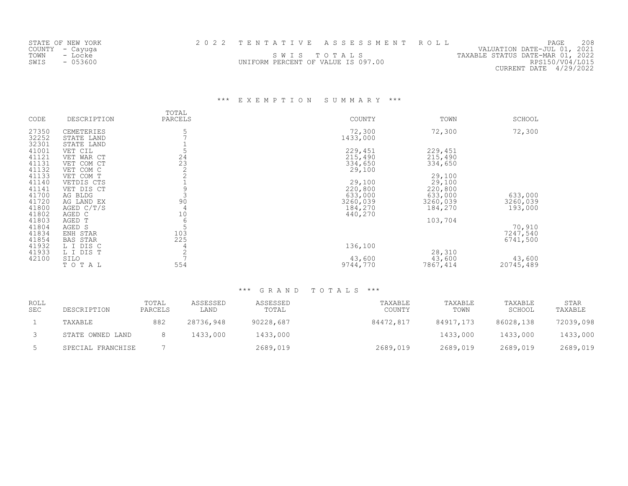| STATE OF NEW YORK | 2022 TENTATIVE ASSESSMENT ROLL     |  |                                  | PAGE                   | 208 |
|-------------------|------------------------------------|--|----------------------------------|------------------------|-----|
| COUNTY - Cayuga   |                                    |  | VALUATION DATE-JUL 01, 2021      |                        |     |
| TOWN<br>- Locke   | SWIS TOTALS                        |  | TAXABLE STATUS DATE-MAR 01, 2022 |                        |     |
| SWIS<br>$-053600$ | UNIFORM PERCENT OF VALUE IS 097.00 |  |                                  | RPS150/V04/L015        |     |
|                   |                                    |  |                                  | CURRENT DATE 4/29/2022 |     |

# \*\*\* E X E M P T I O N S U M M A R Y \*\*\*

| CODE  | DESCRIPTION     | TOTAL<br>PARCELS                        | COUNTY   | TOWN     | SCHOOL    |
|-------|-----------------|-----------------------------------------|----------|----------|-----------|
|       |                 |                                         |          |          |           |
| 27350 | CEMETERIES      | 5                                       | 72,300   | 72,300   | 72,300    |
| 32252 | STATE LAND      |                                         | 1433,000 |          |           |
| 32301 | STATE LAND      |                                         |          |          |           |
| 41001 | VET CIL         |                                         | 229,451  | 229,451  |           |
| 41121 | VET WAR CT      |                                         | 215,490  | 215,490  |           |
| 41131 | VET COM CT      | $\begin{array}{c} 24 \\ 23 \end{array}$ | 334,650  | 334,650  |           |
| 41132 | VET COM C       | $\overline{2}$                          | 29,100   |          |           |
| 41133 | VET COM T       |                                         |          | 29,100   |           |
| 41140 | VETDIS CTS      |                                         | 29,100   | 29,100   |           |
| 41141 | VET DIS CT      | 9                                       | 220,800  | 220,800  |           |
| 41700 | AG BLDG         |                                         | 633,000  | 633,000  | 633,000   |
| 41720 | AG LAND EX      | 90                                      | 3260,039 | 3260,039 | 3260,039  |
| 41800 | AGED C/T/S      | 4                                       | 184,270  | 184,270  | 193,000   |
| 41802 | AGED C          | 10                                      | 440,270  |          |           |
| 41803 | AGED T          | 6                                       |          | 103,704  |           |
| 41804 | AGED S          | 5                                       |          |          | 70,910    |
| 41834 | ENH STAR        | 103                                     |          |          | 7247,540  |
| 41854 | <b>BAS STAR</b> | 225                                     |          |          | 6741,500  |
| 41932 | L I DIS C       | 4                                       | 136,100  |          |           |
| 41933 | L I DIS T       | $\overline{c}$                          |          | 28,310   |           |
| 42100 | SILO            |                                         | 43,600   | 43,600   | 43,600    |
|       | TOTAL           | 554                                     | 9744,770 | 7867,414 | 20745,489 |

| ROLL<br><b>SEC</b> | DESCRIPTION       | TOTAL<br>PARCELS | ASSESSED<br>LAND | ASSESSED<br>TOTAL | TAXABLE<br>COUNTY | TAXABLE<br>TOWN | TAXABLE<br>SCHOOL | STAR<br>TAXABLE |
|--------------------|-------------------|------------------|------------------|-------------------|-------------------|-----------------|-------------------|-----------------|
|                    | TAXABLE           | 882              | 28736,948        | 90228,687         | 84472,817         | 84917,173       | 86028,138         | 72039,098       |
|                    | STATE OWNED LAND  |                  | 1433,000         | 1433,000          |                   | 1433,000        | 1433,000          | 1433,000        |
|                    | SPECIAL FRANCHISE |                  |                  | 2689,019          | 2689,019          | 2689,019        | 2689,019          | 2689,019        |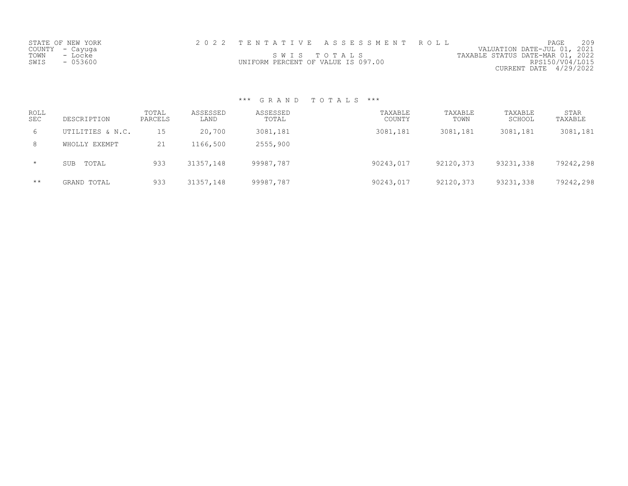| STATE OF NEW YORK |                                    | 2022 TENTATIVE ASSESSMENT ROLL |                                  | PAGE                        | 209 |
|-------------------|------------------------------------|--------------------------------|----------------------------------|-----------------------------|-----|
| COUNTY – Cayuga   |                                    |                                |                                  | VALUATION DATE-JUL 01, 2021 |     |
| TOWN<br>- Locke   |                                    | SWIS TOTALS                    | TAXABLE STATUS DATE-MAR 01, 2022 |                             |     |
| SWIS<br>- 053600  | UNIFORM PERCENT OF VALUE IS 097.00 |                                |                                  | RPS150/V04/L015             |     |
|                   |                                    |                                |                                  | CURRENT DATE 4/29/2022      |     |

| ROLL<br><b>SEC</b> | DESCRIPTION         | TOTAL<br>PARCELS | ASSESSED<br>LAND | ASSESSED<br>TOTAL | TAXABLE<br>COUNTY | TAXABLE<br>TOWN | TAXABLE<br>SCHOOL | <b>STAR</b><br>TAXABLE |
|--------------------|---------------------|------------------|------------------|-------------------|-------------------|-----------------|-------------------|------------------------|
| 6                  | UTILITIES & N.C.    | 15               | 20,700           | 3081,181          | 3081,181          | 3081,181        | 3081,181          | 3081,181               |
| 8                  | WHOLLY EXEMPT       | 21               | 1166,500         | 2555,900          |                   |                 |                   |                        |
| $\star$            | TOTAL<br><b>SUB</b> | 933              | 31357,148        | 99987,787         | 90243,017         | 92120,373       | 93231,338         | 79242,298              |
| $\star\star$       | GRAND TOTAL         | 933              | 31357,148        | 99987,787         | 90243,017         | 92120,373       | 93231,338         | 79242,298              |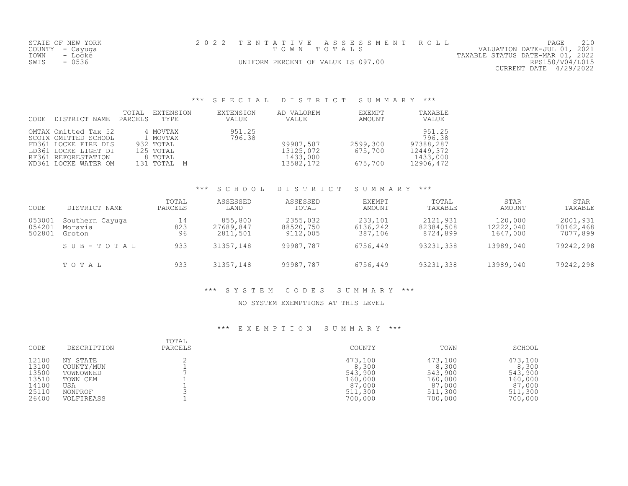|      | STATE OF NEW YORK | 2022 TENTATIVE ASSESSMENT ROLL     |  |                                  | PAGE                   |  |
|------|-------------------|------------------------------------|--|----------------------------------|------------------------|--|
|      | COUNTY – Cayuga   | TOWN TOTALS                        |  | VALUATION DATE-JUL 01, 2021      |                        |  |
| TOWN | - Locke           |                                    |  | TAXABLE STATUS DATE-MAR 01, 2022 |                        |  |
| SWIS | $-0536$           | UNIFORM PERCENT OF VALUE IS 097.00 |  |                                  | RPS150/V04/L015        |  |
|      |                   |                                    |  |                                  | CURRENT DATE 4/29/2022 |  |

# \*\*\* S P E C I A L D I S T R I C T S U M M A R Y \*\*\*

| <b>CODE</b> | DISTRICT NAME                                                                                                                               | TOTAL<br>PARCELS | EXTENSION<br>TYPE                                                        | EXTENSION<br><b>VALUE</b> | AD VALOREM<br>VALUE                             | EXEMPT<br>AMOUNT               | TAXABLE<br>VALUE                                                    |
|-------------|---------------------------------------------------------------------------------------------------------------------------------------------|------------------|--------------------------------------------------------------------------|---------------------------|-------------------------------------------------|--------------------------------|---------------------------------------------------------------------|
|             | OMTAX Omitted Tax 52<br>SCOTX OMITTED SCHOOL<br>FD361 LOCKE FIRE DIS<br>LD361 LOCKE LIGHT DI<br>RF361 REFORESTATION<br>WD361 LOCKE WATER OM |                  | 4 MOVTAX<br>1 MOVTAX<br>932 TOTAL<br>125 TOTAL<br>8 TOTAL<br>131 TOTAL M | 951.25<br>796.38          | 99987,587<br>13125,072<br>1433,000<br>13582,172 | 2599,300<br>675,700<br>675,700 | 951.25<br>796.38<br>97388,287<br>12449,372<br>1433,000<br>12906,472 |

#### \*\*\* S C H O O L D I S T R I C T S U M M A R Y \*\*\*

| CODE                       | DISTRICT NAME                        | TOTAL<br>PARCELS | ASSESSED<br>LAND                 | ASSESSED<br>TOTAL                 | EXEMPT<br>AMOUNT               | TOTAL<br>TAXABLE                  | <b>STAR</b><br>AMOUNT            | <b>STAR</b><br>TAXABLE            |
|----------------------------|--------------------------------------|------------------|----------------------------------|-----------------------------------|--------------------------------|-----------------------------------|----------------------------------|-----------------------------------|
| 053001<br>054201<br>502801 | Southern Cayuga<br>Moravia<br>Groton | 14<br>823<br>96  | 855,800<br>27689,847<br>2811,501 | 2355,032<br>88520,750<br>9112,005 | 233,101<br>6136,242<br>387,106 | 2121,931<br>82384,508<br>8724,899 | 120,000<br>12222,040<br>1647,000 | 2001,931<br>70162,468<br>7077,899 |
|                            | SUB-TOTAL                            | 933              | 31357,148                        | 99987,787                         | 6756,449                       | 93231,338                         | 13989,040                        | 79242,298                         |
|                            | TOTAL                                | 933              | 31357,148                        | 99987,787                         | 6756,449                       | 93231,338                         | 13989,040                        | 79242,298                         |

### \*\*\* S Y S T E M C O D E S S U M M A R Y \*\*\*

### NO SYSTEM EXEMPTIONS AT THIS LEVEL

| CODE  | DESCRIPTION | TOTAL<br>PARCELS | COUNTY  | TOWN    | SCHOOL  |
|-------|-------------|------------------|---------|---------|---------|
| 12100 | NY STATE    |                  | 473,100 | 473,100 | 473,100 |
| 13100 | COUNTY/MUN  |                  | 8,300   | 8,300   | 8,300   |
| 13500 | TOWNOWNED   |                  | 543,900 | 543,900 | 543,900 |
| 13510 | TOWN CEM    |                  | 160,000 | 160,000 | 160,000 |
| 14100 | USA         |                  | 87,000  | 87,000  | 87,000  |
| 25110 | NONPROF     |                  | 511,300 | 511,300 | 511,300 |
| 26400 | VOLFIREASS  |                  | 700,000 | 700,000 | 700,000 |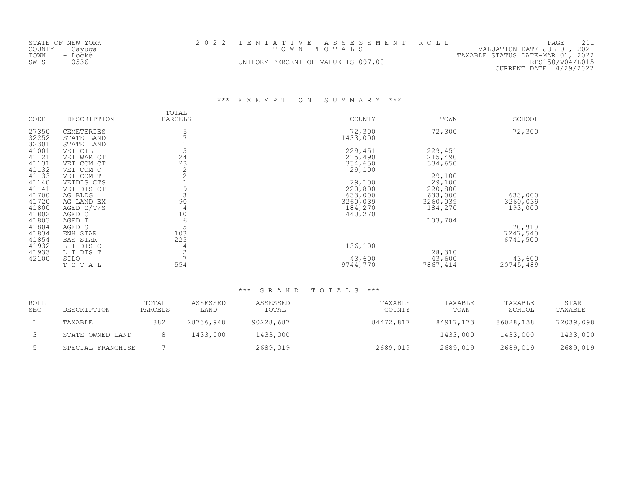| STATE OF NEW YORK | 2022 TENTATIVE ASSESSMENT ROLL     | PAGE                             |
|-------------------|------------------------------------|----------------------------------|
| COUNTY – Cayuga   | TOWN TOTALS                        | VALUATION DATE-JUL 01, 2021      |
| TOWN<br>- Locke   |                                    | TAXABLE STATUS DATE-MAR 01, 2022 |
| $-0536$<br>SWIS   | UNIFORM PERCENT OF VALUE IS 097.00 | RPS150/V04/L015                  |
|                   |                                    | CURRENT DATE 4/29/2022           |

\*\*\* E X E M P T I O N S U M M A R Y \*\*\*

| CODE                             | DESCRIPTION                                         | TOTAL<br>PARCELS                        | COUNTY                                    | TOWN                                      | SCHOOL                         |
|----------------------------------|-----------------------------------------------------|-----------------------------------------|-------------------------------------------|-------------------------------------------|--------------------------------|
| 27350<br>32252<br>32301          | CEMETERIES<br>STATE LAND<br>STATE LAND              | 5                                       | 72,300<br>1433,000                        | 72,300                                    | 72,300                         |
| 41001<br>41121<br>41131          | VET CIL<br>VET WAR CT<br>VET COM CT                 | $\begin{array}{c} 24 \\ 23 \end{array}$ | 229,451<br>215,490<br>334,650             | 229,451<br>215,490<br>334,650             |                                |
| 41132<br>41133<br>41140          | VET COM C<br>VET COM T<br>VETDIS CTS                | $\overline{2}$                          | 29,100<br>29,100                          | 29,100<br>29,100                          |                                |
| 41141<br>41700<br>41720<br>41800 | VET DIS CT<br>AG BLDG<br>AG LAND EX<br>AGED $C/T/S$ | 9<br>90<br>4                            | 220,800<br>633,000<br>3260,039<br>184,270 | 220,800<br>633,000<br>3260,039<br>184,270 | 633,000<br>3260,039<br>193,000 |
| 41802<br>41803<br>41804          | AGED C<br>AGED T<br>AGED S                          | 10<br>6                                 | 440,270                                   | 103,704                                   | 70,910                         |
| 41834<br>41854<br>41932          | ENH STAR<br><b>BAS STAR</b><br>L I DIS C            | 103<br>225<br>4                         | 136,100                                   |                                           | 7247,540<br>6741,500           |
| 41933<br>42100                   | L I DIS T<br>SILO<br>TOTAL                          | $\overline{c}$<br>554                   | 43,600<br>9744,770                        | 28,310<br>43,600<br>7867,414              | 43,600<br>20745,489            |

| ROLL<br><b>SEC</b> | DESCRIPTION       | TOTAL<br>PARCELS | ASSESSED<br>LAND | ASSESSED<br>TOTAL | TAXABLE<br>COUNTY | TAXABLE<br>TOWN | TAXABLE<br>SCHOOL | STAR<br>TAXABLE |
|--------------------|-------------------|------------------|------------------|-------------------|-------------------|-----------------|-------------------|-----------------|
|                    | TAXABLE           | 882              | 28736,948        | 90228,687         | 84472,817         | 84917,173       | 86028,138         | 72039,098       |
|                    | STATE OWNED LAND  |                  | 1433,000         | 1433,000          |                   | 1433,000        | 1433,000          | 1433,000        |
|                    | SPECIAL FRANCHISE |                  |                  | 2689,019          | 2689,019          | 2689,019        | 2689,019          | 2689,019        |